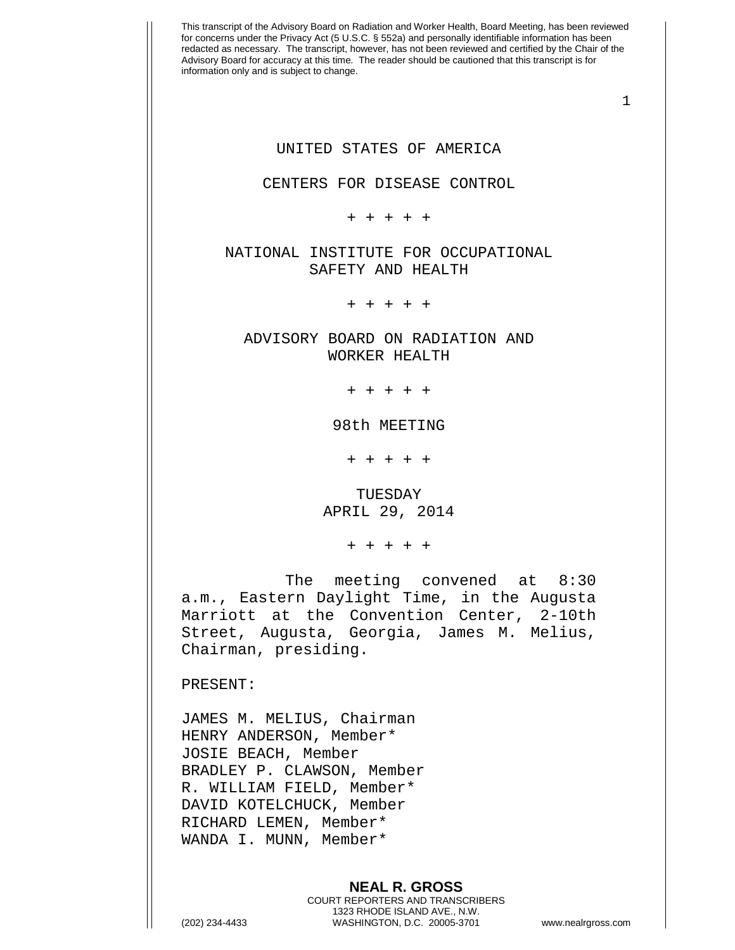This transcript of the Advisory Board on Radiation and Worker Health, Board Meeting, has been reviewed for concerns under the Privacy Act (5 U.S.C. § 552a) and personally identifiable information has been redacted as necessary. The transcript, however, has not been reviewed and certified by the Chair of the Advisory Board for accuracy at this time. The reader should be cautioned that this transcript is for information only and is subject to change. 1 UNITED STATES OF AMERICA CENTERS FOR DISEASE CONTROL + + + + + NATIONAL INSTITUTE FOR OCCUPATIONAL SAFETY AND HEALTH + + + + + ADVISORY BOARD ON RADIATION AND WORKER HEALTH + + + + + 98th MEETING + + + + + TUESDAY APRIL 29, 2014 + + + + + The meeting convened at 8:30 a.m., Eastern Daylight Time, in the Augusta Marriott at the Convention Center, 2-10th Street, Augusta, Georgia, James M. Melius, Chairman, presiding. PRESENT: JAMES M. MELIUS, Chairman HENRY ANDERSON, Member\* JOSIE BEACH, Member BRADLEY P. CLAWSON, Member R. WILLIAM FIELD, Member\* DAVID KOTELCHUCK, Member RICHARD LEMEN, Member\* WANDA I. MUNN, Member\*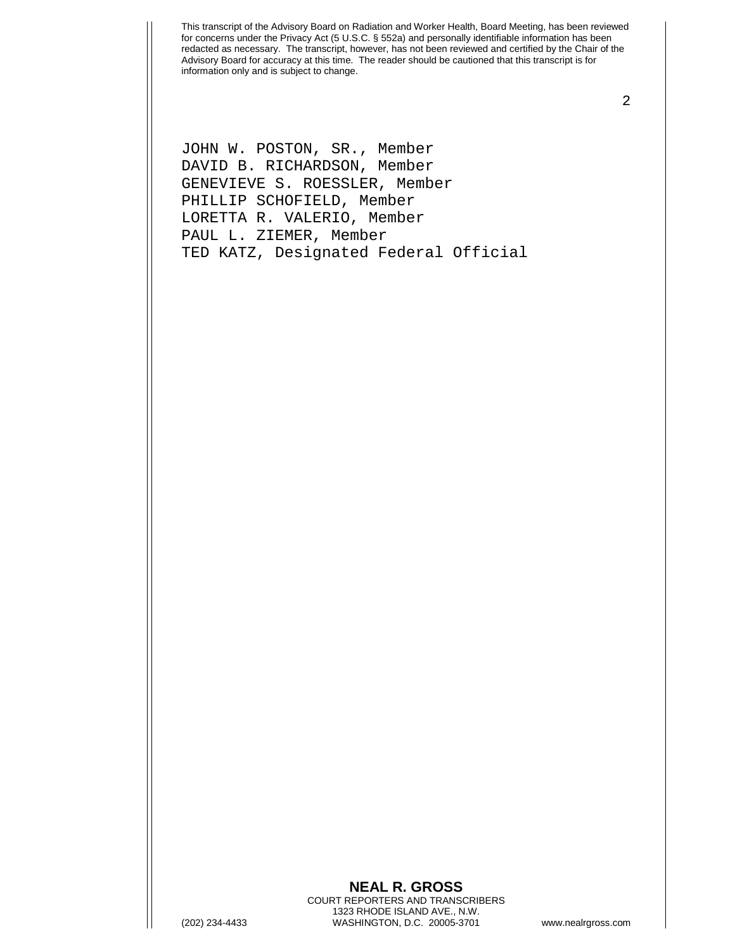2

JOHN W. POSTON, SR., Member DAVID B. RICHARDSON, Member GENEVIEVE S. ROESSLER, Member PHILLIP SCHOFIELD, Member LORETTA R. VALERIO, Member PAUL L. ZIEMER, Member TED KATZ, Designated Federal Official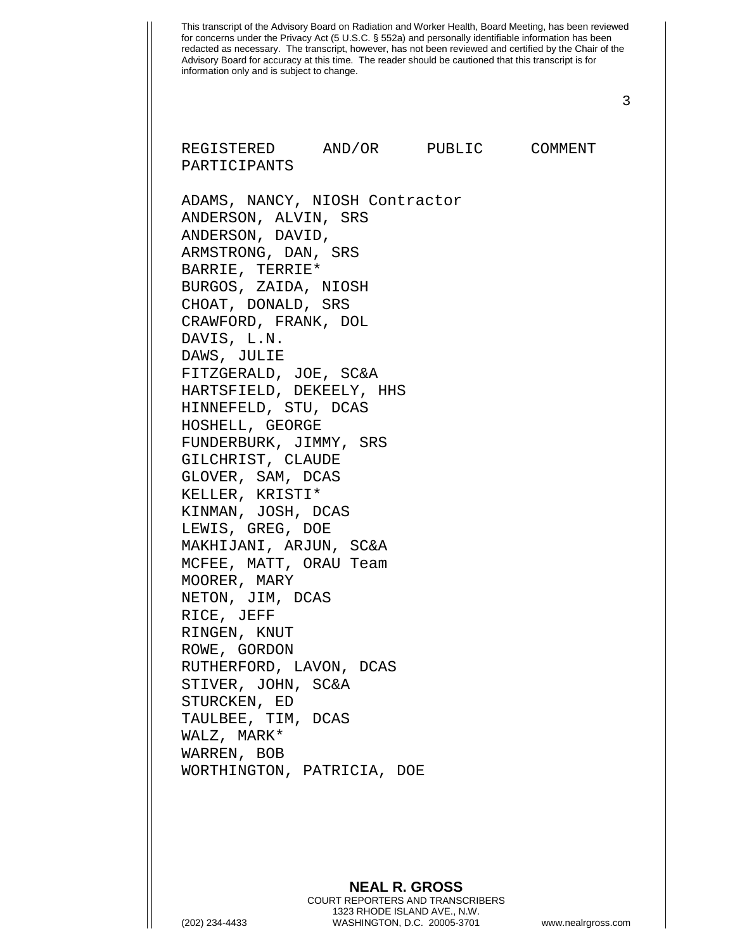This transcript of the Advisory Board on Radiation and Worker Health, Board Meeting, has been reviewed for concerns under the Privacy Act (5 U.S.C. § 552a) and personally identifiable information has been redacted as necessary. The transcript, however, has not been reviewed and certified by the Chair of the Advisory Board for accuracy at this time. The reader should be cautioned that this transcript is for information only and is subject to change. 3 REGISTERED AND/OR PUBLIC COMMENT PARTICIPANTS ADAMS, NANCY, NIOSH Contractor ANDERSON, ALVIN, SRS ANDERSON, DAVID, ARMSTRONG, DAN, SRS BARRIE, TERRIE\* BURGOS, ZAIDA, NIOSH CHOAT, DONALD, SRS CRAWFORD, FRANK, DOL DAVIS, L.N. DAWS, JULIE FITZGERALD, JOE, SC&A HARTSFIELD, DEKEELY, HHS HINNEFELD, STU, DCAS HOSHELL, GEORGE FUNDERBURK, JIMMY, SRS GILCHRIST, CLAUDE GLOVER, SAM, DCAS KELLER, KRISTI\* KINMAN, JOSH, DCAS LEWIS, GREG, DOE MAKHIJANI, ARJUN, SC&A MCFEE, MATT, ORAU Team MOORER, MARY NETON, JIM, DCAS RICE, JEFF RINGEN, KNUT ROWE, GORDON RUTHERFORD, LAVON, DCAS STIVER, JOHN, SC&A STURCKEN, ED TAULBEE, TIM, DCAS WALZ, MARK\* WARREN, BOB WORTHINGTON, PATRICIA, DOE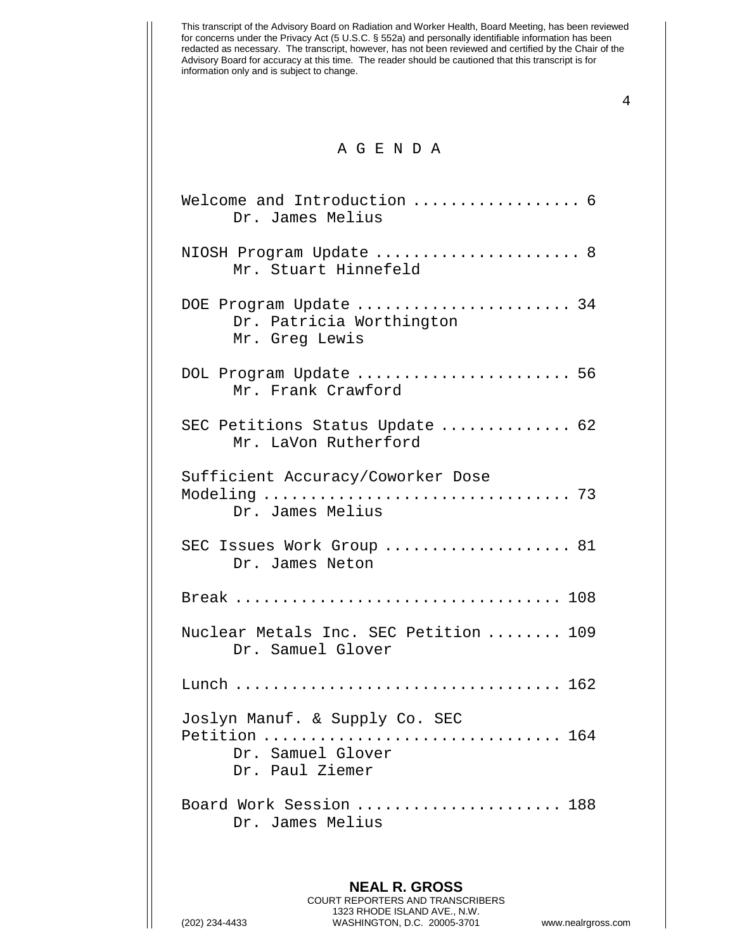4

## A G E N D A

| Welcome and Introduction  6<br>Dr. James Melius                                         |
|-----------------------------------------------------------------------------------------|
| NIOSH Program Update  8<br>Mr. Stuart Hinnefeld                                         |
| DOE Program Update  34<br>Dr. Patricia Worthington<br>Mr. Greg Lewis                    |
| DOL Program Update  56<br>Mr. Frank Crawford                                            |
| SEC Petitions Status Update  62<br>Mr. LaVon Rutherford                                 |
| Sufficient Accuracy/Coworker Dose<br>Dr. James Melius                                   |
| SEC Issues Work Group  81<br>Dr. James Neton                                            |
|                                                                                         |
| Nuclear Metals Inc. SEC Petition  109<br>Dr. Samuel Glover                              |
|                                                                                         |
| Joslyn Manuf. & Supply Co. SEC<br>Petition  164<br>Dr. Samuel Glover<br>Dr. Paul Ziemer |
| Board Work Session  188<br>Dr. James Melius                                             |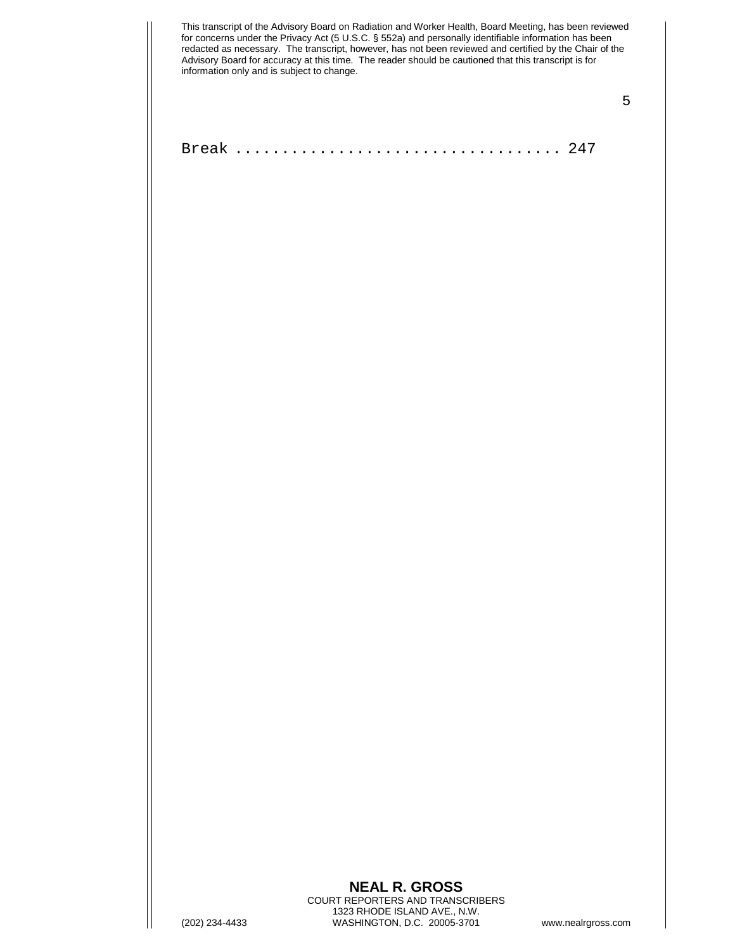5

Break ................................... 247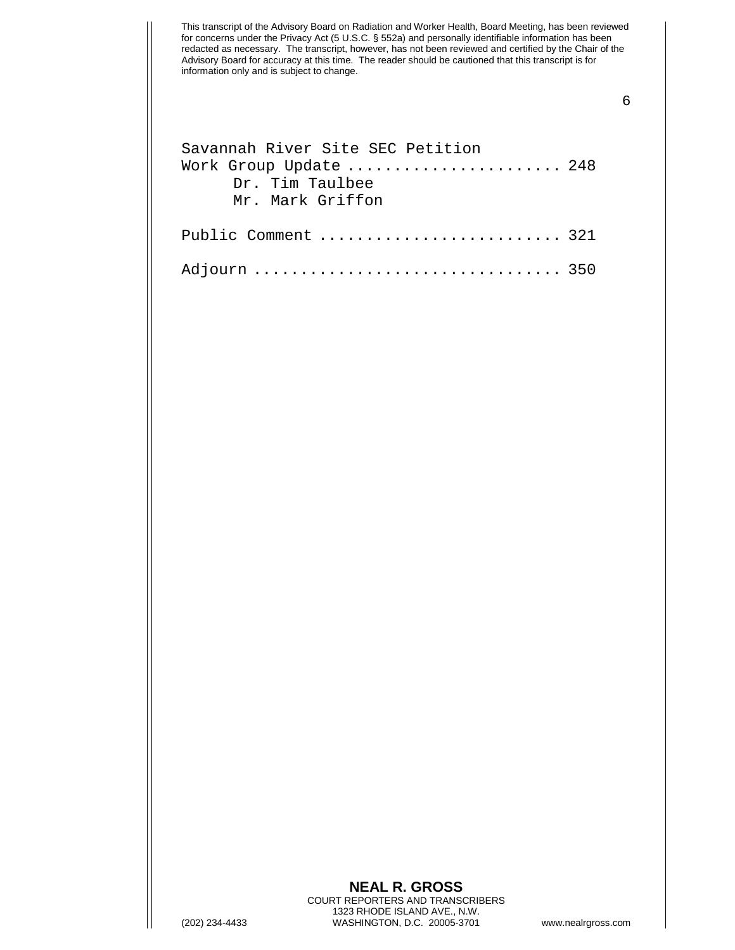## 6

| Savannah River Site SEC Petition |  |
|----------------------------------|--|
| Work Group Update  248           |  |
| Dr. Tim Taulbee                  |  |
| Mr. Mark Griffon                 |  |
|                                  |  |
| Public Comment  321              |  |
|                                  |  |
| Adjourn  350                     |  |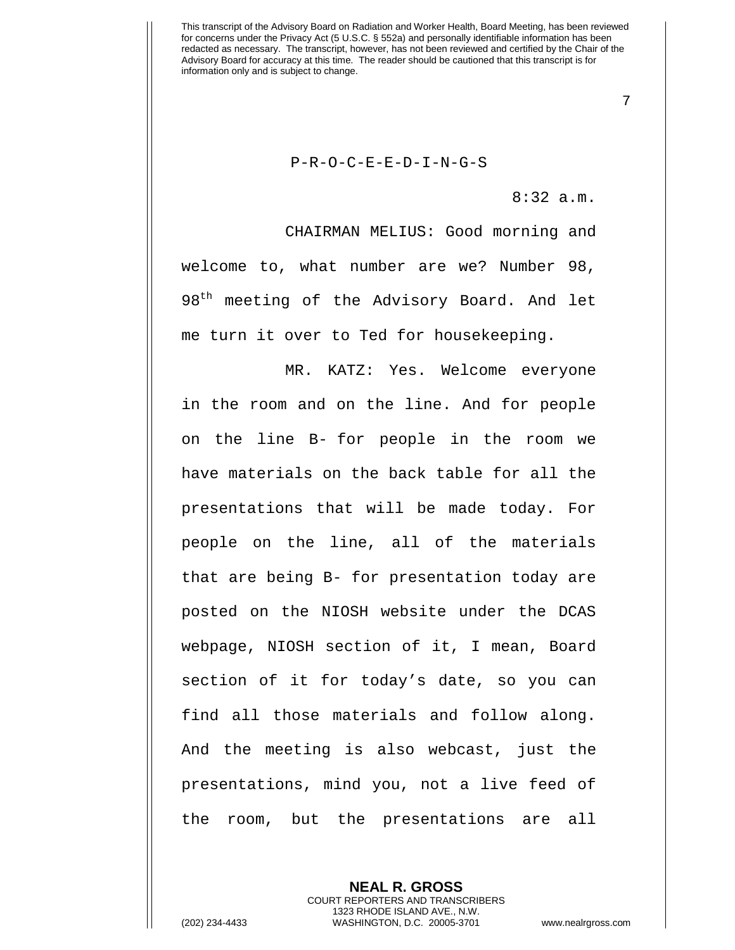P-R-O-C-E-E-D-I-N-G-S

8:32 a.m.

7

CHAIRMAN MELIUS: Good morning and welcome to, what number are we? Number 98, 98<sup>th</sup> meeting of the Advisory Board. And let me turn it over to Ted for housekeeping.

MR. KATZ: Yes. Welcome everyone in the room and on the line. And for people on the line B- for people in the room we have materials on the back table for all the presentations that will be made today. For people on the line, all of the materials that are being B- for presentation today are posted on the NIOSH website under the DCAS webpage, NIOSH section of it, I mean, Board section of it for today's date, so you can find all those materials and follow along. And the meeting is also webcast, just the presentations, mind you, not a live feed of the room, but the presentations are all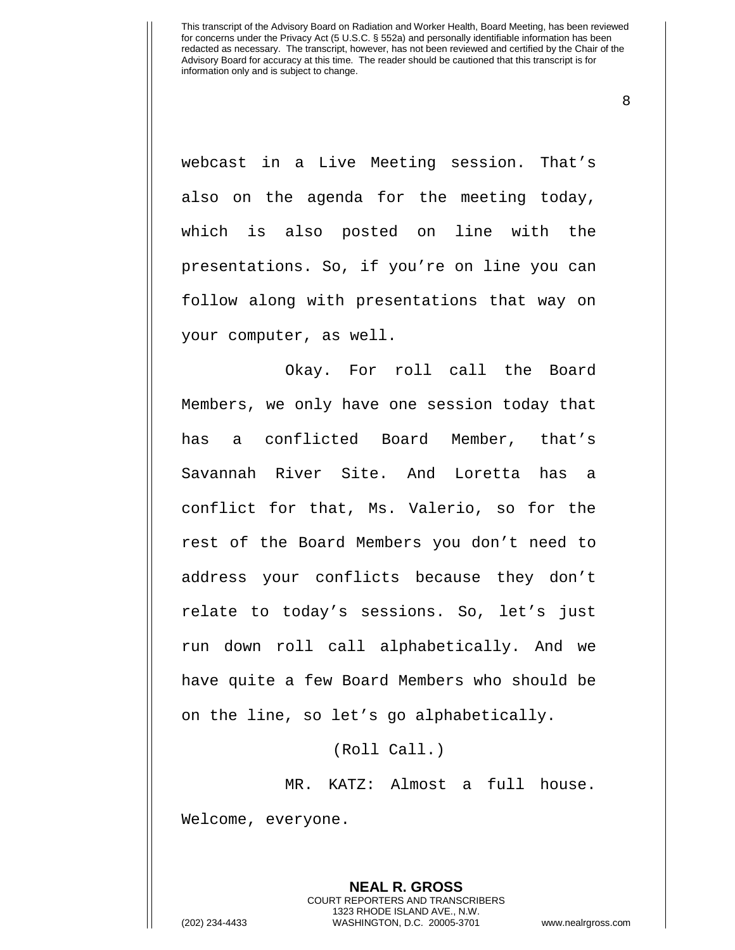8

webcast in a Live Meeting session. That's also on the agenda for the meeting today, which is also posted on line with the presentations. So, if you're on line you can follow along with presentations that way on your computer, as well.

Okay. For roll call the Board Members, we only have one session today that has a conflicted Board Member, that's Savannah River Site. And Loretta has a conflict for that, Ms. Valerio, so for the rest of the Board Members you don't need to address your conflicts because they don't relate to today's sessions. So, let's just run down roll call alphabetically. And we have quite a few Board Members who should be on the line, so let's go alphabetically.

(Roll Call.)

MR. KATZ: Almost a full house. Welcome, everyone.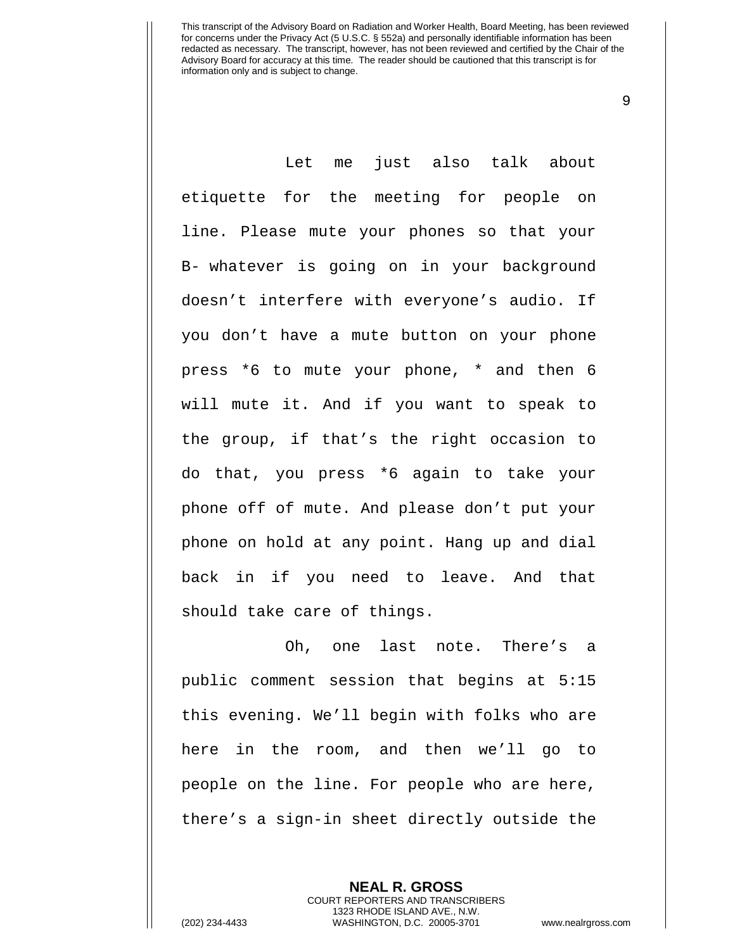9

Let me just also talk about etiquette for the meeting for people on line. Please mute your phones so that your B- whatever is going on in your background doesn't interfere with everyone's audio. If you don't have a mute button on your phone press \*6 to mute your phone, \* and then 6 will mute it. And if you want to speak to the group, if that's the right occasion to do that, you press \*6 again to take your phone off of mute. And please don't put your phone on hold at any point. Hang up and dial back in if you need to leave. And that should take care of things.

Oh, one last note. There's a public comment session that begins at 5:15 this evening. We'll begin with folks who are here in the room, and then we'll go to people on the line. For people who are here, there's a sign-in sheet directly outside the

> **NEAL R. GROSS** COURT REPORTERS AND TRANSCRIBERS 1323 RHODE ISLAND AVE., N.W.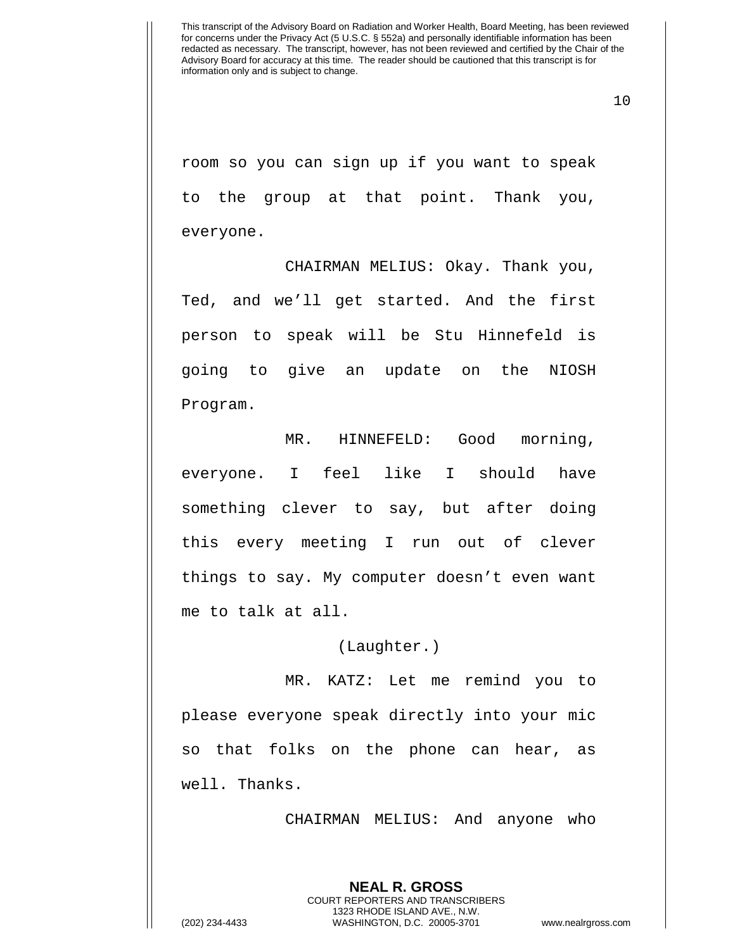10

room so you can sign up if you want to speak to the group at that point. Thank you, everyone.

CHAIRMAN MELIUS: Okay. Thank you, Ted, and we'll get started. And the first person to speak will be Stu Hinnefeld is going to give an update on the NIOSH Program.

MR. HINNEFELD: Good morning, everyone. I feel like I should have something clever to say, but after doing this every meeting I run out of clever things to say. My computer doesn't even want me to talk at all.

(Laughter.)

MR. KATZ: Let me remind you to please everyone speak directly into your mic so that folks on the phone can hear, as well. Thanks.

CHAIRMAN MELIUS: And anyone who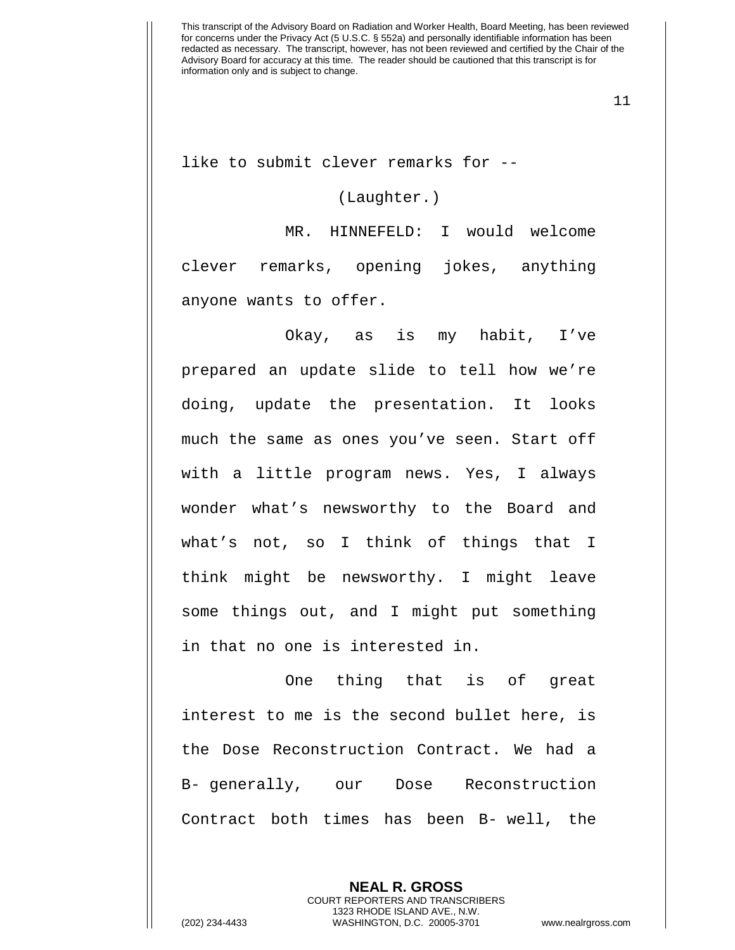11

like to submit clever remarks for --

(Laughter.)

MR. HINNEFELD: I would welcome clever remarks, opening jokes, anything anyone wants to offer.

Okay, as is my habit, I've prepared an update slide to tell how we're doing, update the presentation. It looks much the same as ones you've seen. Start off with a little program news. Yes, I always wonder what's newsworthy to the Board and what's not, so I think of things that I think might be newsworthy. I might leave some things out, and I might put something in that no one is interested in.

One thing that is of great interest to me is the second bullet here, is the Dose Reconstruction Contract. We had a B- generally, our Dose Reconstruction Contract both times has been B- well, the

> **NEAL R. GROSS** COURT REPORTERS AND TRANSCRIBERS 1323 RHODE ISLAND AVE., N.W.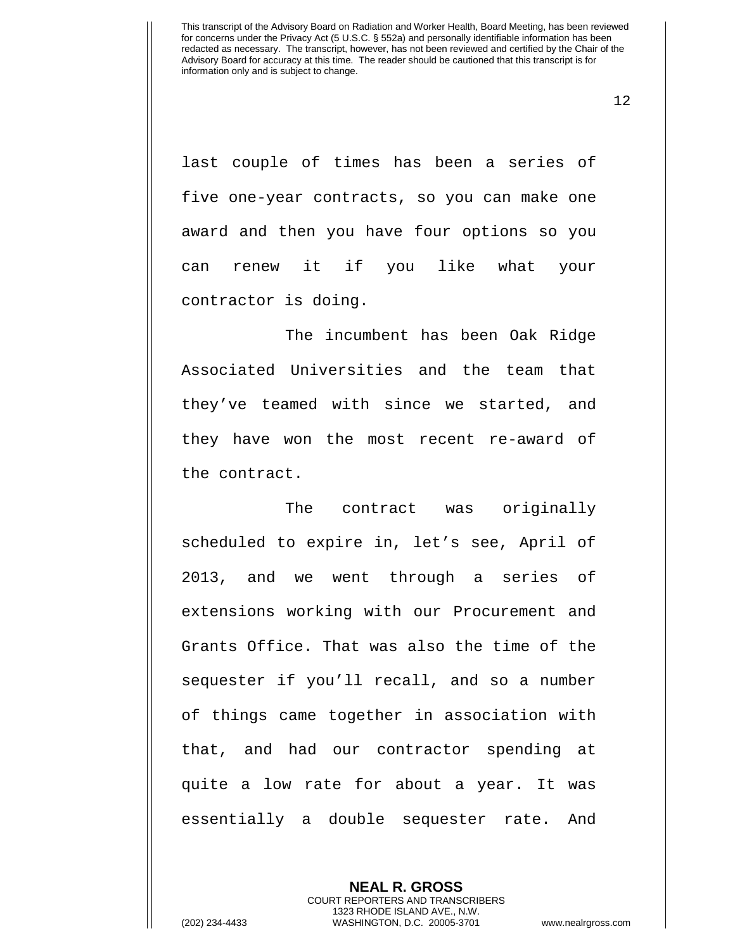12

last couple of times has been a series of five one-year contracts, so you can make one award and then you have four options so you can renew it if you like what your contractor is doing.

The incumbent has been Oak Ridge Associated Universities and the team that they've teamed with since we started, and they have won the most recent re-award of the contract.

The contract was originally scheduled to expire in, let's see, April of 2013, and we went through a series of extensions working with our Procurement and Grants Office. That was also the time of the sequester if you'll recall, and so a number of things came together in association with that, and had our contractor spending at quite a low rate for about a year. It was essentially a double sequester rate. And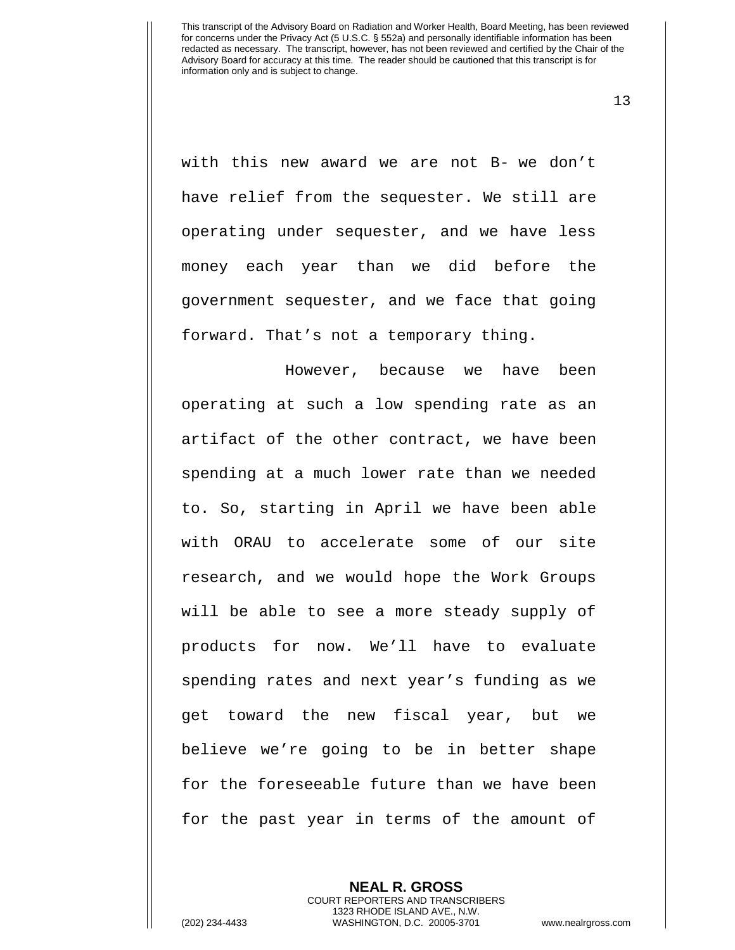13

with this new award we are not B- we don't have relief from the sequester. We still are operating under sequester, and we have less money each year than we did before the government sequester, and we face that going forward. That's not a temporary thing.

However, because we have been operating at such a low spending rate as an artifact of the other contract, we have been spending at a much lower rate than we needed to. So, starting in April we have been able with ORAU to accelerate some of our site research, and we would hope the Work Groups will be able to see a more steady supply of products for now. We'll have to evaluate spending rates and next year's funding as we get toward the new fiscal year, but we believe we're going to be in better shape for the foreseeable future than we have been for the past year in terms of the amount of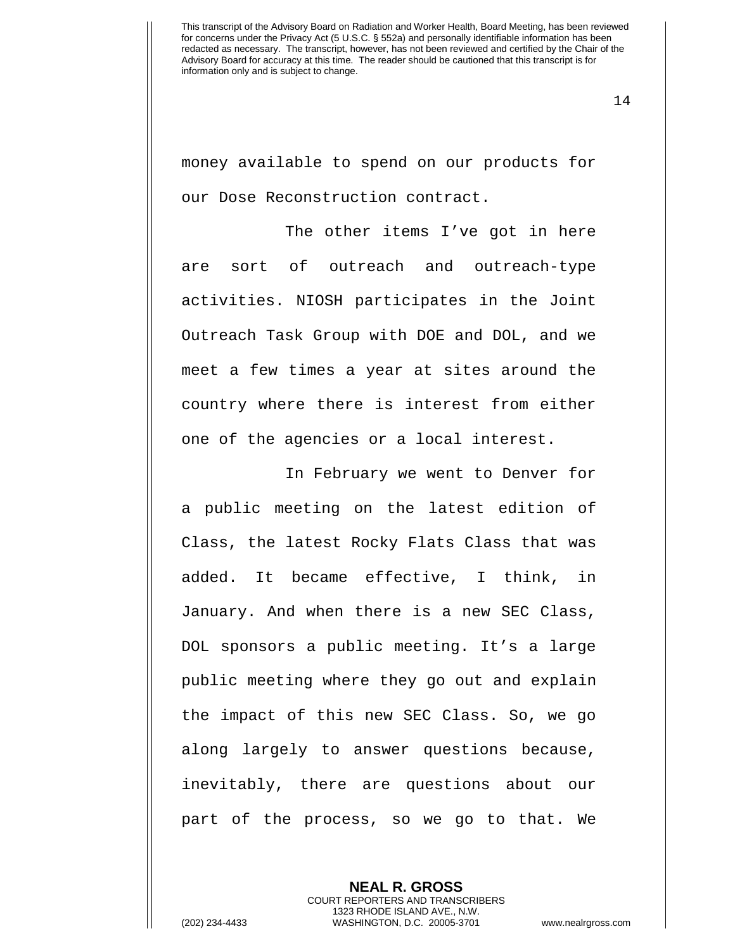14

money available to spend on our products for our Dose Reconstruction contract.

The other items I've got in here are sort of outreach and outreach-type activities. NIOSH participates in the Joint Outreach Task Group with DOE and DOL, and we meet a few times a year at sites around the country where there is interest from either one of the agencies or a local interest.

In February we went to Denver for a public meeting on the latest edition of Class, the latest Rocky Flats Class that was added. It became effective, I think, in January. And when there is a new SEC Class, DOL sponsors a public meeting. It's a large public meeting where they go out and explain the impact of this new SEC Class. So, we go along largely to answer questions because, inevitably, there are questions about our part of the process, so we go to that. We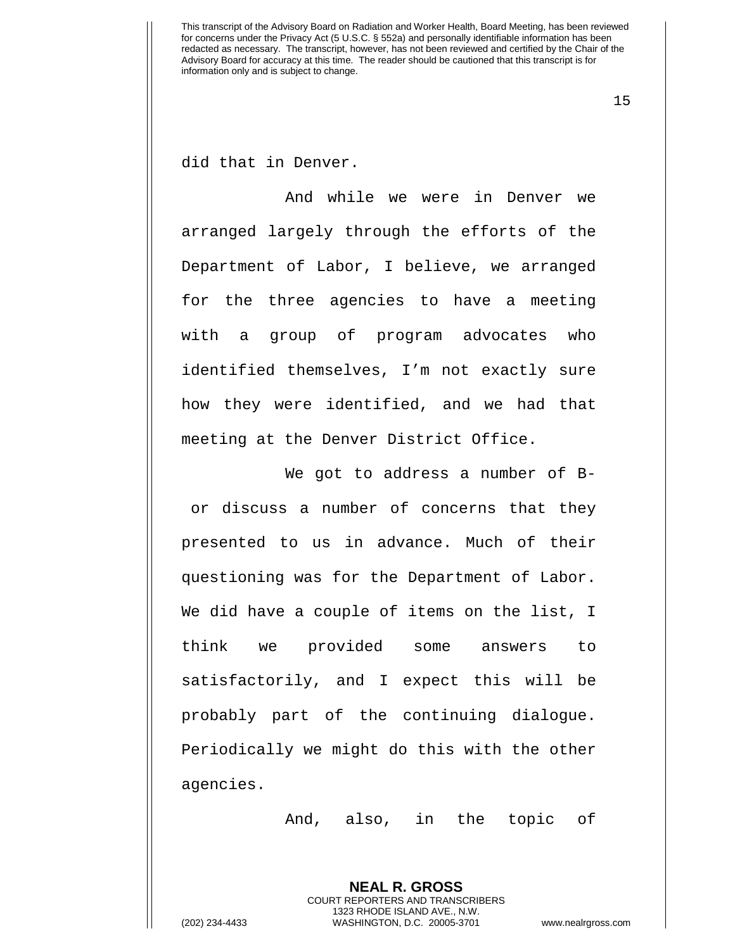15

did that in Denver.

And while we were in Denver we arranged largely through the efforts of the Department of Labor, I believe, we arranged for the three agencies to have a meeting with a group of program advocates who identified themselves, I'm not exactly sure how they were identified, and we had that meeting at the Denver District Office.

We got to address a number of Bor discuss a number of concerns that they presented to us in advance. Much of their questioning was for the Department of Labor. We did have a couple of items on the list, I think we provided some answers to satisfactorily, and I expect this will be probably part of the continuing dialogue. Periodically we might do this with the other agencies.

And, also, in the topic of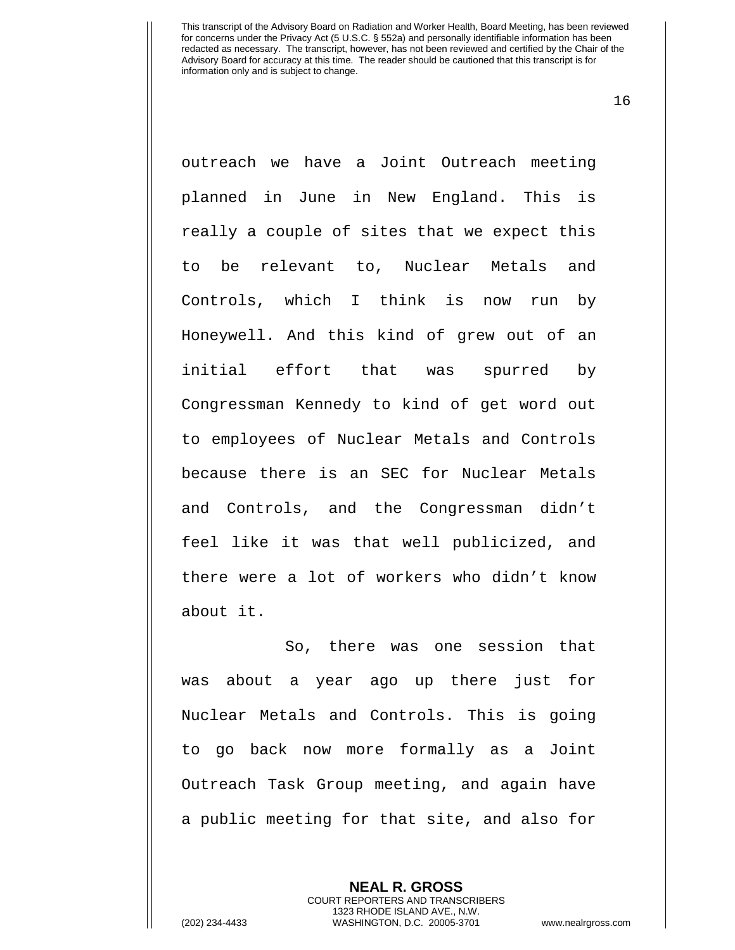16

outreach we have a Joint Outreach meeting planned in June in New England. This is really a couple of sites that we expect this to be relevant to, Nuclear Metals and Controls, which I think is now run by Honeywell. And this kind of grew out of an initial effort that was spurred by Congressman Kennedy to kind of get word out to employees of Nuclear Metals and Controls because there is an SEC for Nuclear Metals and Controls, and the Congressman didn't feel like it was that well publicized, and there were a lot of workers who didn't know about it.

So, there was one session that was about a year ago up there just for Nuclear Metals and Controls. This is going to go back now more formally as a Joint Outreach Task Group meeting, and again have a public meeting for that site, and also for

> **NEAL R. GROSS** COURT REPORTERS AND TRANSCRIBERS 1323 RHODE ISLAND AVE., N.W.

(202) 234-4433 WASHINGTON, D.C. 20005-3701 www.nealrgross.com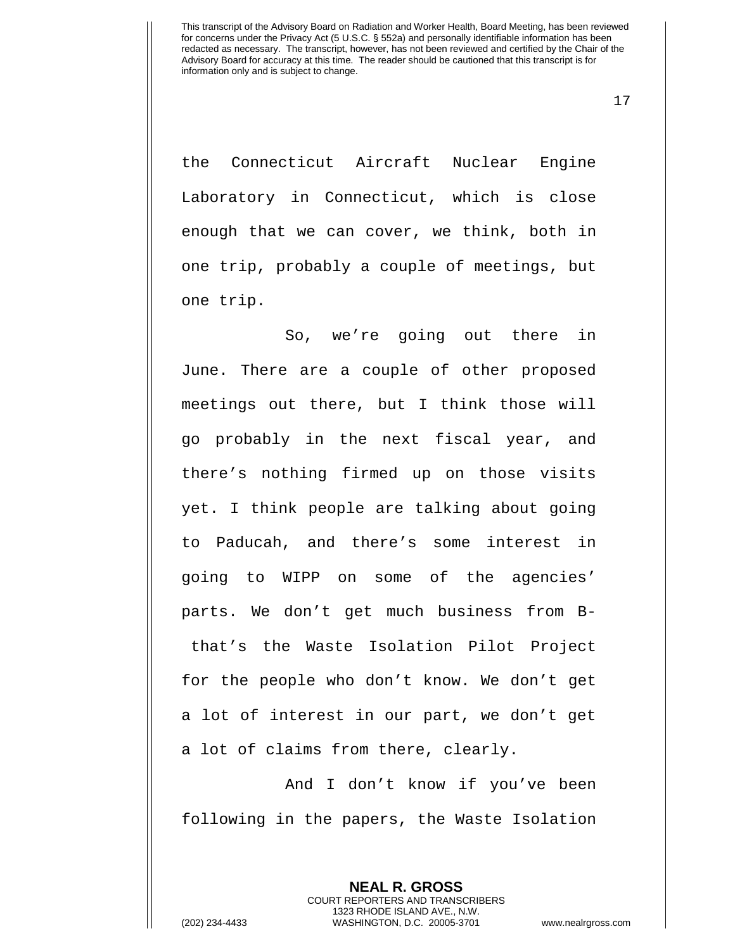17

the Connecticut Aircraft Nuclear Engine Laboratory in Connecticut, which is close enough that we can cover, we think, both in one trip, probably a couple of meetings, but one trip.

So, we're going out there in June. There are a couple of other proposed meetings out there, but I think those will go probably in the next fiscal year, and there's nothing firmed up on those visits yet. I think people are talking about going to Paducah, and there's some interest in going to WIPP on some of the agencies' parts. We don't get much business from Bthat's the Waste Isolation Pilot Project for the people who don't know. We don't get a lot of interest in our part, we don't get a lot of claims from there, clearly.

And I don't know if you've been following in the papers, the Waste Isolation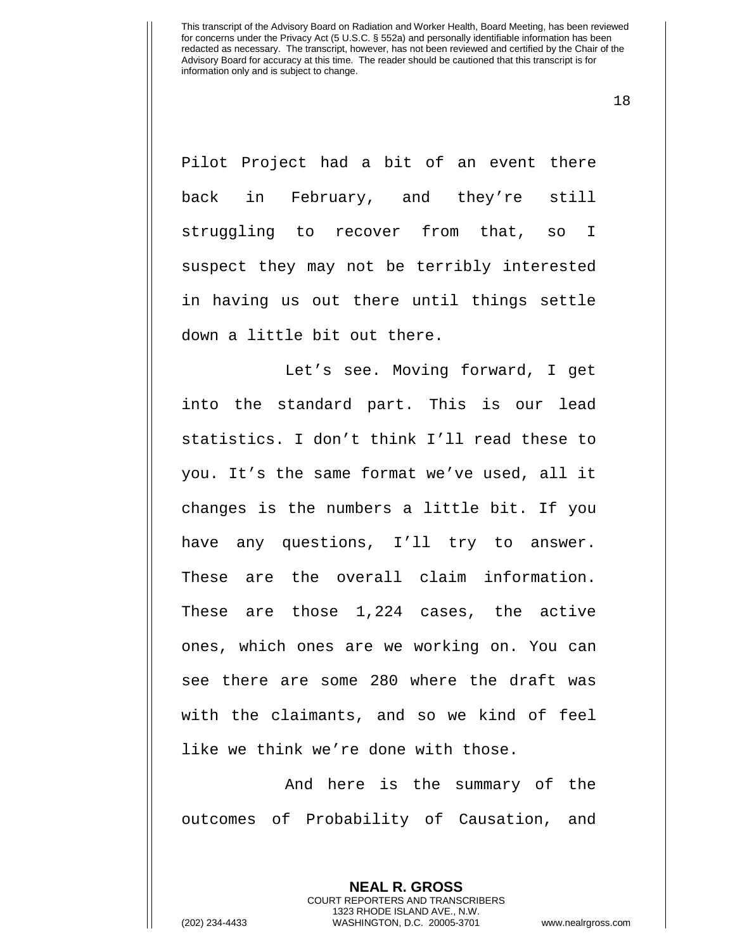18

Pilot Project had a bit of an event there back in February, and they're still struggling to recover from that, so I suspect they may not be terribly interested in having us out there until things settle down a little bit out there.

Let's see. Moving forward, I get into the standard part. This is our lead statistics. I don't think I'll read these to you. It's the same format we've used, all it changes is the numbers a little bit. If you have any questions, I'll try to answer. These are the overall claim information. These are those 1,224 cases, the active ones, which ones are we working on. You can see there are some 280 where the draft was with the claimants, and so we kind of feel like we think we're done with those.

And here is the summary of the outcomes of Probability of Causation, and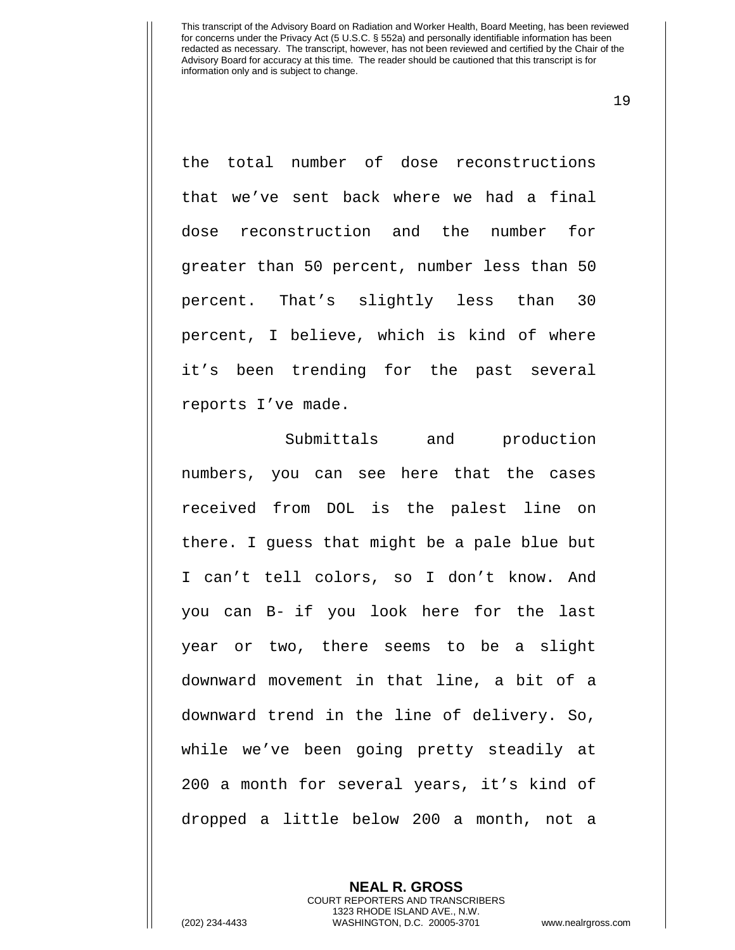19

the total number of dose reconstructions that we've sent back where we had a final dose reconstruction and the number for greater than 50 percent, number less than 50 percent. That's slightly less than 30 percent, I believe, which is kind of where it's been trending for the past several reports I've made.

Submittals and production numbers, you can see here that the cases received from DOL is the palest line on there. I guess that might be a pale blue but I can't tell colors, so I don't know. And you can B- if you look here for the last year or two, there seems to be a slight downward movement in that line, a bit of a downward trend in the line of delivery. So, while we've been going pretty steadily at 200 a month for several years, it's kind of dropped a little below 200 a month, not a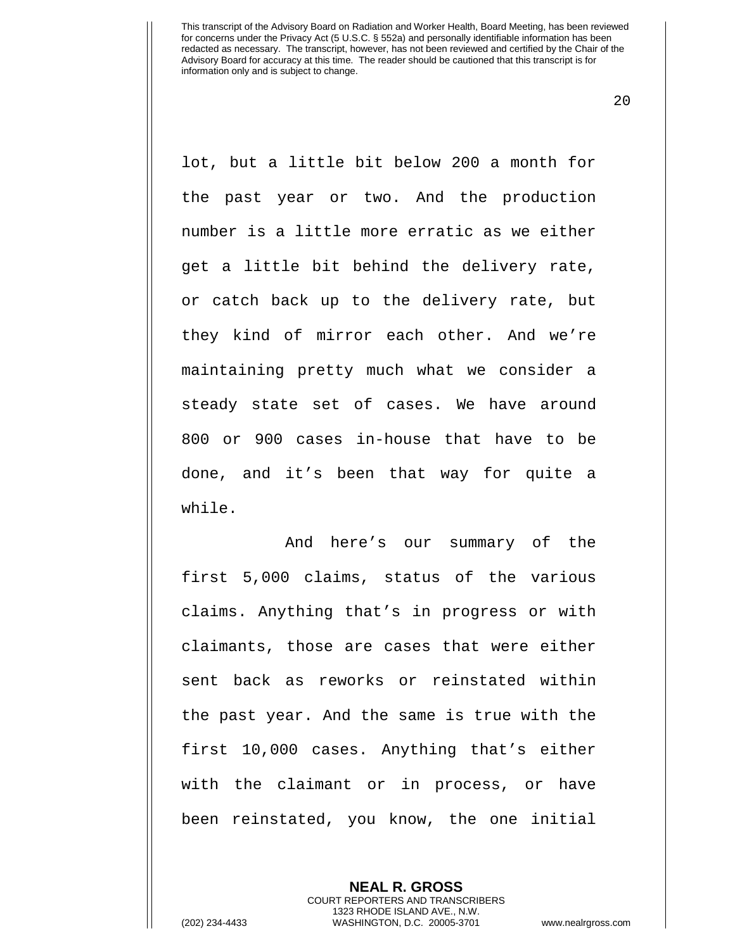20

lot, but a little bit below 200 a month for the past year or two. And the production number is a little more erratic as we either get a little bit behind the delivery rate, or catch back up to the delivery rate, but they kind of mirror each other. And we're maintaining pretty much what we consider a steady state set of cases. We have around 800 or 900 cases in-house that have to be done, and it's been that way for quite a while.

And here's our summary of the first 5,000 claims, status of the various claims. Anything that's in progress or with claimants, those are cases that were either sent back as reworks or reinstated within the past year. And the same is true with the first 10,000 cases. Anything that's either with the claimant or in process, or have been reinstated, you know, the one initial

> **NEAL R. GROSS** COURT REPORTERS AND TRANSCRIBERS 1323 RHODE ISLAND AVE., N.W.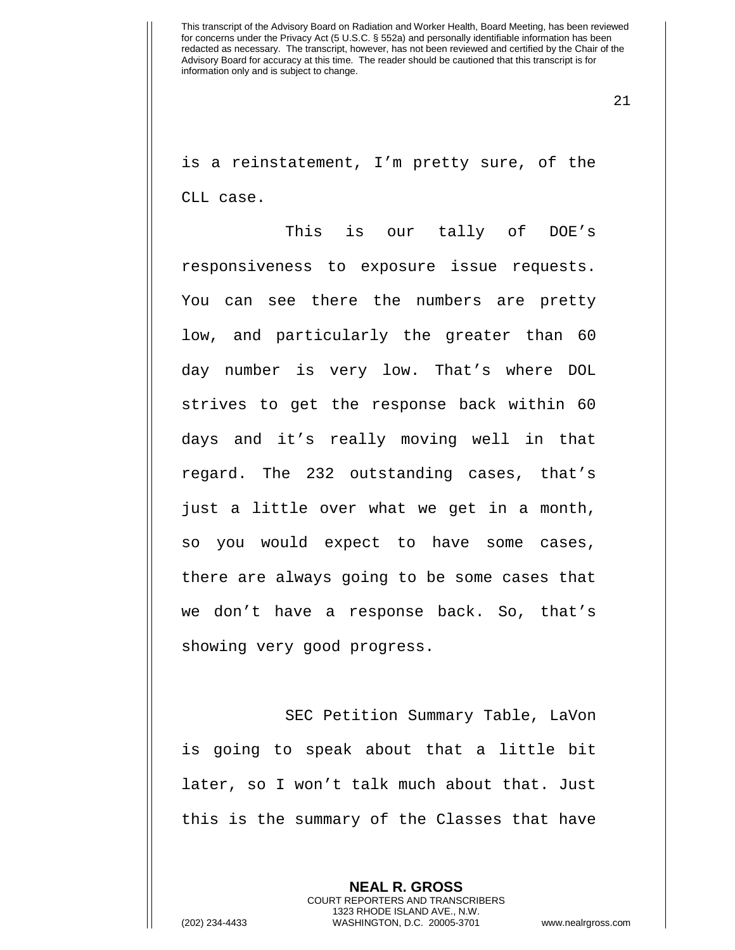21

is a reinstatement, I'm pretty sure, of the CLL case.

This is our tally of DOE's responsiveness to exposure issue requests. You can see there the numbers are pretty low, and particularly the greater than 60 day number is very low. That's where DOL strives to get the response back within 60 days and it's really moving well in that regard. The 232 outstanding cases, that's just a little over what we get in a month, so you would expect to have some cases, there are always going to be some cases that we don't have a response back. So, that's showing very good progress.

SEC Petition Summary Table, LaVon is going to speak about that a little bit later, so I won't talk much about that. Just this is the summary of the Classes that have

> **NEAL R. GROSS** COURT REPORTERS AND TRANSCRIBERS 1323 RHODE ISLAND AVE., N.W.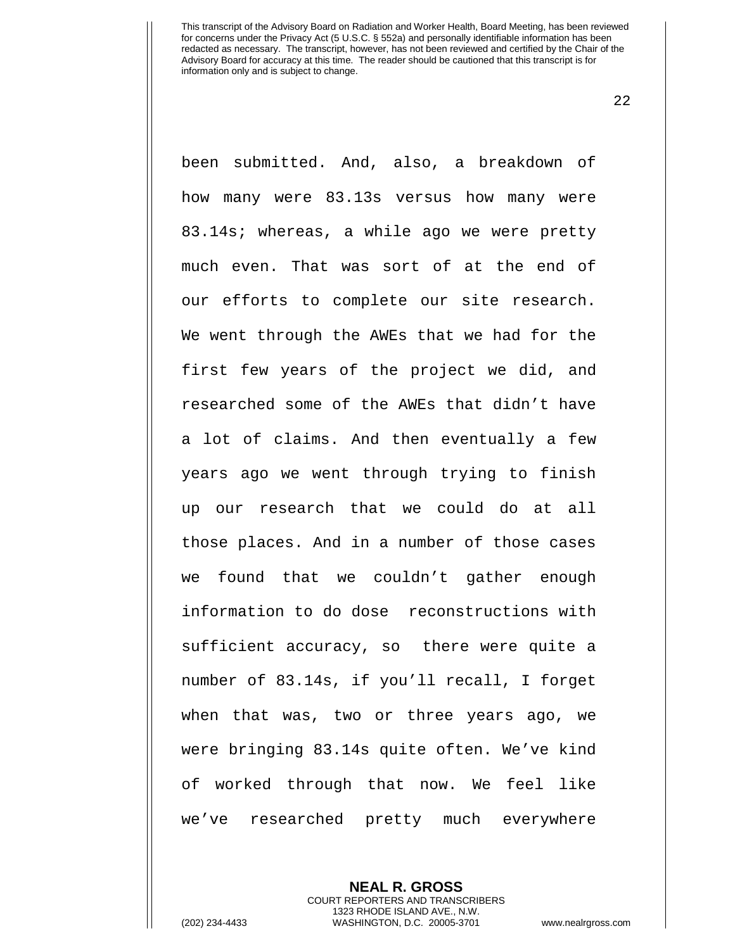22

been submitted. And, also, a breakdown of how many were 83.13s versus how many were 83.14s; whereas, a while ago we were pretty much even. That was sort of at the end of our efforts to complete our site research. We went through the AWEs that we had for the first few years of the project we did, and researched some of the AWEs that didn't have a lot of claims. And then eventually a few years ago we went through trying to finish up our research that we could do at all those places. And in a number of those cases we found that we couldn't gather enough information to do dose reconstructions with sufficient accuracy, so there were quite a number of 83.14s, if you'll recall, I forget when that was, two or three years ago, we were bringing 83.14s quite often. We've kind of worked through that now. We feel like we've researched pretty much everywhere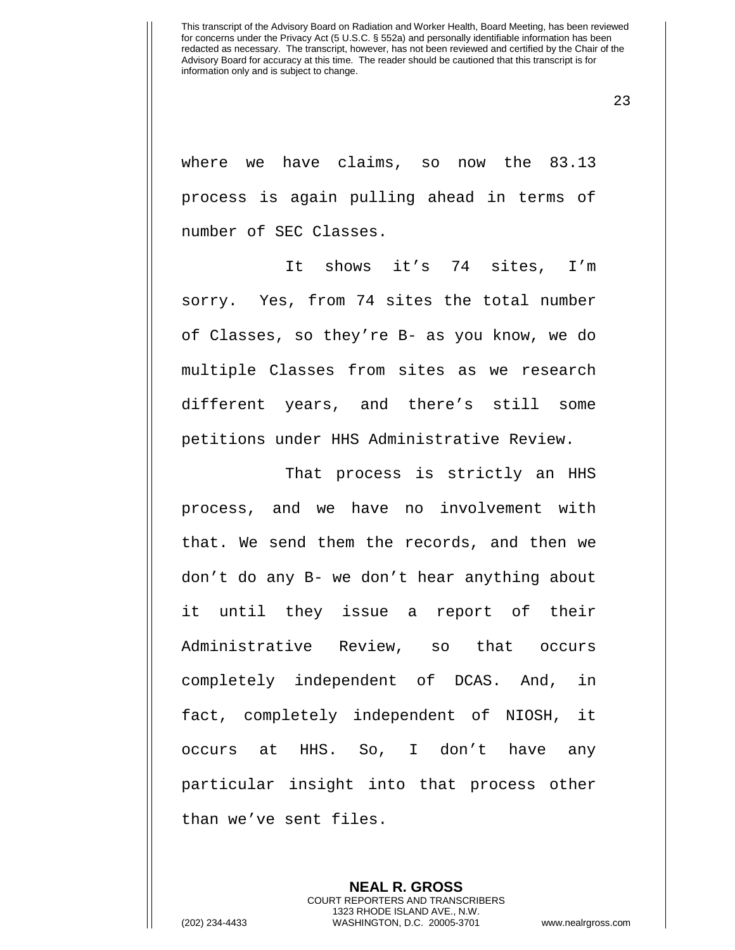23

where we have claims, so now the 83.13 process is again pulling ahead in terms of number of SEC Classes.

It shows it's 74 sites, I'm sorry. Yes, from 74 sites the total number of Classes, so they're B- as you know, we do multiple Classes from sites as we research different years, and there's still some petitions under HHS Administrative Review.

That process is strictly an HHS process, and we have no involvement with that. We send them the records, and then we don't do any B- we don't hear anything about it until they issue a report of their Administrative Review, so that occurs completely independent of DCAS. And, in fact, completely independent of NIOSH, it occurs at HHS. So, I don't have any particular insight into that process other than we've sent files.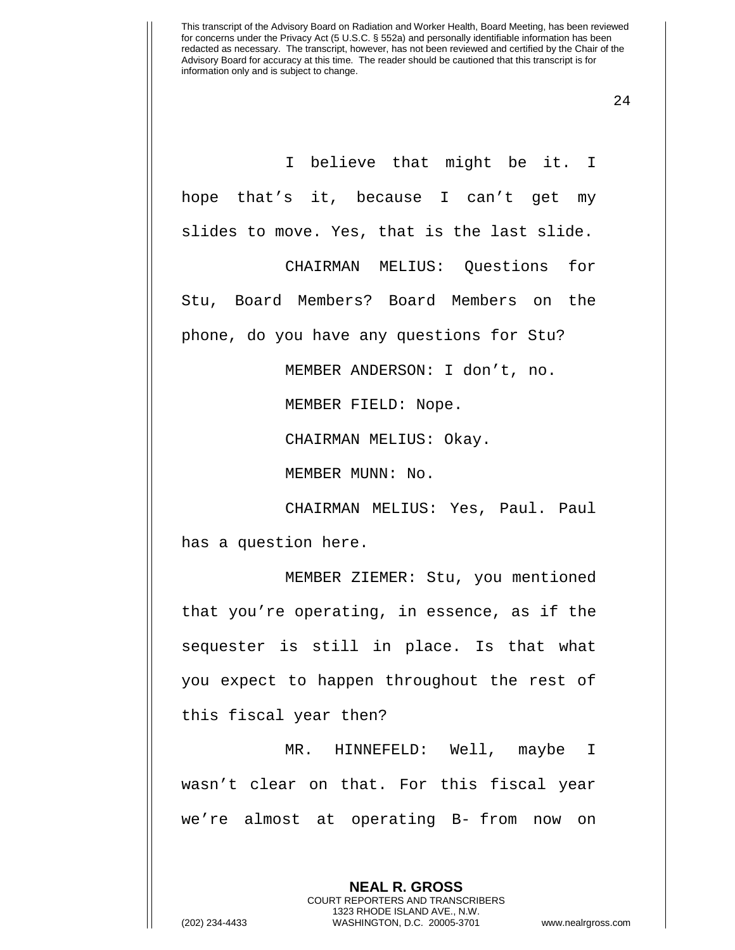24

I believe that might be it. I hope that's it, because I can't get my slides to move. Yes, that is the last slide.

CHAIRMAN MELIUS: Questions for Stu, Board Members? Board Members on the phone, do you have any questions for Stu?

MEMBER ANDERSON: I don't, no.

MEMBER FIELD: Nope.

CHAIRMAN MELIUS: Okay.

MEMBER MUNN: No.

CHAIRMAN MELIUS: Yes, Paul. Paul has a question here.

MEMBER ZIEMER: Stu, you mentioned that you're operating, in essence, as if the sequester is still in place. Is that what you expect to happen throughout the rest of this fiscal year then?

MR. HINNEFELD: Well, maybe I wasn't clear on that. For this fiscal year we're almost at operating B- from now on

> **NEAL R. GROSS** COURT REPORTERS AND TRANSCRIBERS 1323 RHODE ISLAND AVE., N.W.

(202) 234-4433 WASHINGTON, D.C. 20005-3701 www.nealrgross.com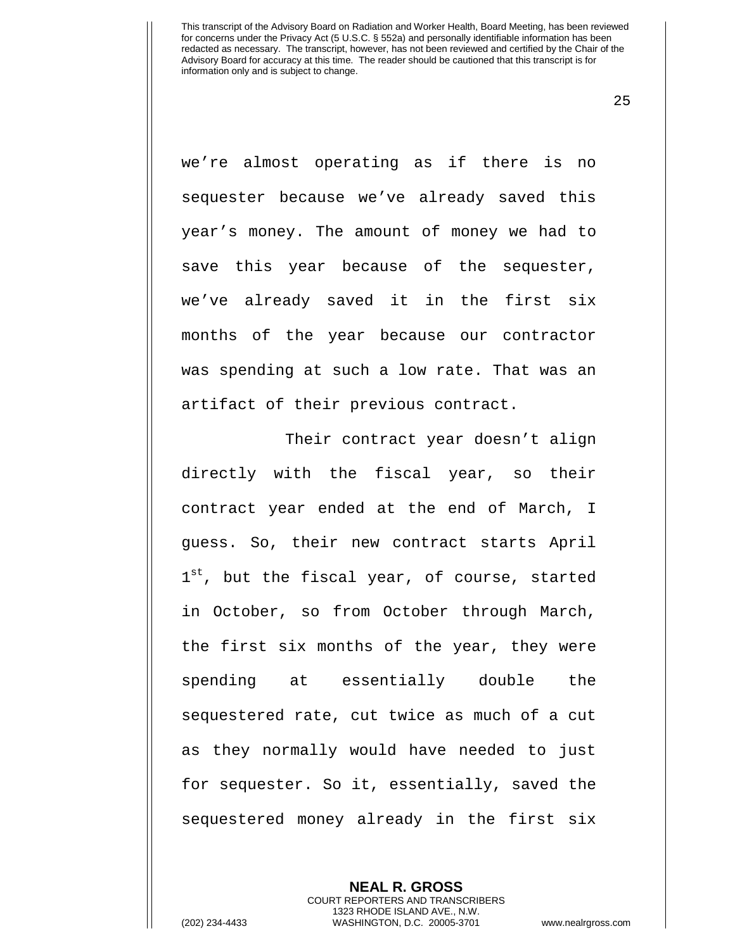25

we're almost operating as if there is no sequester because we've already saved this year's money. The amount of money we had to save this year because of the sequester, we've already saved it in the first six months of the year because our contractor was spending at such a low rate. That was an artifact of their previous contract.

Their contract year doesn't align directly with the fiscal year, so their contract year ended at the end of March, I guess. So, their new contract starts April 1<sup>st</sup>, but the fiscal year, of course, started in October, so from October through March, the first six months of the year, they were spending at essentially double the sequestered rate, cut twice as much of a cut as they normally would have needed to just for sequester. So it, essentially, saved the sequestered money already in the first six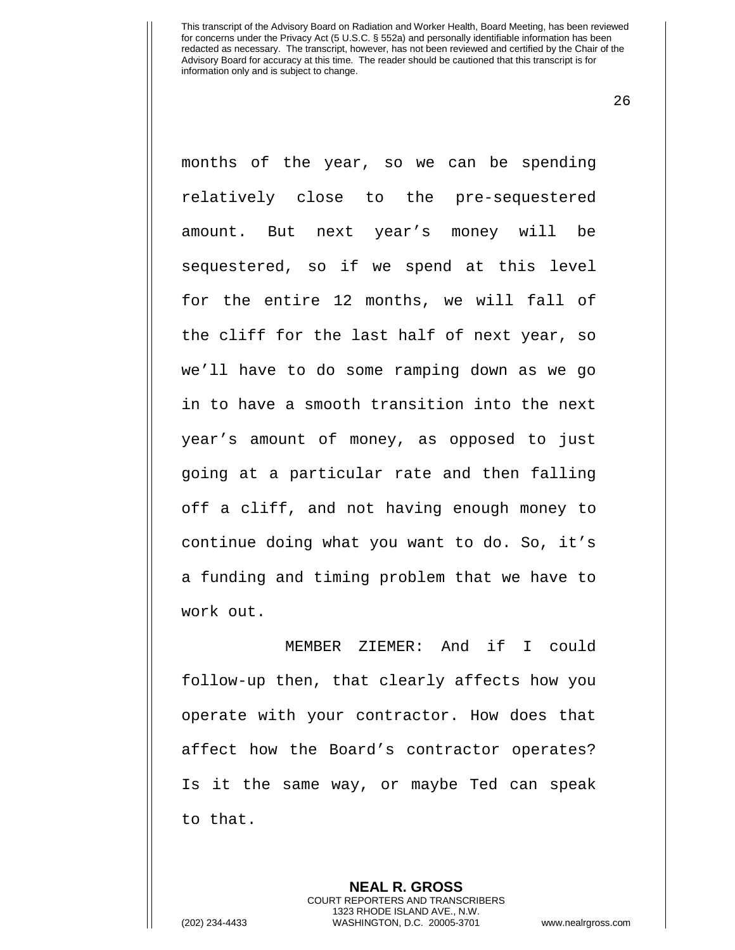26

months of the year, so we can be spending relatively close to the pre-sequestered amount. But next year's money will be sequestered, so if we spend at this level for the entire 12 months, we will fall of the cliff for the last half of next year, so we'll have to do some ramping down as we go in to have a smooth transition into the next year's amount of money, as opposed to just going at a particular rate and then falling off a cliff, and not having enough money to continue doing what you want to do. So, it's a funding and timing problem that we have to work out.

MEMBER ZIEMER: And if I could follow-up then, that clearly affects how you operate with your contractor. How does that affect how the Board's contractor operates? Is it the same way, or maybe Ted can speak to that.

> **NEAL R. GROSS** COURT REPORTERS AND TRANSCRIBERS 1323 RHODE ISLAND AVE., N.W.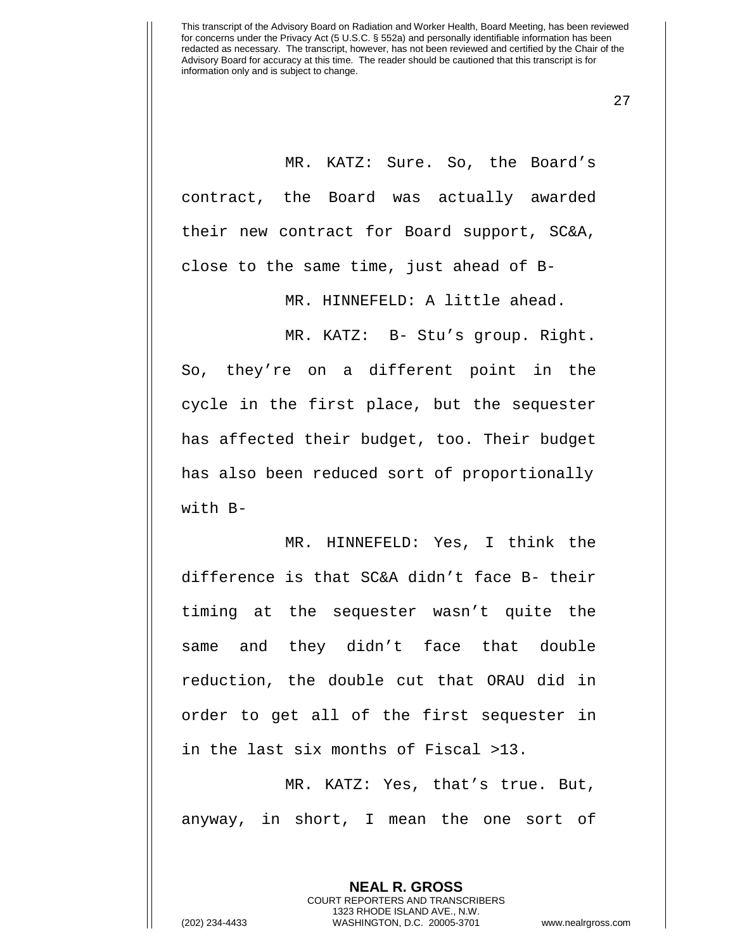27

MR. KATZ: Sure. So, the Board's contract, the Board was actually awarded their new contract for Board support, SC&A, close to the same time, just ahead of B-

MR. HINNEFELD: A little ahead.

MR. KATZ: B- Stu's group. Right. So, they're on a different point in the cycle in the first place, but the sequester has affected their budget, too. Their budget has also been reduced sort of proportionally with B-

MR. HINNEFELD: Yes, I think the difference is that SC&A didn't face B- their timing at the sequester wasn't quite the same and they didn't face that double reduction, the double cut that ORAU did in order to get all of the first sequester in in the last six months of Fiscal >13.

MR. KATZ: Yes, that's true. But, anyway, in short, I mean the one sort of

> **NEAL R. GROSS** COURT REPORTERS AND TRANSCRIBERS 1323 RHODE ISLAND AVE., N.W.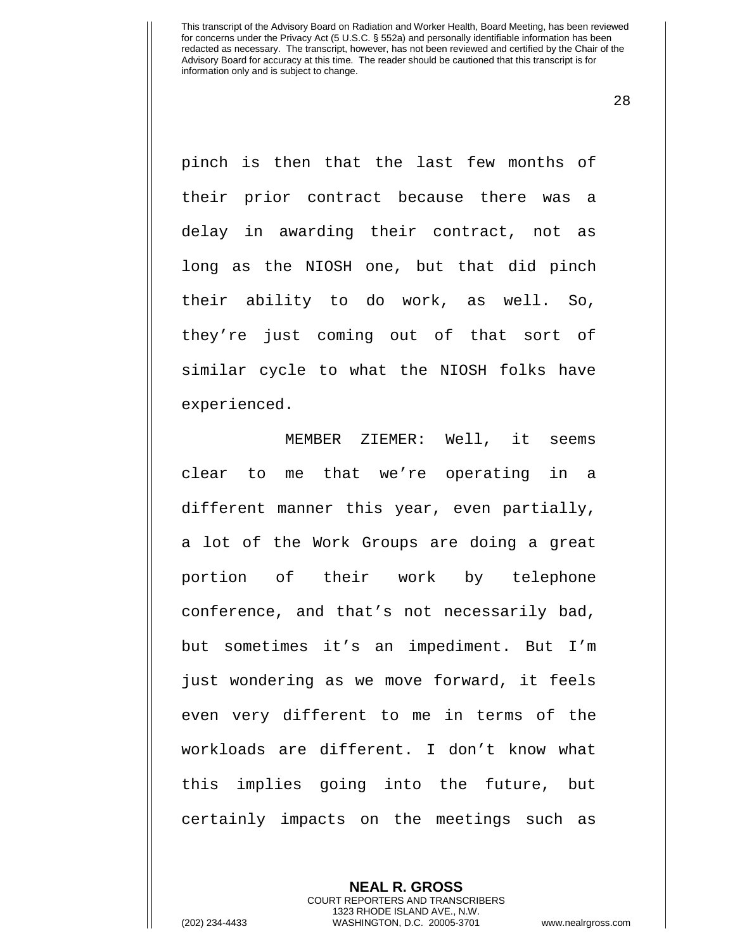28

pinch is then that the last few months of their prior contract because there was a delay in awarding their contract, not as long as the NIOSH one, but that did pinch their ability to do work, as well. So, they're just coming out of that sort of similar cycle to what the NIOSH folks have experienced.

MEMBER ZIEMER: Well, it seems clear to me that we're operating in a different manner this year, even partially, a lot of the Work Groups are doing a great portion of their work by telephone conference, and that's not necessarily bad, but sometimes it's an impediment. But I'm just wondering as we move forward, it feels even very different to me in terms of the workloads are different. I don't know what this implies going into the future, but certainly impacts on the meetings such as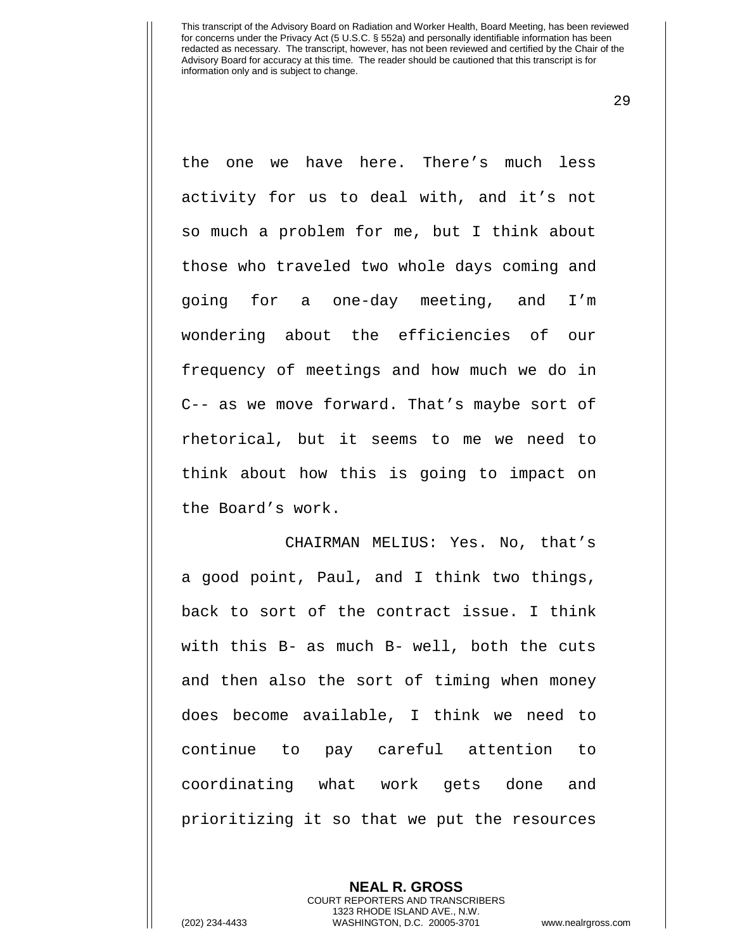29

the one we have here. There's much less activity for us to deal with, and it's not so much a problem for me, but I think about those who traveled two whole days coming and going for a one-day meeting, and I'm wondering about the efficiencies of our frequency of meetings and how much we do in C-- as we move forward. That's maybe sort of rhetorical, but it seems to me we need to think about how this is going to impact on the Board's work.

CHAIRMAN MELIUS: Yes. No, that's a good point, Paul, and I think two things, back to sort of the contract issue. I think with this B- as much B- well, both the cuts and then also the sort of timing when money does become available, I think we need to continue to pay careful attention to coordinating what work gets done and prioritizing it so that we put the resources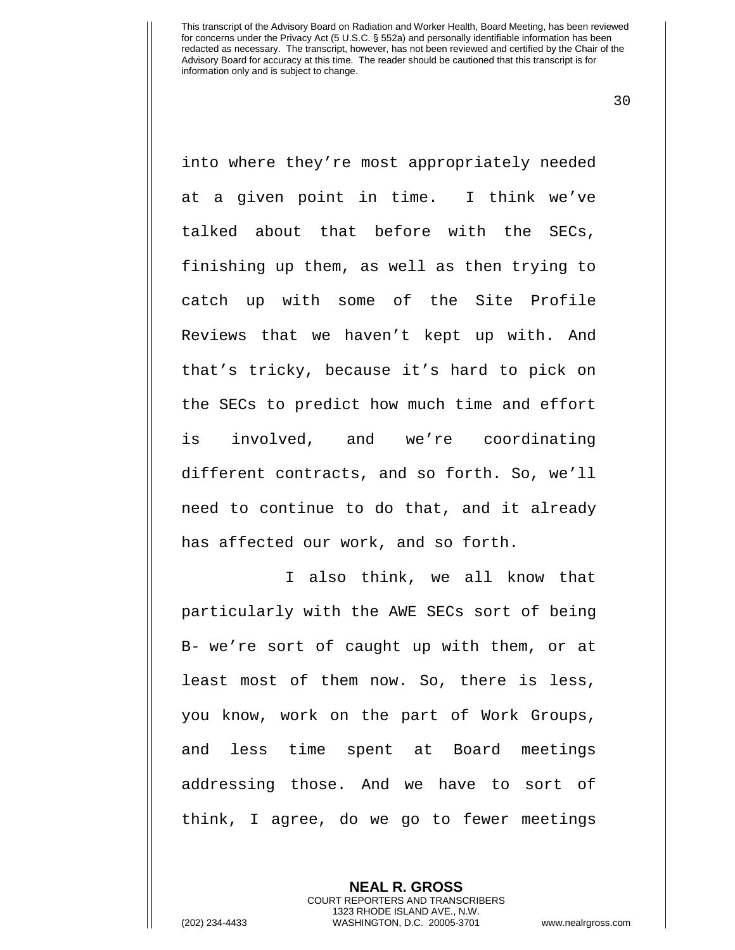30

into where they're most appropriately needed at a given point in time. I think we've talked about that before with the SECs, finishing up them, as well as then trying to catch up with some of the Site Profile Reviews that we haven't kept up with. And that's tricky, because it's hard to pick on the SECs to predict how much time and effort is involved, and we're coordinating different contracts, and so forth. So, we'll need to continue to do that, and it already has affected our work, and so forth.

I also think, we all know that particularly with the AWE SECs sort of being B- we're sort of caught up with them, or at least most of them now. So, there is less, you know, work on the part of Work Groups, and less time spent at Board meetings addressing those. And we have to sort of think, I agree, do we go to fewer meetings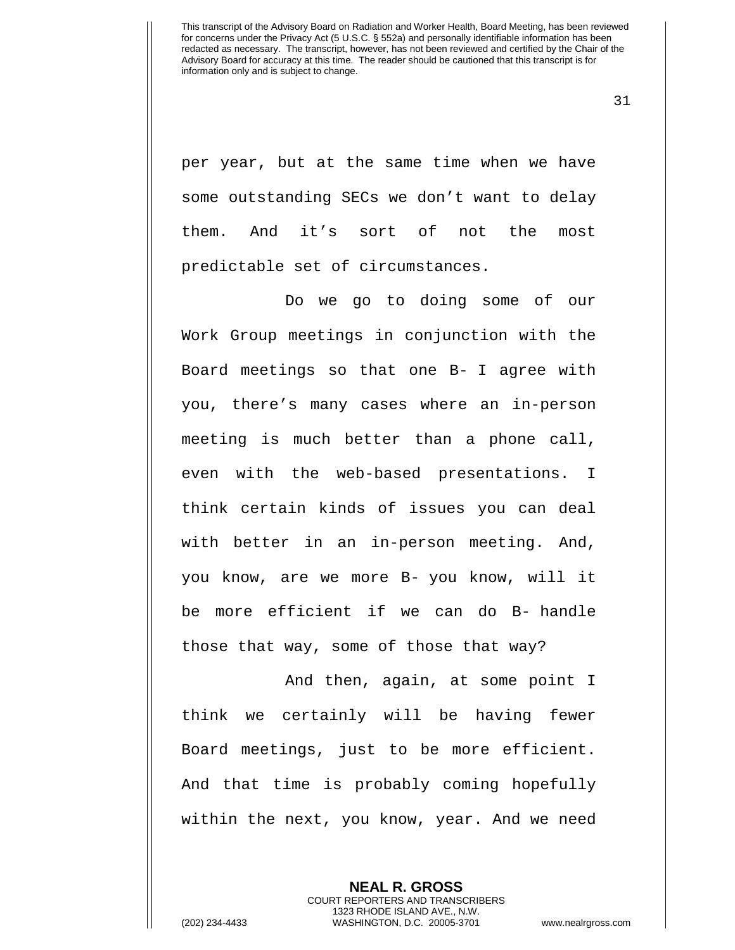31

per year, but at the same time when we have some outstanding SECs we don't want to delay them. And it's sort of not the most predictable set of circumstances.

Do we go to doing some of our Work Group meetings in conjunction with the Board meetings so that one B- I agree with you, there's many cases where an in-person meeting is much better than a phone call, even with the web-based presentations. I think certain kinds of issues you can deal with better in an in-person meeting. And, you know, are we more B- you know, will it be more efficient if we can do B- handle those that way, some of those that way?

And then, again, at some point I think we certainly will be having fewer Board meetings, just to be more efficient. And that time is probably coming hopefully within the next, you know, year. And we need

> **NEAL R. GROSS** COURT REPORTERS AND TRANSCRIBERS 1323 RHODE ISLAND AVE., N.W.

(202) 234-4433 WASHINGTON, D.C. 20005-3701 www.nealrgross.com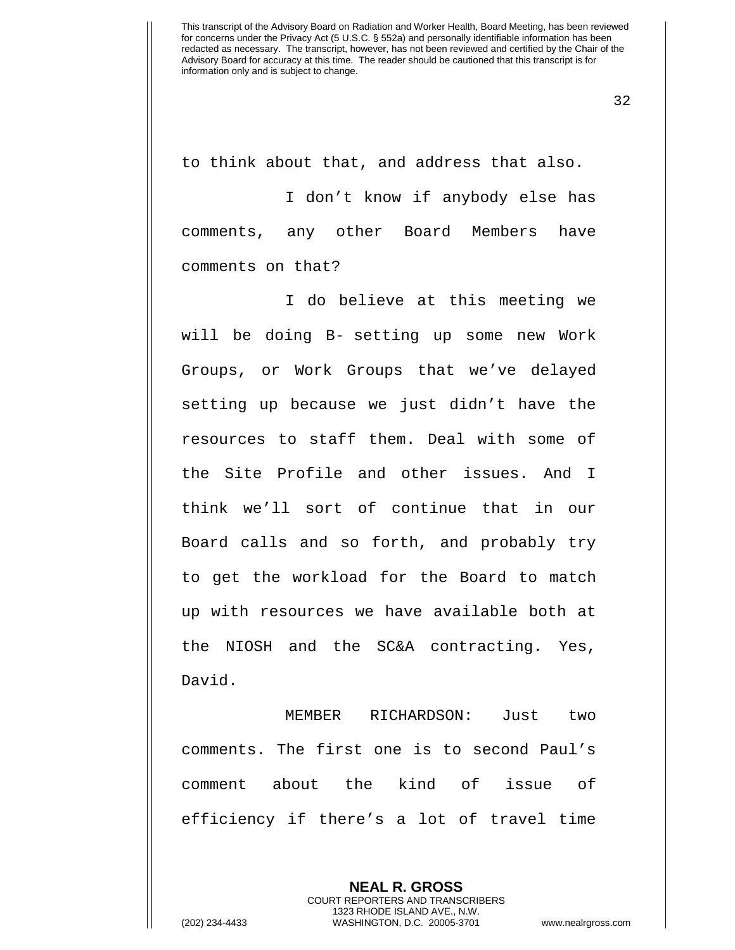32

to think about that, and address that also.

I don't know if anybody else has comments, any other Board Members have comments on that?

I do believe at this meeting we will be doing B- setting up some new Work Groups, or Work Groups that we've delayed setting up because we just didn't have the resources to staff them. Deal with some of the Site Profile and other issues. And I think we'll sort of continue that in our Board calls and so forth, and probably try to get the workload for the Board to match up with resources we have available both at the NIOSH and the SC&A contracting. Yes, David.

MEMBER RICHARDSON: Just two comments. The first one is to second Paul's comment about the kind of issue of efficiency if there's a lot of travel time

> **NEAL R. GROSS** COURT REPORTERS AND TRANSCRIBERS 1323 RHODE ISLAND AVE., N.W.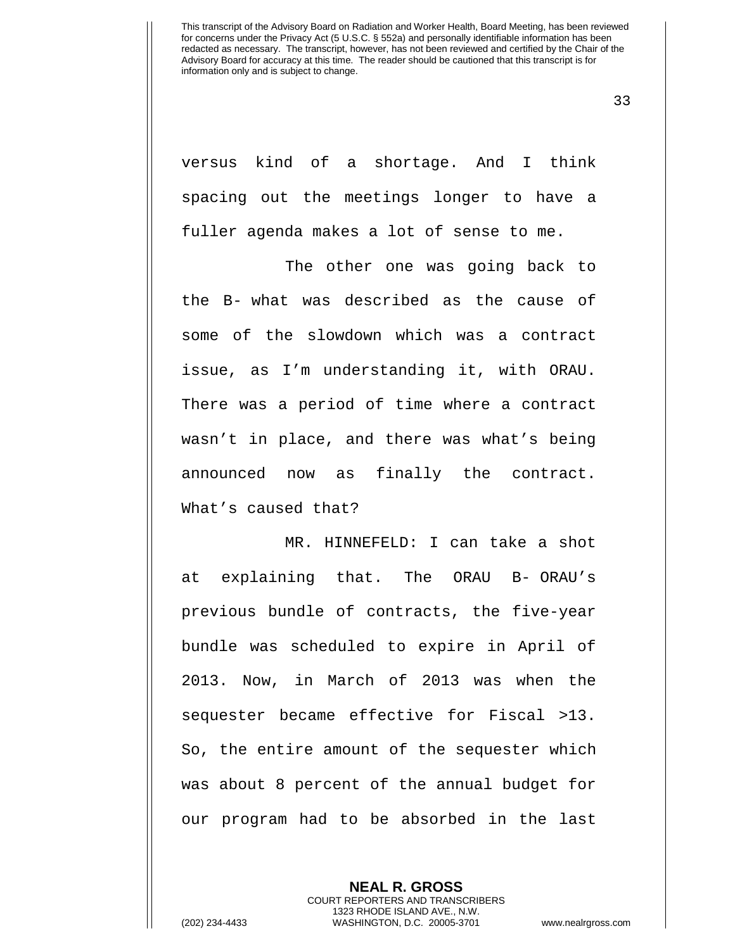33

versus kind of a shortage. And I think spacing out the meetings longer to have a fuller agenda makes a lot of sense to me.

The other one was going back to the B- what was described as the cause of some of the slowdown which was a contract issue, as I'm understanding it, with ORAU. There was a period of time where a contract wasn't in place, and there was what's being announced now as finally the contract. What's caused that?

MR. HINNEFELD: I can take a shot at explaining that. The ORAU B- ORAU's previous bundle of contracts, the five-year bundle was scheduled to expire in April of 2013. Now, in March of 2013 was when the sequester became effective for Fiscal >13. So, the entire amount of the sequester which was about 8 percent of the annual budget for our program had to be absorbed in the last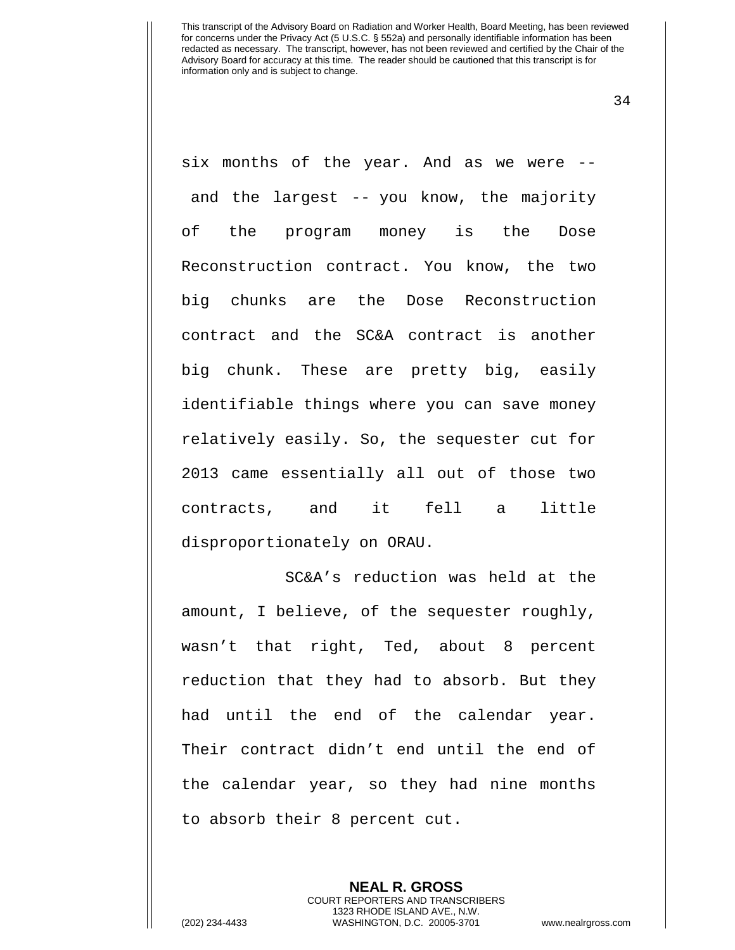34

six months of the year. And as we were - and the largest -- you know, the majority of the program money is the Dose Reconstruction contract. You know, the two big chunks are the Dose Reconstruction contract and the SC&A contract is another big chunk. These are pretty big, easily identifiable things where you can save money relatively easily. So, the sequester cut for 2013 came essentially all out of those two contracts, and it fell a little disproportionately on ORAU.

SC&A's reduction was held at the amount, I believe, of the sequester roughly, wasn't that right, Ted, about 8 percent reduction that they had to absorb. But they had until the end of the calendar year. Their contract didn't end until the end of the calendar year, so they had nine months to absorb their 8 percent cut.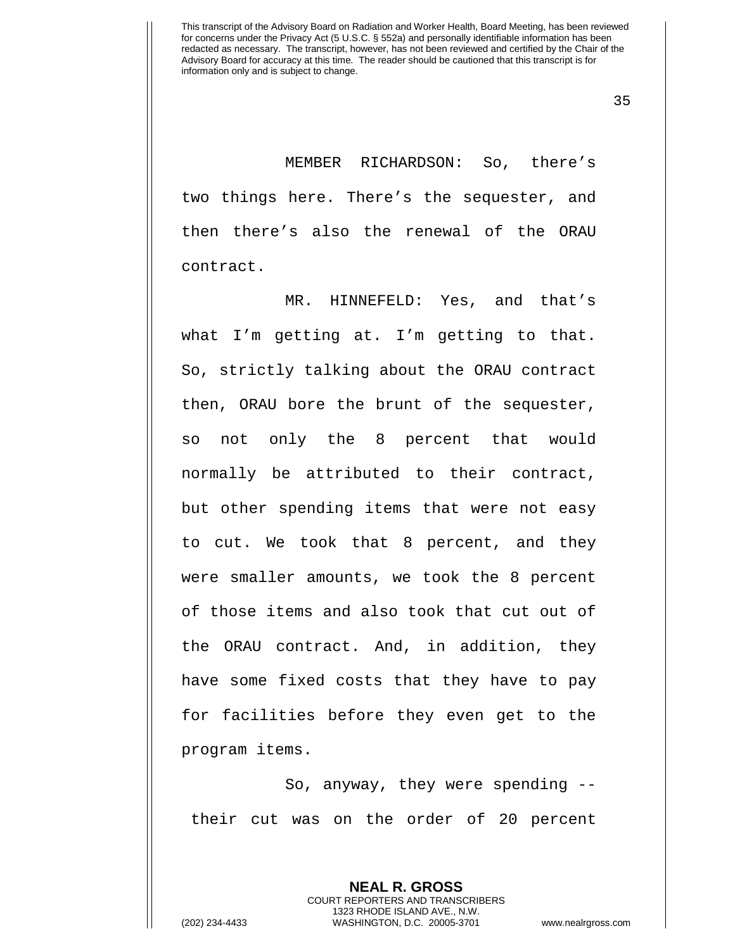35

MEMBER RICHARDSON: So, there's two things here. There's the sequester, and then there's also the renewal of the ORAU contract.

MR. HINNEFELD: Yes, and that's what I'm getting at. I'm getting to that. So, strictly talking about the ORAU contract then, ORAU bore the brunt of the sequester, so not only the 8 percent that would normally be attributed to their contract, but other spending items that were not easy to cut. We took that 8 percent, and they were smaller amounts, we took the 8 percent of those items and also took that cut out of the ORAU contract. And, in addition, they have some fixed costs that they have to pay for facilities before they even get to the program items.

So, anyway, they were spending - their cut was on the order of 20 percent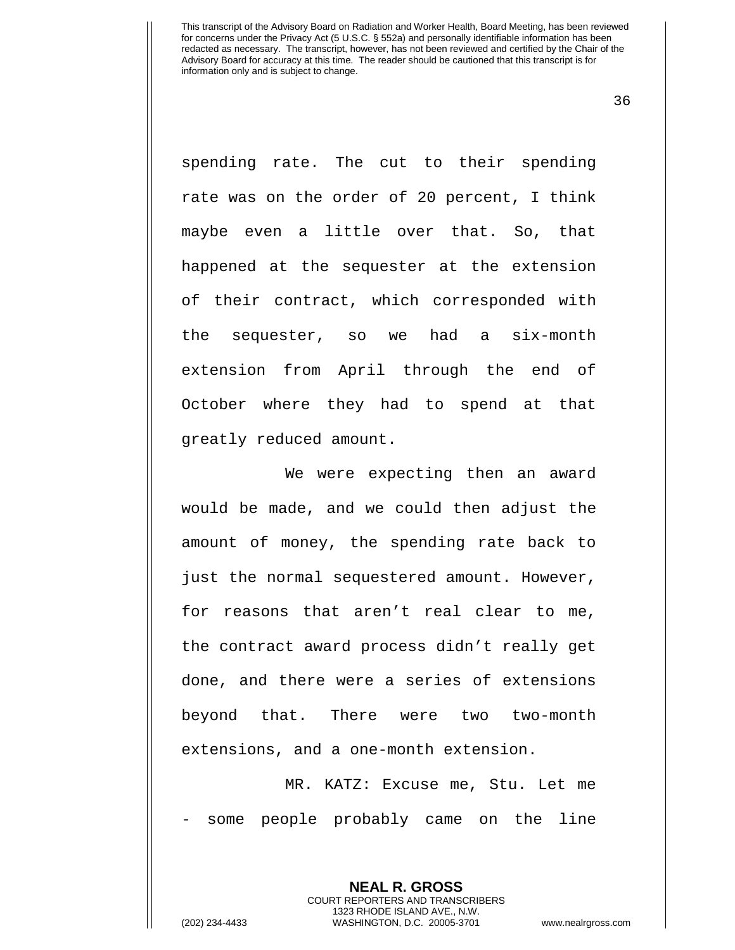36

spending rate. The cut to their spending rate was on the order of 20 percent, I think maybe even a little over that. So, that happened at the sequester at the extension of their contract, which corresponded with the sequester, so we had a six-month extension from April through the end of October where they had to spend at that greatly reduced amount.

We were expecting then an award would be made, and we could then adjust the amount of money, the spending rate back to just the normal sequestered amount. However, for reasons that aren't real clear to me, the contract award process didn't really get done, and there were a series of extensions beyond that. There were two two-month extensions, and a one-month extension.

MR. KATZ: Excuse me, Stu. Let me some people probably came on the line

> **NEAL R. GROSS** COURT REPORTERS AND TRANSCRIBERS 1323 RHODE ISLAND AVE., N.W.

(202) 234-4433 WASHINGTON, D.C. 20005-3701 www.nealrgross.com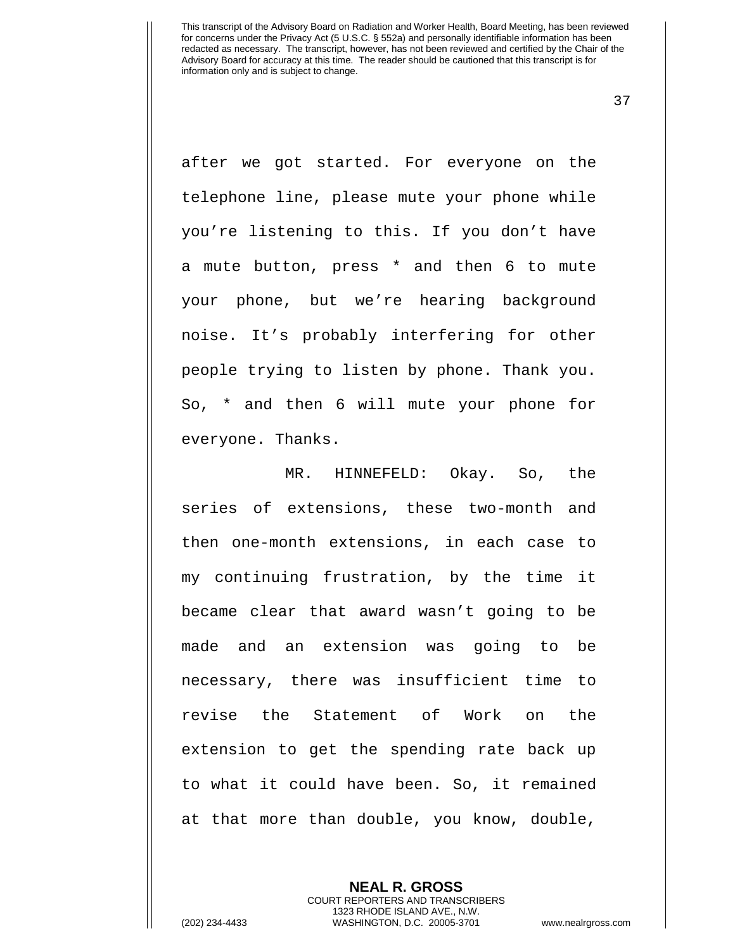37

after we got started. For everyone on the telephone line, please mute your phone while you're listening to this. If you don't have a mute button, press \* and then 6 to mute your phone, but we're hearing background noise. It's probably interfering for other people trying to listen by phone. Thank you. So, \* and then 6 will mute your phone for everyone. Thanks.

MR. HINNEFELD: Okay. So, the series of extensions, these two-month and then one-month extensions, in each case to my continuing frustration, by the time it became clear that award wasn't going to be made and an extension was going to be necessary, there was insufficient time to revise the Statement of Work on the extension to get the spending rate back up to what it could have been. So, it remained at that more than double, you know, double,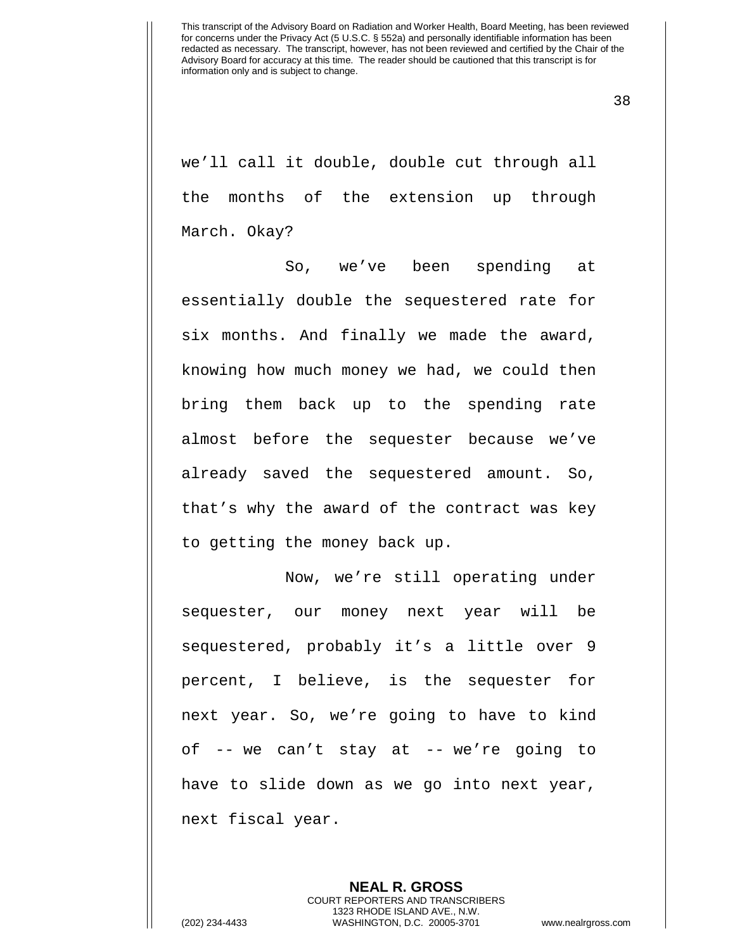38

we'll call it double, double cut through all the months of the extension up through March. Okay?

So, we've been spending at essentially double the sequestered rate for six months. And finally we made the award, knowing how much money we had, we could then bring them back up to the spending rate almost before the sequester because we've already saved the sequestered amount. So, that's why the award of the contract was key to getting the money back up.

Now, we're still operating under sequester, our money next year will be sequestered, probably it's a little over 9 percent, I believe, is the sequester for next year. So, we're going to have to kind of -- we can't stay at -- we're going to have to slide down as we go into next year, next fiscal year.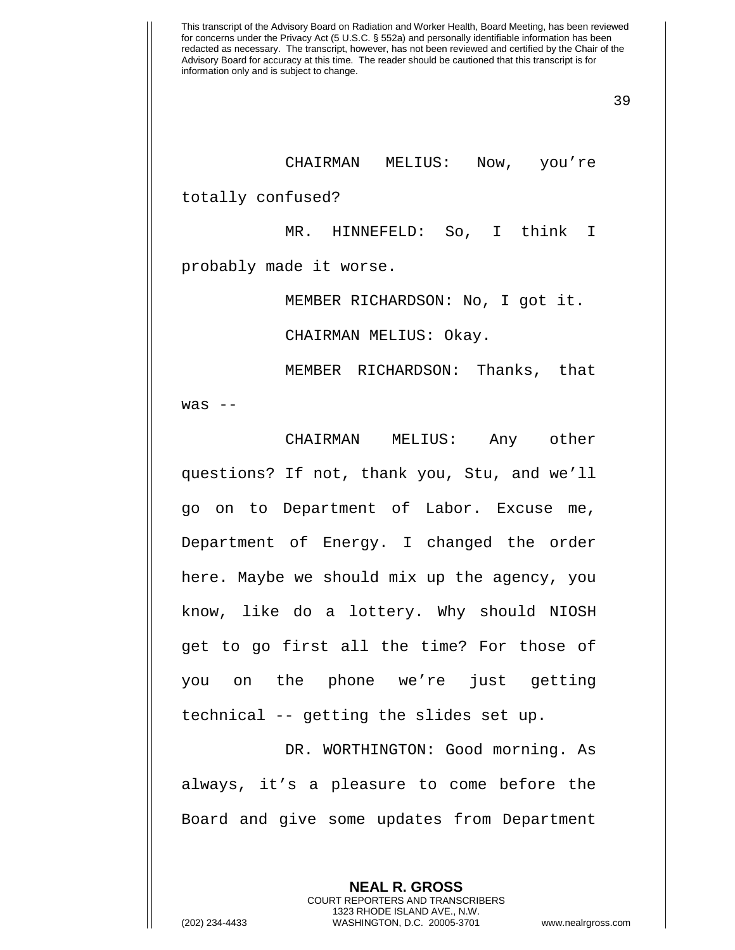39

CHAIRMAN MELIUS: Now, you're

totally confused?

MR. HINNEFELD: So, I think I probably made it worse.

MEMBER RICHARDSON: No, I got it.

CHAIRMAN MELIUS: Okay.

MEMBER RICHARDSON: Thanks, that  $was$   $-$ 

CHAIRMAN MELIUS: Any other questions? If not, thank you, Stu, and we'll go on to Department of Labor. Excuse me, Department of Energy. I changed the order here. Maybe we should mix up the agency, you know, like do a lottery. Why should NIOSH get to go first all the time? For those of you on the phone we're just getting technical -- getting the slides set up.

DR. WORTHINGTON: Good morning. As always, it's a pleasure to come before the Board and give some updates from Department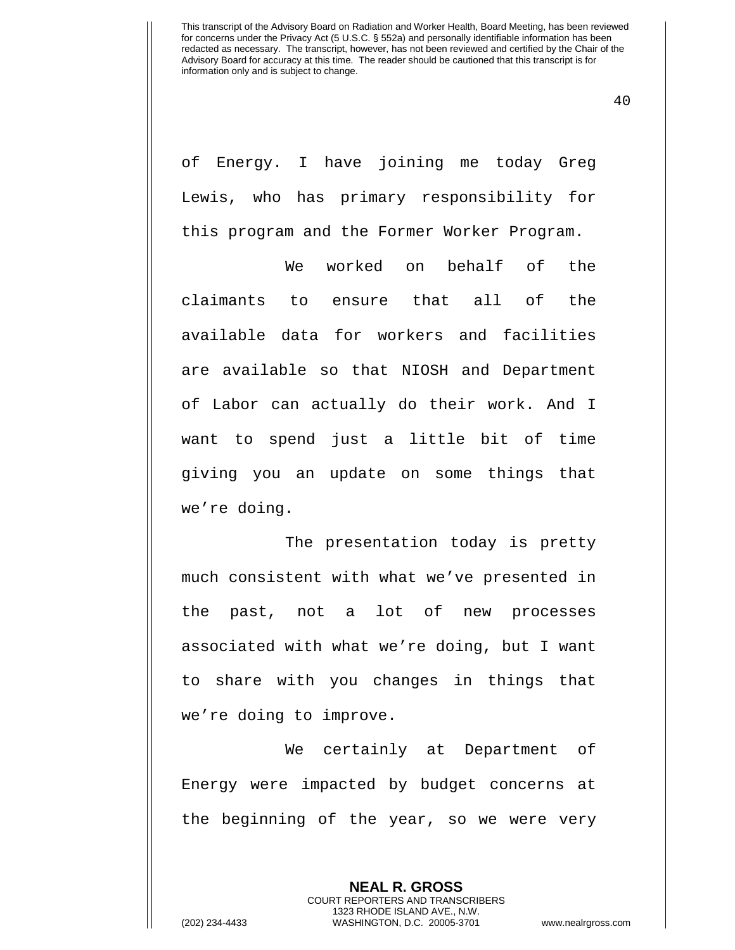40

of Energy. I have joining me today Greg Lewis, who has primary responsibility for this program and the Former Worker Program.

We worked on behalf of the claimants to ensure that all of the available data for workers and facilities are available so that NIOSH and Department of Labor can actually do their work. And I want to spend just a little bit of time giving you an update on some things that we're doing.

The presentation today is pretty much consistent with what we've presented in the past, not a lot of new processes associated with what we're doing, but I want to share with you changes in things that we're doing to improve.

We certainly at Department of Energy were impacted by budget concerns at the beginning of the year, so we were very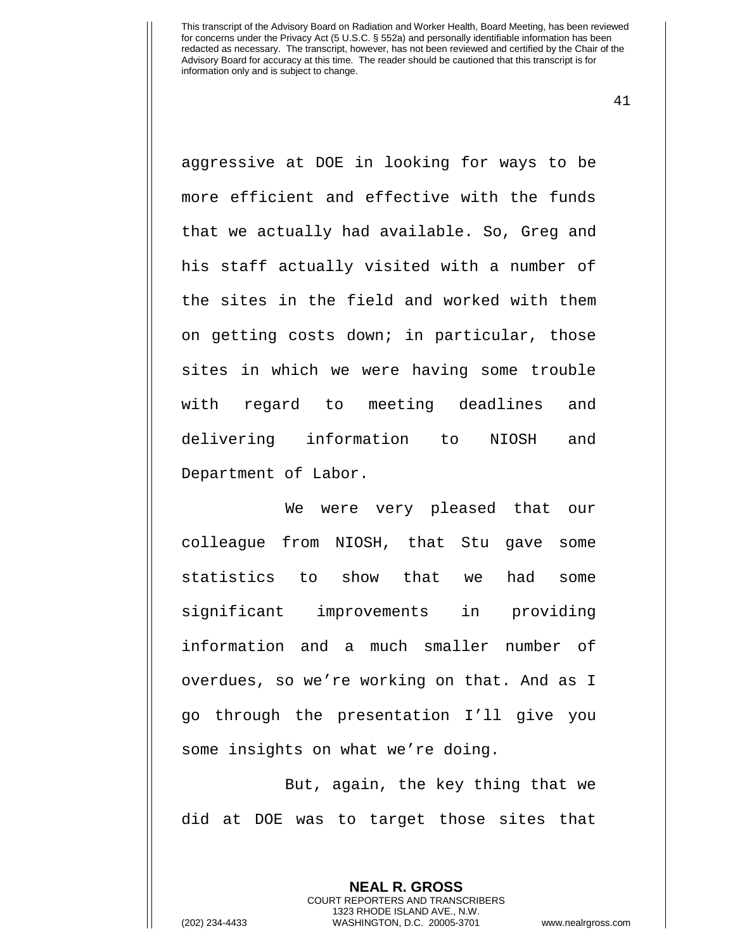41

aggressive at DOE in looking for ways to be more efficient and effective with the funds that we actually had available. So, Greg and his staff actually visited with a number of the sites in the field and worked with them on getting costs down; in particular, those sites in which we were having some trouble with regard to meeting deadlines and delivering information to NIOSH and Department of Labor.

We were very pleased that our colleague from NIOSH, that Stu gave some statistics to show that we had some significant improvements in providing information and a much smaller number of overdues, so we're working on that. And as I go through the presentation I'll give you some insights on what we're doing.

But, again, the key thing that we did at DOE was to target those sites that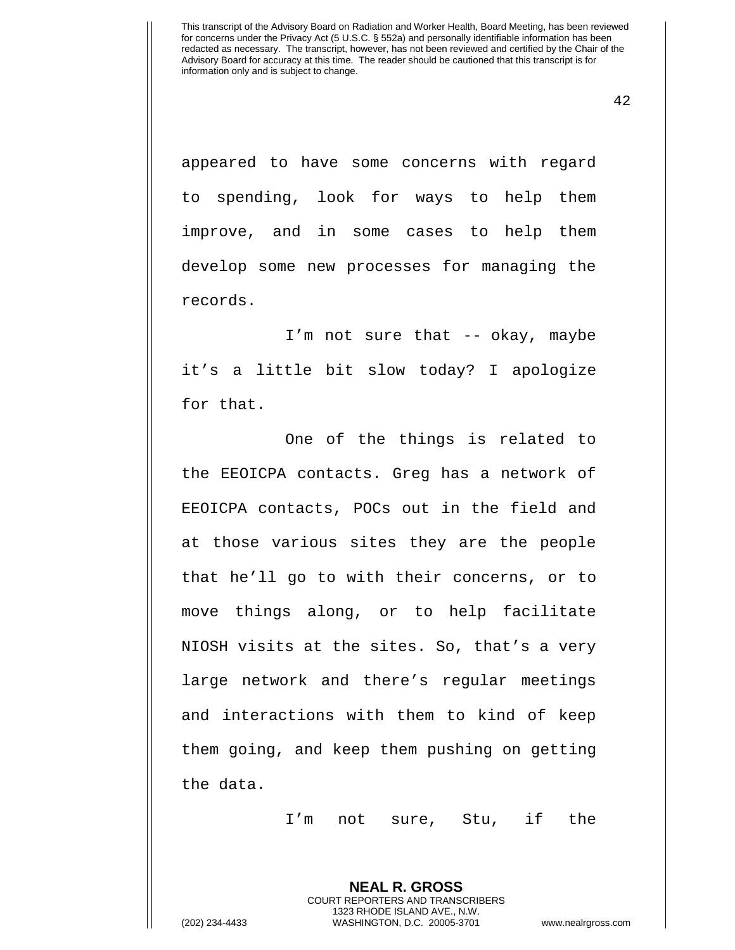42

appeared to have some concerns with regard to spending, look for ways to help them improve, and in some cases to help them develop some new processes for managing the records.

I'm not sure that -- okay, maybe it's a little bit slow today? I apologize for that.

One of the things is related to the EEOICPA contacts. Greg has a network of EEOICPA contacts, POCs out in the field and at those various sites they are the people that he'll go to with their concerns, or to move things along, or to help facilitate NIOSH visits at the sites. So, that's a very large network and there's regular meetings and interactions with them to kind of keep them going, and keep them pushing on getting the data.

I'm not sure, Stu, if the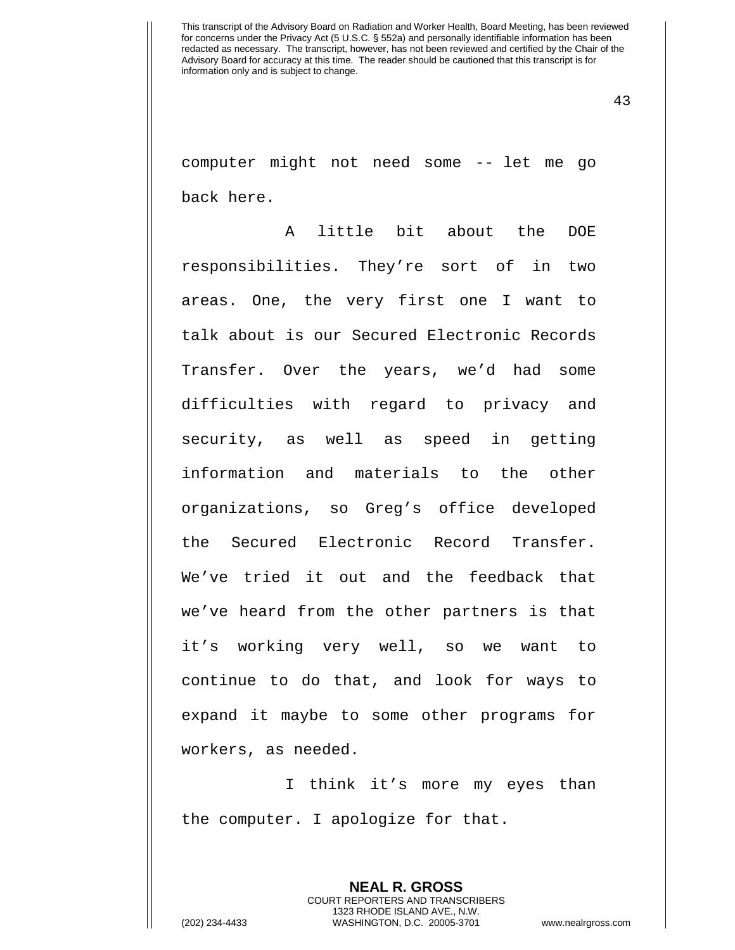43

computer might not need some -- let me go back here.

A little bit about the DOE responsibilities. They're sort of in two areas. One, the very first one I want to talk about is our Secured Electronic Records Transfer. Over the years, we'd had some difficulties with regard to privacy and security, as well as speed in getting information and materials to the other organizations, so Greg's office developed the Secured Electronic Record Transfer. We've tried it out and the feedback that we've heard from the other partners is that it's working very well, so we want to continue to do that, and look for ways to expand it maybe to some other programs for workers, as needed.

I think it's more my eyes than the computer. I apologize for that.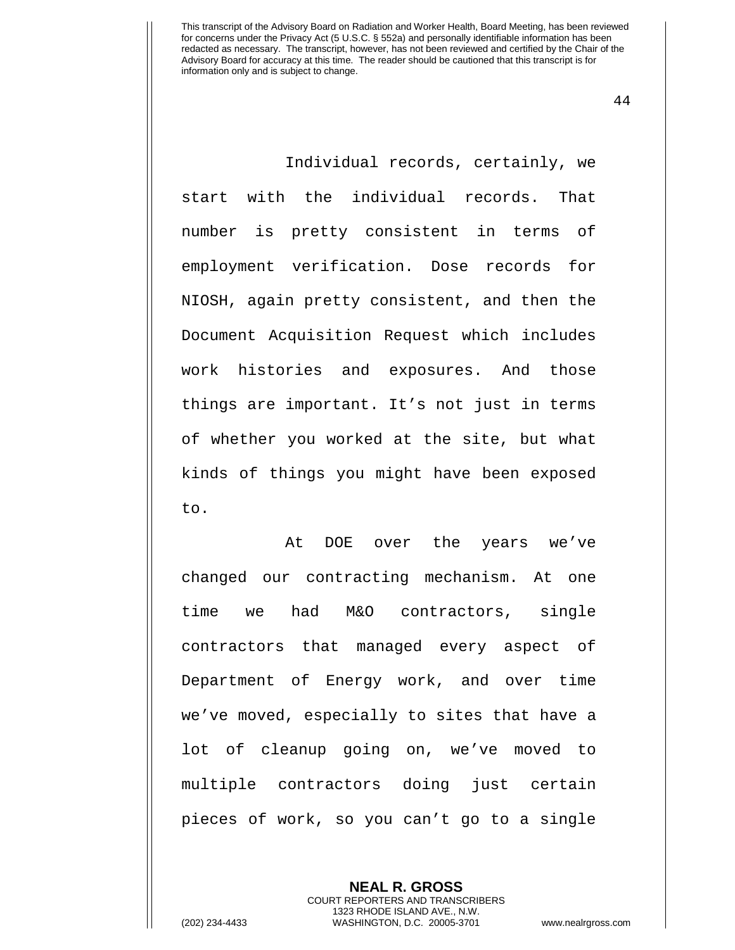44

Individual records, certainly, we start with the individual records. That number is pretty consistent in terms of employment verification. Dose records for NIOSH, again pretty consistent, and then the Document Acquisition Request which includes work histories and exposures. And those things are important. It's not just in terms of whether you worked at the site, but what kinds of things you might have been exposed to.

At DOE over the years we've changed our contracting mechanism. At one time we had M&O contractors, single contractors that managed every aspect of Department of Energy work, and over time we've moved, especially to sites that have a lot of cleanup going on, we've moved to multiple contractors doing just certain pieces of work, so you can't go to a single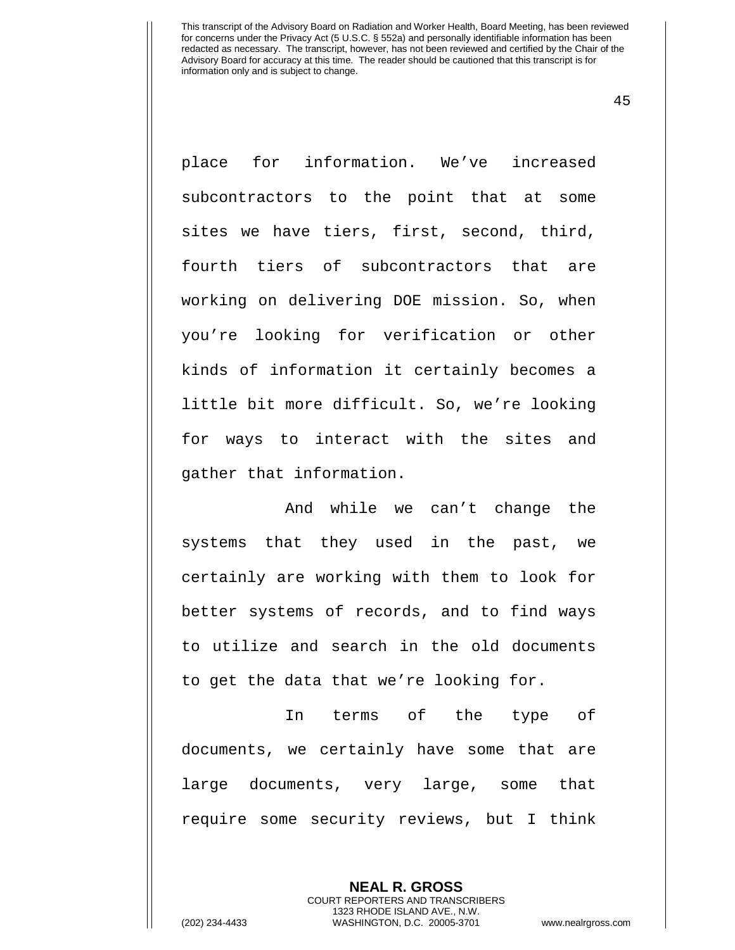45

place for information. We've increased subcontractors to the point that at some sites we have tiers, first, second, third, fourth tiers of subcontractors that are working on delivering DOE mission. So, when you're looking for verification or other kinds of information it certainly becomes a little bit more difficult. So, we're looking for ways to interact with the sites and gather that information.

And while we can't change the systems that they used in the past, we certainly are working with them to look for better systems of records, and to find ways to utilize and search in the old documents to get the data that we're looking for.

In terms of the type of documents, we certainly have some that are large documents, very large, some that require some security reviews, but I think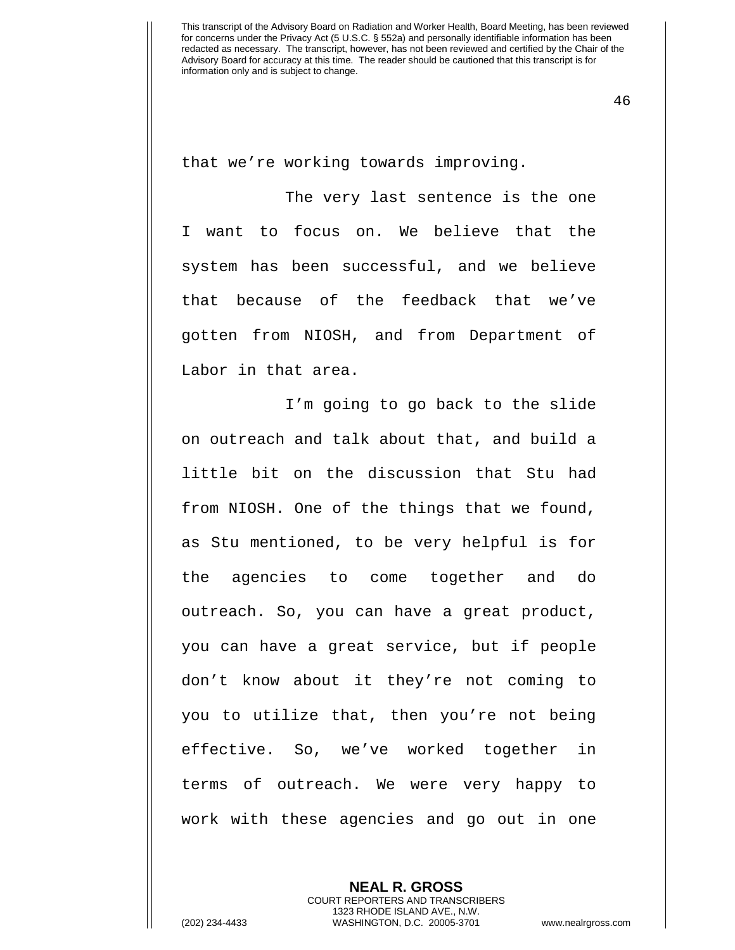46

that we're working towards improving.

The very last sentence is the one I want to focus on. We believe that the system has been successful, and we believe that because of the feedback that we've gotten from NIOSH, and from Department of Labor in that area.

I'm going to go back to the slide on outreach and talk about that, and build a little bit on the discussion that Stu had from NIOSH. One of the things that we found, as Stu mentioned, to be very helpful is for the agencies to come together and do outreach. So, you can have a great product, you can have a great service, but if people don't know about it they're not coming to you to utilize that, then you're not being effective. So, we've worked together in terms of outreach. We were very happy to work with these agencies and go out in one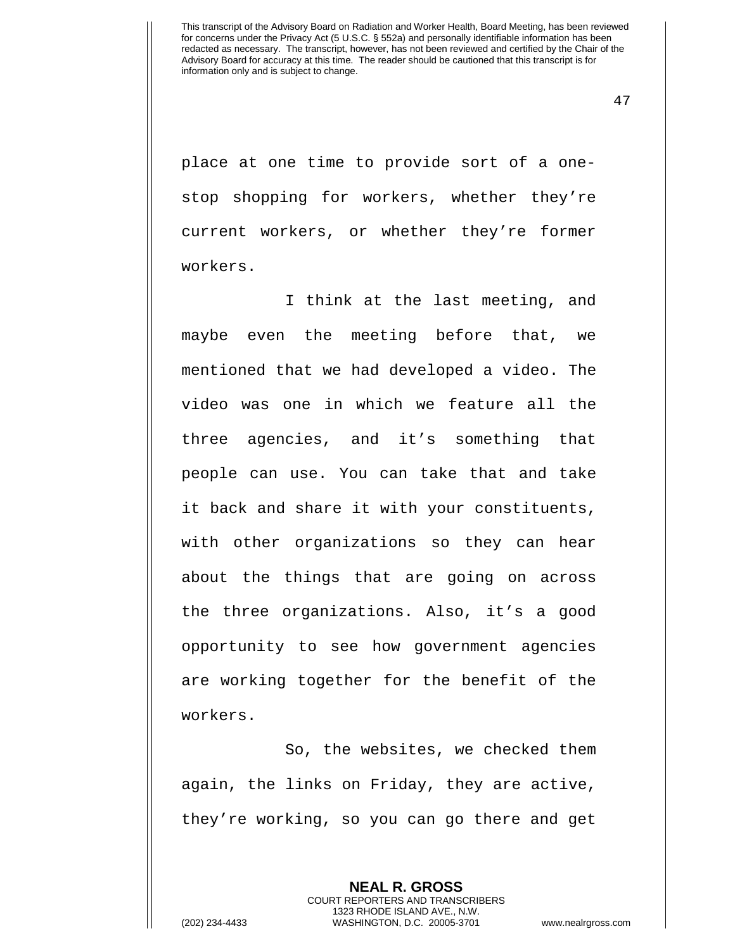47

place at one time to provide sort of a onestop shopping for workers, whether they're current workers, or whether they're former workers.

I think at the last meeting, and maybe even the meeting before that, we mentioned that we had developed a video. The video was one in which we feature all the three agencies, and it's something that people can use. You can take that and take it back and share it with your constituents, with other organizations so they can hear about the things that are going on across the three organizations. Also, it's a good opportunity to see how government agencies are working together for the benefit of the workers.

So, the websites, we checked them again, the links on Friday, they are active, they're working, so you can go there and get

> **NEAL R. GROSS** COURT REPORTERS AND TRANSCRIBERS 1323 RHODE ISLAND AVE., N.W.

(202) 234-4433 WASHINGTON, D.C. 20005-3701 www.nealrgross.com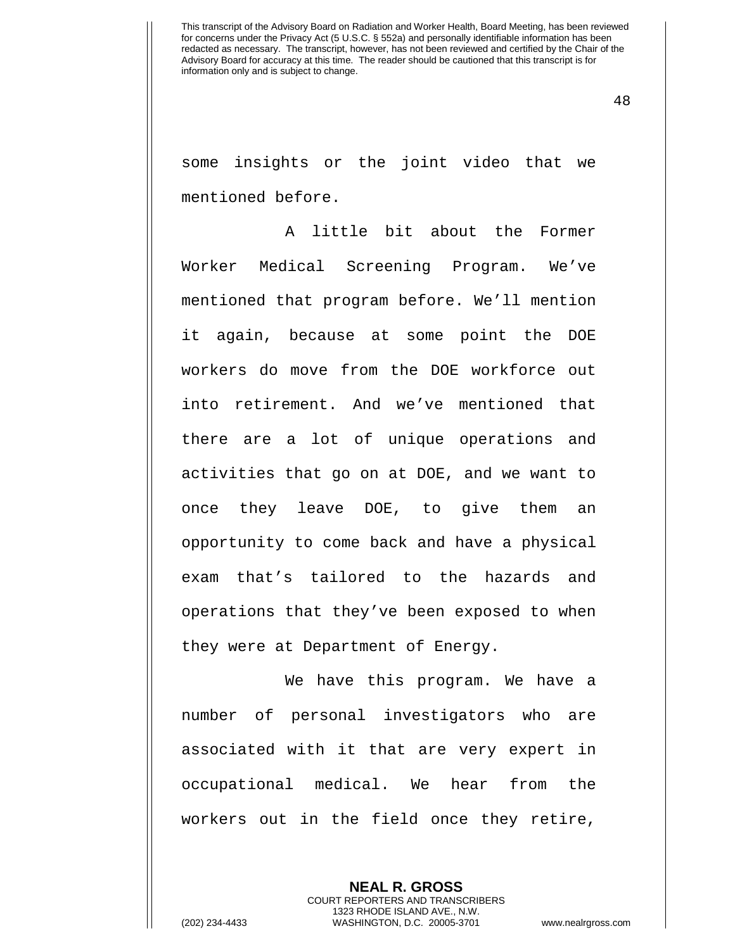48

some insights or the joint video that we mentioned before.

A little bit about the Former Worker Medical Screening Program. We've mentioned that program before. We'll mention it again, because at some point the DOE workers do move from the DOE workforce out into retirement. And we've mentioned that there are a lot of unique operations and activities that go on at DOE, and we want to once they leave DOE, to give them an opportunity to come back and have a physical exam that's tailored to the hazards and operations that they've been exposed to when they were at Department of Energy.

We have this program. We have a number of personal investigators who are associated with it that are very expert in occupational medical. We hear from the workers out in the field once they retire,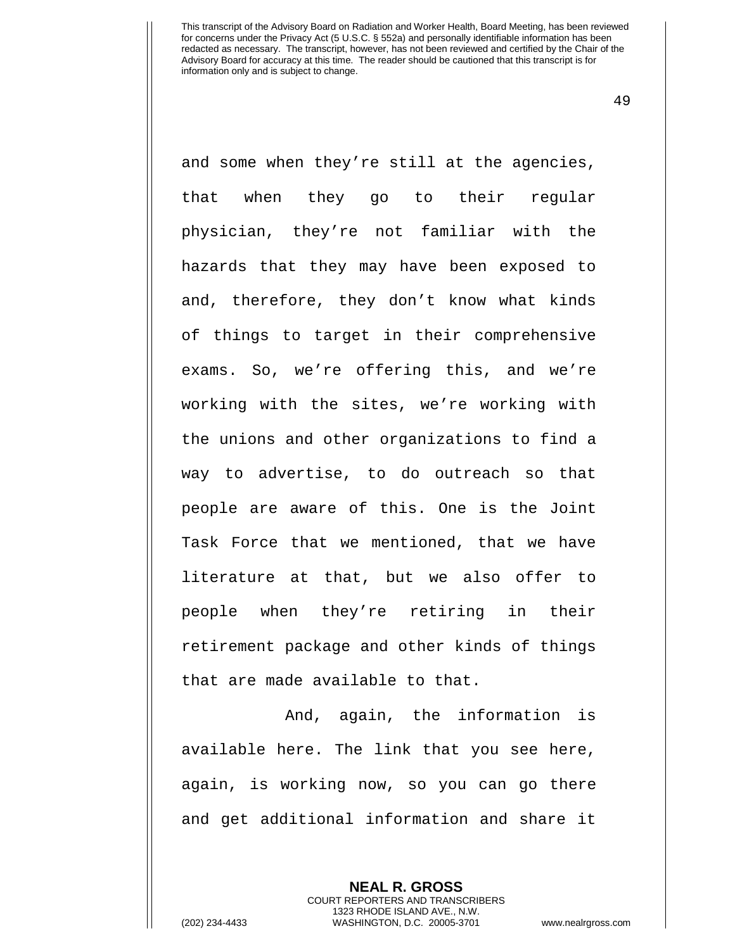49

and some when they're still at the agencies, that when they go to their regular physician, they're not familiar with the hazards that they may have been exposed to and, therefore, they don't know what kinds of things to target in their comprehensive exams. So, we're offering this, and we're working with the sites, we're working with the unions and other organizations to find a way to advertise, to do outreach so that people are aware of this. One is the Joint Task Force that we mentioned, that we have literature at that, but we also offer to people when they're retiring in their retirement package and other kinds of things that are made available to that.

And, again, the information is available here. The link that you see here, again, is working now, so you can go there and get additional information and share it

> **NEAL R. GROSS** COURT REPORTERS AND TRANSCRIBERS 1323 RHODE ISLAND AVE., N.W.

(202) 234-4433 WASHINGTON, D.C. 20005-3701 www.nealrgross.com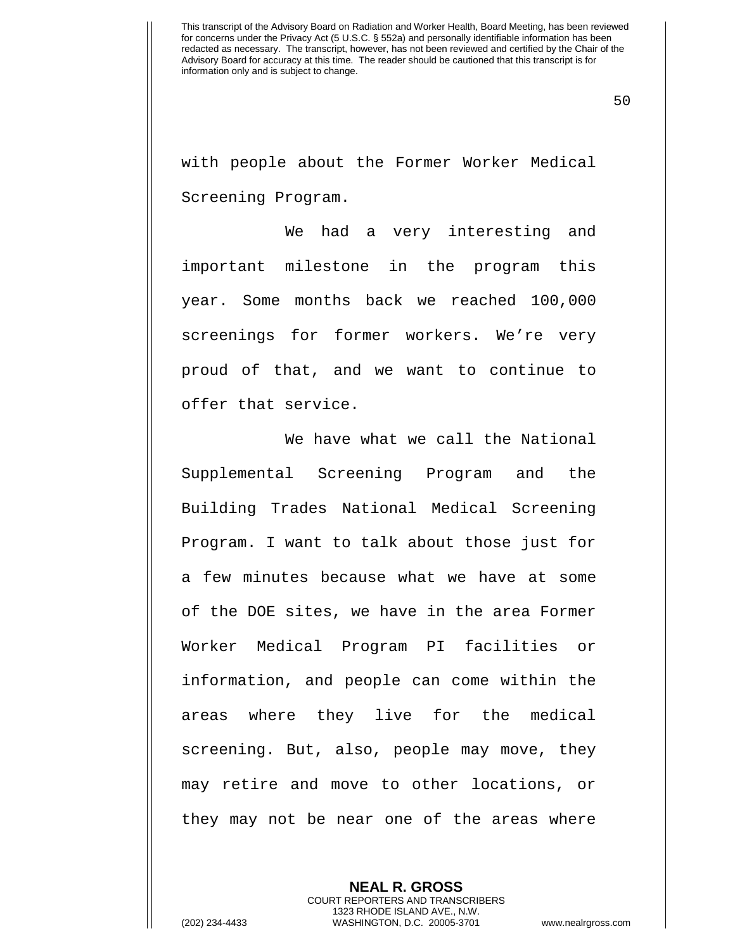50

with people about the Former Worker Medical Screening Program.

We had a very interesting and important milestone in the program this year. Some months back we reached 100,000 screenings for former workers. We're very proud of that, and we want to continue to offer that service.

We have what we call the National Supplemental Screening Program and the Building Trades National Medical Screening Program. I want to talk about those just for a few minutes because what we have at some of the DOE sites, we have in the area Former Worker Medical Program PI facilities or information, and people can come within the areas where they live for the medical screening. But, also, people may move, they may retire and move to other locations, or they may not be near one of the areas where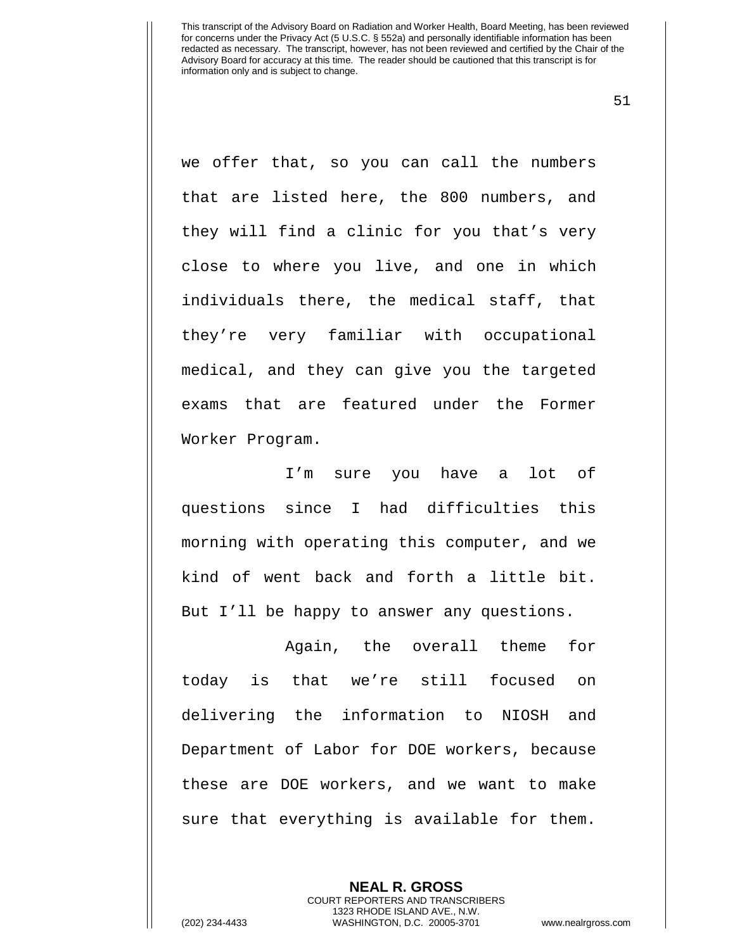51

we offer that, so you can call the numbers that are listed here, the 800 numbers, and they will find a clinic for you that's very close to where you live, and one in which individuals there, the medical staff, that they're very familiar with occupational medical, and they can give you the targeted exams that are featured under the Former Worker Program.

I'm sure you have a lot of questions since I had difficulties this morning with operating this computer, and we kind of went back and forth a little bit. But I'll be happy to answer any questions.

Again, the overall theme for today is that we're still focused on delivering the information to NIOSH and Department of Labor for DOE workers, because these are DOE workers, and we want to make sure that everything is available for them.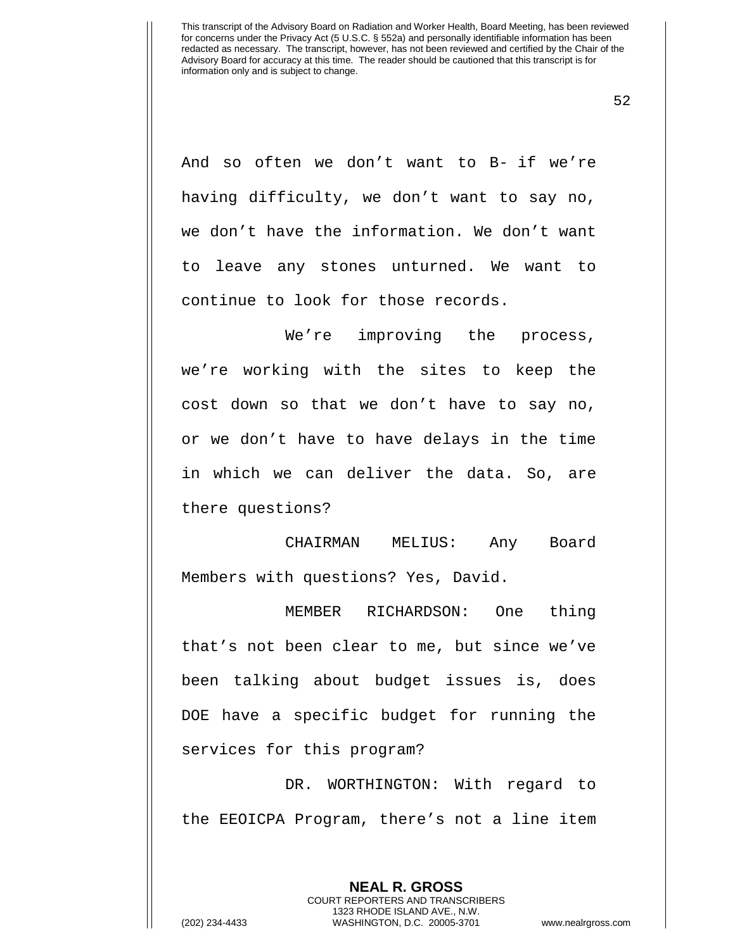52

And so often we don't want to B- if we're having difficulty, we don't want to say no, we don't have the information. We don't want to leave any stones unturned. We want to continue to look for those records.

We're improving the process, we're working with the sites to keep the cost down so that we don't have to say no, or we don't have to have delays in the time in which we can deliver the data. So, are there questions?

CHAIRMAN MELIUS: Any Board Members with questions? Yes, David.

MEMBER RICHARDSON: One thing that's not been clear to me, but since we've been talking about budget issues is, does DOE have a specific budget for running the services for this program?

DR. WORTHINGTON: With regard to the EEOICPA Program, there's not a line item

> **NEAL R. GROSS** COURT REPORTERS AND TRANSCRIBERS

1323 RHODE ISLAND AVE., N.W. (202) 234-4433 WASHINGTON, D.C. 20005-3701 www.nealrgross.com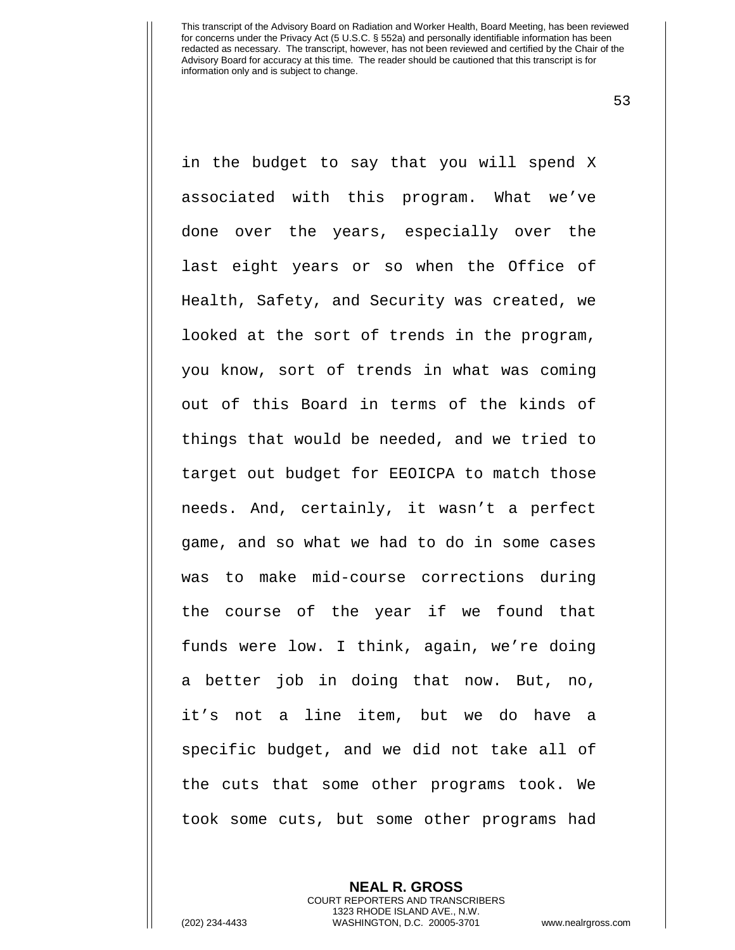53

in the budget to say that you will spend X associated with this program. What we've done over the years, especially over the last eight years or so when the Office of Health, Safety, and Security was created, we looked at the sort of trends in the program, you know, sort of trends in what was coming out of this Board in terms of the kinds of things that would be needed, and we tried to target out budget for EEOICPA to match those needs. And, certainly, it wasn't a perfect game, and so what we had to do in some cases was to make mid-course corrections during the course of the year if we found that funds were low. I think, again, we're doing a better job in doing that now. But, no, it's not a line item, but we do have a specific budget, and we did not take all of the cuts that some other programs took. We took some cuts, but some other programs had

**NEAL R. GROSS**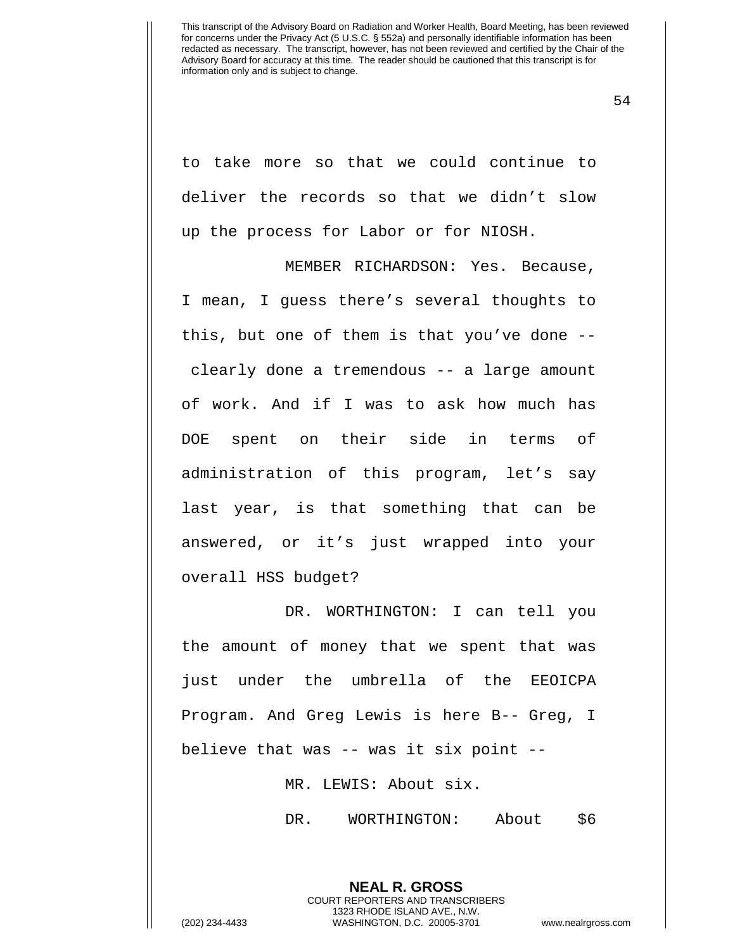54

to take more so that we could continue to deliver the records so that we didn't slow up the process for Labor or for NIOSH.

MEMBER RICHARDSON: Yes. Because, I mean, I guess there's several thoughts to this, but one of them is that you've done - clearly done a tremendous -- a large amount of work. And if I was to ask how much has DOE spent on their side in terms of administration of this program, let's say last year, is that something that can be answered, or it's just wrapped into your overall HSS budget?

DR. WORTHINGTON: I can tell you the amount of money that we spent that was just under the umbrella of the EEOICPA Program. And Greg Lewis is here B-- Greg, I believe that was -- was it six point --

MR. LEWIS: About six.

DR. WORTHINGTON: About \$6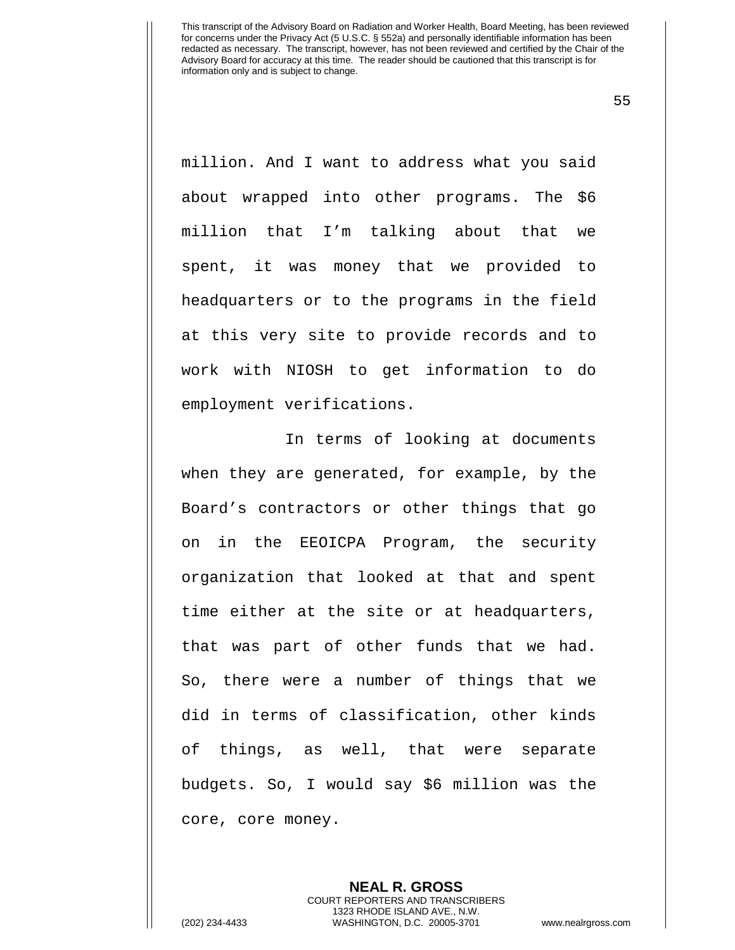55

million. And I want to address what you said about wrapped into other programs. The \$6 million that I'm talking about that we spent, it was money that we provided to headquarters or to the programs in the field at this very site to provide records and to work with NIOSH to get information to do employment verifications.

In terms of looking at documents when they are generated, for example, by the Board's contractors or other things that go on in the EEOICPA Program, the security organization that looked at that and spent time either at the site or at headquarters, that was part of other funds that we had. So, there were a number of things that we did in terms of classification, other kinds of things, as well, that were separate budgets. So, I would say \$6 million was the core, core money.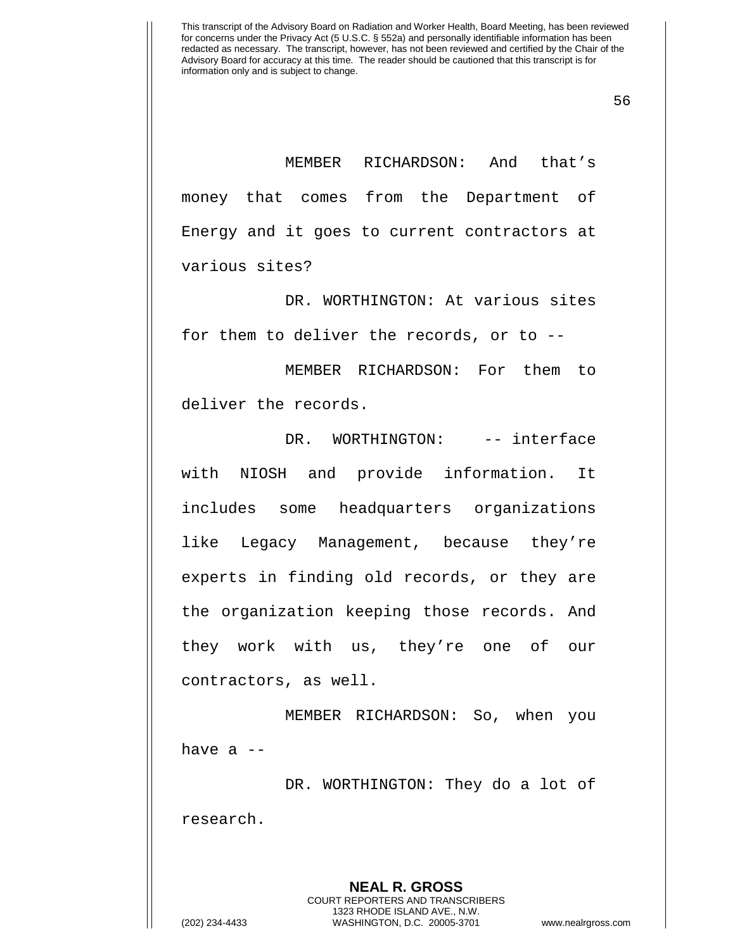56

MEMBER RICHARDSON: And that's money that comes from the Department of Energy and it goes to current contractors at various sites?

DR. WORTHINGTON: At various sites for them to deliver the records, or to --

MEMBER RICHARDSON: For them to deliver the records.

DR. WORTHINGTON: -- interface with NIOSH and provide information. It includes some headquarters organizations like Legacy Management, because they're experts in finding old records, or they are the organization keeping those records. And they work with us, they're one of our contractors, as well.

MEMBER RICHARDSON: So, when you have  $a$  --

DR. WORTHINGTON: They do a lot of research.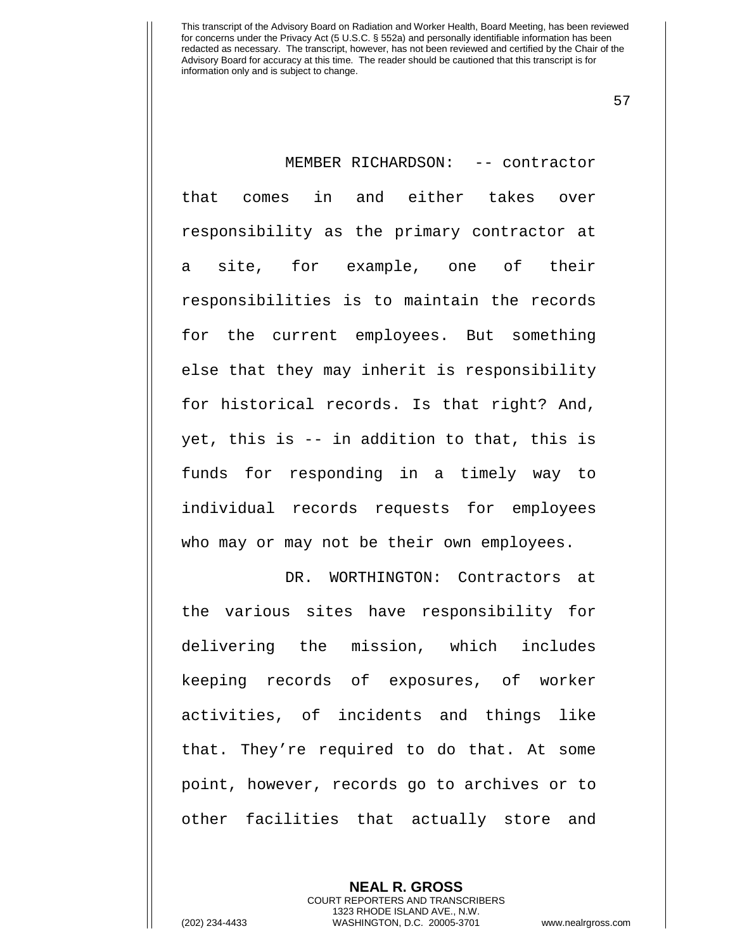57

MEMBER RICHARDSON: -- contractor that comes in and either takes over responsibility as the primary contractor at a site, for example, one of their responsibilities is to maintain the records for the current employees. But something else that they may inherit is responsibility for historical records. Is that right? And, yet, this is -- in addition to that, this is funds for responding in a timely way to individual records requests for employees who may or may not be their own employees.

DR. WORTHINGTON: Contractors at the various sites have responsibility for delivering the mission, which includes keeping records of exposures, of worker activities, of incidents and things like that. They're required to do that. At some point, however, records go to archives or to other facilities that actually store and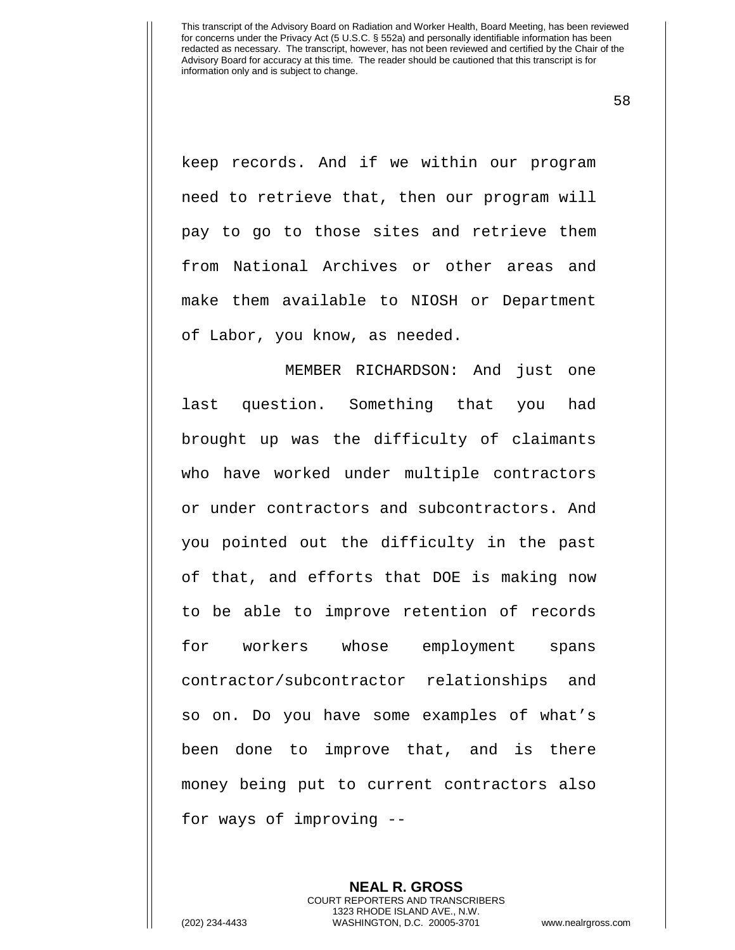58

keep records. And if we within our program need to retrieve that, then our program will pay to go to those sites and retrieve them from National Archives or other areas and make them available to NIOSH or Department of Labor, you know, as needed.

MEMBER RICHARDSON: And just one last question. Something that you had brought up was the difficulty of claimants who have worked under multiple contractors or under contractors and subcontractors. And you pointed out the difficulty in the past of that, and efforts that DOE is making now to be able to improve retention of records for workers whose employment spans contractor/subcontractor relationships and so on. Do you have some examples of what's been done to improve that, and is there money being put to current contractors also for ways of improving --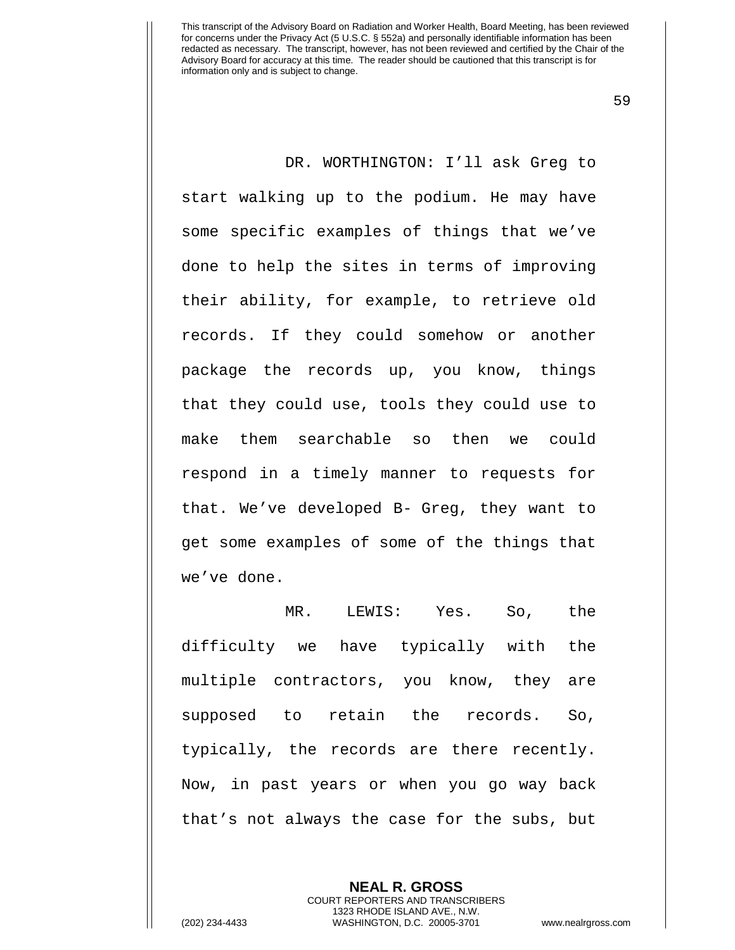59

DR. WORTHINGTON: I'll ask Greg to start walking up to the podium. He may have some specific examples of things that we've done to help the sites in terms of improving their ability, for example, to retrieve old records. If they could somehow or another package the records up, you know, things that they could use, tools they could use to make them searchable so then we could respond in a timely manner to requests for that. We've developed B- Greg, they want to get some examples of some of the things that we've done.

MR. LEWIS: Yes. So, the difficulty we have typically with the multiple contractors, you know, they are supposed to retain the records. So, typically, the records are there recently. Now, in past years or when you go way back that's not always the case for the subs, but

> **NEAL R. GROSS** COURT REPORTERS AND TRANSCRIBERS 1323 RHODE ISLAND AVE., N.W.

(202) 234-4433 WASHINGTON, D.C. 20005-3701 www.nealrgross.com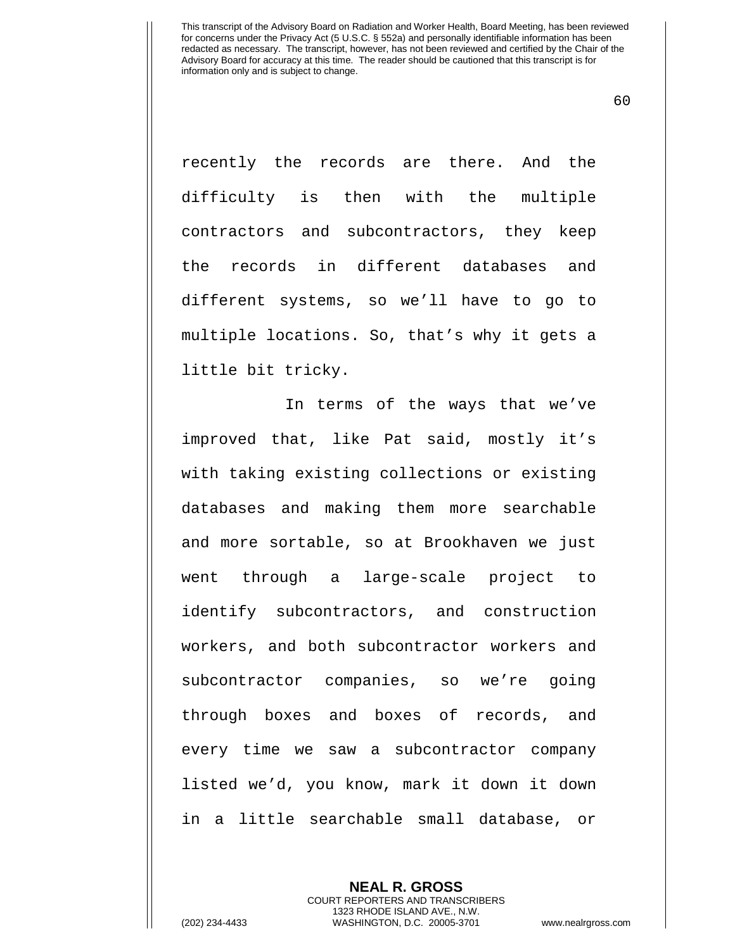60

recently the records are there. And the difficulty is then with the multiple contractors and subcontractors, they keep the records in different databases and different systems, so we'll have to go to multiple locations. So, that's why it gets a little bit tricky.

In terms of the ways that we've improved that, like Pat said, mostly it's with taking existing collections or existing databases and making them more searchable and more sortable, so at Brookhaven we just went through a large-scale project to identify subcontractors, and construction workers, and both subcontractor workers and subcontractor companies, so we're going through boxes and boxes of records, and every time we saw a subcontractor company listed we'd, you know, mark it down it down in a little searchable small database, or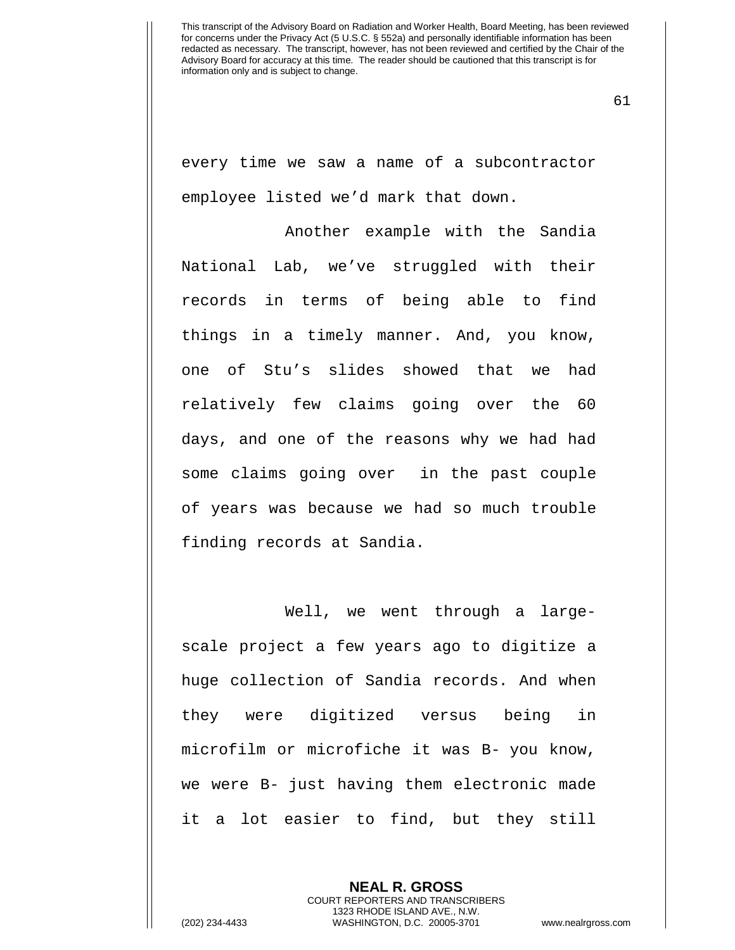61

every time we saw a name of a subcontractor employee listed we'd mark that down.

Another example with the Sandia National Lab, we've struggled with their records in terms of being able to find things in a timely manner. And, you know, one of Stu's slides showed that we had relatively few claims going over the 60 days, and one of the reasons why we had had some claims going over in the past couple of years was because we had so much trouble finding records at Sandia.

Well, we went through a largescale project a few years ago to digitize a huge collection of Sandia records. And when they were digitized versus being in microfilm or microfiche it was B- you know, we were B- just having them electronic made it a lot easier to find, but they still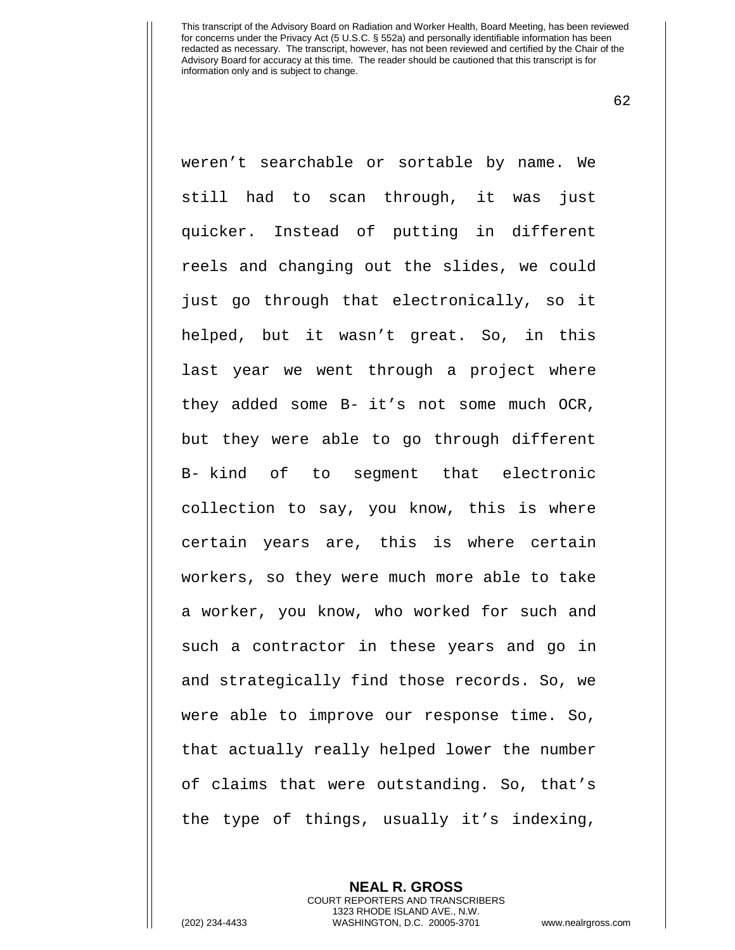62

weren't searchable or sortable by name. We still had to scan through, it was just quicker. Instead of putting in different reels and changing out the slides, we could just go through that electronically, so it helped, but it wasn't great. So, in this last year we went through a project where they added some B- it's not some much OCR, but they were able to go through different B- kind of to segment that electronic collection to say, you know, this is where certain years are, this is where certain workers, so they were much more able to take a worker, you know, who worked for such and such a contractor in these years and go in and strategically find those records. So, we were able to improve our response time. So, that actually really helped lower the number of claims that were outstanding. So, that's the type of things, usually it's indexing,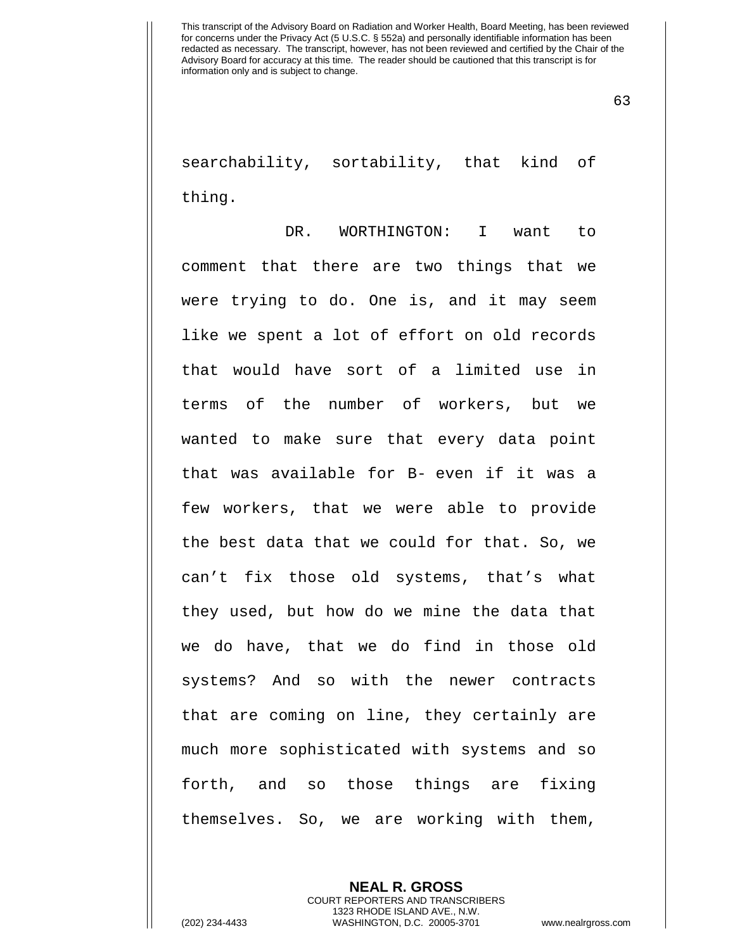63

searchability, sortability, that kind of thing.

DR. WORTHINGTON: I want to comment that there are two things that we were trying to do. One is, and it may seem like we spent a lot of effort on old records that would have sort of a limited use in terms of the number of workers, but we wanted to make sure that every data point that was available for B- even if it was a few workers, that we were able to provide the best data that we could for that. So, we can't fix those old systems, that's what they used, but how do we mine the data that we do have, that we do find in those old systems? And so with the newer contracts that are coming on line, they certainly are much more sophisticated with systems and so forth, and so those things are fixing themselves. So, we are working with them,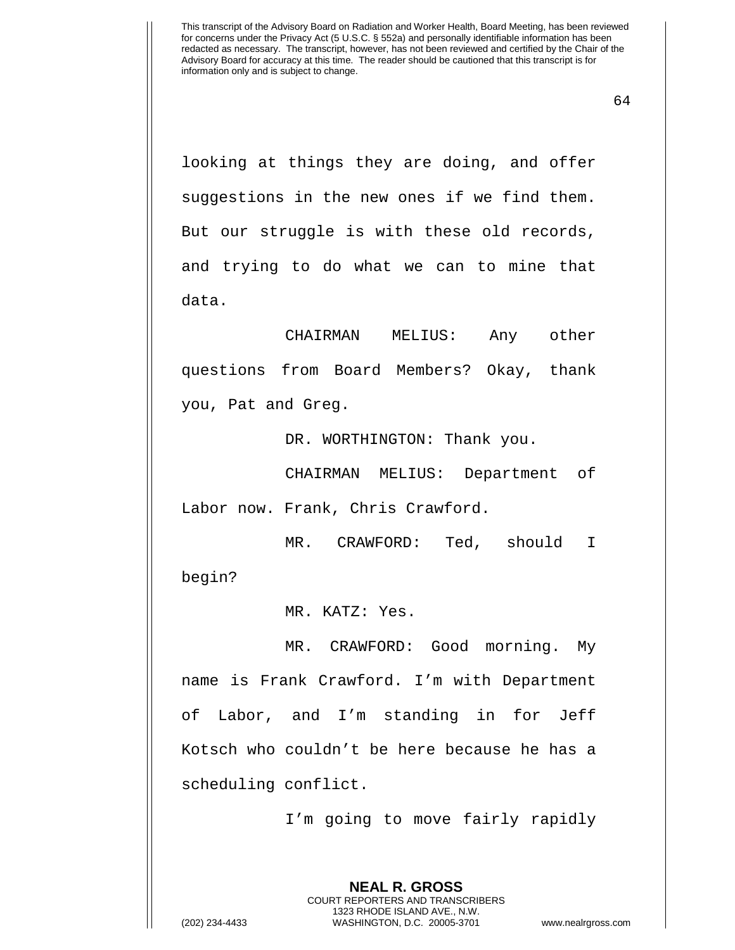64

looking at things they are doing, and offer suggestions in the new ones if we find them. But our struggle is with these old records, and trying to do what we can to mine that data.

CHAIRMAN MELIUS: Any other questions from Board Members? Okay, thank you, Pat and Greg.

DR. WORTHINGTON: Thank you.

CHAIRMAN MELIUS: Department of Labor now. Frank, Chris Crawford.

MR. CRAWFORD: Ted, should I begin?

MR. KATZ: Yes.

MR. CRAWFORD: Good morning. My name is Frank Crawford. I'm with Department of Labor, and I'm standing in for Jeff Kotsch who couldn't be here because he has a scheduling conflict.

I'm going to move fairly rapidly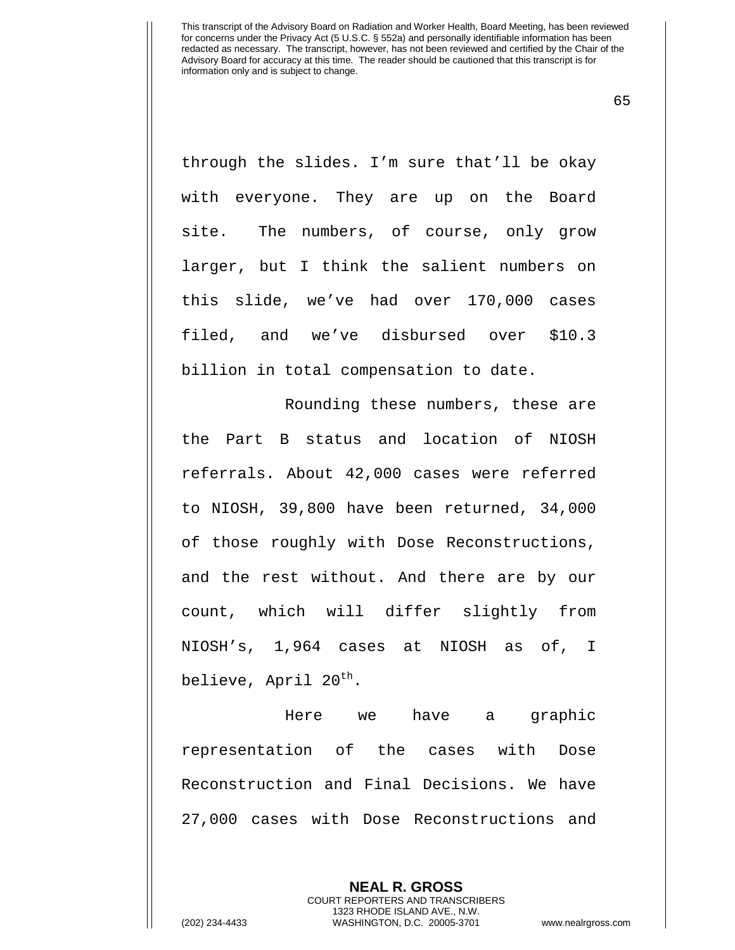65

through the slides. I'm sure that'll be okay with everyone. They are up on the Board site. The numbers, of course, only grow larger, but I think the salient numbers on this slide, we've had over 170,000 cases filed, and we've disbursed over \$10.3 billion in total compensation to date.

Rounding these numbers, these are the Part B status and location of NIOSH referrals. About 42,000 cases were referred to NIOSH, 39,800 have been returned, 34,000 of those roughly with Dose Reconstructions, and the rest without. And there are by our count, which will differ slightly from NIOSH's, 1,964 cases at NIOSH as of, I believe, April  $20^{th}$ .

Here we have a graphic representation of the cases with Dose Reconstruction and Final Decisions. We have 27,000 cases with Dose Reconstructions and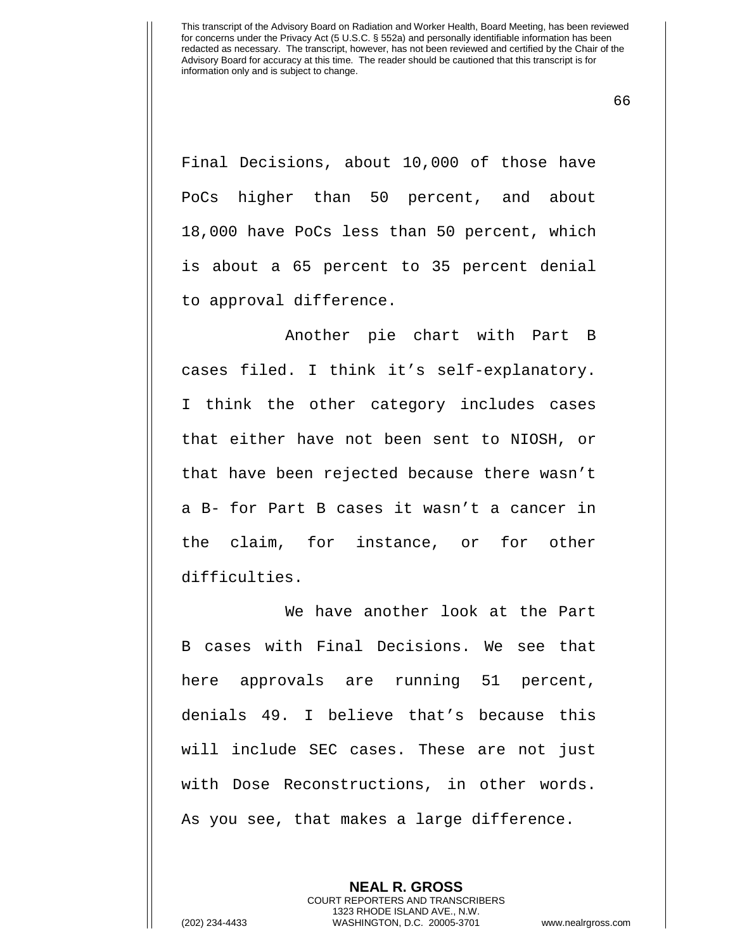66

Final Decisions, about 10,000 of those have PoCs higher than 50 percent, and about 18,000 have PoCs less than 50 percent, which is about a 65 percent to 35 percent denial to approval difference.

Another pie chart with Part B cases filed. I think it's self-explanatory. I think the other category includes cases that either have not been sent to NIOSH, or that have been rejected because there wasn't a B- for Part B cases it wasn't a cancer in the claim, for instance, or for other difficulties.

We have another look at the Part B cases with Final Decisions. We see that here approvals are running 51 percent, denials 49. I believe that's because this will include SEC cases. These are not just with Dose Reconstructions, in other words. As you see, that makes a large difference.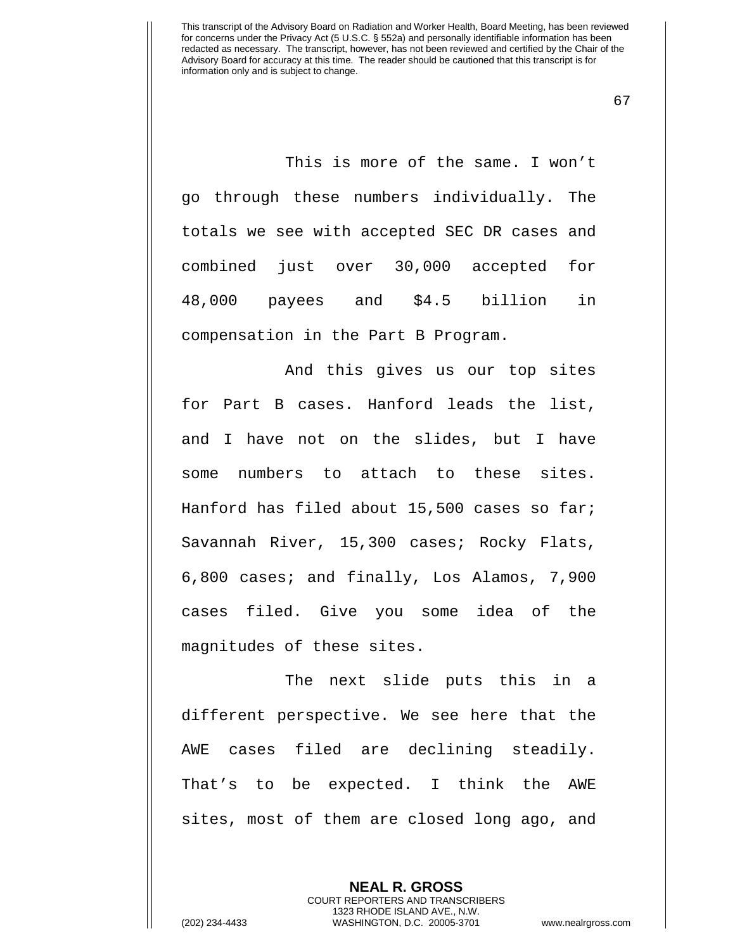67

This is more of the same. I won't go through these numbers individually. The totals we see with accepted SEC DR cases and combined just over 30,000 accepted for 48,000 payees and \$4.5 billion in compensation in the Part B Program.

And this gives us our top sites for Part B cases. Hanford leads the list, and I have not on the slides, but I have some numbers to attach to these sites. Hanford has filed about 15,500 cases so far; Savannah River, 15,300 cases; Rocky Flats, 6,800 cases; and finally, Los Alamos, 7,900 cases filed. Give you some idea of the magnitudes of these sites.

The next slide puts this in a different perspective. We see here that the AWE cases filed are declining steadily. That's to be expected. I think the AWE sites, most of them are closed long ago, and

> **NEAL R. GROSS** COURT REPORTERS AND TRANSCRIBERS 1323 RHODE ISLAND AVE., N.W.

(202) 234-4433 WASHINGTON, D.C. 20005-3701 www.nealrgross.com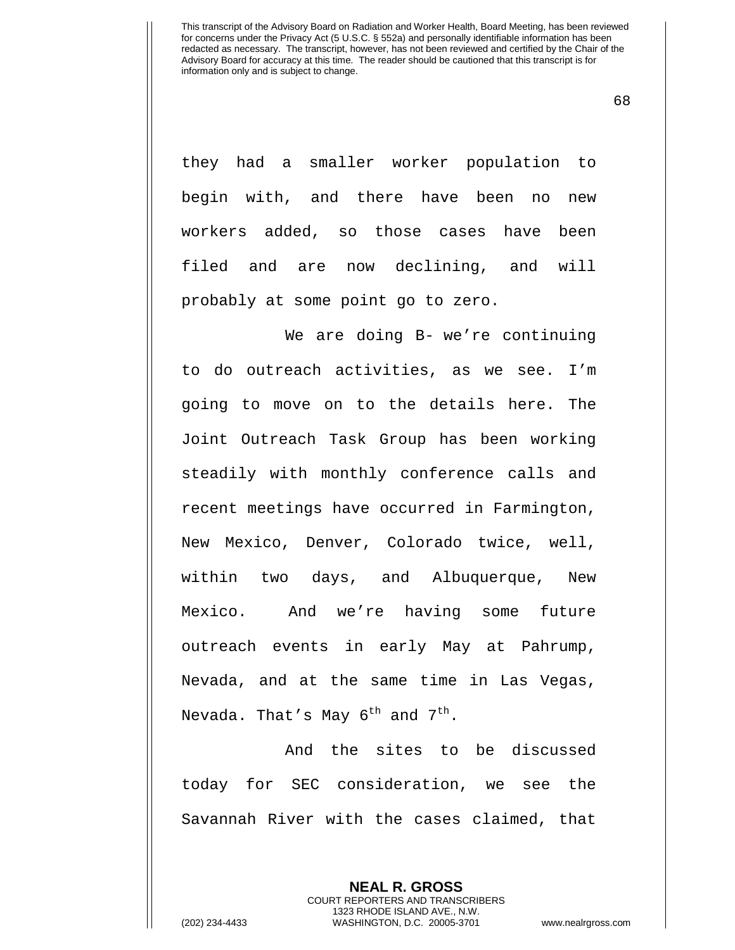68

they had a smaller worker population to begin with, and there have been no new workers added, so those cases have been filed and are now declining, and will probably at some point go to zero.

We are doing B- we're continuing to do outreach activities, as we see. I'm going to move on to the details here. The Joint Outreach Task Group has been working steadily with monthly conference calls and recent meetings have occurred in Farmington, New Mexico, Denver, Colorado twice, well, within two days, and Albuquerque, New Mexico. And we're having some future outreach events in early May at Pahrump, Nevada, and at the same time in Las Vegas, Nevada. That's May  $6^{th}$  and  $7^{th}$ .

And the sites to be discussed today for SEC consideration, we see the Savannah River with the cases claimed, that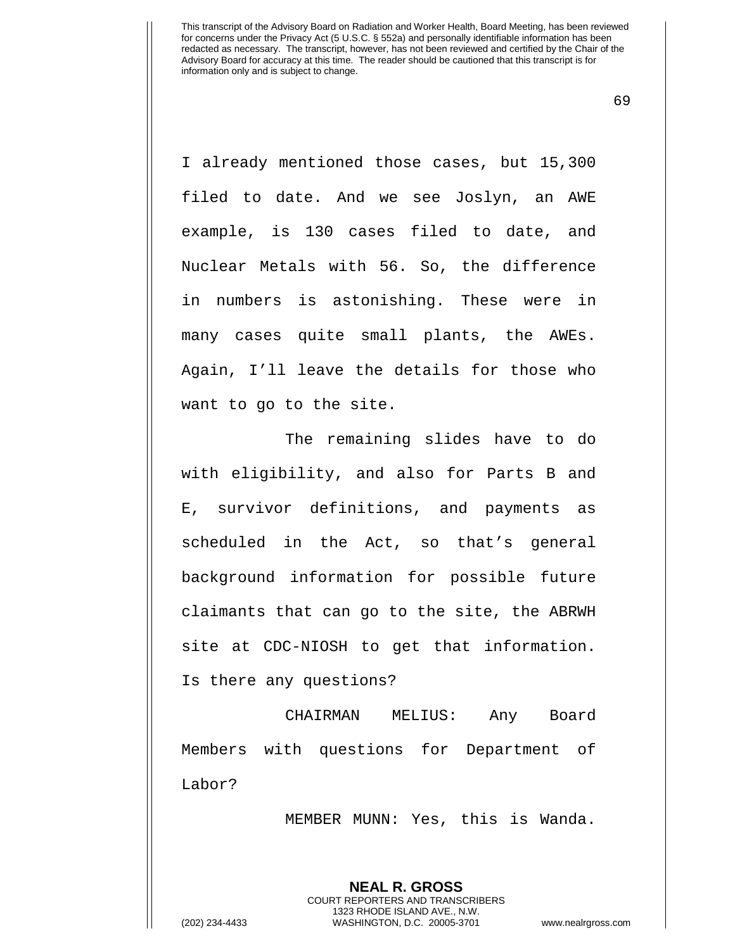69

I already mentioned those cases, but 15,300 filed to date. And we see Joslyn, an AWE example, is 130 cases filed to date, and Nuclear Metals with 56. So, the difference in numbers is astonishing. These were in many cases quite small plants, the AWEs. Again, I'll leave the details for those who want to go to the site.

The remaining slides have to do with eligibility, and also for Parts B and E, survivor definitions, and payments as scheduled in the Act, so that's general background information for possible future claimants that can go to the site, the ABRWH site at CDC-NIOSH to get that information. Is there any questions?

CHAIRMAN MELIUS: Any Board Members with questions for Department of Labor?

MEMBER MUNN: Yes, this is Wanda.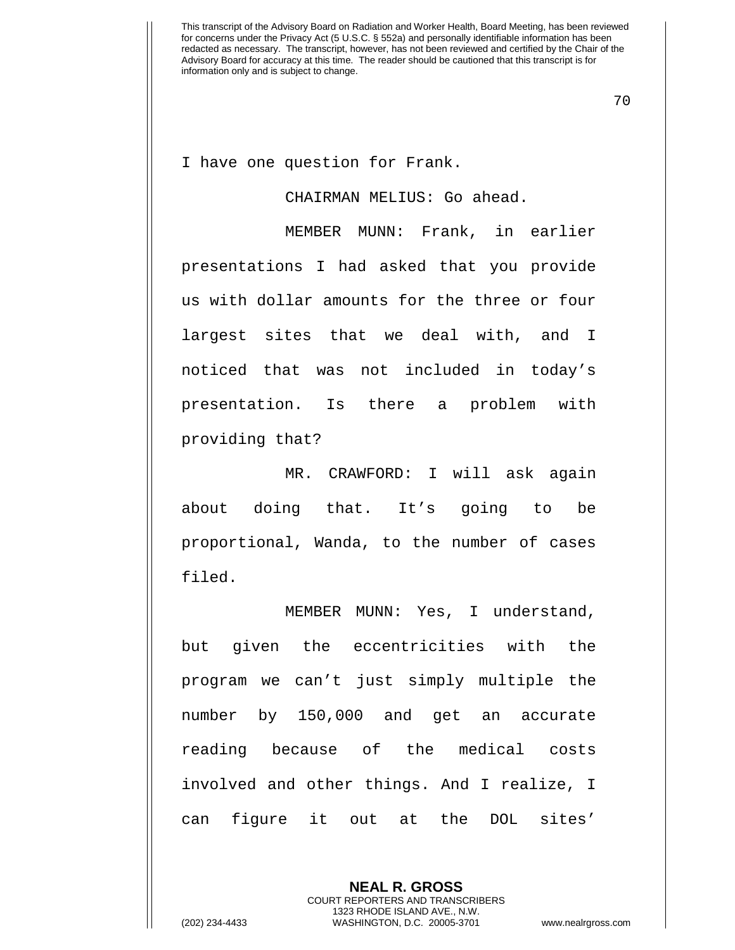70

I have one question for Frank.

## CHAIRMAN MELIUS: Go ahead.

MEMBER MUNN: Frank, in earlier presentations I had asked that you provide us with dollar amounts for the three or four largest sites that we deal with, and I noticed that was not included in today's presentation. Is there a problem with providing that?

MR. CRAWFORD: I will ask again about doing that. It's going to be proportional, Wanda, to the number of cases filed.

MEMBER MUNN: Yes, I understand, but given the eccentricities with the program we can't just simply multiple the number by 150,000 and get an accurate reading because of the medical costs involved and other things. And I realize, I can figure it out at the DOL sites'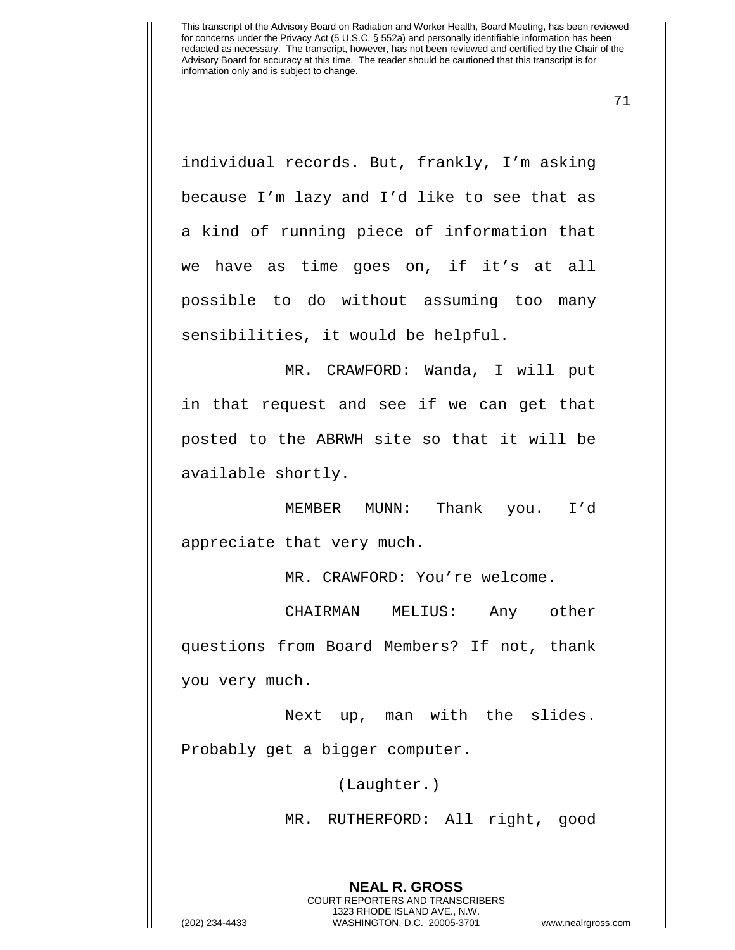71

individual records. But, frankly, I'm asking because I'm lazy and I'd like to see that as a kind of running piece of information that we have as time goes on, if it's at all possible to do without assuming too many sensibilities, it would be helpful.

MR. CRAWFORD: Wanda, I will put in that request and see if we can get that posted to the ABRWH site so that it will be available shortly.

MEMBER MUNN: Thank you. I'd appreciate that very much.

MR. CRAWFORD: You're welcome.

CHAIRMAN MELIUS: Any other questions from Board Members? If not, thank you very much.

Next up, man with the slides. Probably get a bigger computer.

(Laughter.)

MR. RUTHERFORD: All right, good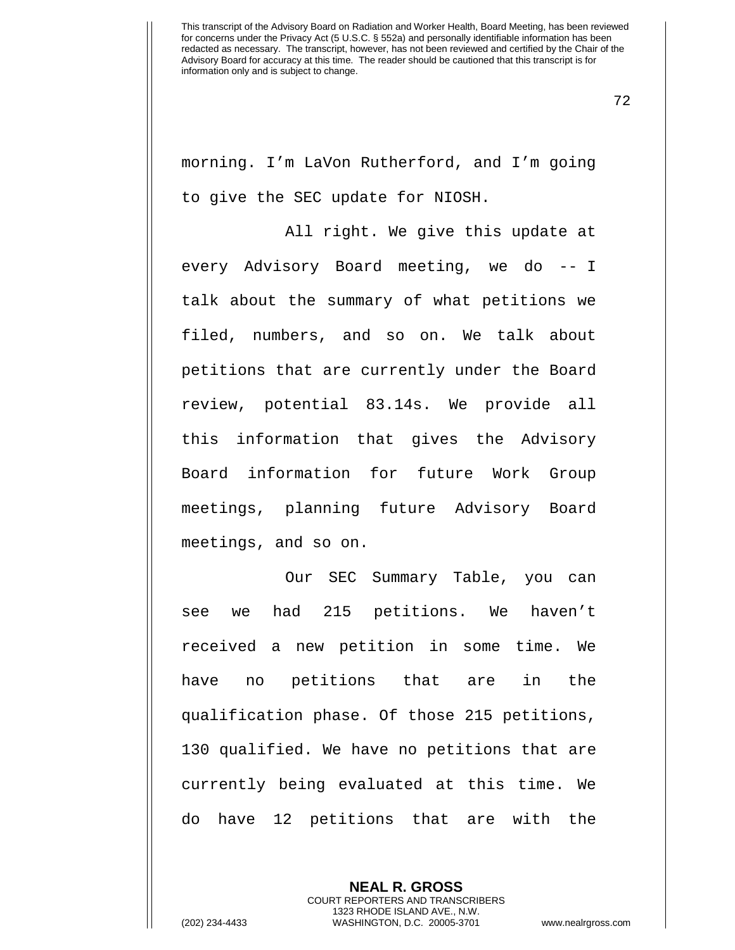72

morning. I'm LaVon Rutherford, and I'm going to give the SEC update for NIOSH.

All right. We give this update at every Advisory Board meeting, we do -- I talk about the summary of what petitions we filed, numbers, and so on. We talk about petitions that are currently under the Board review, potential 83.14s. We provide all this information that gives the Advisory Board information for future Work Group meetings, planning future Advisory Board meetings, and so on.

Our SEC Summary Table, you can see we had 215 petitions. We haven't received a new petition in some time. We have no petitions that are in the qualification phase. Of those 215 petitions, 130 qualified. We have no petitions that are currently being evaluated at this time. We do have 12 petitions that are with the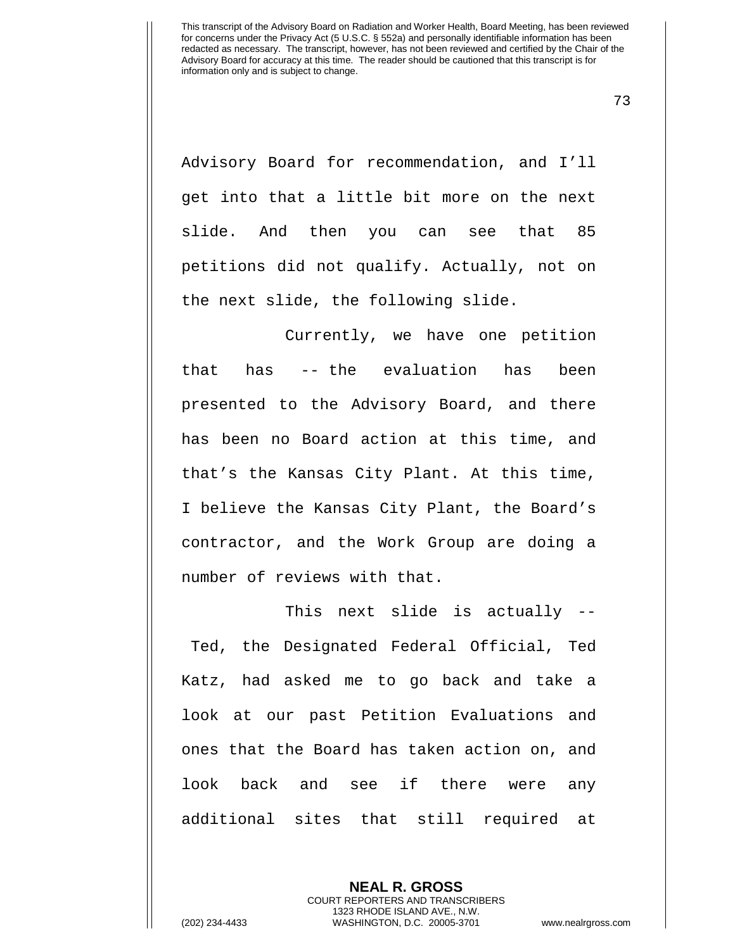73

Advisory Board for recommendation, and I'll get into that a little bit more on the next slide. And then you can see that 85 petitions did not qualify. Actually, not on the next slide, the following slide.

Currently, we have one petition that has -- the evaluation has been presented to the Advisory Board, and there has been no Board action at this time, and that's the Kansas City Plant. At this time, I believe the Kansas City Plant, the Board's contractor, and the Work Group are doing a number of reviews with that.

This next slide is actually -- Ted, the Designated Federal Official, Ted Katz, had asked me to go back and take a look at our past Petition Evaluations and ones that the Board has taken action on, and look back and see if there were any additional sites that still required at

> **NEAL R. GROSS** COURT REPORTERS AND TRANSCRIBERS 1323 RHODE ISLAND AVE., N.W.

(202) 234-4433 WASHINGTON, D.C. 20005-3701 www.nealrgross.com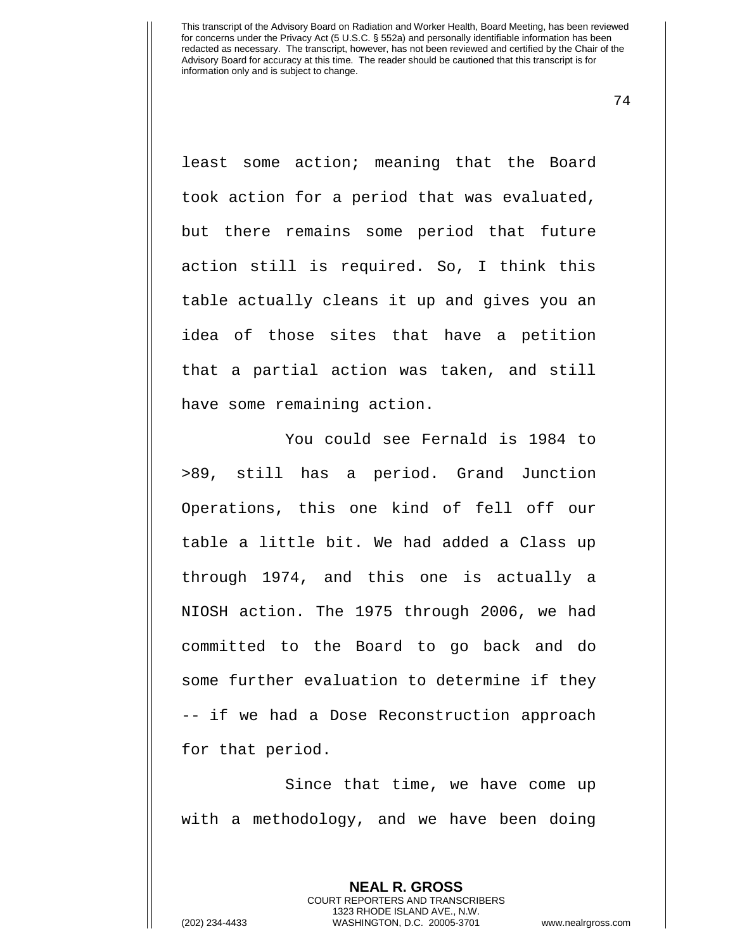74

least some action; meaning that the Board took action for a period that was evaluated, but there remains some period that future action still is required. So, I think this table actually cleans it up and gives you an idea of those sites that have a petition that a partial action was taken, and still have some remaining action.

You could see Fernald is 1984 to >89, still has a period. Grand Junction Operations, this one kind of fell off our table a little bit. We had added a Class up through 1974, and this one is actually a NIOSH action. The 1975 through 2006, we had committed to the Board to go back and do some further evaluation to determine if they -- if we had a Dose Reconstruction approach for that period.

Since that time, we have come up with a methodology, and we have been doing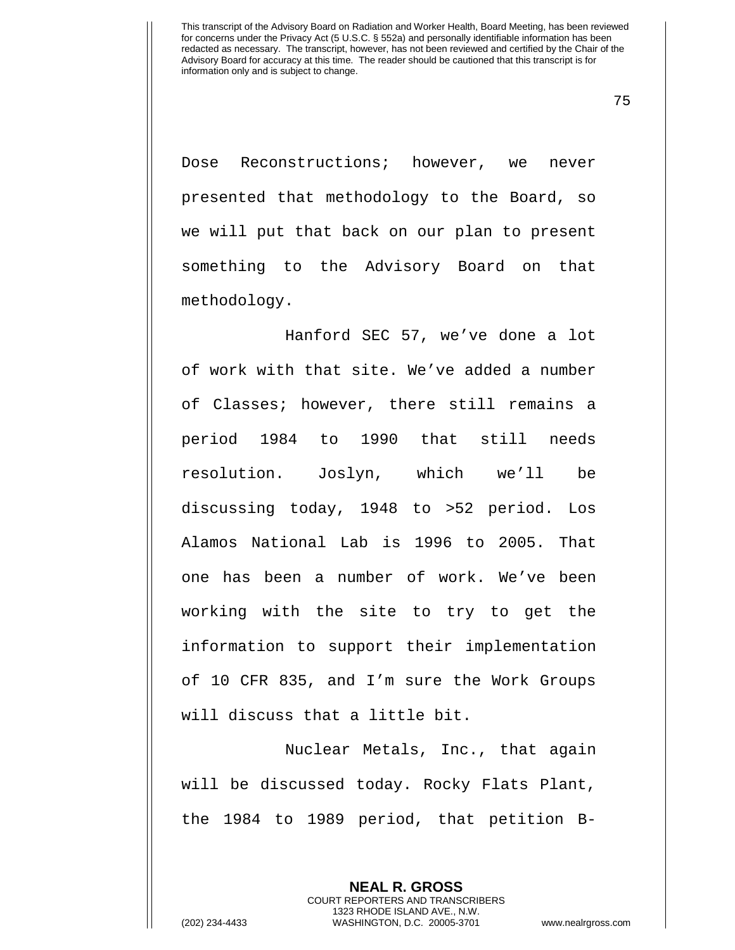75

Dose Reconstructions; however, we never presented that methodology to the Board, so we will put that back on our plan to present something to the Advisory Board on that methodology.

Hanford SEC 57, we've done a lot of work with that site. We've added a number of Classes; however, there still remains a period 1984 to 1990 that still needs resolution. Joslyn, which we'll be discussing today, 1948 to >52 period. Los Alamos National Lab is 1996 to 2005. That one has been a number of work. We've been working with the site to try to get the information to support their implementation of 10 CFR 835, and I'm sure the Work Groups will discuss that a little bit.

Nuclear Metals, Inc., that again will be discussed today. Rocky Flats Plant, the 1984 to 1989 period, that petition B-

> **NEAL R. GROSS** COURT REPORTERS AND TRANSCRIBERS 1323 RHODE ISLAND AVE., N.W.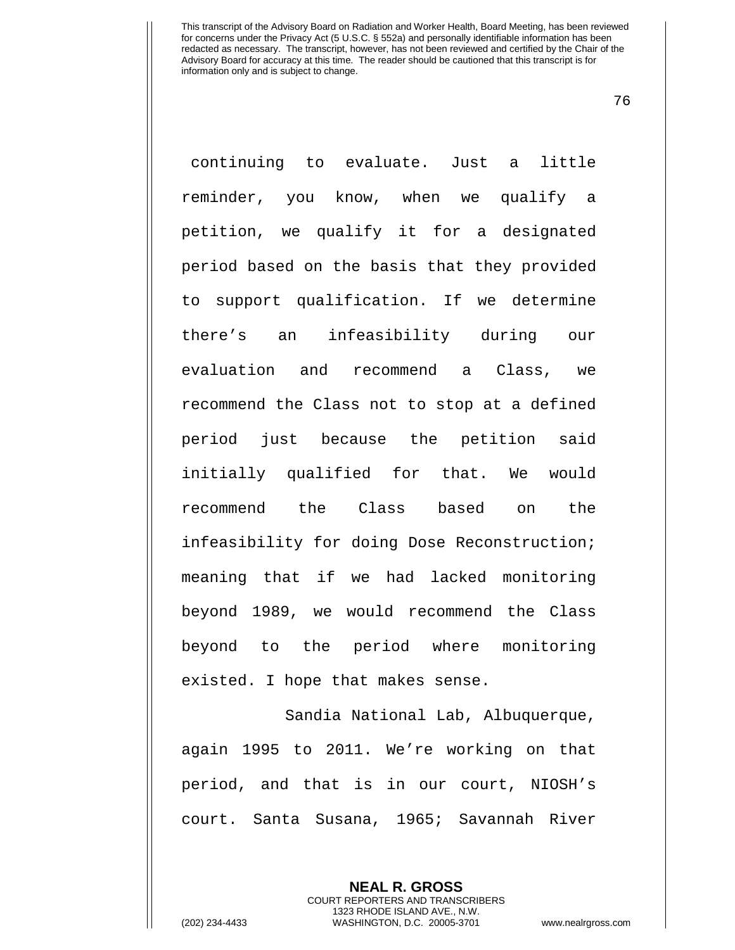76

continuing to evaluate. Just a little reminder, you know, when we qualify a petition, we qualify it for a designated period based on the basis that they provided to support qualification. If we determine there's an infeasibility during our evaluation and recommend a Class, we recommend the Class not to stop at a defined period just because the petition said initially qualified for that. We would recommend the Class based on the infeasibility for doing Dose Reconstruction; meaning that if we had lacked monitoring beyond 1989, we would recommend the Class beyond to the period where monitoring existed. I hope that makes sense.

Sandia National Lab, Albuquerque, again 1995 to 2011. We're working on that period, and that is in our court, NIOSH's court. Santa Susana, 1965; Savannah River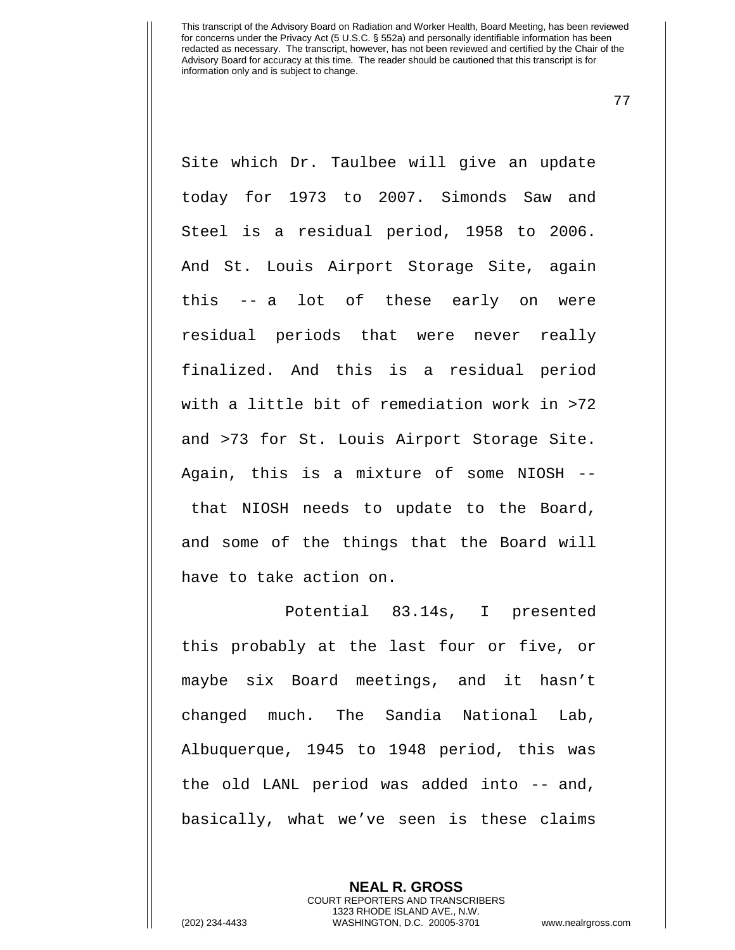77

Site which Dr. Taulbee will give an update today for 1973 to 2007. Simonds Saw and Steel is a residual period, 1958 to 2006. And St. Louis Airport Storage Site, again this -- a lot of these early on were residual periods that were never really finalized. And this is a residual period with a little bit of remediation work in >72 and >73 for St. Louis Airport Storage Site. Again, this is a mixture of some NIOSH - that NIOSH needs to update to the Board, and some of the things that the Board will have to take action on.

Potential 83.14s, I presented this probably at the last four or five, or maybe six Board meetings, and it hasn't changed much. The Sandia National Lab, Albuquerque, 1945 to 1948 period, this was the old LANL period was added into -- and, basically, what we've seen is these claims

> **NEAL R. GROSS** COURT REPORTERS AND TRANSCRIBERS 1323 RHODE ISLAND AVE., N.W.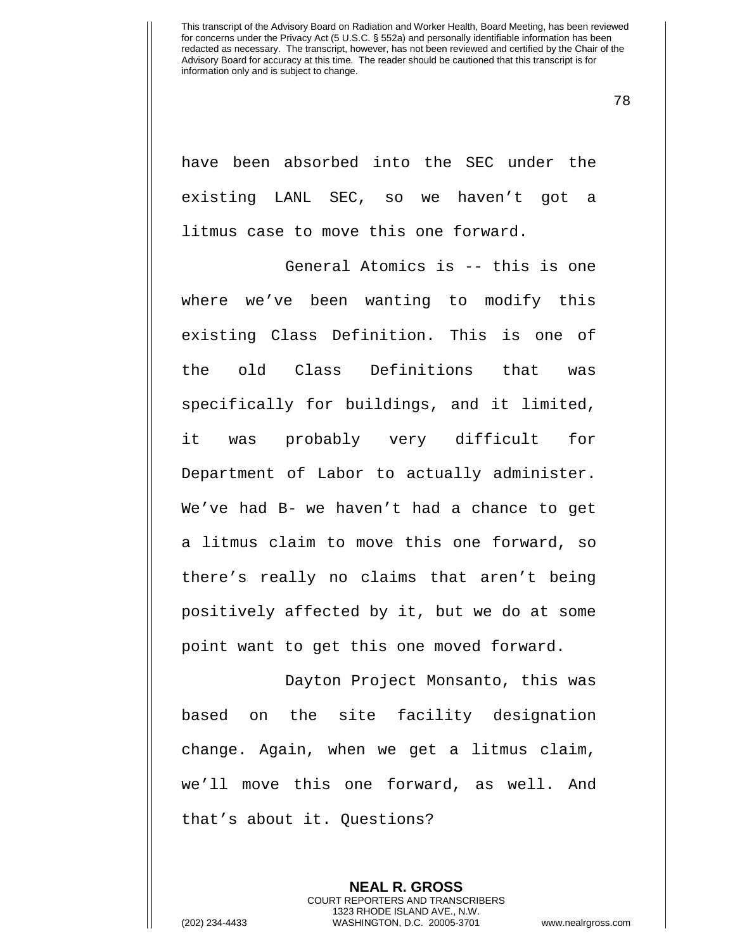78

have been absorbed into the SEC under the existing LANL SEC, so we haven't got a litmus case to move this one forward.

General Atomics is -- this is one where we've been wanting to modify this existing Class Definition. This is one of the old Class Definitions that was specifically for buildings, and it limited, it was probably very difficult for Department of Labor to actually administer. We've had B- we haven't had a chance to get a litmus claim to move this one forward, so there's really no claims that aren't being positively affected by it, but we do at some point want to get this one moved forward.

Dayton Project Monsanto, this was based on the site facility designation change. Again, when we get a litmus claim, we'll move this one forward, as well. And that's about it. Questions?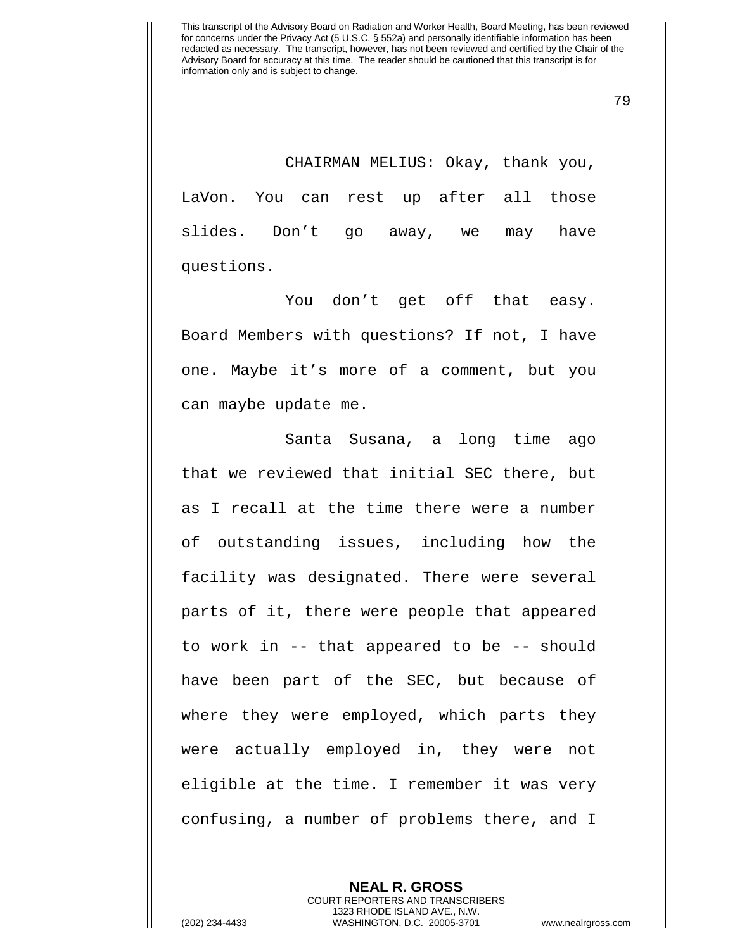79

CHAIRMAN MELIUS: Okay, thank you, LaVon. You can rest up after all those slides. Don't go away, we may have questions.

You don't get off that easy. Board Members with questions? If not, I have one. Maybe it's more of a comment, but you can maybe update me.

Santa Susana, a long time ago that we reviewed that initial SEC there, but as I recall at the time there were a number of outstanding issues, including how the facility was designated. There were several parts of it, there were people that appeared to work in -- that appeared to be -- should have been part of the SEC, but because of where they were employed, which parts they were actually employed in, they were not eligible at the time. I remember it was very confusing, a number of problems there, and I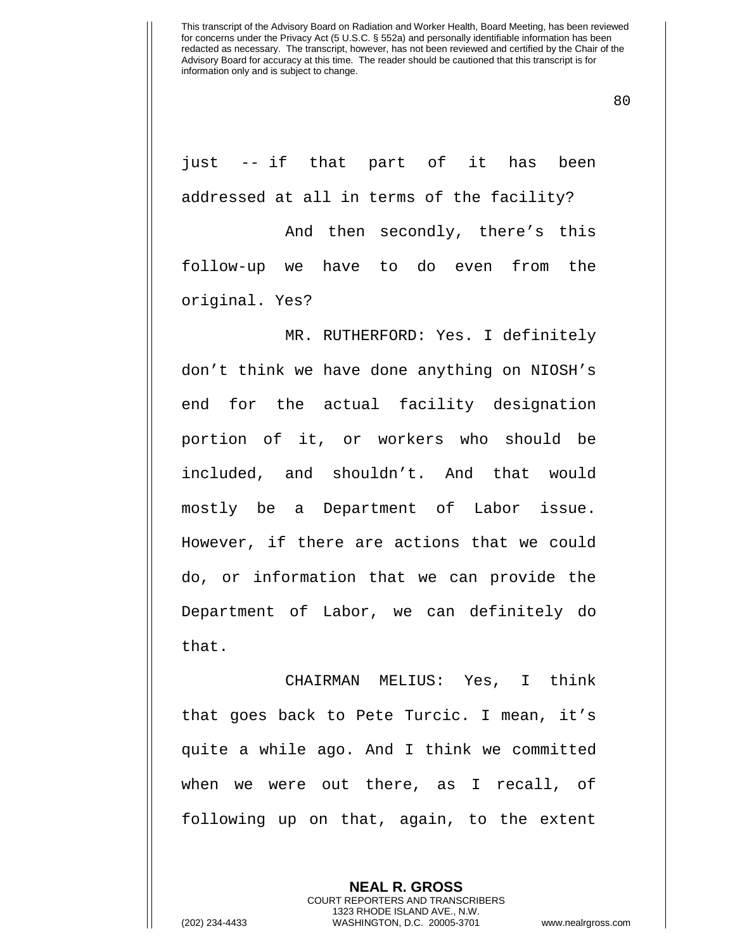80

just -- if that part of it has been addressed at all in terms of the facility?

And then secondly, there's this follow-up we have to do even from the original. Yes?

MR. RUTHERFORD: Yes. I definitely don't think we have done anything on NIOSH's end for the actual facility designation portion of it, or workers who should be included, and shouldn't. And that would mostly be a Department of Labor issue. However, if there are actions that we could do, or information that we can provide the Department of Labor, we can definitely do that.

CHAIRMAN MELIUS: Yes, I think that goes back to Pete Turcic. I mean, it's quite a while ago. And I think we committed when we were out there, as I recall, of following up on that, again, to the extent

> **NEAL R. GROSS** COURT REPORTERS AND TRANSCRIBERS 1323 RHODE ISLAND AVE., N.W.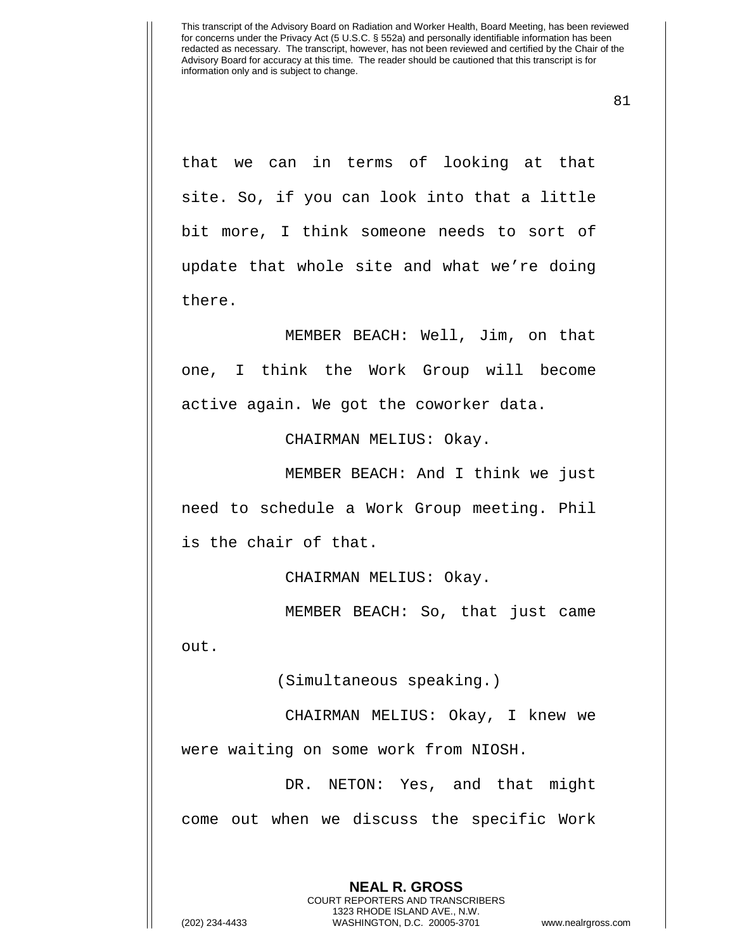81

that we can in terms of looking at that site. So, if you can look into that a little bit more, I think someone needs to sort of update that whole site and what we're doing there.

MEMBER BEACH: Well, Jim, on that one, I think the Work Group will become active again. We got the coworker data.

CHAIRMAN MELIUS: Okay.

MEMBER BEACH: And I think we just need to schedule a Work Group meeting. Phil is the chair of that.

CHAIRMAN MELIUS: Okay.

MEMBER BEACH: So, that just came out.

(Simultaneous speaking.)

CHAIRMAN MELIUS: Okay, I knew we were waiting on some work from NIOSH.

DR. NETON: Yes, and that might come out when we discuss the specific Work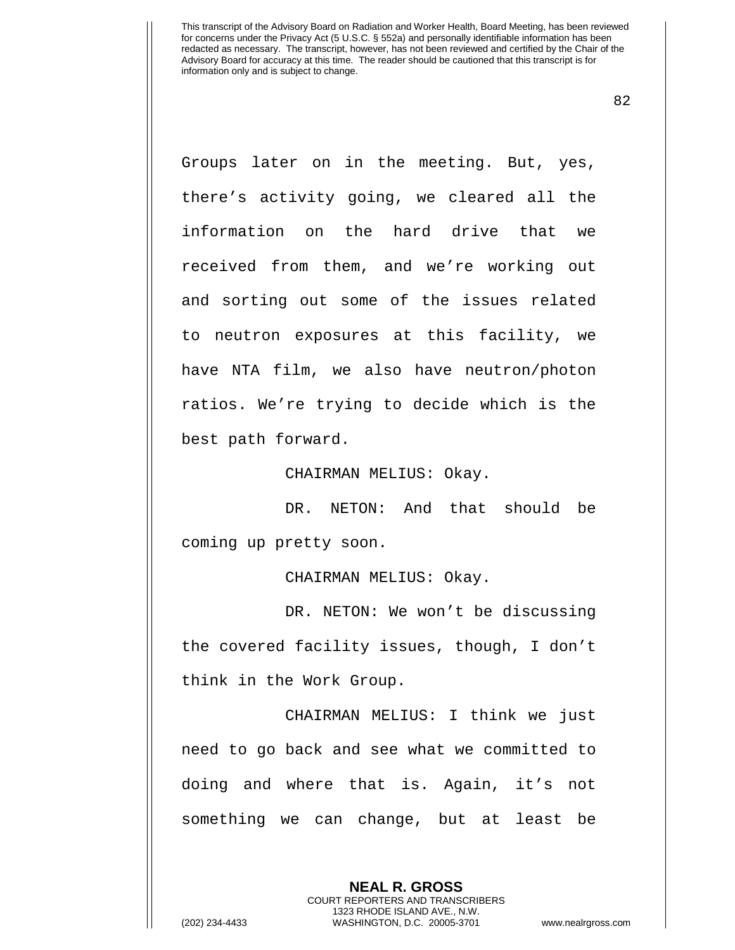82

Groups later on in the meeting. But, yes, there's activity going, we cleared all the information on the hard drive that we received from them, and we're working out and sorting out some of the issues related to neutron exposures at this facility, we have NTA film, we also have neutron/photon ratios. We're trying to decide which is the best path forward.

CHAIRMAN MELIUS: Okay.

DR. NETON: And that should be coming up pretty soon.

CHAIRMAN MELIUS: Okay.

DR. NETON: We won't be discussing the covered facility issues, though, I don't think in the Work Group.

CHAIRMAN MELIUS: I think we just need to go back and see what we committed to doing and where that is. Again, it's not something we can change, but at least be

> **NEAL R. GROSS** COURT REPORTERS AND TRANSCRIBERS 1323 RHODE ISLAND AVE., N.W.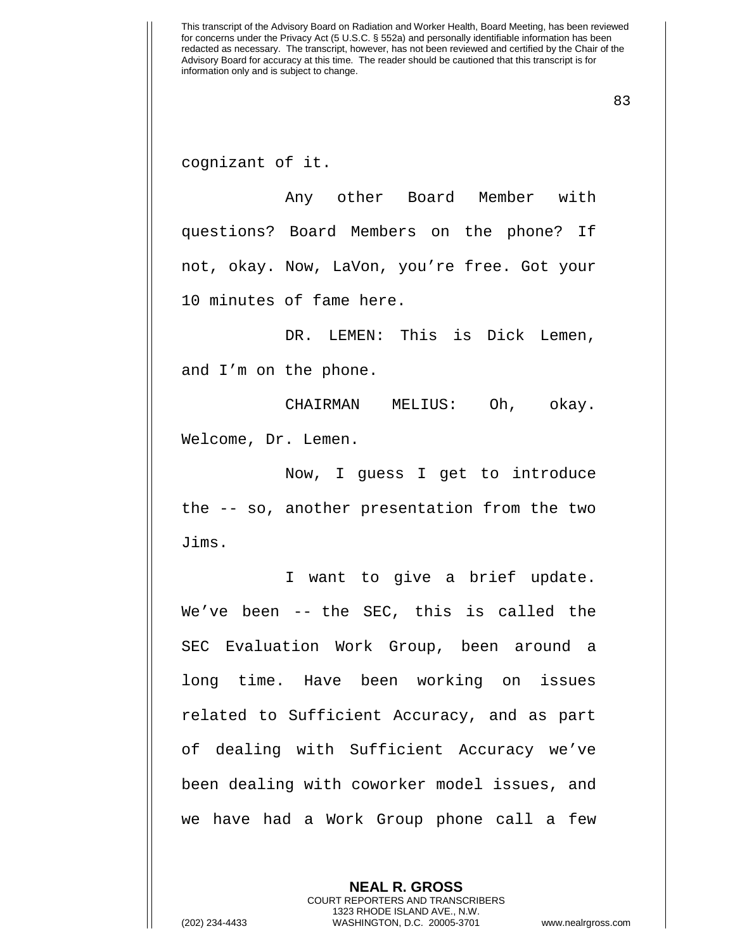83

cognizant of it.

Any other Board Member with questions? Board Members on the phone? If not, okay. Now, LaVon, you're free. Got your 10 minutes of fame here.

DR. LEMEN: This is Dick Lemen, and I'm on the phone.

CHAIRMAN MELIUS: Oh, okay. Welcome, Dr. Lemen.

Now, I guess I get to introduce the -- so, another presentation from the two Jims.

I want to give a brief update. We've been -- the SEC, this is called the SEC Evaluation Work Group, been around a long time. Have been working on issues related to Sufficient Accuracy, and as part of dealing with Sufficient Accuracy we've been dealing with coworker model issues, and we have had a Work Group phone call a few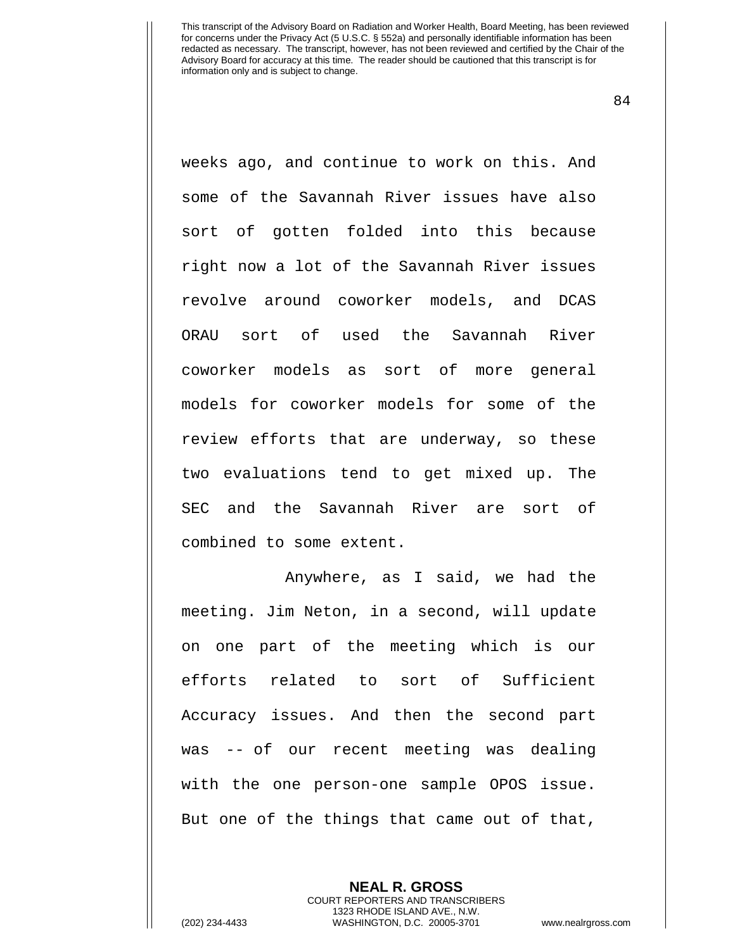84

weeks ago, and continue to work on this. And some of the Savannah River issues have also sort of gotten folded into this because right now a lot of the Savannah River issues revolve around coworker models, and DCAS ORAU sort of used the Savannah River coworker models as sort of more general models for coworker models for some of the review efforts that are underway, so these two evaluations tend to get mixed up. The SEC and the Savannah River are sort of combined to some extent.

Anywhere, as I said, we had the meeting. Jim Neton, in a second, will update on one part of the meeting which is our efforts related to sort of Sufficient Accuracy issues. And then the second part was -- of our recent meeting was dealing with the one person-one sample OPOS issue. But one of the things that came out of that,

> **NEAL R. GROSS** COURT REPORTERS AND TRANSCRIBERS 1323 RHODE ISLAND AVE., N.W.

(202) 234-4433 WASHINGTON, D.C. 20005-3701 www.nealrgross.com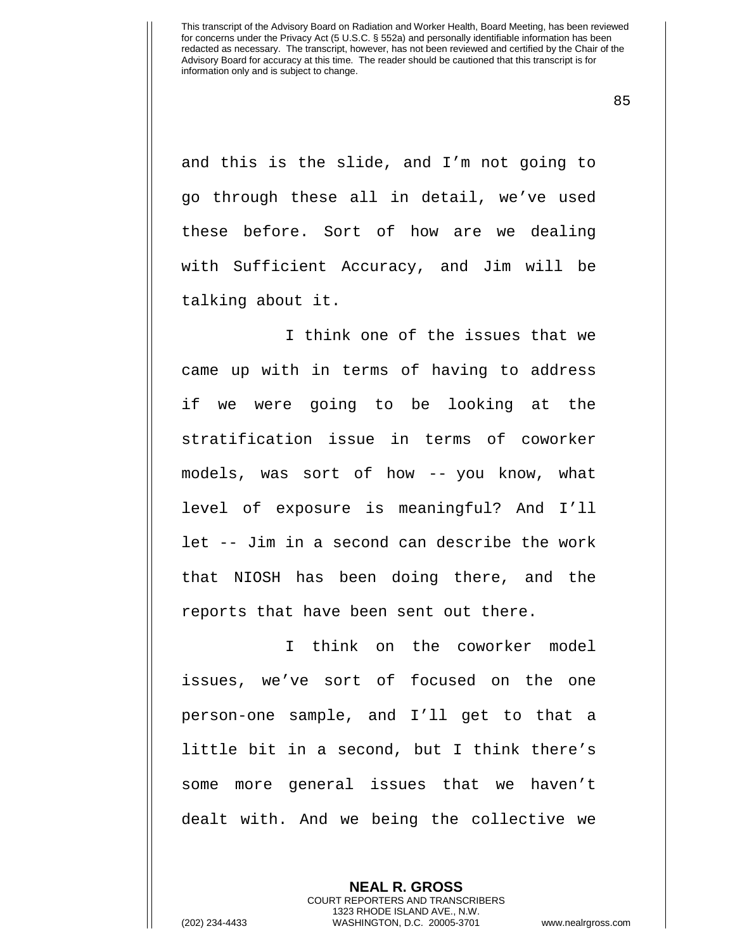85

and this is the slide, and I'm not going to go through these all in detail, we've used these before. Sort of how are we dealing with Sufficient Accuracy, and Jim will be talking about it.

I think one of the issues that we came up with in terms of having to address if we were going to be looking at the stratification issue in terms of coworker models, was sort of how -- you know, what level of exposure is meaningful? And I'll let -- Jim in a second can describe the work that NIOSH has been doing there, and the reports that have been sent out there.

I think on the coworker model issues, we've sort of focused on the one person-one sample, and I'll get to that a little bit in a second, but I think there's some more general issues that we haven't dealt with. And we being the collective we

> **NEAL R. GROSS** COURT REPORTERS AND TRANSCRIBERS 1323 RHODE ISLAND AVE., N.W.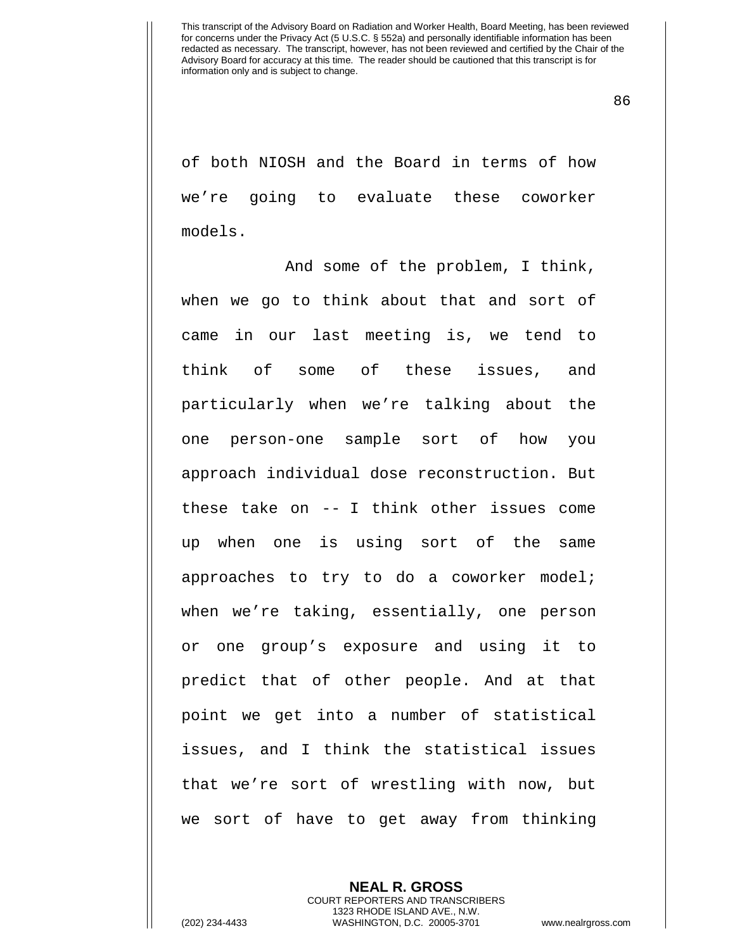86

of both NIOSH and the Board in terms of how we're going to evaluate these coworker models.

And some of the problem, I think, when we go to think about that and sort of came in our last meeting is, we tend to think of some of these issues, and particularly when we're talking about the one person-one sample sort of how you approach individual dose reconstruction. But these take on -- I think other issues come up when one is using sort of the same approaches to try to do a coworker model; when we're taking, essentially, one person or one group's exposure and using it to predict that of other people. And at that point we get into a number of statistical issues, and I think the statistical issues that we're sort of wrestling with now, but we sort of have to get away from thinking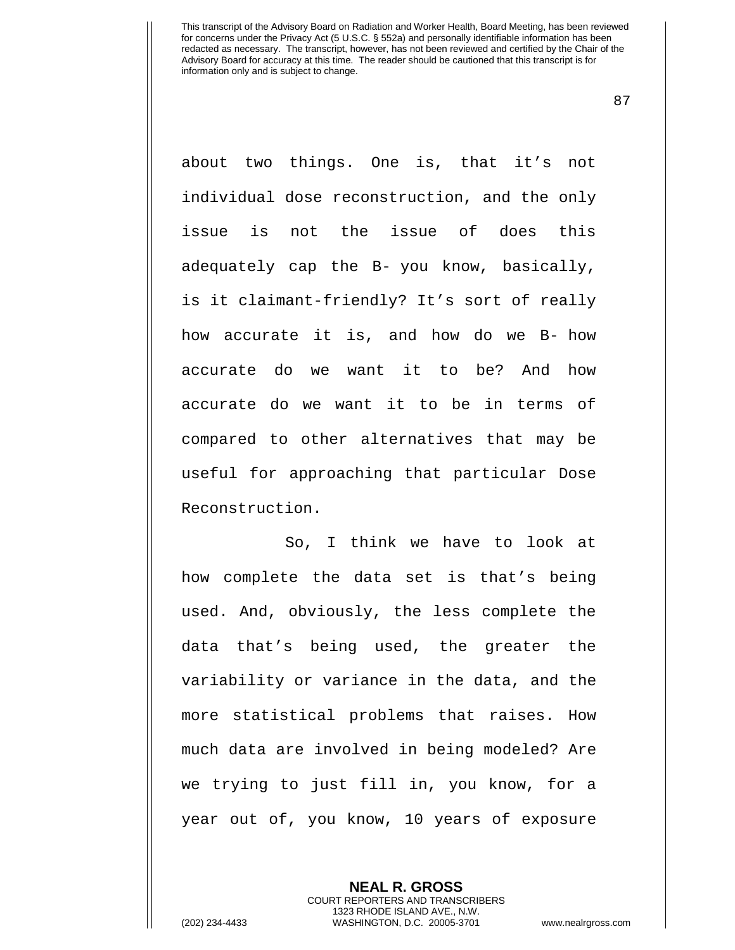87

about two things. One is, that it's not individual dose reconstruction, and the only issue is not the issue of does this adequately cap the B- you know, basically, is it claimant-friendly? It's sort of really how accurate it is, and how do we B- how accurate do we want it to be? And how accurate do we want it to be in terms of compared to other alternatives that may be useful for approaching that particular Dose Reconstruction.

So, I think we have to look at how complete the data set is that's being used. And, obviously, the less complete the data that's being used, the greater the variability or variance in the data, and the more statistical problems that raises. How much data are involved in being modeled? Are we trying to just fill in, you know, for a year out of, you know, 10 years of exposure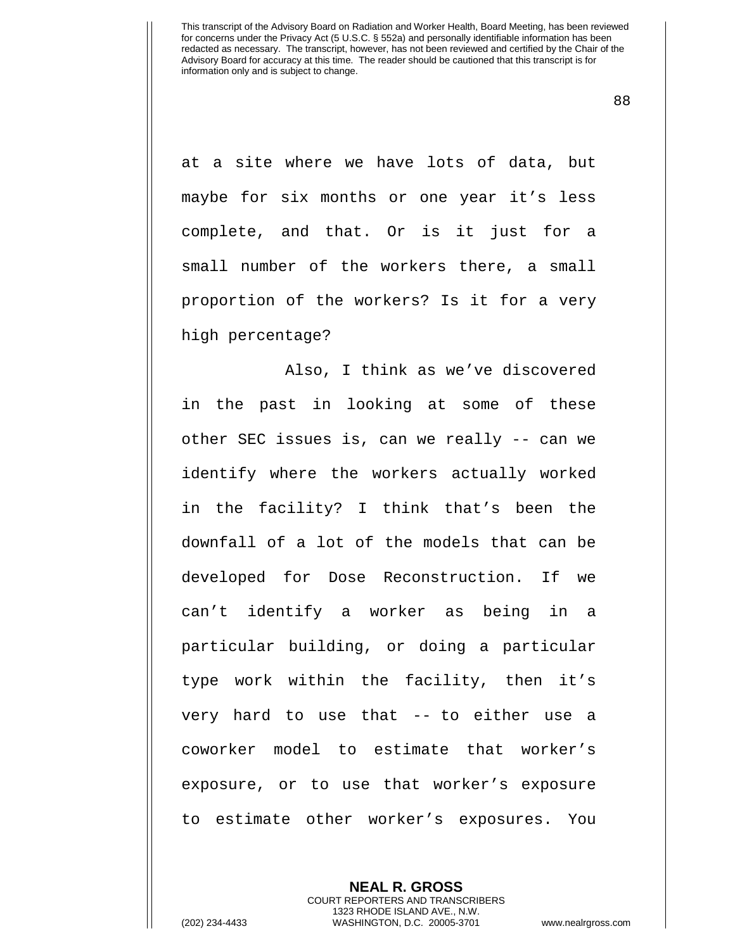88

at a site where we have lots of data, but maybe for six months or one year it's less complete, and that. Or is it just for a small number of the workers there, a small proportion of the workers? Is it for a very high percentage?

Also, I think as we've discovered in the past in looking at some of these other SEC issues is, can we really -- can we identify where the workers actually worked in the facility? I think that's been the downfall of a lot of the models that can be developed for Dose Reconstruction. If we can't identify a worker as being in a particular building, or doing a particular type work within the facility, then it's very hard to use that -- to either use a coworker model to estimate that worker's exposure, or to use that worker's exposure to estimate other worker's exposures. You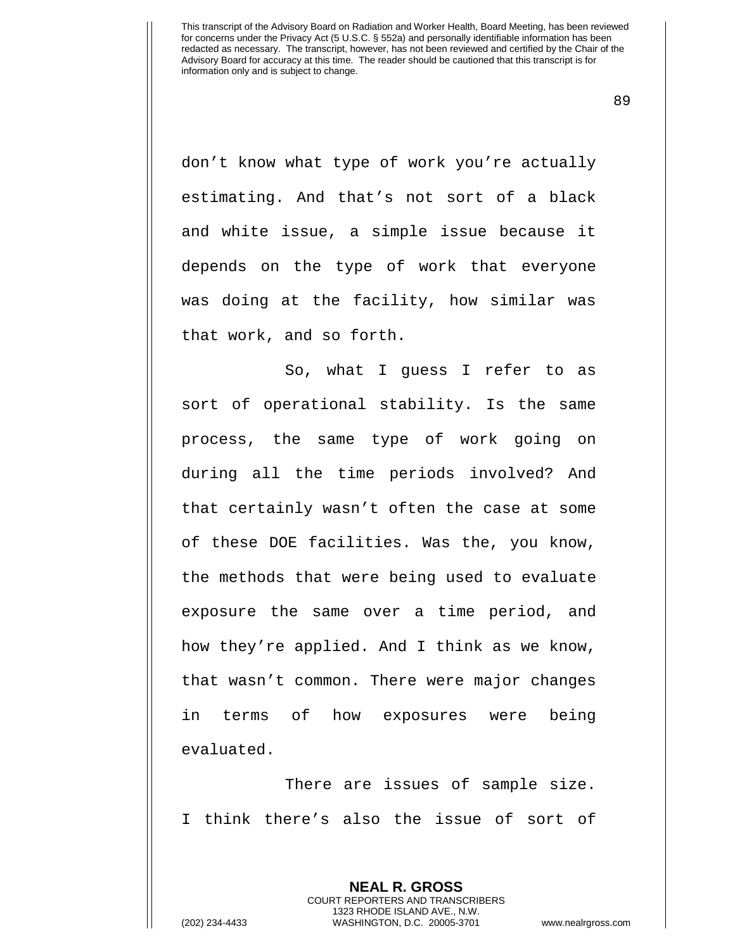89

don't know what type of work you're actually estimating. And that's not sort of a black and white issue, a simple issue because it depends on the type of work that everyone was doing at the facility, how similar was that work, and so forth.

So, what I guess I refer to as sort of operational stability. Is the same process, the same type of work going on during all the time periods involved? And that certainly wasn't often the case at some of these DOE facilities. Was the, you know, the methods that were being used to evaluate exposure the same over a time period, and how they're applied. And I think as we know, that wasn't common. There were major changes in terms of how exposures were being evaluated.

There are issues of sample size. I think there's also the issue of sort of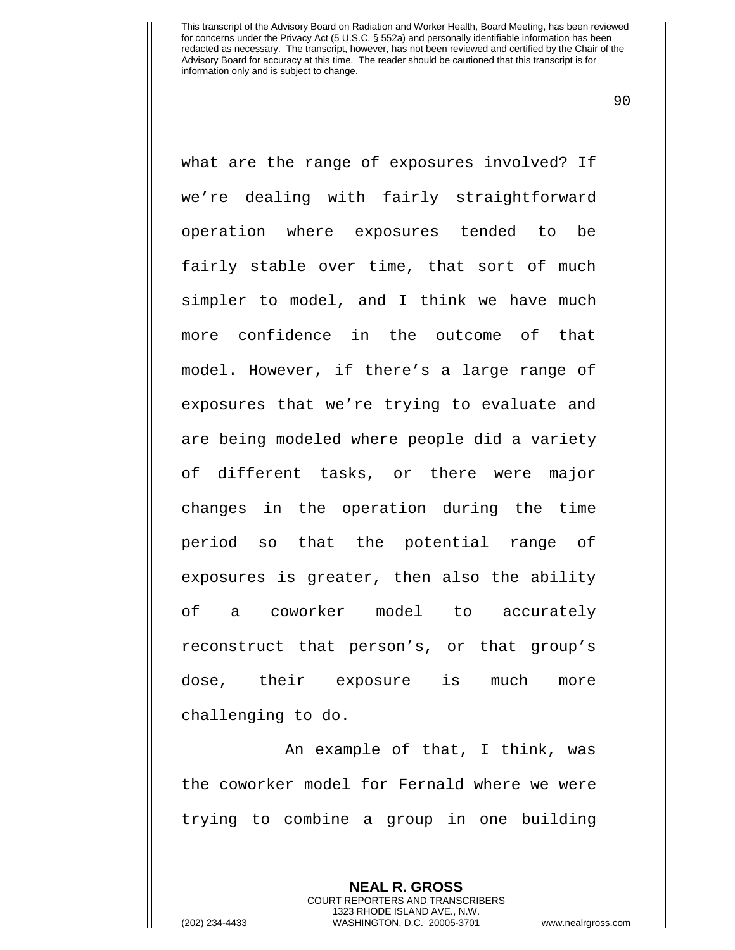90

what are the range of exposures involved? If we're dealing with fairly straightforward operation where exposures tended to be fairly stable over time, that sort of much simpler to model, and I think we have much more confidence in the outcome of that model. However, if there's a large range of exposures that we're trying to evaluate and are being modeled where people did a variety of different tasks, or there were major changes in the operation during the time period so that the potential range of exposures is greater, then also the ability of a coworker model to accurately reconstruct that person's, or that group's dose, their exposure is much more challenging to do.

An example of that, I think, was the coworker model for Fernald where we were trying to combine a group in one building

> **NEAL R. GROSS** COURT REPORTERS AND TRANSCRIBERS 1323 RHODE ISLAND AVE., N.W.

(202) 234-4433 WASHINGTON, D.C. 20005-3701 www.nealrgross.com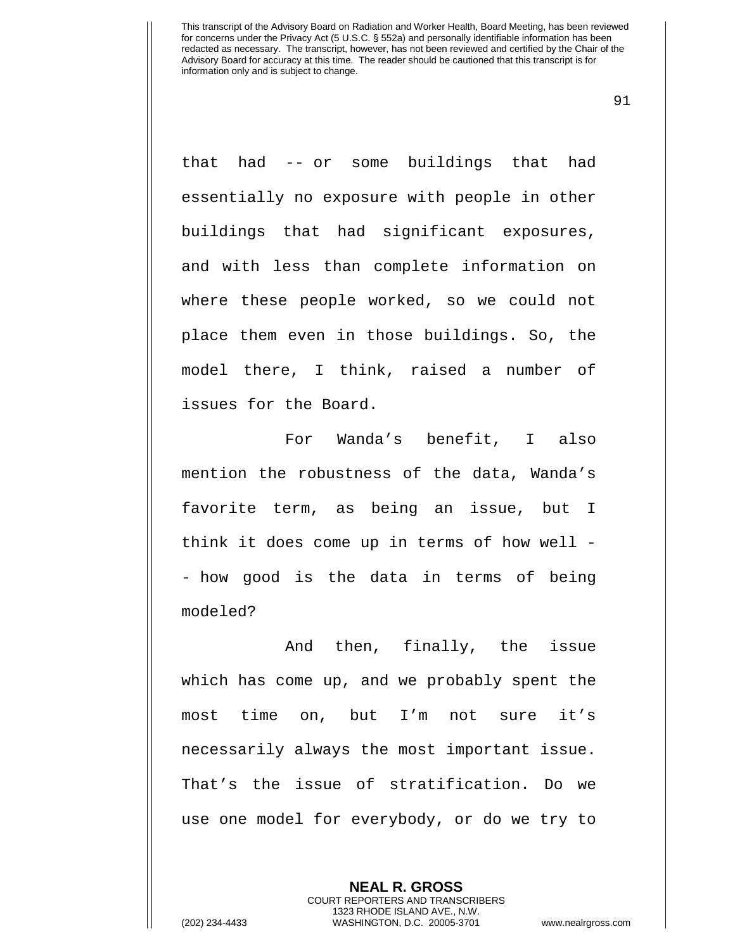91

that had -- or some buildings that had essentially no exposure with people in other buildings that had significant exposures, and with less than complete information on where these people worked, so we could not place them even in those buildings. So, the model there, I think, raised a number of issues for the Board.

For Wanda's benefit, I also mention the robustness of the data, Wanda's favorite term, as being an issue, but I think it does come up in terms of how well - - how good is the data in terms of being modeled?

And then, finally, the issue which has come up, and we probably spent the most time on, but I'm not sure it's necessarily always the most important issue. That's the issue of stratification. Do we use one model for everybody, or do we try to

> **NEAL R. GROSS** COURT REPORTERS AND TRANSCRIBERS 1323 RHODE ISLAND AVE., N.W.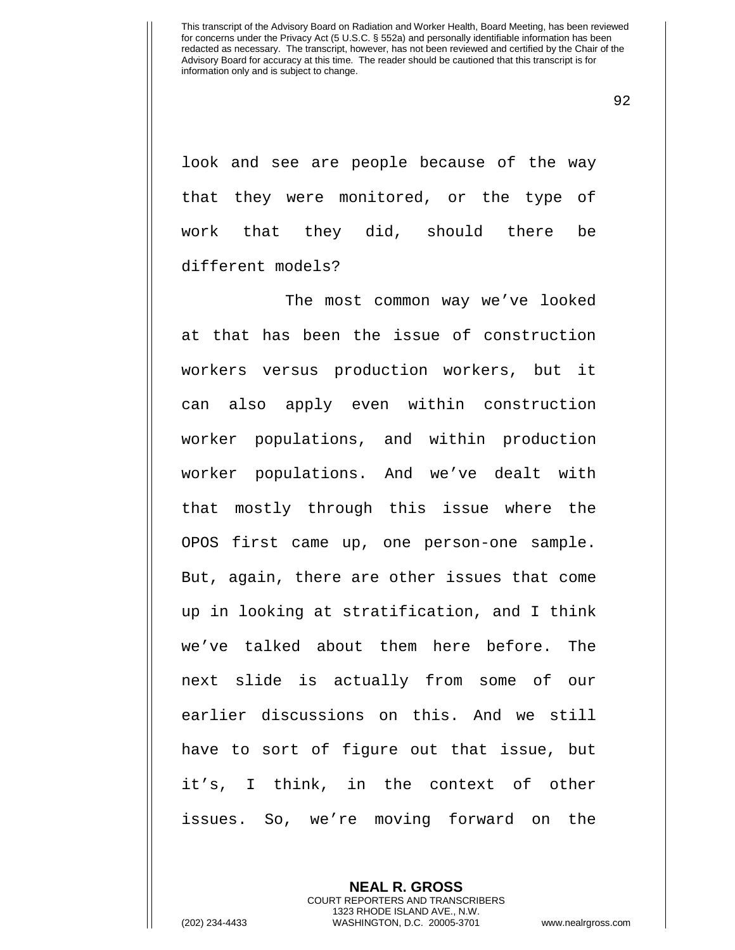92

look and see are people because of the way that they were monitored, or the type of work that they did, should there be different models?

The most common way we've looked at that has been the issue of construction workers versus production workers, but it can also apply even within construction worker populations, and within production worker populations. And we've dealt with that mostly through this issue where the OPOS first came up, one person-one sample. But, again, there are other issues that come up in looking at stratification, and I think we've talked about them here before. The next slide is actually from some of our earlier discussions on this. And we still have to sort of figure out that issue, but it's, I think, in the context of other issues. So, we're moving forward on the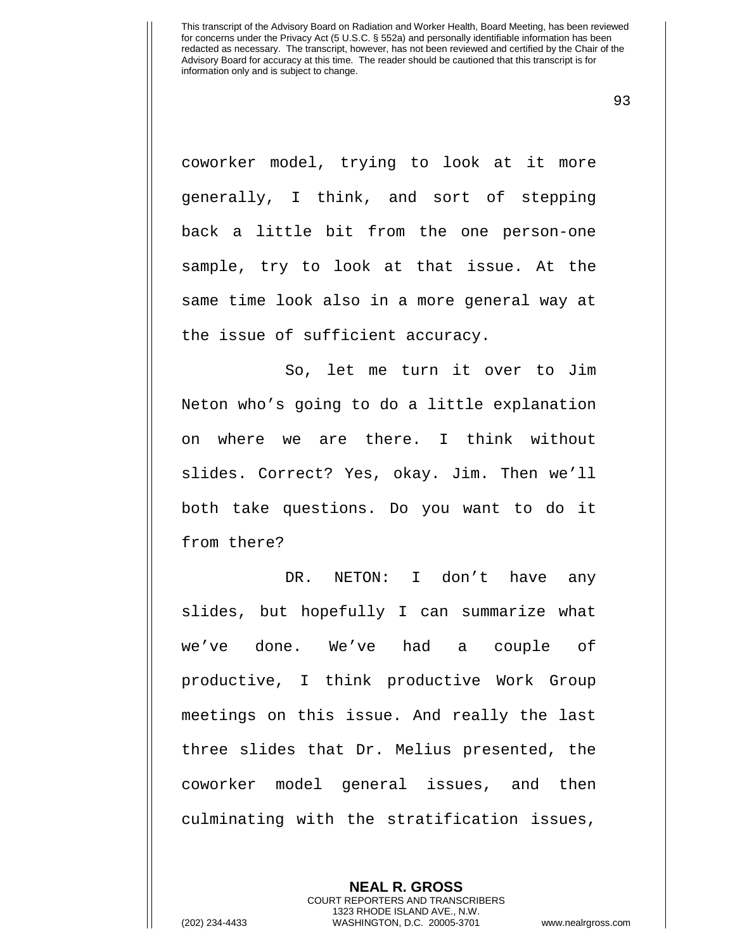93

coworker model, trying to look at it more generally, I think, and sort of stepping back a little bit from the one person-one sample, try to look at that issue. At the same time look also in a more general way at the issue of sufficient accuracy.

So, let me turn it over to Jim Neton who's going to do a little explanation on where we are there. I think without slides. Correct? Yes, okay. Jim. Then we'll both take questions. Do you want to do it from there?

DR. NETON: I don't have any slides, but hopefully I can summarize what we've done. We've had a couple of productive, I think productive Work Group meetings on this issue. And really the last three slides that Dr. Melius presented, the coworker model general issues, and then culminating with the stratification issues,

> **NEAL R. GROSS** COURT REPORTERS AND TRANSCRIBERS 1323 RHODE ISLAND AVE., N.W.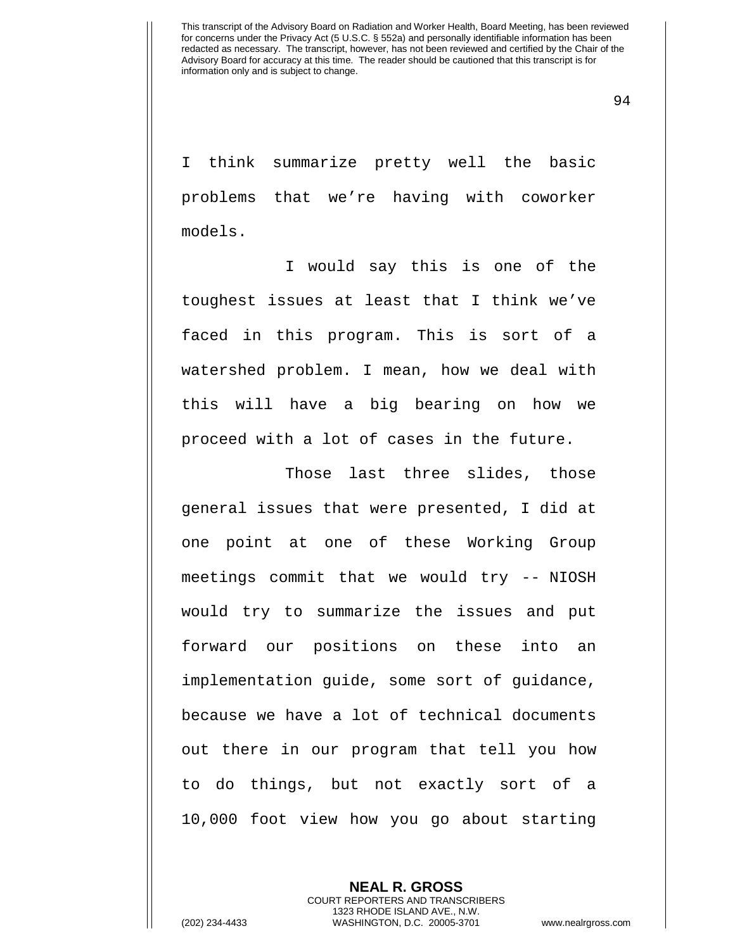94

I think summarize pretty well the basic problems that we're having with coworker models.

I would say this is one of the toughest issues at least that I think we've faced in this program. This is sort of a watershed problem. I mean, how we deal with this will have a big bearing on how we proceed with a lot of cases in the future.

Those last three slides, those general issues that were presented, I did at one point at one of these Working Group meetings commit that we would try -- NIOSH would try to summarize the issues and put forward our positions on these into an implementation guide, some sort of guidance, because we have a lot of technical documents out there in our program that tell you how to do things, but not exactly sort of a 10,000 foot view how you go about starting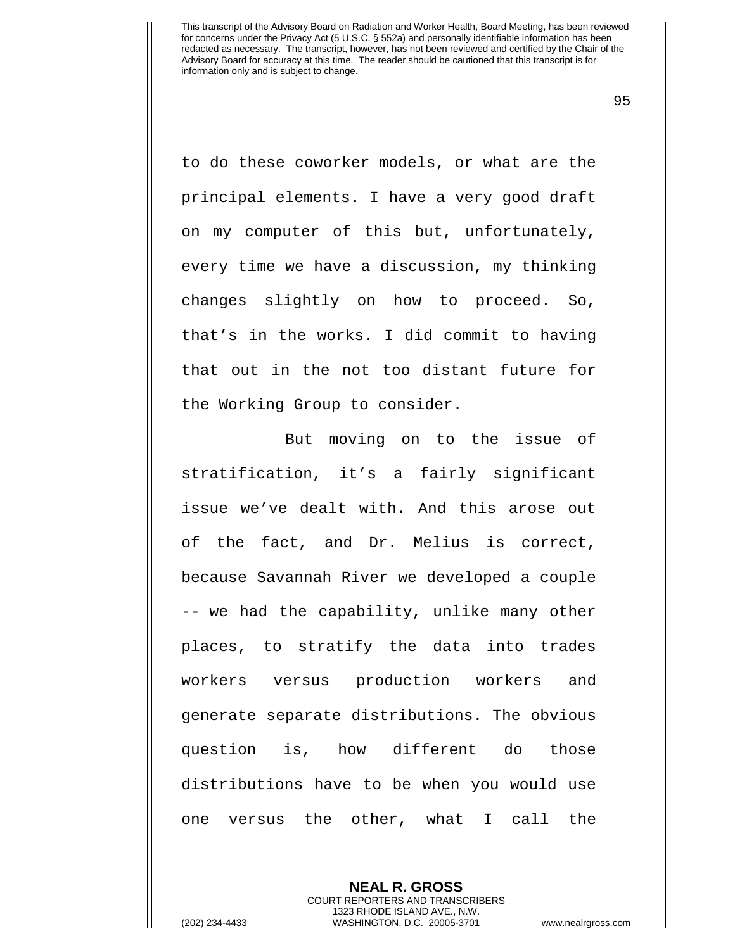95

to do these coworker models, or what are the principal elements. I have a very good draft on my computer of this but, unfortunately, every time we have a discussion, my thinking changes slightly on how to proceed. So, that's in the works. I did commit to having that out in the not too distant future for the Working Group to consider.

But moving on to the issue of stratification, it's a fairly significant issue we've dealt with. And this arose out of the fact, and Dr. Melius is correct, because Savannah River we developed a couple -- we had the capability, unlike many other places, to stratify the data into trades workers versus production workers and generate separate distributions. The obvious question is, how different do those distributions have to be when you would use one versus the other, what I call the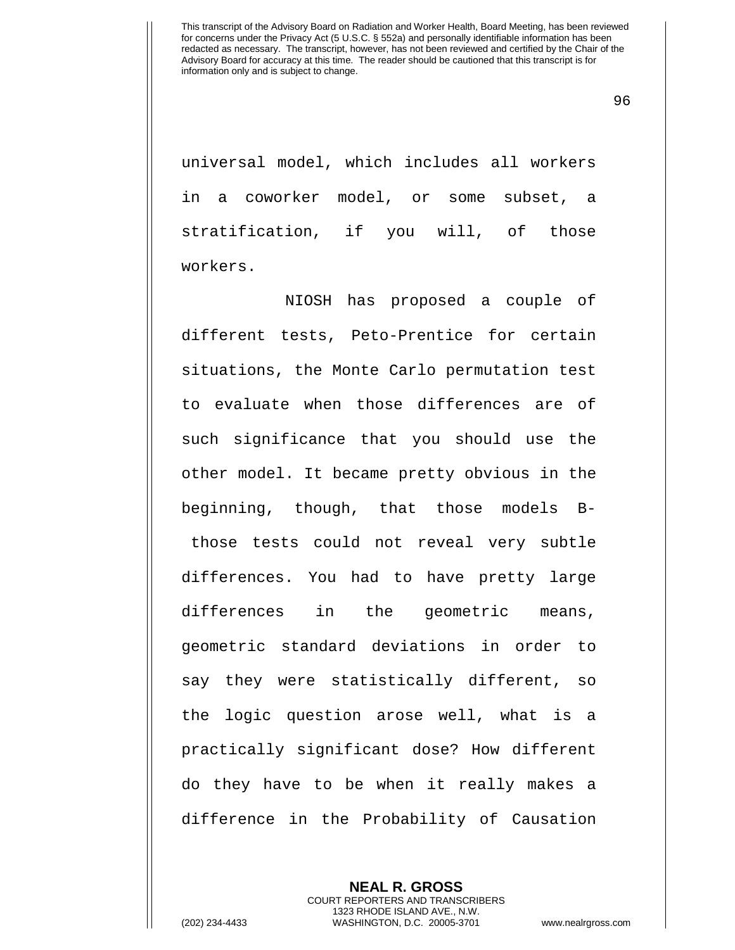96

universal model, which includes all workers in a coworker model, or some subset, a stratification, if you will, of those workers.

NIOSH has proposed a couple of different tests, Peto-Prentice for certain situations, the Monte Carlo permutation test to evaluate when those differences are of such significance that you should use the other model. It became pretty obvious in the beginning, though, that those models Bthose tests could not reveal very subtle differences. You had to have pretty large differences in the geometric means, geometric standard deviations in order to say they were statistically different, so the logic question arose well, what is a practically significant dose? How different do they have to be when it really makes a difference in the Probability of Causation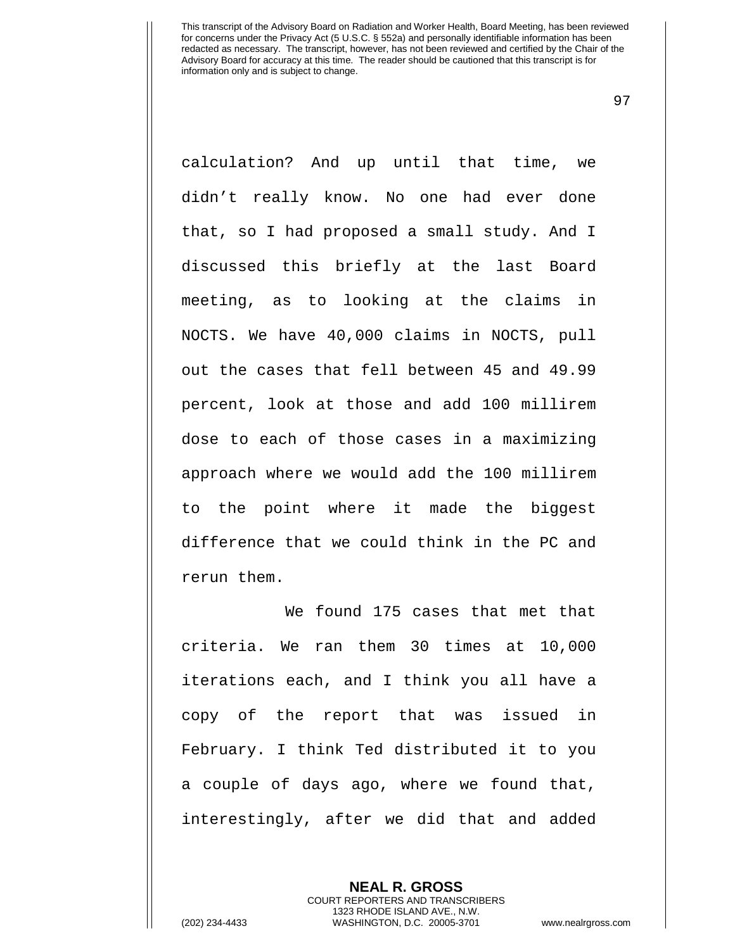97

calculation? And up until that time, we didn't really know. No one had ever done that, so I had proposed a small study. And I discussed this briefly at the last Board meeting, as to looking at the claims in NOCTS. We have 40,000 claims in NOCTS, pull out the cases that fell between 45 and 49.99 percent, look at those and add 100 millirem dose to each of those cases in a maximizing approach where we would add the 100 millirem to the point where it made the biggest difference that we could think in the PC and rerun them.

We found 175 cases that met that criteria. We ran them 30 times at 10,000 iterations each, and I think you all have a copy of the report that was issued in February. I think Ted distributed it to you a couple of days ago, where we found that, interestingly, after we did that and added

> **NEAL R. GROSS** COURT REPORTERS AND TRANSCRIBERS 1323 RHODE ISLAND AVE., N.W.

(202) 234-4433 WASHINGTON, D.C. 20005-3701 www.nealrgross.com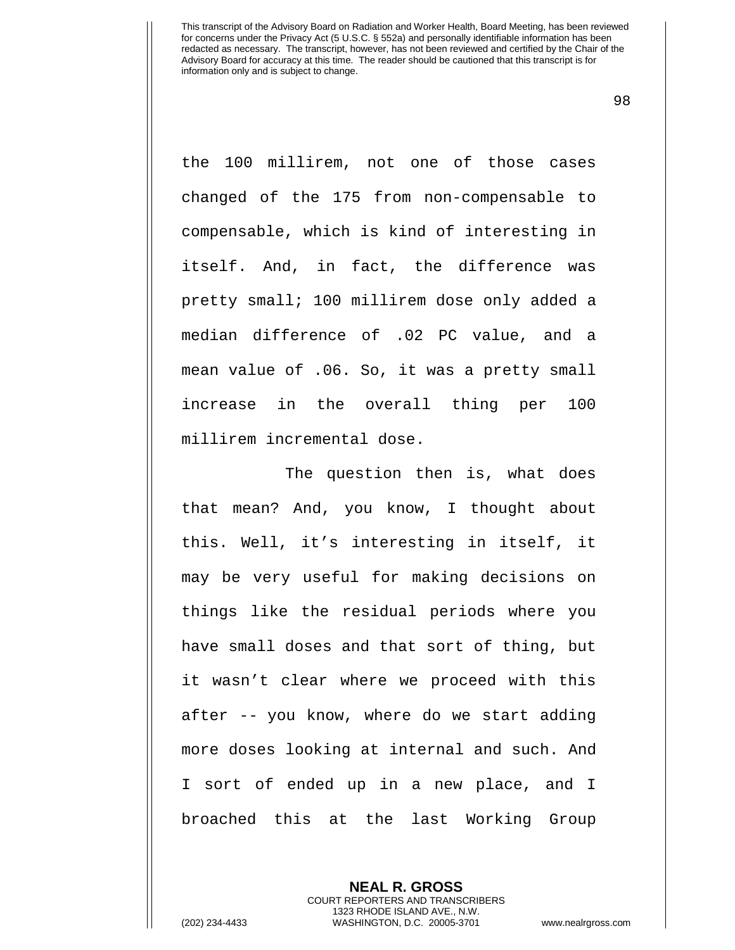98

the 100 millirem, not one of those cases changed of the 175 from non-compensable to compensable, which is kind of interesting in itself. And, in fact, the difference was pretty small; 100 millirem dose only added a median difference of .02 PC value, and a mean value of .06. So, it was a pretty small increase in the overall thing per 100 millirem incremental dose.

The question then is, what does that mean? And, you know, I thought about this. Well, it's interesting in itself, it may be very useful for making decisions on things like the residual periods where you have small doses and that sort of thing, but it wasn't clear where we proceed with this after -- you know, where do we start adding more doses looking at internal and such. And I sort of ended up in a new place, and I broached this at the last Working Group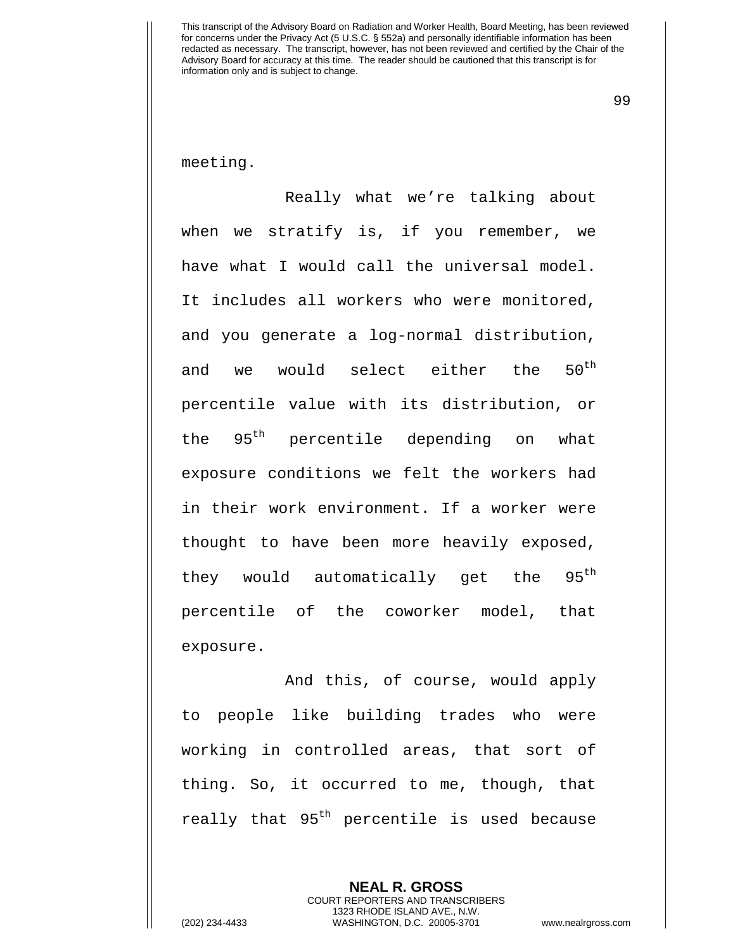99

meeting.

Really what we're talking about when we stratify is, if you remember, we have what I would call the universal model. It includes all workers who were monitored, and you generate a log-normal distribution, and we would select either the  $50^{\text{th}}$ percentile value with its distribution, or the 95<sup>th</sup> percentile depending on what exposure conditions we felt the workers had in their work environment. If a worker were thought to have been more heavily exposed, they would automatically get the 95<sup>th</sup> percentile of the coworker model, that exposure.

And this, of course, would apply to people like building trades who were working in controlled areas, that sort of thing. So, it occurred to me, though, that really that 95<sup>th</sup> percentile is used because

> **NEAL R. GROSS** COURT REPORTERS AND TRANSCRIBERS 1323 RHODE ISLAND AVE., N.W.

(202) 234-4433 WASHINGTON, D.C. 20005-3701 www.nealrgross.com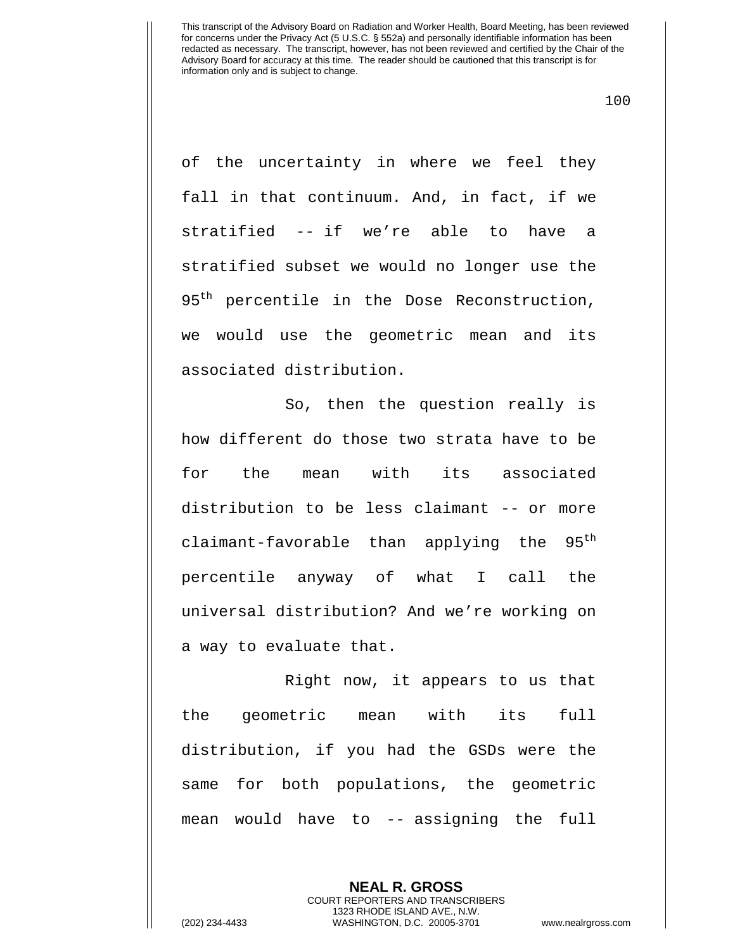100

of the uncertainty in where we feel they fall in that continuum. And, in fact, if we stratified -- if we're able to have a stratified subset we would no longer use the 95<sup>th</sup> percentile in the Dose Reconstruction, we would use the geometric mean and its associated distribution.

So, then the question really is how different do those two strata have to be for the mean with its associated distribution to be less claimant -- or more claimant-favorable than applying the  $95<sup>th</sup>$ percentile anyway of what I call the universal distribution? And we're working on a way to evaluate that.

Right now, it appears to us that the geometric mean with its full distribution, if you had the GSDs were the same for both populations, the geometric mean would have to -- assigning the full

> **NEAL R. GROSS** COURT REPORTERS AND TRANSCRIBERS 1323 RHODE ISLAND AVE., N.W.

(202) 234-4433 WASHINGTON, D.C. 20005-3701 www.nealrgross.com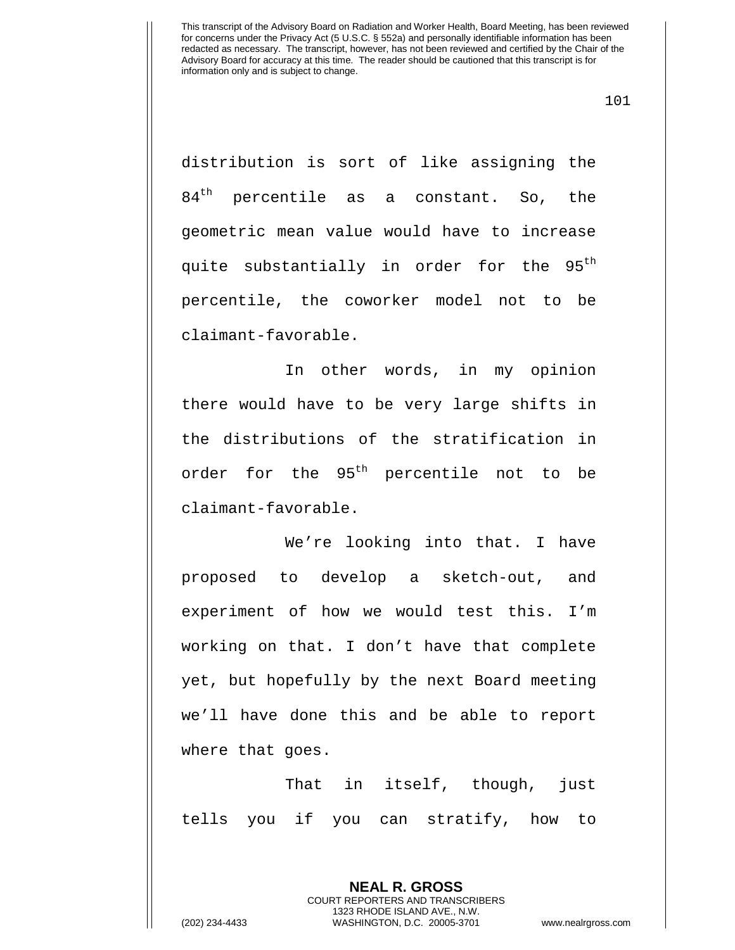101

distribution is sort of like assigning the  $84<sup>th</sup>$  percentile as a constant. So, the geometric mean value would have to increase quite substantially in order for the 95<sup>th</sup> percentile, the coworker model not to be claimant-favorable.

In other words, in my opinion there would have to be very large shifts in the distributions of the stratification in order for the 95<sup>th</sup> percentile not to be claimant-favorable.

We're looking into that. I have proposed to develop a sketch-out, and experiment of how we would test this. I'm working on that. I don't have that complete yet, but hopefully by the next Board meeting we'll have done this and be able to report where that goes.

That in itself, though, just tells you if you can stratify, how to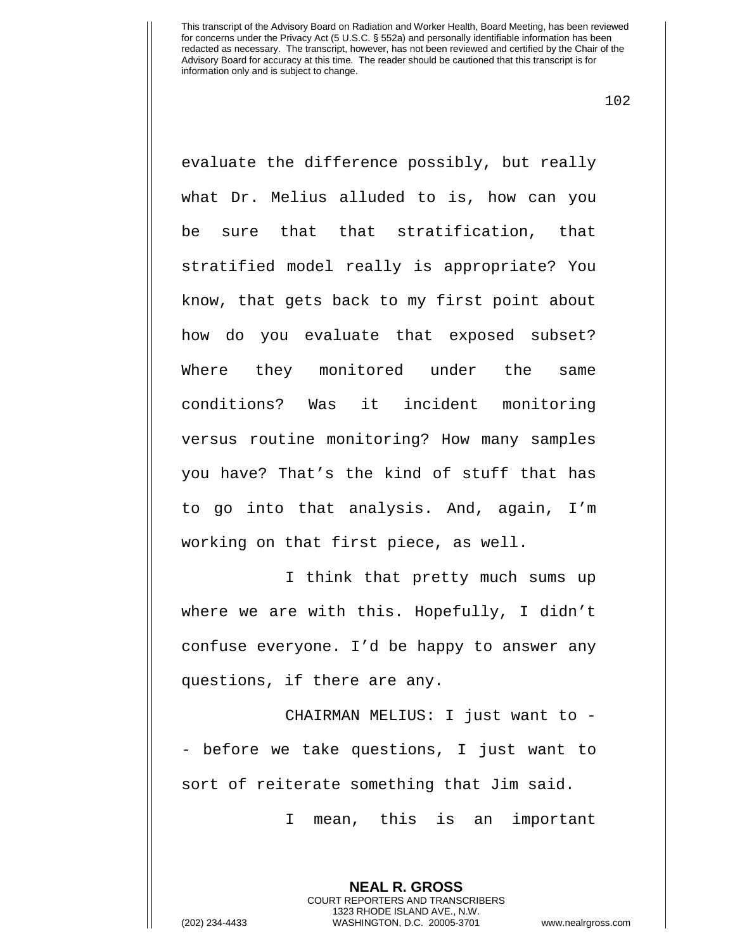102

evaluate the difference possibly, but really what Dr. Melius alluded to is, how can you be sure that that stratification, that stratified model really is appropriate? You know, that gets back to my first point about how do you evaluate that exposed subset? Where they monitored under the same conditions? Was it incident monitoring versus routine monitoring? How many samples you have? That's the kind of stuff that has to go into that analysis. And, again, I'm working on that first piece, as well.

I think that pretty much sums up where we are with this. Hopefully, I didn't confuse everyone. I'd be happy to answer any questions, if there are any.

CHAIRMAN MELIUS: I just want to - - before we take questions, I just want to sort of reiterate something that Jim said.

I mean, this is an important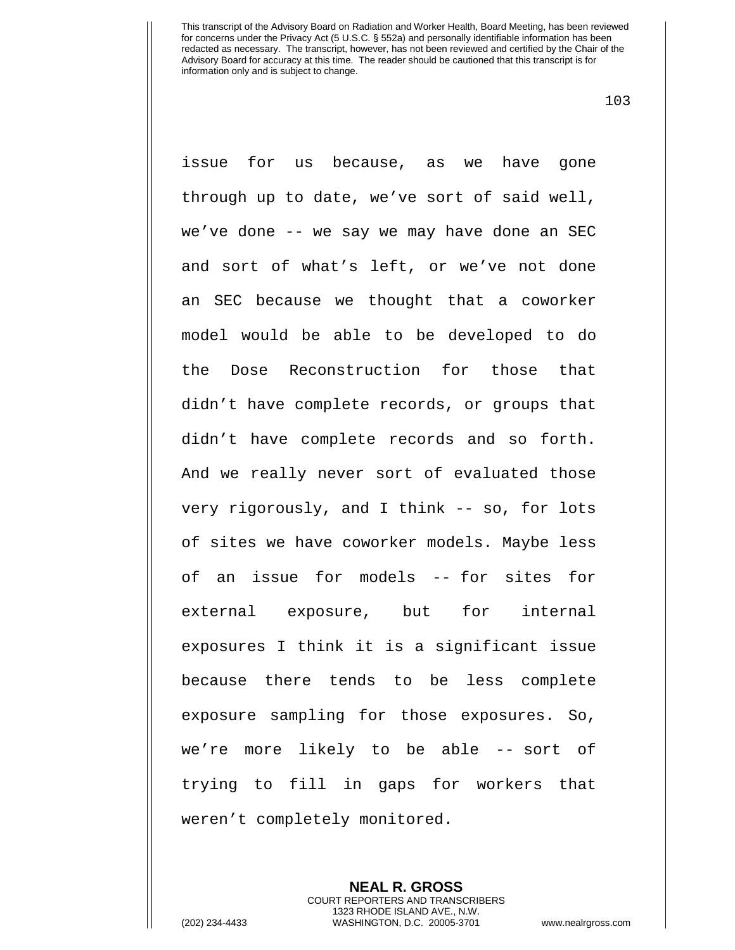103

issue for us because, as we have gone through up to date, we've sort of said well, we've done -- we say we may have done an SEC and sort of what's left, or we've not done an SEC because we thought that a coworker model would be able to be developed to do the Dose Reconstruction for those that didn't have complete records, or groups that didn't have complete records and so forth. And we really never sort of evaluated those very rigorously, and I think -- so, for lots of sites we have coworker models. Maybe less of an issue for models -- for sites for external exposure, but for internal exposures I think it is a significant issue because there tends to be less complete exposure sampling for those exposures. So, we're more likely to be able -- sort of trying to fill in gaps for workers that weren't completely monitored.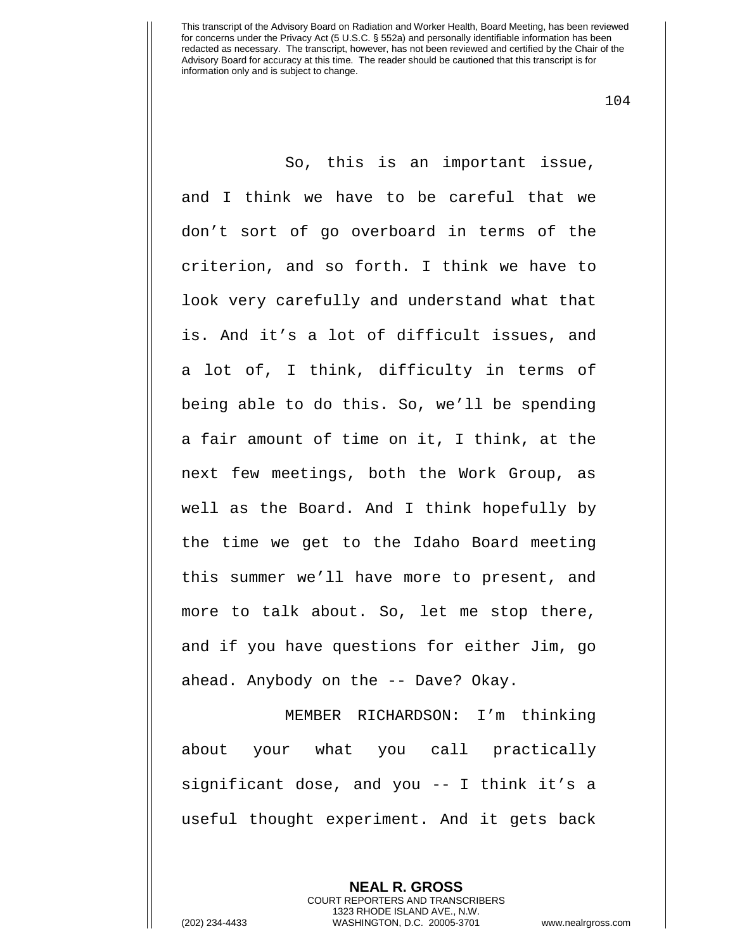104

So, this is an important issue, and I think we have to be careful that we don't sort of go overboard in terms of the criterion, and so forth. I think we have to look very carefully and understand what that is. And it's a lot of difficult issues, and a lot of, I think, difficulty in terms of being able to do this. So, we'll be spending a fair amount of time on it, I think, at the next few meetings, both the Work Group, as well as the Board. And I think hopefully by the time we get to the Idaho Board meeting this summer we'll have more to present, and more to talk about. So, let me stop there, and if you have questions for either Jim, go ahead. Anybody on the -- Dave? Okay.

MEMBER RICHARDSON: I'm thinking about your what you call practically significant dose, and you -- I think it's a useful thought experiment. And it gets back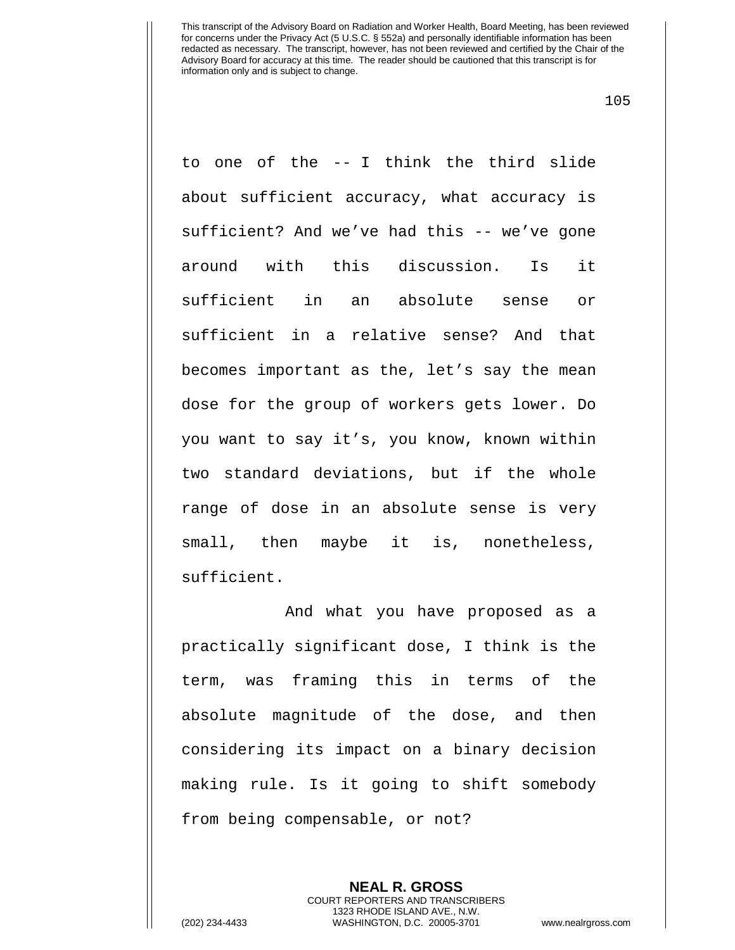105

to one of the -- I think the third slide about sufficient accuracy, what accuracy is sufficient? And we've had this -- we've gone around with this discussion. Is it sufficient in an absolute sense or sufficient in a relative sense? And that becomes important as the, let's say the mean dose for the group of workers gets lower. Do you want to say it's, you know, known within two standard deviations, but if the whole range of dose in an absolute sense is very small, then maybe it is, nonetheless, sufficient.

And what you have proposed as a practically significant dose, I think is the term, was framing this in terms of the absolute magnitude of the dose, and then considering its impact on a binary decision making rule. Is it going to shift somebody from being compensable, or not?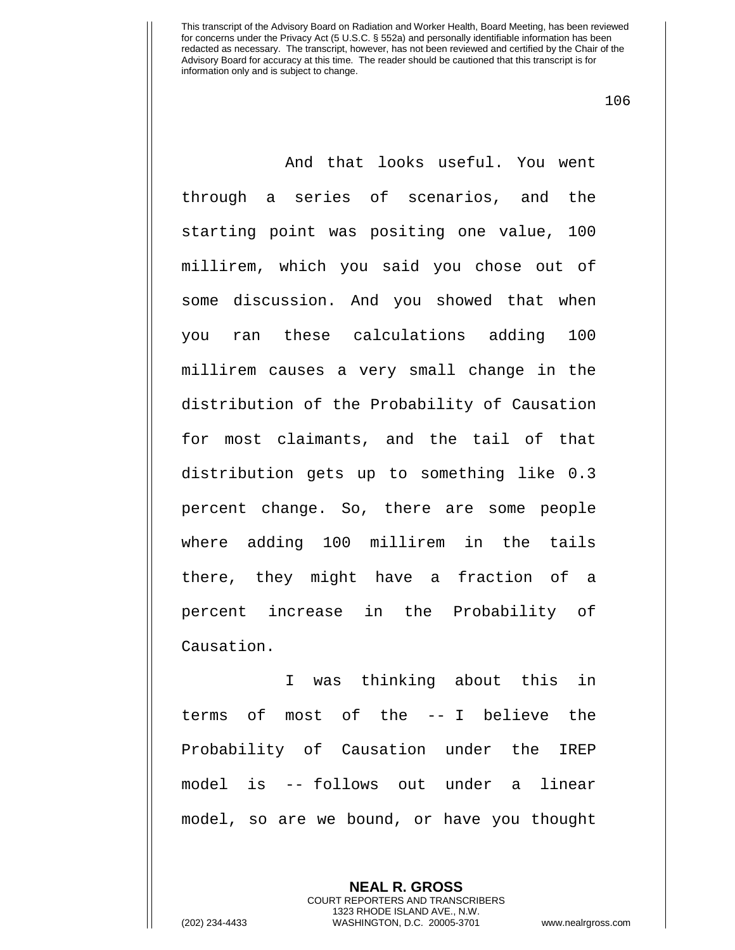106

And that looks useful. You went through a series of scenarios, and the starting point was positing one value, 100 millirem, which you said you chose out of some discussion. And you showed that when you ran these calculations adding 100 millirem causes a very small change in the distribution of the Probability of Causation for most claimants, and the tail of that distribution gets up to something like 0.3 percent change. So, there are some people where adding 100 millirem in the tails there, they might have a fraction of a percent increase in the Probability of Causation.

I was thinking about this in terms of most of the -- I believe the Probability of Causation under the IREP model is -- follows out under a linear model, so are we bound, or have you thought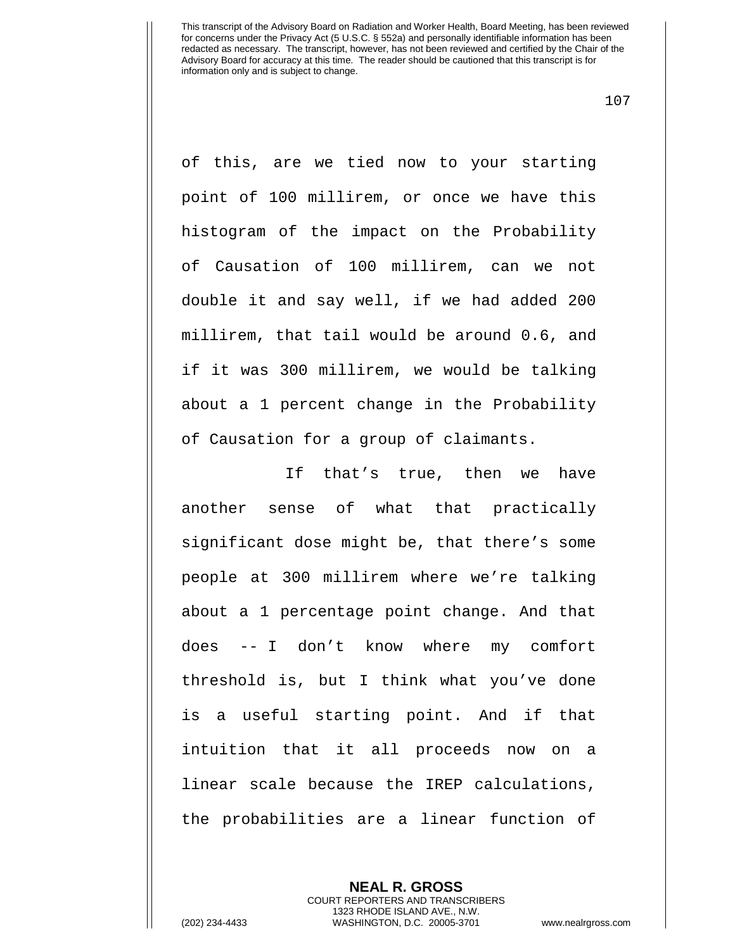107

of this, are we tied now to your starting point of 100 millirem, or once we have this histogram of the impact on the Probability of Causation of 100 millirem, can we not double it and say well, if we had added 200 millirem, that tail would be around 0.6, and if it was 300 millirem, we would be talking about a 1 percent change in the Probability of Causation for a group of claimants.

If that's true, then we have another sense of what that practically significant dose might be, that there's some people at 300 millirem where we're talking about a 1 percentage point change. And that does -- I don't know where my comfort threshold is, but I think what you've done is a useful starting point. And if that intuition that it all proceeds now on a linear scale because the IREP calculations, the probabilities are a linear function of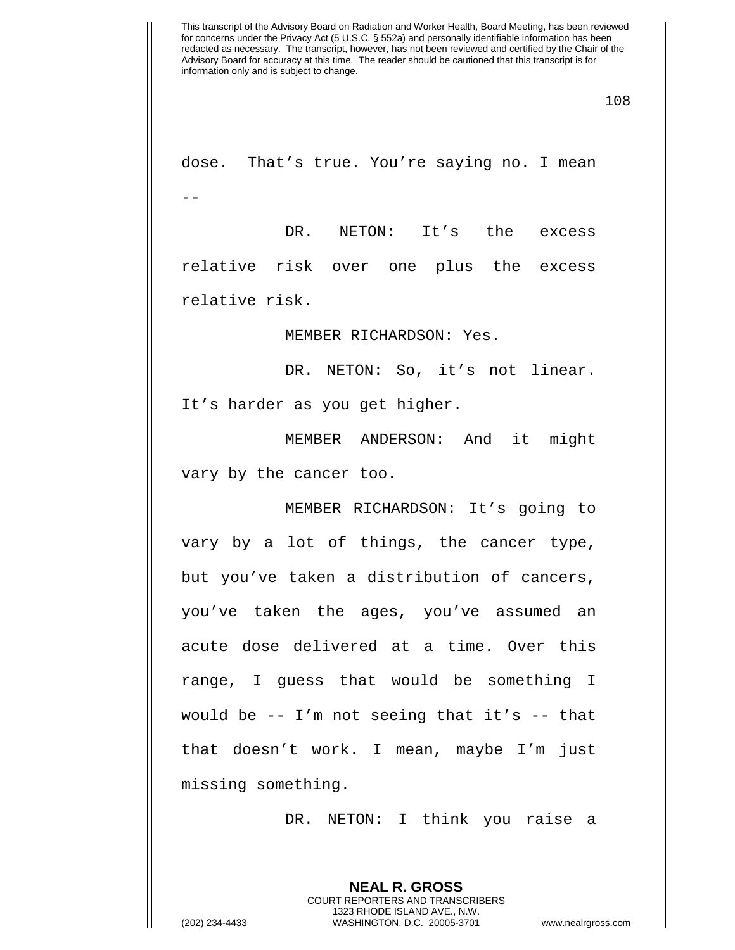108

dose. That's true. You're saying no. I mean --

DR. NETON: It's the excess relative risk over one plus the excess relative risk.

MEMBER RICHARDSON: Yes.

DR. NETON: So, it's not linear.

It's harder as you get higher.

MEMBER ANDERSON: And it might vary by the cancer too.

MEMBER RICHARDSON: It's going to vary by a lot of things, the cancer type, but you've taken a distribution of cancers, you've taken the ages, you've assumed an acute dose delivered at a time. Over this range, I guess that would be something I would be  $-$  I'm not seeing that it's  $-$  that that doesn't work. I mean, maybe I'm just missing something.

DR. NETON: I think you raise a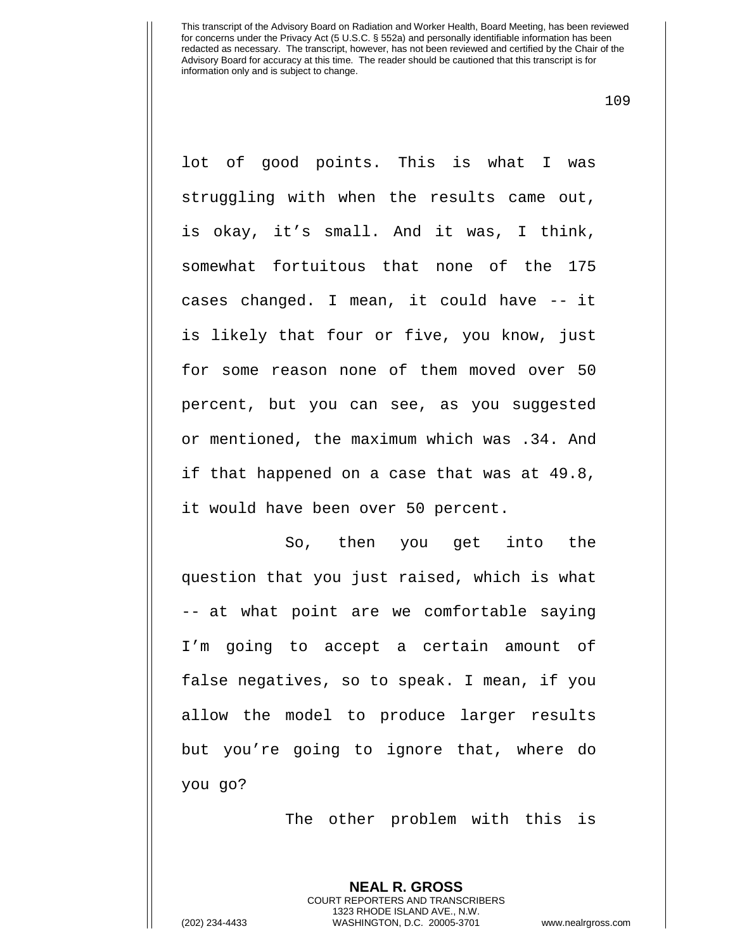109

lot of good points. This is what I was struggling with when the results came out, is okay, it's small. And it was, I think, somewhat fortuitous that none of the 175 cases changed. I mean, it could have -- it is likely that four or five, you know, just for some reason none of them moved over 50 percent, but you can see, as you suggested or mentioned, the maximum which was .34. And if that happened on a case that was at 49.8, it would have been over 50 percent.

So, then you get into the question that you just raised, which is what -- at what point are we comfortable saying I'm going to accept a certain amount of false negatives, so to speak. I mean, if you allow the model to produce larger results but you're going to ignore that, where do you go?

The other problem with this is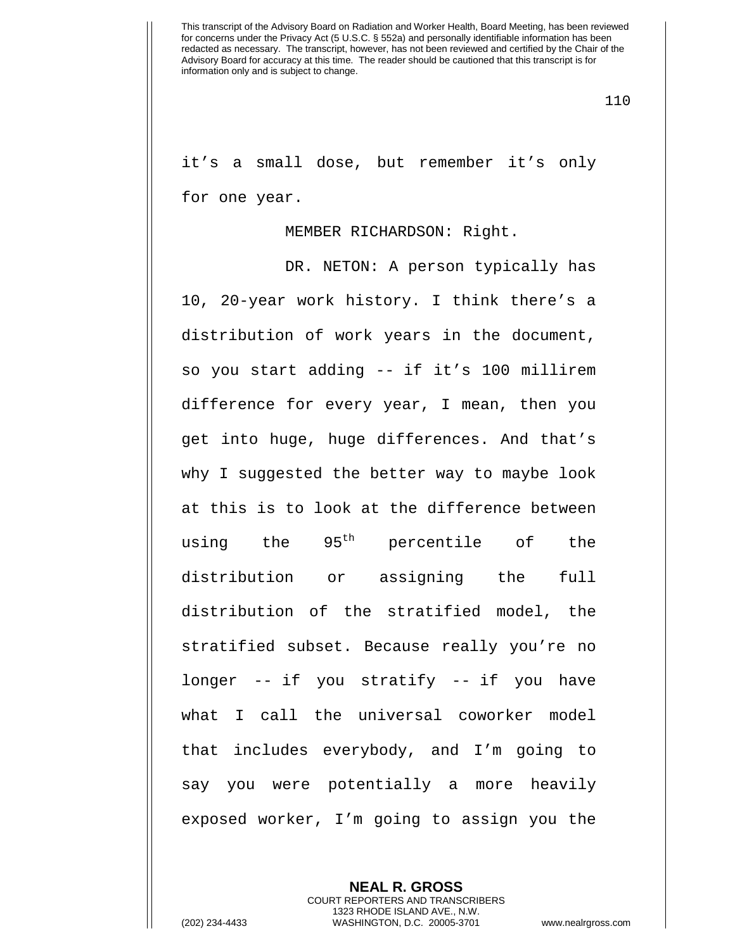110

it's a small dose, but remember it's only for one year.

## MEMBER RICHARDSON: Right.

DR. NETON: A person typically has 10, 20-year work history. I think there's a distribution of work years in the document, so you start adding -- if it's 100 millirem difference for every year, I mean, then you get into huge, huge differences. And that's why I suggested the better way to maybe look at this is to look at the difference between using the  $95<sup>th</sup>$  percentile of the distribution or assigning the full distribution of the stratified model, the stratified subset. Because really you're no longer -- if you stratify -- if you have what I call the universal coworker model that includes everybody, and I'm going to say you were potentially a more heavily exposed worker, I'm going to assign you the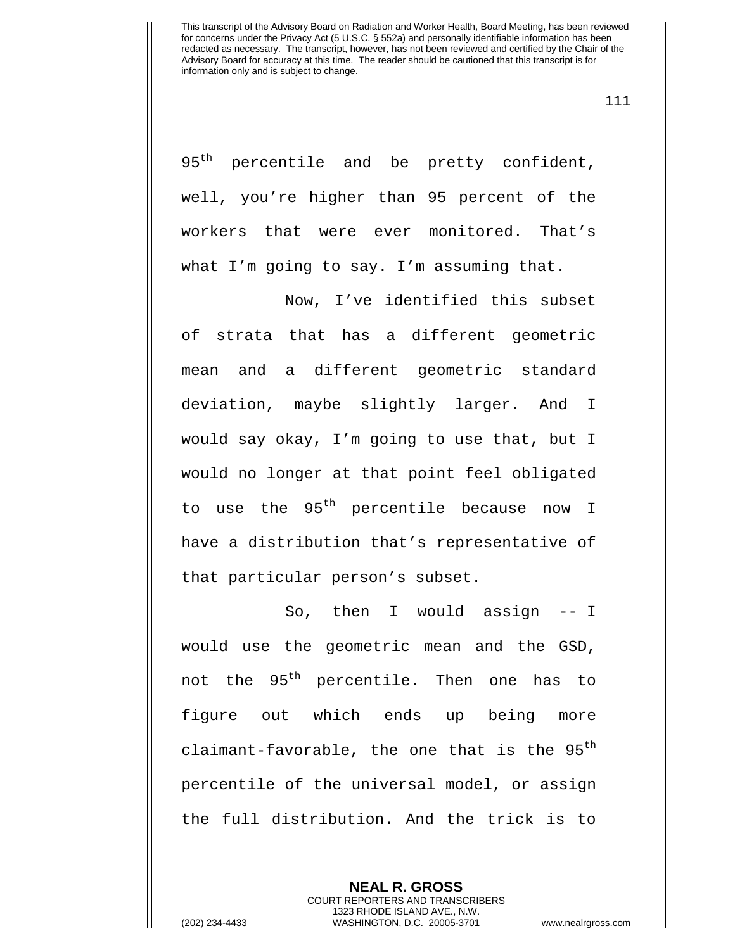111

95<sup>th</sup> percentile and be pretty confident, well, you're higher than 95 percent of the workers that were ever monitored. That's what I'm going to say. I'm assuming that.

Now, I've identified this subset of strata that has a different geometric mean and a different geometric standard deviation, maybe slightly larger. And I would say okay, I'm going to use that, but I would no longer at that point feel obligated to use the 95<sup>th</sup> percentile because now I have a distribution that's representative of that particular person's subset.

So, then I would assign -- I would use the geometric mean and the GSD, not the 95<sup>th</sup> percentile. Then one has to figure out which ends up being more claimant-favorable, the one that is the  $95<sup>th</sup>$ percentile of the universal model, or assign the full distribution. And the trick is to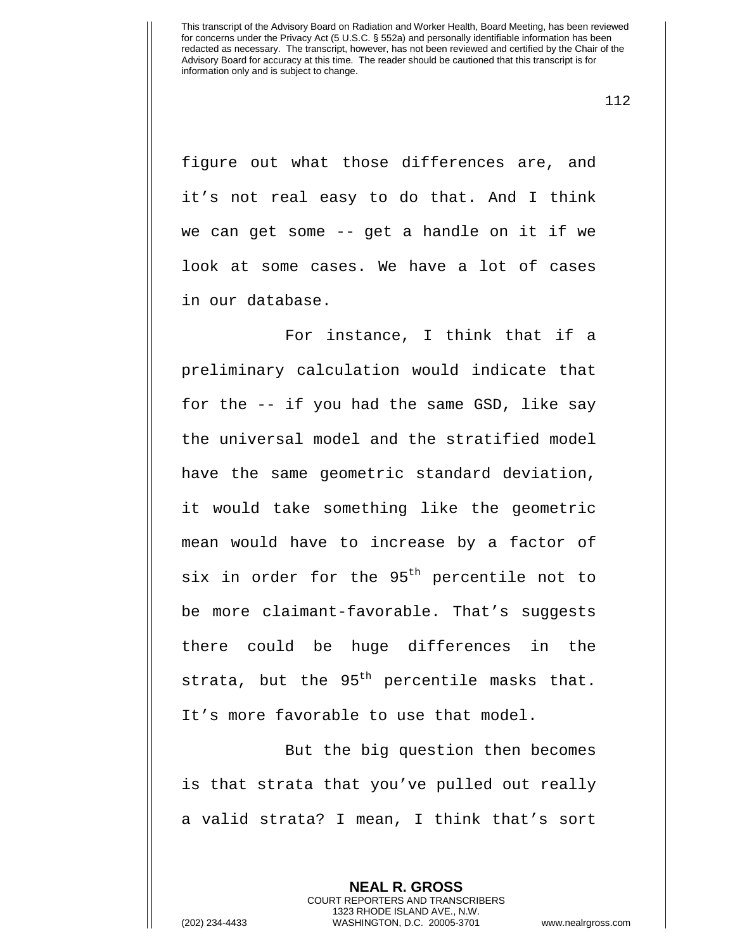112

figure out what those differences are, and it's not real easy to do that. And I think we can get some -- get a handle on it if we look at some cases. We have a lot of cases in our database.

For instance, I think that if a preliminary calculation would indicate that for the -- if you had the same GSD, like say the universal model and the stratified model have the same geometric standard deviation, it would take something like the geometric mean would have to increase by a factor of six in order for the 95<sup>th</sup> percentile not to be more claimant-favorable. That's suggests there could be huge differences in the strata, but the  $95<sup>th</sup>$  percentile masks that. It's more favorable to use that model.

But the big question then becomes is that strata that you've pulled out really a valid strata? I mean, I think that's sort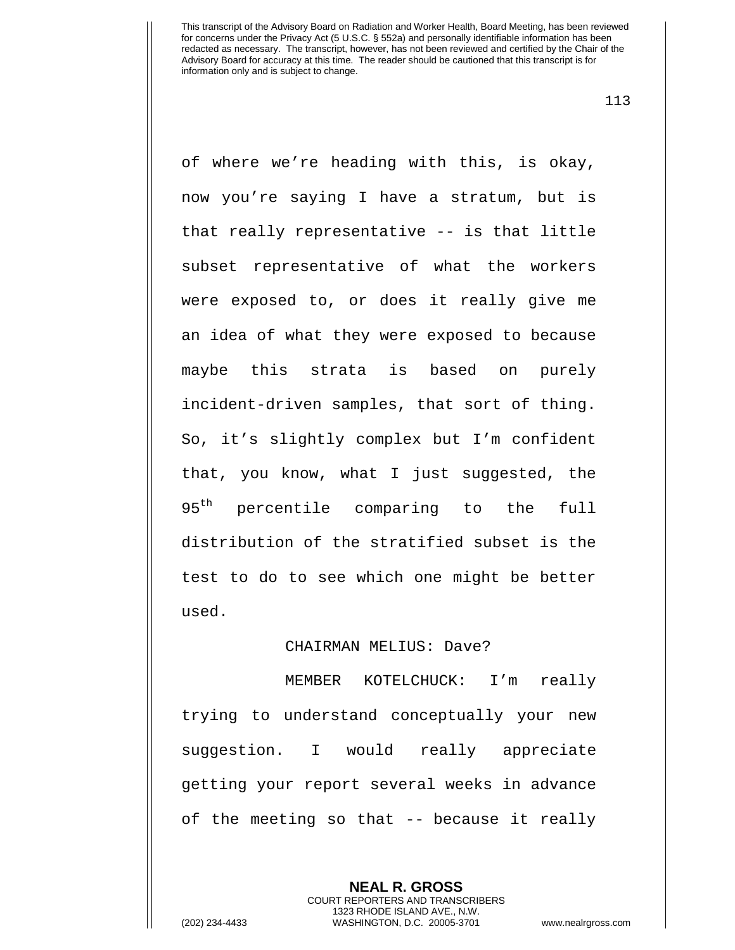113

of where we're heading with this, is okay, now you're saying I have a stratum, but is that really representative -- is that little subset representative of what the workers were exposed to, or does it really give me an idea of what they were exposed to because maybe this strata is based on purely incident-driven samples, that sort of thing. So, it's slightly complex but I'm confident that, you know, what I just suggested, the 95<sup>th</sup> percentile comparing to the full distribution of the stratified subset is the test to do to see which one might be better used.

## CHAIRMAN MELIUS: Dave?

MEMBER KOTELCHUCK: I'm really trying to understand conceptually your new suggestion. I would really appreciate getting your report several weeks in advance of the meeting so that -- because it really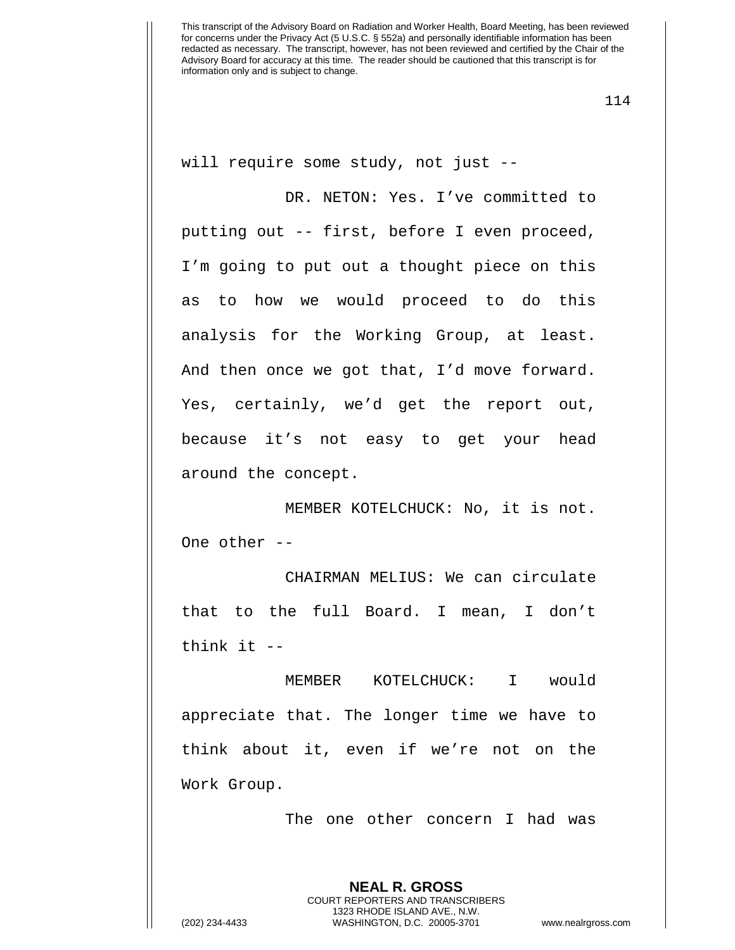114

will require some study, not just --

DR. NETON: Yes. I've committed to putting out -- first, before I even proceed, I'm going to put out a thought piece on this as to how we would proceed to do this analysis for the Working Group, at least. And then once we got that, I'd move forward. Yes, certainly, we'd get the report out, because it's not easy to get your head around the concept.

MEMBER KOTELCHUCK: No, it is not. One other --

CHAIRMAN MELIUS: We can circulate that to the full Board. I mean, I don't think it --

MEMBER KOTELCHUCK: I would appreciate that. The longer time we have to think about it, even if we're not on the Work Group.

The one other concern I had was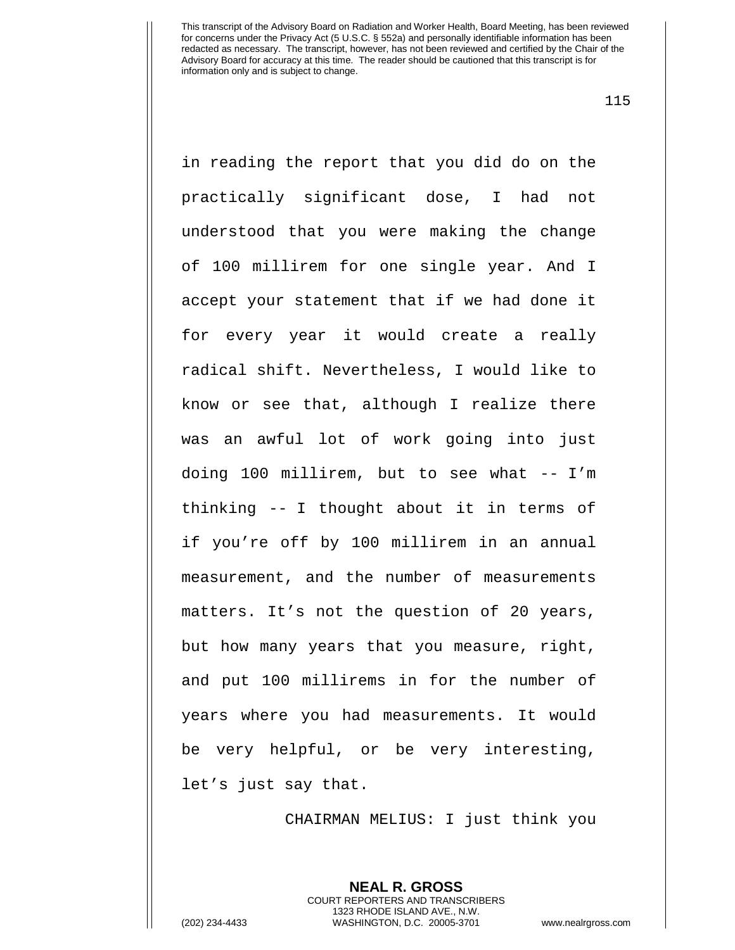115

in reading the report that you did do on the practically significant dose, I had not understood that you were making the change of 100 millirem for one single year. And I accept your statement that if we had done it for every year it would create a really radical shift. Nevertheless, I would like to know or see that, although I realize there was an awful lot of work going into just doing 100 millirem, but to see what -- I'm thinking -- I thought about it in terms of if you're off by 100 millirem in an annual measurement, and the number of measurements matters. It's not the question of 20 years, but how many years that you measure, right, and put 100 millirems in for the number of years where you had measurements. It would be very helpful, or be very interesting, let's just say that.

CHAIRMAN MELIUS: I just think you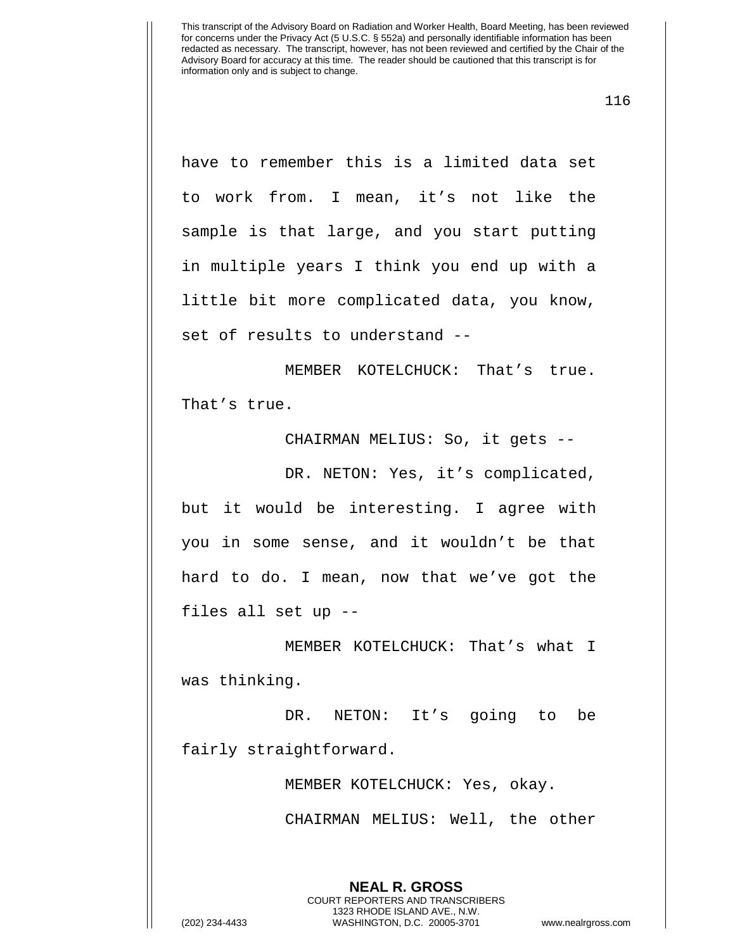116

have to remember this is a limited data set to work from. I mean, it's not like the sample is that large, and you start putting in multiple years I think you end up with a little bit more complicated data, you know, set of results to understand --

MEMBER KOTELCHUCK: That's true. That's true.

CHAIRMAN MELIUS: So, it gets --

DR. NETON: Yes, it's complicated, but it would be interesting. I agree with you in some sense, and it wouldn't be that hard to do. I mean, now that we've got the files all set up --

MEMBER KOTELCHUCK: That's what I was thinking.

DR. NETON: It's going to be fairly straightforward.

> MEMBER KOTELCHUCK: Yes, okay. CHAIRMAN MELIUS: Well, the other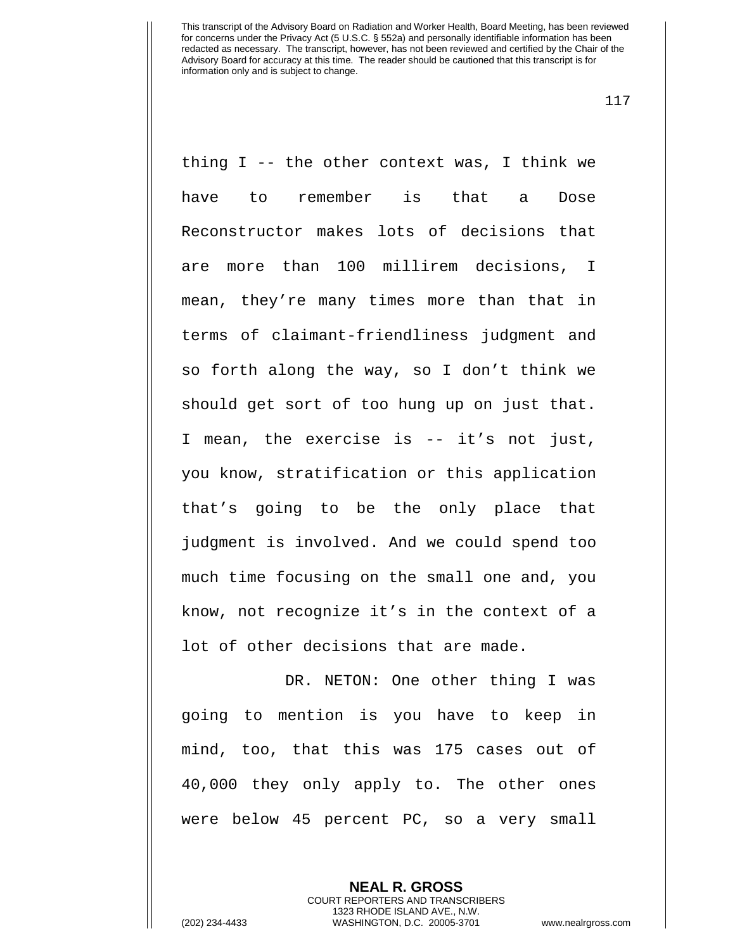117

thing I -- the other context was, I think we have to remember is that a Dose Reconstructor makes lots of decisions that are more than 100 millirem decisions, I mean, they're many times more than that in terms of claimant-friendliness judgment and so forth along the way, so I don't think we should get sort of too hung up on just that. I mean, the exercise is -- it's not just, you know, stratification or this application that's going to be the only place that judgment is involved. And we could spend too much time focusing on the small one and, you know, not recognize it's in the context of a lot of other decisions that are made.

DR. NETON: One other thing I was going to mention is you have to keep in mind, too, that this was 175 cases out of 40,000 they only apply to. The other ones were below 45 percent PC, so a very small

> **NEAL R. GROSS** COURT REPORTERS AND TRANSCRIBERS 1323 RHODE ISLAND AVE., N.W.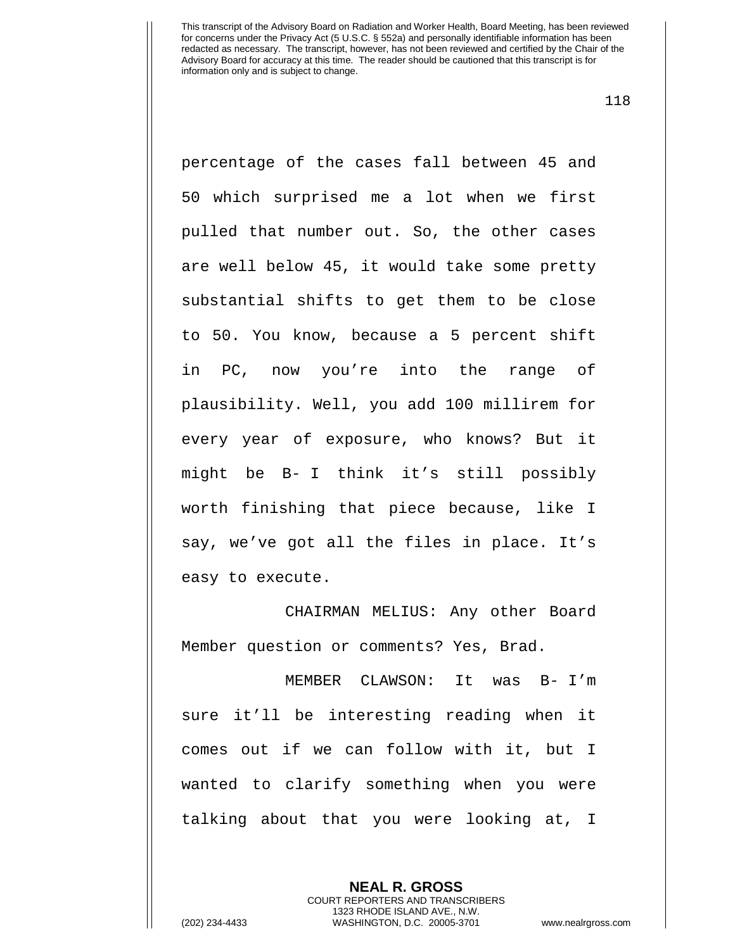118

percentage of the cases fall between 45 and 50 which surprised me a lot when we first pulled that number out. So, the other cases are well below 45, it would take some pretty substantial shifts to get them to be close to 50. You know, because a 5 percent shift in PC, now you're into the range of plausibility. Well, you add 100 millirem for every year of exposure, who knows? But it might be B- I think it's still possibly worth finishing that piece because, like I say, we've got all the files in place. It's easy to execute.

CHAIRMAN MELIUS: Any other Board Member question or comments? Yes, Brad.

MEMBER CLAWSON: It was B- I'm sure it'll be interesting reading when it comes out if we can follow with it, but I wanted to clarify something when you were talking about that you were looking at, I

> **NEAL R. GROSS** COURT REPORTERS AND TRANSCRIBERS 1323 RHODE ISLAND AVE., N.W.

(202) 234-4433 WASHINGTON, D.C. 20005-3701 www.nealrgross.com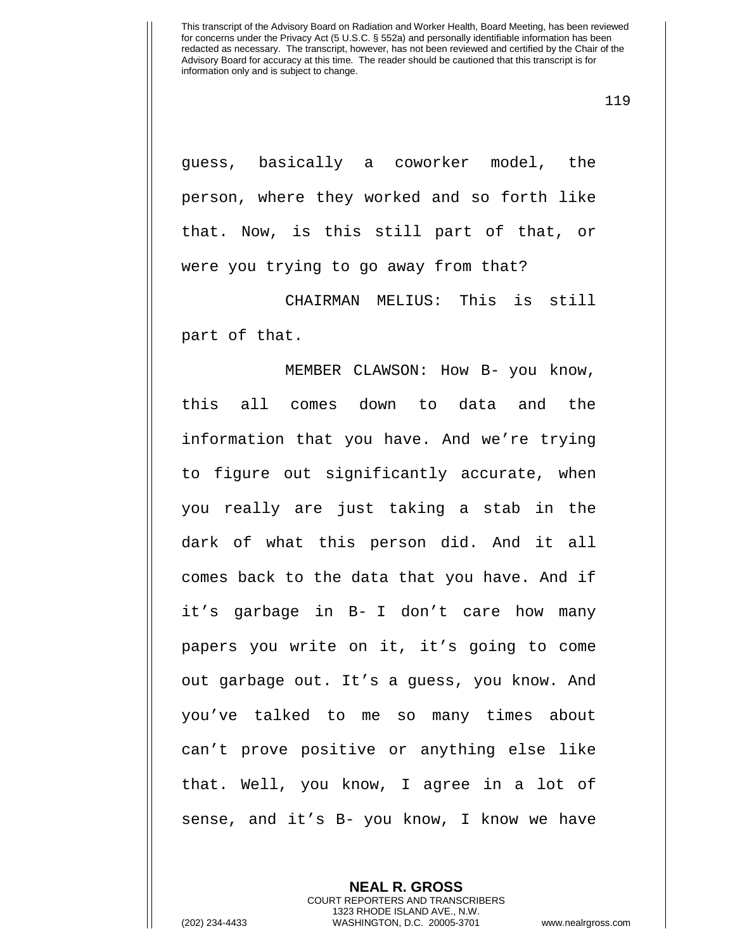119

guess, basically a coworker model, the person, where they worked and so forth like that. Now, is this still part of that, or were you trying to go away from that?

CHAIRMAN MELIUS: This is still part of that.

MEMBER CLAWSON: How B- you know, this all comes down to data and the information that you have. And we're trying to figure out significantly accurate, when you really are just taking a stab in the dark of what this person did. And it all comes back to the data that you have. And if it's garbage in B- I don't care how many papers you write on it, it's going to come out garbage out. It's a guess, you know. And you've talked to me so many times about can't prove positive or anything else like that. Well, you know, I agree in a lot of sense, and it's B- you know, I know we have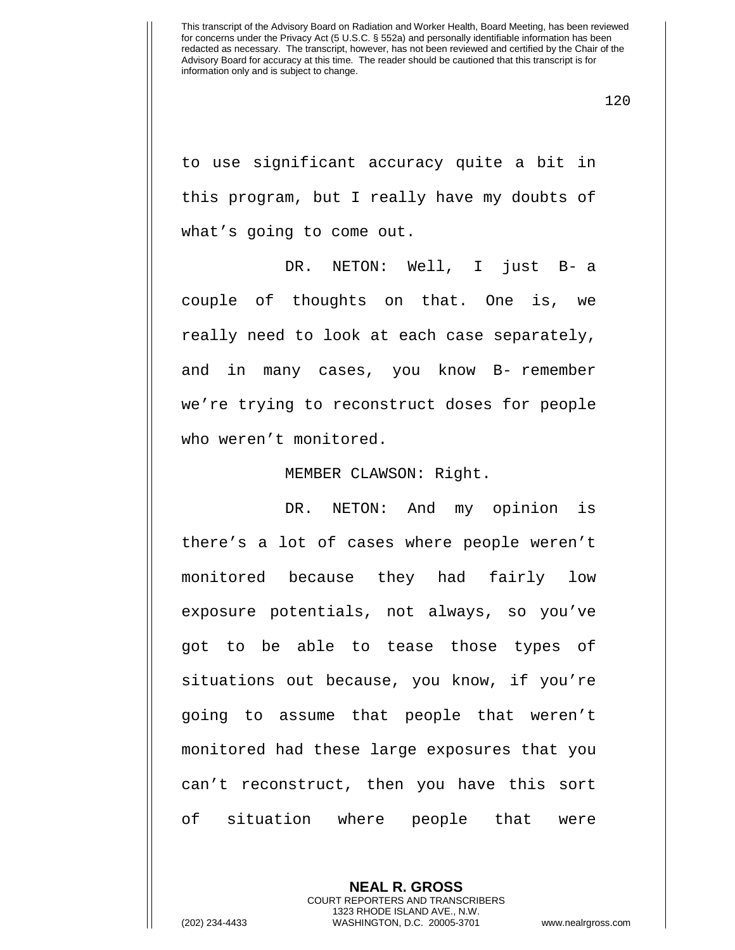120

to use significant accuracy quite a bit in this program, but I really have my doubts of what's going to come out.

DR. NETON: Well, I just B- a couple of thoughts on that. One is, we really need to look at each case separately, and in many cases, you know B- remember we're trying to reconstruct doses for people who weren't monitored.

MEMBER CLAWSON: Right.

DR. NETON: And my opinion is there's a lot of cases where people weren't monitored because they had fairly low exposure potentials, not always, so you've got to be able to tease those types of situations out because, you know, if you're going to assume that people that weren't monitored had these large exposures that you can't reconstruct, then you have this sort of situation where people that were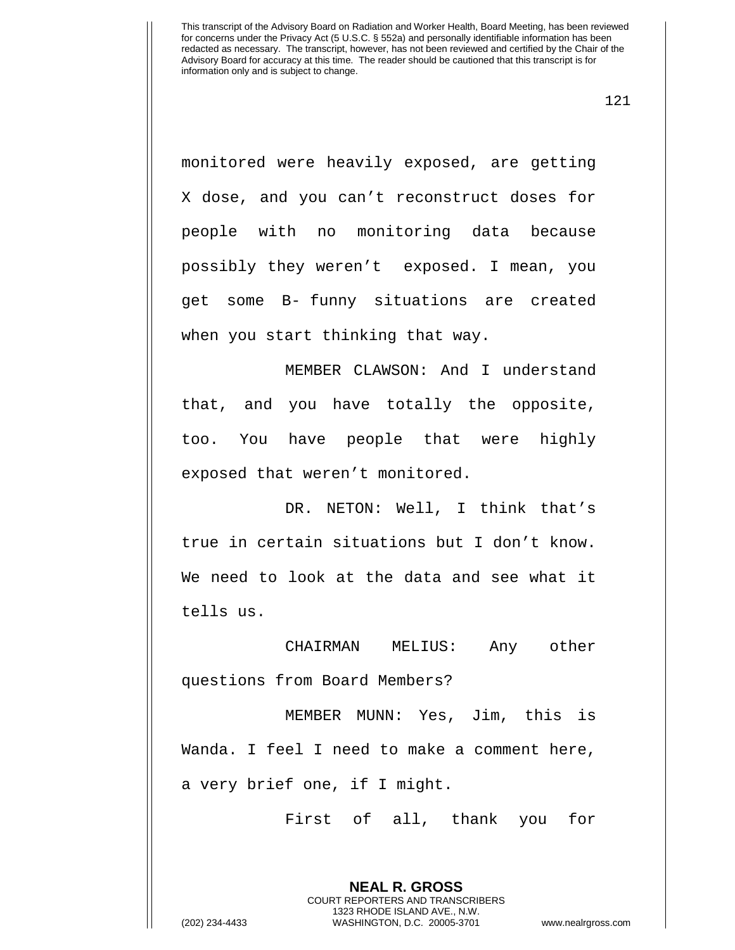121

monitored were heavily exposed, are getting X dose, and you can't reconstruct doses for people with no monitoring data because possibly they weren't exposed. I mean, you get some B- funny situations are created when you start thinking that way.

MEMBER CLAWSON: And I understand that, and you have totally the opposite, too. You have people that were highly exposed that weren't monitored.

DR. NETON: Well, I think that's true in certain situations but I don't know. We need to look at the data and see what it tells us.

CHAIRMAN MELIUS: Any other questions from Board Members?

MEMBER MUNN: Yes, Jim, this is Wanda. I feel I need to make a comment here, a very brief one, if I might.

First of all, thank you for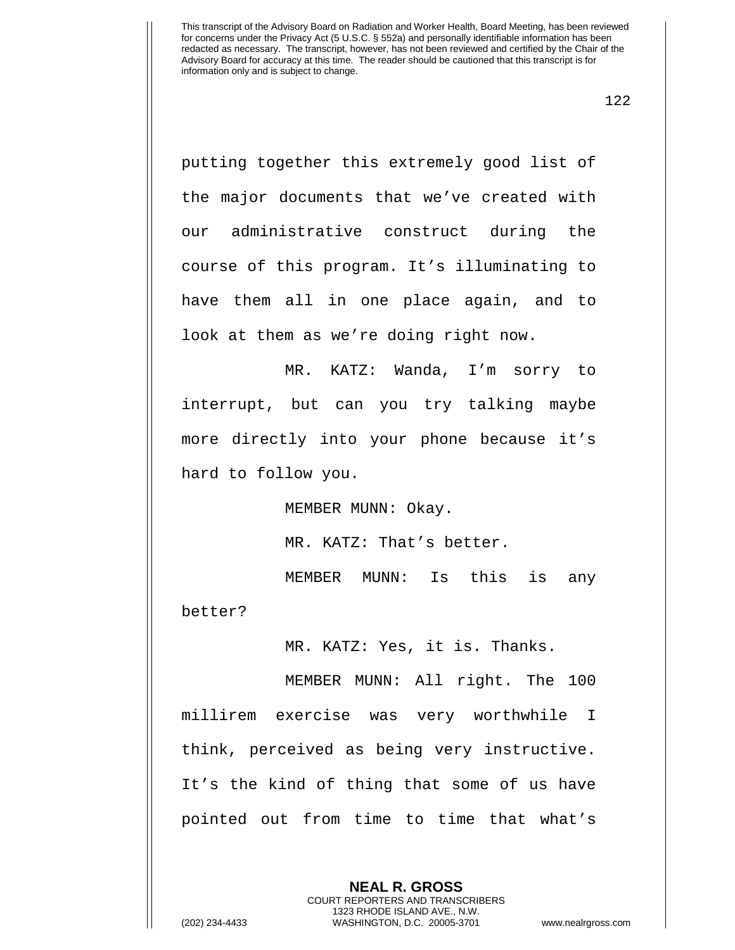122

putting together this extremely good list of the major documents that we've created with our administrative construct during the course of this program. It's illuminating to have them all in one place again, and to look at them as we're doing right now.

MR. KATZ: Wanda, I'm sorry to interrupt, but can you try talking maybe more directly into your phone because it's hard to follow you.

MEMBER MUNN: Okay.

MR. KATZ: That's better.

MEMBER MUNN: Is this is any better?

MR. KATZ: Yes, it is. Thanks.

MEMBER MUNN: All right. The 100 millirem exercise was very worthwhile I think, perceived as being very instructive. It's the kind of thing that some of us have pointed out from time to time that what's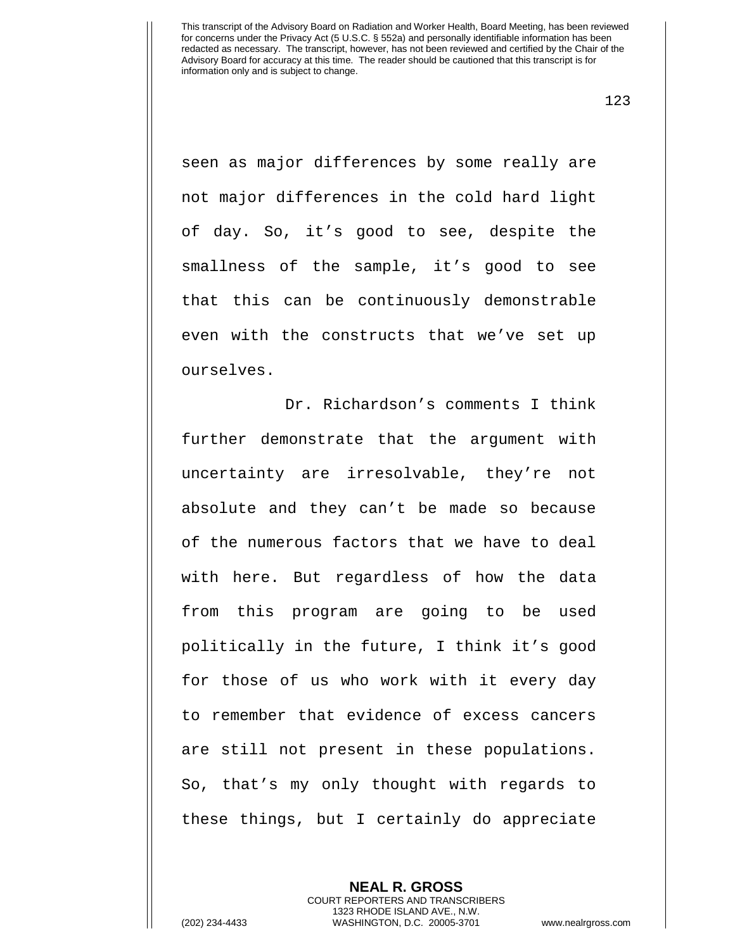123

seen as major differences by some really are not major differences in the cold hard light of day. So, it's good to see, despite the smallness of the sample, it's good to see that this can be continuously demonstrable even with the constructs that we've set up ourselves.

Dr. Richardson's comments I think further demonstrate that the argument with uncertainty are irresolvable, they're not absolute and they can't be made so because of the numerous factors that we have to deal with here. But regardless of how the data from this program are going to be used politically in the future, I think it's good for those of us who work with it every day to remember that evidence of excess cancers are still not present in these populations. So, that's my only thought with regards to these things, but I certainly do appreciate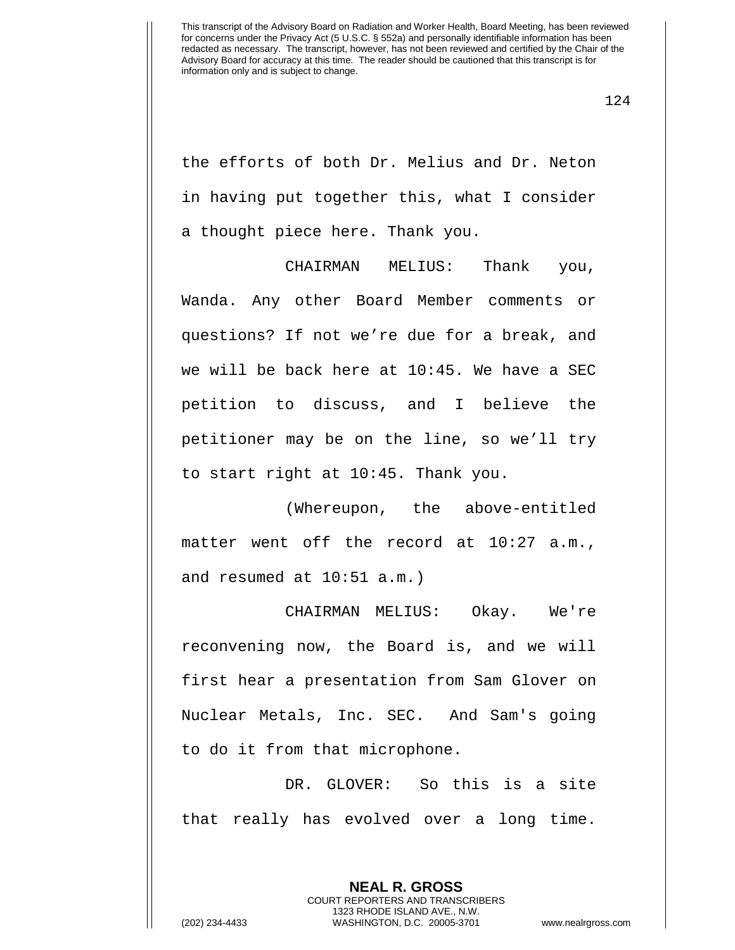124

the efforts of both Dr. Melius and Dr. Neton in having put together this, what I consider a thought piece here. Thank you.

CHAIRMAN MELIUS: Thank you, Wanda. Any other Board Member comments or questions? If not we're due for a break, and we will be back here at 10:45. We have a SEC petition to discuss, and I believe the petitioner may be on the line, so we'll try to start right at 10:45. Thank you.

(Whereupon, the above-entitled matter went off the record at 10:27 a.m., and resumed at 10:51 a.m.)

CHAIRMAN MELIUS: Okay. We're reconvening now, the Board is, and we will first hear a presentation from Sam Glover on Nuclear Metals, Inc. SEC. And Sam's going to do it from that microphone.

DR. GLOVER: So this is a site that really has evolved over a long time.

> **NEAL R. GROSS** COURT REPORTERS AND TRANSCRIBERS 1323 RHODE ISLAND AVE., N.W.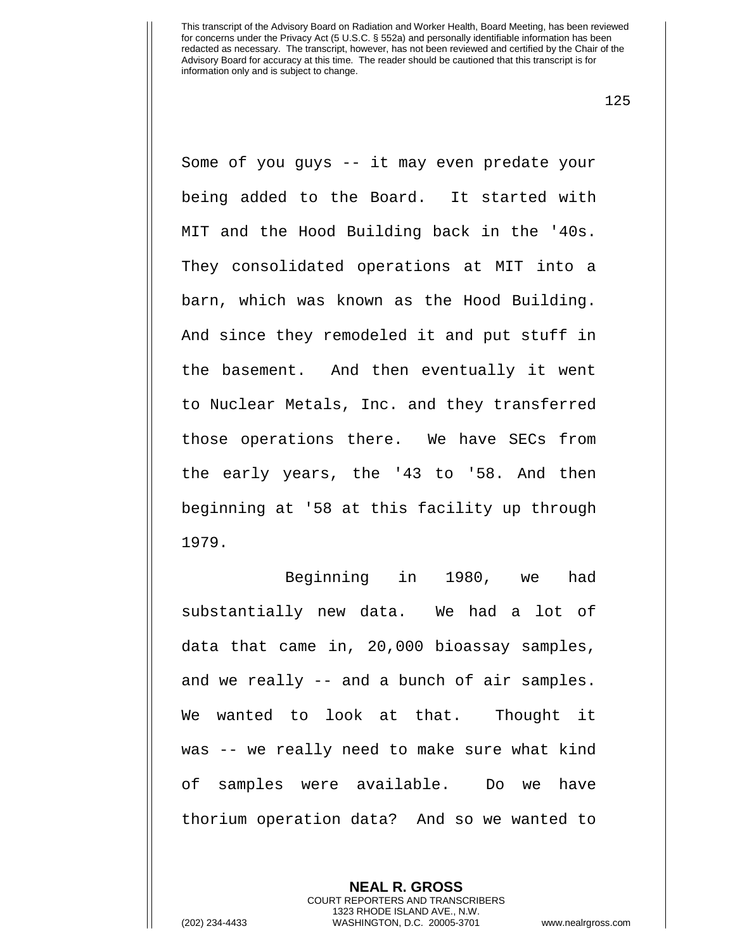125

Some of you guys -- it may even predate your being added to the Board. It started with MIT and the Hood Building back in the '40s. They consolidated operations at MIT into a barn, which was known as the Hood Building. And since they remodeled it and put stuff in the basement. And then eventually it went to Nuclear Metals, Inc. and they transferred those operations there. We have SECs from the early years, the '43 to '58. And then beginning at '58 at this facility up through 1979.

Beginning in 1980, we had substantially new data. We had a lot of data that came in, 20,000 bioassay samples, and we really -- and a bunch of air samples. We wanted to look at that. Thought it was -- we really need to make sure what kind of samples were available. Do we have thorium operation data? And so we wanted to

> **NEAL R. GROSS** COURT REPORTERS AND TRANSCRIBERS 1323 RHODE ISLAND AVE., N.W.

(202) 234-4433 WASHINGTON, D.C. 20005-3701 www.nealrgross.com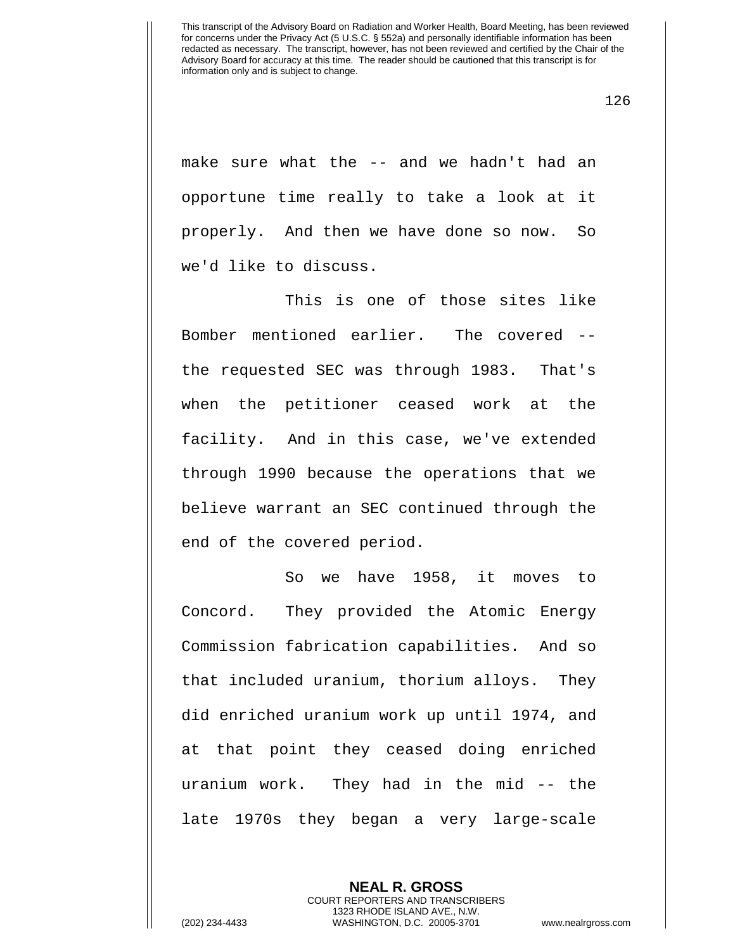make sure what the -- and we hadn't had an opportune time really to take a look at it properly. And then we have done so now. So we'd like to discuss.

This is one of those sites like Bomber mentioned earlier. The covered - the requested SEC was through 1983. That's when the petitioner ceased work at the facility. And in this case, we've extended through 1990 because the operations that we believe warrant an SEC continued through the end of the covered period.

So we have 1958, it moves to Concord. They provided the Atomic Energy Commission fabrication capabilities. And so that included uranium, thorium alloys. They did enriched uranium work up until 1974, and at that point they ceased doing enriched uranium work. They had in the mid -- the late 1970s they began a very large-scale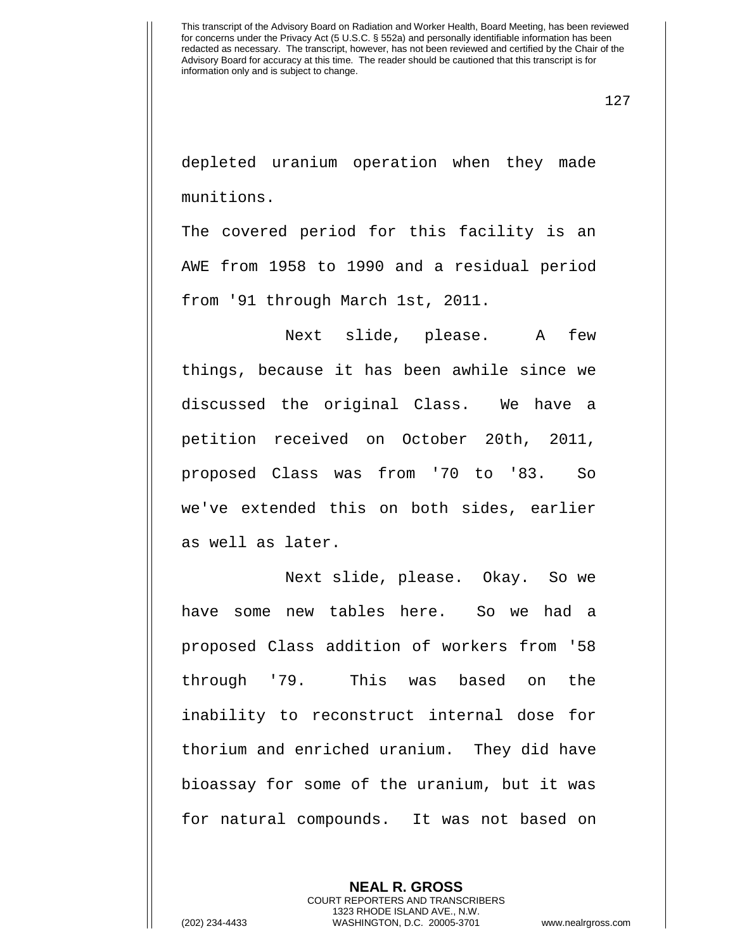127

depleted uranium operation when they made munitions.

The covered period for this facility is an AWE from 1958 to 1990 and a residual period from '91 through March 1st, 2011.

Next slide, please. A few things, because it has been awhile since we discussed the original Class. We have a petition received on October 20th, 2011, proposed Class was from '70 to '83. So we've extended this on both sides, earlier as well as later.

Next slide, please. Okay. So we have some new tables here. So we had a proposed Class addition of workers from '58 through '79. This was based on the inability to reconstruct internal dose for thorium and enriched uranium. They did have bioassay for some of the uranium, but it was for natural compounds. It was not based on

> **NEAL R. GROSS** COURT REPORTERS AND TRANSCRIBERS 1323 RHODE ISLAND AVE., N.W.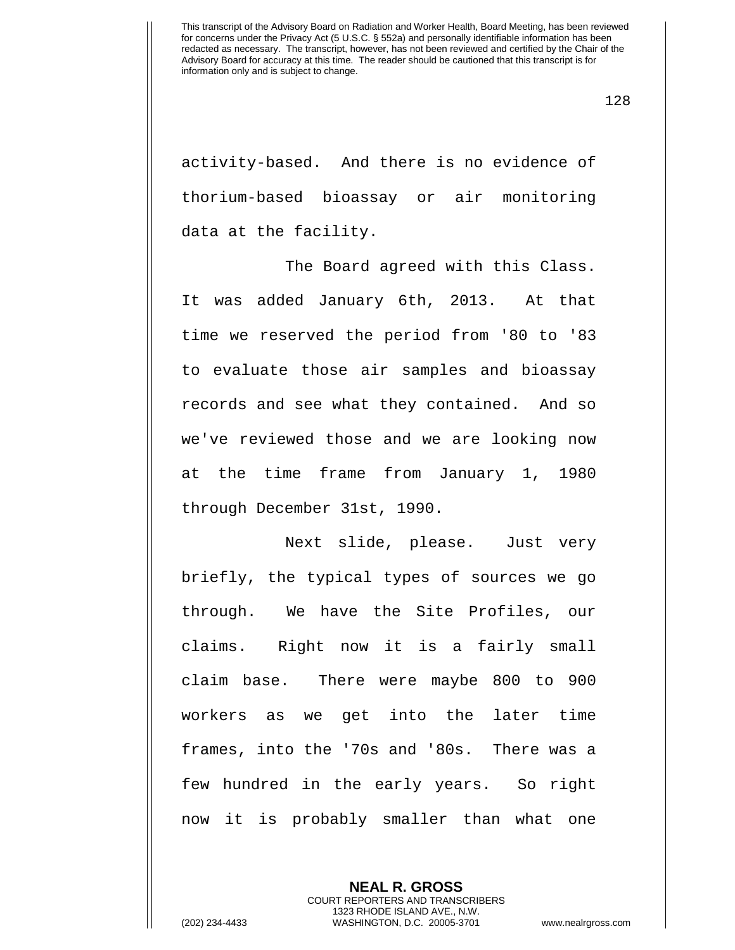128

activity-based. And there is no evidence of thorium-based bioassay or air monitoring data at the facility.

The Board agreed with this Class. It was added January 6th, 2013. At that time we reserved the period from '80 to '83 to evaluate those air samples and bioassay records and see what they contained. And so we've reviewed those and we are looking now at the time frame from January 1, 1980 through December 31st, 1990.

Next slide, please. Just very briefly, the typical types of sources we go through. We have the Site Profiles, our claims. Right now it is a fairly small claim base. There were maybe 800 to 900 workers as we get into the later time frames, into the '70s and '80s. There was a few hundred in the early years. So right now it is probably smaller than what one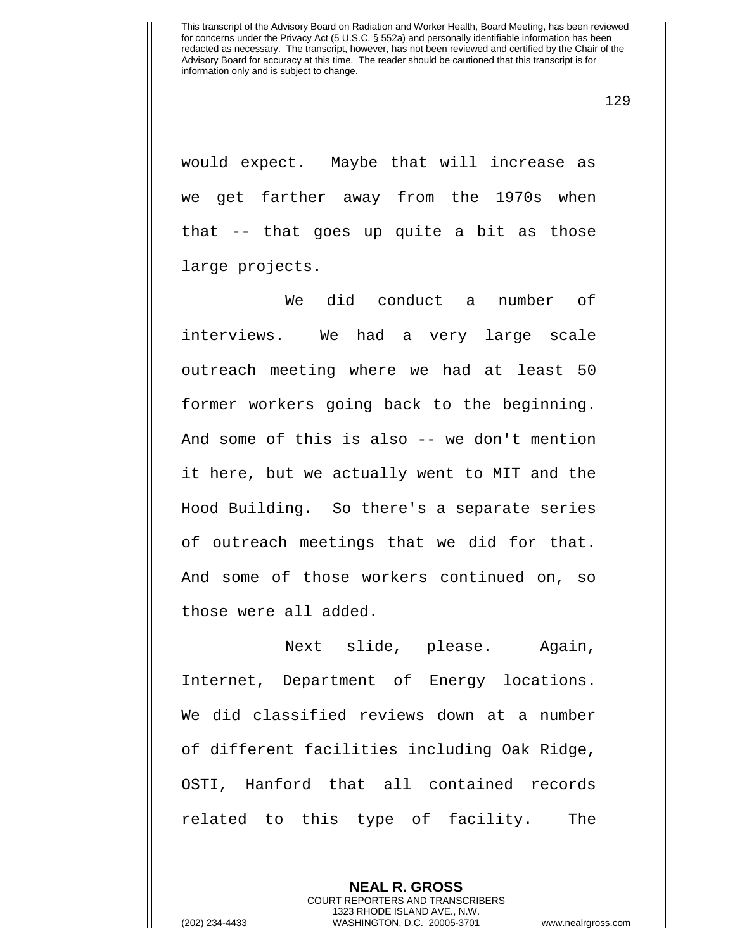129

would expect. Maybe that will increase as we get farther away from the 1970s when that -- that goes up quite a bit as those large projects.

We did conduct a number of interviews. We had a very large scale outreach meeting where we had at least 50 former workers going back to the beginning. And some of this is also -- we don't mention it here, but we actually went to MIT and the Hood Building. So there's a separate series of outreach meetings that we did for that. And some of those workers continued on, so those were all added.

Next slide, please. Again, Internet, Department of Energy locations. We did classified reviews down at a number of different facilities including Oak Ridge, OSTI, Hanford that all contained records related to this type of facility. The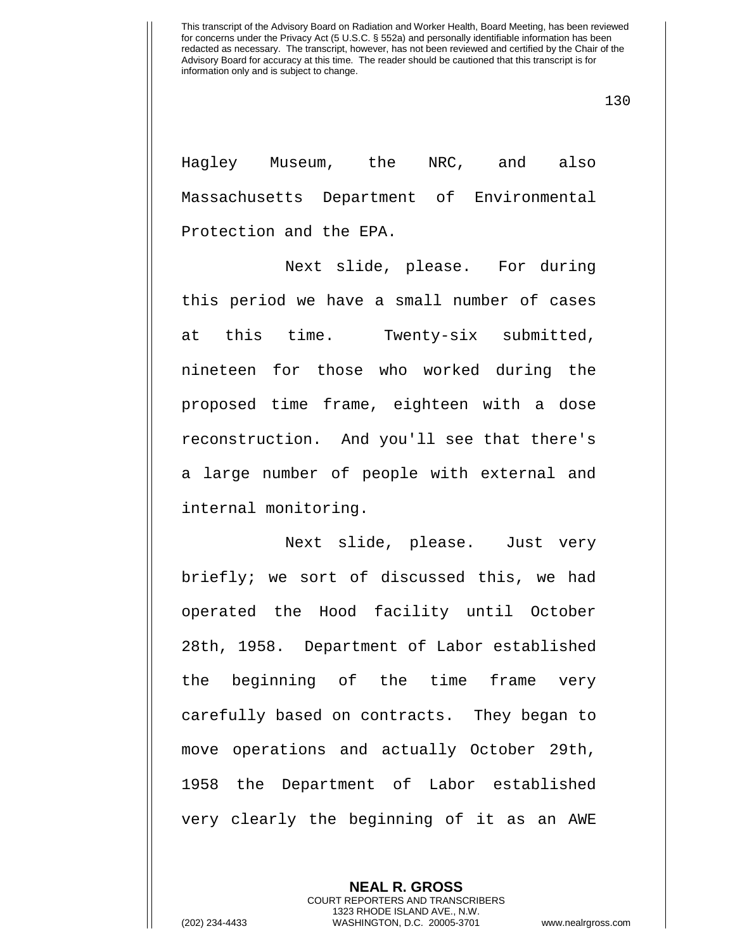130

Hagley Museum, the NRC, and also Massachusetts Department of Environmental Protection and the EPA.

Next slide, please. For during this period we have a small number of cases at this time. Twenty-six submitted, nineteen for those who worked during the proposed time frame, eighteen with a dose reconstruction. And you'll see that there's a large number of people with external and internal monitoring.

Next slide, please. Just very briefly; we sort of discussed this, we had operated the Hood facility until October 28th, 1958. Department of Labor established the beginning of the time frame very carefully based on contracts. They began to move operations and actually October 29th, 1958 the Department of Labor established very clearly the beginning of it as an AWE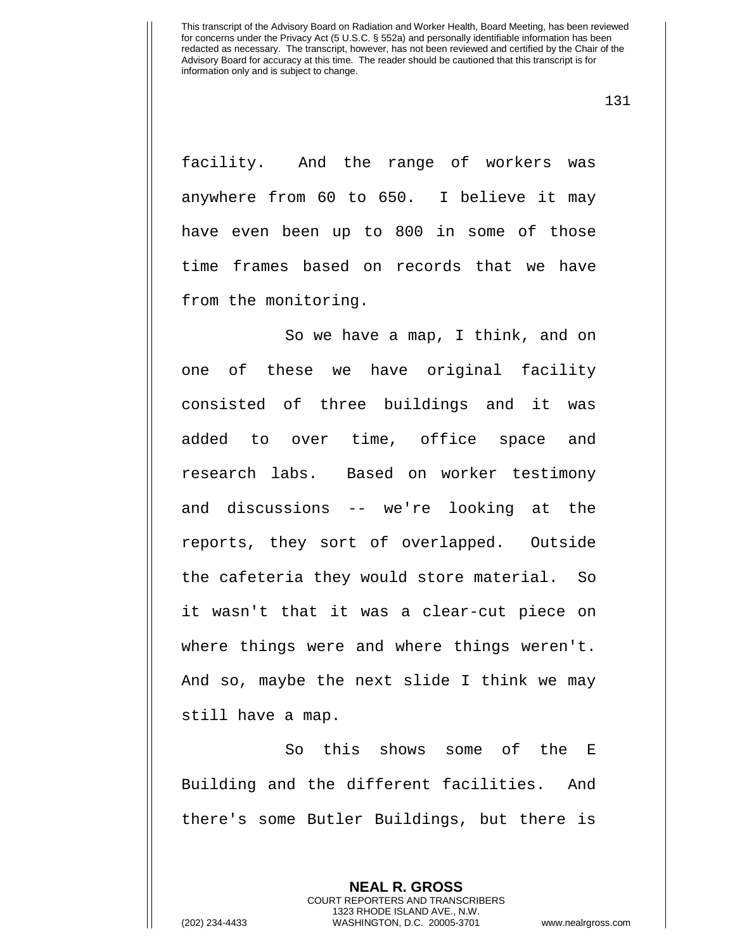131

facility. And the range of workers was anywhere from 60 to 650. I believe it may have even been up to 800 in some of those time frames based on records that we have from the monitoring.

So we have a map, I think, and on one of these we have original facility consisted of three buildings and it was added to over time, office space and research labs. Based on worker testimony and discussions -- we're looking at the reports, they sort of overlapped. Outside the cafeteria they would store material. So it wasn't that it was a clear-cut piece on where things were and where things weren't. And so, maybe the next slide I think we may still have a map.

So this shows some of the E Building and the different facilities. And there's some Butler Buildings, but there is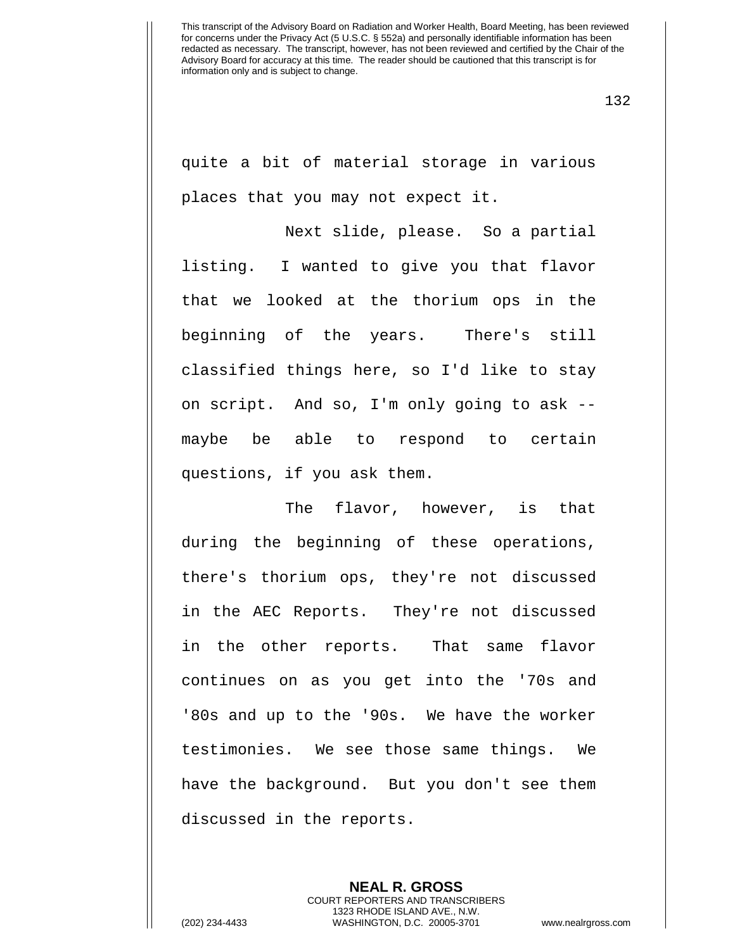132

quite a bit of material storage in various places that you may not expect it.

Next slide, please. So a partial listing. I wanted to give you that flavor that we looked at the thorium ops in the beginning of the years. There's still classified things here, so I'd like to stay on script. And so, I'm only going to ask - maybe be able to respond to certain questions, if you ask them.

The flavor, however, is that during the beginning of these operations, there's thorium ops, they're not discussed in the AEC Reports. They're not discussed in the other reports. That same flavor continues on as you get into the '70s and '80s and up to the '90s. We have the worker testimonies. We see those same things. We have the background. But you don't see them discussed in the reports.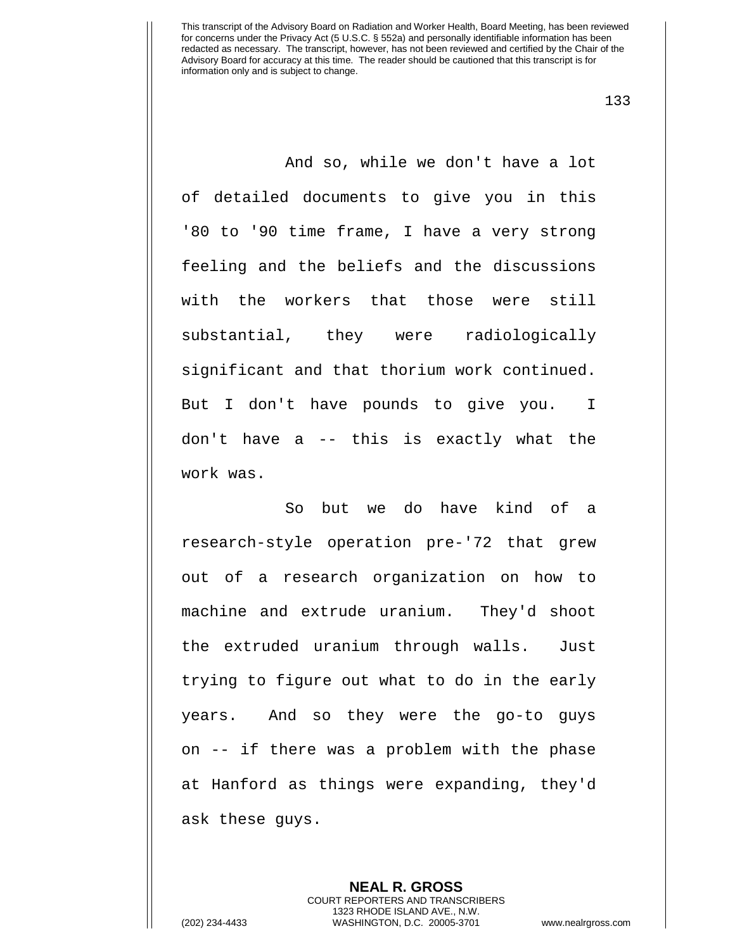133

And so, while we don't have a lot of detailed documents to give you in this '80 to '90 time frame, I have a very strong feeling and the beliefs and the discussions with the workers that those were still substantial, they were radiologically significant and that thorium work continued. But I don't have pounds to give you. I don't have a -- this is exactly what the work was.

So but we do have kind of a research-style operation pre-'72 that grew out of a research organization on how to machine and extrude uranium. They'd shoot the extruded uranium through walls. Just trying to figure out what to do in the early years. And so they were the go-to guys on -- if there was a problem with the phase at Hanford as things were expanding, they'd ask these guys.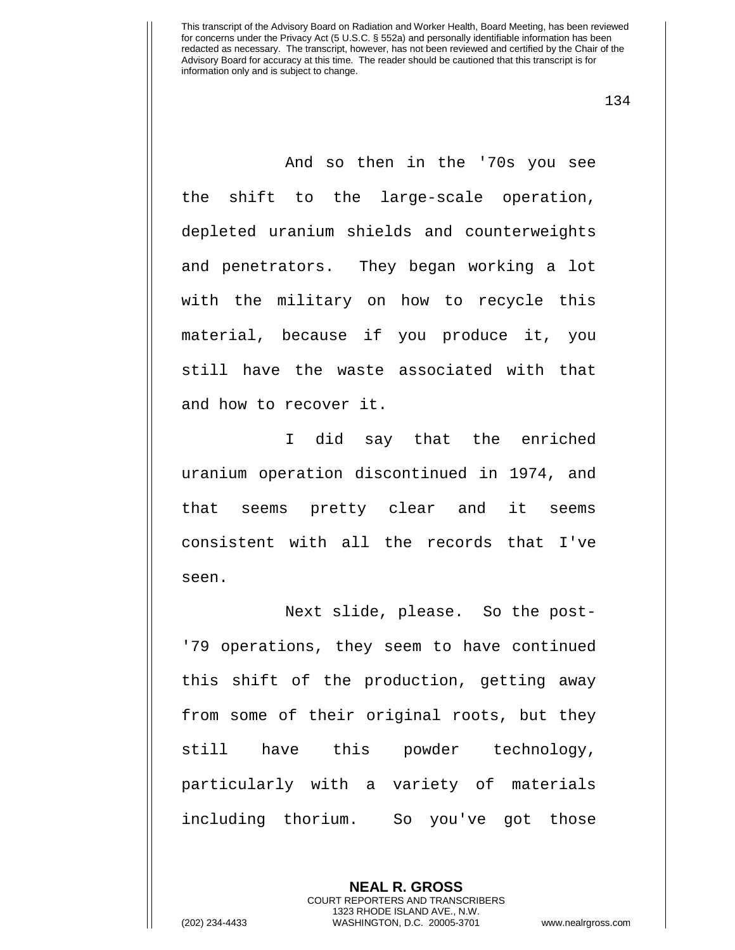134

And so then in the '70s you see the shift to the large-scale operation, depleted uranium shields and counterweights and penetrators. They began working a lot with the military on how to recycle this material, because if you produce it, you still have the waste associated with that and how to recover it.

I did say that the enriched uranium operation discontinued in 1974, and that seems pretty clear and it seems consistent with all the records that I've seen.

Next slide, please. So the post- '79 operations, they seem to have continued this shift of the production, getting away from some of their original roots, but they still have this powder technology, particularly with a variety of materials including thorium. So you've got those

> **NEAL R. GROSS** COURT REPORTERS AND TRANSCRIBERS 1323 RHODE ISLAND AVE., N.W.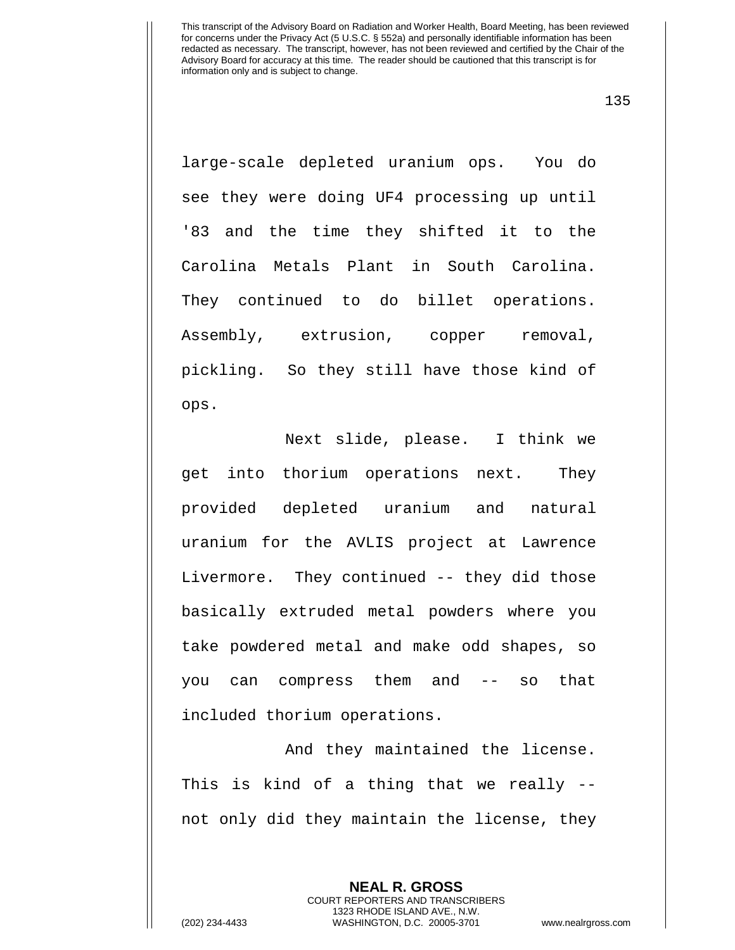135

large-scale depleted uranium ops. You do see they were doing UF4 processing up until '83 and the time they shifted it to the Carolina Metals Plant in South Carolina. They continued to do billet operations. Assembly, extrusion, copper removal, pickling. So they still have those kind of ops.

Next slide, please. I think we get into thorium operations next. They provided depleted uranium and natural uranium for the AVLIS project at Lawrence Livermore. They continued -- they did those basically extruded metal powders where you take powdered metal and make odd shapes, so you can compress them and -- so that included thorium operations.

And they maintained the license. This is kind of a thing that we really - not only did they maintain the license, they

> **NEAL R. GROSS** COURT REPORTERS AND TRANSCRIBERS 1323 RHODE ISLAND AVE., N.W.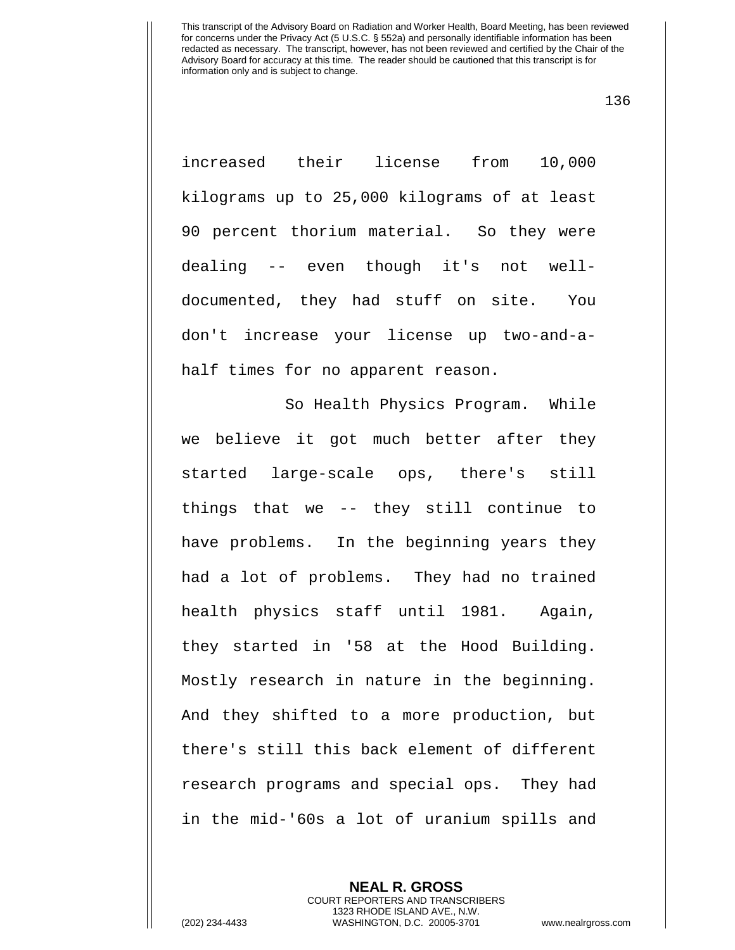136

increased their license from 10,000 kilograms up to 25,000 kilograms of at least 90 percent thorium material. So they were dealing -- even though it's not welldocumented, they had stuff on site. You don't increase your license up two-and-ahalf times for no apparent reason.

So Health Physics Program. While we believe it got much better after they started large-scale ops, there's still things that we -- they still continue to have problems. In the beginning years they had a lot of problems. They had no trained health physics staff until 1981. Again, they started in '58 at the Hood Building. Mostly research in nature in the beginning. And they shifted to a more production, but there's still this back element of different research programs and special ops. They had in the mid-'60s a lot of uranium spills and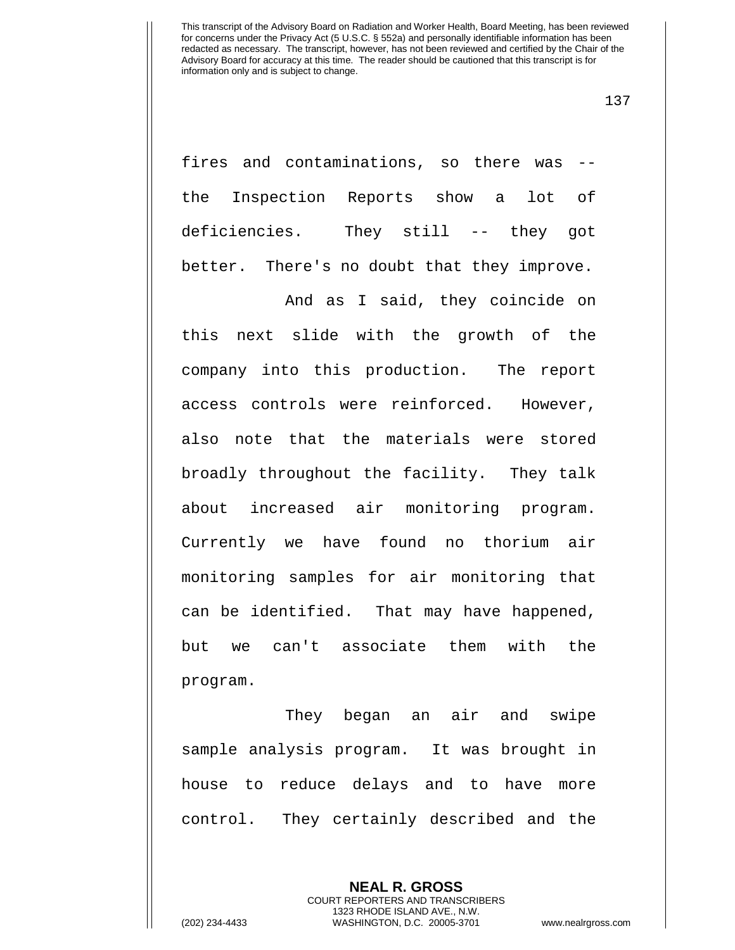137

fires and contaminations, so there was - the Inspection Reports show a lot of deficiencies. They still -- they got better. There's no doubt that they improve.

And as I said, they coincide on this next slide with the growth of the company into this production. The report access controls were reinforced. However, also note that the materials were stored broadly throughout the facility. They talk about increased air monitoring program. Currently we have found no thorium air monitoring samples for air monitoring that can be identified. That may have happened, but we can't associate them with the program.

They began an air and swipe sample analysis program. It was brought in house to reduce delays and to have more control. They certainly described and the

> **NEAL R. GROSS** COURT REPORTERS AND TRANSCRIBERS 1323 RHODE ISLAND AVE., N.W.

(202) 234-4433 WASHINGTON, D.C. 20005-3701 www.nealrgross.com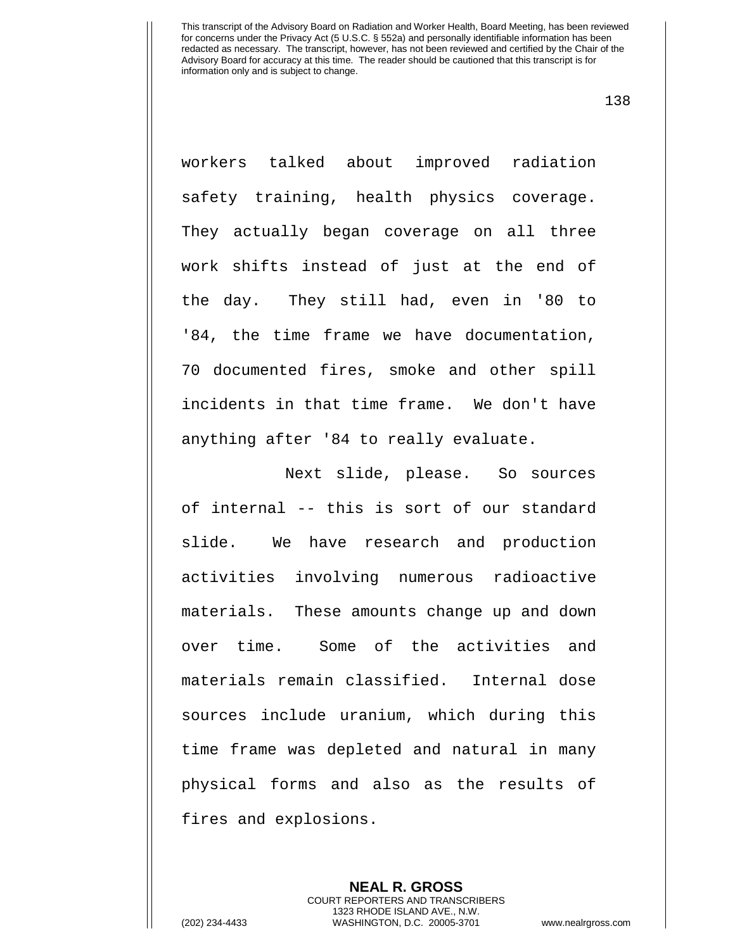138

workers talked about improved radiation safety training, health physics coverage. They actually began coverage on all three work shifts instead of just at the end of the day. They still had, even in '80 to '84, the time frame we have documentation, 70 documented fires, smoke and other spill incidents in that time frame. We don't have anything after '84 to really evaluate.

Next slide, please. So sources of internal -- this is sort of our standard slide. We have research and production activities involving numerous radioactive materials. These amounts change up and down over time. Some of the activities and materials remain classified. Internal dose sources include uranium, which during this time frame was depleted and natural in many physical forms and also as the results of fires and explosions.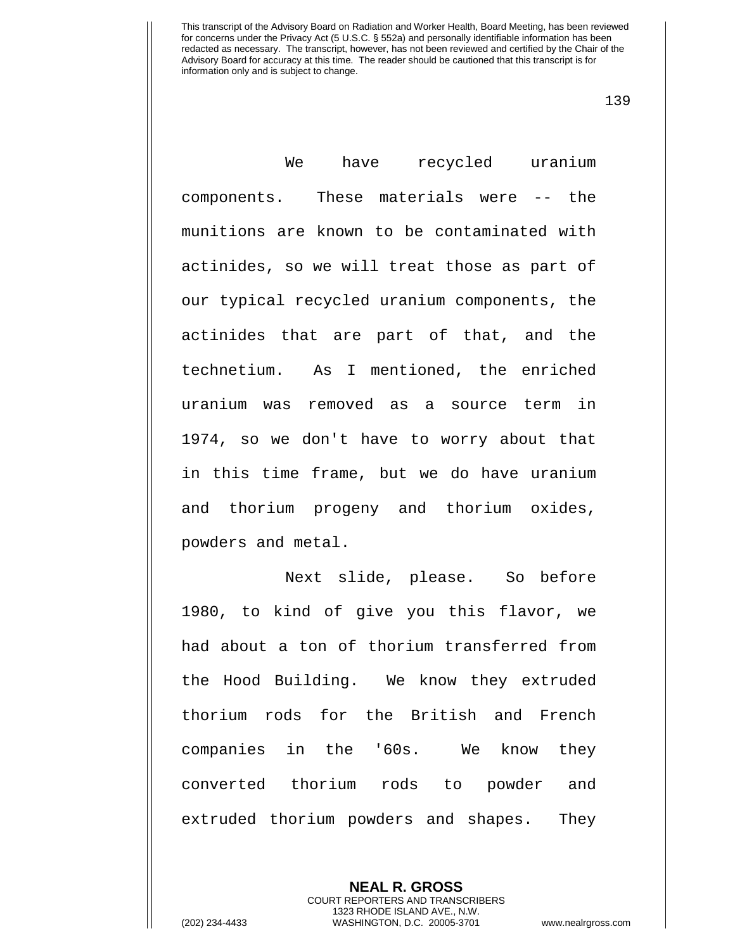139

We have recycled uranium components. These materials were -- the munitions are known to be contaminated with actinides, so we will treat those as part of our typical recycled uranium components, the actinides that are part of that, and the technetium. As I mentioned, the enriched uranium was removed as a source term in 1974, so we don't have to worry about that in this time frame, but we do have uranium and thorium progeny and thorium oxides, powders and metal.

Next slide, please. So before 1980, to kind of give you this flavor, we had about a ton of thorium transferred from the Hood Building. We know they extruded thorium rods for the British and French companies in the '60s. We know they converted thorium rods to powder and extruded thorium powders and shapes. They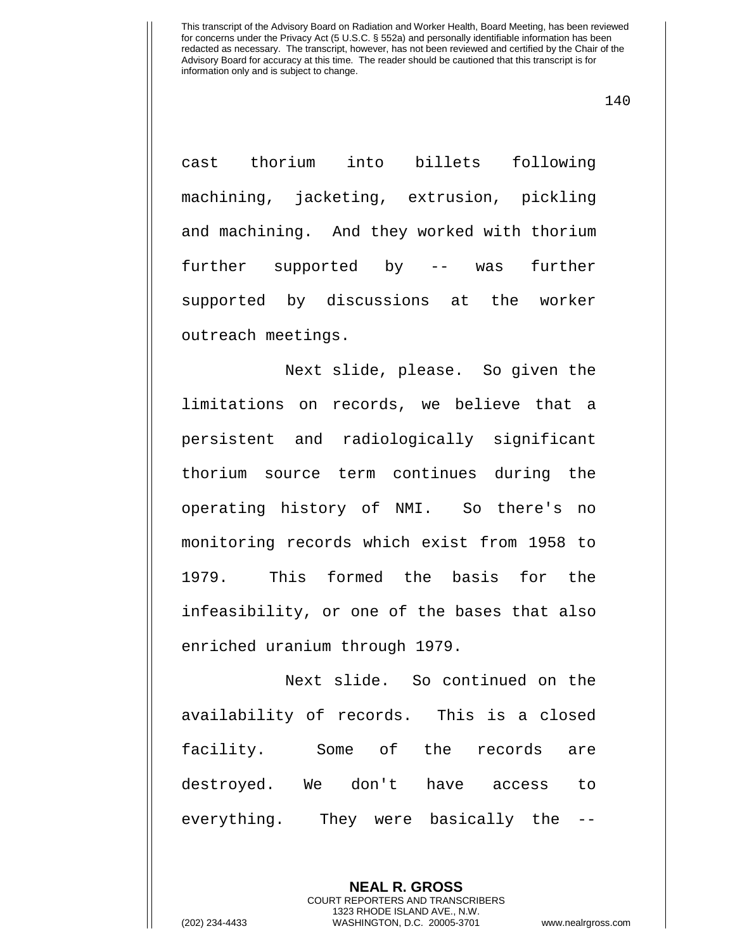140

cast thorium into billets following machining, jacketing, extrusion, pickling and machining. And they worked with thorium further supported by -- was further supported by discussions at the worker outreach meetings.

Next slide, please. So given the limitations on records, we believe that a persistent and radiologically significant thorium source term continues during the operating history of NMI. So there's no monitoring records which exist from 1958 to 1979. This formed the basis for the infeasibility, or one of the bases that also enriched uranium through 1979.

Next slide. So continued on the availability of records. This is a closed facility. Some of the records are destroyed. We don't have access to everything. They were basically the --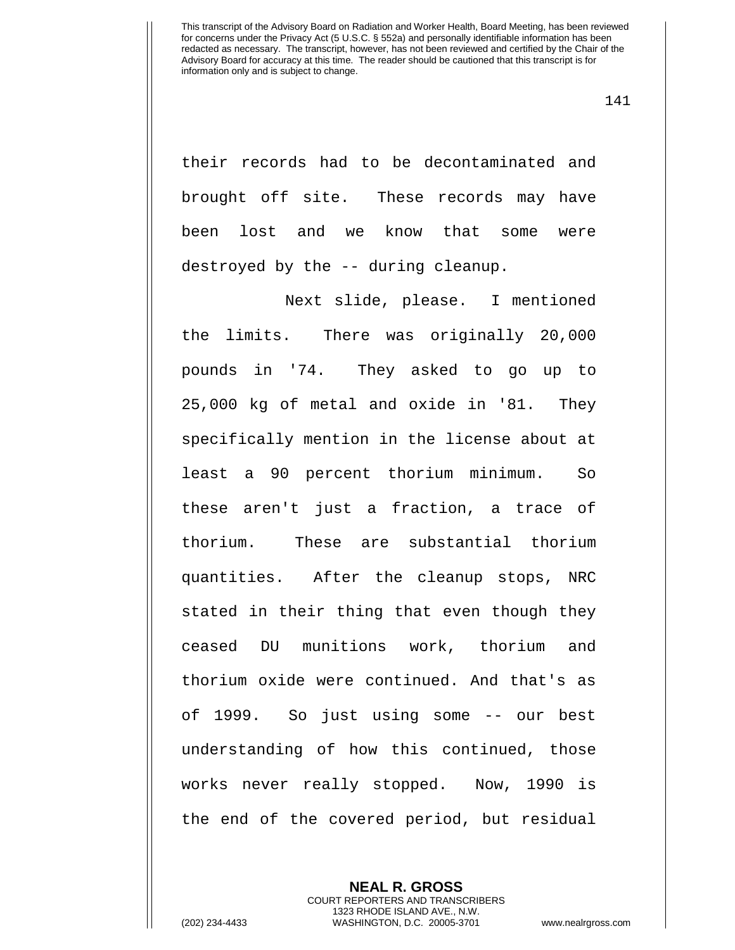141

their records had to be decontaminated and brought off site. These records may have been lost and we know that some were destroyed by the -- during cleanup.

Next slide, please. I mentioned the limits. There was originally 20,000 pounds in '74. They asked to go up to 25,000 kg of metal and oxide in '81. They specifically mention in the license about at least a 90 percent thorium minimum. So these aren't just a fraction, a trace of thorium. These are substantial thorium quantities. After the cleanup stops, NRC stated in their thing that even though they ceased DU munitions work, thorium and thorium oxide were continued. And that's as of 1999. So just using some -- our best understanding of how this continued, those works never really stopped. Now, 1990 is the end of the covered period, but residual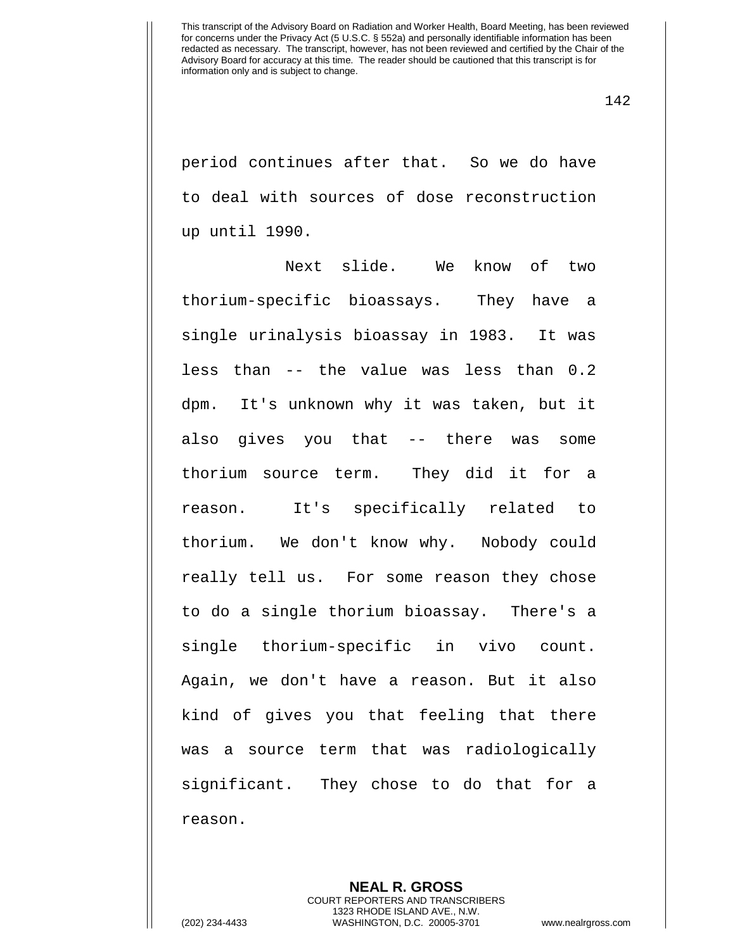period continues after that. So we do have to deal with sources of dose reconstruction up until 1990.

Next slide. We know of two thorium-specific bioassays. They have a single urinalysis bioassay in 1983. It was less than -- the value was less than 0.2 dpm. It's unknown why it was taken, but it also gives you that -- there was some thorium source term. They did it for a reason. It's specifically related to thorium. We don't know why. Nobody could really tell us. For some reason they chose to do a single thorium bioassay. There's a single thorium-specific in vivo count. Again, we don't have a reason. But it also kind of gives you that feeling that there was a source term that was radiologically significant. They chose to do that for a reason.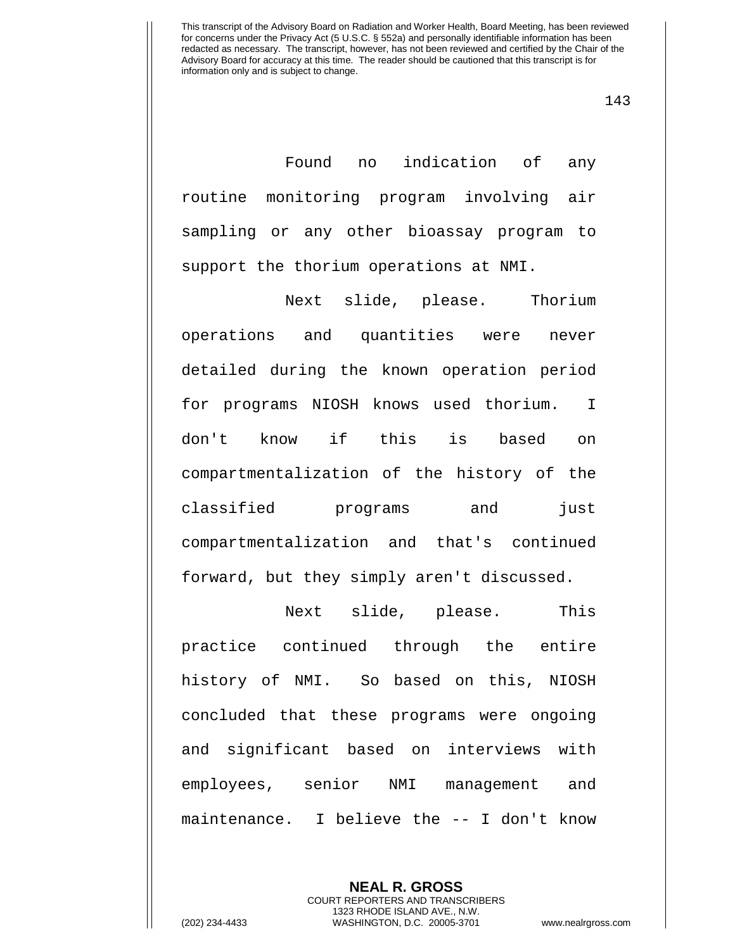143

Found no indication of any routine monitoring program involving air sampling or any other bioassay program to support the thorium operations at NMI.

Next slide, please. Thorium operations and quantities were never detailed during the known operation period for programs NIOSH knows used thorium. I don't know if this is based on compartmentalization of the history of the classified programs and just compartmentalization and that's continued forward, but they simply aren't discussed.

Next slide, please. This practice continued through the entire history of NMI. So based on this, NIOSH concluded that these programs were ongoing and significant based on interviews with employees, senior NMI management and maintenance. I believe the -- I don't know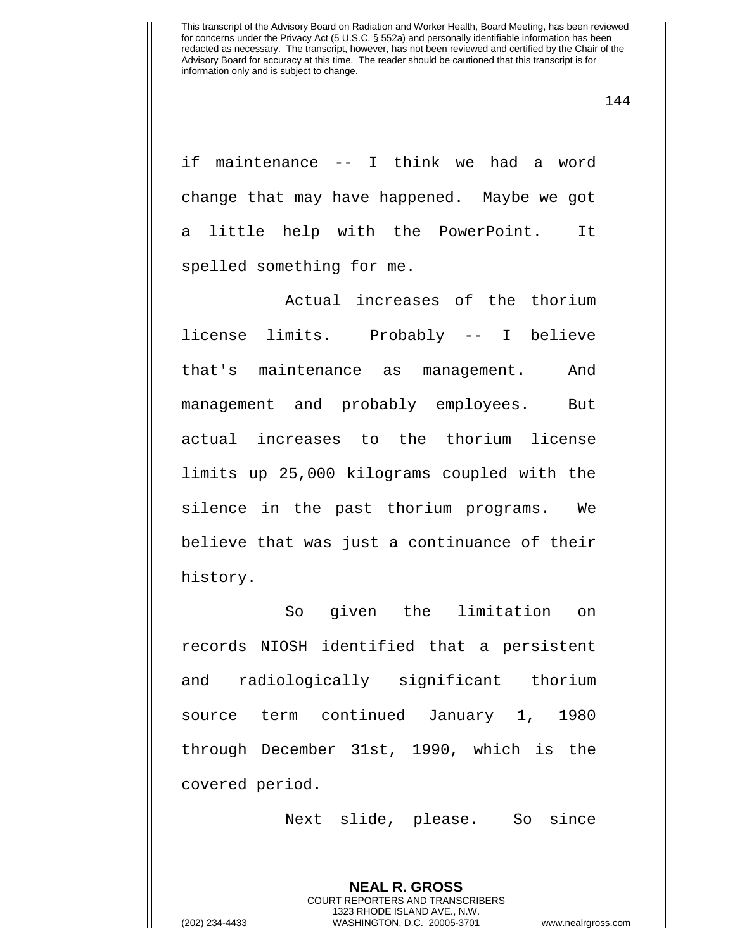144

if maintenance -- I think we had a word change that may have happened. Maybe we got a little help with the PowerPoint. It spelled something for me.

Actual increases of the thorium license limits. Probably -- I believe that's maintenance as management. And management and probably employees. But actual increases to the thorium license limits up 25,000 kilograms coupled with the silence in the past thorium programs. We believe that was just a continuance of their history.

So given the limitation on records NIOSH identified that a persistent and radiologically significant thorium source term continued January 1, 1980 through December 31st, 1990, which is the covered period.

Next slide, please. So since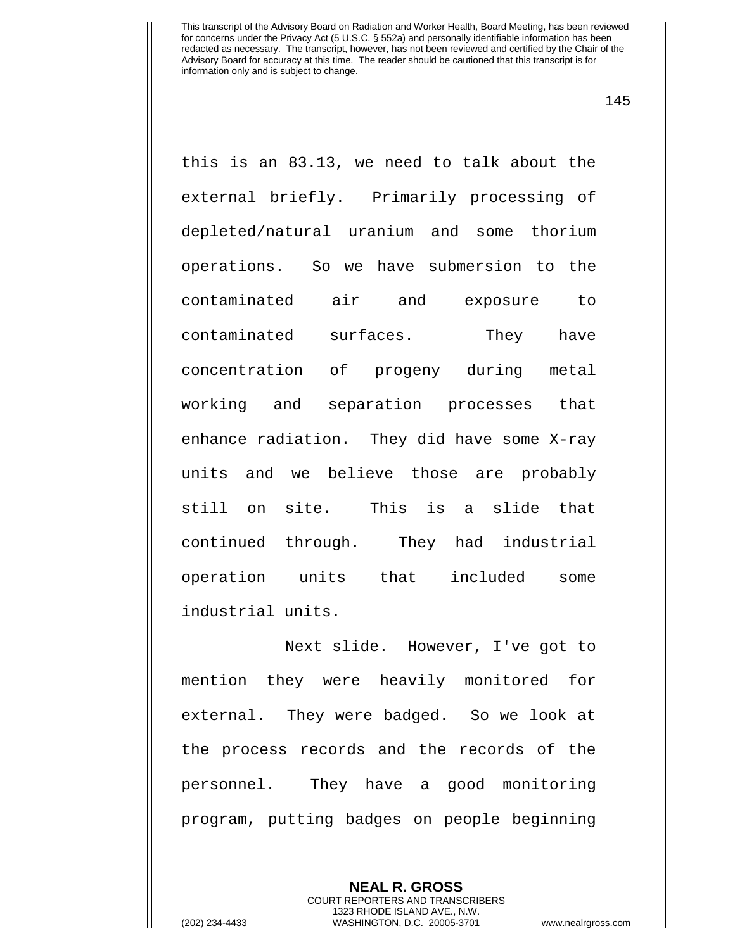145

this is an 83.13, we need to talk about the external briefly. Primarily processing of depleted/natural uranium and some thorium operations. So we have submersion to the contaminated air and exposure to contaminated surfaces. They have concentration of progeny during metal working and separation processes that enhance radiation. They did have some X-ray units and we believe those are probably still on site. This is a slide that continued through. They had industrial operation units that included some industrial units.

Next slide. However, I've got to mention they were heavily monitored for external. They were badged. So we look at the process records and the records of the personnel. They have a good monitoring program, putting badges on people beginning

> **NEAL R. GROSS** COURT REPORTERS AND TRANSCRIBERS 1323 RHODE ISLAND AVE., N.W.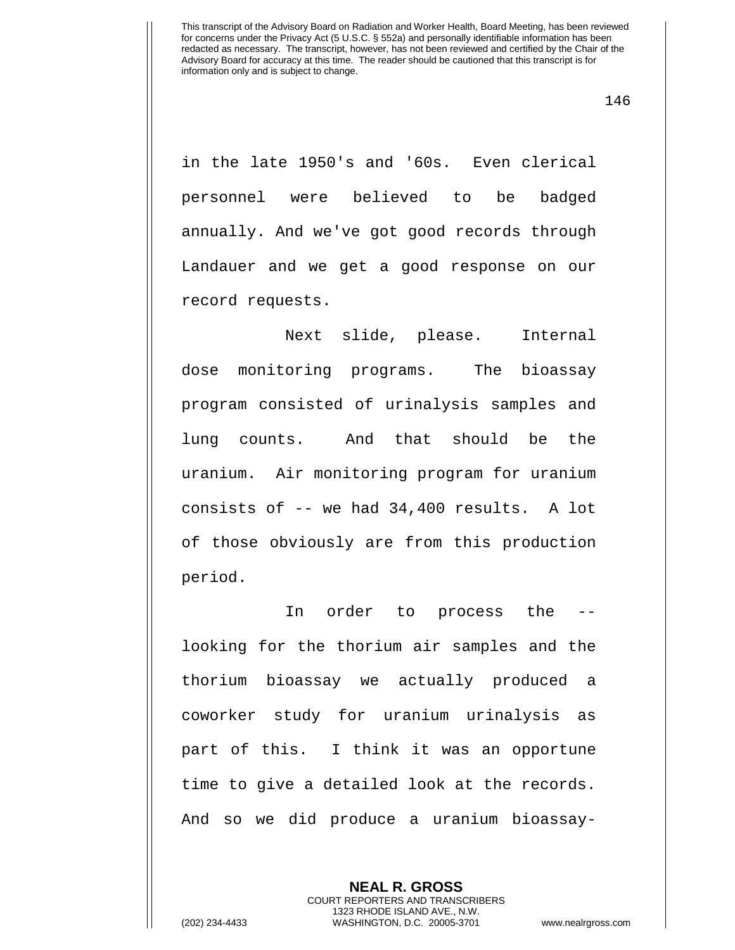in the late 1950's and '60s. Even clerical personnel were believed to be badged annually. And we've got good records through Landauer and we get a good response on our record requests.

Next slide, please. Internal dose monitoring programs. The bioassay program consisted of urinalysis samples and lung counts. And that should be the uranium. Air monitoring program for uranium consists of -- we had 34,400 results. A lot of those obviously are from this production period.

In order to process the - looking for the thorium air samples and the thorium bioassay we actually produced a coworker study for uranium urinalysis as part of this. I think it was an opportune time to give a detailed look at the records. And so we did produce a uranium bioassay-

> **NEAL R. GROSS** COURT REPORTERS AND TRANSCRIBERS 1323 RHODE ISLAND AVE., N.W.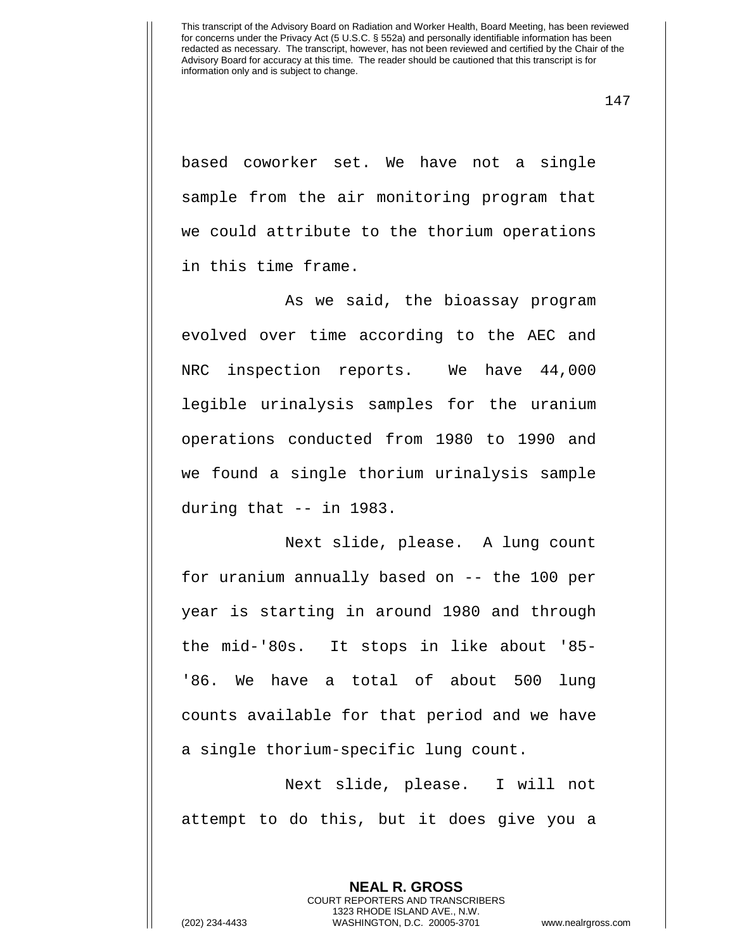147

based coworker set. We have not a single sample from the air monitoring program that we could attribute to the thorium operations in this time frame.

As we said, the bioassay program evolved over time according to the AEC and NRC inspection reports. We have 44,000 legible urinalysis samples for the uranium operations conducted from 1980 to 1990 and we found a single thorium urinalysis sample during that -- in 1983.

Next slide, please. A lung count for uranium annually based on -- the 100 per year is starting in around 1980 and through the mid-'80s. It stops in like about '85- '86. We have a total of about 500 lung counts available for that period and we have a single thorium-specific lung count.

Next slide, please. I will not attempt to do this, but it does give you a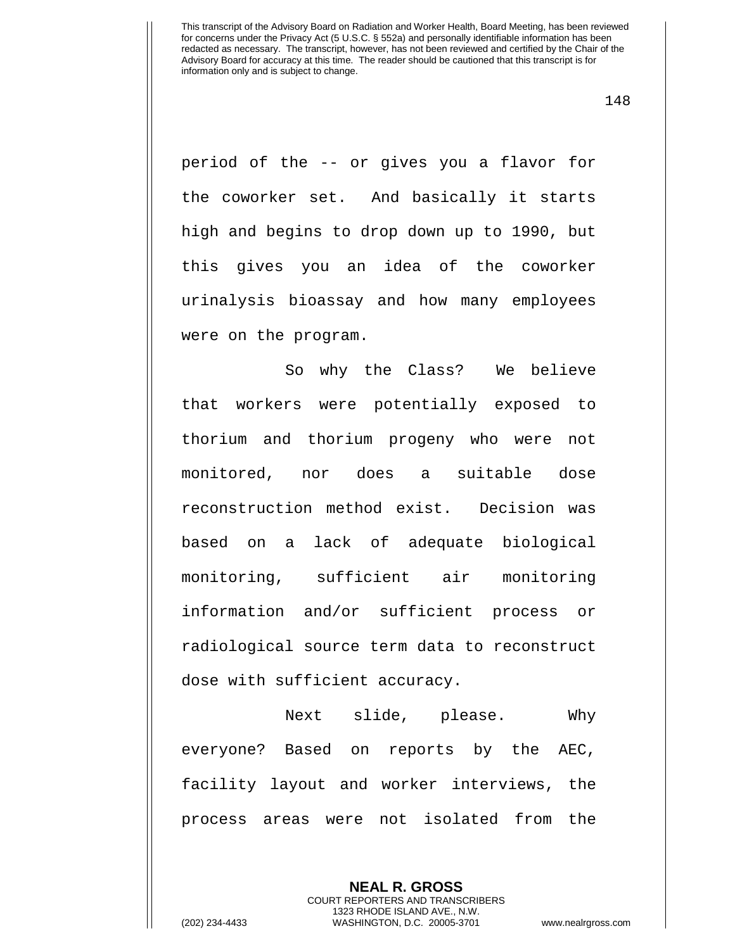148

period of the -- or gives you a flavor for the coworker set. And basically it starts high and begins to drop down up to 1990, but this gives you an idea of the coworker urinalysis bioassay and how many employees were on the program.

So why the Class? We believe that workers were potentially exposed to thorium and thorium progeny who were not monitored, nor does a suitable dose reconstruction method exist. Decision was based on a lack of adequate biological monitoring, sufficient air monitoring information and/or sufficient process or radiological source term data to reconstruct dose with sufficient accuracy.

Next slide, please. Why everyone? Based on reports by the AEC, facility layout and worker interviews, the process areas were not isolated from the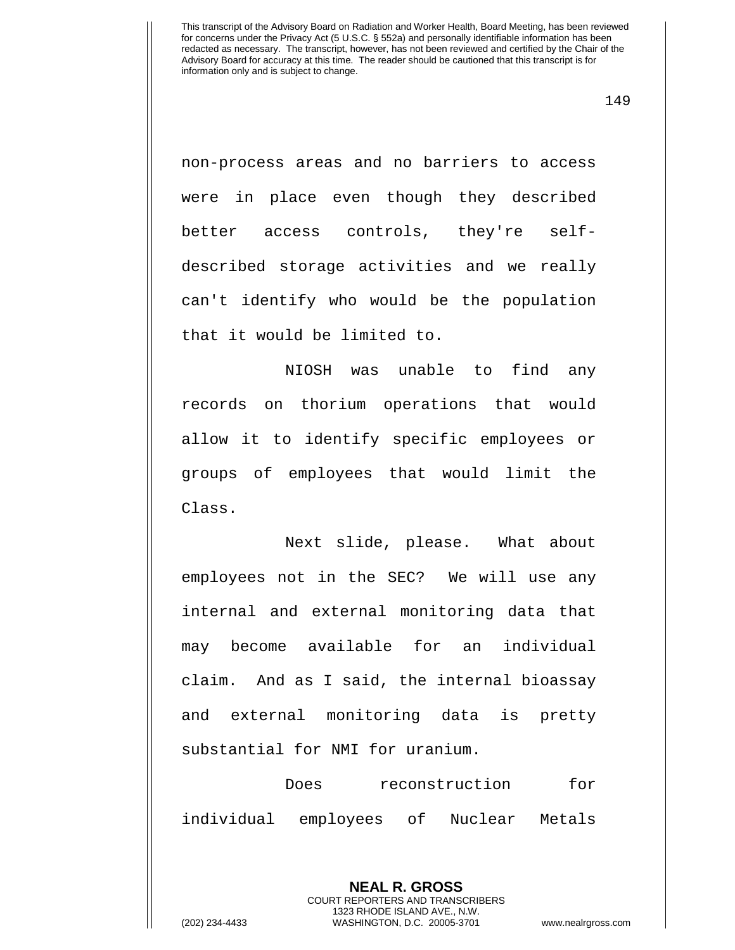149

non-process areas and no barriers to access were in place even though they described better access controls, they're selfdescribed storage activities and we really can't identify who would be the population that it would be limited to.

NIOSH was unable to find any records on thorium operations that would allow it to identify specific employees or groups of employees that would limit the Class.

Next slide, please. What about employees not in the SEC? We will use any internal and external monitoring data that may become available for an individual claim. And as I said, the internal bioassay and external monitoring data is pretty substantial for NMI for uranium.

Does reconstruction for individual employees of Nuclear Metals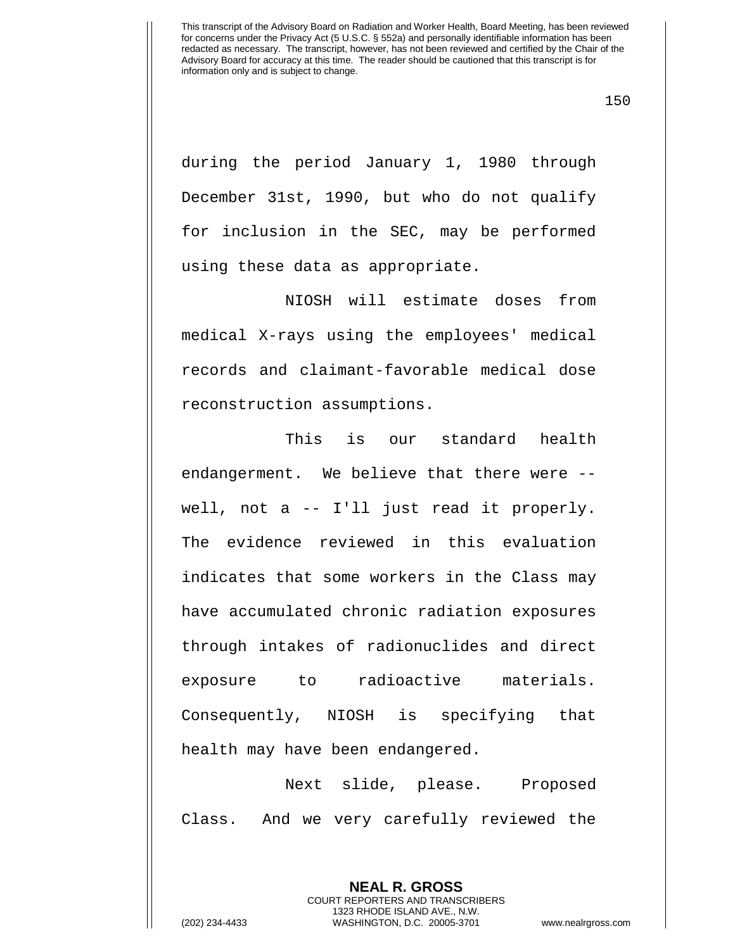150

during the period January 1, 1980 through December 31st, 1990, but who do not qualify for inclusion in the SEC, may be performed using these data as appropriate.

NIOSH will estimate doses from medical X-rays using the employees' medical records and claimant-favorable medical dose reconstruction assumptions.

This is our standard health endangerment. We believe that there were - well, not a -- I'll just read it properly. The evidence reviewed in this evaluation indicates that some workers in the Class may have accumulated chronic radiation exposures through intakes of radionuclides and direct exposure to radioactive materials. Consequently, NIOSH is specifying that health may have been endangered.

Next slide, please. Proposed Class. And we very carefully reviewed the

> **NEAL R. GROSS** COURT REPORTERS AND TRANSCRIBERS

1323 RHODE ISLAND AVE., N.W. (202) 234-4433 WASHINGTON, D.C. 20005-3701 www.nealrgross.com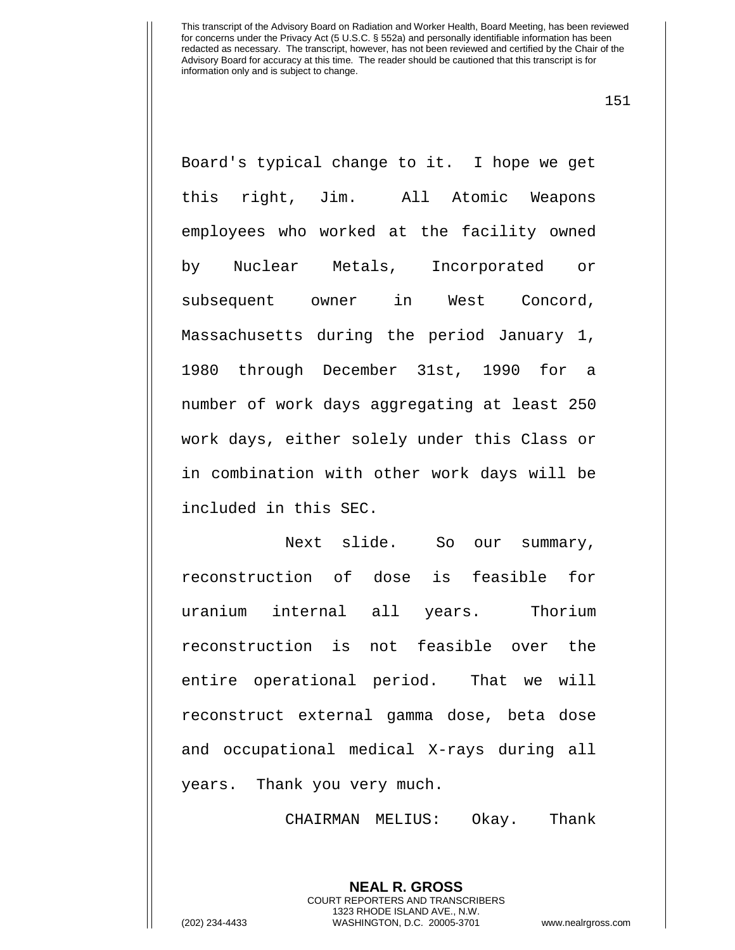151

Board's typical change to it. I hope we get this right, Jim. All Atomic Weapons employees who worked at the facility owned by Nuclear Metals, Incorporated or subsequent owner in West Concord, Massachusetts during the period January 1, 1980 through December 31st, 1990 for a number of work days aggregating at least 250 work days, either solely under this Class or in combination with other work days will be included in this SEC.

Next slide. So our summary, reconstruction of dose is feasible for uranium internal all years. Thorium reconstruction is not feasible over the entire operational period. That we will reconstruct external gamma dose, beta dose and occupational medical X-rays during all years. Thank you very much.

CHAIRMAN MELIUS: Okay. Thank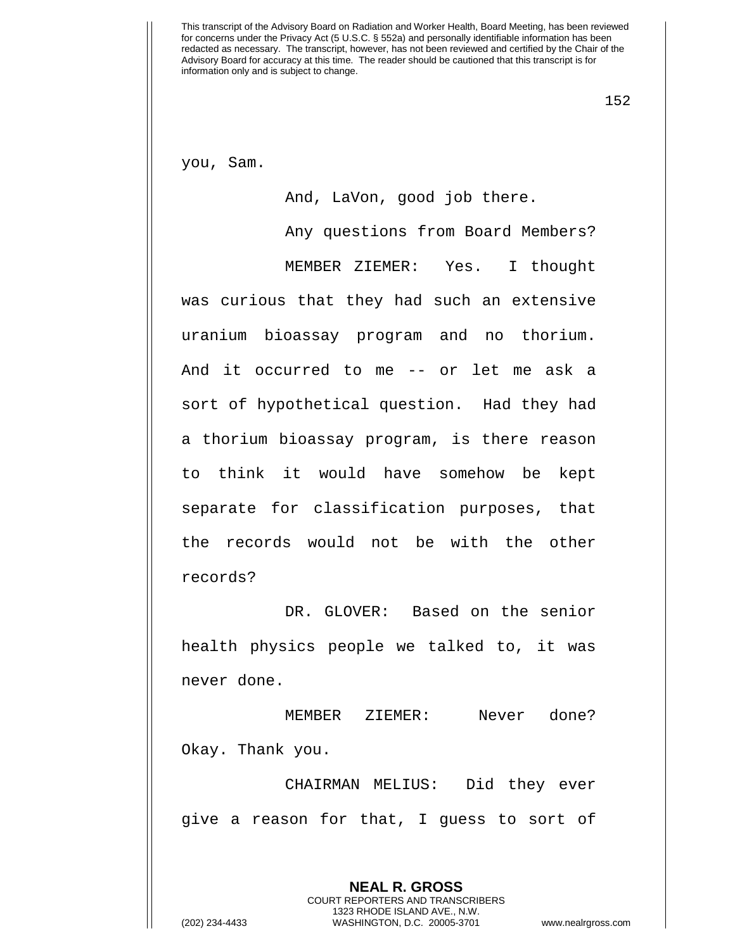152

you, Sam.

And, LaVon, good job there.

Any questions from Board Members? MEMBER ZIEMER: Yes. I thought was curious that they had such an extensive uranium bioassay program and no thorium. And it occurred to me -- or let me ask a sort of hypothetical question. Had they had a thorium bioassay program, is there reason to think it would have somehow be kept separate for classification purposes, that the records would not be with the other records?

DR. GLOVER: Based on the senior health physics people we talked to, it was never done.

MEMBER ZIEMER: Never done? Okay. Thank you.

CHAIRMAN MELIUS: Did they ever give a reason for that, I guess to sort of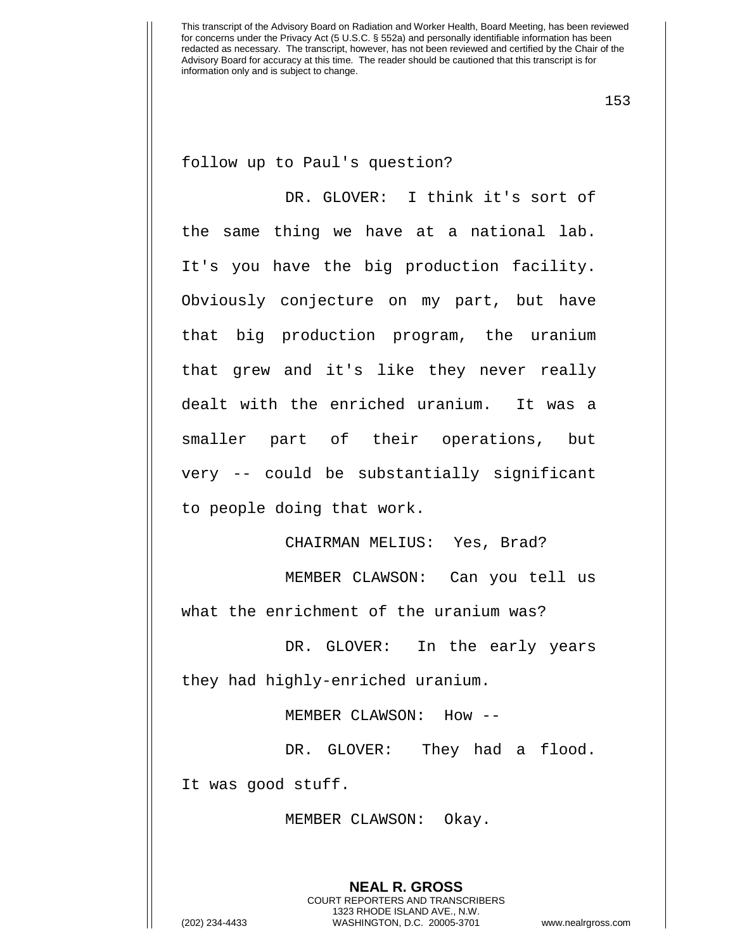153

follow up to Paul's question?

DR. GLOVER: I think it's sort of the same thing we have at a national lab. It's you have the big production facility. Obviously conjecture on my part, but have that big production program, the uranium that grew and it's like they never really dealt with the enriched uranium. It was a smaller part of their operations, but very -- could be substantially significant to people doing that work.

CHAIRMAN MELIUS: Yes, Brad?

MEMBER CLAWSON: Can you tell us what the enrichment of the uranium was?

DR. GLOVER: In the early years they had highly-enriched uranium.

MEMBER CLAWSON: How --

DR. GLOVER: They had a flood.

It was good stuff.

MEMBER CLAWSON: Okay.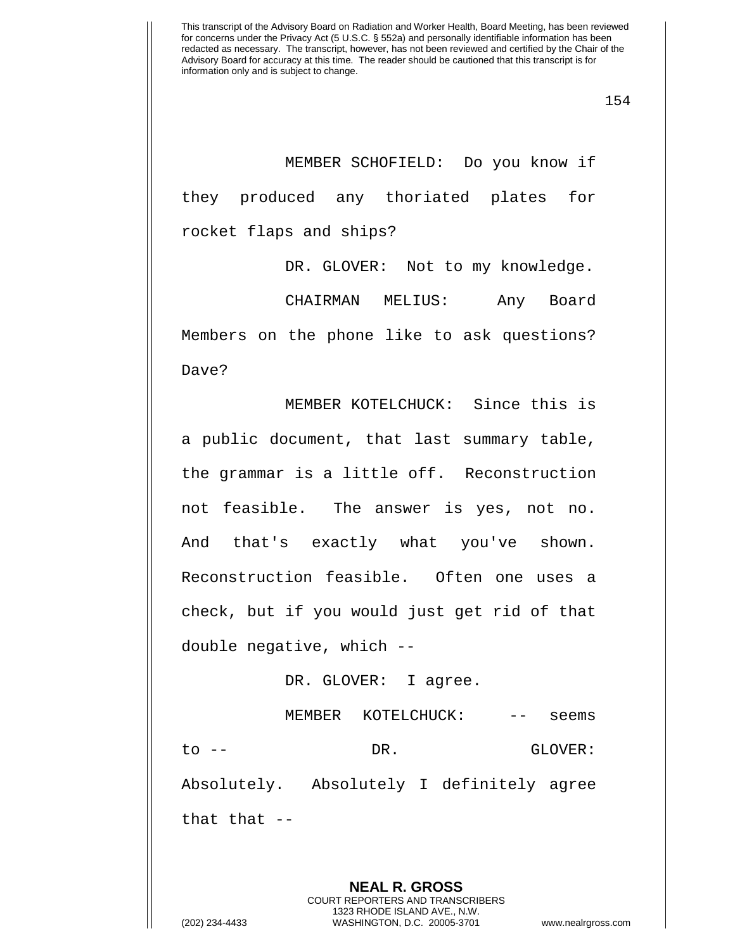MEMBER SCHOFIELD: Do you know if they produced any thoriated plates for rocket flaps and ships?

DR. GLOVER: Not to my knowledge.

CHAIRMAN MELIUS: Any Board Members on the phone like to ask questions? Dave?

MEMBER KOTELCHUCK: Since this is a public document, that last summary table, the grammar is a little off. Reconstruction not feasible. The answer is yes, not no. And that's exactly what you've shown. Reconstruction feasible. Often one uses a check, but if you would just get rid of that double negative, which --

## DR. GLOVER: I agree.

MEMBER KOTELCHUCK: -- seems to -- DR. GLOVER: Absolutely. Absolutely I definitely agree that that --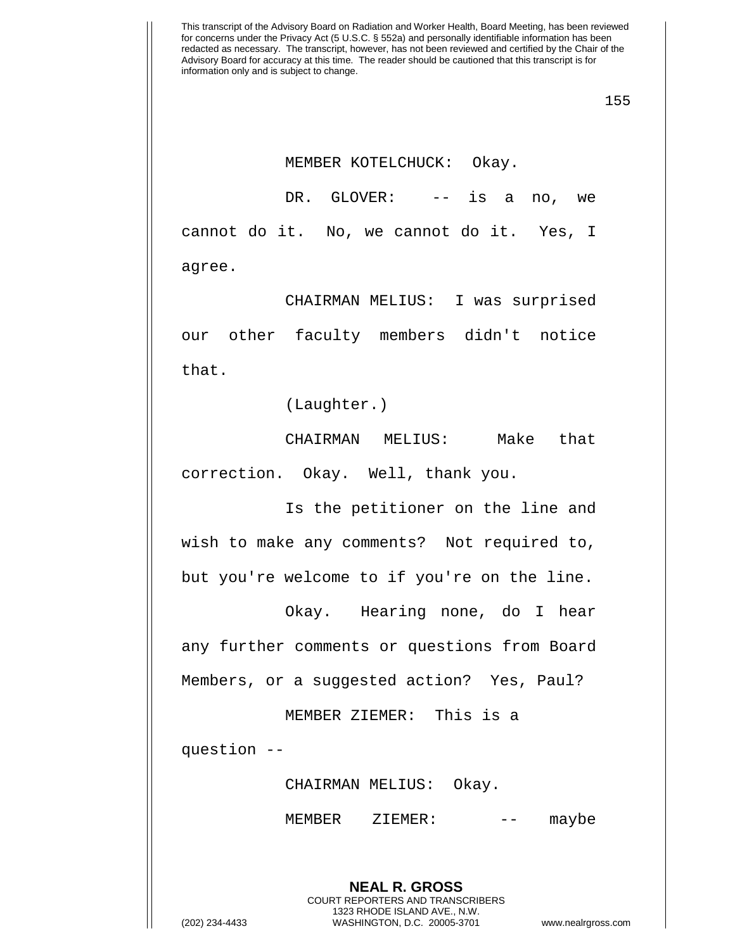155

MEMBER KOTELCHUCK: Okay.

DR. GLOVER: -- is a no, we cannot do it. No, we cannot do it. Yes, I agree.

CHAIRMAN MELIUS: I was surprised our other faculty members didn't notice that.

(Laughter.)

CHAIRMAN MELIUS: Make that correction. Okay. Well, thank you.

Is the petitioner on the line and wish to make any comments? Not required to, but you're welcome to if you're on the line.

Okay. Hearing none, do I hear any further comments or questions from Board Members, or a suggested action? Yes, Paul?

MEMBER ZIEMER: This is a

question --

CHAIRMAN MELIUS: Okay.

MEMBER ZIEMER: -- maybe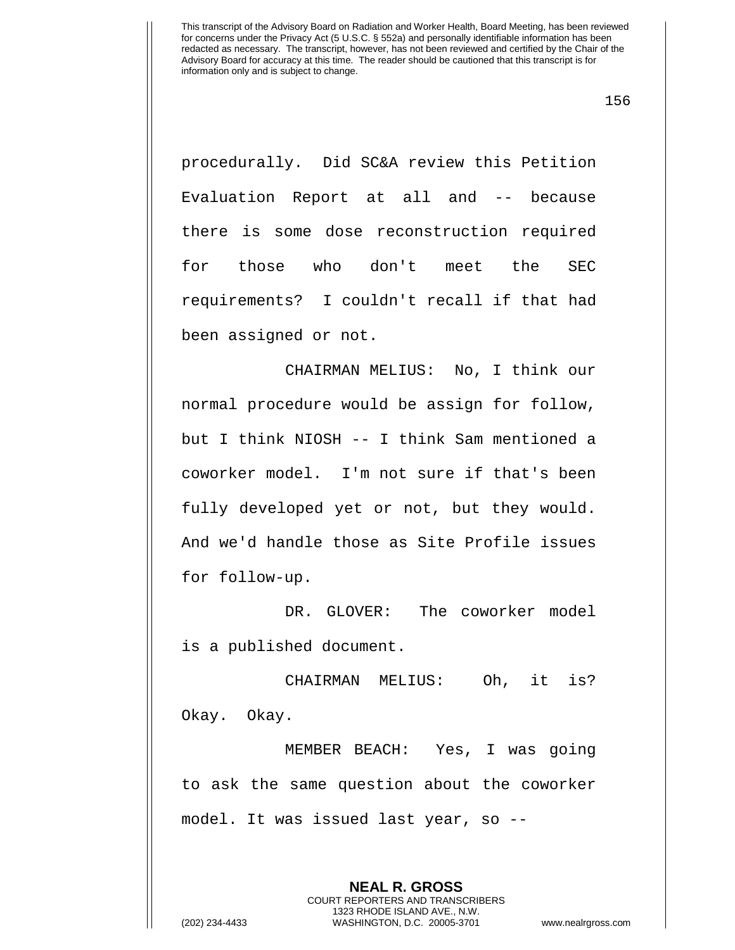156

procedurally. Did SC&A review this Petition Evaluation Report at all and -- because there is some dose reconstruction required for those who don't meet the SEC requirements? I couldn't recall if that had been assigned or not.

CHAIRMAN MELIUS: No, I think our normal procedure would be assign for follow, but I think NIOSH -- I think Sam mentioned a coworker model. I'm not sure if that's been fully developed yet or not, but they would. And we'd handle those as Site Profile issues for follow-up.

DR. GLOVER: The coworker model is a published document.

CHAIRMAN MELIUS: Oh, it is? Okay. Okay.

MEMBER BEACH: Yes, I was going to ask the same question about the coworker model. It was issued last year, so --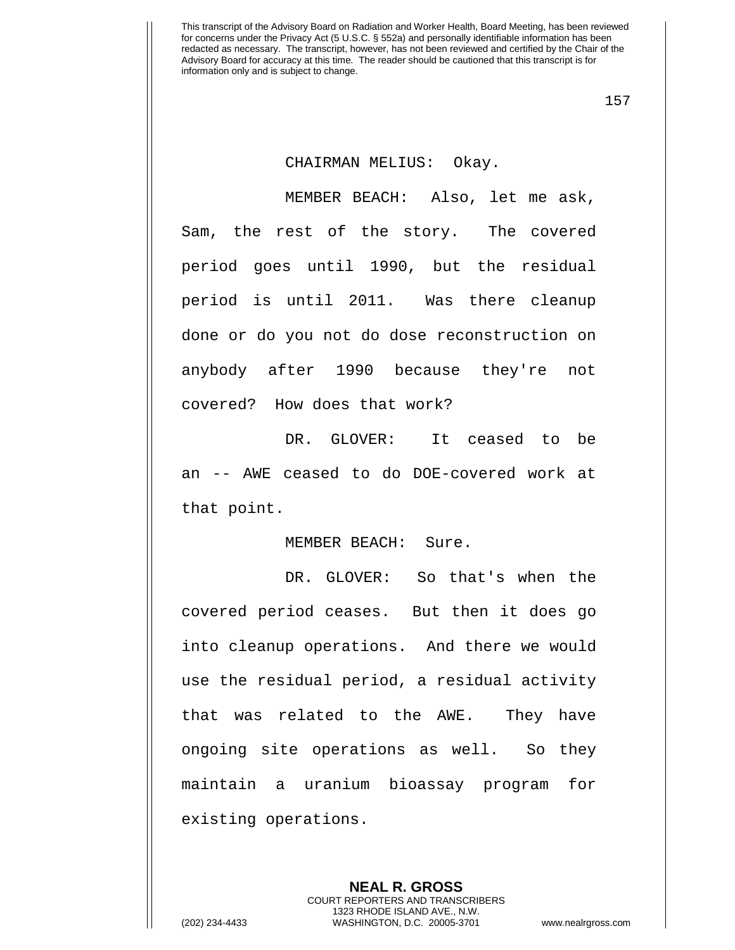157

## CHAIRMAN MELIUS: Okay.

MEMBER BEACH: Also, let me ask, Sam, the rest of the story. The covered period goes until 1990, but the residual period is until 2011. Was there cleanup done or do you not do dose reconstruction on anybody after 1990 because they're not covered? How does that work?

DR. GLOVER: It ceased to be an -- AWE ceased to do DOE-covered work at that point.

## MEMBER BEACH: Sure.

DR. GLOVER: So that's when the covered period ceases. But then it does go into cleanup operations. And there we would use the residual period, a residual activity that was related to the AWE. They have ongoing site operations as well. So they maintain a uranium bioassay program for existing operations.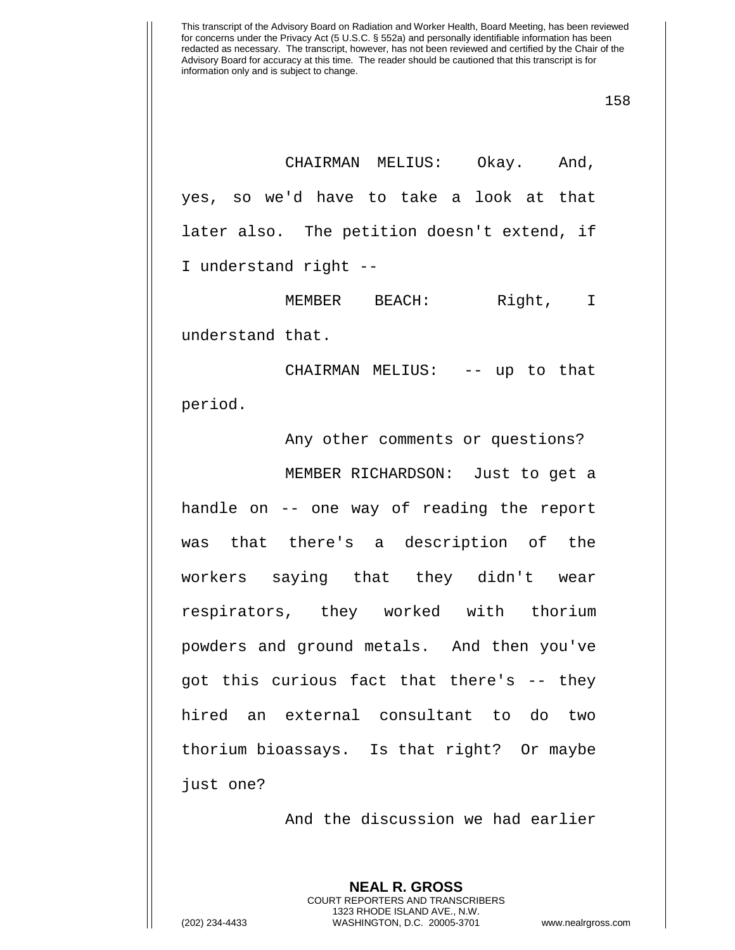CHAIRMAN MELIUS: Okay. And, yes, so we'd have to take a look at that later also. The petition doesn't extend, if I understand right --

MEMBER BEACH: Right, I understand that.

CHAIRMAN MELIUS: -- up to that period.

Any other comments or questions? MEMBER RICHARDSON: Just to get a handle on -- one way of reading the report was that there's a description of the workers saying that they didn't wear respirators, they worked with thorium powders and ground metals. And then you've got this curious fact that there's -- they hired an external consultant to do two thorium bioassays. Is that right? Or maybe just one?

And the discussion we had earlier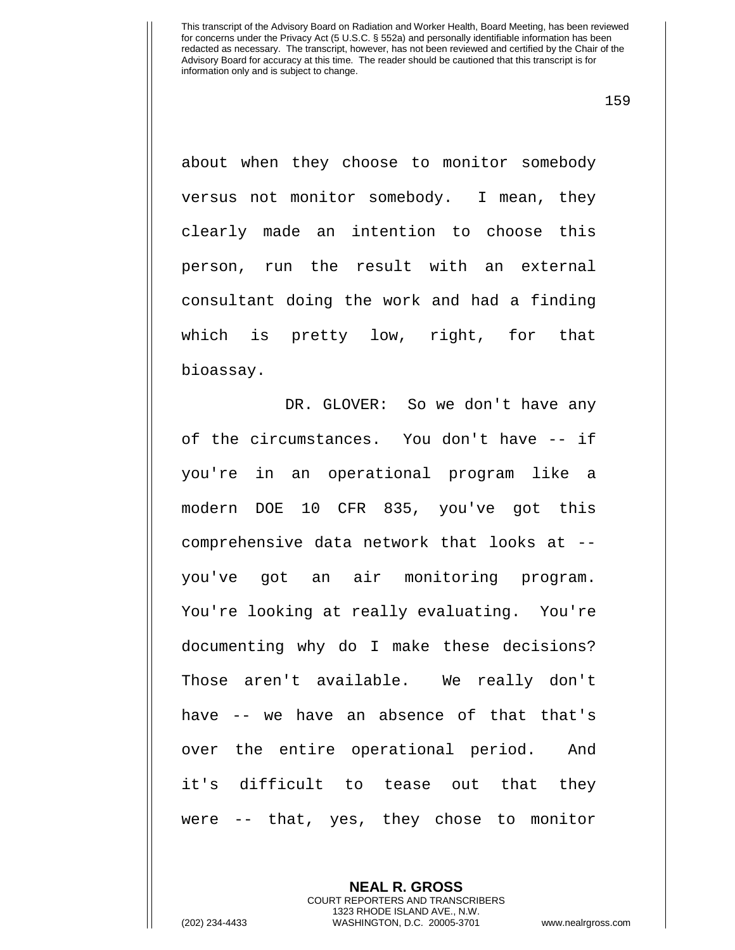159

about when they choose to monitor somebody versus not monitor somebody. I mean, they clearly made an intention to choose this person, run the result with an external consultant doing the work and had a finding which is pretty low, right, for that bioassay.

DR. GLOVER: So we don't have any of the circumstances. You don't have -- if you're in an operational program like a modern DOE 10 CFR 835, you've got this comprehensive data network that looks at - you've got an air monitoring program. You're looking at really evaluating. You're documenting why do I make these decisions? Those aren't available. We really don't have -- we have an absence of that that's over the entire operational period. And it's difficult to tease out that they were -- that, yes, they chose to monitor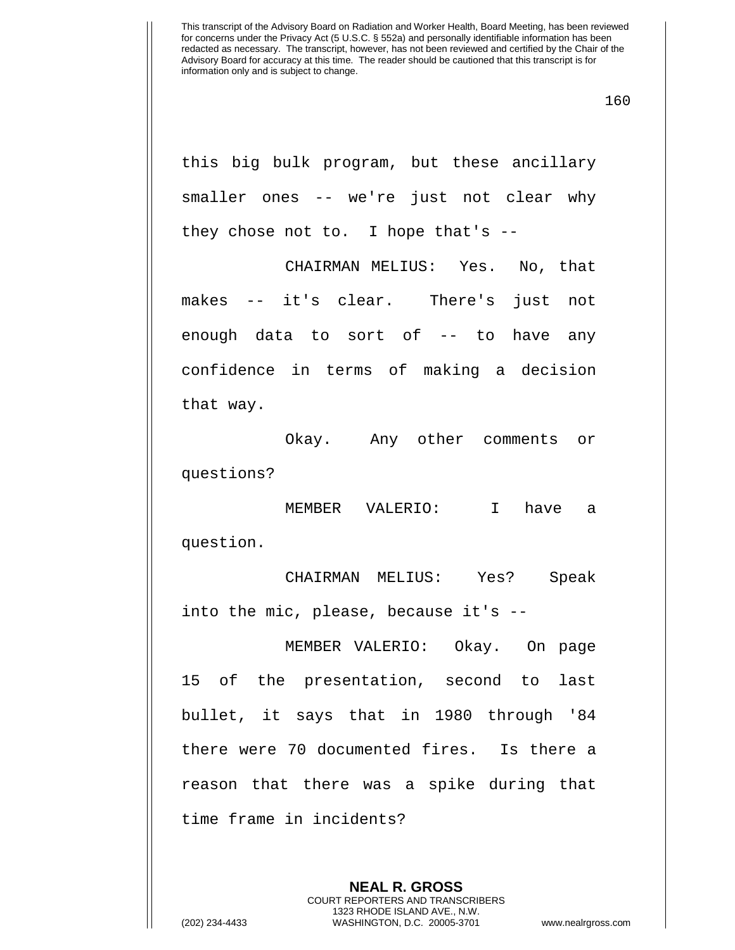160

this big bulk program, but these ancillary smaller ones -- we're just not clear why they chose not to. I hope that's --

CHAIRMAN MELIUS: Yes. No, that makes -- it's clear. There's just not enough data to sort of -- to have any confidence in terms of making a decision that way.

Okay. Any other comments or questions?

MEMBER VALERIO: I have a question.

CHAIRMAN MELIUS: Yes? Speak into the mic, please, because it's --

MEMBER VALERIO: Okay. On page 15 of the presentation, second to last bullet, it says that in 1980 through '84 there were 70 documented fires. Is there a reason that there was a spike during that time frame in incidents?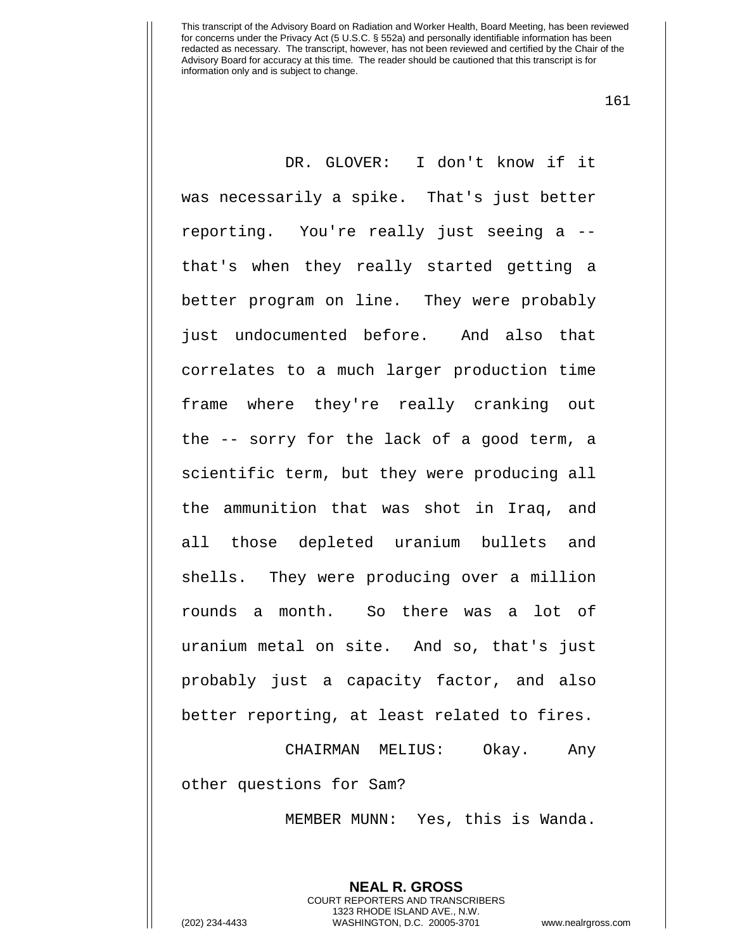161

DR. GLOVER: I don't know if it was necessarily a spike. That's just better reporting. You're really just seeing a - that's when they really started getting a better program on line. They were probably just undocumented before. And also that correlates to a much larger production time frame where they're really cranking out the -- sorry for the lack of a good term, a scientific term, but they were producing all the ammunition that was shot in Iraq, and all those depleted uranium bullets and shells. They were producing over a million rounds a month. So there was a lot of uranium metal on site. And so, that's just probably just a capacity factor, and also better reporting, at least related to fires.

CHAIRMAN MELIUS: Okay. Any other questions for Sam?

MEMBER MUNN: Yes, this is Wanda.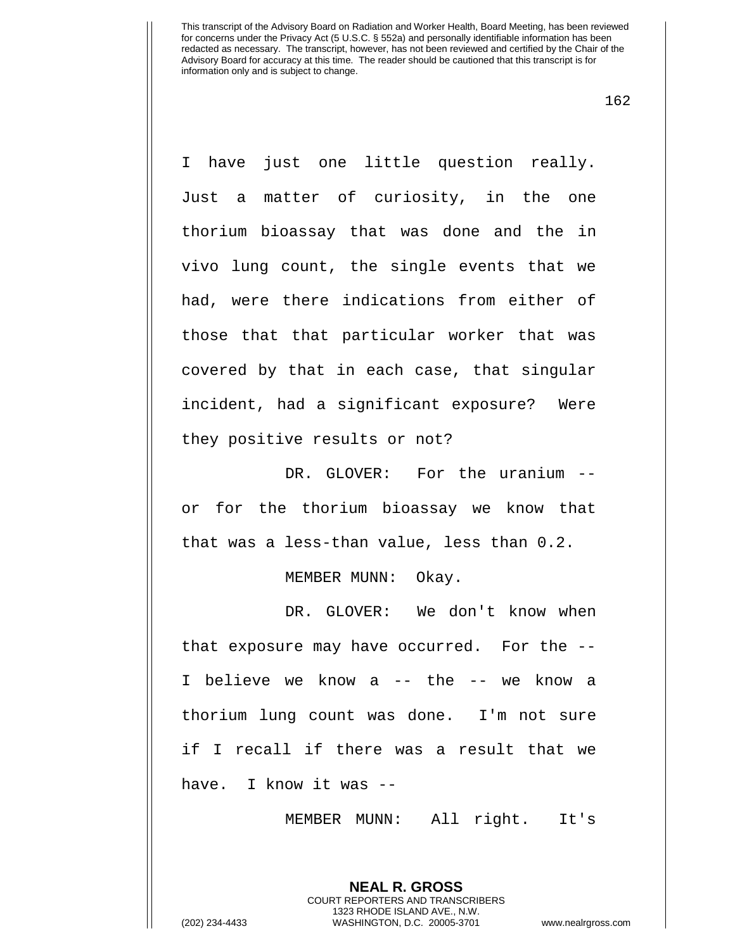162

I have just one little question really. Just a matter of curiosity, in the one thorium bioassay that was done and the in vivo lung count, the single events that we had, were there indications from either of those that that particular worker that was covered by that in each case, that singular incident, had a significant exposure? Were they positive results or not?

DR. GLOVER: For the uranium -or for the thorium bioassay we know that that was a less-than value, less than 0.2.

MEMBER MUNN: Okay.

DR. GLOVER: We don't know when that exposure may have occurred. For the -- I believe we know a -- the -- we know a thorium lung count was done. I'm not sure if I recall if there was a result that we have. I know it was --

MEMBER MUNN: All right. It's

**NEAL R. GROSS** COURT REPORTERS AND TRANSCRIBERS 1323 RHODE ISLAND AVE., N.W.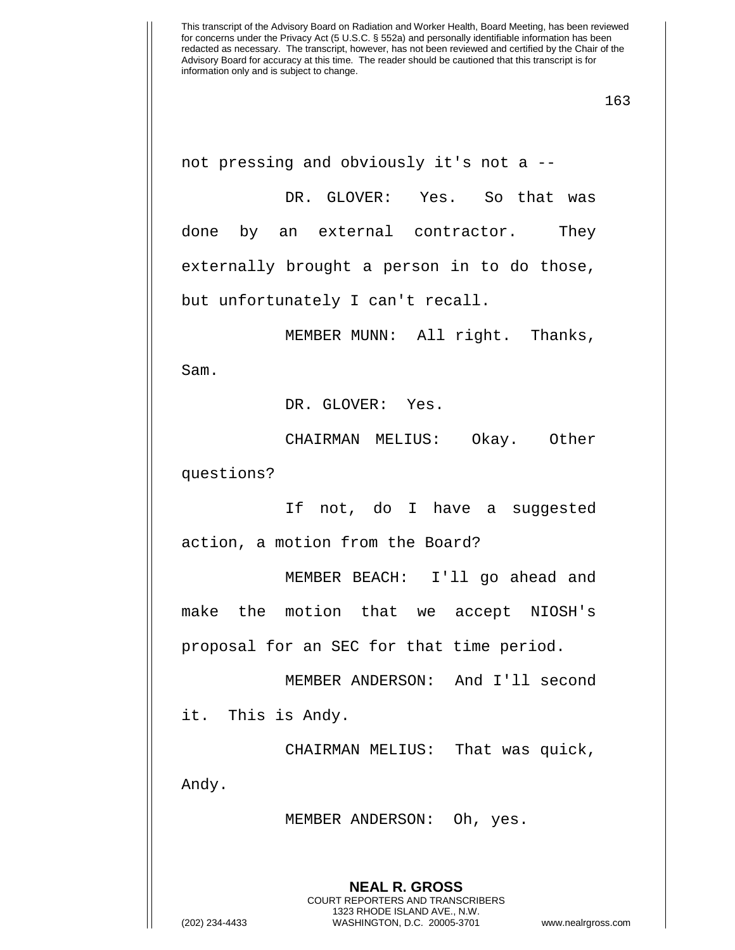not pressing and obviously it's not a --

DR. GLOVER: Yes. So that was done by an external contractor. They externally brought a person in to do those, but unfortunately I can't recall.

MEMBER MUNN: All right. Thanks, Sam.

DR. GLOVER: Yes.

CHAIRMAN MELIUS: Okay. Other questions?

If not, do I have a suggested action, a motion from the Board?

MEMBER BEACH: I'll go ahead and make the motion that we accept NIOSH's proposal for an SEC for that time period.

MEMBER ANDERSON: And I'll second it. This is Andy.

CHAIRMAN MELIUS: That was quick, Andy.

MEMBER ANDERSON: Oh, yes.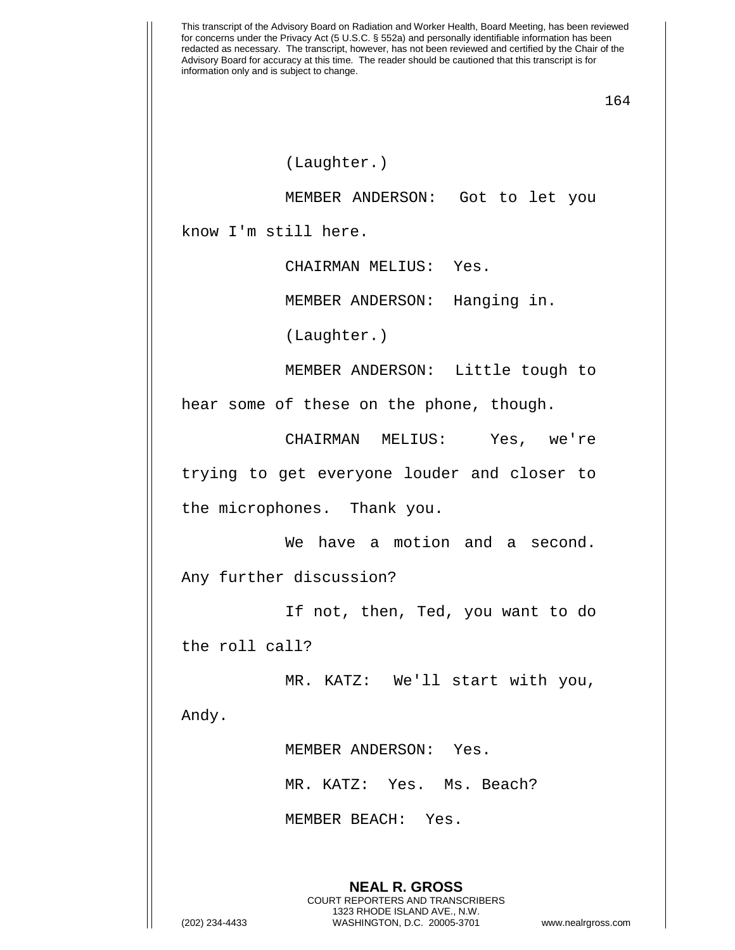This transcript of the Advisory Board on Radiation and Worker Health, Board Meeting, has been reviewed for concerns under the Privacy Act (5 U.S.C. § 552a) and personally identifiable information has been redacted as necessary. The transcript, however, has not been reviewed and certified by the Chair of the Advisory Board for accuracy at this time. The reader should be cautioned that this transcript is for information only and is subject to change. 164 **NEAL R. GROSS** COURT REPORTERS AND TRANSCRIBERS (Laughter.) MEMBER ANDERSON: Got to let you know I'm still here. CHAIRMAN MELIUS: Yes. MEMBER ANDERSON: Hanging in. (Laughter.) MEMBER ANDERSON: Little tough to hear some of these on the phone, though. CHAIRMAN MELIUS: Yes, we're trying to get everyone louder and closer to the microphones. Thank you. We have a motion and a second. Any further discussion? If not, then, Ted, you want to do the roll call? MR. KATZ: We'll start with you, Andy. MEMBER ANDERSON: Yes. MR. KATZ: Yes. Ms. Beach? MEMBER BEACH: Yes.

1323 RHODE ISLAND AVE., N.W.

(202) 234-4433 WASHINGTON, D.C. 20005-3701 www.nealrgross.com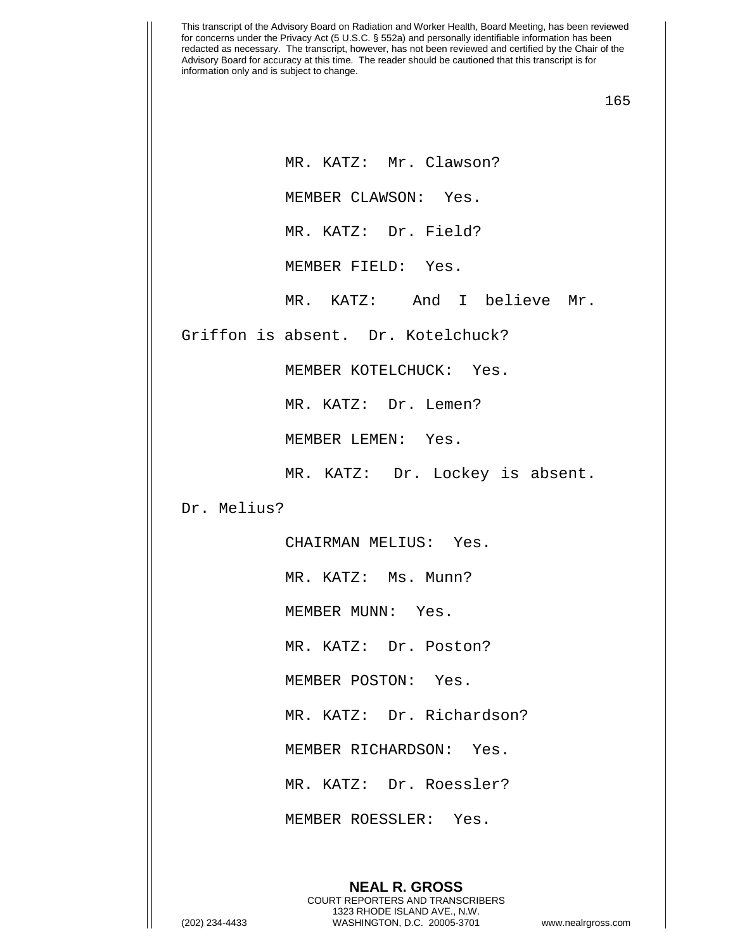165

MR. KATZ: Mr. Clawson?

MEMBER CLAWSON: Yes.

MR. KATZ: Dr. Field?

MEMBER FIELD: Yes.

MR. KATZ: And I believe Mr.

Griffon is absent. Dr. Kotelchuck?

MEMBER KOTELCHUCK: Yes.

MR. KATZ: Dr. Lemen?

MEMBER LEMEN: Yes.

MR. KATZ: Dr. Lockey is absent.

Dr. Melius?

CHAIRMAN MELIUS: Yes.

MR. KATZ: Ms. Munn?

MEMBER MUNN: Yes.

MR. KATZ: Dr. Poston?

MEMBER POSTON: Yes.

MR. KATZ: Dr. Richardson?

MEMBER RICHARDSON: Yes.

MR. KATZ: Dr. Roessler?

MEMBER ROESSLER: Yes.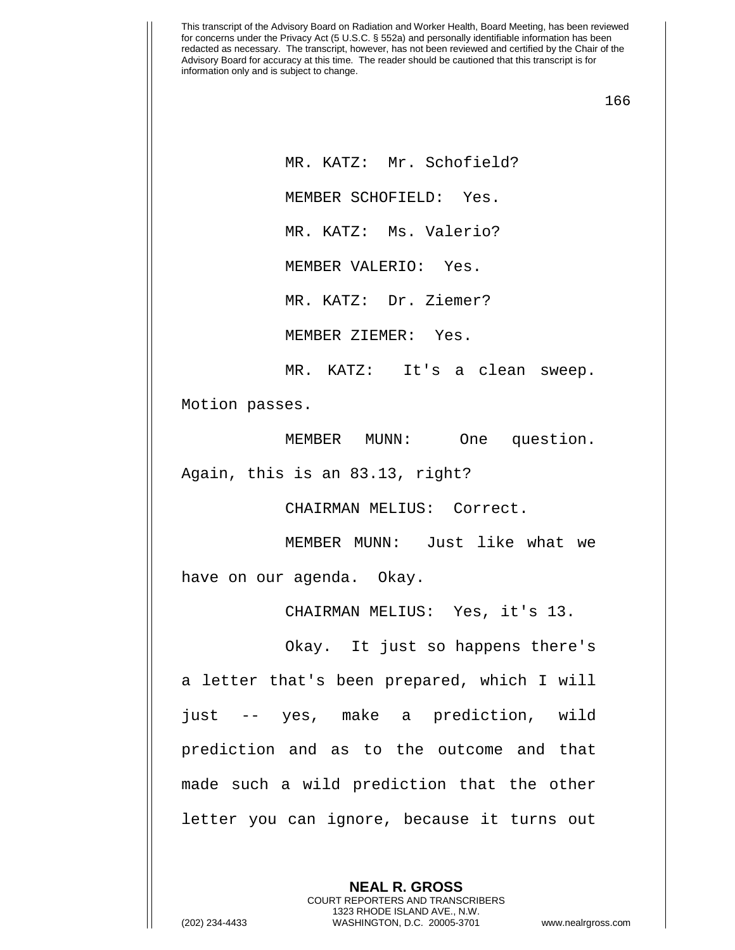166

MR. KATZ: Mr. Schofield? MEMBER SCHOFIELD: Yes. MR. KATZ: Ms. Valerio? MEMBER VALERIO: Yes. MR. KATZ: Dr. Ziemer? MEMBER ZIEMER: Yes.

MR. KATZ: It's a clean sweep. Motion passes.

MEMBER MUNN: One question. Again, this is an 83.13, right?

CHAIRMAN MELIUS: Correct.

MEMBER MUNN: Just like what we have on our agenda. Okay.

CHAIRMAN MELIUS: Yes, it's 13.

Okay. It just so happens there's a letter that's been prepared, which I will just -- yes, make a prediction, wild prediction and as to the outcome and that made such a wild prediction that the other letter you can ignore, because it turns out

> **NEAL R. GROSS** COURT REPORTERS AND TRANSCRIBERS 1323 RHODE ISLAND AVE., N.W.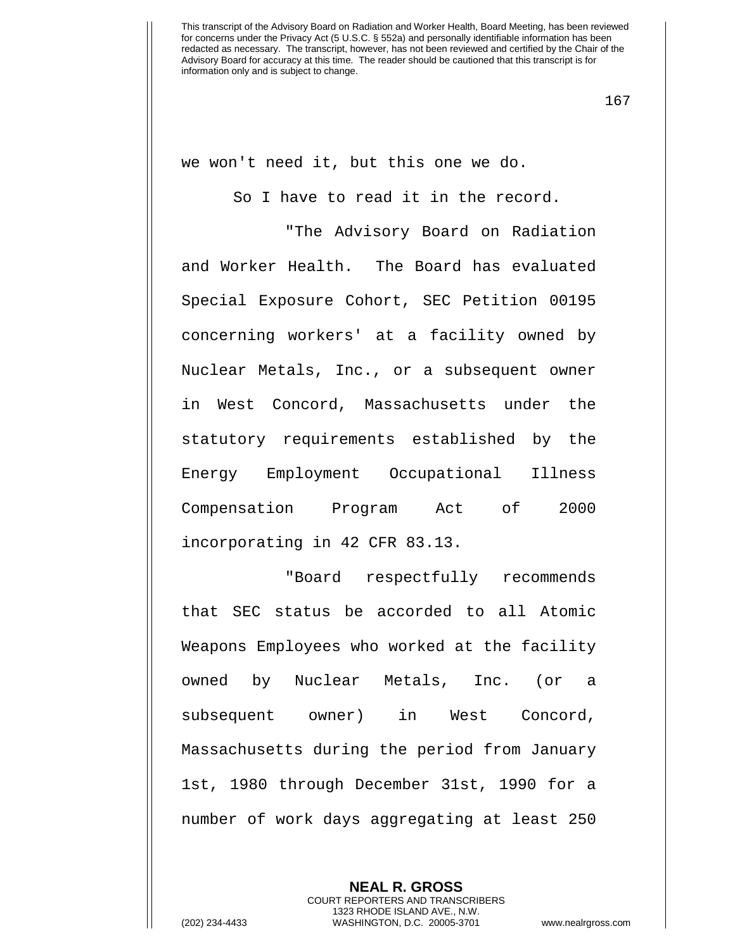167

we won't need it, but this one we do.

So I have to read it in the record.

"The Advisory Board on Radiation and Worker Health. The Board has evaluated Special Exposure Cohort, SEC Petition 00195 concerning workers' at a facility owned by Nuclear Metals, Inc., or a subsequent owner in West Concord, Massachusetts under the statutory requirements established by the Energy Employment Occupational Illness Compensation Program Act of 2000 incorporating in 42 CFR 83.13.

"Board respectfully recommends that SEC status be accorded to all Atomic Weapons Employees who worked at the facility owned by Nuclear Metals, Inc. (or a subsequent owner) in West Concord, Massachusetts during the period from January 1st, 1980 through December 31st, 1990 for a number of work days aggregating at least 250

> **NEAL R. GROSS** COURT REPORTERS AND TRANSCRIBERS 1323 RHODE ISLAND AVE., N.W.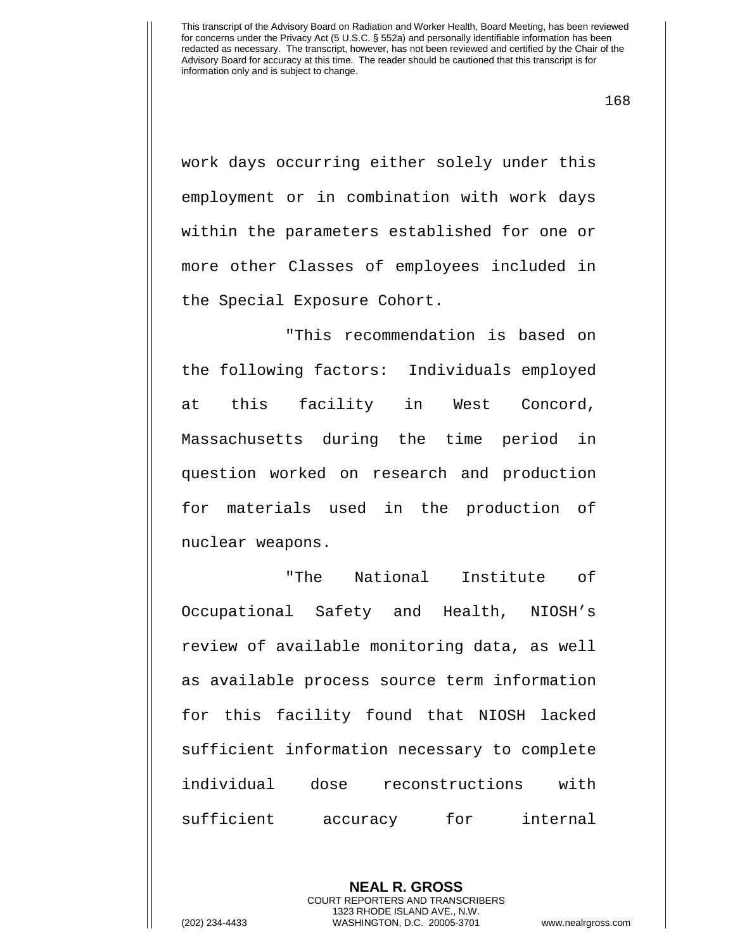168

work days occurring either solely under this employment or in combination with work days within the parameters established for one or more other Classes of employees included in the Special Exposure Cohort.

"This recommendation is based on the following factors: Individuals employed at this facility in West Concord, Massachusetts during the time period in question worked on research and production for materials used in the production of nuclear weapons.

"The National Institute of Occupational Safety and Health, NIOSH's review of available monitoring data, as well as available process source term information for this facility found that NIOSH lacked sufficient information necessary to complete individual dose reconstructions with sufficient accuracy for internal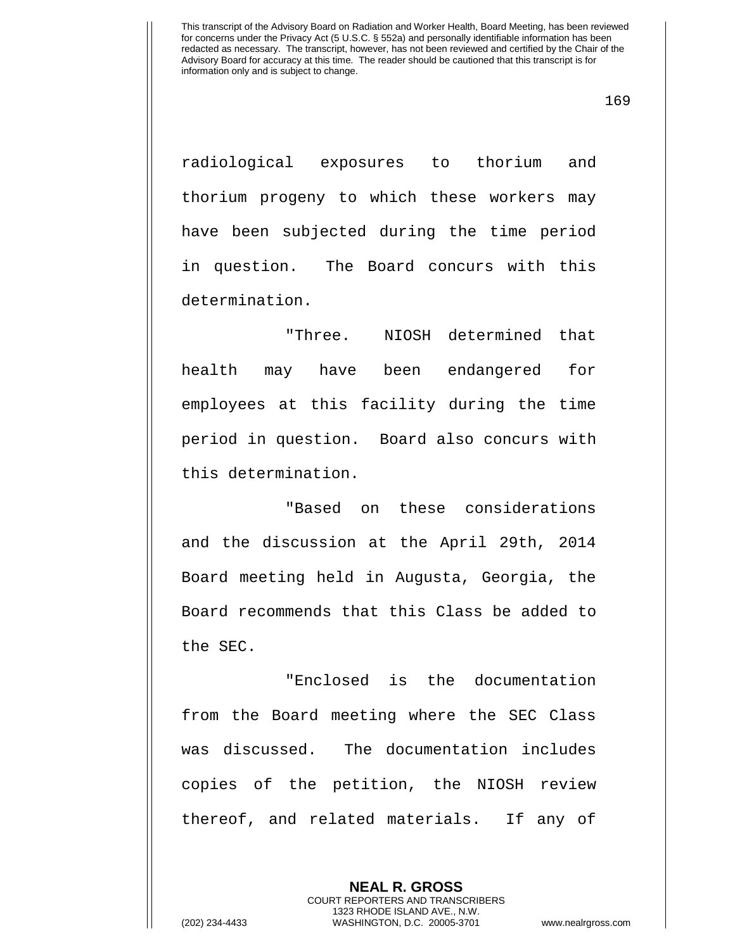radiological exposures to thorium and thorium progeny to which these workers may have been subjected during the time period in question. The Board concurs with this determination.

"Three. NIOSH determined that health may have been endangered for employees at this facility during the time period in question. Board also concurs with this determination.

"Based on these considerations and the discussion at the April 29th, 2014 Board meeting held in Augusta, Georgia, the Board recommends that this Class be added to the SEC.

"Enclosed is the documentation from the Board meeting where the SEC Class was discussed. The documentation includes copies of the petition, the NIOSH review thereof, and related materials. If any of

> **NEAL R. GROSS** COURT REPORTERS AND TRANSCRIBERS 1323 RHODE ISLAND AVE., N.W.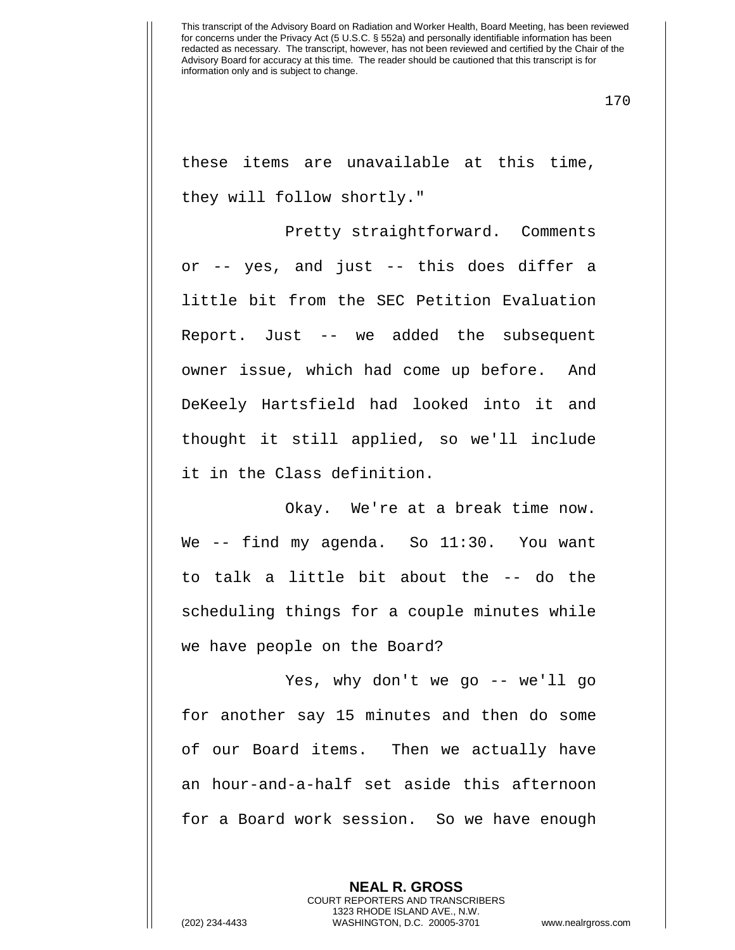170

these items are unavailable at this time, they will follow shortly."

Pretty straightforward. Comments or -- yes, and just -- this does differ a little bit from the SEC Petition Evaluation Report. Just -- we added the subsequent owner issue, which had come up before. And DeKeely Hartsfield had looked into it and thought it still applied, so we'll include it in the Class definition.

Okay. We're at a break time now. We -- find my agenda. So 11:30. You want to talk a little bit about the -- do the scheduling things for a couple minutes while we have people on the Board?

Yes, why don't we go -- we'll go for another say 15 minutes and then do some of our Board items. Then we actually have an hour-and-a-half set aside this afternoon for a Board work session. So we have enough

> **NEAL R. GROSS** COURT REPORTERS AND TRANSCRIBERS 1323 RHODE ISLAND AVE., N.W.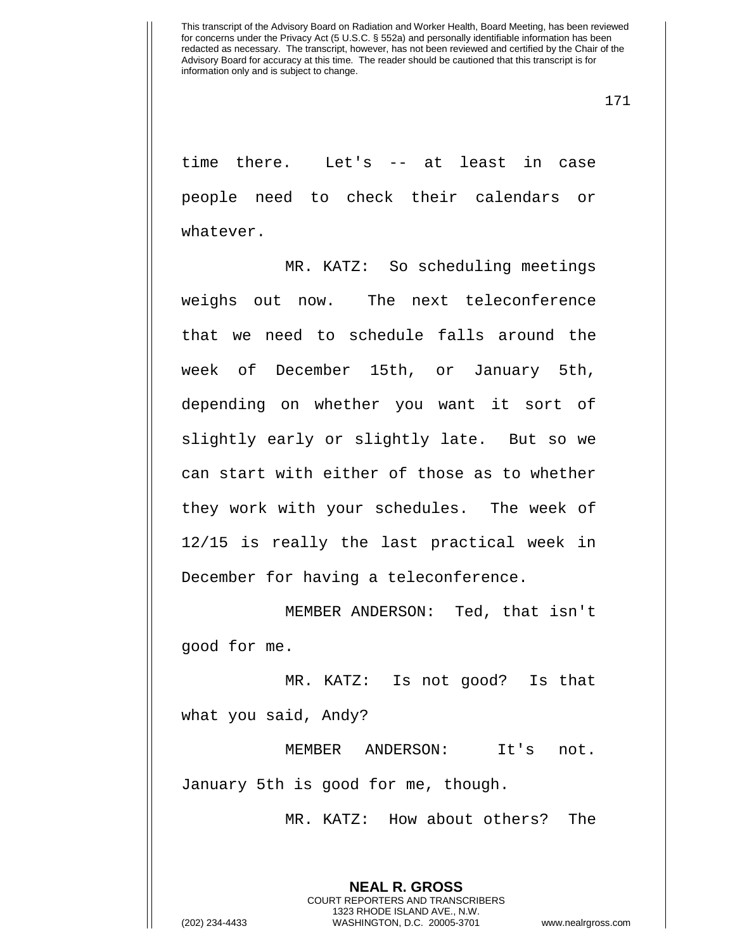171

time there. Let's -- at least in case people need to check their calendars or whatever.

MR. KATZ: So scheduling meetings weighs out now. The next teleconference that we need to schedule falls around the week of December 15th, or January 5th, depending on whether you want it sort of slightly early or slightly late. But so we can start with either of those as to whether they work with your schedules. The week of 12/15 is really the last practical week in December for having a teleconference.

MEMBER ANDERSON: Ted, that isn't good for me.

MR. KATZ: Is not good? Is that what you said, Andy?

MEMBER ANDERSON: It's not. January 5th is good for me, though.

MR. KATZ: How about others? The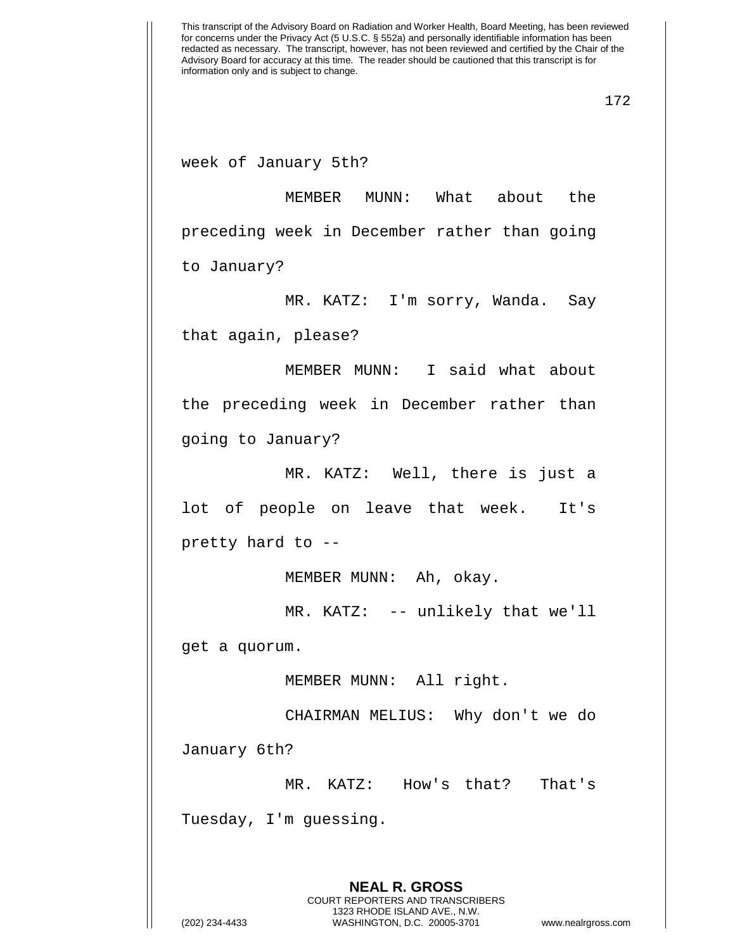week of January 5th?

MEMBER MUNN: What about the preceding week in December rather than going to January?

MR. KATZ: I'm sorry, Wanda. Say that again, please?

MEMBER MUNN: I said what about the preceding week in December rather than going to January?

MR. KATZ: Well, there is just a lot of people on leave that week. It's pretty hard to --

MEMBER MUNN: Ah, okay.

MR. KATZ: -- unlikely that we'll

get a quorum.

MEMBER MUNN: All right.

CHAIRMAN MELIUS: Why don't we do January 6th?

MR. KATZ: How's that? That's

Tuesday, I'm guessing.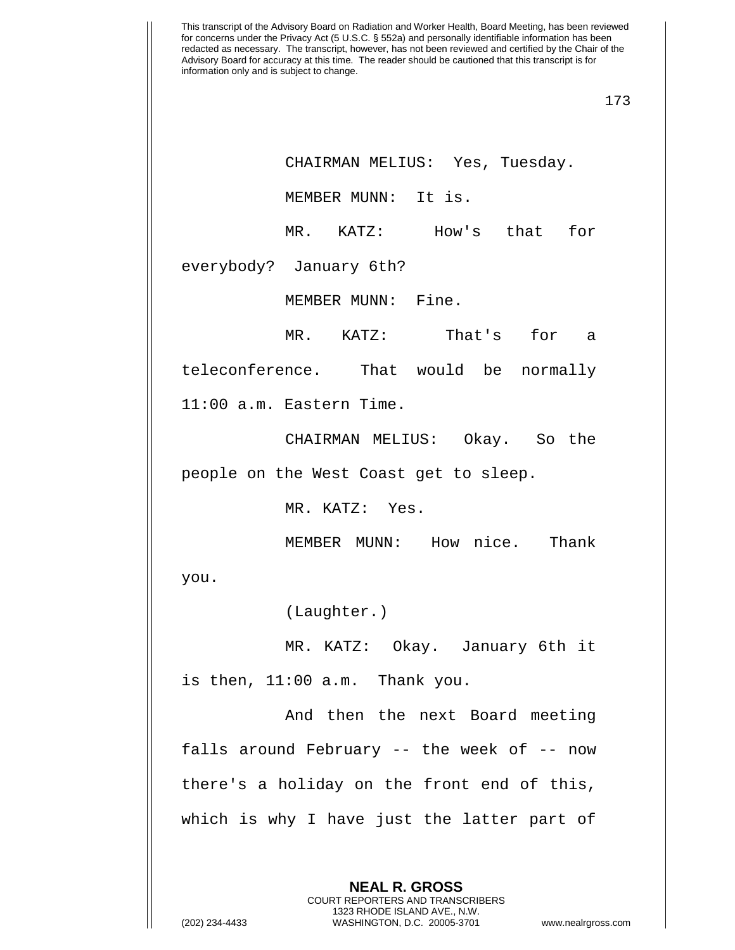173

CHAIRMAN MELIUS: Yes, Tuesday.

MEMBER MUNN: It is.

MR. KATZ: How's that for

everybody? January 6th?

MEMBER MUNN: Fine.

MR. KATZ: That's for a

teleconference. That would be normally

11:00 a.m. Eastern Time.

CHAIRMAN MELIUS: Okay. So the people on the West Coast get to sleep.

MR. KATZ: Yes.

MEMBER MUNN: How nice. Thank

you.

(Laughter.)

MR. KATZ: Okay. January 6th it is then, 11:00 a.m. Thank you.

And then the next Board meeting falls around February -- the week of -- now there's a holiday on the front end of this, which is why I have just the latter part of

> **NEAL R. GROSS** COURT REPORTERS AND TRANSCRIBERS 1323 RHODE ISLAND AVE., N.W.

(202) 234-4433 WASHINGTON, D.C. 20005-3701 www.nealrgross.com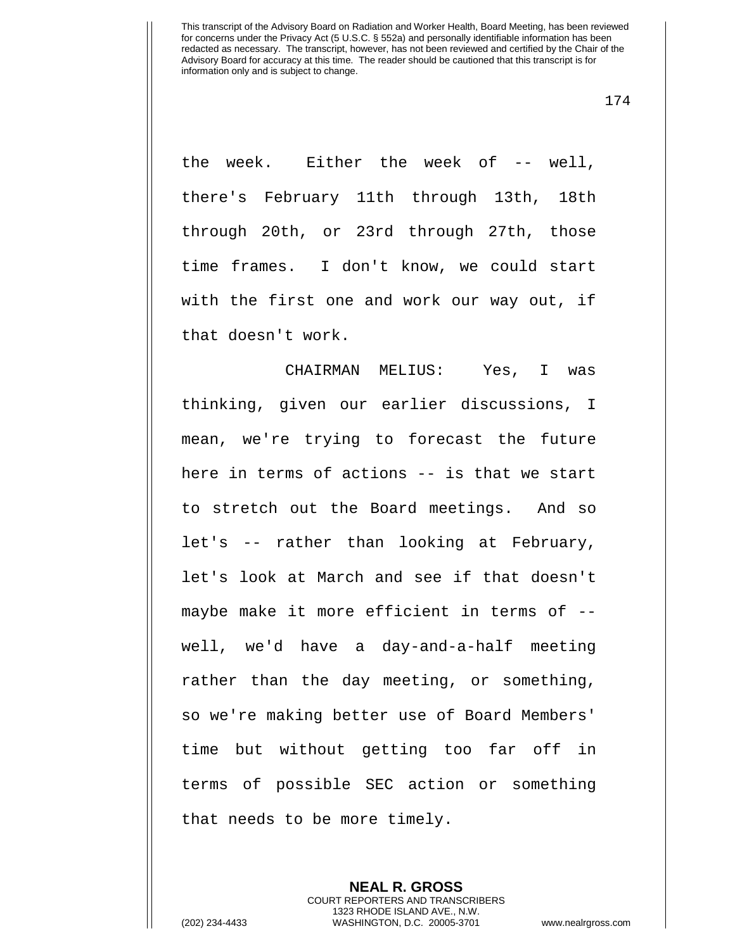174

the week. Either the week of -- well, there's February 11th through 13th, 18th through 20th, or 23rd through 27th, those time frames. I don't know, we could start with the first one and work our way out, if that doesn't work.

CHAIRMAN MELIUS: Yes, I was thinking, given our earlier discussions, I mean, we're trying to forecast the future here in terms of actions -- is that we start to stretch out the Board meetings. And so let's -- rather than looking at February, let's look at March and see if that doesn't maybe make it more efficient in terms of - well, we'd have a day-and-a-half meeting rather than the day meeting, or something, so we're making better use of Board Members' time but without getting too far off in terms of possible SEC action or something that needs to be more timely.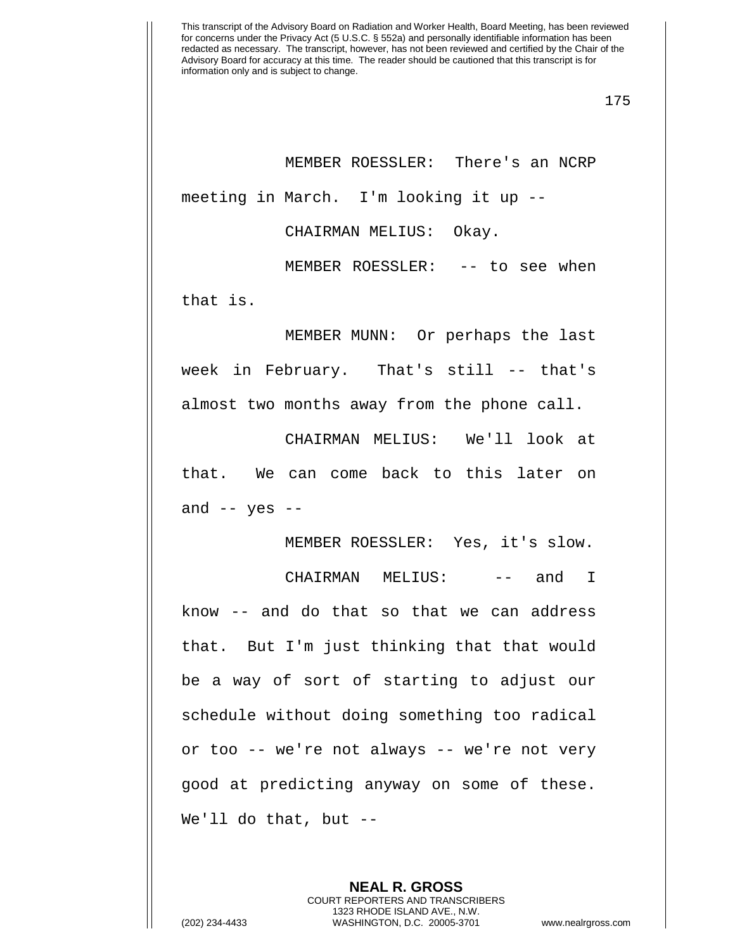175

MEMBER ROESSLER: There's an NCRP meeting in March. I'm looking it up --

CHAIRMAN MELIUS: Okay.

MEMBER ROESSLER: -- to see when

that is.

MEMBER MUNN: Or perhaps the last week in February. That's still -- that's almost two months away from the phone call.

CHAIRMAN MELIUS: We'll look at that. We can come back to this later on and  $--$  yes  $--$ 

MEMBER ROESSLER: Yes, it's slow.

CHAIRMAN MELIUS: -- and I know -- and do that so that we can address that. But I'm just thinking that that would be a way of sort of starting to adjust our schedule without doing something too radical or too -- we're not always -- we're not very good at predicting anyway on some of these. We'll do that, but --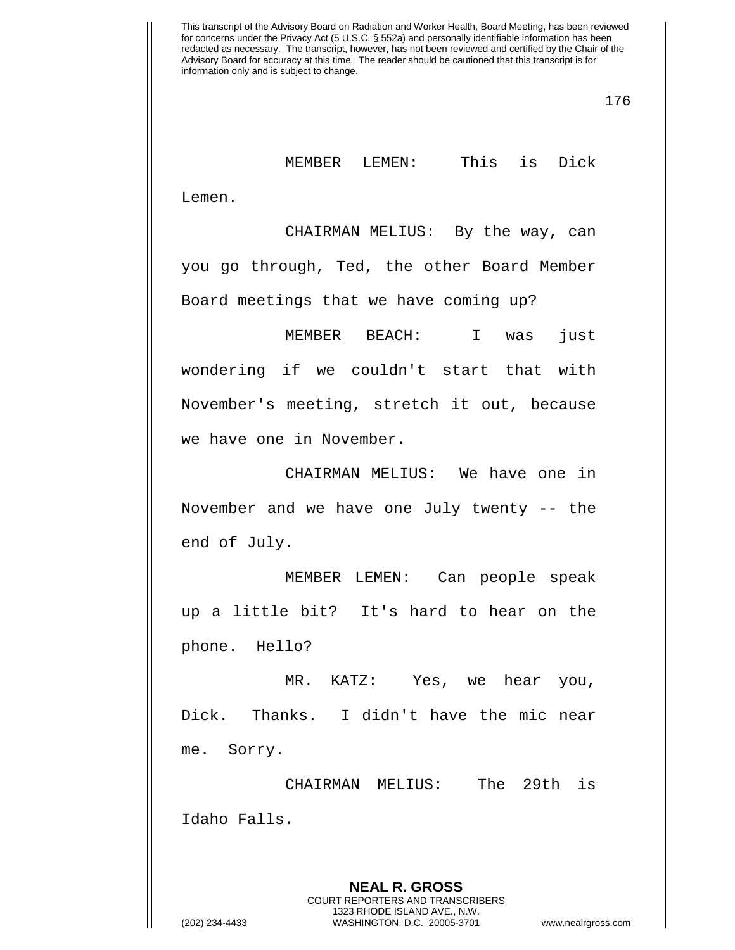176

MEMBER LEMEN: This is Dick

Lemen.

CHAIRMAN MELIUS: By the way, can you go through, Ted, the other Board Member Board meetings that we have coming up?

MEMBER BEACH: I was just wondering if we couldn't start that with November's meeting, stretch it out, because we have one in November.

CHAIRMAN MELIUS: We have one in November and we have one July twenty -- the end of July.

MEMBER LEMEN: Can people speak up a little bit? It's hard to hear on the phone. Hello?

MR. KATZ: Yes, we hear you, Dick. Thanks. I didn't have the mic near me. Sorry.

CHAIRMAN MELIUS: The 29th is Idaho Falls.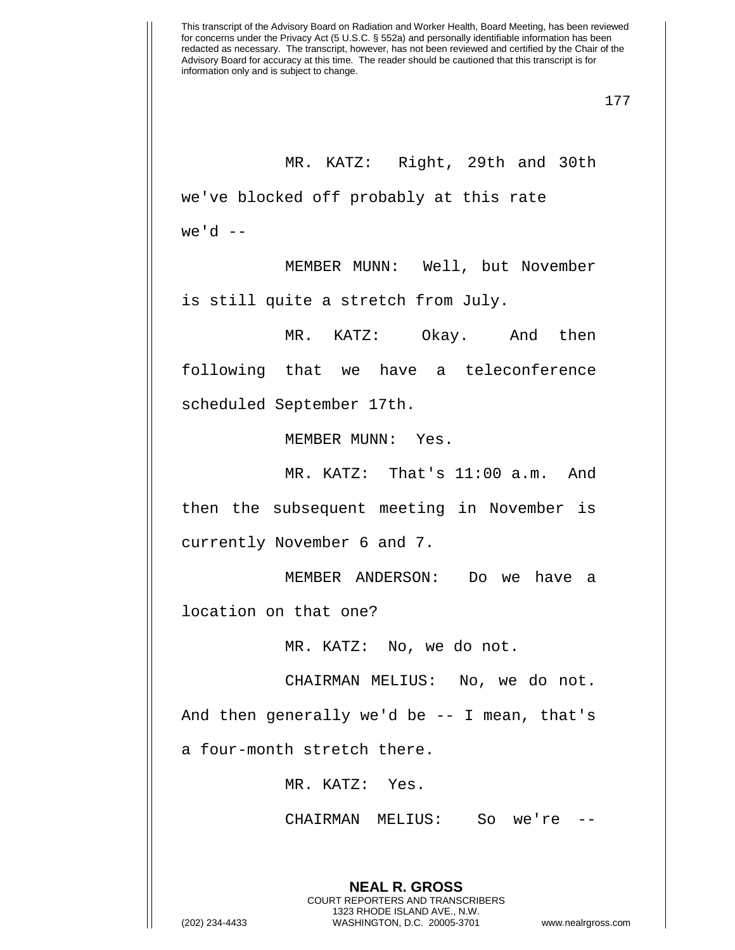177

MR. KATZ: Right, 29th and 30th we've blocked off probably at this rate we'd  $--$ 

MEMBER MUNN: Well, but November is still quite a stretch from July.

MR. KATZ: Okay. And then following that we have a teleconference scheduled September 17th.

MEMBER MUNN: Yes.

MR. KATZ: That's 11:00 a.m. And then the subsequent meeting in November is currently November 6 and 7.

MEMBER ANDERSON: Do we have a location on that one?

MR. KATZ: No, we do not.

CHAIRMAN MELIUS: No, we do not.

And then generally we'd be -- I mean, that's a four-month stretch there.

MR. KATZ: Yes.

CHAIRMAN MELIUS: So we're --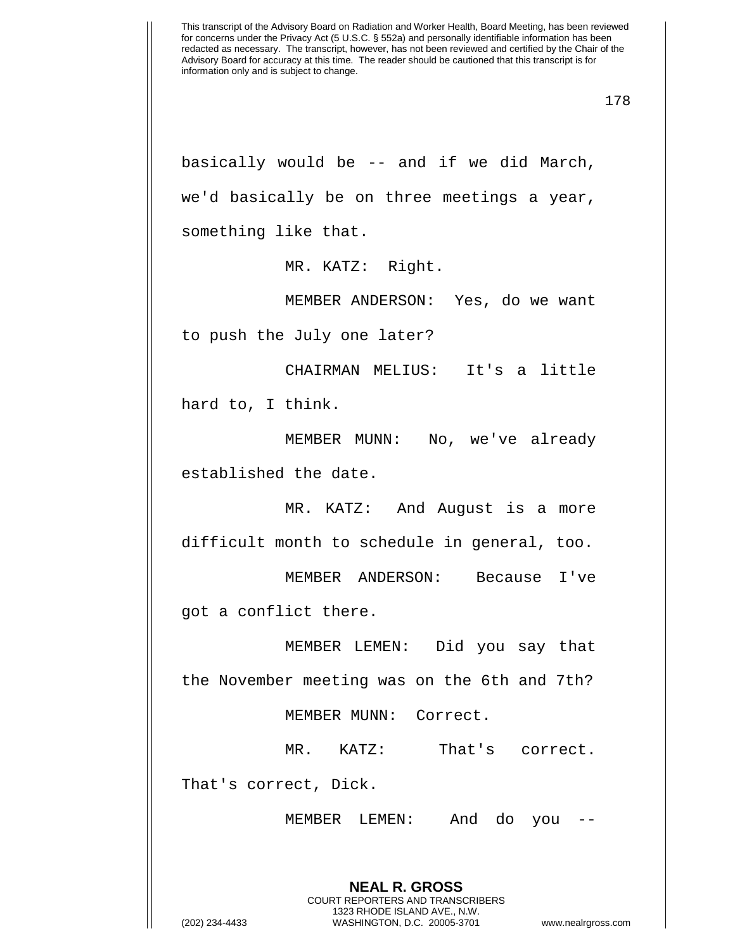basically would be -- and if we did March, we'd basically be on three meetings a year, something like that.

MR. KATZ: Right.

MEMBER ANDERSON: Yes, do we want

to push the July one later?

CHAIRMAN MELIUS: It's a little hard to, I think.

MEMBER MUNN: No, we've already established the date.

MR. KATZ: And August is a more difficult month to schedule in general, too.

MEMBER ANDERSON: Because I've got a conflict there.

MEMBER LEMEN: Did you say that the November meeting was on the 6th and 7th?

MEMBER MUNN: Correct.

MR. KATZ: That's correct.

That's correct, Dick.

MEMBER LEMEN: And do you --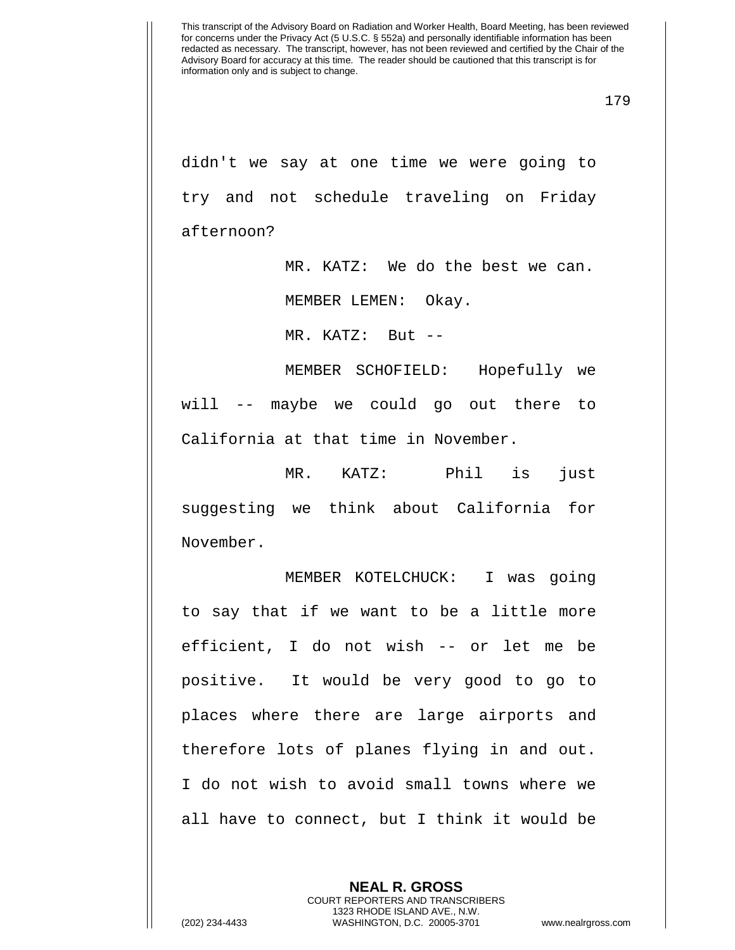didn't we say at one time we were going to try and not schedule traveling on Friday afternoon?

> MR. KATZ: We do the best we can. MEMBER LEMEN: Okay.

MR. KATZ: But --

MEMBER SCHOFIELD: Hopefully we will -- maybe we could go out there to California at that time in November.

MR. KATZ: Phil is just suggesting we think about California for November.

MEMBER KOTELCHUCK: I was going to say that if we want to be a little more efficient, I do not wish -- or let me be positive. It would be very good to go to places where there are large airports and therefore lots of planes flying in and out. I do not wish to avoid small towns where we all have to connect, but I think it would be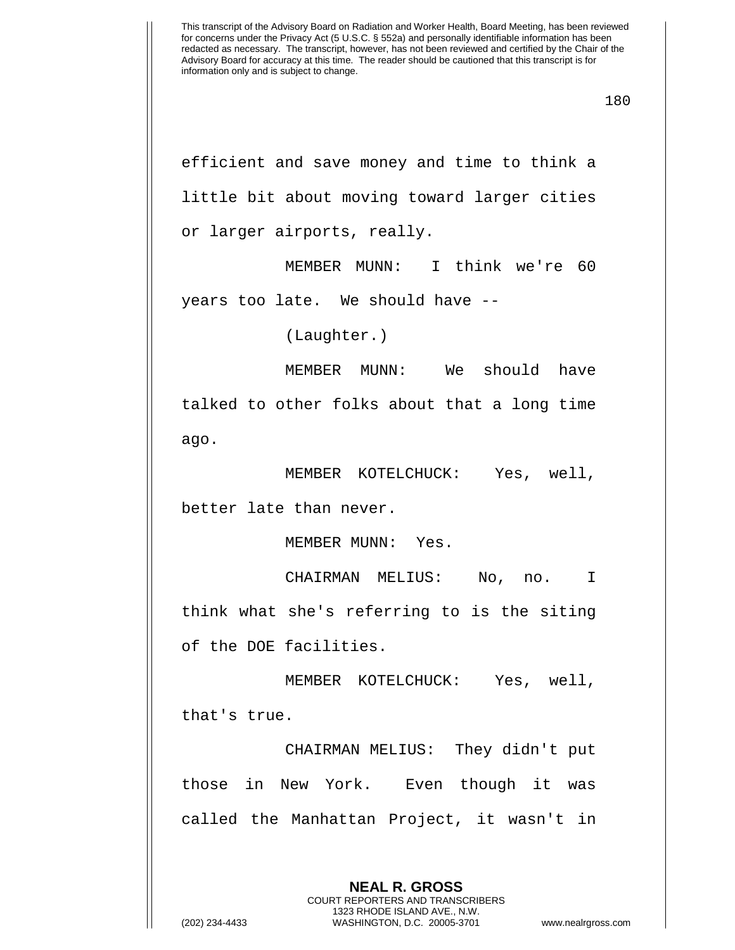efficient and save money and time to think a little bit about moving toward larger cities or larger airports, really.

MEMBER MUNN: I think we're 60 years too late. We should have --

(Laughter.)

MEMBER MUNN: We should have talked to other folks about that a long time ago.

MEMBER KOTELCHUCK: Yes, well, better late than never.

MEMBER MUNN: Yes.

CHAIRMAN MELIUS: No, no. I think what she's referring to is the siting of the DOE facilities.

MEMBER KOTELCHUCK: Yes, well,

that's true.

CHAIRMAN MELIUS: They didn't put those in New York. Even though it was called the Manhattan Project, it wasn't in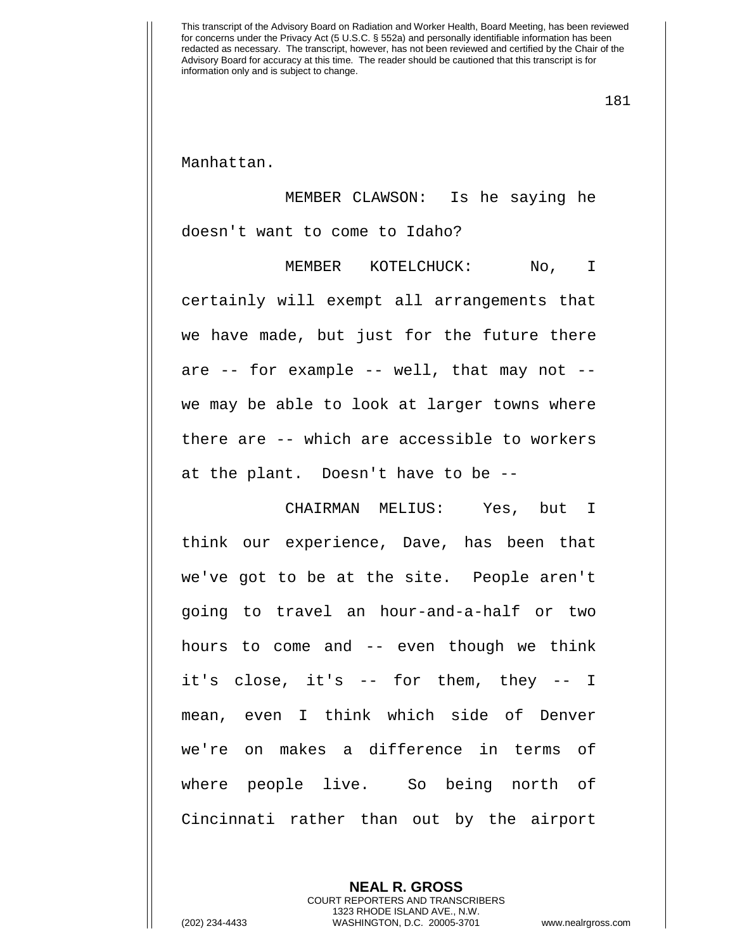181

Manhattan.

MEMBER CLAWSON: Is he saying he doesn't want to come to Idaho?

MEMBER KOTELCHUCK: No, I certainly will exempt all arrangements that we have made, but just for the future there are -- for example -- well, that may not - we may be able to look at larger towns where there are -- which are accessible to workers at the plant. Doesn't have to be --

CHAIRMAN MELIUS: Yes, but I think our experience, Dave, has been that we've got to be at the site. People aren't going to travel an hour-and-a-half or two hours to come and -- even though we think it's close, it's -- for them, they -- I mean, even I think which side of Denver we're on makes a difference in terms of where people live. So being north of Cincinnati rather than out by the airport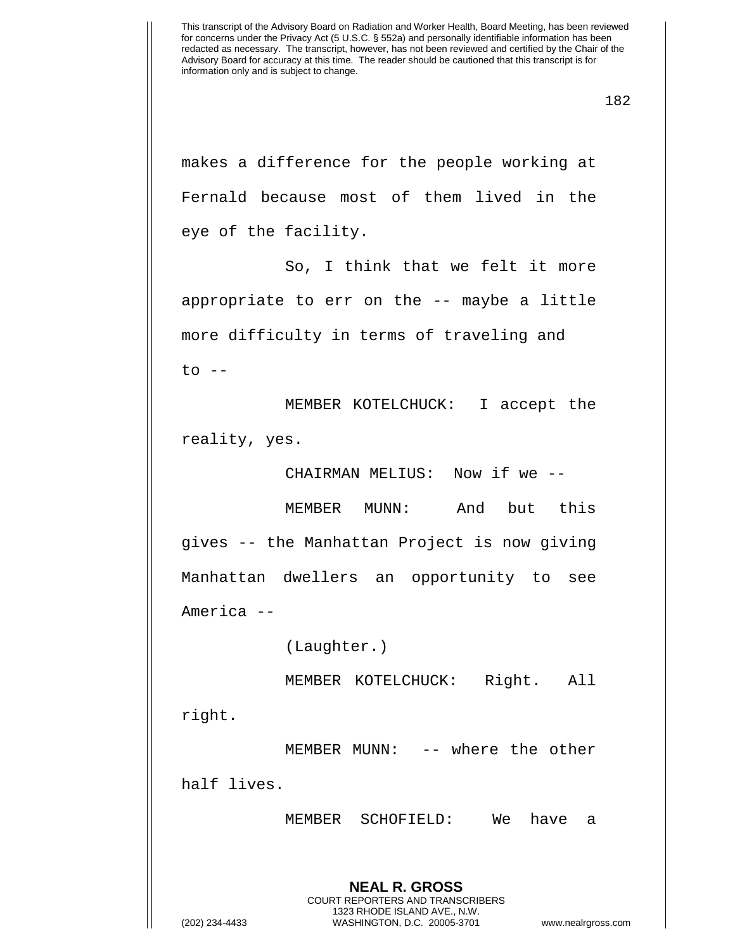makes a difference for the people working at Fernald because most of them lived in the eye of the facility.

So, I think that we felt it more appropriate to err on the -- maybe a little more difficulty in terms of traveling and  $to$   $--$ 

MEMBER KOTELCHUCK: I accept the reality, yes.

CHAIRMAN MELIUS: Now if we --

MEMBER MUNN: And but this gives -- the Manhattan Project is now giving Manhattan dwellers an opportunity to see America --

(Laughter.)

MEMBER KOTELCHUCK: Right. All

right.

MEMBER MUNN: -- where the other

half lives.

MEMBER SCHOFIELD: We have a

**NEAL R. GROSS** COURT REPORTERS AND TRANSCRIBERS 1323 RHODE ISLAND AVE., N.W.

(202) 234-4433 WASHINGTON, D.C. 20005-3701 www.nealrgross.com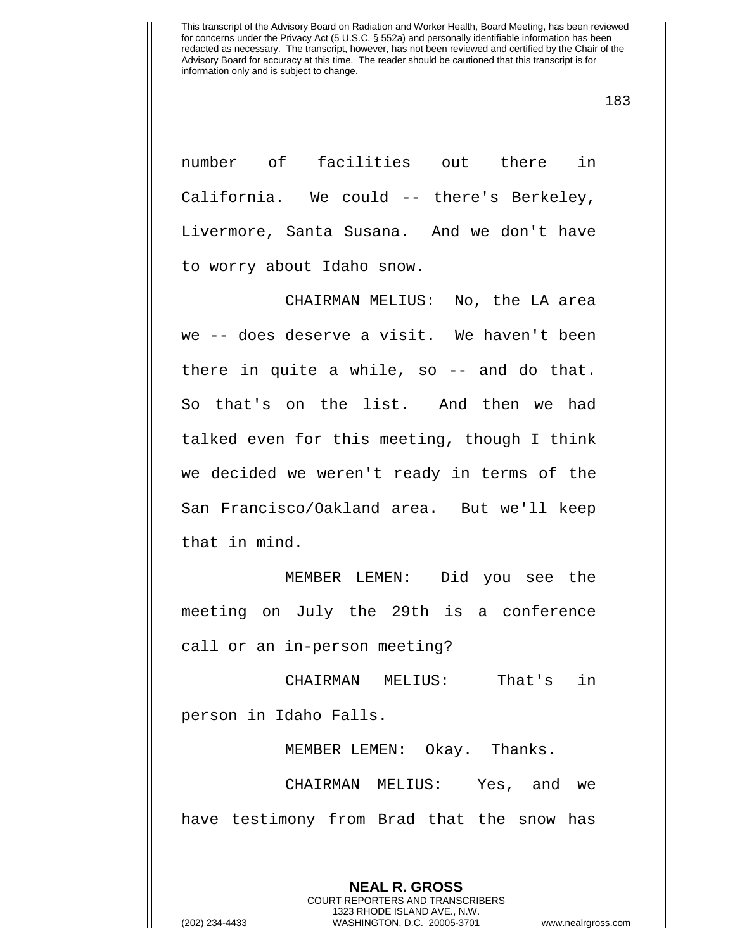183

number of facilities out there in California. We could -- there's Berkeley, Livermore, Santa Susana. And we don't have to worry about Idaho snow.

CHAIRMAN MELIUS: No, the LA area we -- does deserve a visit. We haven't been there in quite a while, so -- and do that. So that's on the list. And then we had talked even for this meeting, though I think we decided we weren't ready in terms of the San Francisco/Oakland area. But we'll keep that in mind.

MEMBER LEMEN: Did you see the meeting on July the 29th is a conference call or an in-person meeting?

CHAIRMAN MELIUS: That's in person in Idaho Falls.

MEMBER LEMEN: Okay. Thanks.

CHAIRMAN MELIUS: Yes, and we have testimony from Brad that the snow has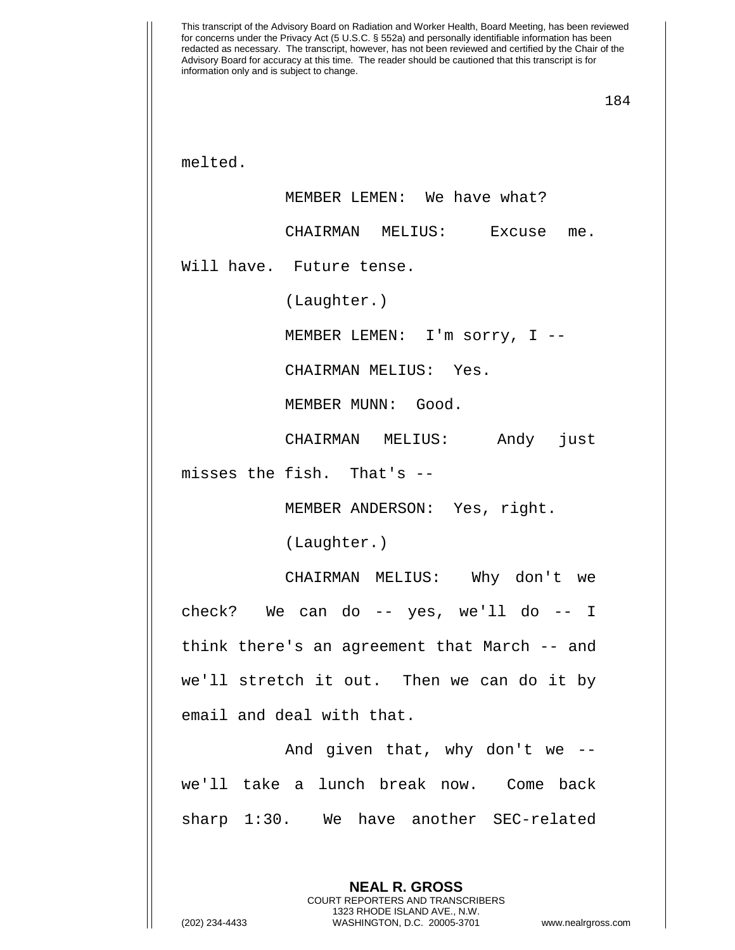This transcript of the Advisory Board on Radiation and Worker Health, Board Meeting, has been reviewed for concerns under the Privacy Act (5 U.S.C. § 552a) and personally identifiable information has been redacted as necessary. The transcript, however, has not been reviewed and certified by the Chair of the Advisory Board for accuracy at this time. The reader should be cautioned that this transcript is for information only and is subject to change. 184 melted. MEMBER LEMEN: We have what? CHAIRMAN MELIUS: Excuse me. Will have. Future tense. (Laughter.) MEMBER LEMEN: I'm sorry, I -- CHAIRMAN MELIUS: Yes. MEMBER MUNN: Good. CHAIRMAN MELIUS: Andy just misses the fish. That's -- MEMBER ANDERSON: Yes, right. (Laughter.) CHAIRMAN MELIUS: Why don't we check? We can do -- yes, we'll do -- I think there's an agreement that March -- and we'll stretch it out. Then we can do it by email and deal with that. And given that, why don't we - we'll take a lunch break now. Come back sharp 1:30. We have another SEC-related

> **NEAL R. GROSS** COURT REPORTERS AND TRANSCRIBERS 1323 RHODE ISLAND AVE., N.W.

(202) 234-4433 WASHINGTON, D.C. 20005-3701 www.nealrgross.com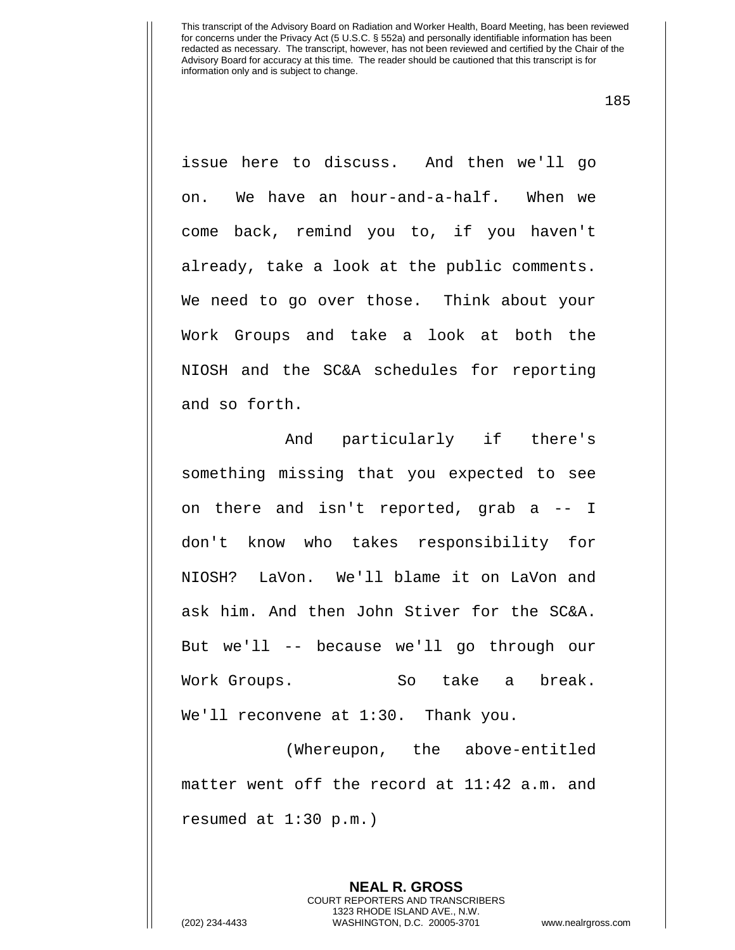185

issue here to discuss. And then we'll go on. We have an hour-and-a-half. When we come back, remind you to, if you haven't already, take a look at the public comments. We need to go over those. Think about your Work Groups and take a look at both the NIOSH and the SC&A schedules for reporting and so forth.

And particularly if there's something missing that you expected to see on there and isn't reported, grab a -- I don't know who takes responsibility for NIOSH? LaVon. We'll blame it on LaVon and ask him. And then John Stiver for the SC&A. But we'll -- because we'll go through our Work Groups. So take a break. We'll reconvene at 1:30. Thank you.

(Whereupon, the above-entitled matter went off the record at 11:42 a.m. and resumed at 1:30 p.m.)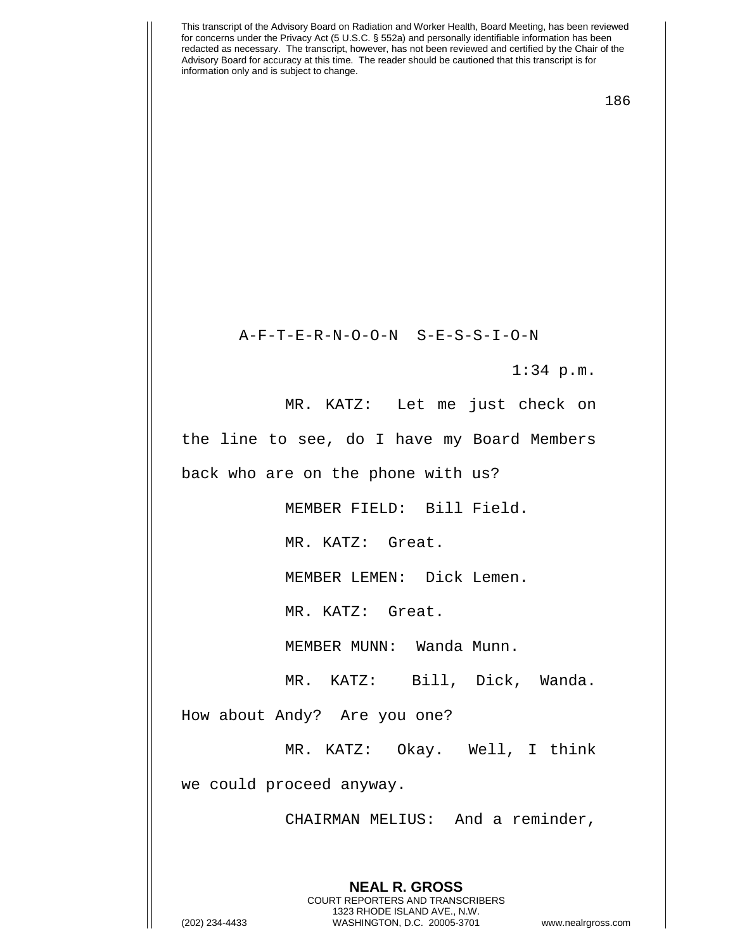186

A-F-T-E-R-N-O-O-N S-E-S-S-I-O-N

1:34 p.m.

MR. KATZ: Let me just check on the line to see, do I have my Board Members

back who are on the phone with us?

MEMBER FIELD: Bill Field.

MR. KATZ: Great.

MEMBER LEMEN: Dick Lemen.

MR. KATZ: Great.

MEMBER MUNN: Wanda Munn.

MR. KATZ: Bill, Dick, Wanda.

How about Andy? Are you one?

MR. KATZ: Okay. Well, I think we could proceed anyway.

CHAIRMAN MELIUS: And a reminder,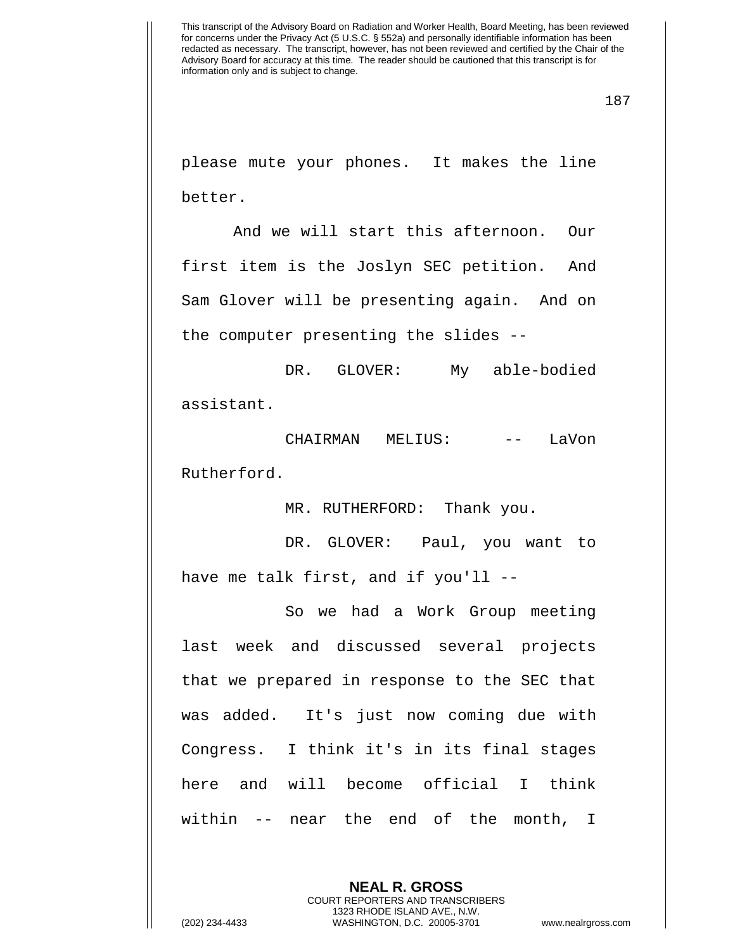please mute your phones. It makes the line better.

And we will start this afternoon. Our first item is the Joslyn SEC petition. And Sam Glover will be presenting again. And on the computer presenting the slides --

DR. GLOVER: My able-bodied assistant.

CHAIRMAN MELIUS: -- LaVon Rutherford.

MR. RUTHERFORD: Thank you.

DR. GLOVER: Paul, you want to have me talk first, and if you'll --

So we had a Work Group meeting last week and discussed several projects that we prepared in response to the SEC that was added. It's just now coming due with Congress. I think it's in its final stages here and will become official I think within -- near the end of the month, I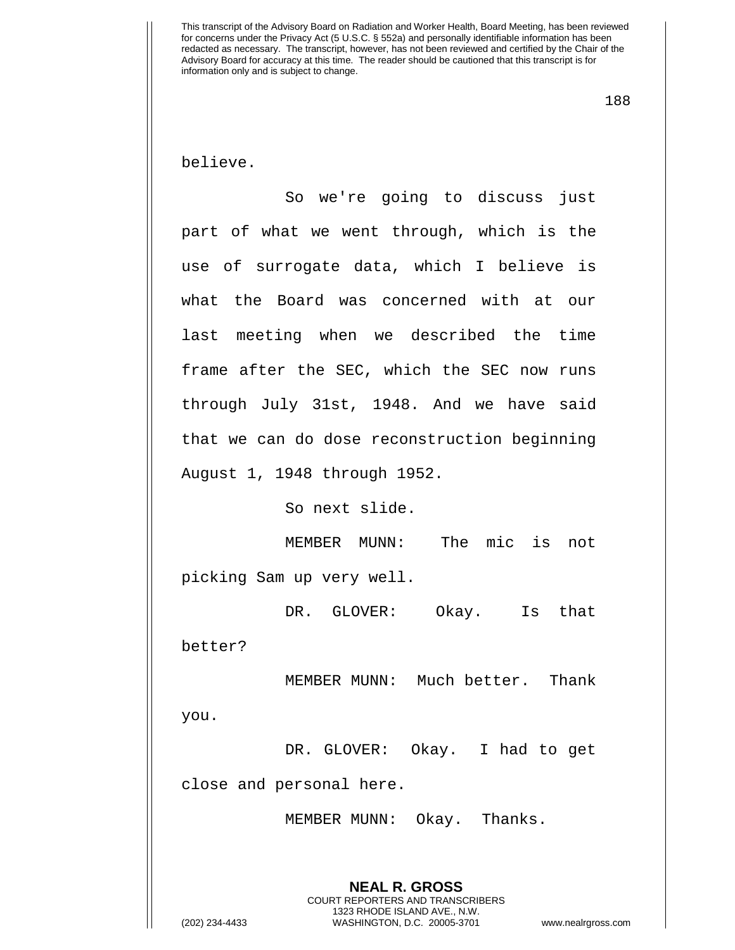188

believe.

So we're going to discuss just part of what we went through, which is the use of surrogate data, which I believe is what the Board was concerned with at our last meeting when we described the time frame after the SEC, which the SEC now runs through July 31st, 1948. And we have said that we can do dose reconstruction beginning August 1, 1948 through 1952.

So next slide.

MEMBER MUNN: The mic is not picking Sam up very well.

DR. GLOVER: Okay. Is that better?

MEMBER MUNN: Much better. Thank you.

DR. GLOVER: Okay. I had to get close and personal here.

MEMBER MUNN: Okay. Thanks.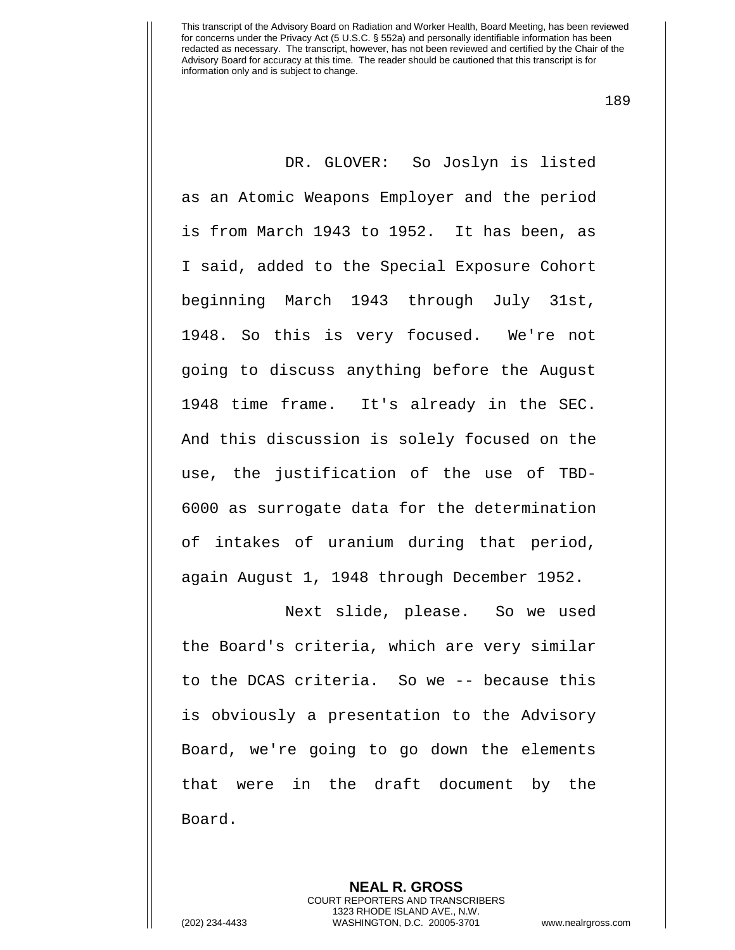189

DR. GLOVER: So Joslyn is listed as an Atomic Weapons Employer and the period is from March 1943 to 1952. It has been, as I said, added to the Special Exposure Cohort beginning March 1943 through July 31st, 1948. So this is very focused. We're not going to discuss anything before the August 1948 time frame. It's already in the SEC. And this discussion is solely focused on the use, the justification of the use of TBD-6000 as surrogate data for the determination of intakes of uranium during that period, again August 1, 1948 through December 1952.

Next slide, please. So we used the Board's criteria, which are very similar to the DCAS criteria. So we -- because this is obviously a presentation to the Advisory Board, we're going to go down the elements that were in the draft document by the Board.

> **NEAL R. GROSS** COURT REPORTERS AND TRANSCRIBERS 1323 RHODE ISLAND AVE., N.W.

(202) 234-4433 WASHINGTON, D.C. 20005-3701 www.nealrgross.com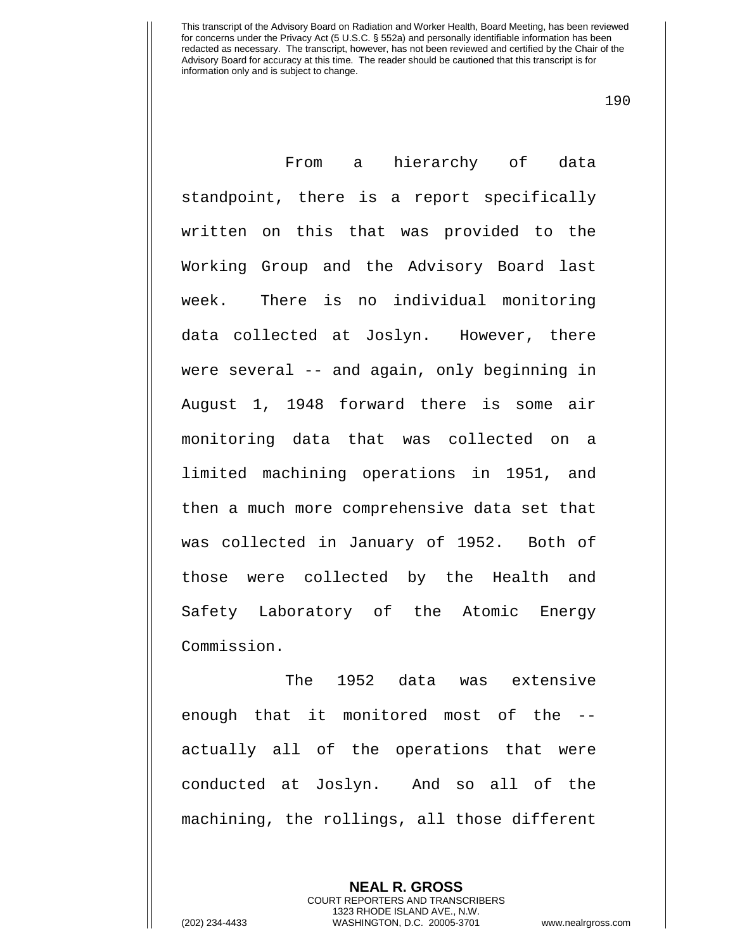190

From a hierarchy of data standpoint, there is a report specifically written on this that was provided to the Working Group and the Advisory Board last week. There is no individual monitoring data collected at Joslyn. However, there were several -- and again, only beginning in August 1, 1948 forward there is some air monitoring data that was collected on a limited machining operations in 1951, and then a much more comprehensive data set that was collected in January of 1952. Both of those were collected by the Health and Safety Laboratory of the Atomic Energy Commission.

The 1952 data was extensive enough that it monitored most of the - actually all of the operations that were conducted at Joslyn. And so all of the machining, the rollings, all those different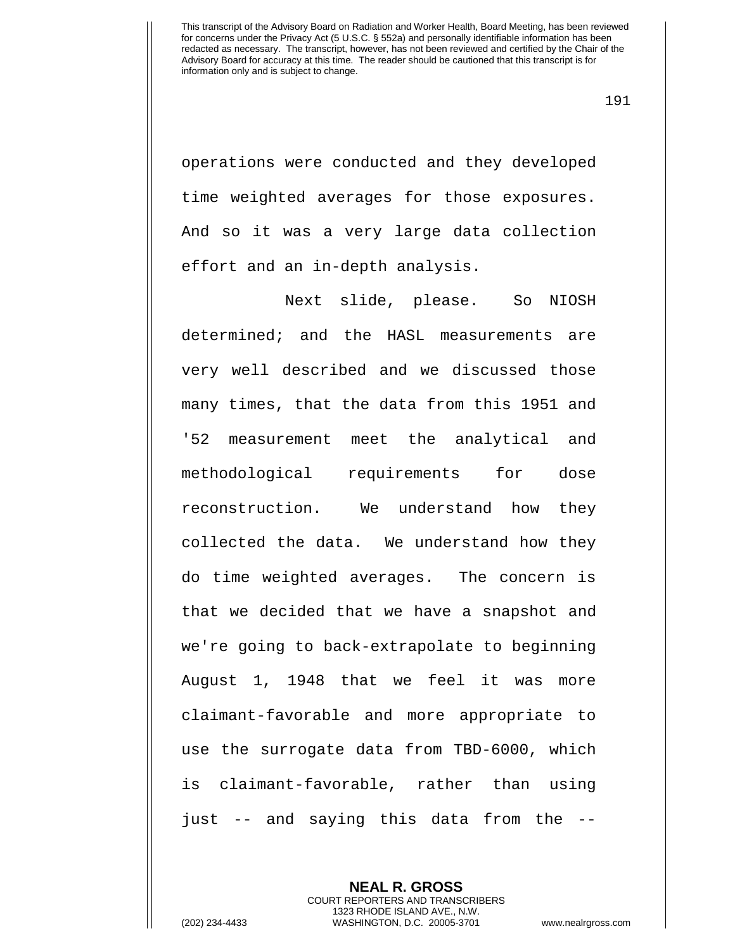191

operations were conducted and they developed time weighted averages for those exposures. And so it was a very large data collection effort and an in-depth analysis.

Next slide, please. So NIOSH determined; and the HASL measurements are very well described and we discussed those many times, that the data from this 1951 and '52 measurement meet the analytical and methodological requirements for dose reconstruction. We understand how they collected the data. We understand how they do time weighted averages. The concern is that we decided that we have a snapshot and we're going to back-extrapolate to beginning August 1, 1948 that we feel it was more claimant-favorable and more appropriate to use the surrogate data from TBD-6000, which is claimant-favorable, rather than using just -- and saying this data from the --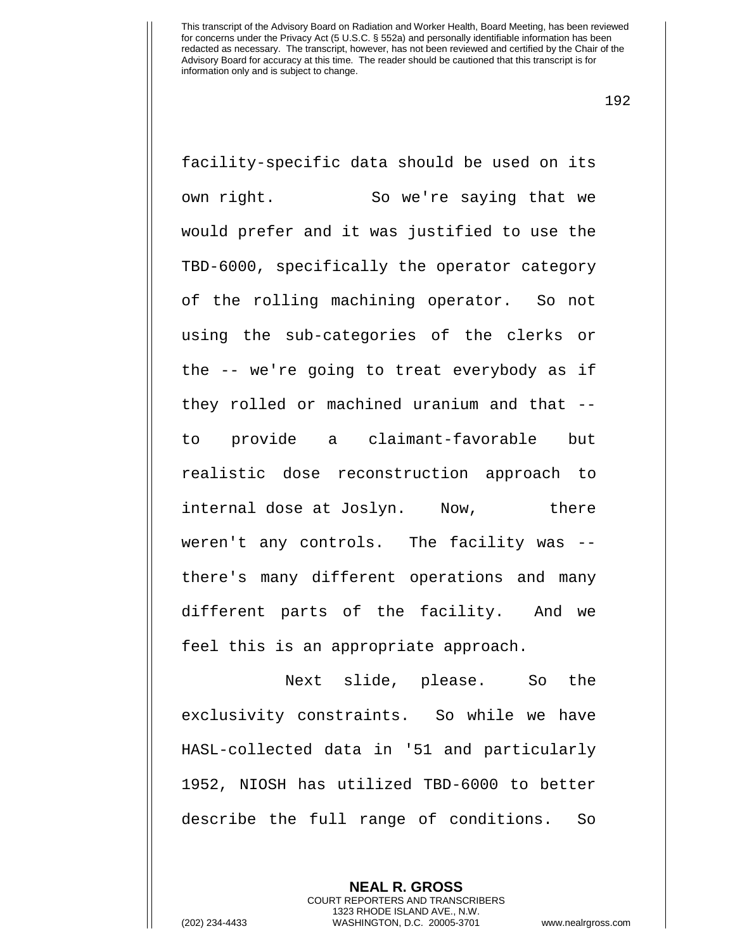192

facility-specific data should be used on its own right. So we're saying that we would prefer and it was justified to use the TBD-6000, specifically the operator category of the rolling machining operator. So not using the sub-categories of the clerks or the -- we're going to treat everybody as if they rolled or machined uranium and that - to provide a claimant-favorable but realistic dose reconstruction approach to internal dose at Joslyn. Now, there weren't any controls. The facility was - there's many different operations and many different parts of the facility. And we feel this is an appropriate approach.

Next slide, please. So the exclusivity constraints. So while we have HASL-collected data in '51 and particularly 1952, NIOSH has utilized TBD-6000 to better describe the full range of conditions. So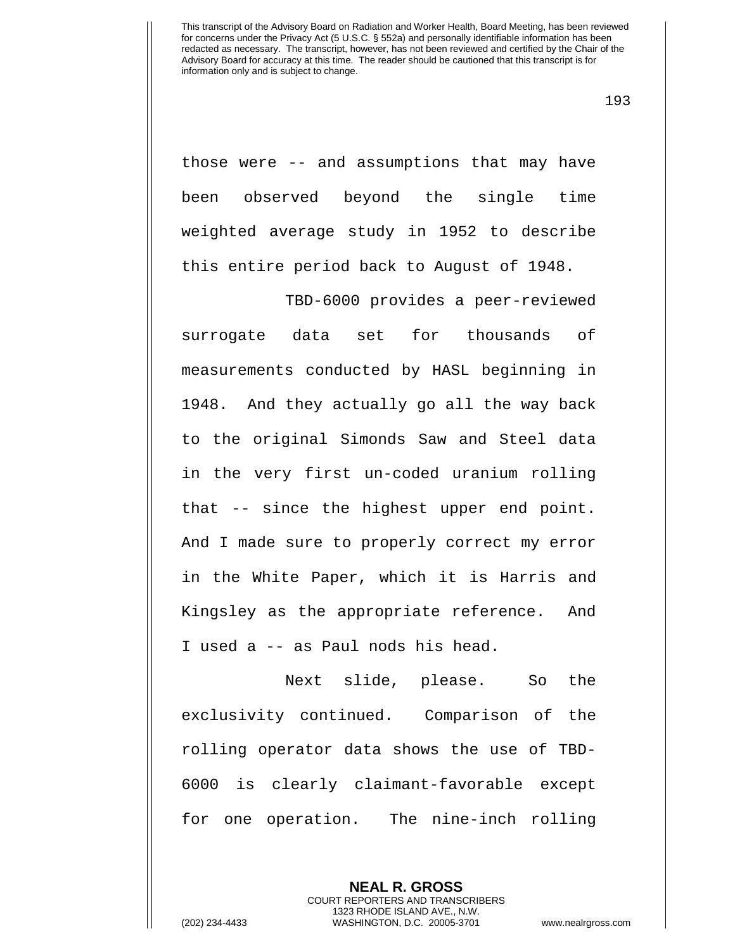193

those were -- and assumptions that may have been observed beyond the single time weighted average study in 1952 to describe this entire period back to August of 1948.

TBD-6000 provides a peer-reviewed surrogate data set for thousands of measurements conducted by HASL beginning in 1948. And they actually go all the way back to the original Simonds Saw and Steel data in the very first un-coded uranium rolling that -- since the highest upper end point. And I made sure to properly correct my error in the White Paper, which it is Harris and Kingsley as the appropriate reference. And I used a -- as Paul nods his head.

Next slide, please. So the exclusivity continued. Comparison of the rolling operator data shows the use of TBD-6000 is clearly claimant-favorable except for one operation. The nine-inch rolling

> **NEAL R. GROSS** COURT REPORTERS AND TRANSCRIBERS 1323 RHODE ISLAND AVE., N.W.

(202) 234-4433 WASHINGTON, D.C. 20005-3701 www.nealrgross.com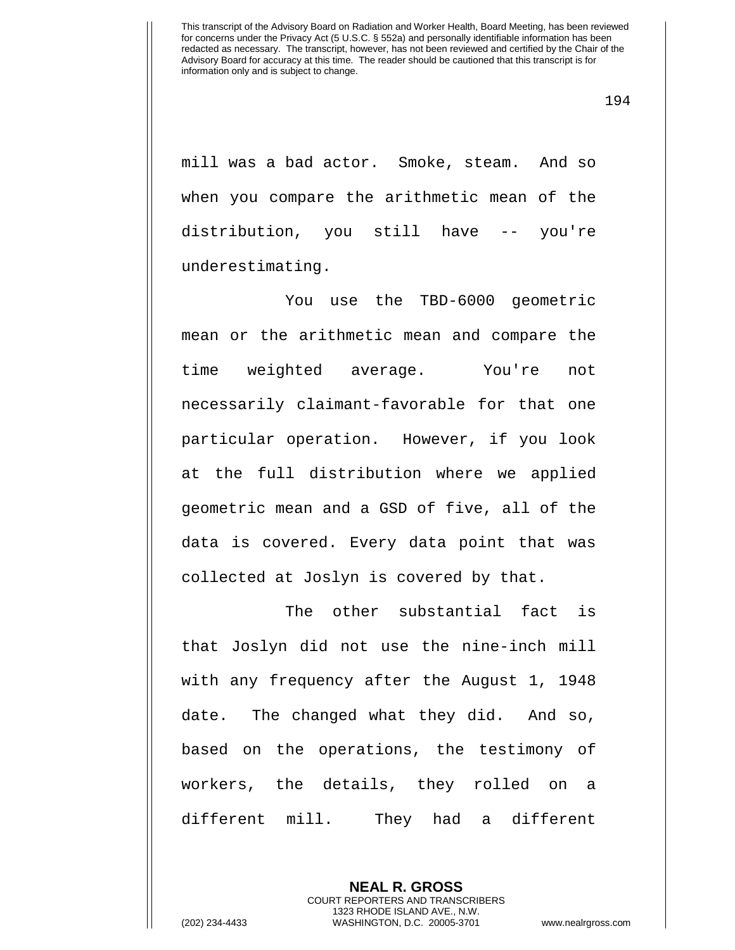mill was a bad actor. Smoke, steam. And so when you compare the arithmetic mean of the distribution, you still have -- you're underestimating.

You use the TBD-6000 geometric mean or the arithmetic mean and compare the time weighted average. You're not necessarily claimant-favorable for that one particular operation. However, if you look at the full distribution where we applied geometric mean and a GSD of five, all of the data is covered. Every data point that was collected at Joslyn is covered by that.

The other substantial fact is that Joslyn did not use the nine-inch mill with any frequency after the August 1, 1948 date. The changed what they did. And so, based on the operations, the testimony of workers, the details, they rolled on a different mill. They had a different

> **NEAL R. GROSS** COURT REPORTERS AND TRANSCRIBERS 1323 RHODE ISLAND AVE., N.W.

(202) 234-4433 WASHINGTON, D.C. 20005-3701 www.nealrgross.com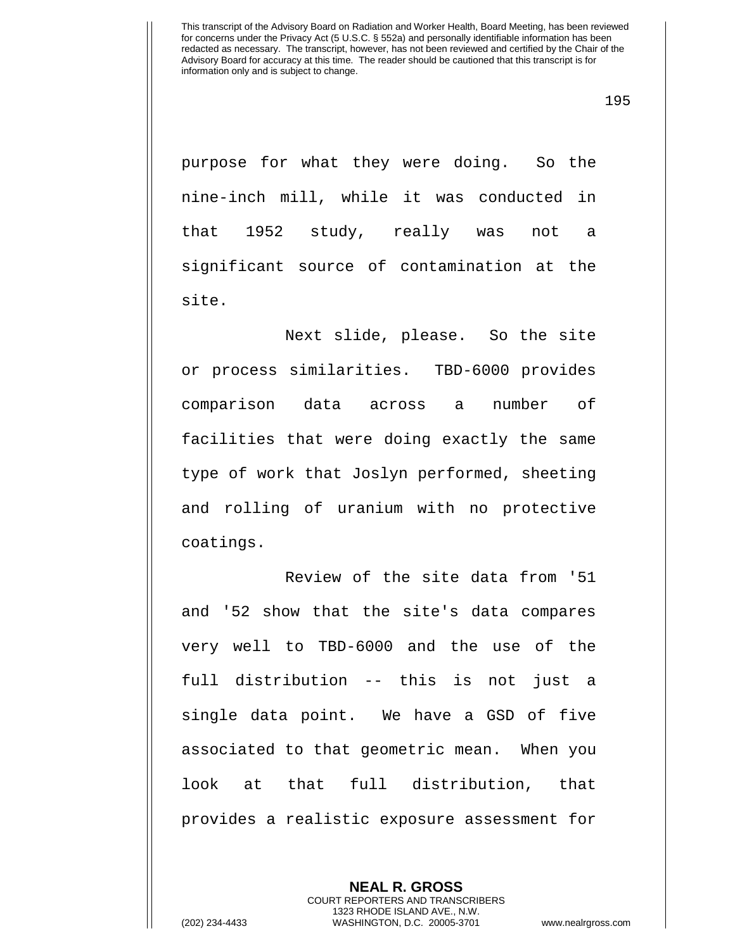195

purpose for what they were doing. So the nine-inch mill, while it was conducted in that 1952 study, really was not a significant source of contamination at the site.

Next slide, please. So the site or process similarities. TBD-6000 provides comparison data across a number of facilities that were doing exactly the same type of work that Joslyn performed, sheeting and rolling of uranium with no protective coatings.

Review of the site data from '51 and '52 show that the site's data compares very well to TBD-6000 and the use of the full distribution -- this is not just a single data point. We have a GSD of five associated to that geometric mean. When you look at that full distribution, that provides a realistic exposure assessment for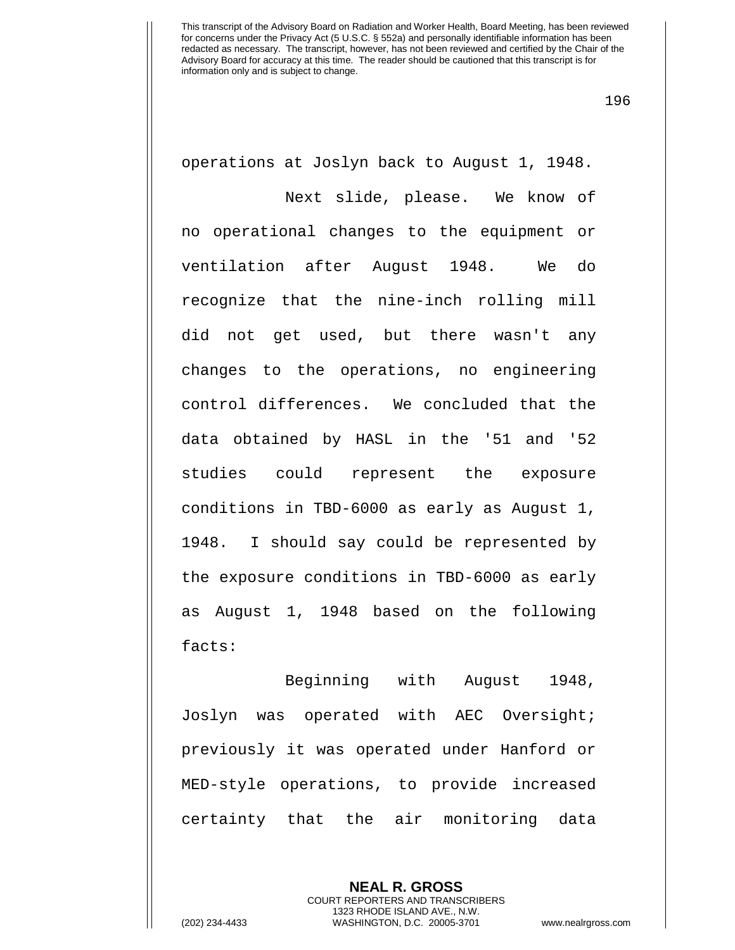196

operations at Joslyn back to August 1, 1948.

Next slide, please. We know of no operational changes to the equipment or ventilation after August 1948. We do recognize that the nine-inch rolling mill did not get used, but there wasn't any changes to the operations, no engineering control differences. We concluded that the data obtained by HASL in the '51 and '52 studies could represent the exposure conditions in TBD-6000 as early as August 1, 1948. I should say could be represented by the exposure conditions in TBD-6000 as early as August 1, 1948 based on the following facts:

Beginning with August 1948, Joslyn was operated with AEC Oversight; previously it was operated under Hanford or MED-style operations, to provide increased certainty that the air monitoring data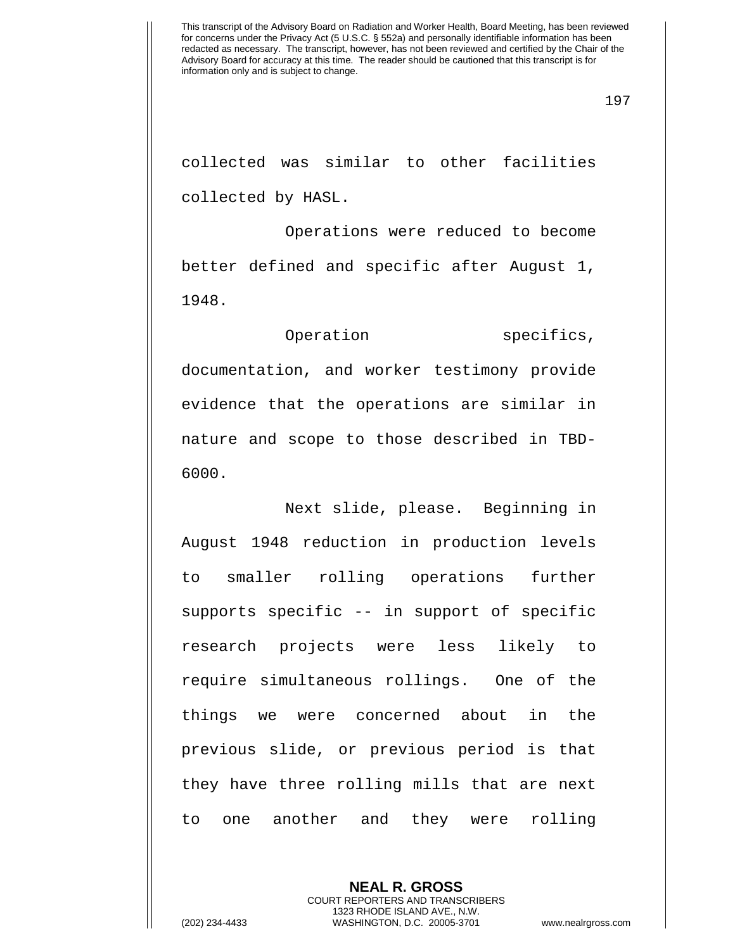collected was similar to other facilities collected by HASL.

Operations were reduced to become better defined and specific after August 1, 1948.

Operation specifics, documentation, and worker testimony provide evidence that the operations are similar in nature and scope to those described in TBD-6000.

Next slide, please. Beginning in August 1948 reduction in production levels to smaller rolling operations further supports specific -- in support of specific research projects were less likely to require simultaneous rollings. One of the things we were concerned about in the previous slide, or previous period is that they have three rolling mills that are next to one another and they were rolling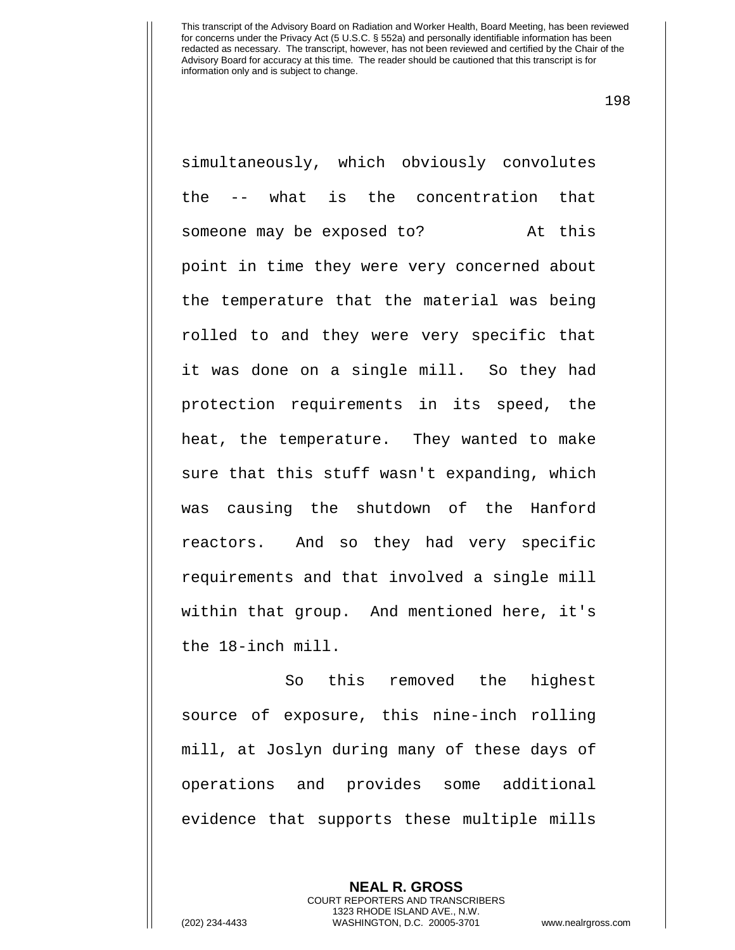198

simultaneously, which obviously convolutes the -- what is the concentration that someone may be exposed to? At this point in time they were very concerned about the temperature that the material was being rolled to and they were very specific that it was done on a single mill. So they had protection requirements in its speed, the heat, the temperature. They wanted to make sure that this stuff wasn't expanding, which was causing the shutdown of the Hanford reactors. And so they had very specific requirements and that involved a single mill within that group. And mentioned here, it's the 18-inch mill.

So this removed the highest source of exposure, this nine-inch rolling mill, at Joslyn during many of these days of operations and provides some additional evidence that supports these multiple mills

**NEAL R. GROSS**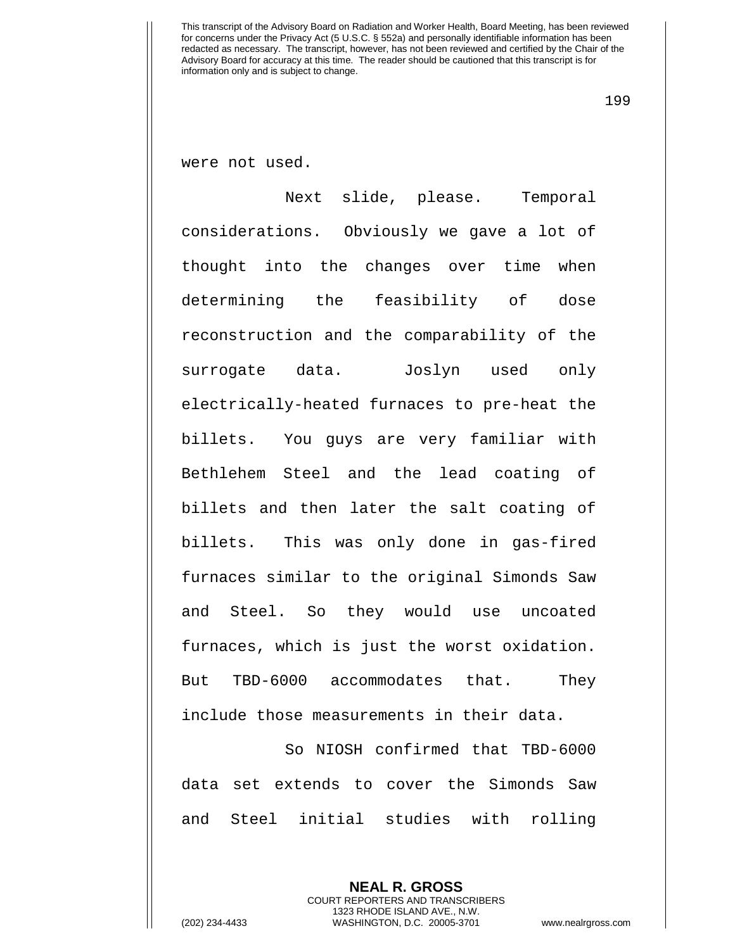199

were not used.

Next slide, please. Temporal considerations. Obviously we gave a lot of thought into the changes over time when determining the feasibility of dose reconstruction and the comparability of the surrogate data. Joslyn used only electrically-heated furnaces to pre-heat the billets. You guys are very familiar with Bethlehem Steel and the lead coating of billets and then later the salt coating of billets. This was only done in gas-fired furnaces similar to the original Simonds Saw and Steel. So they would use uncoated furnaces, which is just the worst oxidation. But TBD-6000 accommodates that. They include those measurements in their data.

So NIOSH confirmed that TBD-6000 data set extends to cover the Simonds Saw and Steel initial studies with rolling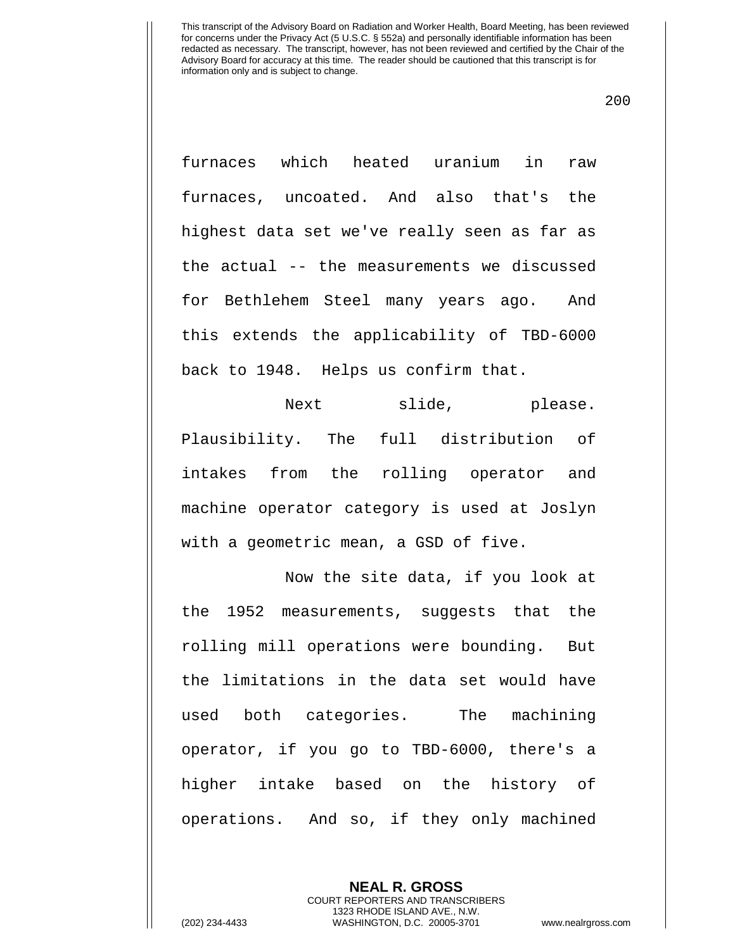200

furnaces which heated uranium in raw furnaces, uncoated. And also that's the highest data set we've really seen as far as the actual -- the measurements we discussed for Bethlehem Steel many years ago. And this extends the applicability of TBD-6000 back to 1948. Helps us confirm that.

Next slide, please. Plausibility. The full distribution of intakes from the rolling operator and machine operator category is used at Joslyn with a geometric mean, a GSD of five.

Now the site data, if you look at the 1952 measurements, suggests that the rolling mill operations were bounding. But the limitations in the data set would have used both categories. The machining operator, if you go to TBD-6000, there's a higher intake based on the history of operations. And so, if they only machined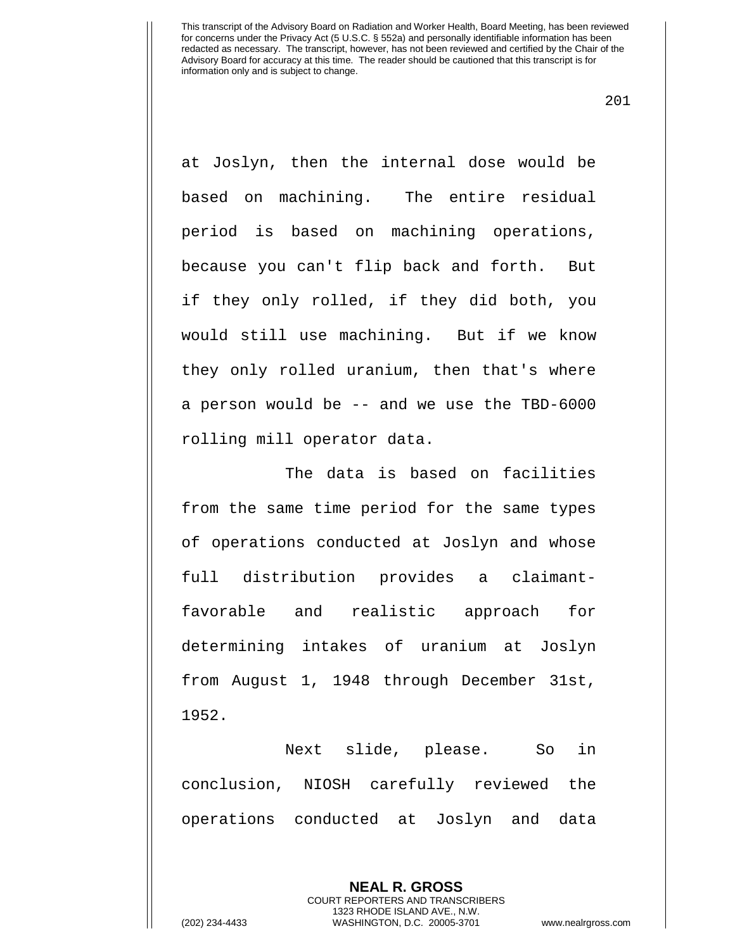201

at Joslyn, then the internal dose would be based on machining. The entire residual period is based on machining operations, because you can't flip back and forth. But if they only rolled, if they did both, you would still use machining. But if we know they only rolled uranium, then that's where a person would be -- and we use the TBD-6000 rolling mill operator data.

The data is based on facilities from the same time period for the same types of operations conducted at Joslyn and whose full distribution provides a claimantfavorable and realistic approach for determining intakes of uranium at Joslyn from August 1, 1948 through December 31st, 1952.

Next slide, please. So in conclusion, NIOSH carefully reviewed the operations conducted at Joslyn and data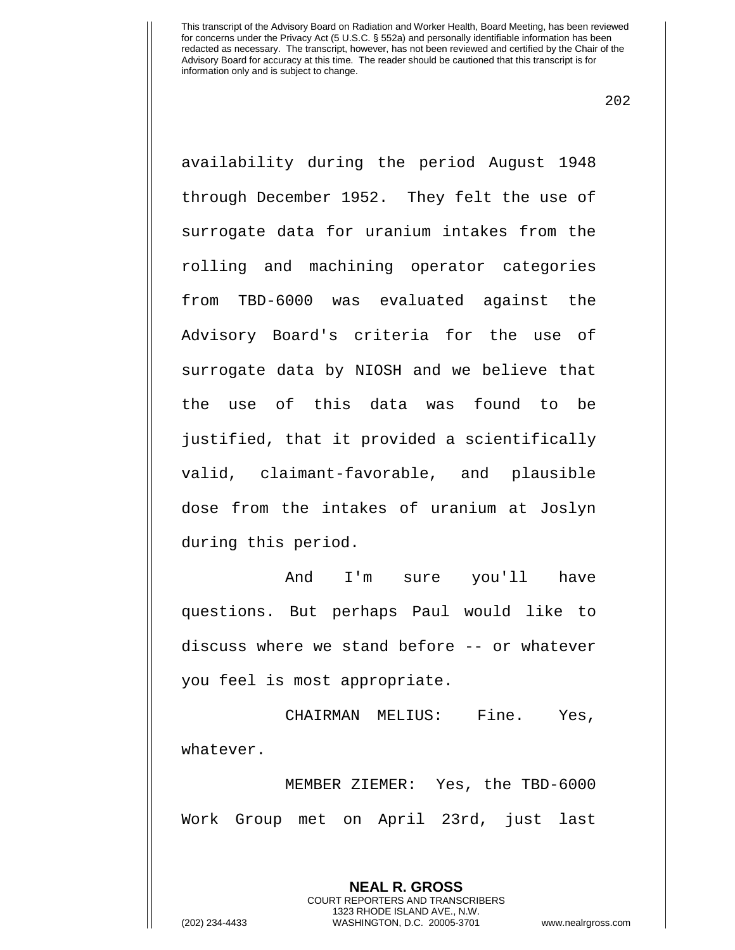202

availability during the period August 1948 through December 1952. They felt the use of surrogate data for uranium intakes from the rolling and machining operator categories from TBD-6000 was evaluated against the Advisory Board's criteria for the use of surrogate data by NIOSH and we believe that the use of this data was found to be justified, that it provided a scientifically valid, claimant-favorable, and plausible dose from the intakes of uranium at Joslyn during this period.

And I'm sure you'll have questions. But perhaps Paul would like to discuss where we stand before -- or whatever you feel is most appropriate.

CHAIRMAN MELIUS: Fine. Yes, whatever.

MEMBER ZIEMER: Yes, the TBD-6000 Work Group met on April 23rd, just last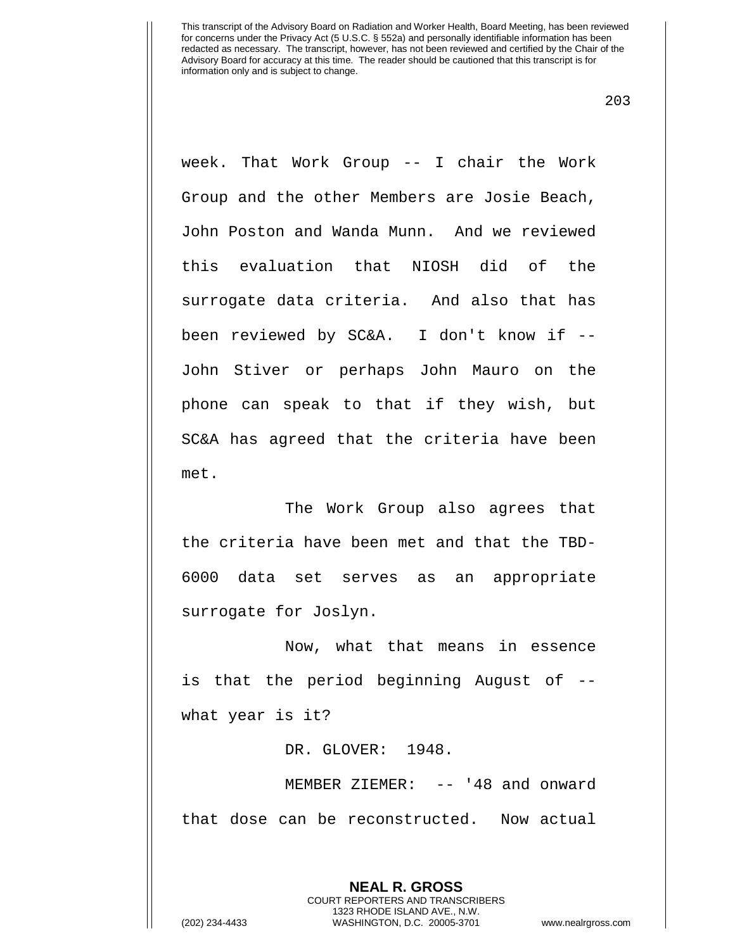203

week. That Work Group -- I chair the Work Group and the other Members are Josie Beach, John Poston and Wanda Munn. And we reviewed this evaluation that NIOSH did of the surrogate data criteria. And also that has been reviewed by SC&A. I don't know if -- John Stiver or perhaps John Mauro on the phone can speak to that if they wish, but SC&A has agreed that the criteria have been met.

 The Work Group also agrees that the criteria have been met and that the TBD-6000 data set serves as an appropriate surrogate for Joslyn.

Now, what that means in essence is that the period beginning August of - what year is it?

DR. GLOVER: 1948.

MEMBER ZIEMER: -- '48 and onward that dose can be reconstructed. Now actual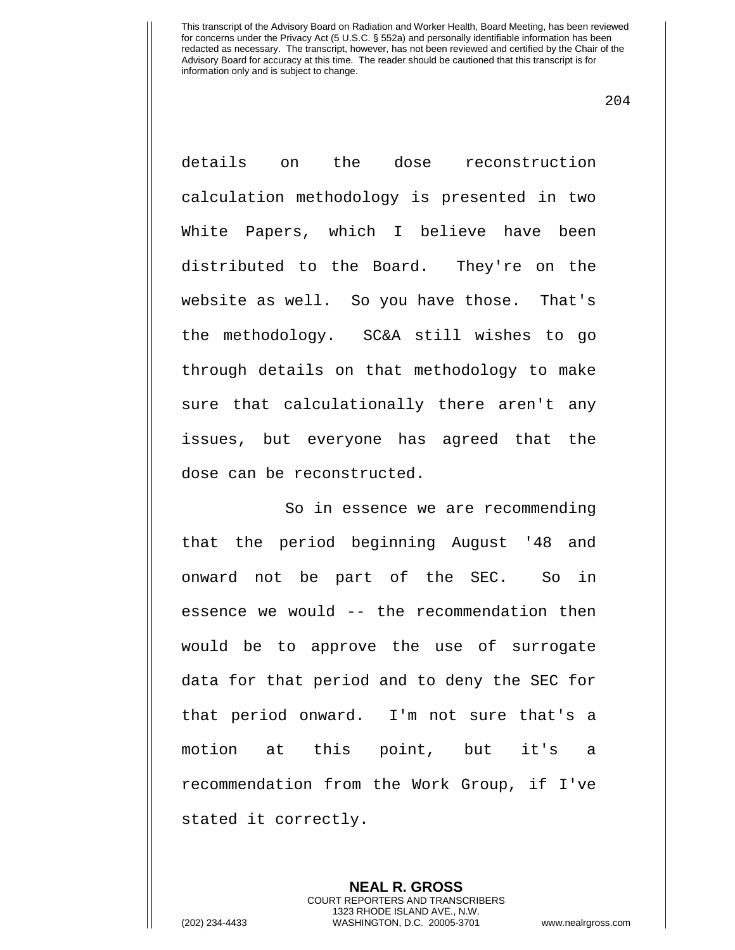204

details on the dose reconstruction calculation methodology is presented in two White Papers, which I believe have been distributed to the Board. They're on the website as well. So you have those. That's the methodology. SC&A still wishes to go through details on that methodology to make sure that calculationally there aren't any issues, but everyone has agreed that the dose can be reconstructed.

So in essence we are recommending that the period beginning August '48 and onward not be part of the SEC. So in essence we would -- the recommendation then would be to approve the use of surrogate data for that period and to deny the SEC for that period onward. I'm not sure that's a motion at this point, but it's a recommendation from the Work Group, if I've stated it correctly.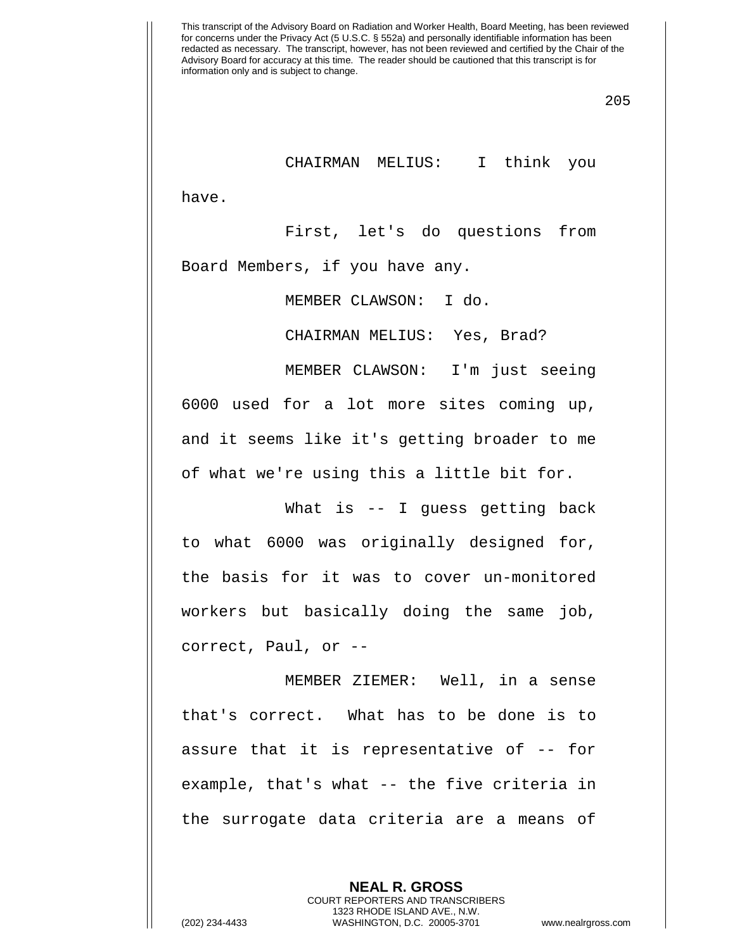205

CHAIRMAN MELIUS: I think you

have.

First, let's do questions from Board Members, if you have any.

MEMBER CLAWSON: I do.

CHAIRMAN MELIUS: Yes, Brad?

MEMBER CLAWSON: I'm just seeing 6000 used for a lot more sites coming up, and it seems like it's getting broader to me of what we're using this a little bit for.

What is -- I quess getting back to what 6000 was originally designed for, the basis for it was to cover un-monitored workers but basically doing the same job, correct, Paul, or --

MEMBER ZIEMER: Well, in a sense that's correct. What has to be done is to assure that it is representative of -- for example, that's what -- the five criteria in the surrogate data criteria are a means of

> **NEAL R. GROSS** COURT REPORTERS AND TRANSCRIBERS 1323 RHODE ISLAND AVE., N.W.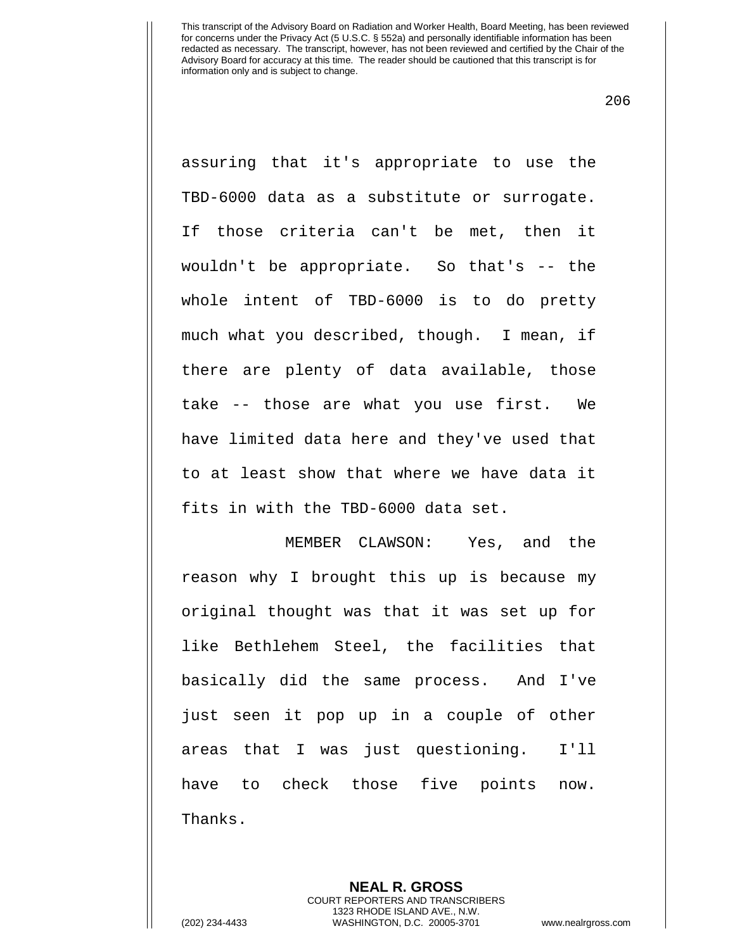206

assuring that it's appropriate to use the TBD-6000 data as a substitute or surrogate. If those criteria can't be met, then it wouldn't be appropriate. So that's -- the whole intent of TBD-6000 is to do pretty much what you described, though. I mean, if there are plenty of data available, those take -- those are what you use first. We have limited data here and they've used that to at least show that where we have data it fits in with the TBD-6000 data set.

MEMBER CLAWSON: Yes, and the reason why I brought this up is because my original thought was that it was set up for like Bethlehem Steel, the facilities that basically did the same process. And I've just seen it pop up in a couple of other areas that I was just questioning. I'll have to check those five points now. Thanks.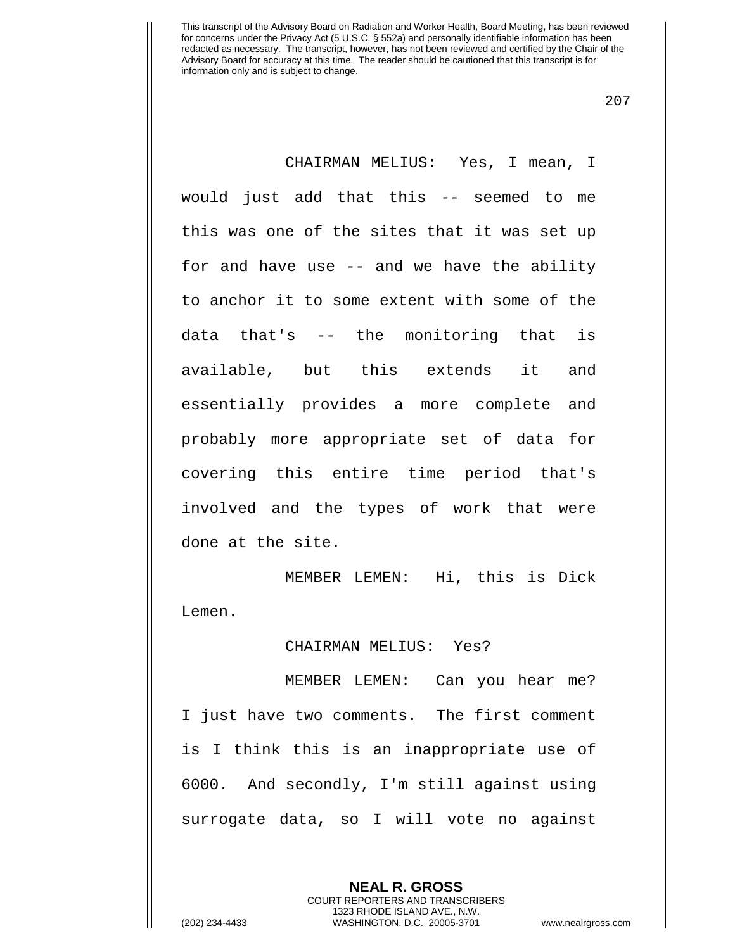207

CHAIRMAN MELIUS: Yes, I mean, I would just add that this -- seemed to me this was one of the sites that it was set up for and have use -- and we have the ability to anchor it to some extent with some of the data that's -- the monitoring that is available, but this extends it and essentially provides a more complete and probably more appropriate set of data for covering this entire time period that's involved and the types of work that were done at the site.

MEMBER LEMEN: Hi, this is Dick Lemen.

## CHAIRMAN MELIUS: Yes?

MEMBER LEMEN: Can you hear me? I just have two comments. The first comment is I think this is an inappropriate use of 6000. And secondly, I'm still against using surrogate data, so I will vote no against

> **NEAL R. GROSS** COURT REPORTERS AND TRANSCRIBERS 1323 RHODE ISLAND AVE., N.W.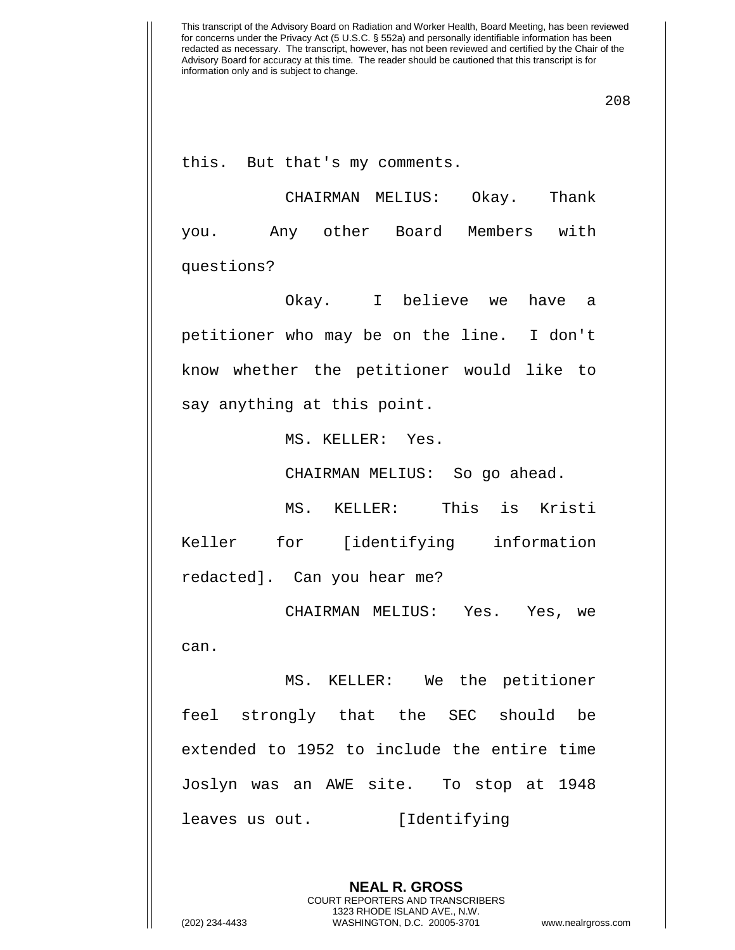208

this. But that's my comments.

CHAIRMAN MELIUS: Okay. Thank you. Any other Board Members with questions?

Okay. I believe we have a petitioner who may be on the line. I don't know whether the petitioner would like to say anything at this point.

MS. KELLER: Yes.

CHAIRMAN MELIUS: So go ahead.

MS. KELLER: This is Kristi Keller for [identifying information redacted]. Can you hear me?

CHAIRMAN MELIUS: Yes. Yes, we can.

MS. KELLER: We the petitioner feel strongly that the SEC should be extended to 1952 to include the entire time Joslyn was an AWE site. To stop at 1948 leaves us out. [Identifying

> **NEAL R. GROSS** COURT REPORTERS AND TRANSCRIBERS 1323 RHODE ISLAND AVE., N.W.

(202) 234-4433 WASHINGTON, D.C. 20005-3701 www.nealrgross.com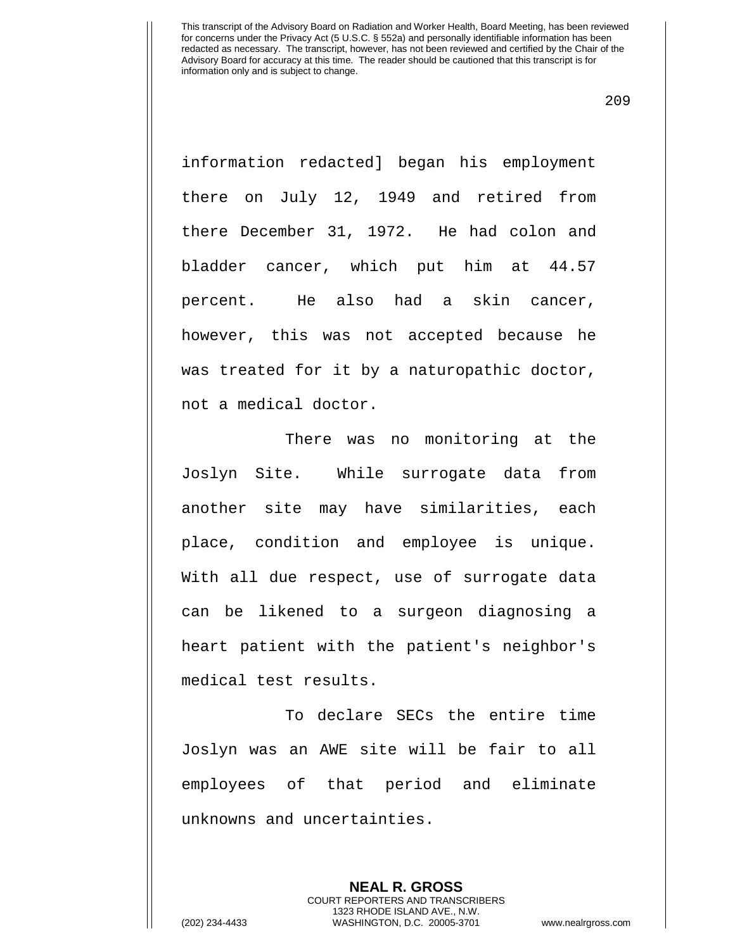209

information redacted] began his employment there on July 12, 1949 and retired from there December 31, 1972. He had colon and bladder cancer, which put him at 44.57 percent. He also had a skin cancer, however, this was not accepted because he was treated for it by a naturopathic doctor, not a medical doctor.

There was no monitoring at the Joslyn Site. While surrogate data from another site may have similarities, each place, condition and employee is unique. With all due respect, use of surrogate data can be likened to a surgeon diagnosing a heart patient with the patient's neighbor's medical test results.

To declare SECs the entire time Joslyn was an AWE site will be fair to all employees of that period and eliminate unknowns and uncertainties.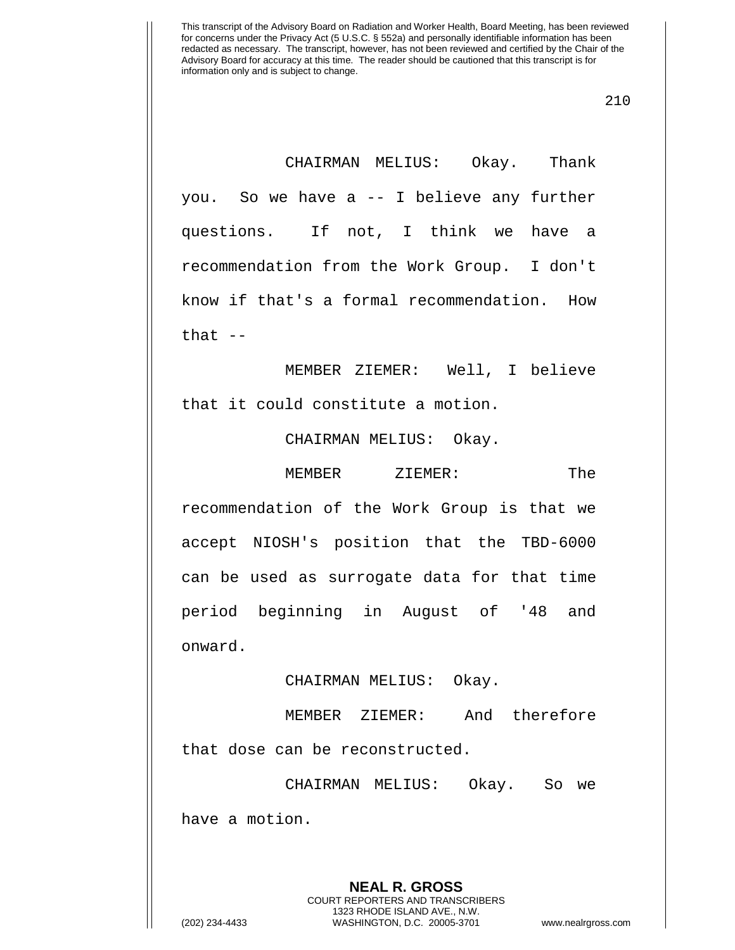210

CHAIRMAN MELIUS: Okay. Thank you. So we have a -- I believe any further questions. If not, I think we have a recommendation from the Work Group. I don't know if that's a formal recommendation. How that  $-$ 

MEMBER ZIEMER: Well, I believe that it could constitute a motion.

CHAIRMAN MELIUS: Okay.

MEMBER ZIEMER: The recommendation of the Work Group is that we accept NIOSH's position that the TBD-6000 can be used as surrogate data for that time period beginning in August of '48 and onward.

CHAIRMAN MELIUS: Okay.

MEMBER ZIEMER: And therefore that dose can be reconstructed.

CHAIRMAN MELIUS: Okay. So we have a motion.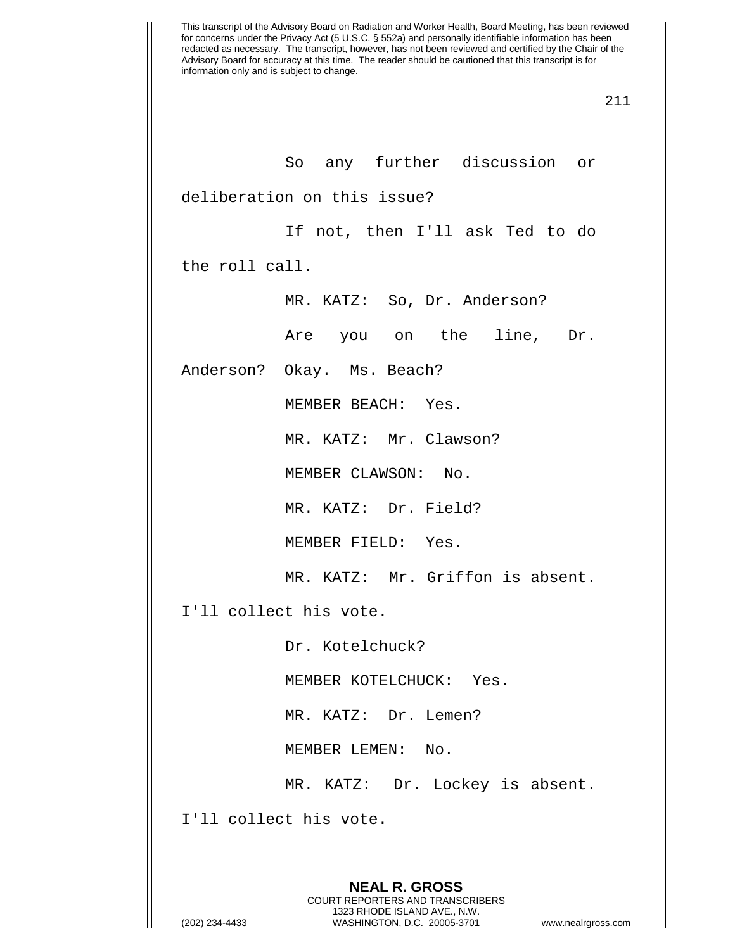So any further discussion or deliberation on this issue?

If not, then I'll ask Ted to do

the roll call.

MR. KATZ: So, Dr. Anderson?

Are you on the line, Dr.

Anderson? Okay. Ms. Beach?

MEMBER BEACH: Yes.

MR. KATZ: Mr. Clawson?

MEMBER CLAWSON: No.

MR. KATZ: Dr. Field?

MEMBER FIELD: Yes.

MR. KATZ: Mr. Griffon is absent.

I'll collect his vote.

Dr. Kotelchuck?

MEMBER KOTELCHUCK: Yes.

MR. KATZ: Dr. Lemen?

MEMBER LEMEN: No.

MR. KATZ: Dr. Lockey is absent.

I'll collect his vote.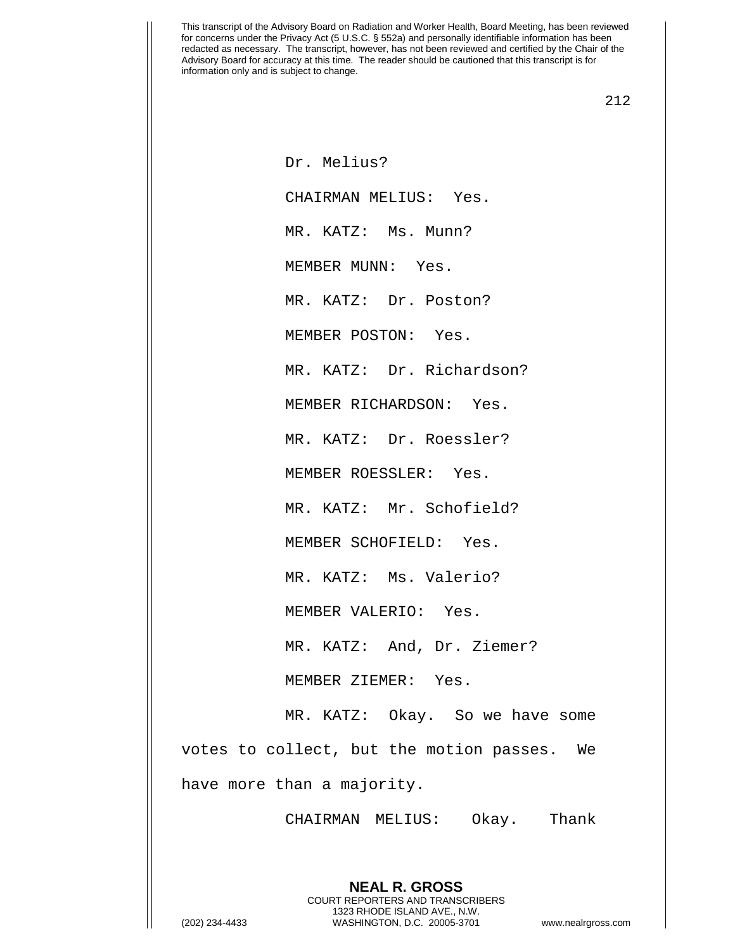212

Dr. Melius? CHAIRMAN MELIUS: Yes. MR. KATZ: Ms. Munn? MEMBER MUNN: Yes. MR. KATZ: Dr. Poston? MEMBER POSTON: Yes. MR. KATZ: Dr. Richardson? MEMBER RICHARDSON: Yes. MR. KATZ: Dr. Roessler? MEMBER ROESSLER: Yes. MR. KATZ: Mr. Schofield? MEMBER SCHOFIELD: Yes. MR. KATZ: Ms. Valerio? MEMBER VALERIO: Yes. MR. KATZ: And, Dr. Ziemer? MEMBER ZIEMER: Yes. MR. KATZ: Okay. So we have some votes to collect, but the motion passes. We have more than a majority.

CHAIRMAN MELIUS: Okay. Thank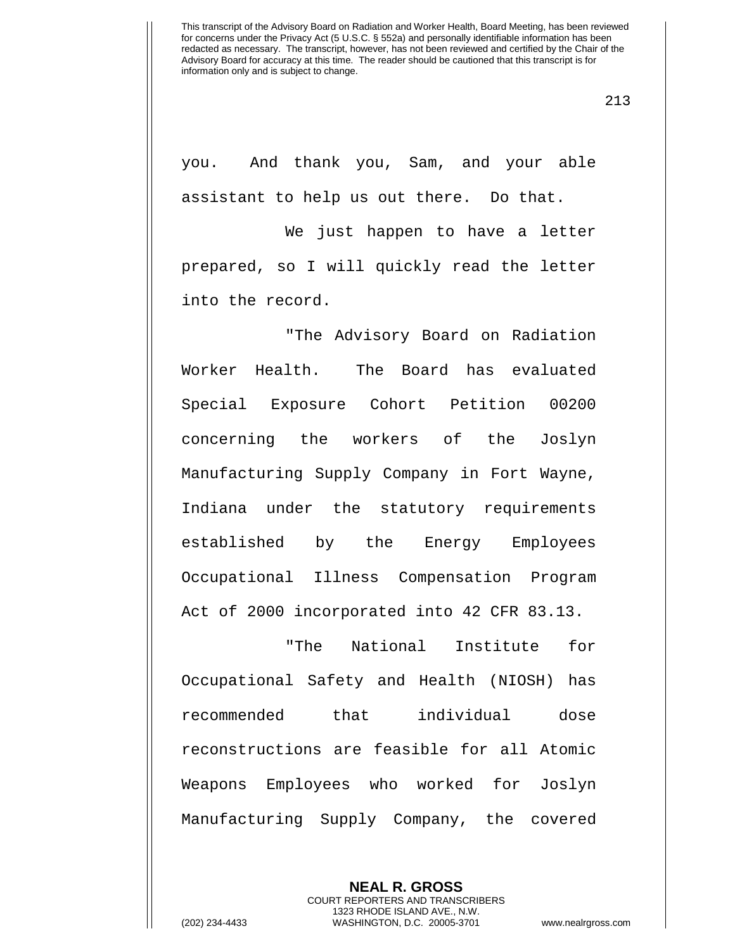213

you. And thank you, Sam, and your able assistant to help us out there. Do that.

We just happen to have a letter prepared, so I will quickly read the letter into the record.

"The Advisory Board on Radiation Worker Health. The Board has evaluated Special Exposure Cohort Petition 00200 concerning the workers of the Joslyn Manufacturing Supply Company in Fort Wayne, Indiana under the statutory requirements established by the Energy Employees Occupational Illness Compensation Program Act of 2000 incorporated into 42 CFR 83.13.

"The National Institute for Occupational Safety and Health (NIOSH) has recommended that individual dose reconstructions are feasible for all Atomic Weapons Employees who worked for Joslyn Manufacturing Supply Company, the covered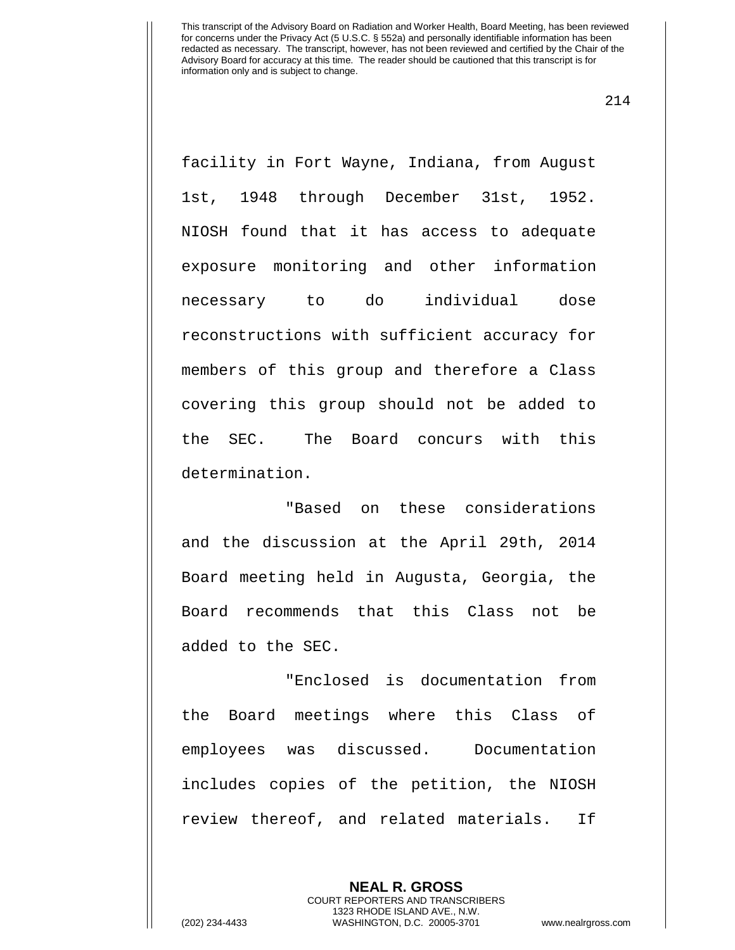214

facility in Fort Wayne, Indiana, from August 1st, 1948 through December 31st, 1952. NIOSH found that it has access to adequate exposure monitoring and other information necessary to do individual dose reconstructions with sufficient accuracy for members of this group and therefore a Class covering this group should not be added to the SEC. The Board concurs with this determination.

"Based on these considerations and the discussion at the April 29th, 2014 Board meeting held in Augusta, Georgia, the Board recommends that this Class not be added to the SEC.

"Enclosed is documentation from the Board meetings where this Class of employees was discussed. Documentation includes copies of the petition, the NIOSH review thereof, and related materials. If

> **NEAL R. GROSS** COURT REPORTERS AND TRANSCRIBERS 1323 RHODE ISLAND AVE., N.W.

(202) 234-4433 WASHINGTON, D.C. 20005-3701 www.nealrgross.com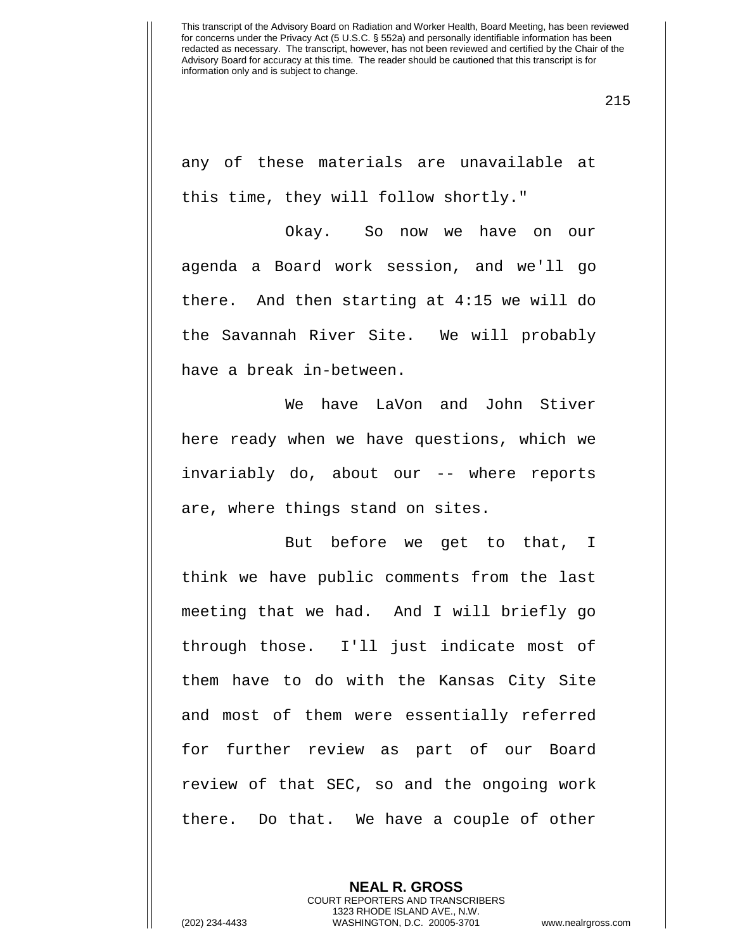any of these materials are unavailable at this time, they will follow shortly."

Okay. So now we have on our agenda a Board work session, and we'll go there. And then starting at 4:15 we will do the Savannah River Site. We will probably have a break in-between.

We have LaVon and John Stiver here ready when we have questions, which we invariably do, about our -- where reports are, where things stand on sites.

But before we get to that, I think we have public comments from the last meeting that we had. And I will briefly go through those. I'll just indicate most of them have to do with the Kansas City Site and most of them were essentially referred for further review as part of our Board review of that SEC, so and the ongoing work there. Do that. We have a couple of other

215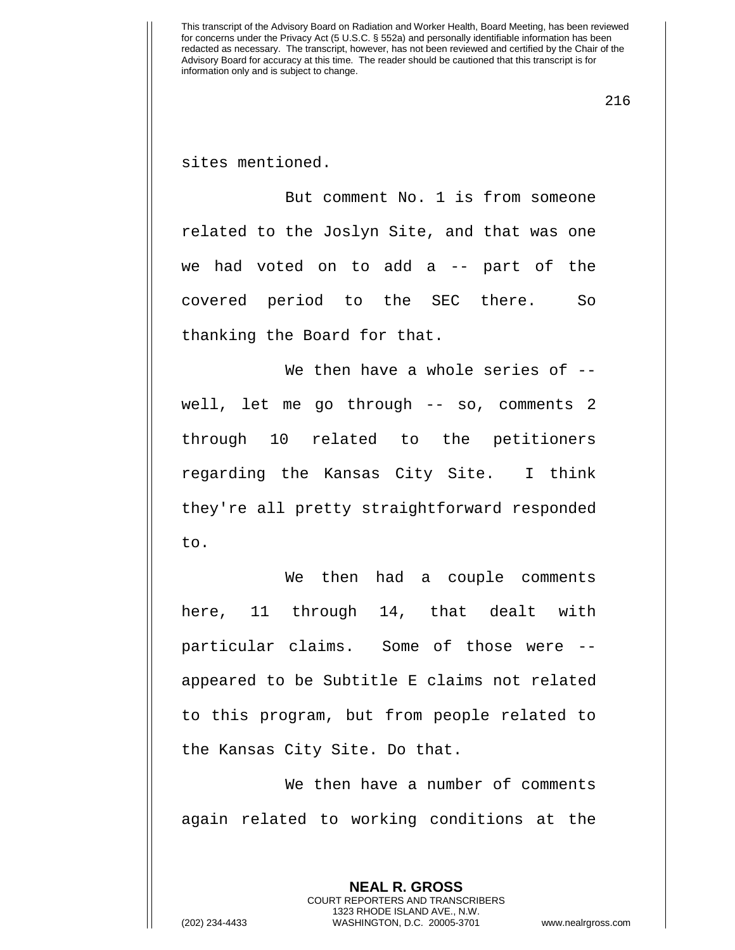216

sites mentioned.

But comment No. 1 is from someone related to the Joslyn Site, and that was one we had voted on to add a -- part of the covered period to the SEC there. So thanking the Board for that.

We then have a whole series of -well, let me go through -- so, comments 2 through 10 related to the petitioners regarding the Kansas City Site. I think they're all pretty straightforward responded to.

We then had a couple comments here, 11 through 14, that dealt with particular claims. Some of those were - appeared to be Subtitle E claims not related to this program, but from people related to the Kansas City Site. Do that.

We then have a number of comments again related to working conditions at the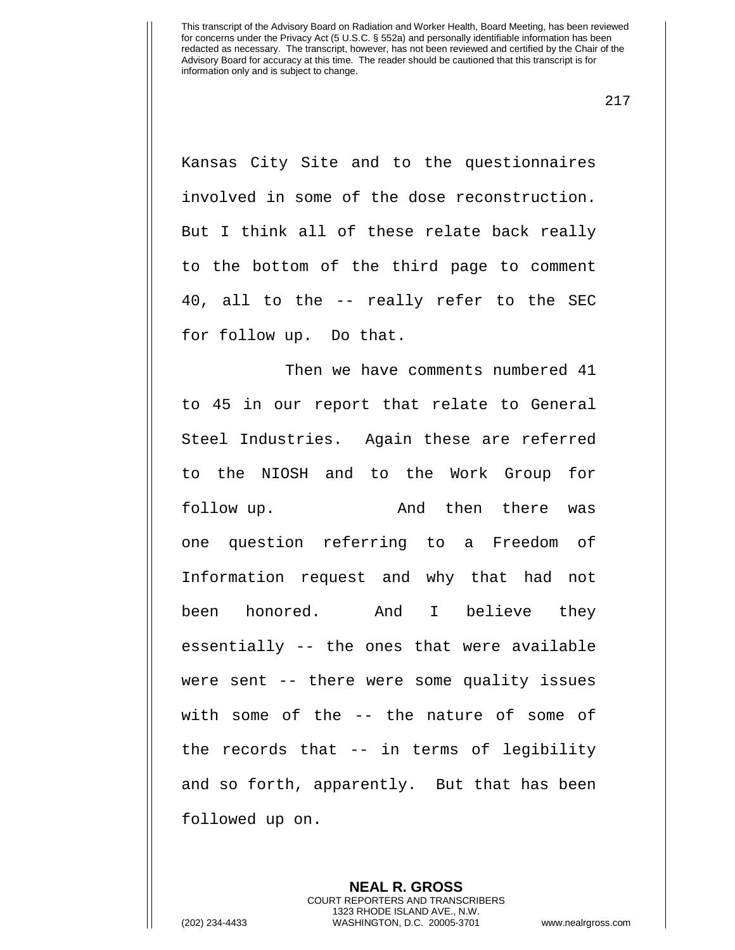217

Kansas City Site and to the questionnaires involved in some of the dose reconstruction. But I think all of these relate back really to the bottom of the third page to comment 40, all to the -- really refer to the SEC for follow up. Do that.

Then we have comments numbered 41 to 45 in our report that relate to General Steel Industries. Again these are referred to the NIOSH and to the Work Group for follow up. The and then there was one question referring to a Freedom of Information request and why that had not been honored. And I believe they essentially -- the ones that were available were sent -- there were some quality issues with some of the -- the nature of some of the records that -- in terms of legibility and so forth, apparently. But that has been followed up on.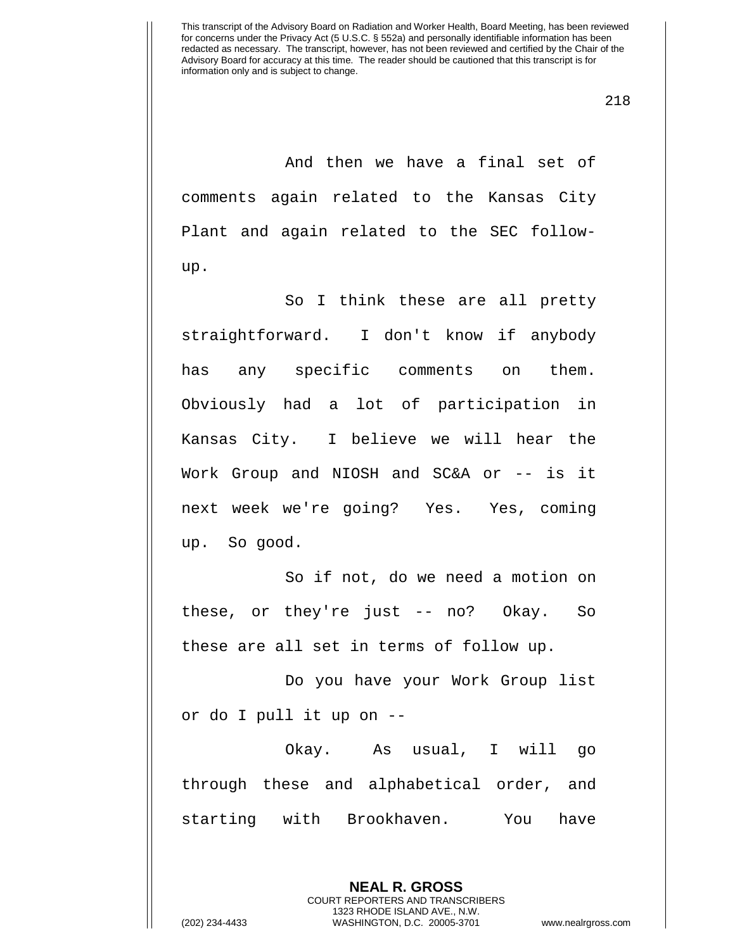218

And then we have a final set of comments again related to the Kansas City Plant and again related to the SEC followup.

So I think these are all pretty straightforward. I don't know if anybody has any specific comments on them. Obviously had a lot of participation in Kansas City. I believe we will hear the Work Group and NIOSH and SC&A or -- is it next week we're going? Yes. Yes, coming up. So good.

So if not, do we need a motion on these, or they're just -- no? Okay. So these are all set in terms of follow up.

Do you have your Work Group list or do I pull it up on --

Okay. As usual, I will go through these and alphabetical order, and starting with Brookhaven. You have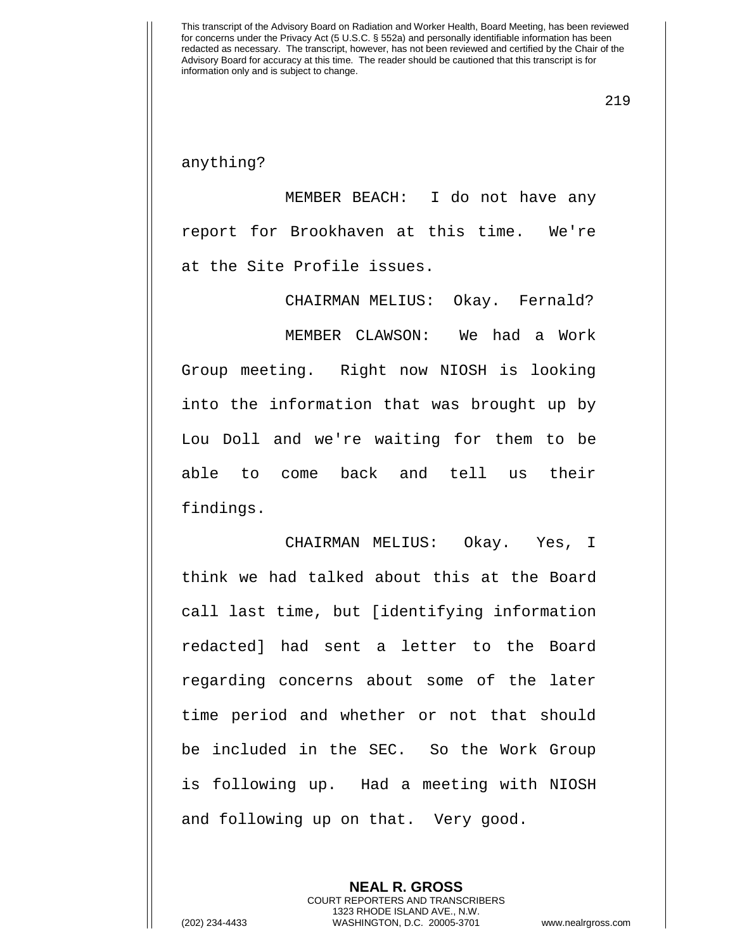219

## anything?

MEMBER BEACH: I do not have any report for Brookhaven at this time. We're at the Site Profile issues.

CHAIRMAN MELIUS: Okay. Fernald?

MEMBER CLAWSON: We had a Work Group meeting. Right now NIOSH is looking into the information that was brought up by Lou Doll and we're waiting for them to be able to come back and tell us their findings.

CHAIRMAN MELIUS: Okay. Yes, I think we had talked about this at the Board call last time, but [identifying information redacted] had sent a letter to the Board regarding concerns about some of the later time period and whether or not that should be included in the SEC. So the Work Group is following up. Had a meeting with NIOSH and following up on that. Very good.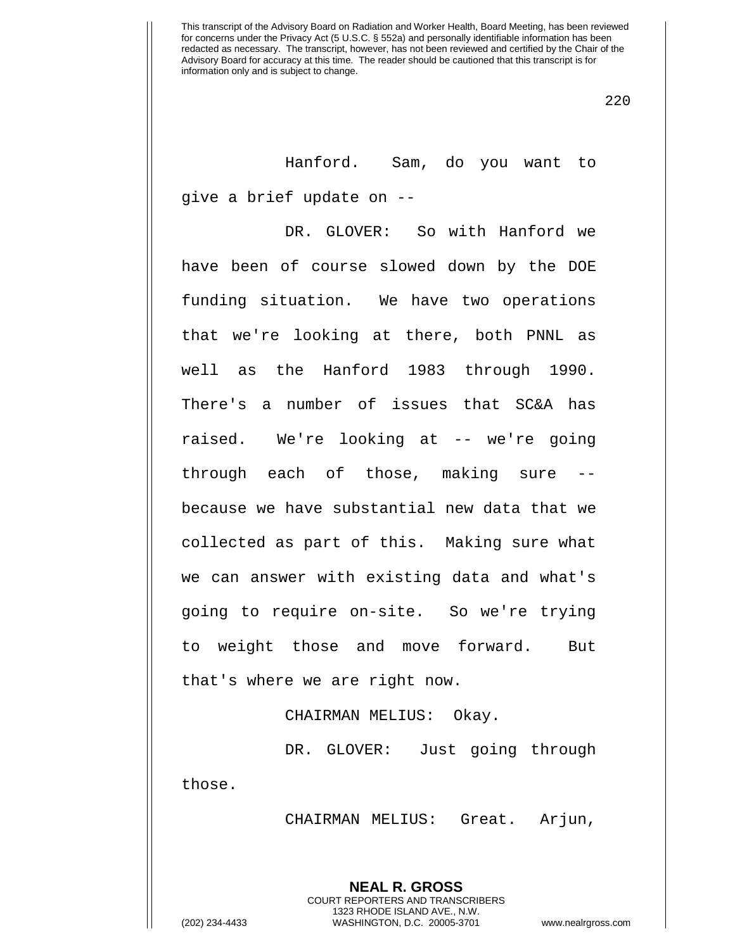220

Hanford. Sam, do you want to give a brief update on --

DR. GLOVER: So with Hanford we have been of course slowed down by the DOE funding situation. We have two operations that we're looking at there, both PNNL as well as the Hanford 1983 through 1990. There's a number of issues that SC&A has raised. We're looking at -- we're going through each of those, making sure because we have substantial new data that we collected as part of this. Making sure what we can answer with existing data and what's going to require on-site. So we're trying to weight those and move forward. But that's where we are right now.

CHAIRMAN MELIUS: Okay.

DR. GLOVER: Just going through those.

CHAIRMAN MELIUS: Great. Arjun,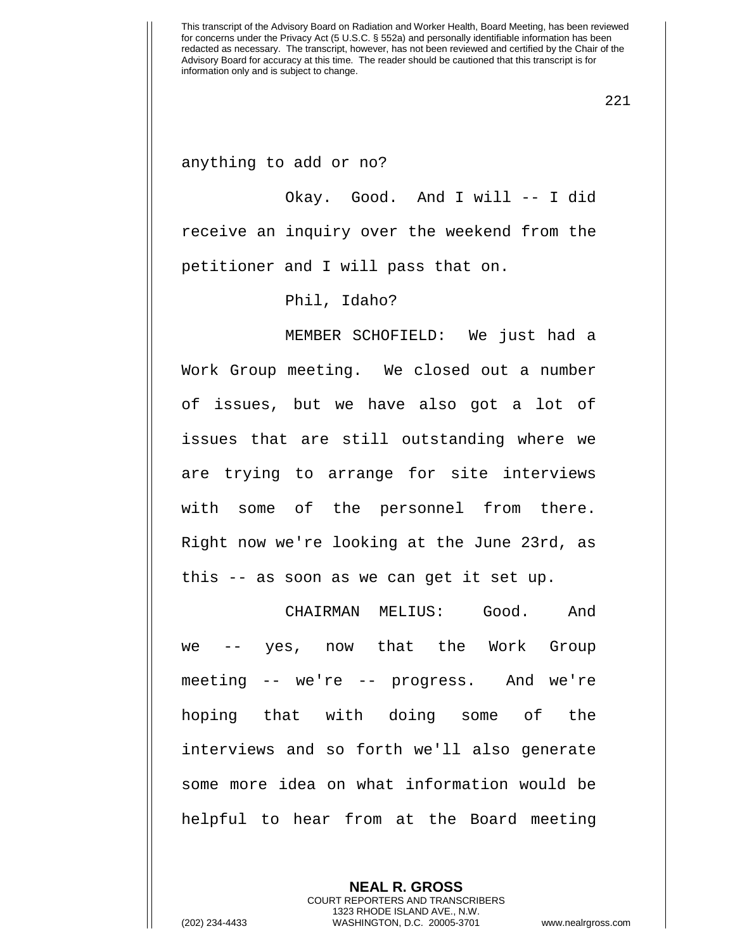221

anything to add or no?

Okay. Good. And I will -- I did receive an inquiry over the weekend from the petitioner and I will pass that on.

Phil, Idaho?

MEMBER SCHOFIELD: We just had a Work Group meeting. We closed out a number of issues, but we have also got a lot of issues that are still outstanding where we are trying to arrange for site interviews with some of the personnel from there. Right now we're looking at the June 23rd, as this -- as soon as we can get it set up.

CHAIRMAN MELIUS: Good. And we -- yes, now that the Work Group meeting -- we're -- progress. And we're hoping that with doing some of the interviews and so forth we'll also generate some more idea on what information would be helpful to hear from at the Board meeting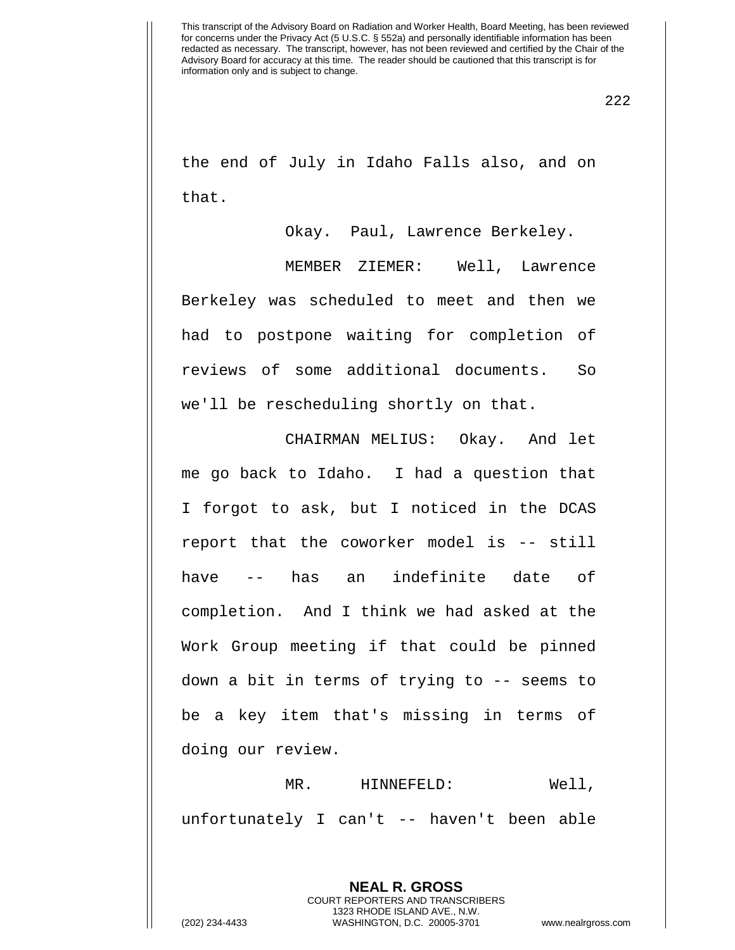the end of July in Idaho Falls also, and on that.

Okay. Paul, Lawrence Berkeley.

MEMBER ZIEMER: Well, Lawrence Berkeley was scheduled to meet and then we had to postpone waiting for completion of reviews of some additional documents. So we'll be rescheduling shortly on that.

CHAIRMAN MELIUS: Okay. And let me go back to Idaho. I had a question that I forgot to ask, but I noticed in the DCAS report that the coworker model is -- still have -- has an indefinite date of completion. And I think we had asked at the Work Group meeting if that could be pinned down a bit in terms of trying to -- seems to be a key item that's missing in terms of doing our review.

MR. HINNEFELD: Well, unfortunately I can't -- haven't been able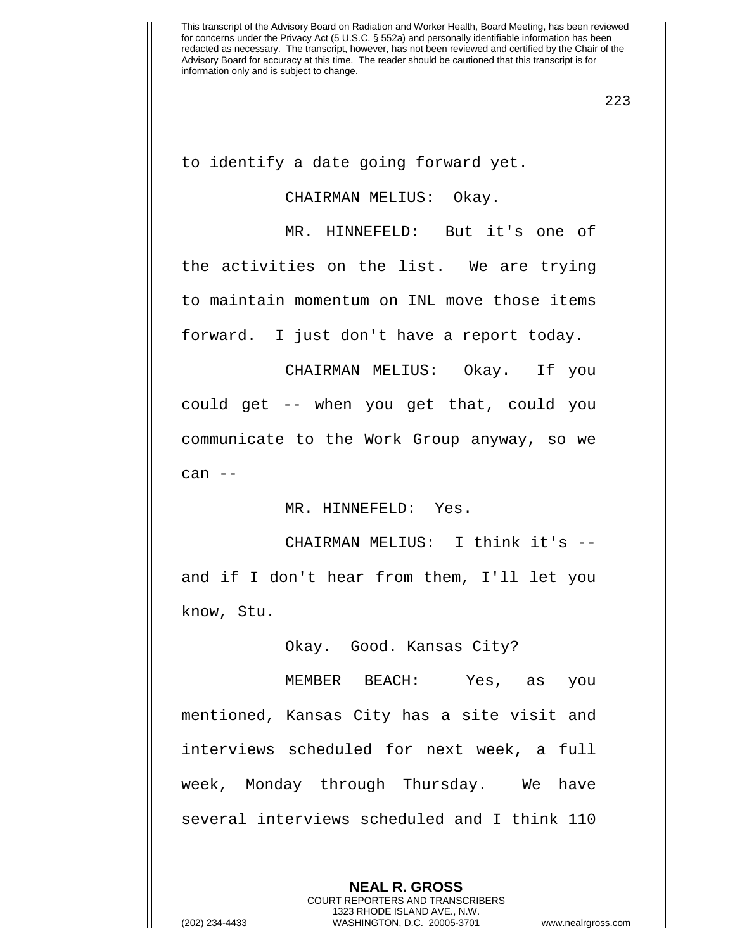223

to identify a date going forward yet.

## CHAIRMAN MELIUS: Okay.

MR. HINNEFELD: But it's one of the activities on the list. We are trying to maintain momentum on INL move those items forward. I just don't have a report today.

CHAIRMAN MELIUS: Okay. If you could get -- when you get that, could you communicate to the Work Group anyway, so we can --

MR. HINNEFELD: Yes.

CHAIRMAN MELIUS: I think it's - and if I don't hear from them, I'll let you know, Stu.

Okay. Good. Kansas City?

MEMBER BEACH: Yes, as you mentioned, Kansas City has a site visit and interviews scheduled for next week, a full week, Monday through Thursday. We have several interviews scheduled and I think 110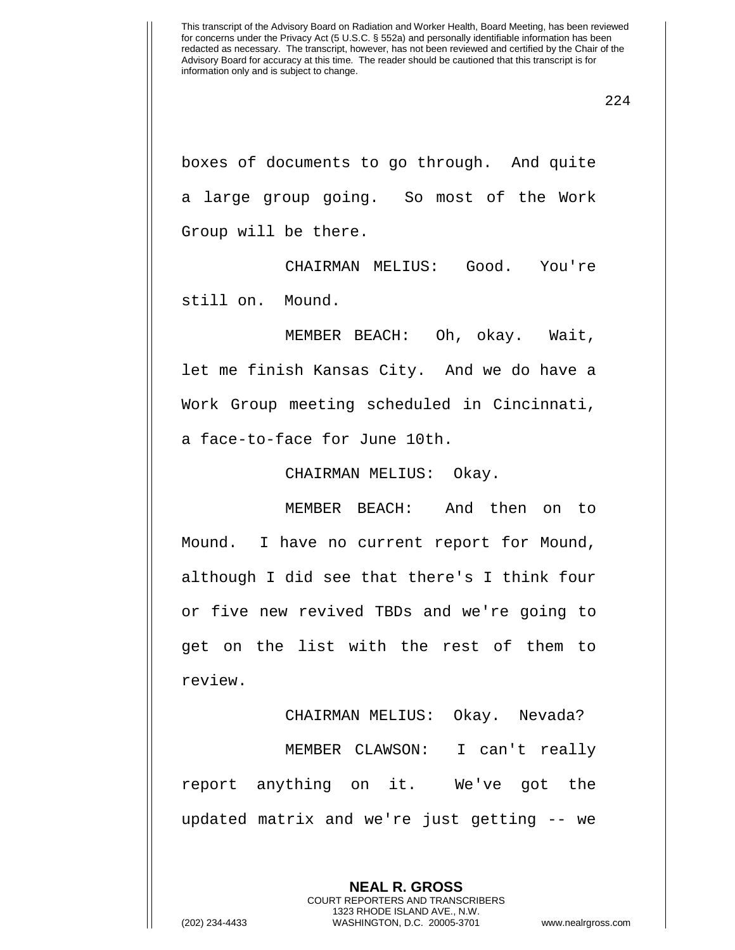boxes of documents to go through. And quite a large group going. So most of the Work Group will be there.

CHAIRMAN MELIUS: Good. You're still on. Mound.

MEMBER BEACH: Oh, okay. Wait, let me finish Kansas City. And we do have a Work Group meeting scheduled in Cincinnati, a face-to-face for June 10th.

CHAIRMAN MELIUS: Okay.

MEMBER BEACH: And then on to Mound. I have no current report for Mound, although I did see that there's I think four or five new revived TBDs and we're going to get on the list with the rest of them to review.

CHAIRMAN MELIUS: Okay. Nevada? MEMBER CLAWSON: I can't really report anything on it. We've got the updated matrix and we're just getting -- we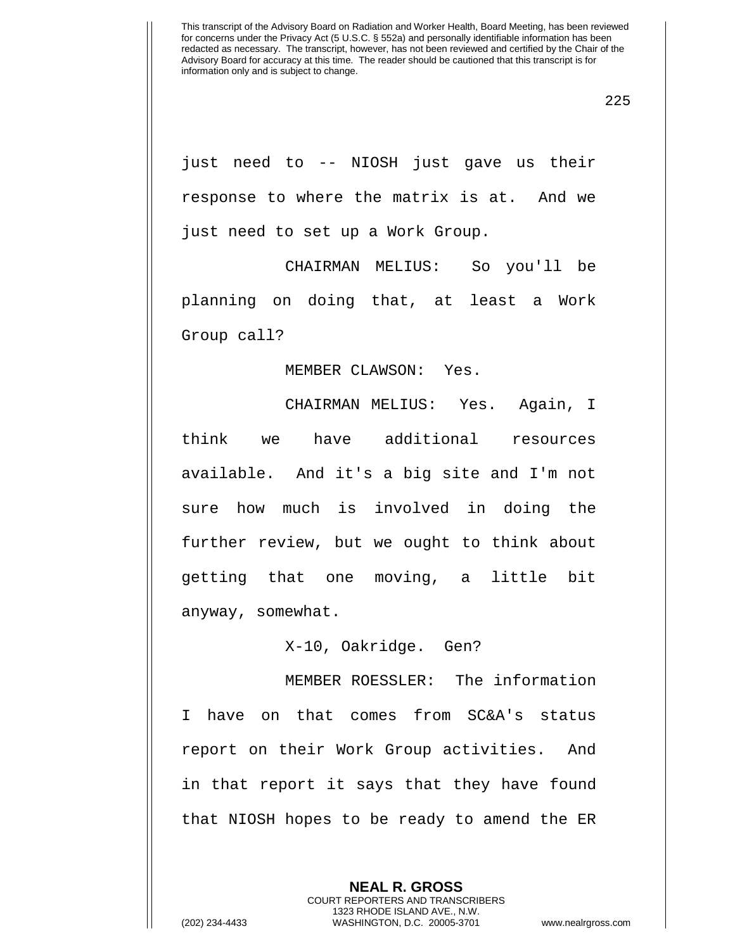225

just need to -- NIOSH just gave us their response to where the matrix is at. And we just need to set up a Work Group.

CHAIRMAN MELIUS: So you'll be planning on doing that, at least a Work Group call?

## MEMBER CLAWSON: Yes.

CHAIRMAN MELIUS: Yes. Again, I think we have additional resources available. And it's a big site and I'm not sure how much is involved in doing the further review, but we ought to think about getting that one moving, a little bit anyway, somewhat.

X-10, Oakridge. Gen?

MEMBER ROESSLER: The information I have on that comes from SC&A's status report on their Work Group activities. And in that report it says that they have found that NIOSH hopes to be ready to amend the ER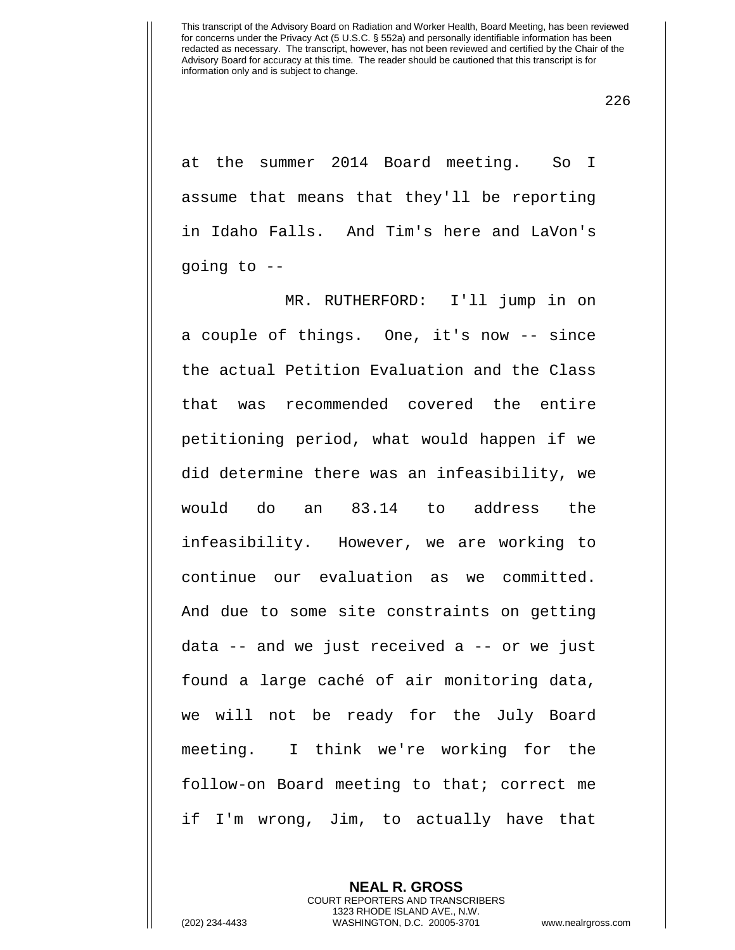226

at the summer 2014 Board meeting. So I assume that means that they'll be reporting in Idaho Falls. And Tim's here and LaVon's going to --

MR. RUTHERFORD: I'll jump in on a couple of things. One, it's now -- since the actual Petition Evaluation and the Class that was recommended covered the entire petitioning period, what would happen if we did determine there was an infeasibility, we would do an 83.14 to address the infeasibility. However, we are working to continue our evaluation as we committed. And due to some site constraints on getting data -- and we just received a -- or we just found a large caché of air monitoring data, we will not be ready for the July Board meeting. I think we're working for the follow-on Board meeting to that; correct me if I'm wrong, Jim, to actually have that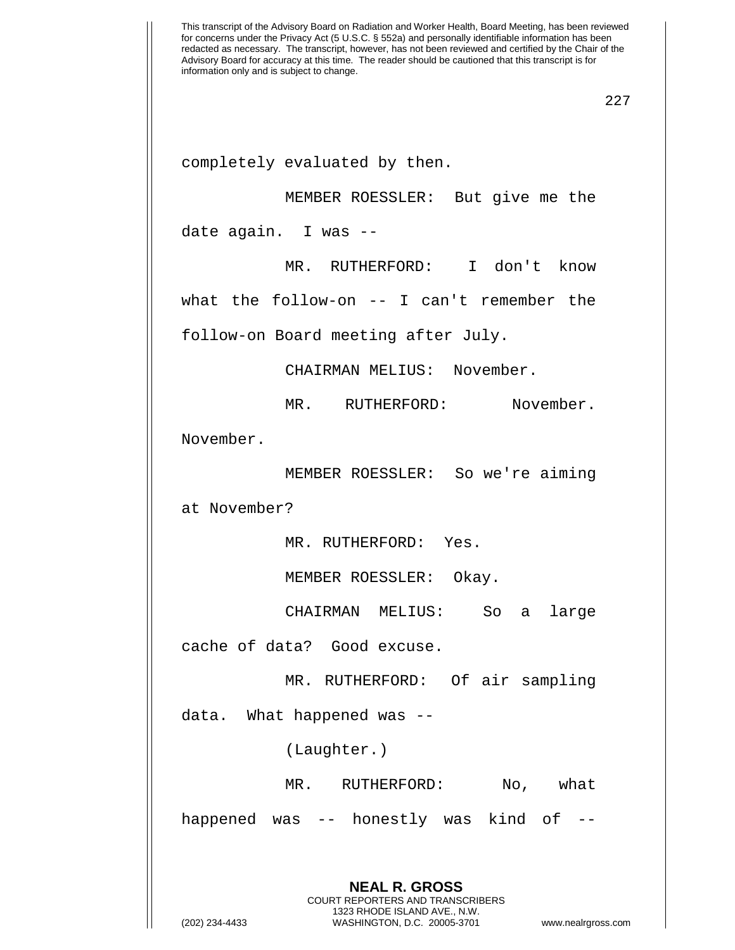completely evaluated by then.

MEMBER ROESSLER: But give me the

date again. I was --

MR. RUTHERFORD: I don't know

what the follow-on -- I can't remember the

follow-on Board meeting after July.

CHAIRMAN MELIUS: November.

MR. RUTHERFORD: November.

November.

MEMBER ROESSLER: So we're aiming

at November?

MR. RUTHERFORD: Yes.

MEMBER ROESSLER: Okay.

CHAIRMAN MELIUS: So a large

cache of data? Good excuse.

MR. RUTHERFORD: Of air sampling

data. What happened was --

(Laughter.)

MR. RUTHERFORD: No, what

happened was -- honestly was kind of --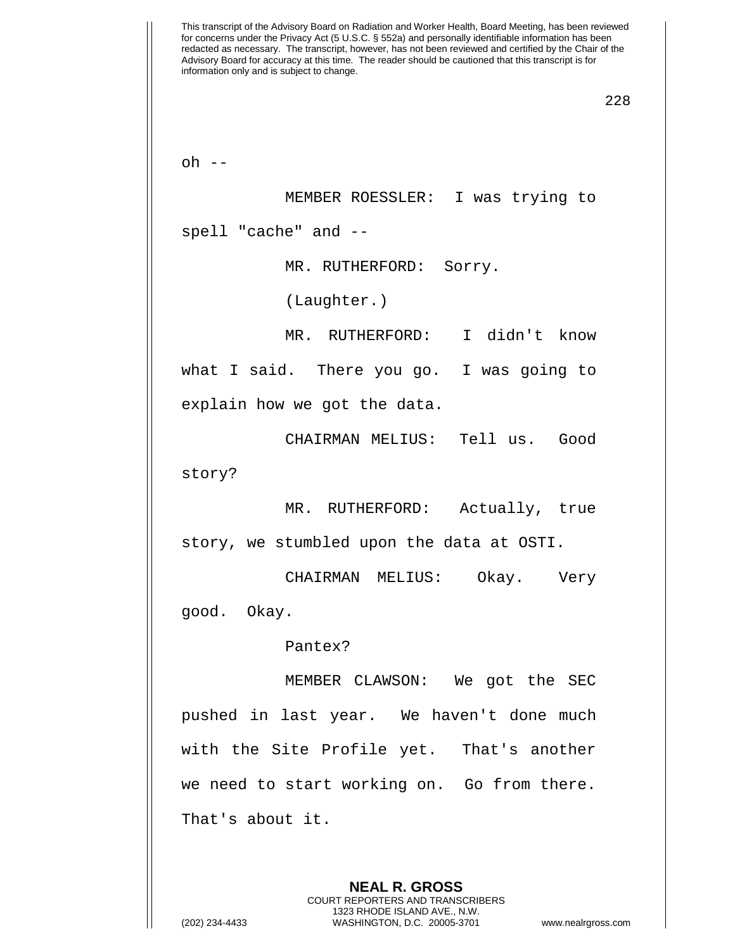This transcript of the Advisory Board on Radiation and Worker Health, Board Meeting, has been reviewed for concerns under the Privacy Act (5 U.S.C. § 552a) and personally identifiable information has been redacted as necessary. The transcript, however, has not been reviewed and certified by the Chair of the Advisory Board for accuracy at this time. The reader should be cautioned that this transcript is for information only and is subject to change. 228  $oh$   $--$ MEMBER ROESSLER: I was trying to spell "cache" and -- MR. RUTHERFORD: Sorry. (Laughter.) MR. RUTHERFORD: I didn't know what I said. There you go. I was going to explain how we got the data. CHAIRMAN MELIUS: Tell us. Good story? MR. RUTHERFORD: Actually, true story, we stumbled upon the data at OSTI. CHAIRMAN MELIUS: Okay. Very good. Okay. Pantex? MEMBER CLAWSON: We got the SEC pushed in last year. We haven't done much with the Site Profile yet. That's another we need to start working on. Go from there. That's about it.

> COURT REPORTERS AND TRANSCRIBERS 1323 RHODE ISLAND AVE., N.W.

**NEAL R. GROSS**

(202) 234-4433 WASHINGTON, D.C. 20005-3701 www.nealrgross.com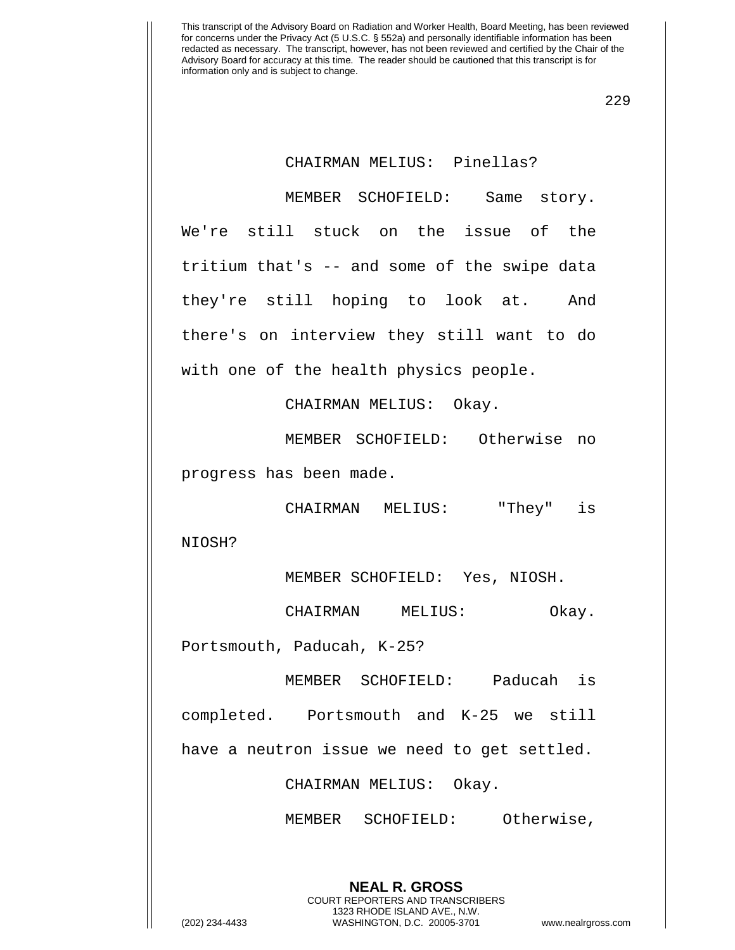229

## CHAIRMAN MELIUS: Pinellas?

MEMBER SCHOFIELD: Same story. We're still stuck on the issue of the tritium that's -- and some of the swipe data they're still hoping to look at. And there's on interview they still want to do with one of the health physics people.

CHAIRMAN MELIUS: Okay.

MEMBER SCHOFIELD: Otherwise no progress has been made.

CHAIRMAN MELIUS: "They" is

NIOSH?

MEMBER SCHOFIELD: Yes, NIOSH.

CHAIRMAN MELIUS: Okay.

Portsmouth, Paducah, K-25?

MEMBER SCHOFIELD: Paducah is completed. Portsmouth and K-25 we still have a neutron issue we need to get settled.

CHAIRMAN MELIUS: Okay.

MEMBER SCHOFIELD: Otherwise,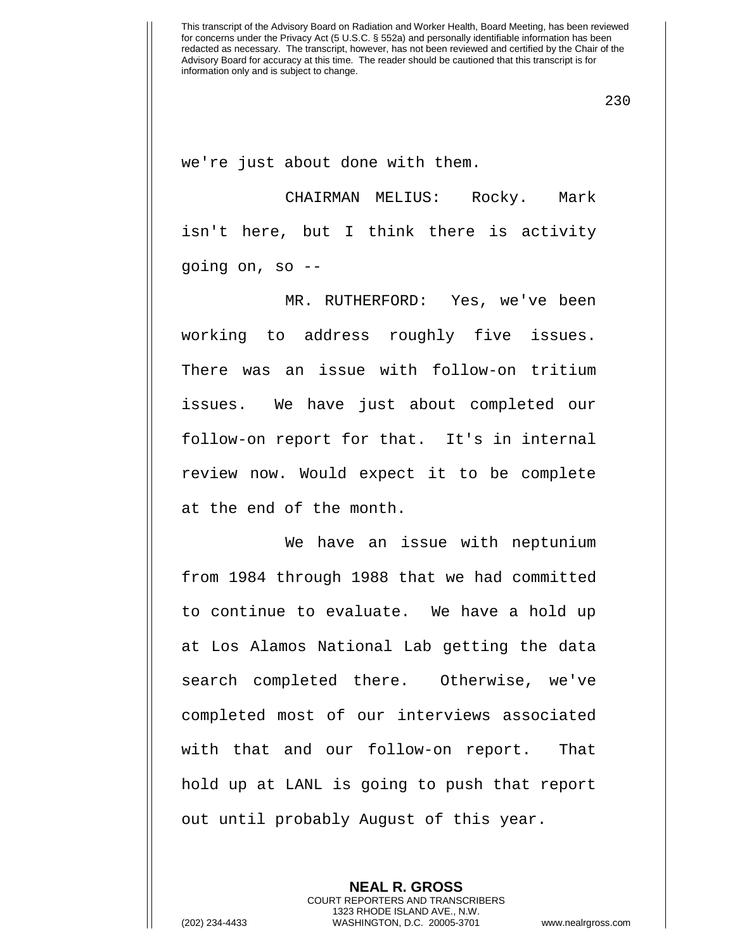230

we're just about done with them.

CHAIRMAN MELIUS: Rocky. Mark isn't here, but I think there is activity going on, so --

MR. RUTHERFORD: Yes, we've been working to address roughly five issues. There was an issue with follow-on tritium issues. We have just about completed our follow-on report for that. It's in internal review now. Would expect it to be complete at the end of the month.

We have an issue with neptunium from 1984 through 1988 that we had committed to continue to evaluate. We have a hold up at Los Alamos National Lab getting the data search completed there. Otherwise, we've completed most of our interviews associated with that and our follow-on report. That hold up at LANL is going to push that report out until probably August of this year.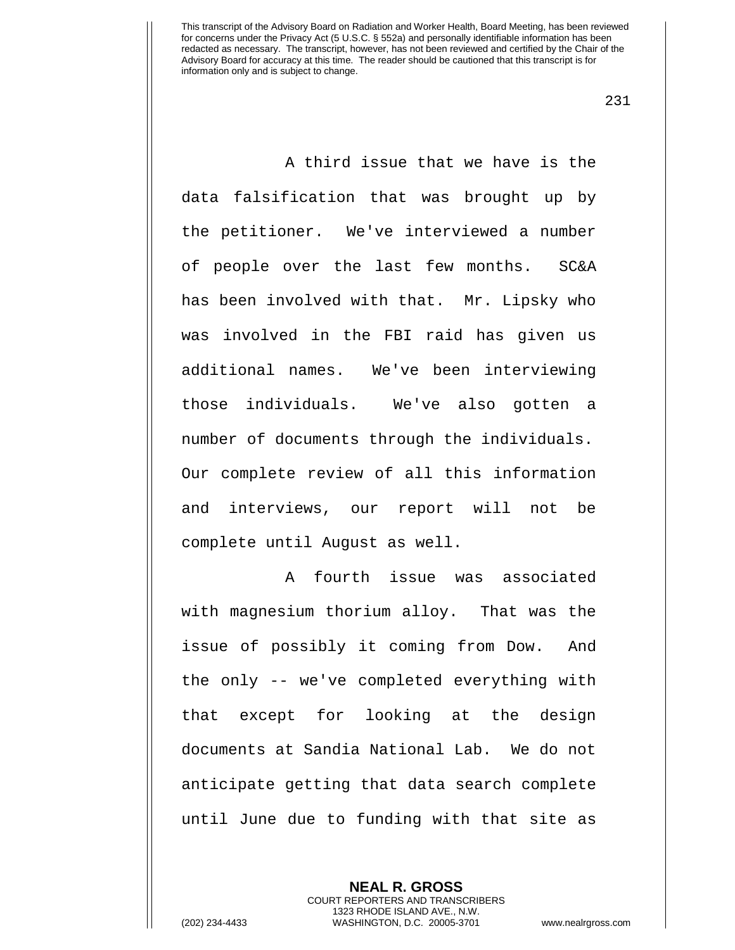231

A third issue that we have is the data falsification that was brought up by the petitioner. We've interviewed a number of people over the last few months. SC&A has been involved with that. Mr. Lipsky who was involved in the FBI raid has given us additional names. We've been interviewing those individuals. We've also gotten a number of documents through the individuals. Our complete review of all this information and interviews, our report will not be complete until August as well.

A fourth issue was associated with magnesium thorium alloy. That was the issue of possibly it coming from Dow. And the only -- we've completed everything with that except for looking at the design documents at Sandia National Lab. We do not anticipate getting that data search complete until June due to funding with that site as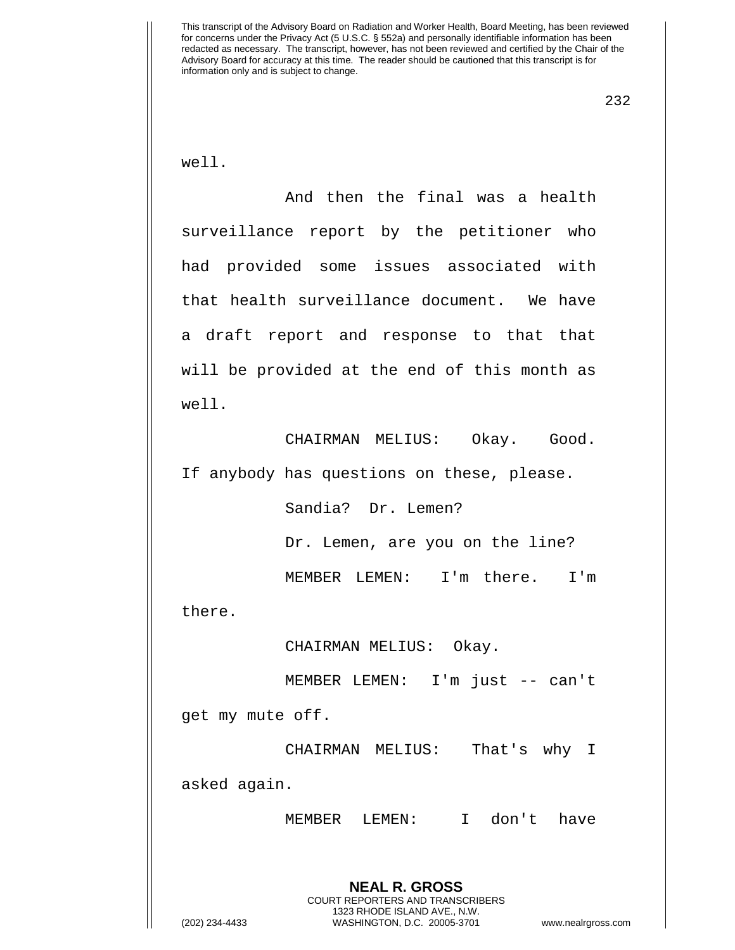232

well.

And then the final was a health surveillance report by the petitioner who had provided some issues associated with that health surveillance document. We have a draft report and response to that that will be provided at the end of this month as well.

CHAIRMAN MELIUS: Okay. Good. If anybody has questions on these, please.

Sandia? Dr. Lemen?

Dr. Lemen, are you on the line?

MEMBER LEMEN: I'm there. I'm

there.

CHAIRMAN MELIUS: Okay.

MEMBER LEMEN: I'm just -- can't get my mute off.

CHAIRMAN MELIUS: That's why I asked again.

MEMBER LEMEN: I don't have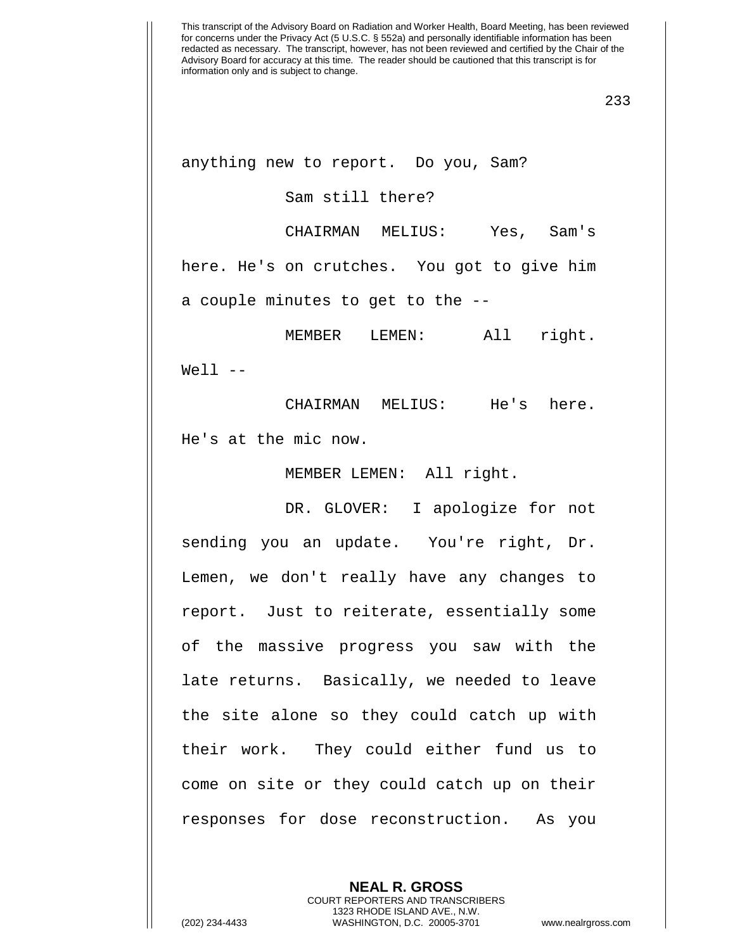anything new to report. Do you, Sam?

Sam still there?

CHAIRMAN MELIUS: Yes, Sam's

here. He's on crutches. You got to give him

a couple minutes to get to the --

MEMBER LEMEN: All right.  $Well1$   $--$ 

CHAIRMAN MELIUS: He's here. He's at the mic now.

MEMBER LEMEN: All right.

DR. GLOVER: I apologize for not sending you an update. You're right, Dr. Lemen, we don't really have any changes to report. Just to reiterate, essentially some of the massive progress you saw with the late returns. Basically, we needed to leave the site alone so they could catch up with their work. They could either fund us to come on site or they could catch up on their responses for dose reconstruction. As you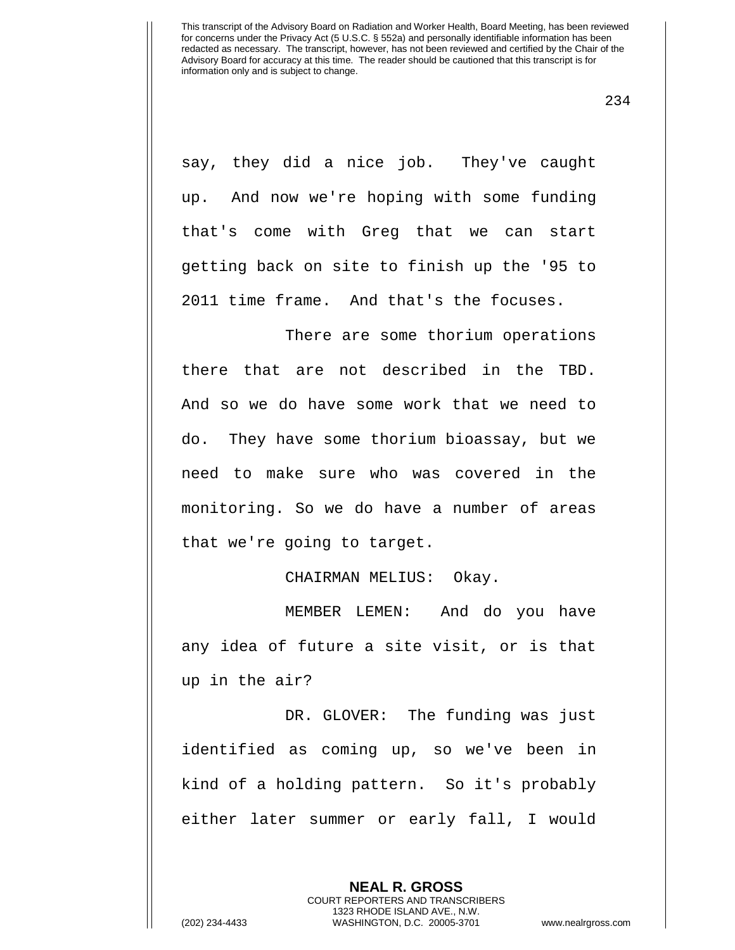234

say, they did a nice job. They've caught up. And now we're hoping with some funding that's come with Greg that we can start getting back on site to finish up the '95 to 2011 time frame. And that's the focuses.

There are some thorium operations there that are not described in the TBD. And so we do have some work that we need to do. They have some thorium bioassay, but we need to make sure who was covered in the monitoring. So we do have a number of areas that we're going to target.

CHAIRMAN MELIUS: Okay.

MEMBER LEMEN: And do you have any idea of future a site visit, or is that up in the air?

DR. GLOVER: The funding was just identified as coming up, so we've been in kind of a holding pattern. So it's probably either later summer or early fall, I would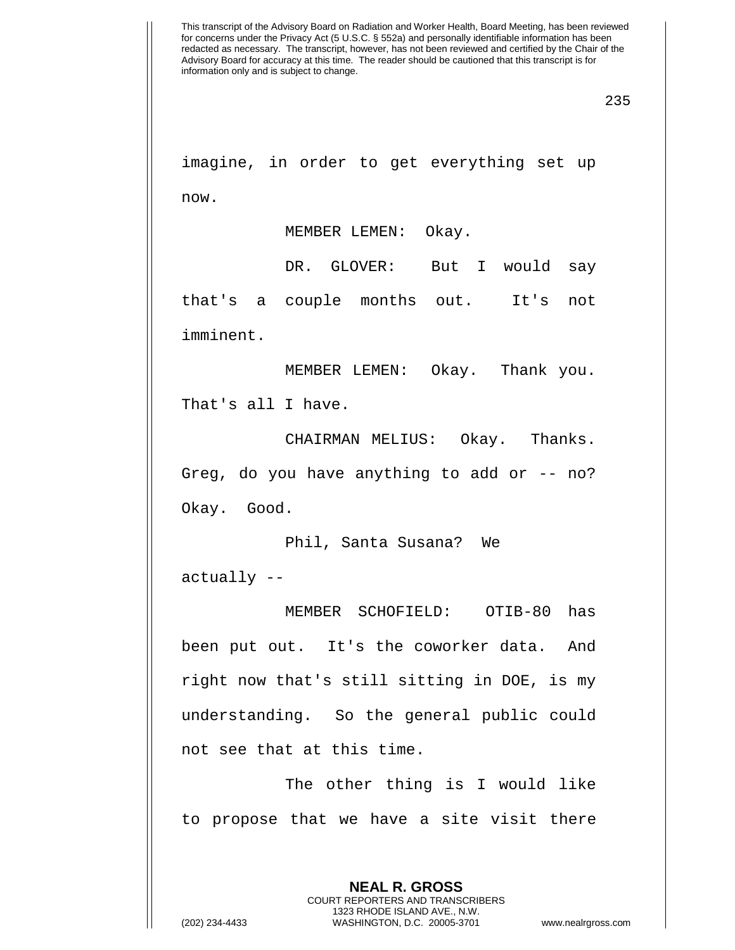imagine, in order to get everything set up now.

MEMBER LEMEN: Okay.

DR. GLOVER: But I would say that's a couple months out. It's not imminent.

MEMBER LEMEN: Okay. Thank you. That's all I have.

CHAIRMAN MELIUS: Okay. Thanks. Greg, do you have anything to add or  $-$ - no? Okay. Good.

Phil, Santa Susana? We actually --

MEMBER SCHOFIELD: OTIB-80 has been put out. It's the coworker data. And right now that's still sitting in DOE, is my understanding. So the general public could not see that at this time.

The other thing is I would like to propose that we have a site visit there

> **NEAL R. GROSS** COURT REPORTERS AND TRANSCRIBERS 1323 RHODE ISLAND AVE., N.W.

(202) 234-4433 WASHINGTON, D.C. 20005-3701 www.nealrgross.com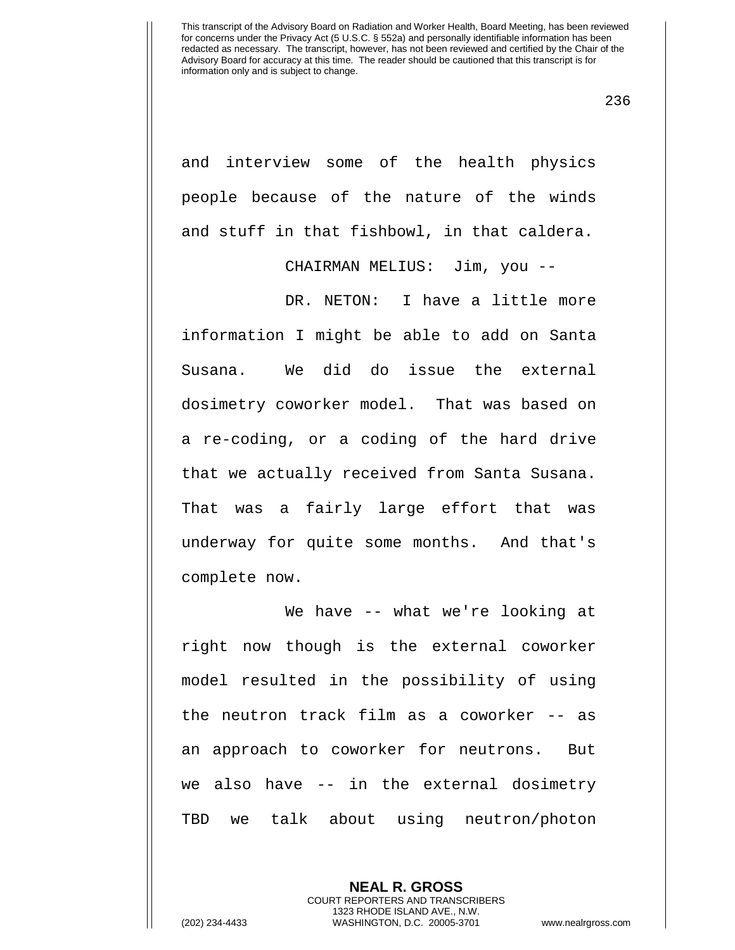236

and interview some of the health physics people because of the nature of the winds and stuff in that fishbowl, in that caldera.

CHAIRMAN MELIUS: Jim, you --

DR. NETON: I have a little more information I might be able to add on Santa Susana. We did do issue the external dosimetry coworker model. That was based on a re-coding, or a coding of the hard drive that we actually received from Santa Susana. That was a fairly large effort that was underway for quite some months. And that's complete now.

We have -- what we're looking at right now though is the external coworker model resulted in the possibility of using the neutron track film as a coworker -- as an approach to coworker for neutrons. But we also have -- in the external dosimetry TBD we talk about using neutron/photon

> **NEAL R. GROSS** COURT REPORTERS AND TRANSCRIBERS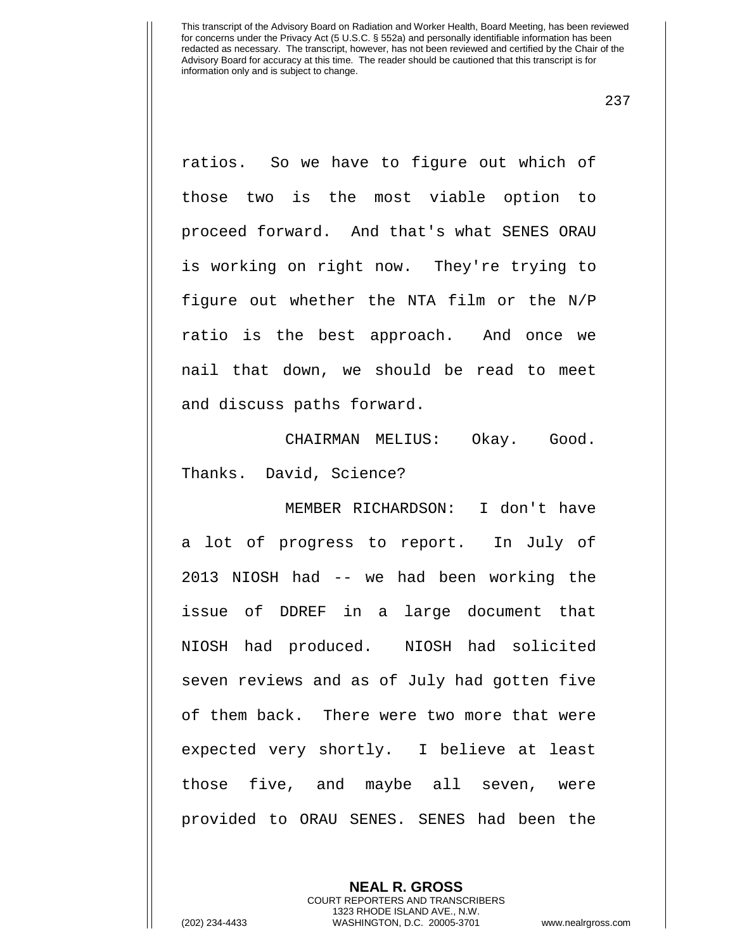237

ratios. So we have to figure out which of those two is the most viable option to proceed forward. And that's what SENES ORAU is working on right now. They're trying to figure out whether the NTA film or the N/P ratio is the best approach. And once we nail that down, we should be read to meet and discuss paths forward.

CHAIRMAN MELIUS: Okay. Good. Thanks. David, Science?

MEMBER RICHARDSON: I don't have a lot of progress to report. In July of 2013 NIOSH had -- we had been working the issue of DDREF in a large document that NIOSH had produced. NIOSH had solicited seven reviews and as of July had gotten five of them back. There were two more that were expected very shortly. I believe at least those five, and maybe all seven, were provided to ORAU SENES. SENES had been the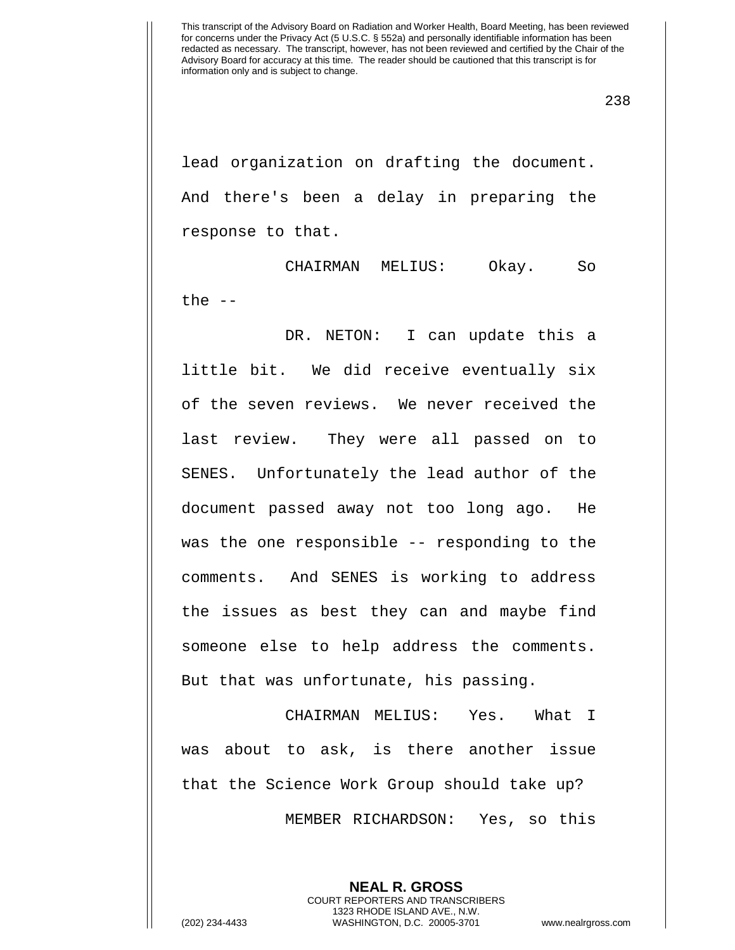lead organization on drafting the document. And there's been a delay in preparing the response to that.

CHAIRMAN MELIUS: Okay. So the  $-$ 

DR. NETON: I can update this a little bit. We did receive eventually six of the seven reviews. We never received the last review. They were all passed on to SENES. Unfortunately the lead author of the document passed away not too long ago. He was the one responsible -- responding to the comments. And SENES is working to address the issues as best they can and maybe find someone else to help address the comments. But that was unfortunate, his passing.

CHAIRMAN MELIUS: Yes. What I was about to ask, is there another issue that the Science Work Group should take up? MEMBER RICHARDSON: Yes, so this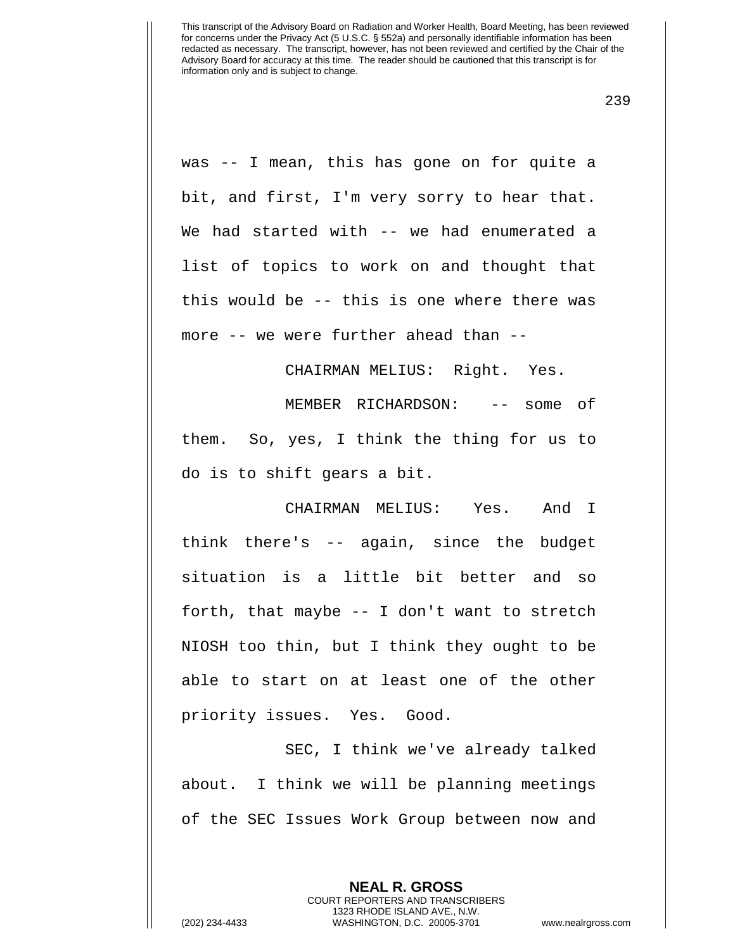239

was -- I mean, this has gone on for quite a bit, and first, I'm very sorry to hear that. We had started with -- we had enumerated a list of topics to work on and thought that this would be -- this is one where there was more -- we were further ahead than --

CHAIRMAN MELIUS: Right. Yes.

MEMBER RICHARDSON: -- some of them. So, yes, I think the thing for us to do is to shift gears a bit.

CHAIRMAN MELIUS: Yes. And I think there's -- again, since the budget situation is a little bit better and so forth, that maybe -- I don't want to stretch NIOSH too thin, but I think they ought to be able to start on at least one of the other priority issues. Yes. Good.

SEC, I think we've already talked about. I think we will be planning meetings of the SEC Issues Work Group between now and

> **NEAL R. GROSS** COURT REPORTERS AND TRANSCRIBERS 1323 RHODE ISLAND AVE., N.W.

(202) 234-4433 WASHINGTON, D.C. 20005-3701 www.nealrgross.com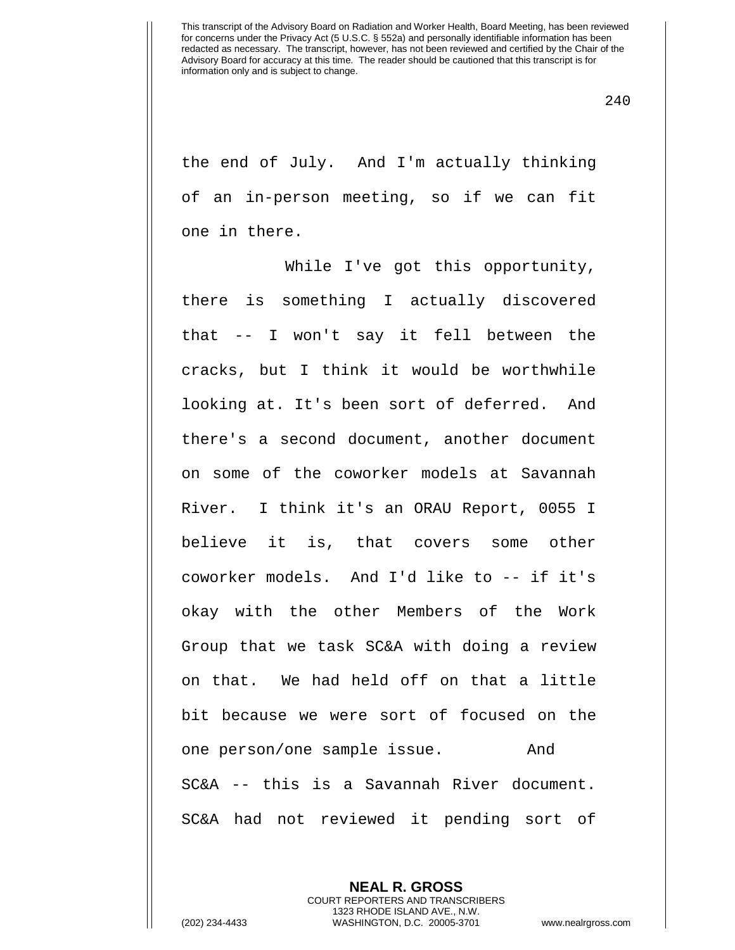240

the end of July. And I'm actually thinking of an in-person meeting, so if we can fit one in there.

While I've got this opportunity, there is something I actually discovered that -- I won't say it fell between the cracks, but I think it would be worthwhile looking at. It's been sort of deferred. And there's a second document, another document on some of the coworker models at Savannah River. I think it's an ORAU Report, 0055 I believe it is, that covers some other coworker models. And I'd like to -- if it's okay with the other Members of the Work Group that we task SC&A with doing a review on that. We had held off on that a little bit because we were sort of focused on the one person/one sample issue. And SC&A -- this is a Savannah River document. SC&A had not reviewed it pending sort of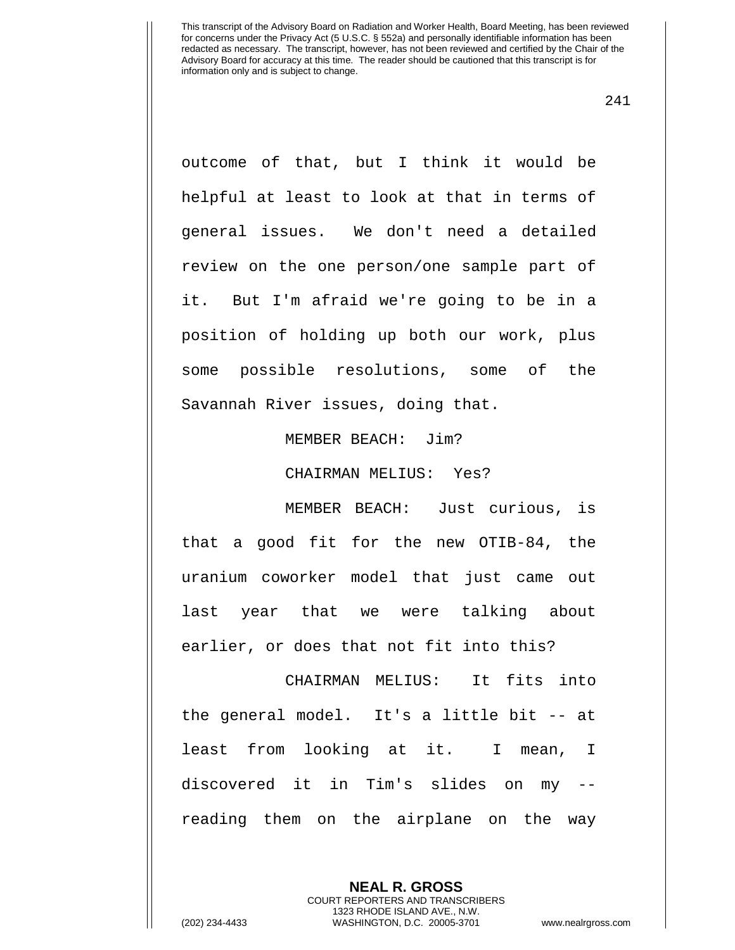241

outcome of that, but I think it would be helpful at least to look at that in terms of general issues. We don't need a detailed review on the one person/one sample part of it. But I'm afraid we're going to be in a position of holding up both our work, plus some possible resolutions, some of the Savannah River issues, doing that.

MEMBER BEACH: Jim?

CHAIRMAN MELIUS: Yes?

MEMBER BEACH: Just curious, is that a good fit for the new OTIB-84, the uranium coworker model that just came out last year that we were talking about earlier, or does that not fit into this?

CHAIRMAN MELIUS: It fits into the general model. It's a little bit -- at least from looking at it. I mean, I discovered it in Tim's slides on my - reading them on the airplane on the way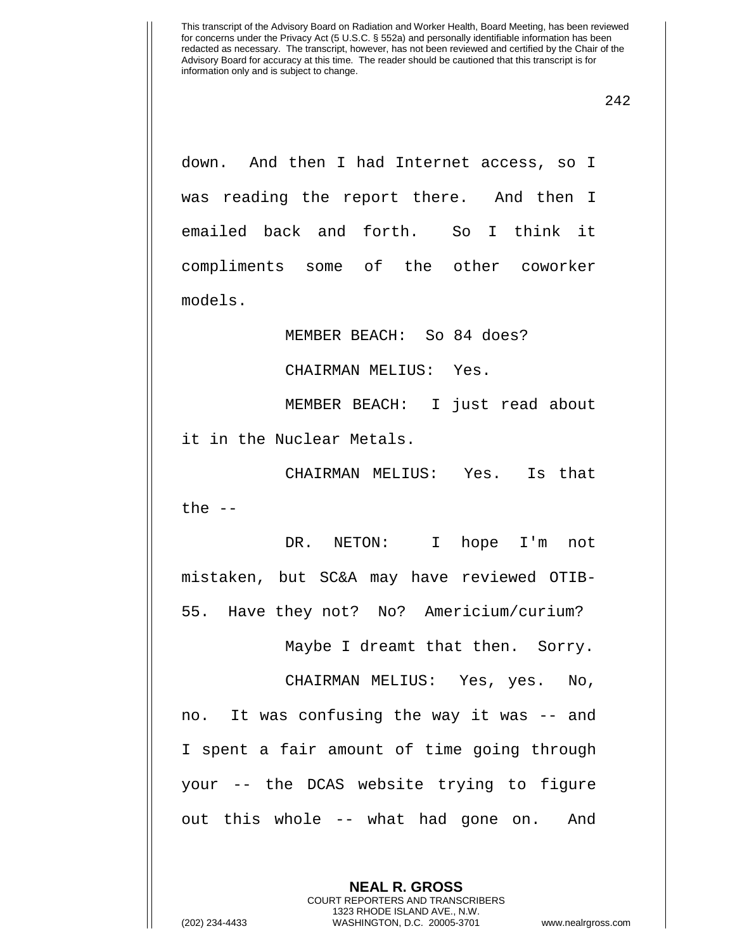down. And then I had Internet access, so I was reading the report there. And then I emailed back and forth. So I think it compliments some of the other coworker models.

MEMBER BEACH: So 84 does?

CHAIRMAN MELIUS: Yes.

MEMBER BEACH: I just read about it in the Nuclear Metals.

CHAIRMAN MELIUS: Yes. Is that the  $-$ 

DR. NETON: I hope I'm not mistaken, but SC&A may have reviewed OTIB-55. Have they not? No? Americium/curium?

Maybe I dreamt that then. Sorry.

CHAIRMAN MELIUS: Yes, yes. No, no. It was confusing the way it was -- and I spent a fair amount of time going through your -- the DCAS website trying to figure out this whole -- what had gone on. And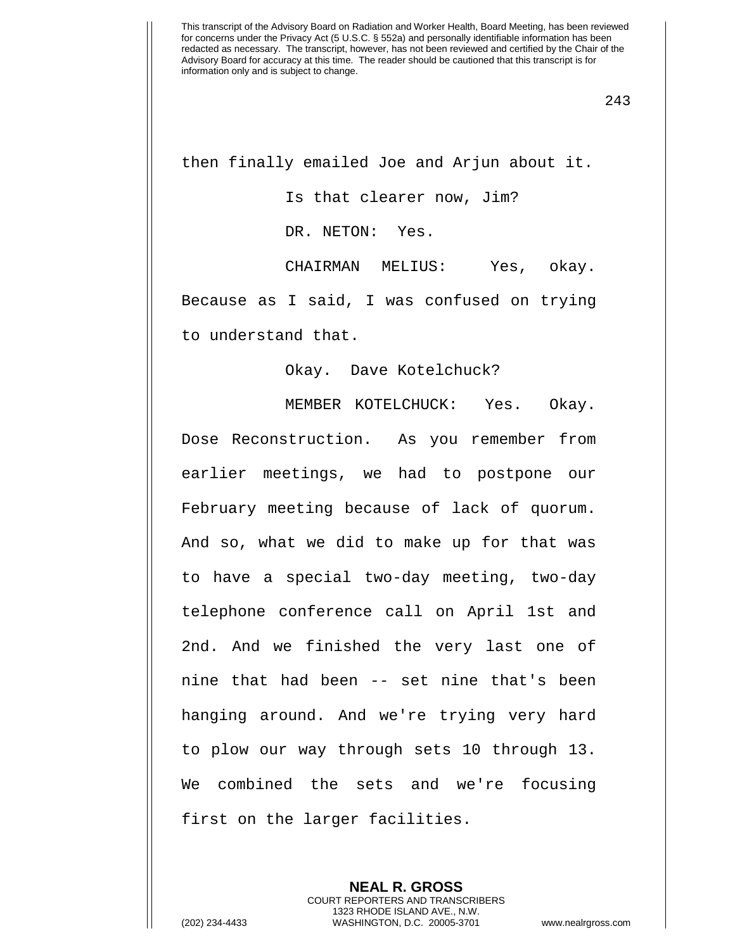then finally emailed Joe and Arjun about it.

Is that clearer now, Jim?

DR. NETON: Yes.

CHAIRMAN MELIUS: Yes, okay. Because as I said, I was confused on trying to understand that.

Okay. Dave Kotelchuck?

MEMBER KOTELCHUCK: Yes. Okay. Dose Reconstruction. As you remember from earlier meetings, we had to postpone our February meeting because of lack of quorum. And so, what we did to make up for that was to have a special two-day meeting, two-day telephone conference call on April 1st and 2nd. And we finished the very last one of nine that had been -- set nine that's been hanging around. And we're trying very hard to plow our way through sets 10 through 13. We combined the sets and we're focusing first on the larger facilities.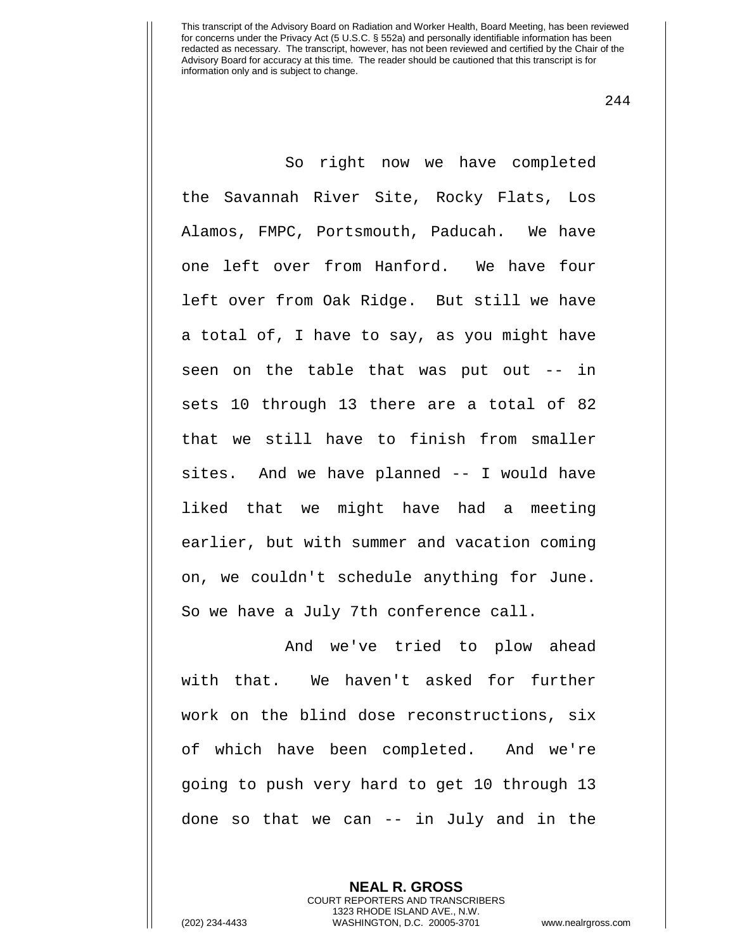244

So right now we have completed the Savannah River Site, Rocky Flats, Los Alamos, FMPC, Portsmouth, Paducah. We have one left over from Hanford. We have four left over from Oak Ridge. But still we have a total of, I have to say, as you might have seen on the table that was put out -- in sets 10 through 13 there are a total of 82 that we still have to finish from smaller sites. And we have planned -- I would have liked that we might have had a meeting earlier, but with summer and vacation coming on, we couldn't schedule anything for June. So we have a July 7th conference call.

And we've tried to plow ahead with that. We haven't asked for further work on the blind dose reconstructions, six of which have been completed. And we're going to push very hard to get 10 through 13 done so that we can -- in July and in the

**NEAL R. GROSS**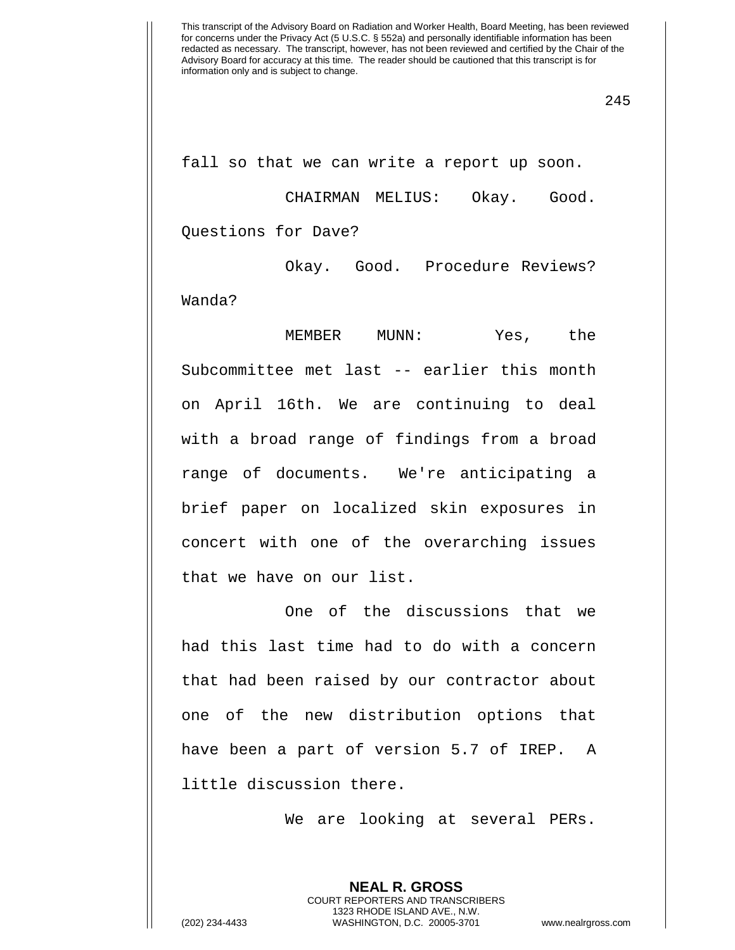fall so that we can write a report up soon.

CHAIRMAN MELIUS: Okay. Good. Questions for Dave?

Okay. Good. Procedure Reviews? Wanda?

MEMBER MUNN: Yes, the Subcommittee met last -- earlier this month on April 16th. We are continuing to deal with a broad range of findings from a broad range of documents. We're anticipating a brief paper on localized skin exposures in concert with one of the overarching issues that we have on our list.

One of the discussions that we had this last time had to do with a concern that had been raised by our contractor about one of the new distribution options that have been a part of version 5.7 of IREP. A little discussion there.

We are looking at several PERs.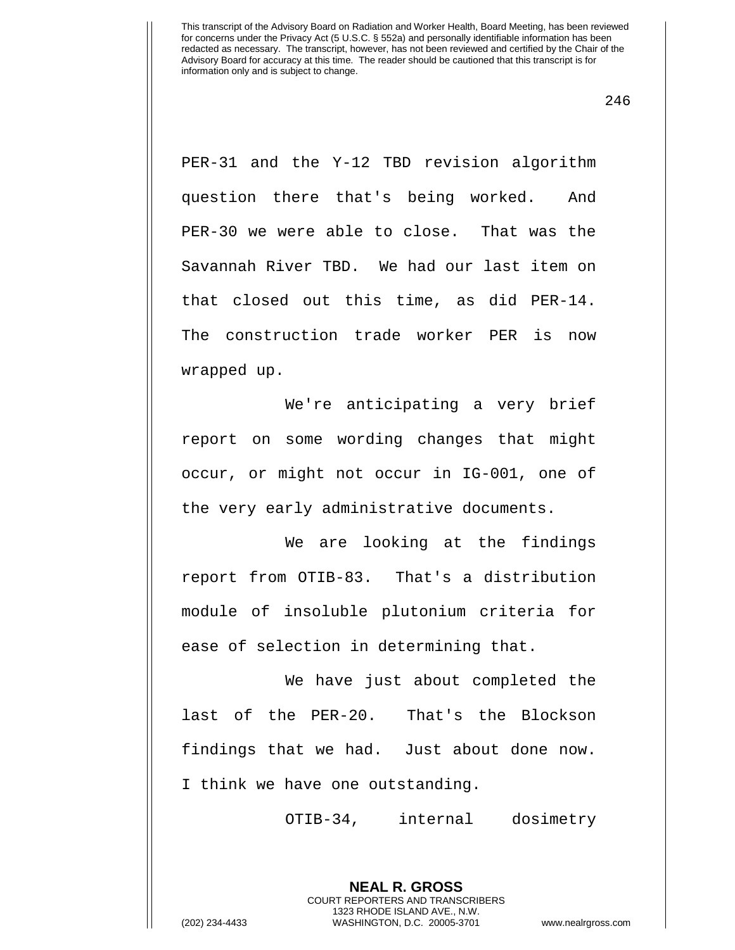246

PER-31 and the Y-12 TBD revision algorithm question there that's being worked. And PER-30 we were able to close. That was the Savannah River TBD. We had our last item on that closed out this time, as did PER-14. The construction trade worker PER is now wrapped up.

We're anticipating a very brief report on some wording changes that might occur, or might not occur in IG-001, one of the very early administrative documents.

We are looking at the findings report from OTIB-83. That's a distribution module of insoluble plutonium criteria for ease of selection in determining that.

We have just about completed the last of the PER-20. That's the Blockson findings that we had. Just about done now. I think we have one outstanding.

OTIB-34, internal dosimetry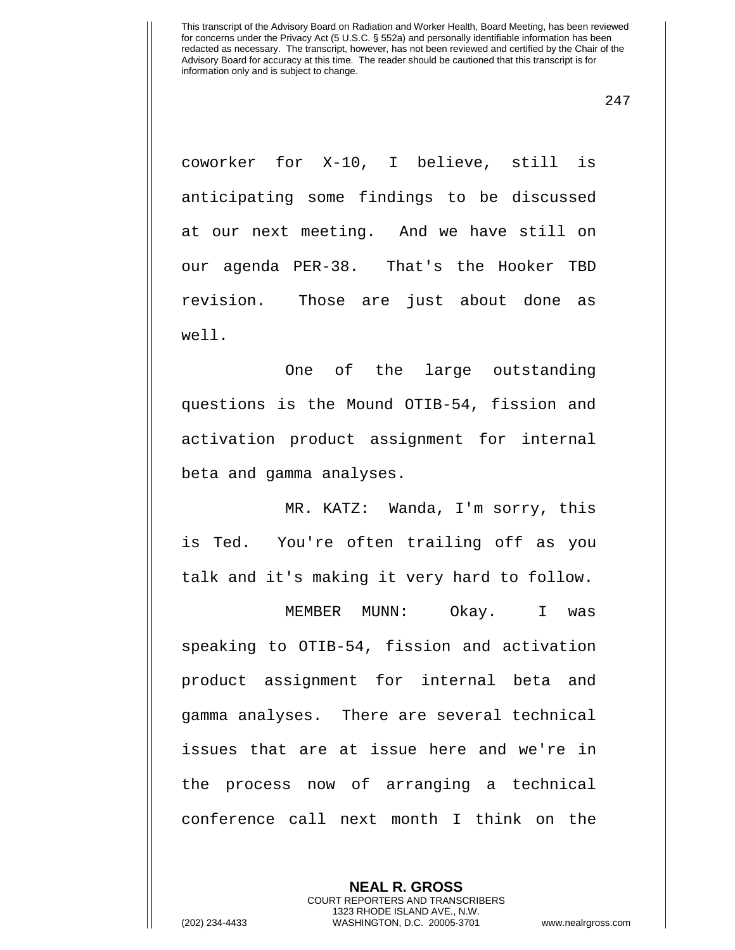247

coworker for X-10, I believe, still is anticipating some findings to be discussed at our next meeting. And we have still on our agenda PER-38. That's the Hooker TBD revision. Those are just about done as well.

One of the large outstanding questions is the Mound OTIB-54, fission and activation product assignment for internal beta and gamma analyses.

MR. KATZ: Wanda, I'm sorry, this is Ted. You're often trailing off as you talk and it's making it very hard to follow.

MEMBER MUNN: Okay. I was speaking to OTIB-54, fission and activation product assignment for internal beta and gamma analyses. There are several technical issues that are at issue here and we're in the process now of arranging a technical conference call next month I think on the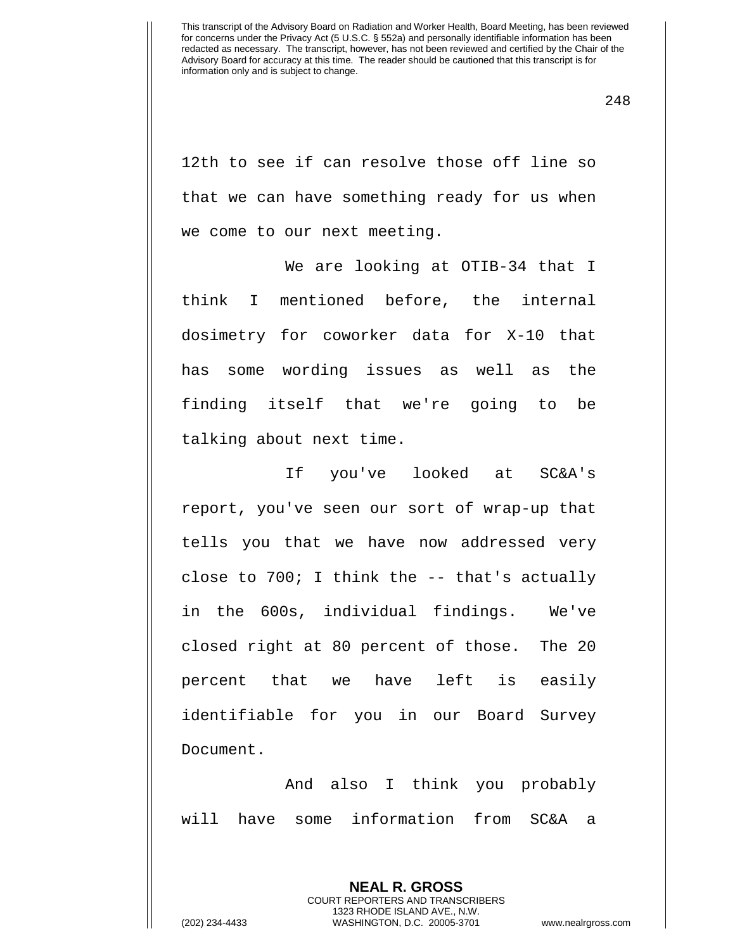248

12th to see if can resolve those off line so that we can have something ready for us when we come to our next meeting.

We are looking at OTIB-34 that I think I mentioned before, the internal dosimetry for coworker data for X-10 that has some wording issues as well as the finding itself that we're going to be talking about next time.

If you've looked at SC&A's report, you've seen our sort of wrap-up that tells you that we have now addressed very close to 700; I think the -- that's actually in the 600s, individual findings. We've closed right at 80 percent of those. The 20 percent that we have left is easily identifiable for you in our Board Survey Document.

And also I think you probably will have some information from SC&A a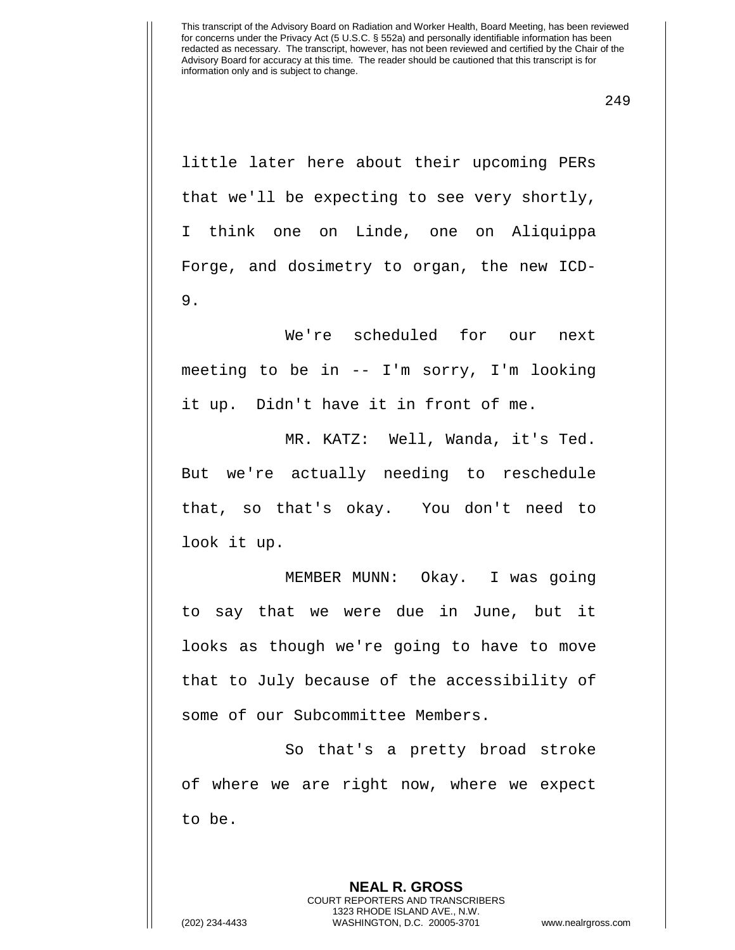249

little later here about their upcoming PERs that we'll be expecting to see very shortly, I think one on Linde, one on Aliquippa Forge, and dosimetry to organ, the new ICD-9.

We're scheduled for our next meeting to be in -- I'm sorry, I'm looking it up. Didn't have it in front of me.

MR. KATZ: Well, Wanda, it's Ted. But we're actually needing to reschedule that, so that's okay. You don't need to look it up.

MEMBER MUNN: Okay. I was going to say that we were due in June, but it looks as though we're going to have to move that to July because of the accessibility of some of our Subcommittee Members.

So that's a pretty broad stroke of where we are right now, where we expect to be.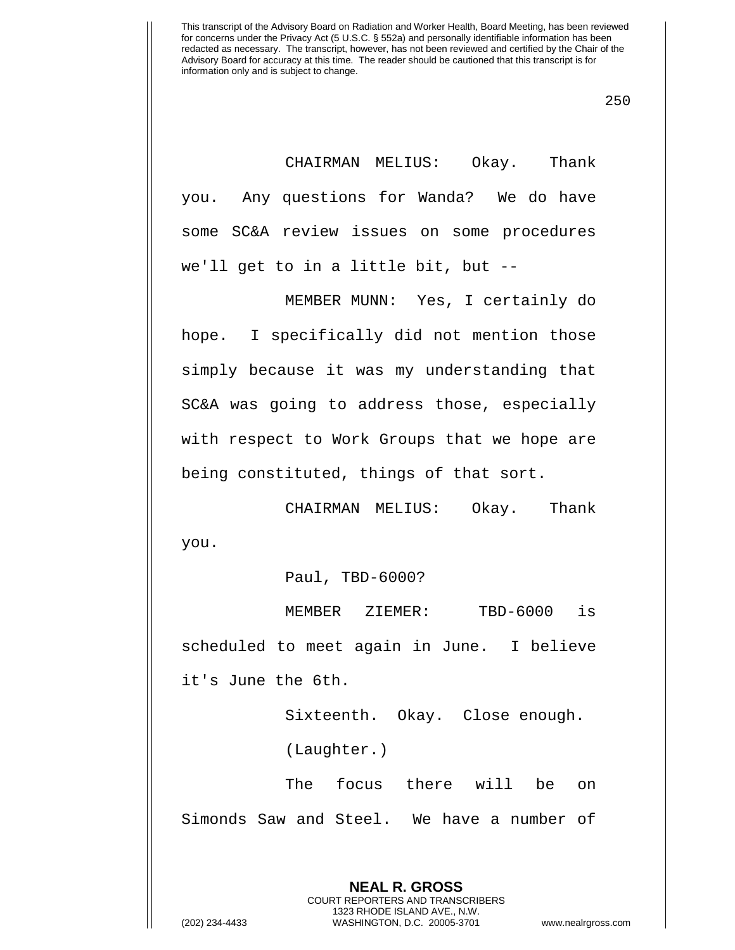250

CHAIRMAN MELIUS: Okay. Thank you. Any questions for Wanda? We do have some SC&A review issues on some procedures we'll get to in a little bit, but --

MEMBER MUNN: Yes, I certainly do hope. I specifically did not mention those simply because it was my understanding that SC&A was going to address those, especially with respect to Work Groups that we hope are being constituted, things of that sort.

CHAIRMAN MELIUS: Okay. Thank you.

Paul, TBD-6000?

MEMBER ZIEMER: TBD-6000 is scheduled to meet again in June. I believe it's June the 6th.

> Sixteenth. Okay. Close enough. (Laughter.)

The focus there will be on Simonds Saw and Steel. We have a number of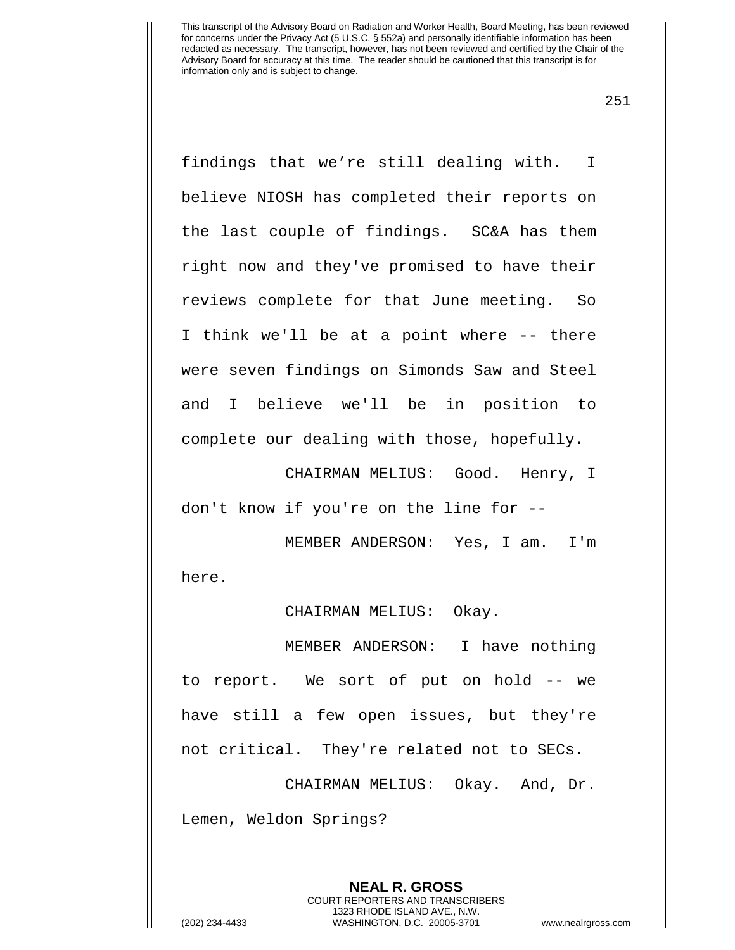251

findings that we're still dealing with. I believe NIOSH has completed their reports on the last couple of findings. SC&A has them right now and they've promised to have their reviews complete for that June meeting. So I think we'll be at a point where -- there were seven findings on Simonds Saw and Steel and I believe we'll be in position to complete our dealing with those, hopefully.

CHAIRMAN MELIUS: Good. Henry, I don't know if you're on the line for --

MEMBER ANDERSON: Yes, I am. I'm here.

CHAIRMAN MELIUS: Okay.

MEMBER ANDERSON: I have nothing to report. We sort of put on hold -- we have still a few open issues, but they're not critical. They're related not to SECs.

CHAIRMAN MELIUS: Okay. And, Dr. Lemen, Weldon Springs?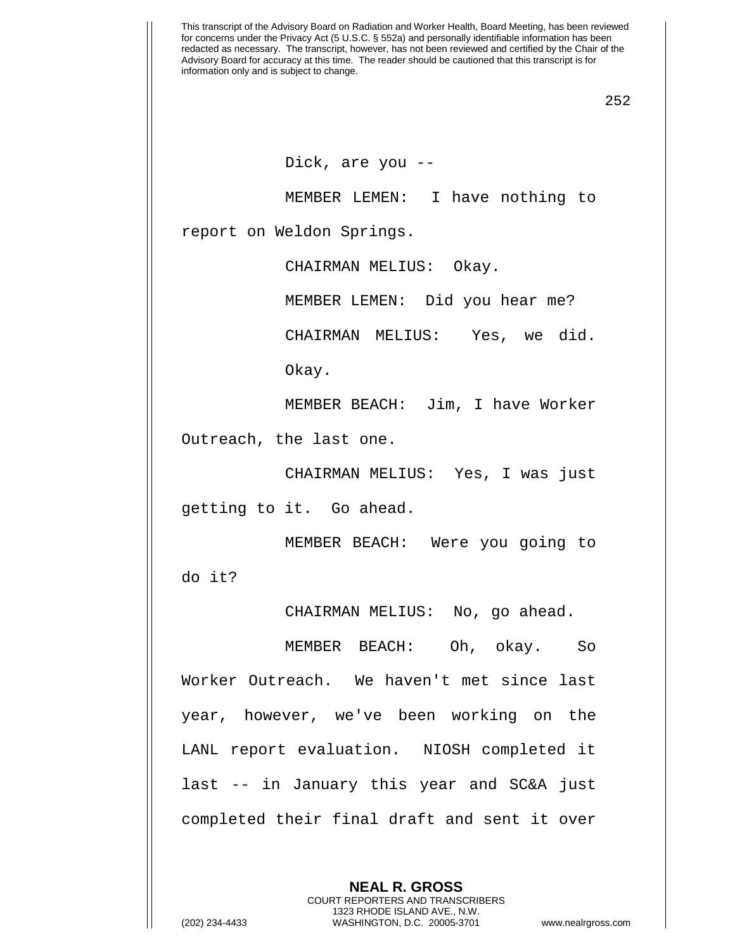252

Dick, are you --

MEMBER LEMEN: I have nothing to

report on Weldon Springs.

CHAIRMAN MELIUS: Okay.

MEMBER LEMEN: Did you hear me?

CHAIRMAN MELIUS: Yes, we did.

Okay.

MEMBER BEACH: Jim, I have Worker Outreach, the last one.

CHAIRMAN MELIUS: Yes, I was just getting to it. Go ahead.

MEMBER BEACH: Were you going to do it?

CHAIRMAN MELIUS: No, go ahead.

MEMBER BEACH: Oh, okay. So Worker Outreach. We haven't met since last year, however, we've been working on the LANL report evaluation. NIOSH completed it last -- in January this year and SC&A just completed their final draft and sent it over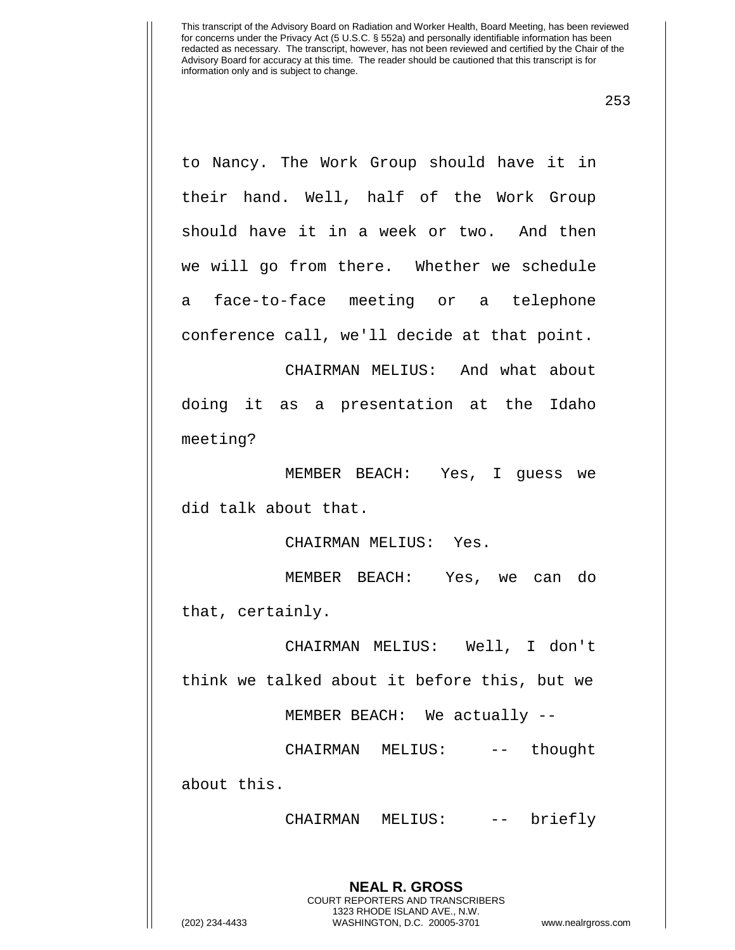253

to Nancy. The Work Group should have it in their hand. Well, half of the Work Group should have it in a week or two. And then we will go from there. Whether we schedule a face-to-face meeting or a telephone conference call, we'll decide at that point.

CHAIRMAN MELIUS: And what about doing it as a presentation at the Idaho meeting?

MEMBER BEACH: Yes, I guess we did talk about that.

CHAIRMAN MELIUS: Yes.

MEMBER BEACH: Yes, we can do that, certainly.

CHAIRMAN MELIUS: Well, I don't think we talked about it before this, but we

MEMBER BEACH: We actually --

CHAIRMAN MELIUS: -- thought

about this.

CHAIRMAN MELIUS: -- briefly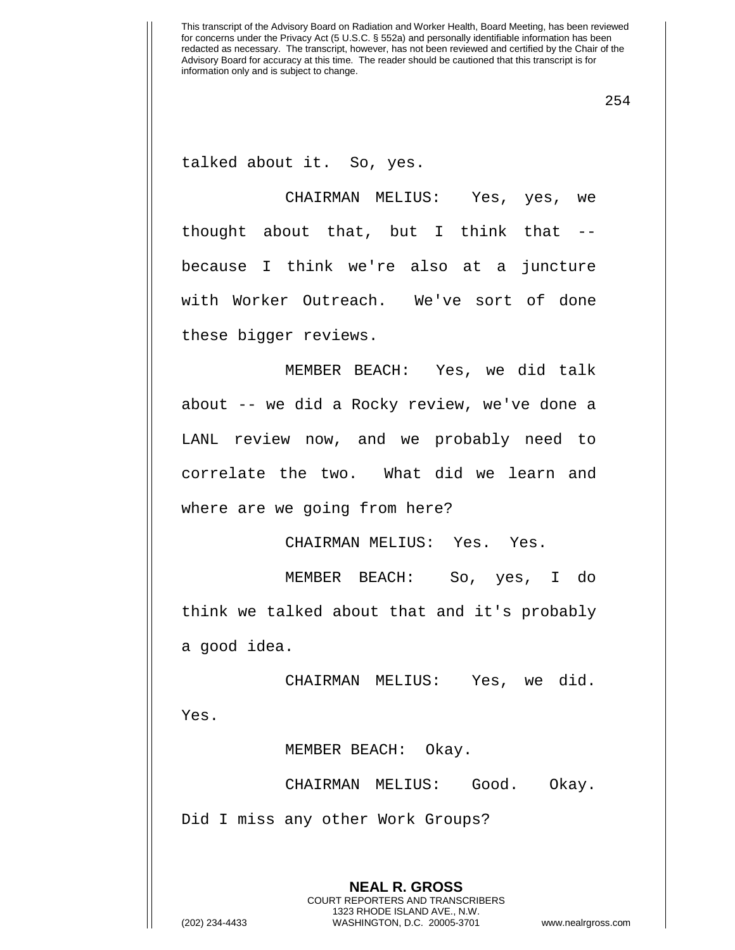254

talked about it. So, yes.

CHAIRMAN MELIUS: Yes, yes, we thought about that, but I think that - because I think we're also at a juncture with Worker Outreach. We've sort of done these bigger reviews.

MEMBER BEACH: Yes, we did talk about -- we did a Rocky review, we've done a LANL review now, and we probably need to correlate the two. What did we learn and where are we going from here?

CHAIRMAN MELIUS: Yes. Yes.

MEMBER BEACH: So, yes, I do think we talked about that and it's probably a good idea.

CHAIRMAN MELIUS: Yes, we did.

Yes.

MEMBER BEACH: Okay.

CHAIRMAN MELIUS: Good. Okay.

Did I miss any other Work Groups?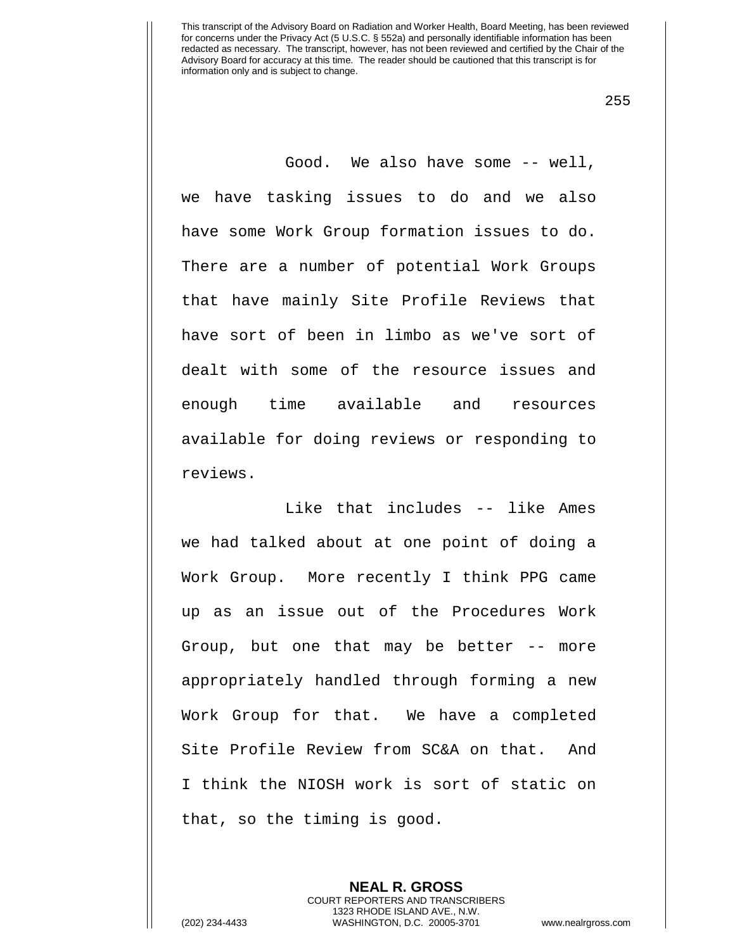255

Good. We also have some -- well, we have tasking issues to do and we also have some Work Group formation issues to do. There are a number of potential Work Groups that have mainly Site Profile Reviews that have sort of been in limbo as we've sort of dealt with some of the resource issues and enough time available and resources available for doing reviews or responding to reviews.

Like that includes -- like Ames we had talked about at one point of doing a Work Group. More recently I think PPG came up as an issue out of the Procedures Work Group, but one that may be better -- more appropriately handled through forming a new Work Group for that. We have a completed Site Profile Review from SC&A on that. And I think the NIOSH work is sort of static on that, so the timing is good.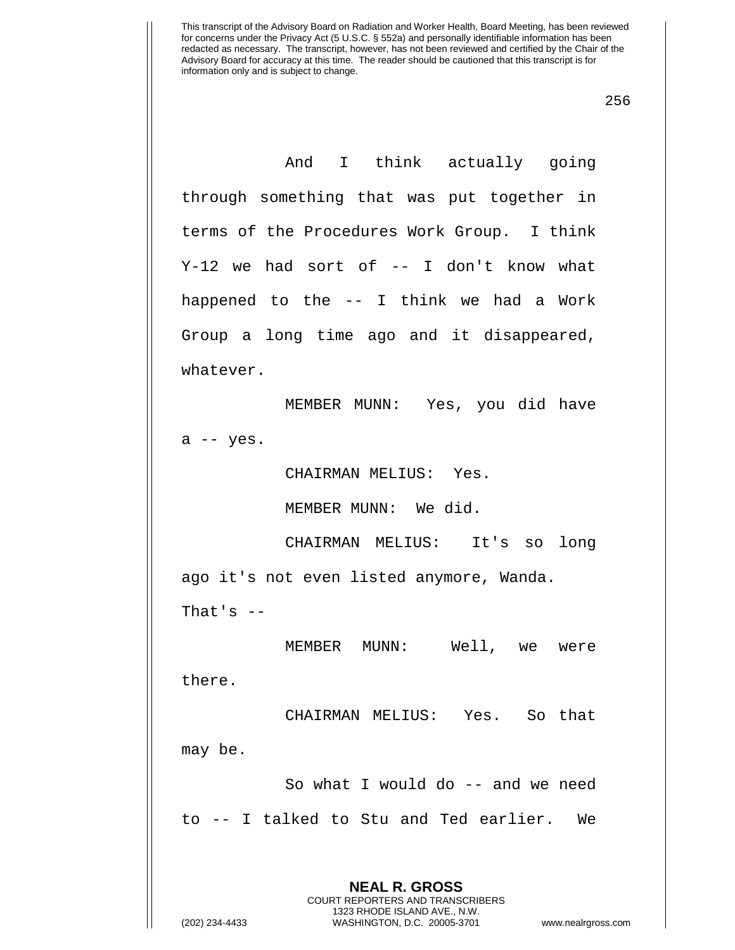256

And I think actually going through something that was put together in terms of the Procedures Work Group. I think Y-12 we had sort of -- I don't know what happened to the -- I think we had a Work Group a long time ago and it disappeared, whatever.

MEMBER MUNN: Yes, you did have  $a$  -- yes.

CHAIRMAN MELIUS: Yes.

MEMBER MUNN: We did.

CHAIRMAN MELIUS: It's so long ago it's not even listed anymore, Wanda. That's  $-$ 

MEMBER MUNN: Well, we were there.

CHAIRMAN MELIUS: Yes. So that may be.

So what I would do -- and we need to -- I talked to Stu and Ted earlier. We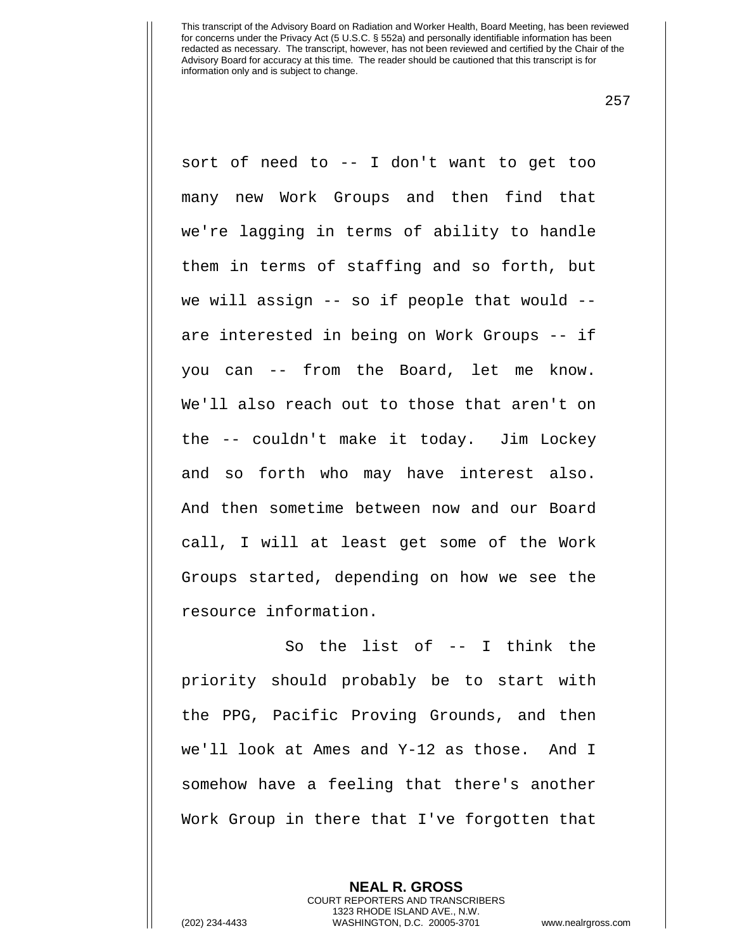257

sort of need to -- I don't want to get too many new Work Groups and then find that we're lagging in terms of ability to handle them in terms of staffing and so forth, but we will assign -- so if people that would - are interested in being on Work Groups -- if you can -- from the Board, let me know. We'll also reach out to those that aren't on the -- couldn't make it today. Jim Lockey and so forth who may have interest also. And then sometime between now and our Board call, I will at least get some of the Work Groups started, depending on how we see the resource information.

So the list of -- I think the priority should probably be to start with the PPG, Pacific Proving Grounds, and then we'll look at Ames and Y-12 as those. And I somehow have a feeling that there's another Work Group in there that I've forgotten that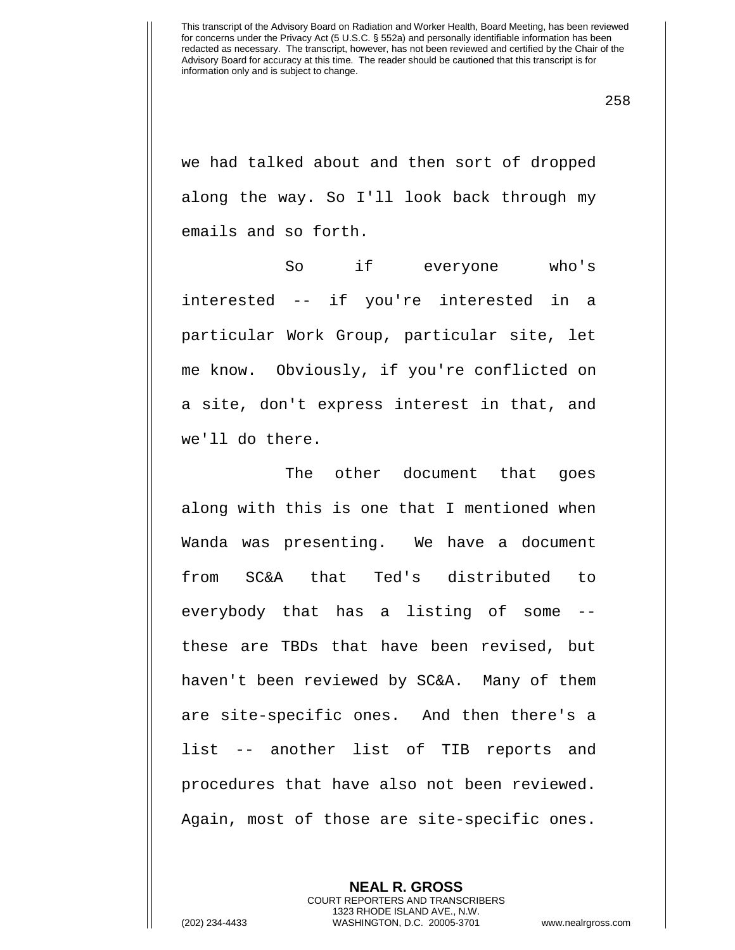258

we had talked about and then sort of dropped along the way. So I'll look back through my emails and so forth.

So if everyone who's interested -- if you're interested in a particular Work Group, particular site, let me know. Obviously, if you're conflicted on a site, don't express interest in that, and we'll do there.

The other document that goes along with this is one that I mentioned when Wanda was presenting. We have a document from SC&A that Ted's distributed to everybody that has a listing of some - these are TBDs that have been revised, but haven't been reviewed by SC&A. Many of them are site-specific ones. And then there's a list -- another list of TIB reports and procedures that have also not been reviewed. Again, most of those are site-specific ones.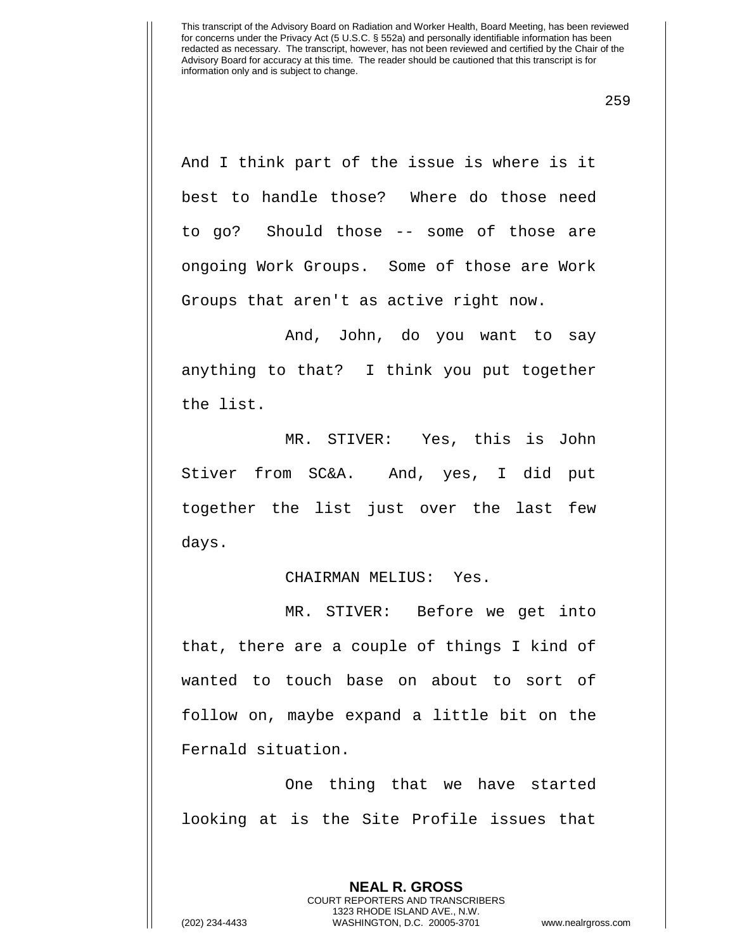259

And I think part of the issue is where is it best to handle those? Where do those need to go? Should those -- some of those are ongoing Work Groups. Some of those are Work Groups that aren't as active right now.

And, John, do you want to say anything to that? I think you put together the list.

MR. STIVER: Yes, this is John Stiver from SC&A. And, yes, I did put together the list just over the last few days.

## CHAIRMAN MELIUS: Yes.

MR. STIVER: Before we get into that, there are a couple of things I kind of wanted to touch base on about to sort of follow on, maybe expand a little bit on the Fernald situation.

One thing that we have started looking at is the Site Profile issues that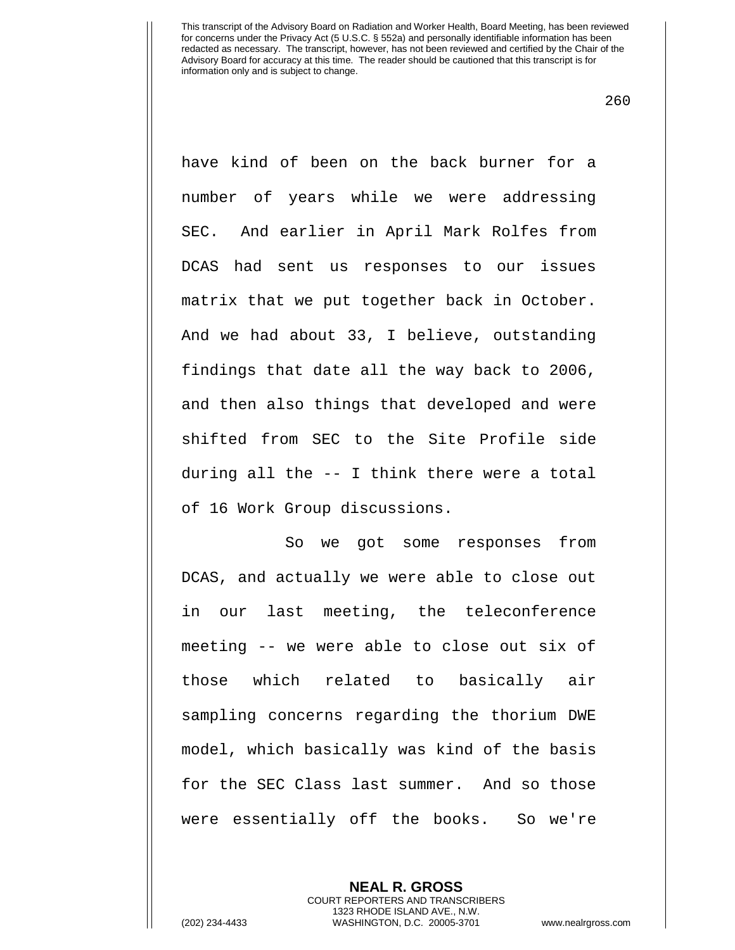260

have kind of been on the back burner for a number of years while we were addressing SEC. And earlier in April Mark Rolfes from DCAS had sent us responses to our issues matrix that we put together back in October. And we had about 33, I believe, outstanding findings that date all the way back to 2006, and then also things that developed and were shifted from SEC to the Site Profile side during all the -- I think there were a total of 16 Work Group discussions.

So we got some responses from DCAS, and actually we were able to close out in our last meeting, the teleconference meeting -- we were able to close out six of those which related to basically air sampling concerns regarding the thorium DWE model, which basically was kind of the basis for the SEC Class last summer. And so those were essentially off the books. So we're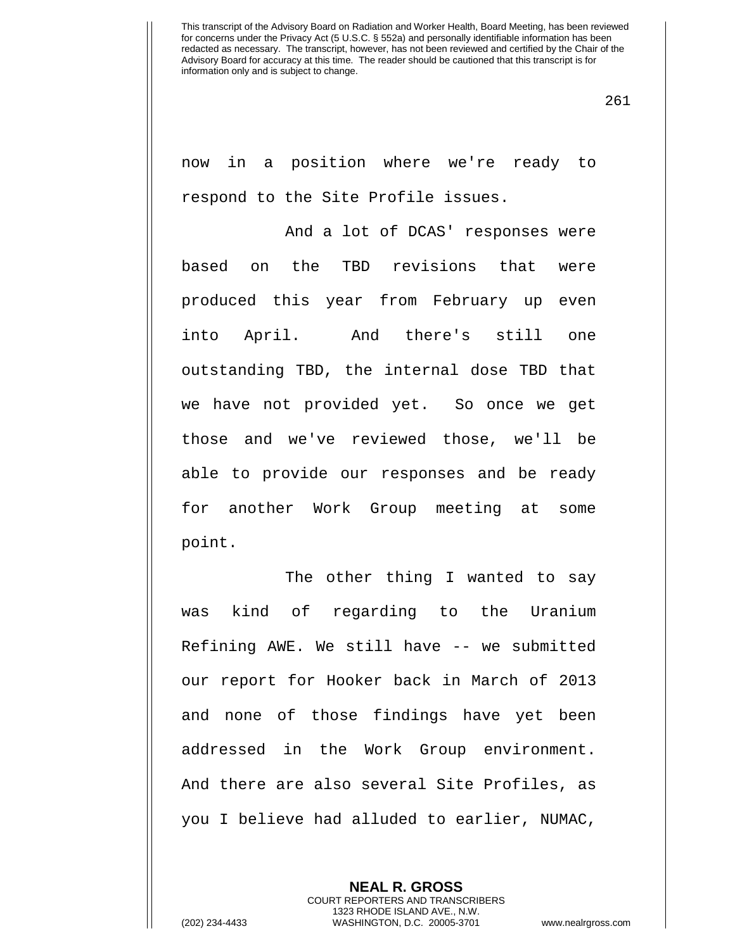261

now in a position where we're ready to respond to the Site Profile issues.

And a lot of DCAS' responses were based on the TBD revisions that were produced this year from February up even into April. And there's still one outstanding TBD, the internal dose TBD that we have not provided yet. So once we get those and we've reviewed those, we'll be able to provide our responses and be ready for another Work Group meeting at some point.

The other thing I wanted to say was kind of regarding to the Uranium Refining AWE. We still have -- we submitted our report for Hooker back in March of 2013 and none of those findings have yet been addressed in the Work Group environment. And there are also several Site Profiles, as you I believe had alluded to earlier, NUMAC,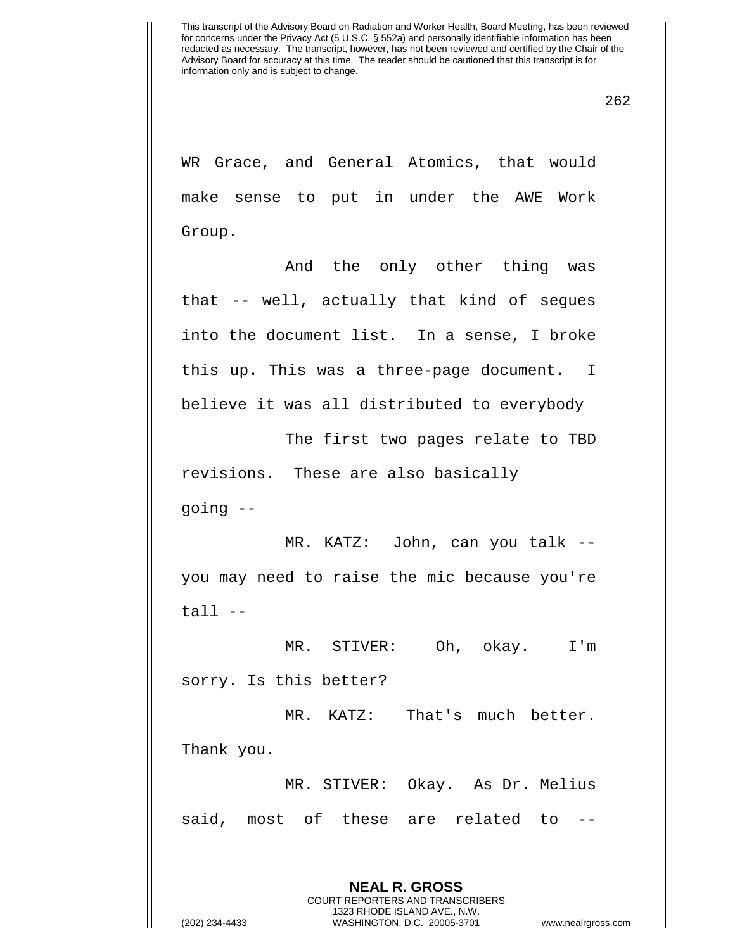WR Grace, and General Atomics, that would make sense to put in under the AWE Work Group.

And the only other thing was that -- well, actually that kind of segues into the document list. In a sense, I broke this up. This was a three-page document. I believe it was all distributed to everybody

The first two pages relate to TBD revisions. These are also basically going --

MR. KATZ: John, can you talk - you may need to raise the mic because you're tall --

MR. STIVER: Oh, okay. I'm sorry. Is this better?

MR. KATZ: That's much better. Thank you.

MR. STIVER: Okay. As Dr. Melius said, most of these are related to --

> **NEAL R. GROSS** COURT REPORTERS AND TRANSCRIBERS 1323 RHODE ISLAND AVE., N.W.

(202) 234-4433 WASHINGTON, D.C. 20005-3701 www.nealrgross.com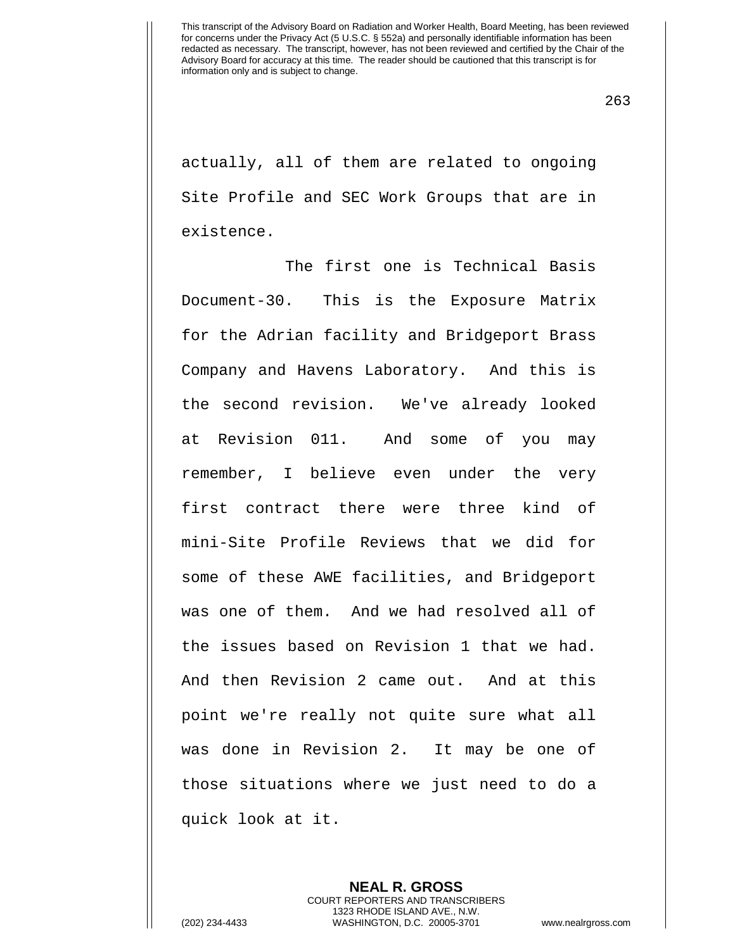263

actually, all of them are related to ongoing Site Profile and SEC Work Groups that are in existence.

The first one is Technical Basis Document-30. This is the Exposure Matrix for the Adrian facility and Bridgeport Brass Company and Havens Laboratory. And this is the second revision. We've already looked at Revision 011. And some of you may remember, I believe even under the very first contract there were three kind of mini-Site Profile Reviews that we did for some of these AWE facilities, and Bridgeport was one of them. And we had resolved all of the issues based on Revision 1 that we had. And then Revision 2 came out. And at this point we're really not quite sure what all was done in Revision 2. It may be one of those situations where we just need to do a quick look at it.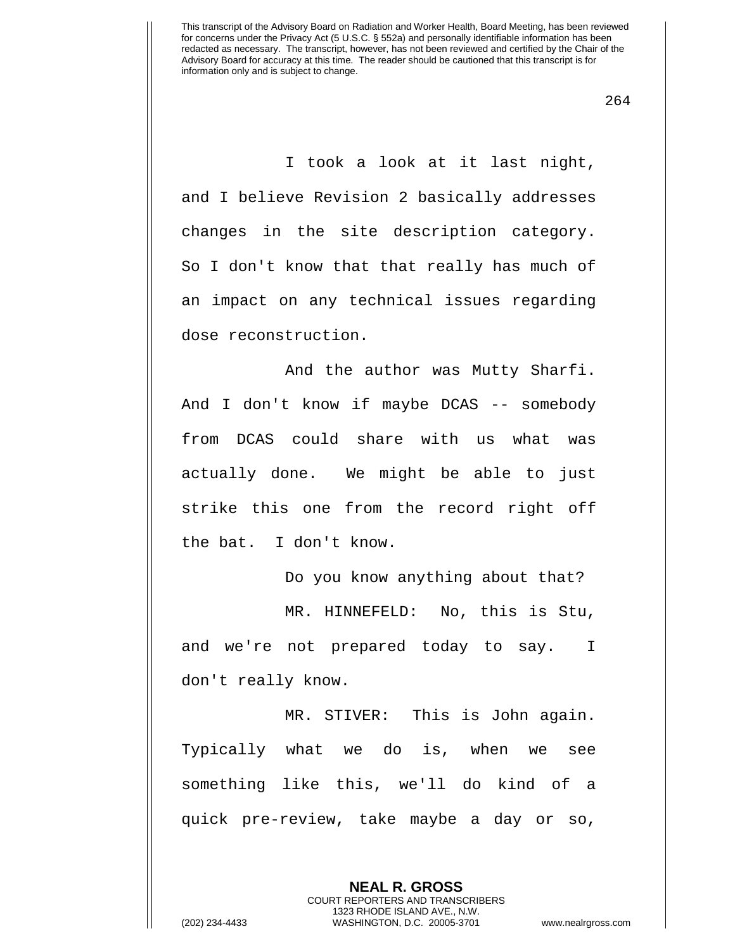264

I took a look at it last night, and I believe Revision 2 basically addresses changes in the site description category. So I don't know that that really has much of an impact on any technical issues regarding dose reconstruction.

And the author was Mutty Sharfi. And I don't know if maybe DCAS -- somebody from DCAS could share with us what was actually done. We might be able to just strike this one from the record right off the bat. I don't know.

Do you know anything about that? MR. HINNEFELD: No, this is Stu, and we're not prepared today to say. I don't really know.

MR. STIVER: This is John again. Typically what we do is, when we see something like this, we'll do kind of a quick pre-review, take maybe a day or so,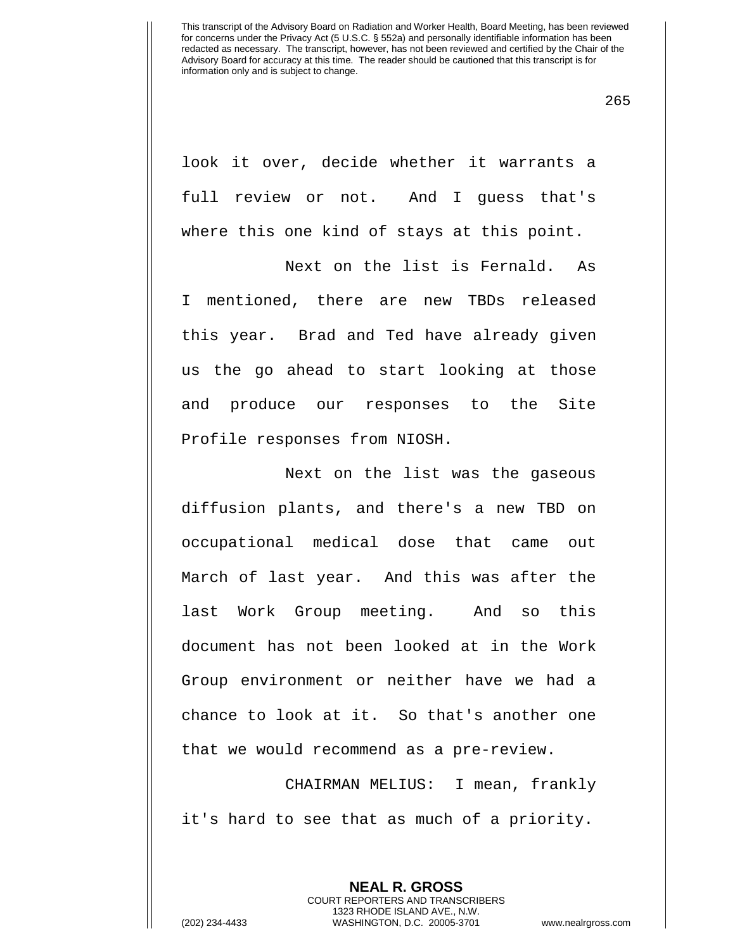265

look it over, decide whether it warrants a full review or not. And I guess that's where this one kind of stays at this point.

Next on the list is Fernald. As I mentioned, there are new TBDs released this year. Brad and Ted have already given us the go ahead to start looking at those and produce our responses to the Site Profile responses from NIOSH.

Next on the list was the gaseous diffusion plants, and there's a new TBD on occupational medical dose that came out March of last year. And this was after the last Work Group meeting. And so this document has not been looked at in the Work Group environment or neither have we had a chance to look at it. So that's another one that we would recommend as a pre-review.

CHAIRMAN MELIUS: I mean, frankly it's hard to see that as much of a priority.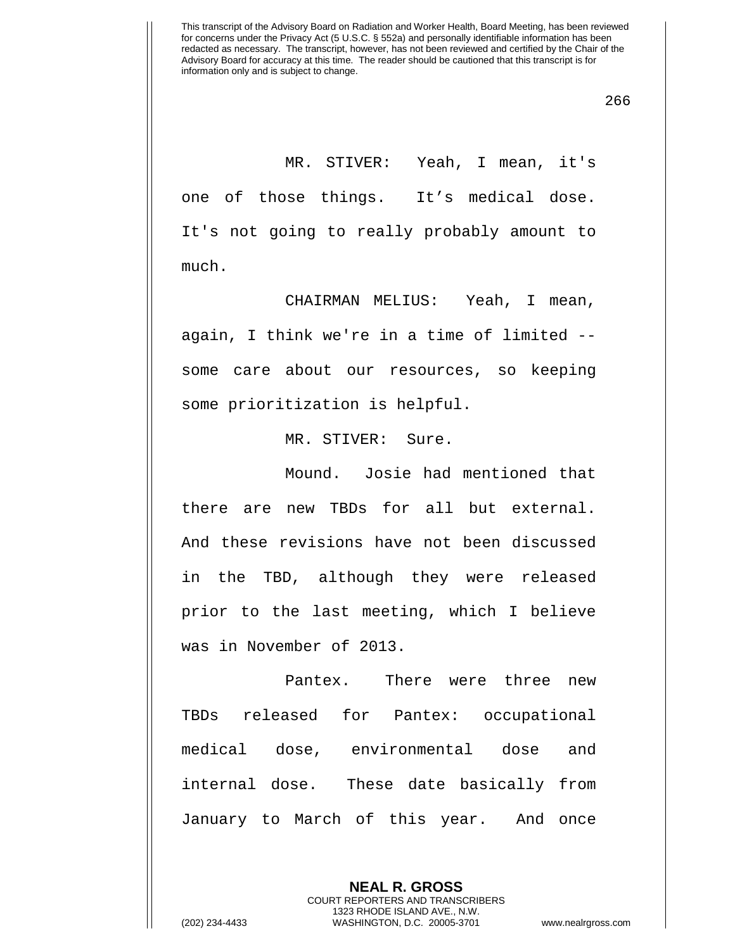266

MR. STIVER: Yeah, I mean, it's one of those things. It's medical dose. It's not going to really probably amount to much.

CHAIRMAN MELIUS: Yeah, I mean, again, I think we're in a time of limited - some care about our resources, so keeping some prioritization is helpful.

MR. STIVER: Sure.

Mound. Josie had mentioned that there are new TBDs for all but external. And these revisions have not been discussed in the TBD, although they were released prior to the last meeting, which I believe was in November of 2013.

Pantex. There were three new TBDs released for Pantex: occupational medical dose, environmental dose and internal dose. These date basically from January to March of this year. And once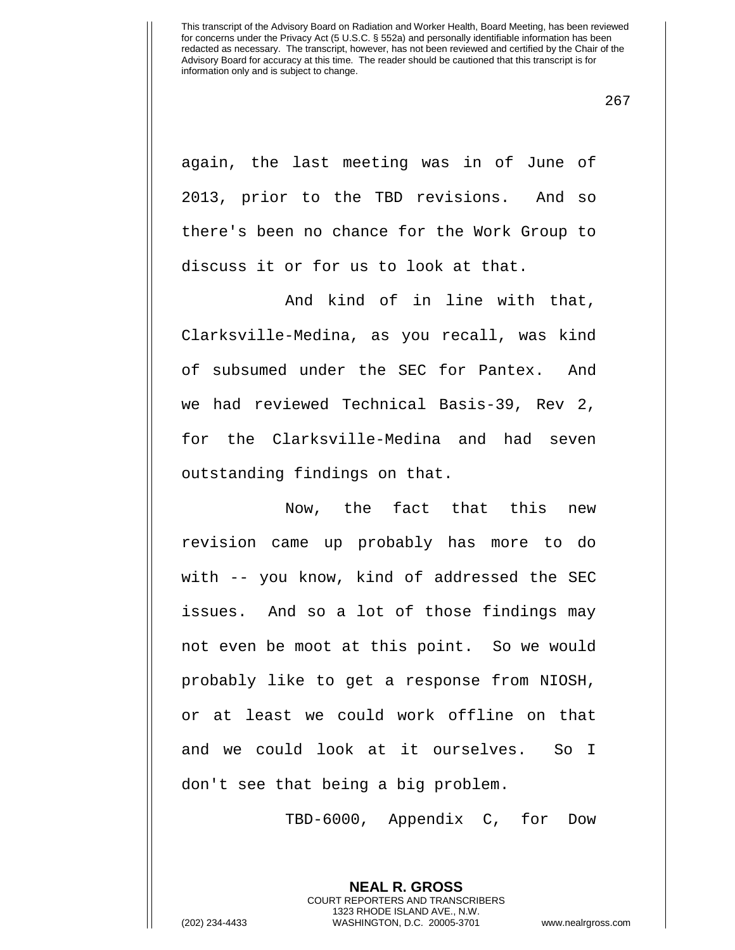267

again, the last meeting was in of June of 2013, prior to the TBD revisions. And so there's been no chance for the Work Group to discuss it or for us to look at that.

And kind of in line with that, Clarksville-Medina, as you recall, was kind of subsumed under the SEC for Pantex. And we had reviewed Technical Basis-39, Rev 2, for the Clarksville-Medina and had seven outstanding findings on that.

Now, the fact that this new revision came up probably has more to do with -- you know, kind of addressed the SEC issues. And so a lot of those findings may not even be moot at this point. So we would probably like to get a response from NIOSH, or at least we could work offline on that and we could look at it ourselves. So I don't see that being a big problem.

TBD-6000, Appendix C, for Dow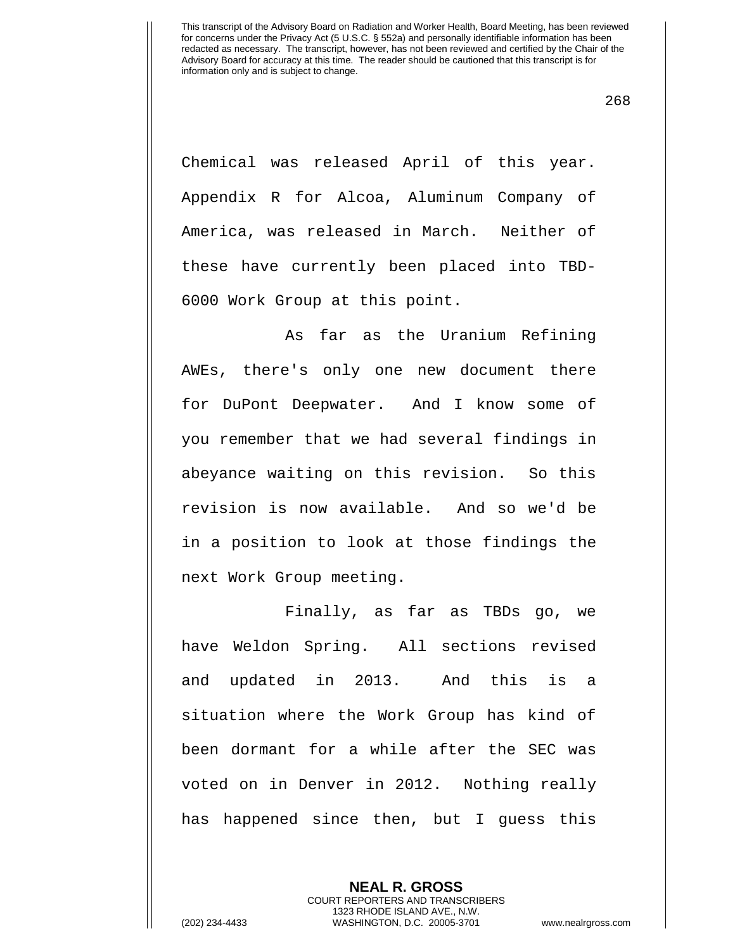268

Chemical was released April of this year. Appendix R for Alcoa, Aluminum Company of America, was released in March. Neither of these have currently been placed into TBD-6000 Work Group at this point.

As far as the Uranium Refining AWEs, there's only one new document there for DuPont Deepwater. And I know some of you remember that we had several findings in abeyance waiting on this revision. So this revision is now available. And so we'd be in a position to look at those findings the next Work Group meeting.

Finally, as far as TBDs go, we have Weldon Spring. All sections revised and updated in 2013. And this is a situation where the Work Group has kind of been dormant for a while after the SEC was voted on in Denver in 2012. Nothing really has happened since then, but I guess this

> **NEAL R. GROSS** COURT REPORTERS AND TRANSCRIBERS 1323 RHODE ISLAND AVE., N.W.

(202) 234-4433 WASHINGTON, D.C. 20005-3701 www.nealrgross.com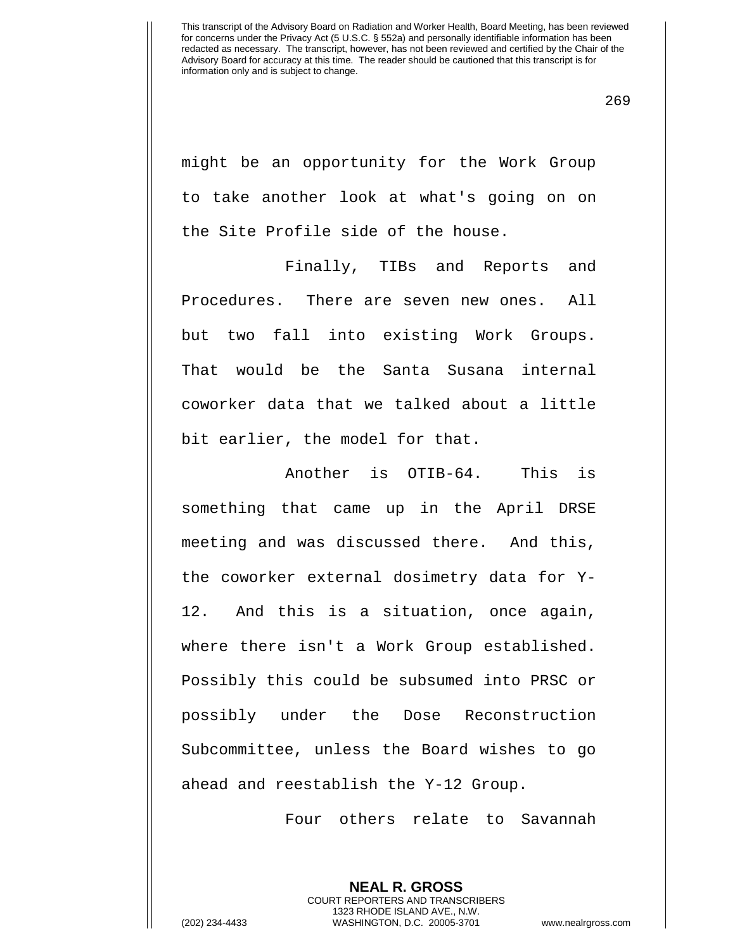269

might be an opportunity for the Work Group to take another look at what's going on on the Site Profile side of the house.

Finally, TIBs and Reports and Procedures. There are seven new ones. All but two fall into existing Work Groups. That would be the Santa Susana internal coworker data that we talked about a little bit earlier, the model for that.

Another is OTIB-64. This is something that came up in the April DRSE meeting and was discussed there. And this, the coworker external dosimetry data for Y-12. And this is a situation, once again, where there isn't a Work Group established. Possibly this could be subsumed into PRSC or possibly under the Dose Reconstruction Subcommittee, unless the Board wishes to go ahead and reestablish the Y-12 Group.

Four others relate to Savannah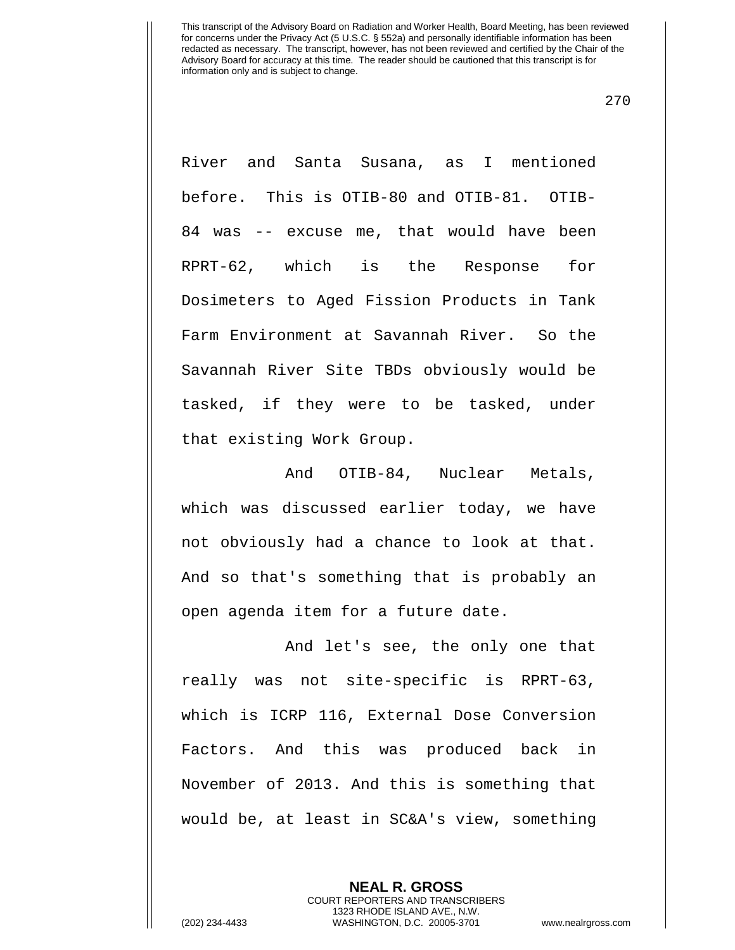270

River and Santa Susana, as I mentioned before. This is OTIB-80 and OTIB-81. OTIB-84 was -- excuse me, that would have been RPRT-62, which is the Response for Dosimeters to Aged Fission Products in Tank Farm Environment at Savannah River. So the Savannah River Site TBDs obviously would be tasked, if they were to be tasked, under that existing Work Group.

And OTIB-84, Nuclear Metals, which was discussed earlier today, we have not obviously had a chance to look at that. And so that's something that is probably an open agenda item for a future date.

And let's see, the only one that really was not site-specific is RPRT-63, which is ICRP 116, External Dose Conversion Factors. And this was produced back in November of 2013. And this is something that would be, at least in SC&A's view, something

> **NEAL R. GROSS** COURT REPORTERS AND TRANSCRIBERS 1323 RHODE ISLAND AVE., N.W.

(202) 234-4433 WASHINGTON, D.C. 20005-3701 www.nealrgross.com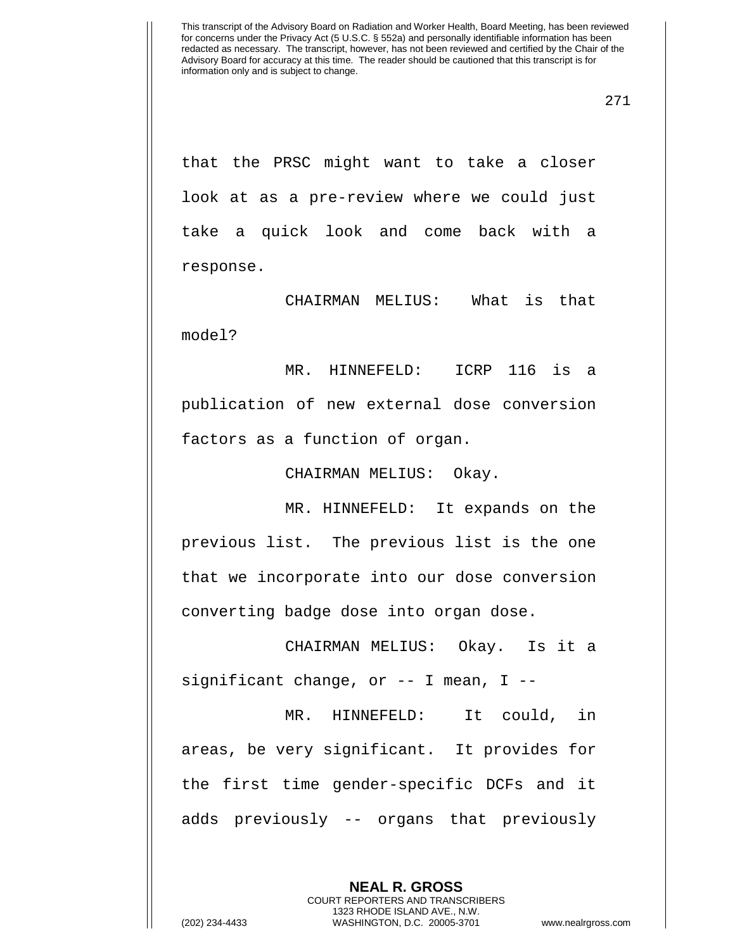271

that the PRSC might want to take a closer look at as a pre-review where we could just take a quick look and come back with a response.

CHAIRMAN MELIUS: What is that model?

MR. HINNEFELD: ICRP 116 is a publication of new external dose conversion factors as a function of organ.

CHAIRMAN MELIUS: Okay.

MR. HINNEFELD: It expands on the previous list. The previous list is the one that we incorporate into our dose conversion converting badge dose into organ dose.

CHAIRMAN MELIUS: Okay. Is it a significant change, or  $-$ - I mean, I  $-$ -

MR. HINNEFELD: It could, in areas, be very significant. It provides for the first time gender-specific DCFs and it adds previously -- organs that previously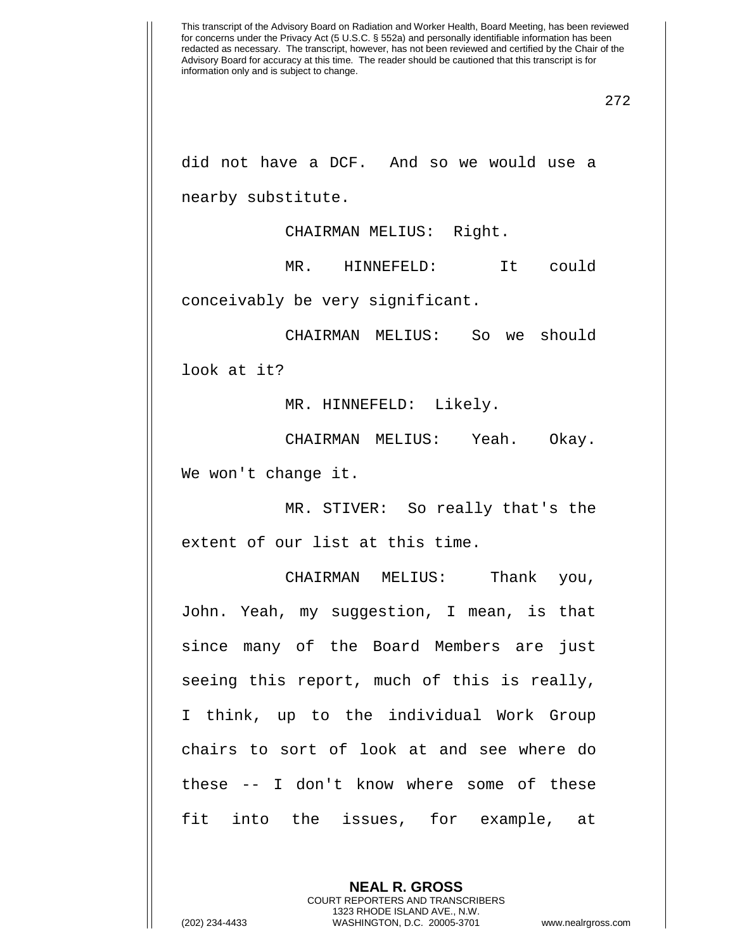did not have a DCF. And so we would use a nearby substitute.

CHAIRMAN MELIUS: Right.

MR. HINNEFELD: It could

conceivably be very significant.

CHAIRMAN MELIUS: So we should look at it?

MR. HINNEFELD: Likely.

CHAIRMAN MELIUS: Yeah. Okay. We won't change it.

MR. STIVER: So really that's the extent of our list at this time.

CHAIRMAN MELIUS: Thank you, John. Yeah, my suggestion, I mean, is that since many of the Board Members are just seeing this report, much of this is really, I think, up to the individual Work Group chairs to sort of look at and see where do these -- I don't know where some of these fit into the issues, for example, at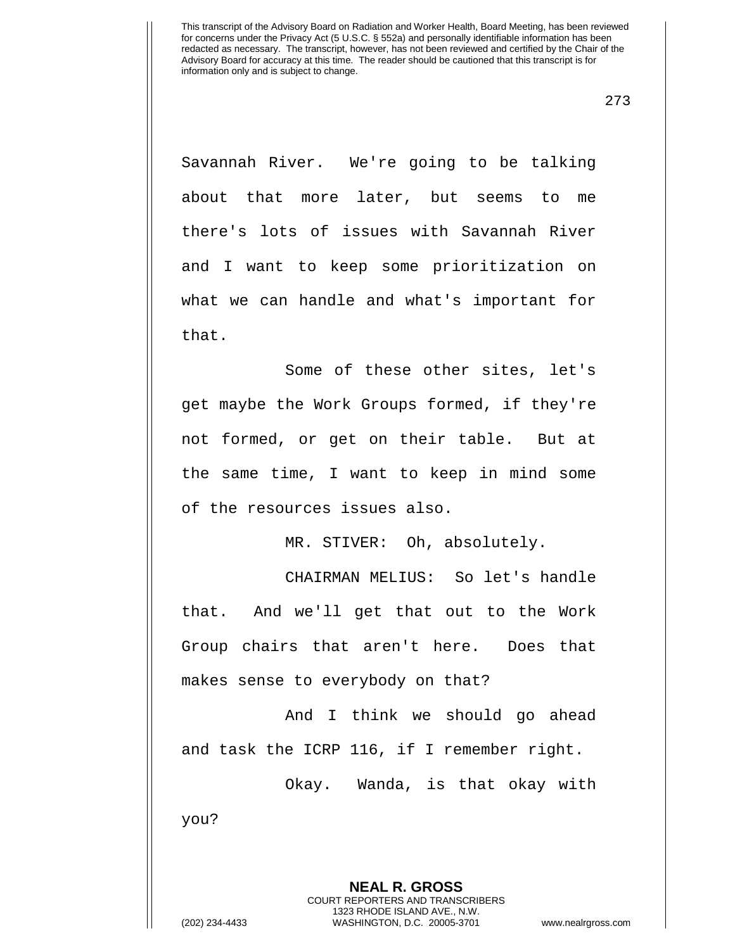273

Savannah River. We're going to be talking about that more later, but seems to me there's lots of issues with Savannah River and I want to keep some prioritization on what we can handle and what's important for that.

Some of these other sites, let's get maybe the Work Groups formed, if they're not formed, or get on their table. But at the same time, I want to keep in mind some of the resources issues also.

MR. STIVER: Oh, absolutely.

CHAIRMAN MELIUS: So let's handle that. And we'll get that out to the Work Group chairs that aren't here. Does that makes sense to everybody on that?

And I think we should go ahead and task the ICRP 116, if I remember right.

Okay. Wanda, is that okay with you?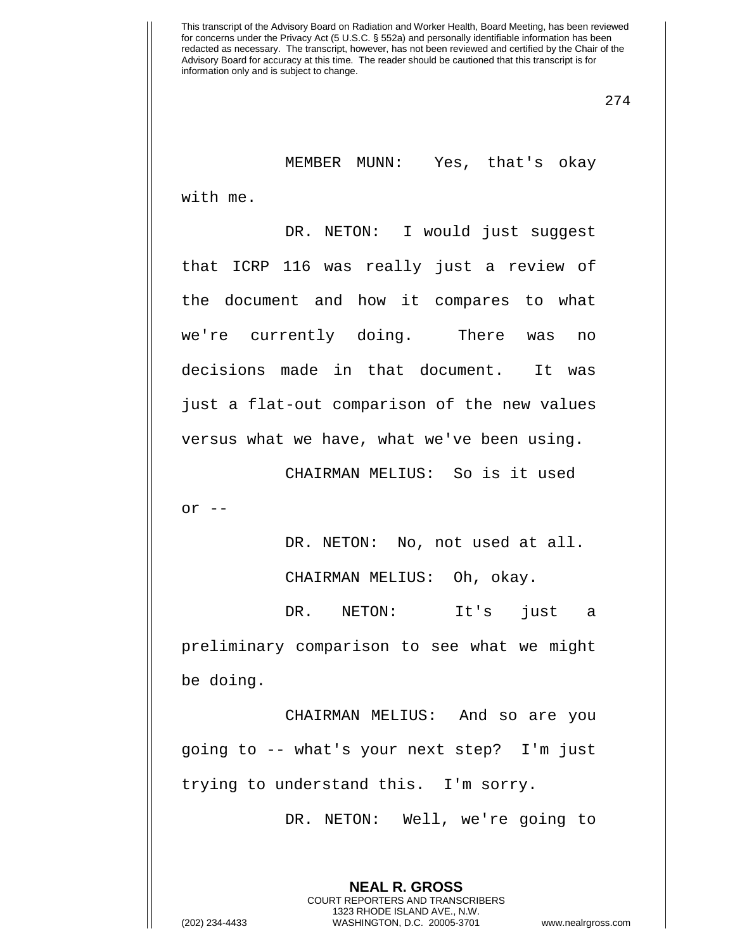274

MEMBER MUNN: Yes, that's okay with me.

DR. NETON: I would just suggest that ICRP 116 was really just a review of the document and how it compares to what we're currently doing. There was no decisions made in that document. It was just a flat-out comparison of the new values versus what we have, what we've been using.

CHAIRMAN MELIUS: So is it used  $or$   $--$ 

DR. NETON: No, not used at all.

CHAIRMAN MELIUS: Oh, okay.

DR. NETON: It's just a preliminary comparison to see what we might be doing.

CHAIRMAN MELIUS: And so are you going to -- what's your next step? I'm just trying to understand this. I'm sorry.

DR. NETON: Well, we're going to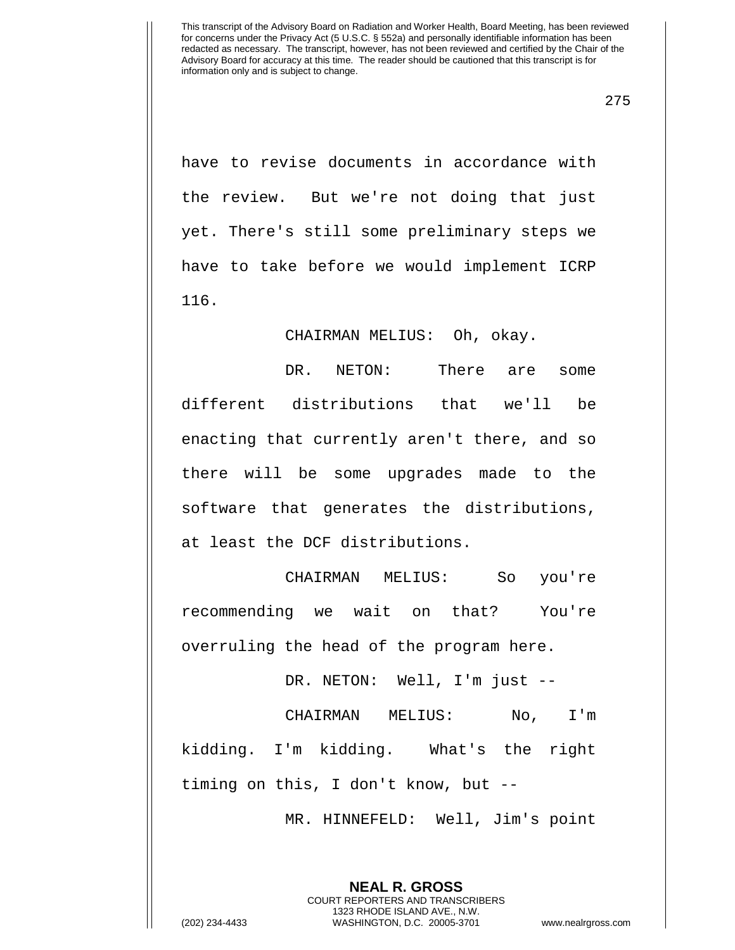275

have to revise documents in accordance with the review. But we're not doing that just yet. There's still some preliminary steps we have to take before we would implement ICRP 116.

CHAIRMAN MELIUS: Oh, okay.

DR. NETON: There are some different distributions that we'll be enacting that currently aren't there, and so there will be some upgrades made to the software that generates the distributions, at least the DCF distributions.

CHAIRMAN MELIUS: So you're recommending we wait on that? You're overruling the head of the program here.

DR. NETON: Well, I'm just --

CHAIRMAN MELIUS: No, I'm kidding. I'm kidding. What's the right timing on this, I don't know, but --

MR. HINNEFELD: Well, Jim's point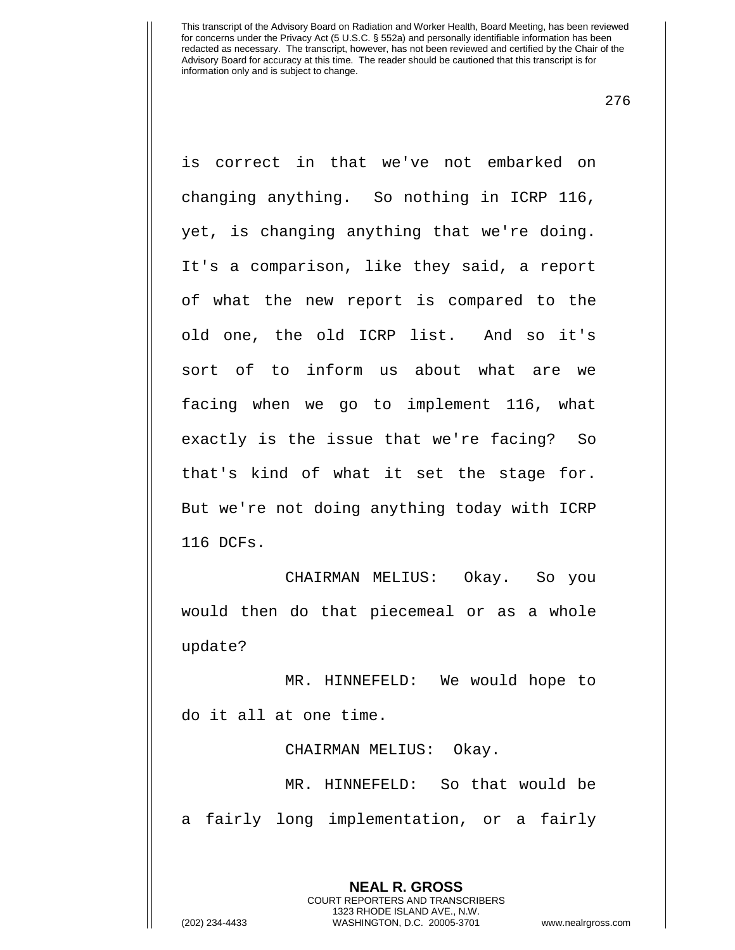276

is correct in that we've not embarked on changing anything. So nothing in ICRP 116, yet, is changing anything that we're doing. It's a comparison, like they said, a report of what the new report is compared to the old one, the old ICRP list. And so it's sort of to inform us about what are we facing when we go to implement 116, what exactly is the issue that we're facing? So that's kind of what it set the stage for. But we're not doing anything today with ICRP 116 DCFs.

CHAIRMAN MELIUS: Okay. So you would then do that piecemeal or as a whole update?

MR. HINNEFELD: We would hope to do it all at one time.

CHAIRMAN MELIUS: Okay.

MR. HINNEFELD: So that would be a fairly long implementation, or a fairly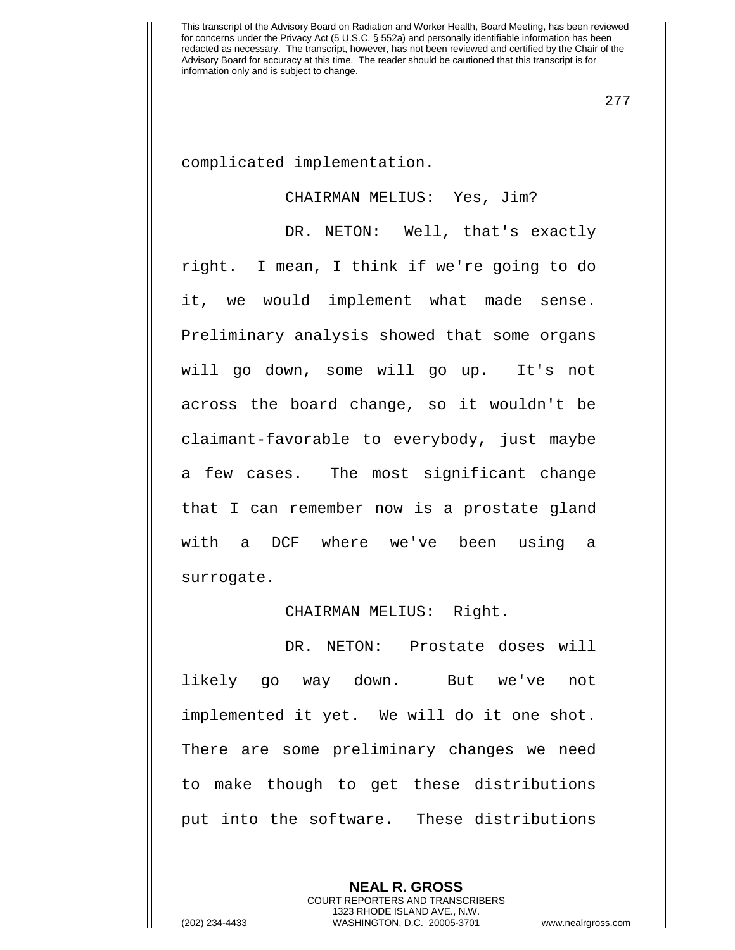277

complicated implementation.

## CHAIRMAN MELIUS: Yes, Jim?

DR. NETON: Well, that's exactly right. I mean, I think if we're going to do it, we would implement what made sense. Preliminary analysis showed that some organs will go down, some will go up. It's not across the board change, so it wouldn't be claimant-favorable to everybody, just maybe a few cases. The most significant change that I can remember now is a prostate gland with a DCF where we've been using a surrogate.

## CHAIRMAN MELIUS: Right.

DR. NETON: Prostate doses will likely go way down. But we've not implemented it yet. We will do it one shot. There are some preliminary changes we need to make though to get these distributions put into the software. These distributions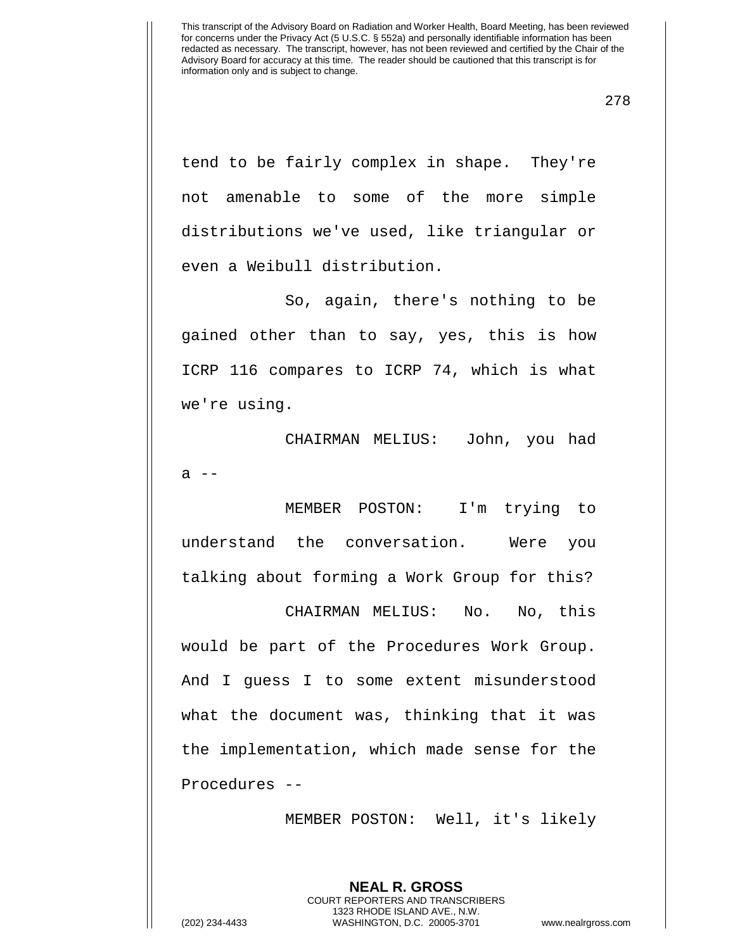278

tend to be fairly complex in shape. They're not amenable to some of the more simple distributions we've used, like triangular or even a Weibull distribution.

So, again, there's nothing to be gained other than to say, yes, this is how ICRP 116 compares to ICRP 74, which is what we're using.

CHAIRMAN MELIUS: John, you had  $a$   $-$ 

MEMBER POSTON: I'm trying to understand the conversation. Were you talking about forming a Work Group for this?

CHAIRMAN MELIUS: No. No, this would be part of the Procedures Work Group. And I guess I to some extent misunderstood what the document was, thinking that it was the implementation, which made sense for the Procedures --

MEMBER POSTON: Well, it's likely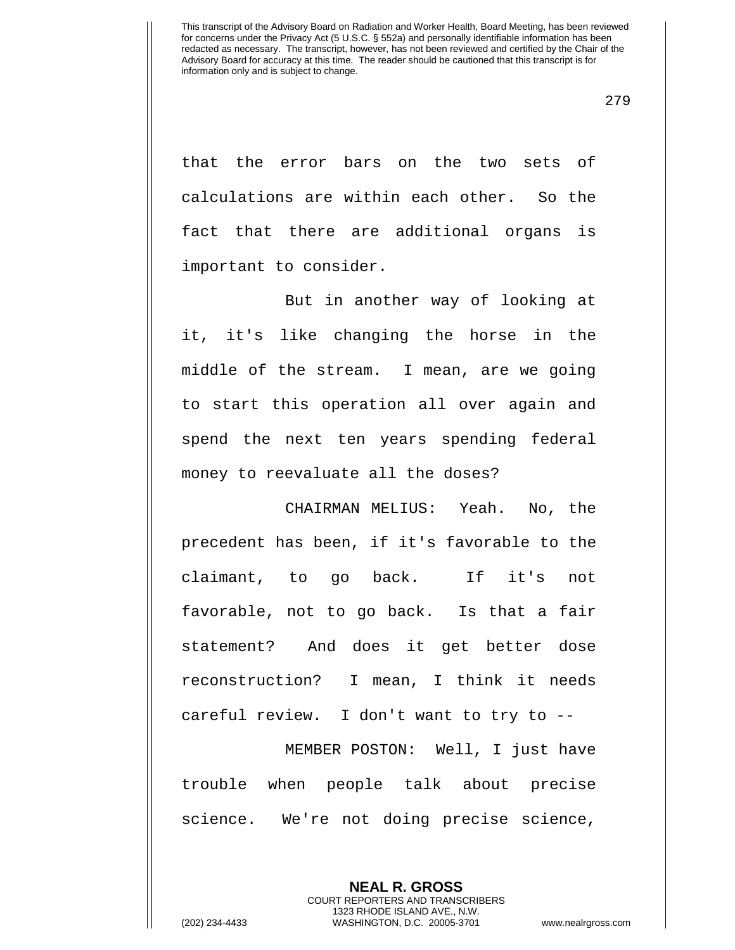that the error bars on the two sets of calculations are within each other. So the fact that there are additional organs is important to consider.

But in another way of looking at it, it's like changing the horse in the middle of the stream. I mean, are we going to start this operation all over again and spend the next ten years spending federal money to reevaluate all the doses?

CHAIRMAN MELIUS: Yeah. No, the precedent has been, if it's favorable to the claimant, to go back. If it's not favorable, not to go back. Is that a fair statement? And does it get better dose reconstruction? I mean, I think it needs careful review. I don't want to try to --

MEMBER POSTON: Well, I just have trouble when people talk about precise science. We're not doing precise science,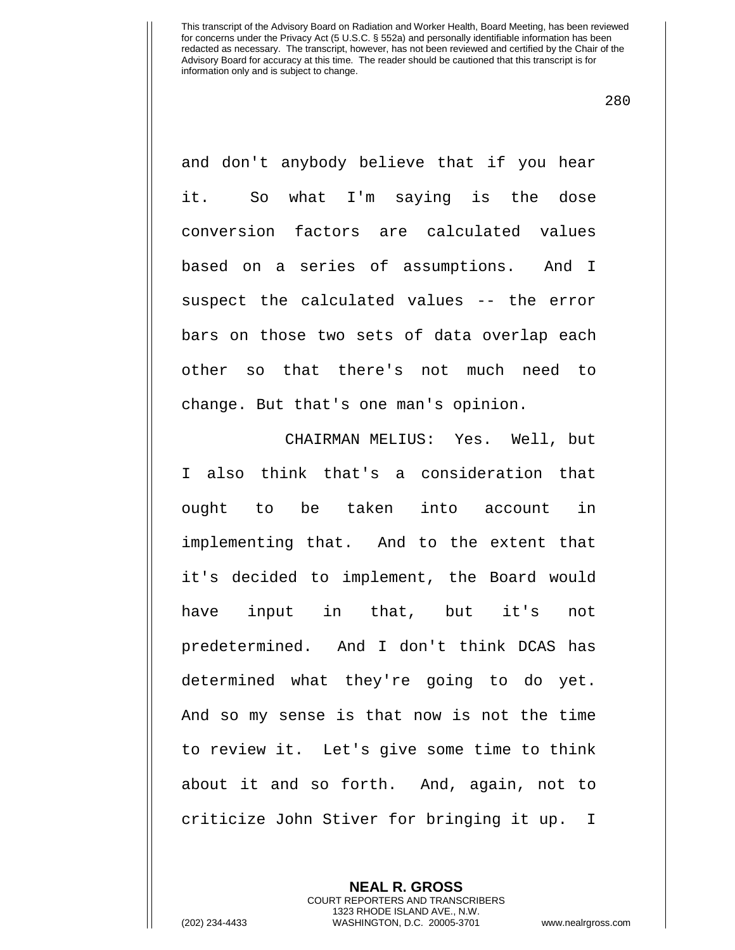280

and don't anybody believe that if you hear it. So what I'm saying is the dose conversion factors are calculated values based on a series of assumptions. And I suspect the calculated values -- the error bars on those two sets of data overlap each other so that there's not much need to change. But that's one man's opinion.

CHAIRMAN MELIUS: Yes. Well, but I also think that's a consideration that ought to be taken into account in implementing that. And to the extent that it's decided to implement, the Board would have input in that, but it's not predetermined. And I don't think DCAS has determined what they're going to do yet. And so my sense is that now is not the time to review it. Let's give some time to think about it and so forth. And, again, not to criticize John Stiver for bringing it up. I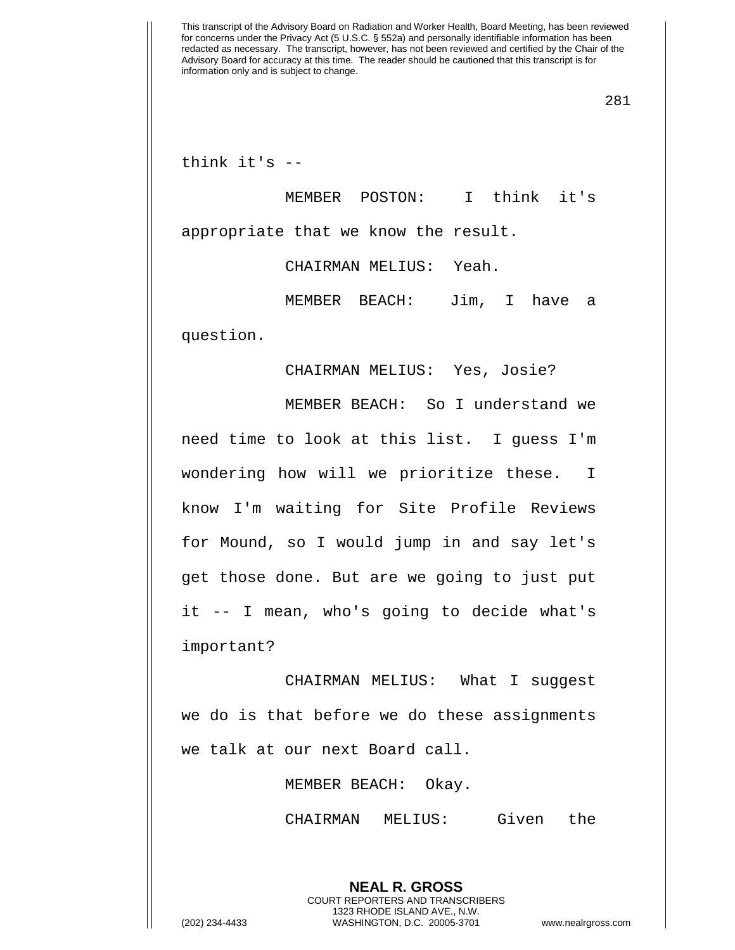281

think it's --

MEMBER POSTON: I think it's appropriate that we know the result.

CHAIRMAN MELIUS: Yeah.

MEMBER BEACH: Jim, I have a question.

CHAIRMAN MELIUS: Yes, Josie?

MEMBER BEACH: So I understand we need time to look at this list. I guess I'm wondering how will we prioritize these. I know I'm waiting for Site Profile Reviews for Mound, so I would jump in and say let's get those done. But are we going to just put it -- I mean, who's going to decide what's important?

CHAIRMAN MELIUS: What I suggest we do is that before we do these assignments we talk at our next Board call.

MEMBER BEACH: Okay.

CHAIRMAN MELIUS: Given the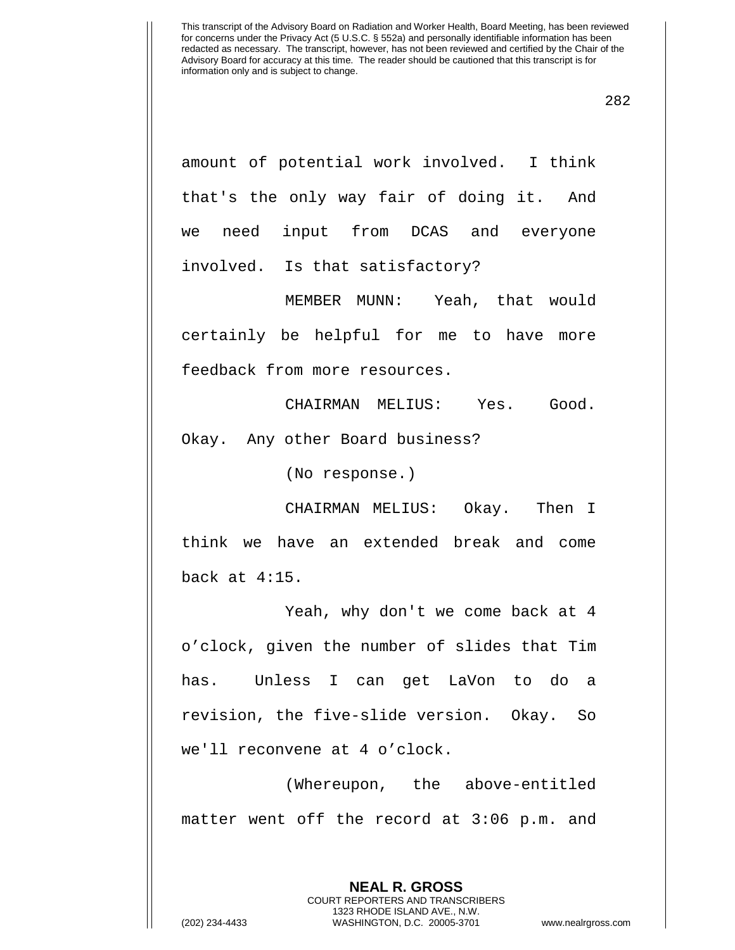282

amount of potential work involved. I think that's the only way fair of doing it. And we need input from DCAS and everyone involved. Is that satisfactory?

MEMBER MUNN: Yeah, that would certainly be helpful for me to have more feedback from more resources.

CHAIRMAN MELIUS: Yes. Good. Okay. Any other Board business?

(No response.)

CHAIRMAN MELIUS: Okay. Then I think we have an extended break and come back at 4:15.

Yeah, why don't we come back at 4 o'clock, given the number of slides that Tim has. Unless I can get LaVon to do a revision, the five-slide version. Okay. So we'll reconvene at 4 o'clock.

(Whereupon, the above-entitled matter went off the record at 3:06 p.m. and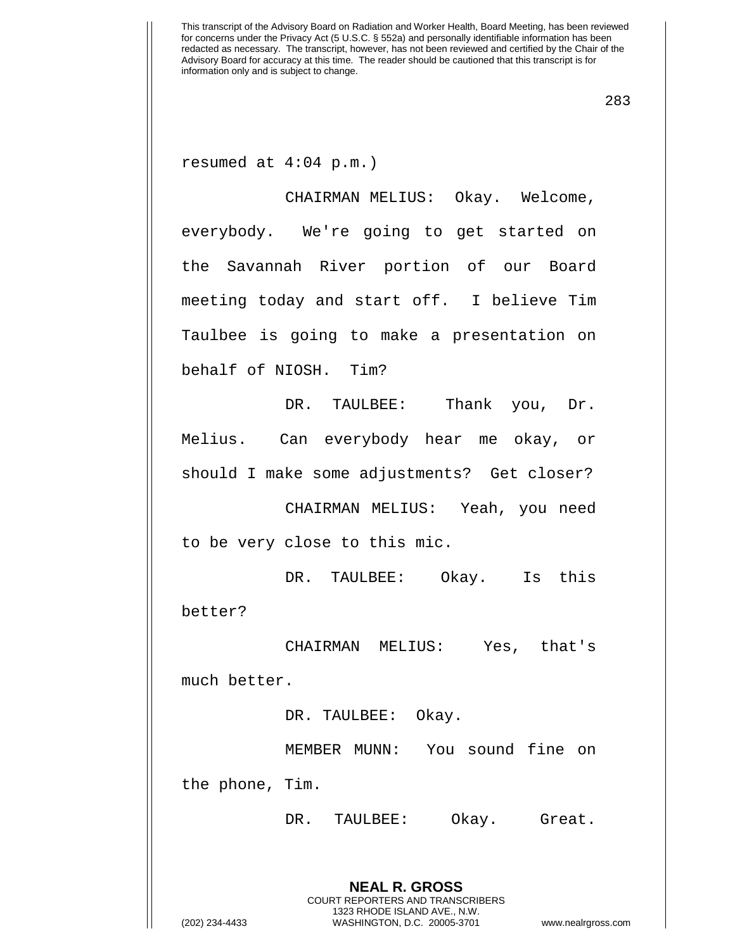283

resumed at 4:04 p.m.)

CHAIRMAN MELIUS: Okay. Welcome, everybody. We're going to get started on the Savannah River portion of our Board meeting today and start off. I believe Tim Taulbee is going to make a presentation on behalf of NIOSH. Tim?

DR. TAULBEE: Thank you, Dr. Melius. Can everybody hear me okay, or should I make some adjustments? Get closer?

CHAIRMAN MELIUS: Yeah, you need to be very close to this mic.

DR. TAULBEE: Okay. Is this better?

CHAIRMAN MELIUS: Yes, that's much better.

DR. TAULBEE: Okay.

MEMBER MUNN: You sound fine on

the phone, Tim.

DR. TAULBEE: Okay. Great.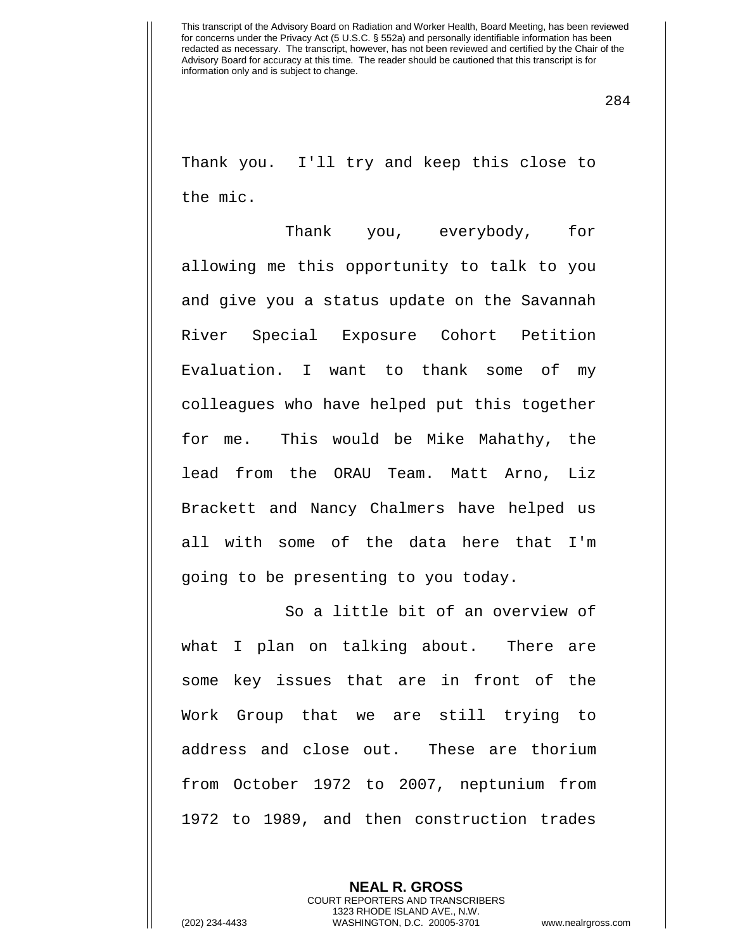284

Thank you. I'll try and keep this close to the mic.

Thank you, everybody, for allowing me this opportunity to talk to you and give you a status update on the Savannah River Special Exposure Cohort Petition Evaluation. I want to thank some of my colleagues who have helped put this together for me. This would be Mike Mahathy, the lead from the ORAU Team. Matt Arno, Liz Brackett and Nancy Chalmers have helped us all with some of the data here that I'm going to be presenting to you today.

So a little bit of an overview of what I plan on talking about. There are some key issues that are in front of the Work Group that we are still trying to address and close out. These are thorium from October 1972 to 2007, neptunium from 1972 to 1989, and then construction trades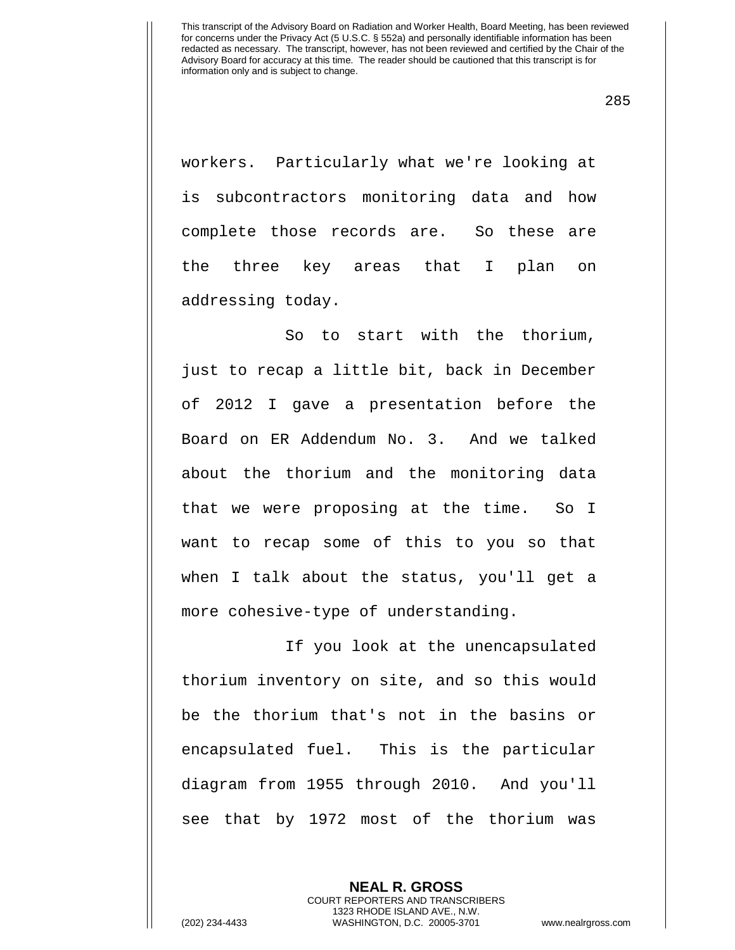285

workers. Particularly what we're looking at is subcontractors monitoring data and how complete those records are. So these are the three key areas that I plan on addressing today.

So to start with the thorium, just to recap a little bit, back in December of 2012 I gave a presentation before the Board on ER Addendum No. 3. And we talked about the thorium and the monitoring data that we were proposing at the time. So I want to recap some of this to you so that when I talk about the status, you'll get a more cohesive-type of understanding.

If you look at the unencapsulated thorium inventory on site, and so this would be the thorium that's not in the basins or encapsulated fuel. This is the particular diagram from 1955 through 2010. And you'll see that by 1972 most of the thorium was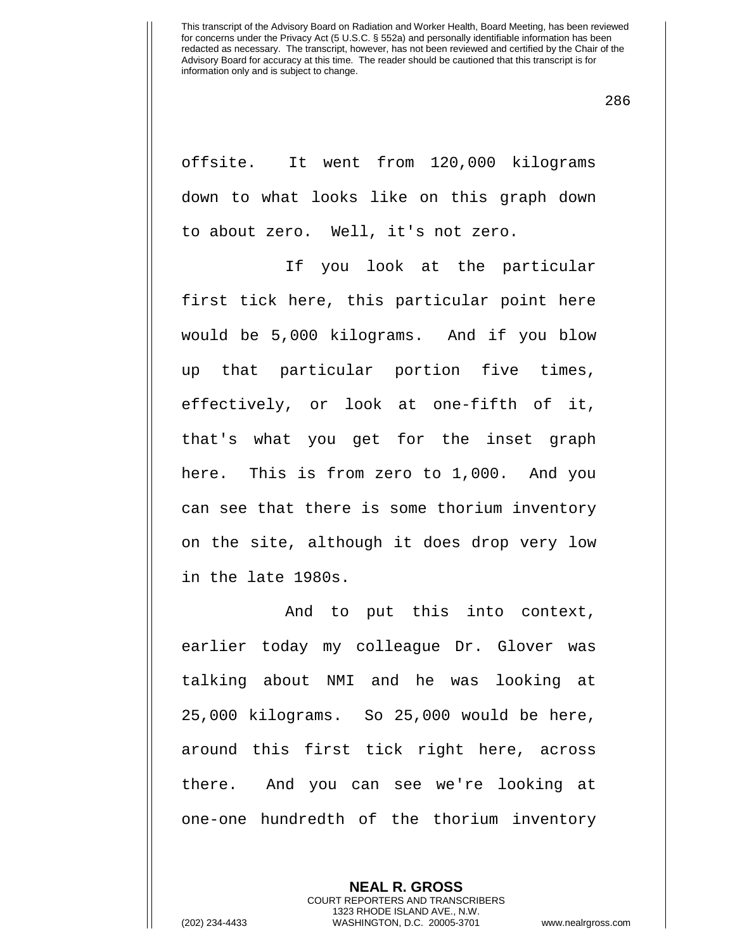286

offsite. It went from 120,000 kilograms down to what looks like on this graph down to about zero. Well, it's not zero.

If you look at the particular first tick here, this particular point here would be 5,000 kilograms. And if you blow up that particular portion five times, effectively, or look at one-fifth of it, that's what you get for the inset graph here. This is from zero to 1,000. And you can see that there is some thorium inventory on the site, although it does drop very low in the late 1980s.

And to put this into context, earlier today my colleague Dr. Glover was talking about NMI and he was looking at 25,000 kilograms. So 25,000 would be here, around this first tick right here, across there. And you can see we're looking at one-one hundredth of the thorium inventory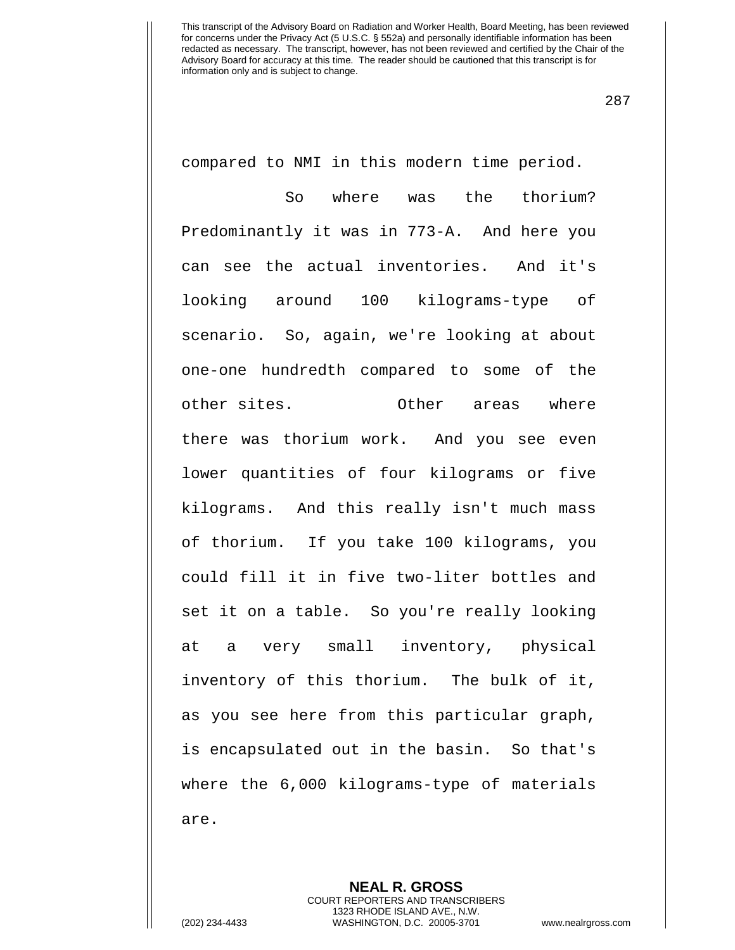287

compared to NMI in this modern time period.

So where was the thorium? Predominantly it was in 773-A. And here you can see the actual inventories. And it's looking around 100 kilograms-type of scenario. So, again, we're looking at about one-one hundredth compared to some of the other sites. Other areas where there was thorium work. And you see even lower quantities of four kilograms or five kilograms. And this really isn't much mass of thorium. If you take 100 kilograms, you could fill it in five two-liter bottles and set it on a table. So you're really looking at a very small inventory, physical inventory of this thorium. The bulk of it, as you see here from this particular graph, is encapsulated out in the basin. So that's where the 6,000 kilograms-type of materials are.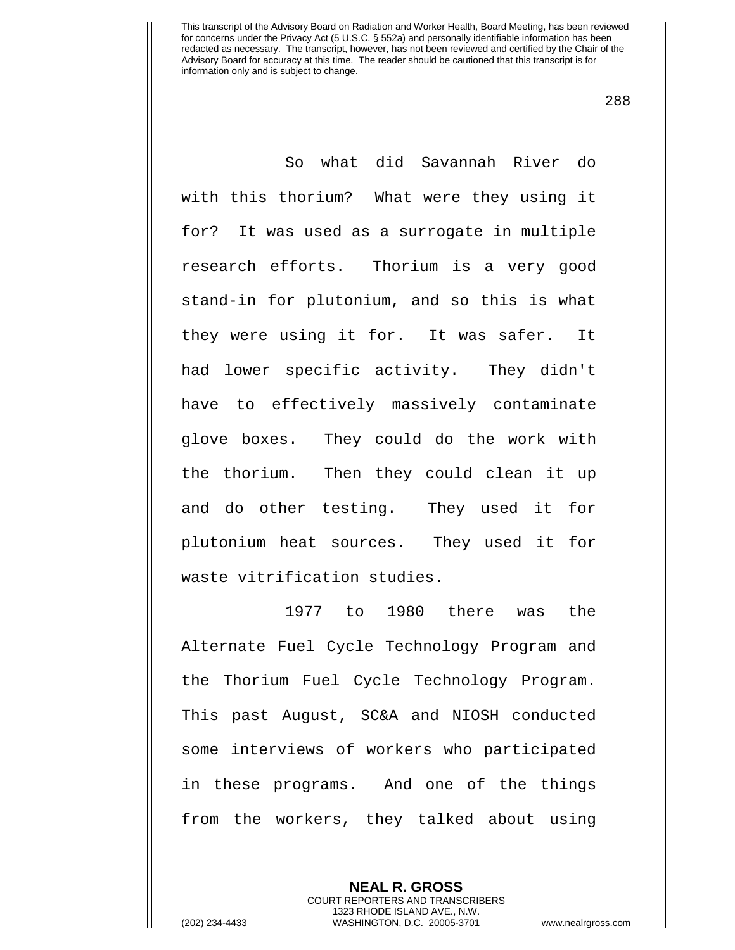288

So what did Savannah River do with this thorium? What were they using it for? It was used as a surrogate in multiple research efforts. Thorium is a very good stand-in for plutonium, and so this is what they were using it for. It was safer. It had lower specific activity. They didn't have to effectively massively contaminate glove boxes. They could do the work with the thorium. Then they could clean it up and do other testing. They used it for plutonium heat sources. They used it for waste vitrification studies.

1977 to 1980 there was the Alternate Fuel Cycle Technology Program and the Thorium Fuel Cycle Technology Program. This past August, SC&A and NIOSH conducted some interviews of workers who participated in these programs. And one of the things from the workers, they talked about using

> **NEAL R. GROSS** COURT REPORTERS AND TRANSCRIBERS 1323 RHODE ISLAND AVE., N.W.

(202) 234-4433 WASHINGTON, D.C. 20005-3701 www.nealrgross.com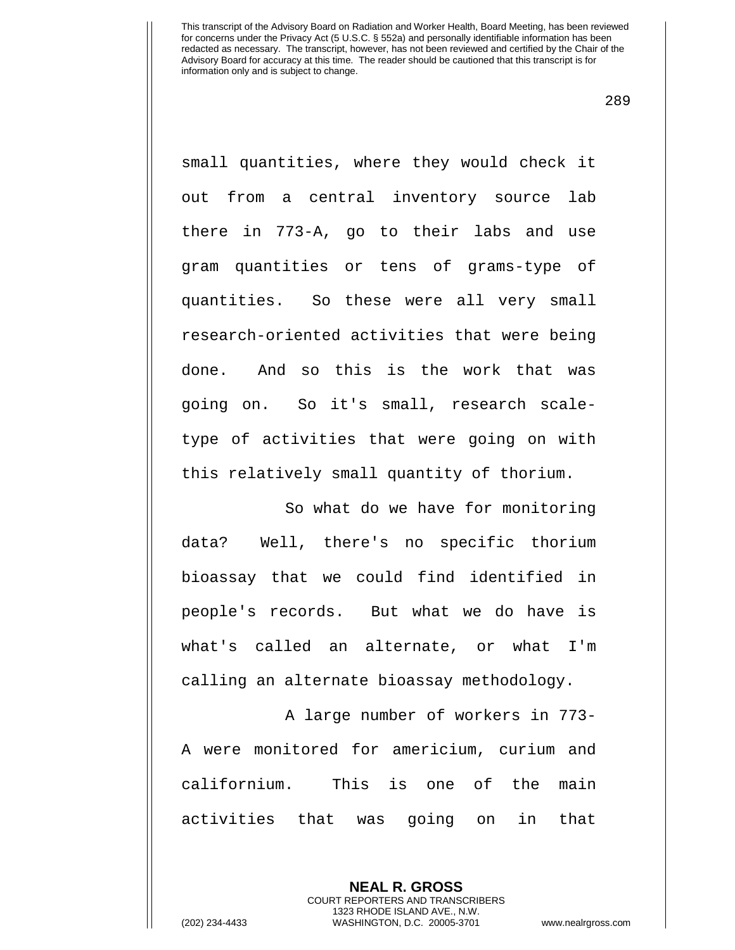289

small quantities, where they would check it out from a central inventory source lab there in 773-A, go to their labs and use gram quantities or tens of grams-type of quantities. So these were all very small research-oriented activities that were being done. And so this is the work that was going on. So it's small, research scaletype of activities that were going on with this relatively small quantity of thorium.

So what do we have for monitoring data? Well, there's no specific thorium bioassay that we could find identified in people's records. But what we do have is what's called an alternate, or what I'm calling an alternate bioassay methodology.

A large number of workers in 773- A were monitored for americium, curium and californium. This is one of the main activities that was going on in that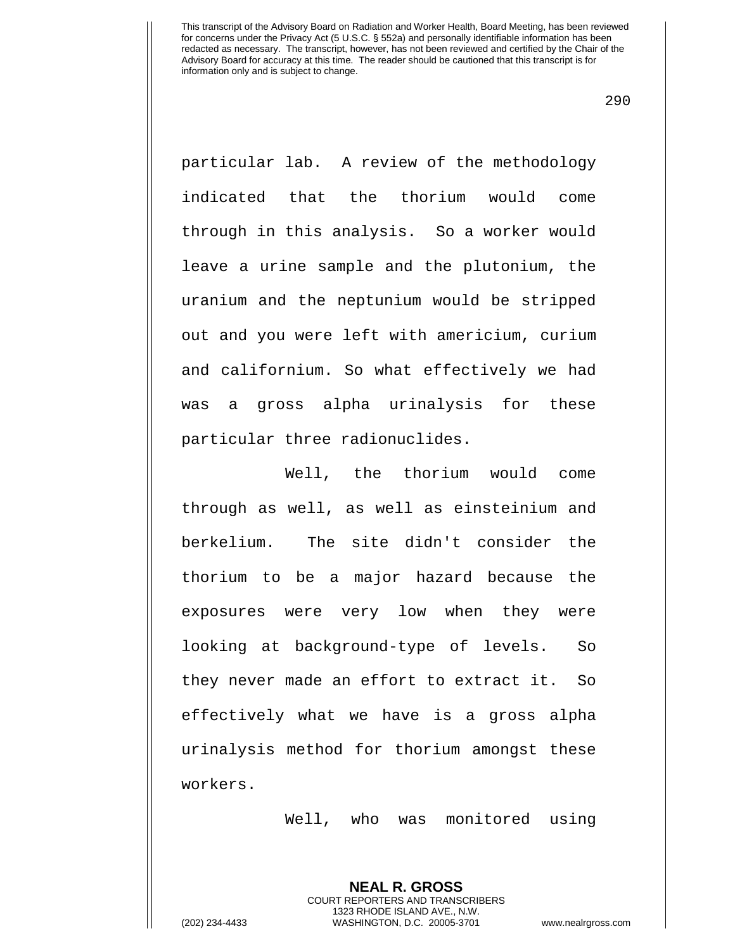290

particular lab. A review of the methodology indicated that the thorium would come through in this analysis. So a worker would leave a urine sample and the plutonium, the uranium and the neptunium would be stripped out and you were left with americium, curium and californium. So what effectively we had was a gross alpha urinalysis for these particular three radionuclides.

Well, the thorium would come through as well, as well as einsteinium and berkelium. The site didn't consider the thorium to be a major hazard because the exposures were very low when they were looking at background-type of levels. So they never made an effort to extract it. So effectively what we have is a gross alpha urinalysis method for thorium amongst these workers.

Well, who was monitored using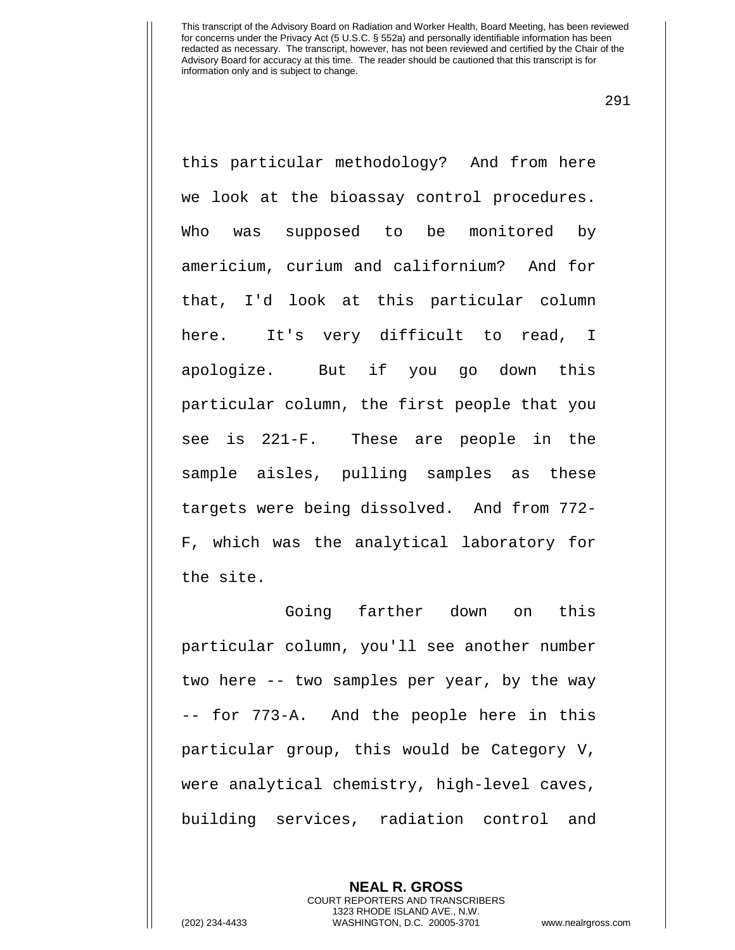291

this particular methodology? And from here we look at the bioassay control procedures. Who was supposed to be monitored by americium, curium and californium? And for that, I'd look at this particular column here. It's very difficult to read, I apologize. But if you go down this particular column, the first people that you see is 221-F. These are people in the sample aisles, pulling samples as these targets were being dissolved. And from 772- F, which was the analytical laboratory for the site.

Going farther down on this particular column, you'll see another number two here -- two samples per year, by the way -- for 773-A. And the people here in this particular group, this would be Category V, were analytical chemistry, high-level caves, building services, radiation control and

> **NEAL R. GROSS** COURT REPORTERS AND TRANSCRIBERS 1323 RHODE ISLAND AVE., N.W.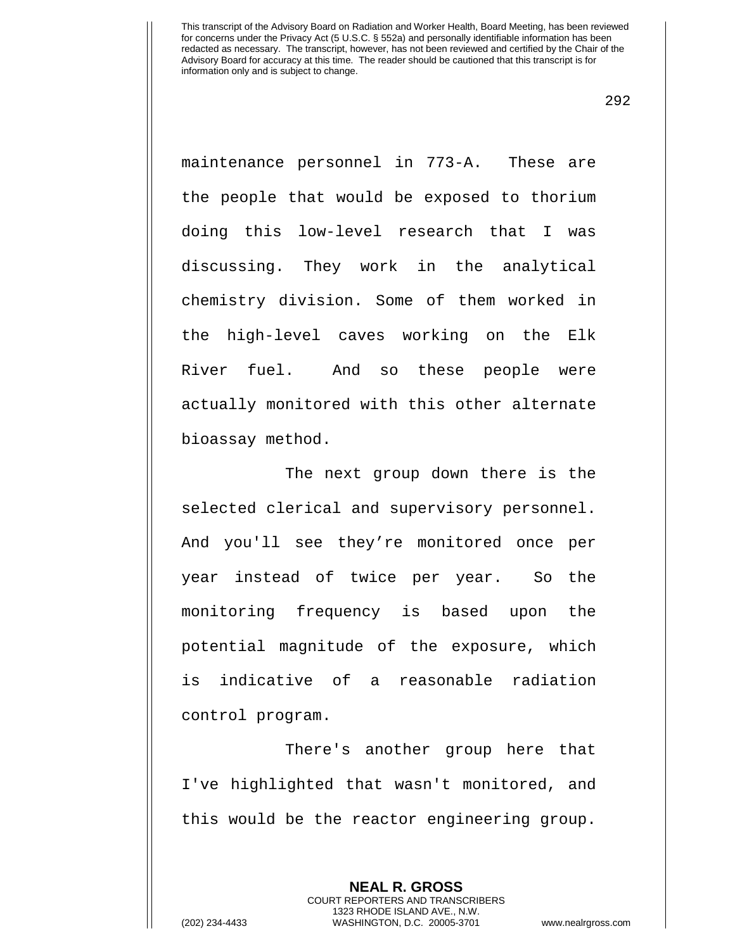292

maintenance personnel in 773-A. These are the people that would be exposed to thorium doing this low-level research that I was discussing. They work in the analytical chemistry division. Some of them worked in the high-level caves working on the Elk River fuel. And so these people were actually monitored with this other alternate bioassay method.

The next group down there is the selected clerical and supervisory personnel. And you'll see they're monitored once per year instead of twice per year. So the monitoring frequency is based upon the potential magnitude of the exposure, which is indicative of a reasonable radiation control program.

There's another group here that I've highlighted that wasn't monitored, and this would be the reactor engineering group.

> **NEAL R. GROSS** COURT REPORTERS AND TRANSCRIBERS 1323 RHODE ISLAND AVE., N.W.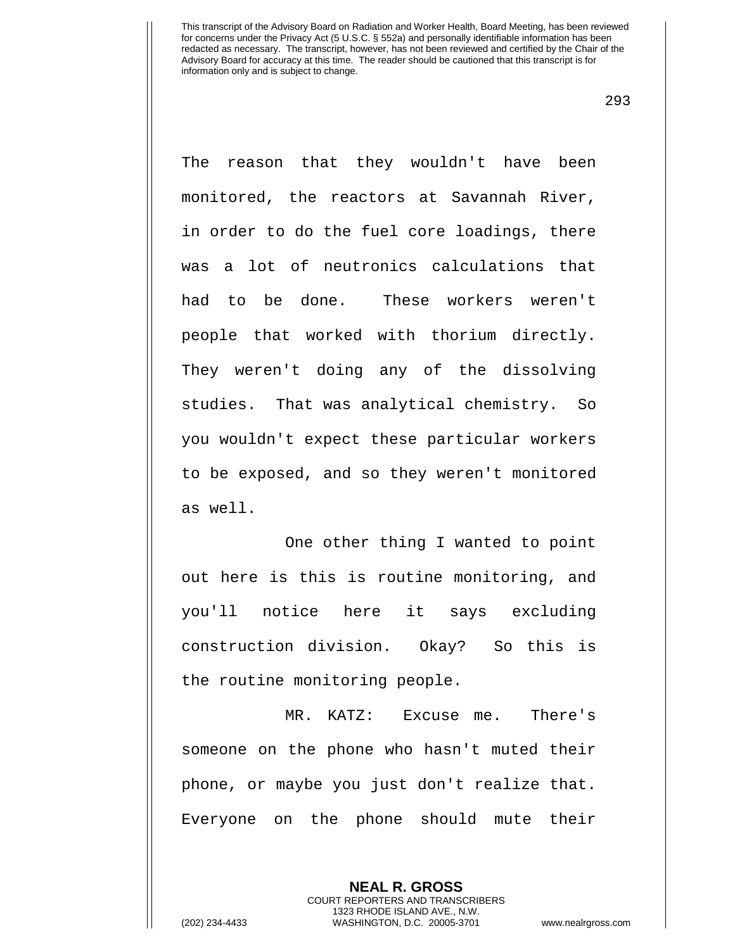293

The reason that they wouldn't have been monitored, the reactors at Savannah River, in order to do the fuel core loadings, there was a lot of neutronics calculations that had to be done. These workers weren't people that worked with thorium directly. They weren't doing any of the dissolving studies. That was analytical chemistry. So you wouldn't expect these particular workers to be exposed, and so they weren't monitored as well.

One other thing I wanted to point out here is this is routine monitoring, and you'll notice here it says excluding construction division. Okay? So this is the routine monitoring people.

MR. KATZ: Excuse me. There's someone on the phone who hasn't muted their phone, or maybe you just don't realize that. Everyone on the phone should mute their

> **NEAL R. GROSS** COURT REPORTERS AND TRANSCRIBERS 1323 RHODE ISLAND AVE., N.W.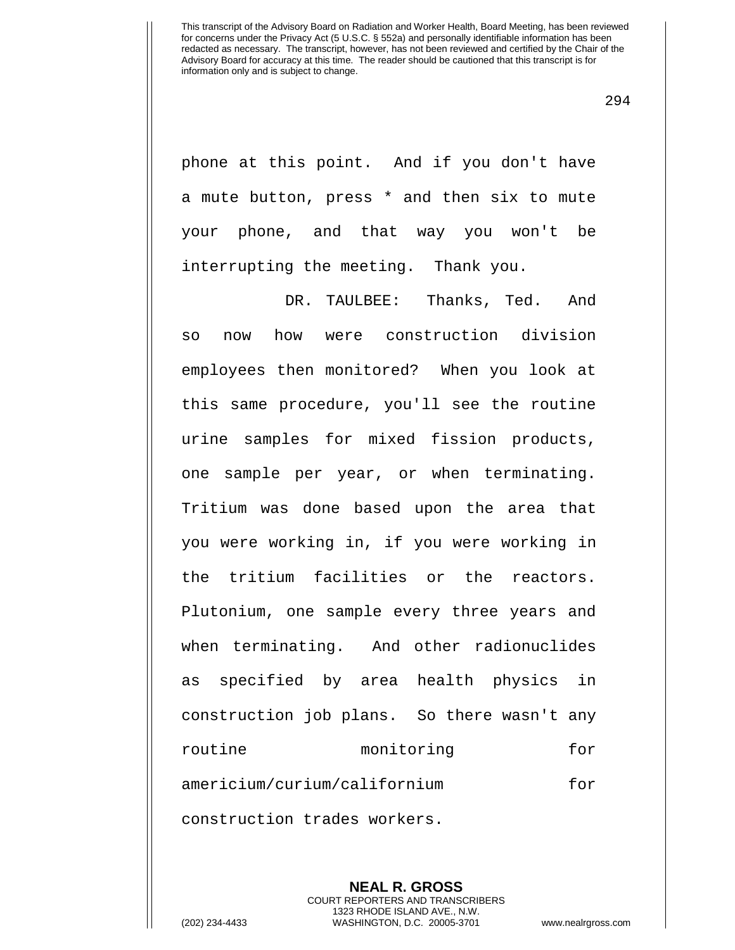294

phone at this point. And if you don't have a mute button, press \* and then six to mute your phone, and that way you won't be interrupting the meeting. Thank you.

DR. TAULBEE: Thanks, Ted. And so now how were construction division employees then monitored? When you look at this same procedure, you'll see the routine urine samples for mixed fission products, one sample per year, or when terminating. Tritium was done based upon the area that you were working in, if you were working in the tritium facilities or the reactors. Plutonium, one sample every three years and when terminating. And other radionuclides as specified by area health physics in construction job plans. So there wasn't any routine monitoring for americium/curium/californium for construction trades workers.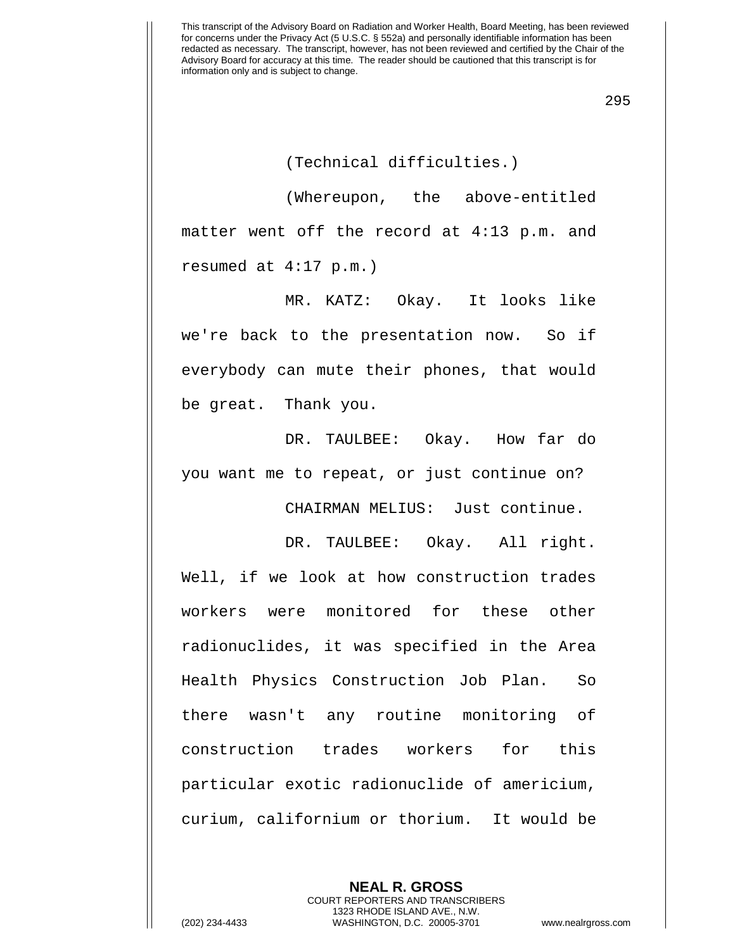295

(Technical difficulties.)

(Whereupon, the above-entitled matter went off the record at 4:13 p.m. and resumed at 4:17 p.m.)

MR. KATZ: Okay. It looks like we're back to the presentation now. So if everybody can mute their phones, that would be great. Thank you.

DR. TAULBEE: Okay. How far do you want me to repeat, or just continue on?

CHAIRMAN MELIUS: Just continue.

DR. TAULBEE: Okay. All right. Well, if we look at how construction trades workers were monitored for these other radionuclides, it was specified in the Area Health Physics Construction Job Plan. So there wasn't any routine monitoring of construction trades workers for this particular exotic radionuclide of americium, curium, californium or thorium. It would be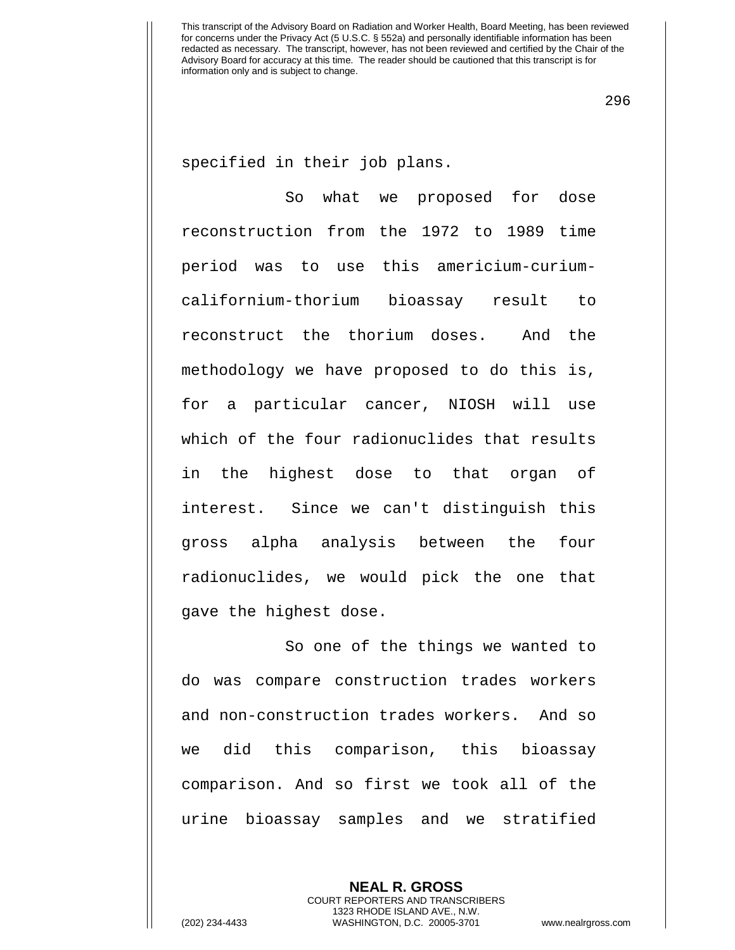296

specified in their job plans.

So what we proposed for dose reconstruction from the 1972 to 1989 time period was to use this americium-curiumcalifornium-thorium bioassay result to reconstruct the thorium doses. And the methodology we have proposed to do this is, for a particular cancer, NIOSH will use which of the four radionuclides that results in the highest dose to that organ of interest. Since we can't distinguish this gross alpha analysis between the four radionuclides, we would pick the one that gave the highest dose.

So one of the things we wanted to do was compare construction trades workers and non-construction trades workers. And so we did this comparison, this bioassay comparison. And so first we took all of the urine bioassay samples and we stratified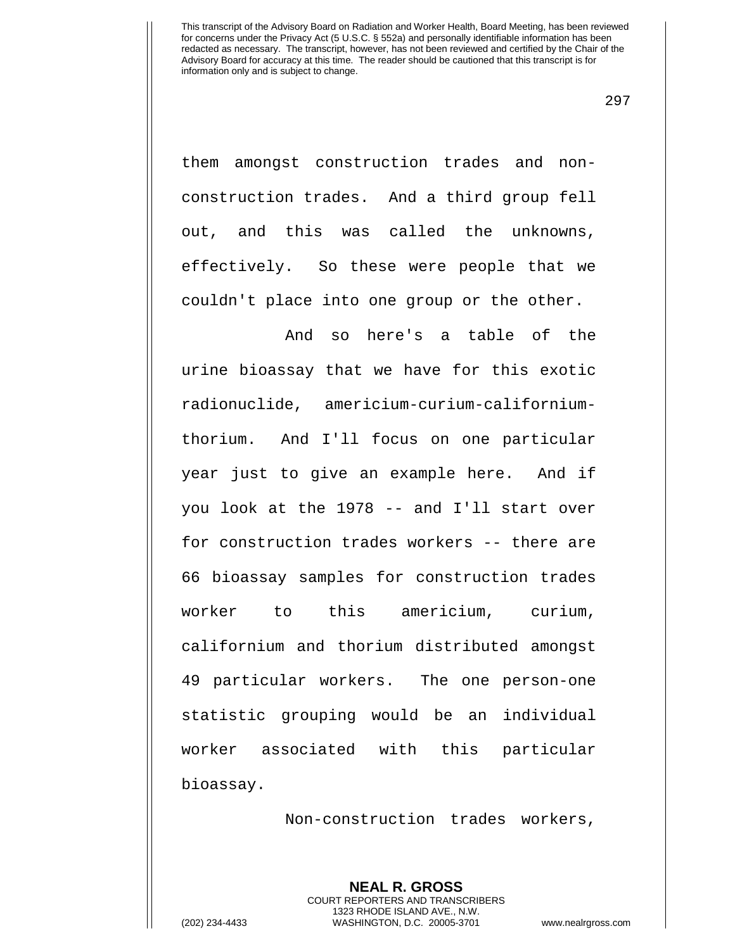297

them amongst construction trades and nonconstruction trades. And a third group fell out, and this was called the unknowns, effectively. So these were people that we couldn't place into one group or the other.

And so here's a table of the urine bioassay that we have for this exotic radionuclide, americium-curium-californiumthorium. And I'll focus on one particular year just to give an example here. And if you look at the 1978 -- and I'll start over for construction trades workers -- there are 66 bioassay samples for construction trades worker to this americium, curium, californium and thorium distributed amongst 49 particular workers. The one person-one statistic grouping would be an individual worker associated with this particular bioassay.

Non-construction trades workers,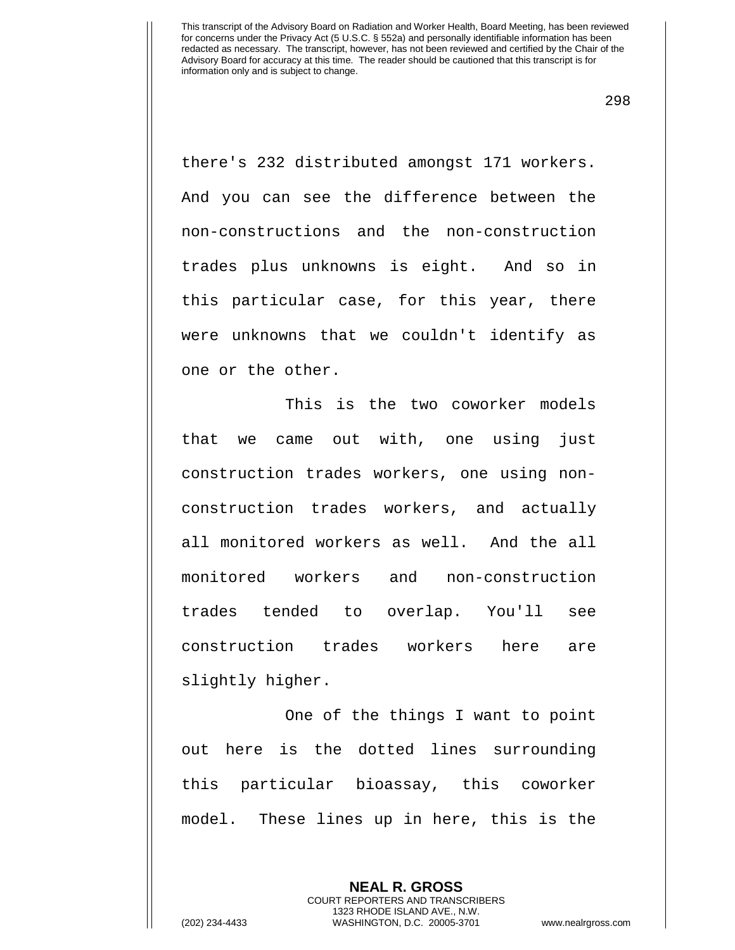298

there's 232 distributed amongst 171 workers. And you can see the difference between the non-constructions and the non-construction trades plus unknowns is eight. And so in this particular case, for this year, there were unknowns that we couldn't identify as one or the other.

This is the two coworker models that we came out with, one using just construction trades workers, one using nonconstruction trades workers, and actually all monitored workers as well. And the all monitored workers and non-construction trades tended to overlap. You'll see construction trades workers here are slightly higher.

One of the things I want to point out here is the dotted lines surrounding this particular bioassay, this coworker model. These lines up in here, this is the

> **NEAL R. GROSS** COURT REPORTERS AND TRANSCRIBERS 1323 RHODE ISLAND AVE., N.W.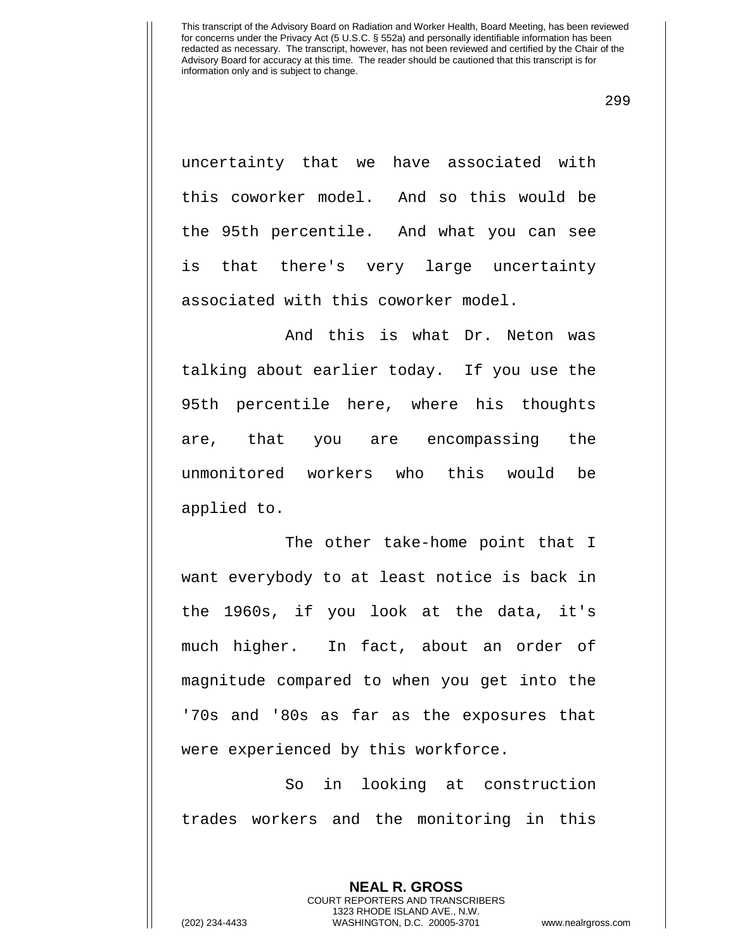299

uncertainty that we have associated with this coworker model. And so this would be the 95th percentile. And what you can see is that there's very large uncertainty associated with this coworker model.

And this is what Dr. Neton was talking about earlier today. If you use the 95th percentile here, where his thoughts are, that you are encompassing the unmonitored workers who this would be applied to.

The other take-home point that I want everybody to at least notice is back in the 1960s, if you look at the data, it's much higher. In fact, about an order of magnitude compared to when you get into the '70s and '80s as far as the exposures that were experienced by this workforce.

So in looking at construction trades workers and the monitoring in this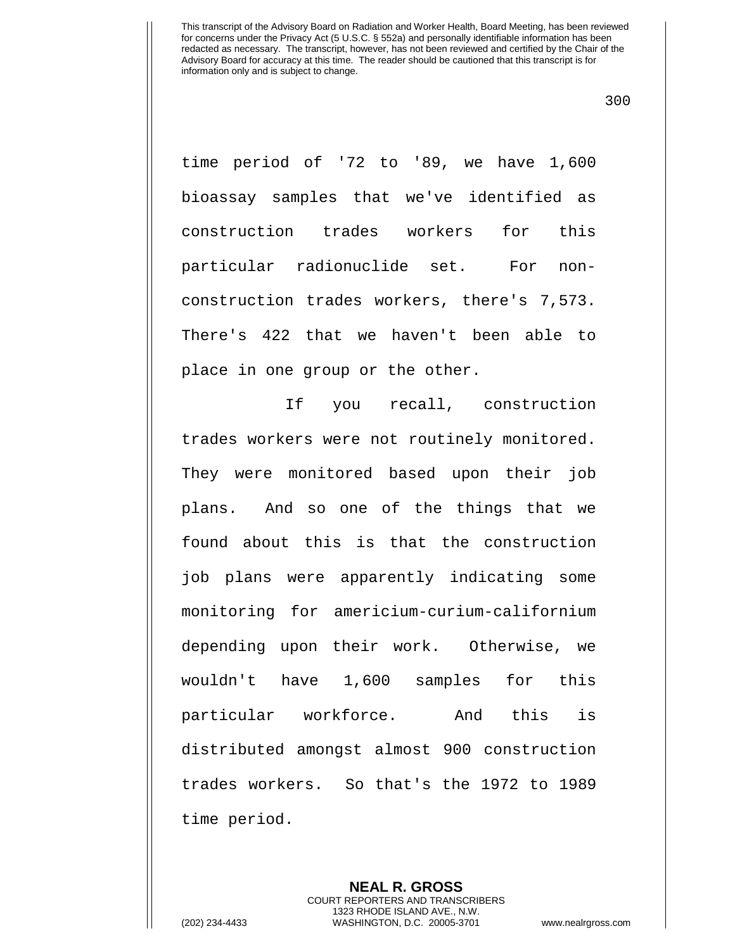300

time period of '72 to '89, we have 1,600 bioassay samples that we've identified as construction trades workers for this particular radionuclide set. For nonconstruction trades workers, there's 7,573. There's 422 that we haven't been able to place in one group or the other.

If you recall, construction trades workers were not routinely monitored. They were monitored based upon their job plans. And so one of the things that we found about this is that the construction job plans were apparently indicating some monitoring for americium-curium-californium depending upon their work. Otherwise, we wouldn't have 1,600 samples for this particular workforce. And this is distributed amongst almost 900 construction trades workers. So that's the 1972 to 1989 time period.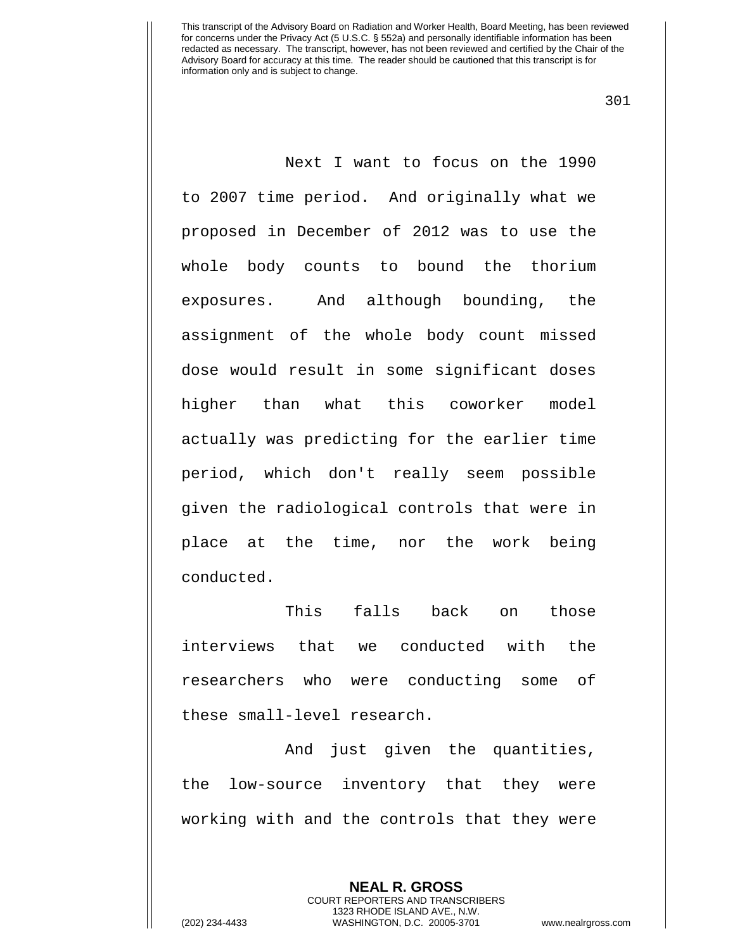301

Next I want to focus on the 1990 to 2007 time period. And originally what we proposed in December of 2012 was to use the whole body counts to bound the thorium exposures. And although bounding, the assignment of the whole body count missed dose would result in some significant doses higher than what this coworker model actually was predicting for the earlier time period, which don't really seem possible given the radiological controls that were in place at the time, nor the work being conducted.

This falls back on those interviews that we conducted with the researchers who were conducting some of these small-level research.

 And just given the quantities, the low-source inventory that they were working with and the controls that they were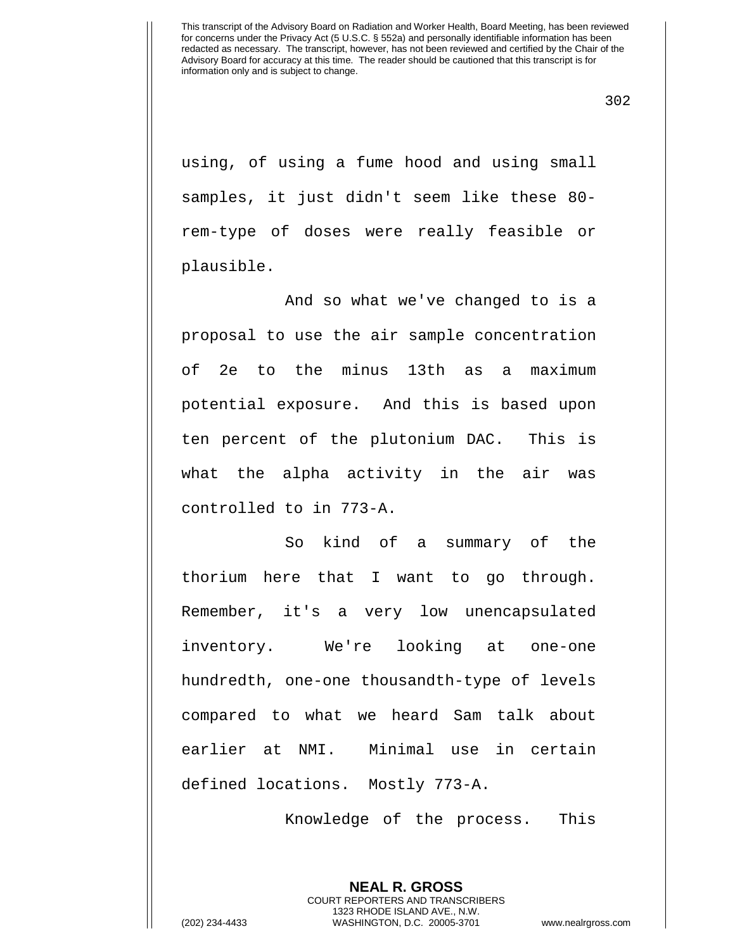302

using, of using a fume hood and using small samples, it just didn't seem like these 80 rem-type of doses were really feasible or plausible.

And so what we've changed to is a proposal to use the air sample concentration of 2e to the minus 13th as a maximum potential exposure. And this is based upon ten percent of the plutonium DAC. This is what the alpha activity in the air was controlled to in 773-A.

So kind of a summary of the thorium here that I want to go through. Remember, it's a very low unencapsulated inventory. We're looking at one-one hundredth, one-one thousandth-type of levels compared to what we heard Sam talk about earlier at NMI. Minimal use in certain defined locations. Mostly 773-A.

Knowledge of the process. This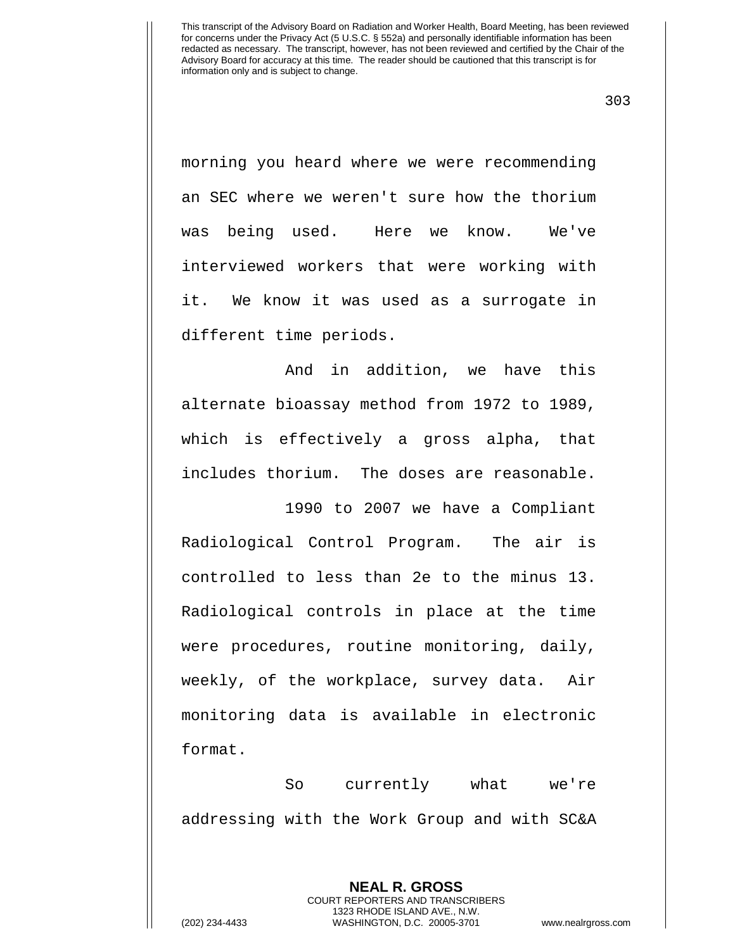303

morning you heard where we were recommending an SEC where we weren't sure how the thorium was being used. Here we know. We've interviewed workers that were working with it. We know it was used as a surrogate in different time periods.

And in addition, we have this alternate bioassay method from 1972 to 1989, which is effectively a gross alpha, that includes thorium. The doses are reasonable.

 1990 to 2007 we have a Compliant Radiological Control Program. The air is controlled to less than 2e to the minus 13. Radiological controls in place at the time were procedures, routine monitoring, daily, weekly, of the workplace, survey data. Air monitoring data is available in electronic format.

So currently what we're addressing with the Work Group and with SC&A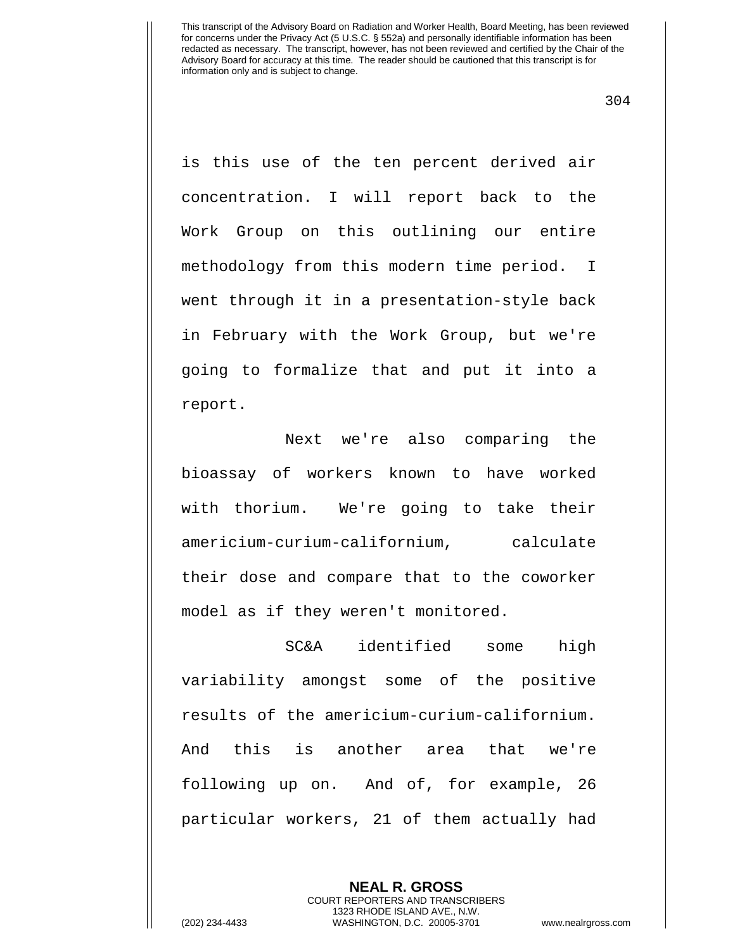304

is this use of the ten percent derived air concentration. I will report back to the Work Group on this outlining our entire methodology from this modern time period. I went through it in a presentation-style back in February with the Work Group, but we're going to formalize that and put it into a report.

Next we're also comparing the bioassay of workers known to have worked with thorium. We're going to take their americium-curium-californium, calculate their dose and compare that to the coworker model as if they weren't monitored.

SC&A identified some high variability amongst some of the positive results of the americium-curium-californium. And this is another area that we're following up on. And of, for example, 26 particular workers, 21 of them actually had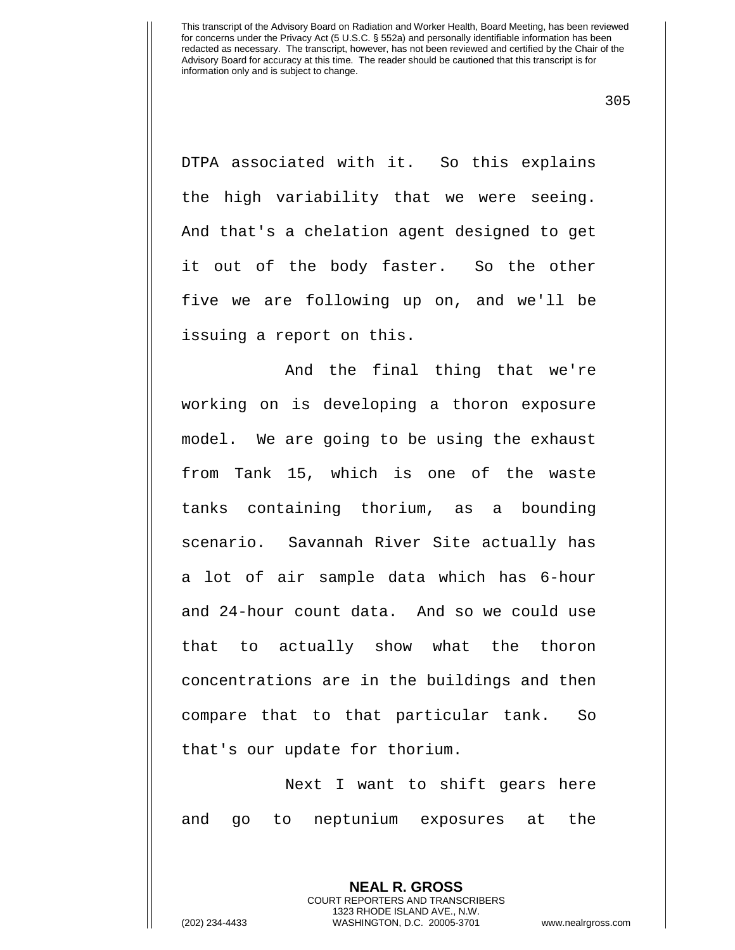305

DTPA associated with it. So this explains the high variability that we were seeing. And that's a chelation agent designed to get it out of the body faster. So the other five we are following up on, and we'll be issuing a report on this.

And the final thing that we're working on is developing a thoron exposure model. We are going to be using the exhaust from Tank 15, which is one of the waste tanks containing thorium, as a bounding scenario. Savannah River Site actually has a lot of air sample data which has 6-hour and 24-hour count data. And so we could use that to actually show what the thoron concentrations are in the buildings and then compare that to that particular tank. So that's our update for thorium.

Next I want to shift gears here and go to neptunium exposures at the

> **NEAL R. GROSS** COURT REPORTERS AND TRANSCRIBERS 1323 RHODE ISLAND AVE., N.W.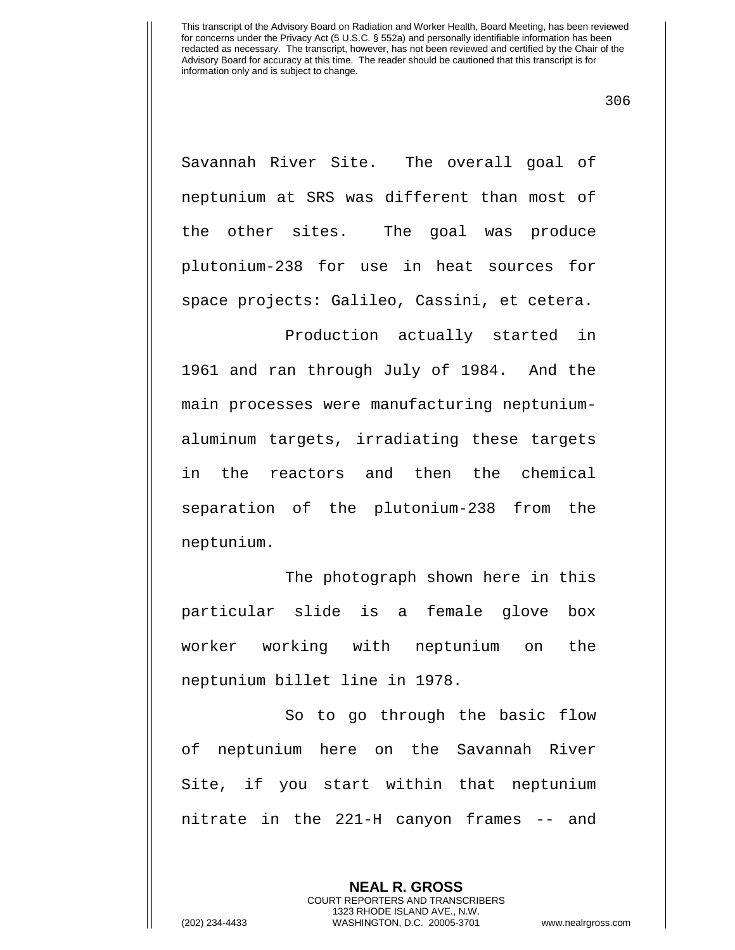306

Savannah River Site. The overall goal of neptunium at SRS was different than most of the other sites. The goal was produce plutonium-238 for use in heat sources for space projects: Galileo, Cassini, et cetera.

Production actually started in 1961 and ran through July of 1984. And the main processes were manufacturing neptuniumaluminum targets, irradiating these targets in the reactors and then the chemical separation of the plutonium-238 from the neptunium.

The photograph shown here in this particular slide is a female glove box worker working with neptunium on the neptunium billet line in 1978.

So to go through the basic flow of neptunium here on the Savannah River Site, if you start within that neptunium nitrate in the 221-H canyon frames -- and

> **NEAL R. GROSS** COURT REPORTERS AND TRANSCRIBERS 1323 RHODE ISLAND AVE., N.W.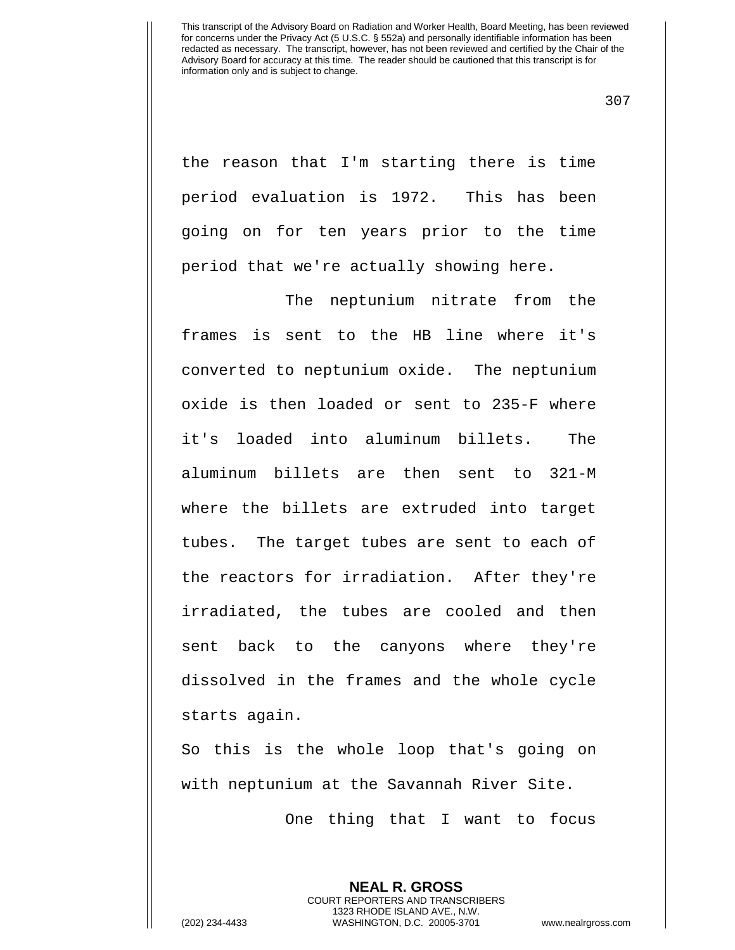307

the reason that I'm starting there is time period evaluation is 1972. This has been going on for ten years prior to the time period that we're actually showing here.

The neptunium nitrate from the frames is sent to the HB line where it's converted to neptunium oxide. The neptunium oxide is then loaded or sent to 235-F where it's loaded into aluminum billets. The aluminum billets are then sent to 321-M where the billets are extruded into target tubes. The target tubes are sent to each of the reactors for irradiation. After they're irradiated, the tubes are cooled and then sent back to the canyons where they're dissolved in the frames and the whole cycle starts again.

So this is the whole loop that's going on with neptunium at the Savannah River Site.

One thing that I want to focus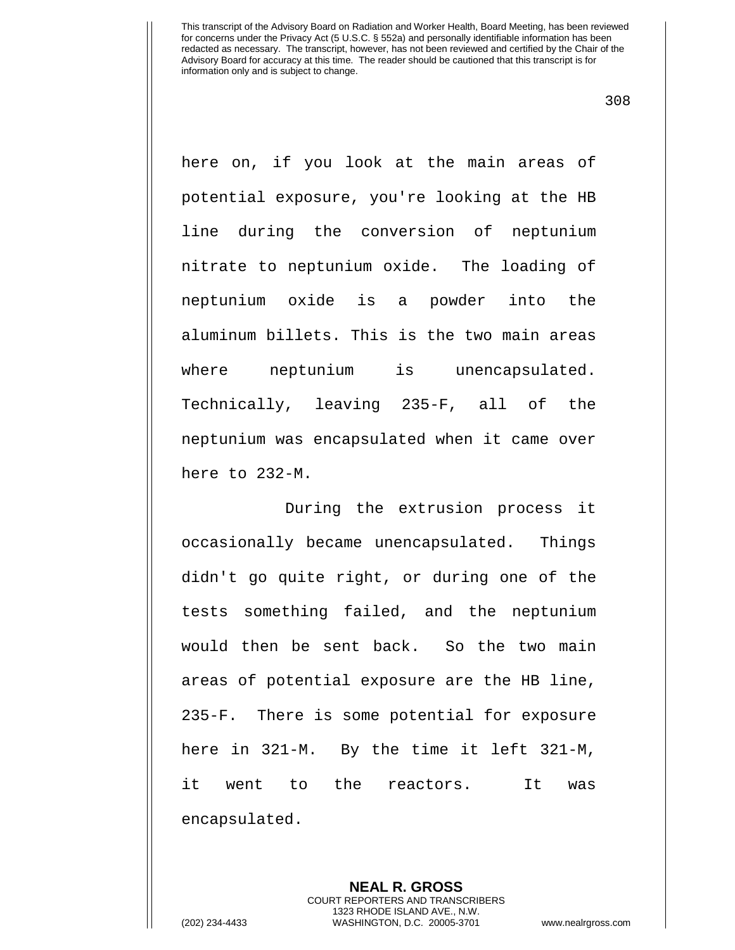308

here on, if you look at the main areas of potential exposure, you're looking at the HB line during the conversion of neptunium nitrate to neptunium oxide. The loading of neptunium oxide is a powder into the aluminum billets. This is the two main areas where neptunium is unencapsulated. Technically, leaving 235-F, all of the neptunium was encapsulated when it came over here to 232-M.

During the extrusion process it occasionally became unencapsulated. Things didn't go quite right, or during one of the tests something failed, and the neptunium would then be sent back. So the two main areas of potential exposure are the HB line, 235-F. There is some potential for exposure here in 321-M. By the time it left 321-M, it went to the reactors. It was encapsulated.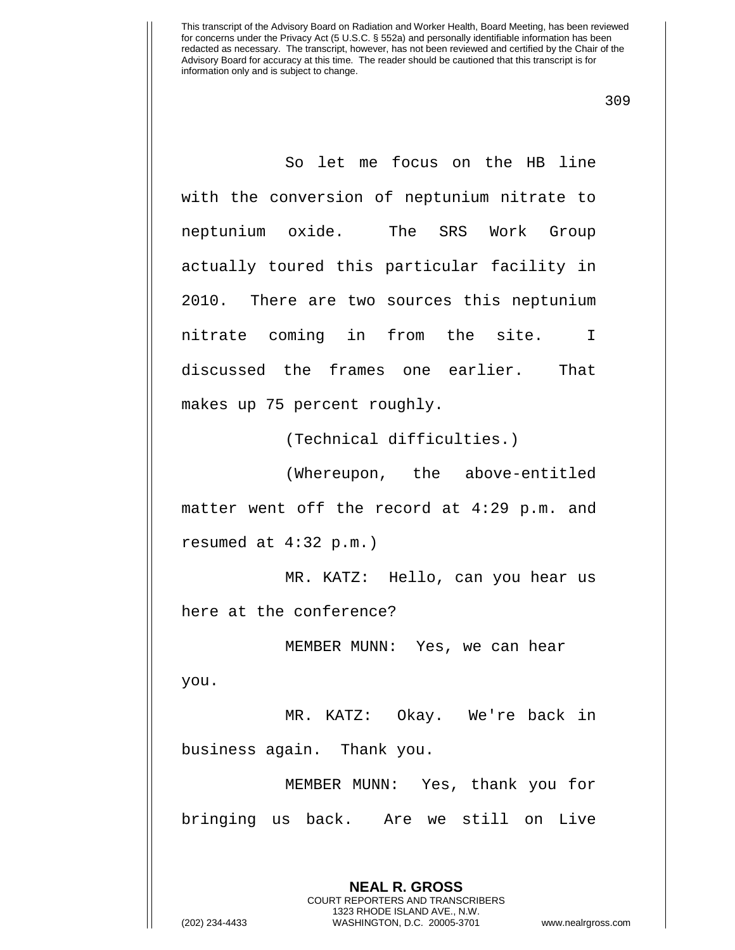309

So let me focus on the HB line with the conversion of neptunium nitrate to neptunium oxide. The SRS Work Group actually toured this particular facility in 2010. There are two sources this neptunium nitrate coming in from the site. I discussed the frames one earlier. That makes up 75 percent roughly.

(Technical difficulties.)

(Whereupon, the above-entitled matter went off the record at 4:29 p.m. and resumed at 4:32 p.m.)

MR. KATZ: Hello, can you hear us here at the conference?

MEMBER MUNN: Yes, we can hear you.

MR. KATZ: Okay. We're back in business again. Thank you.

MEMBER MUNN: Yes, thank you for bringing us back. Are we still on Live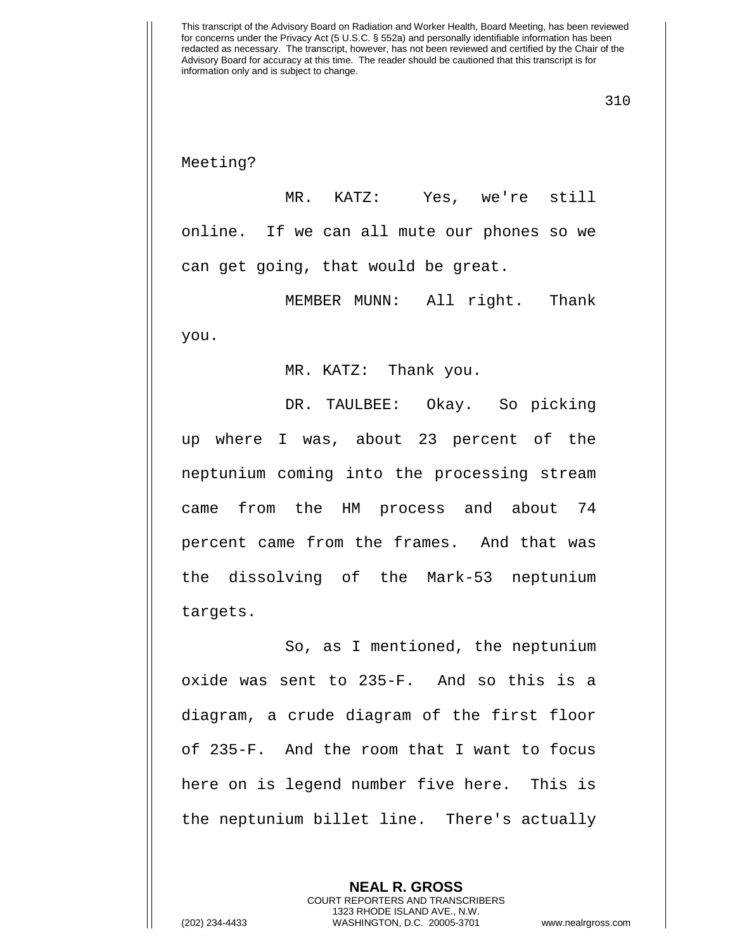Meeting?

MR. KATZ: Yes, we're still online. If we can all mute our phones so we can get going, that would be great.

MEMBER MUNN: All right. Thank you.

MR. KATZ: Thank you.

DR. TAULBEE: Okay. So picking up where I was, about 23 percent of the neptunium coming into the processing stream came from the HM process and about 74 percent came from the frames. And that was the dissolving of the Mark-53 neptunium targets.

So, as I mentioned, the neptunium oxide was sent to 235-F. And so this is a diagram, a crude diagram of the first floor of 235-F. And the room that I want to focus here on is legend number five here. This is the neptunium billet line. There's actually

> **NEAL R. GROSS** COURT REPORTERS AND TRANSCRIBERS 1323 RHODE ISLAND AVE., N.W.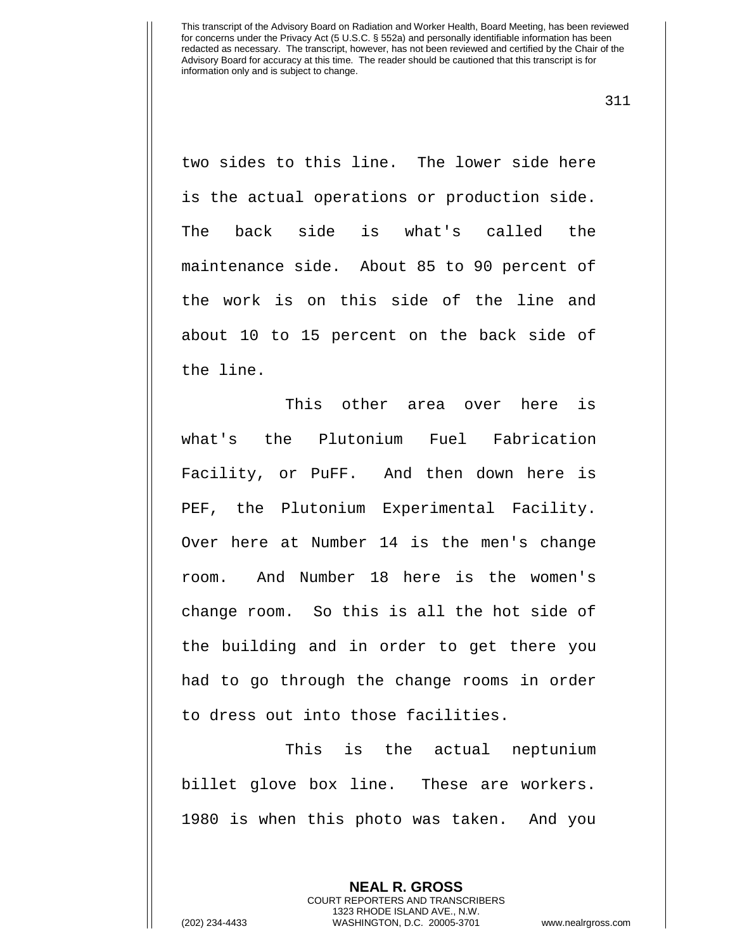311

two sides to this line. The lower side here is the actual operations or production side. The back side is what's called the maintenance side. About 85 to 90 percent of the work is on this side of the line and about 10 to 15 percent on the back side of the line.

This other area over here is what's the Plutonium Fuel Fabrication Facility, or PuFF. And then down here is PEF, the Plutonium Experimental Facility. Over here at Number 14 is the men's change room. And Number 18 here is the women's change room. So this is all the hot side of the building and in order to get there you had to go through the change rooms in order to dress out into those facilities.

This is the actual neptunium billet glove box line. These are workers. 1980 is when this photo was taken. And you

> **NEAL R. GROSS** COURT REPORTERS AND TRANSCRIBERS 1323 RHODE ISLAND AVE., N.W.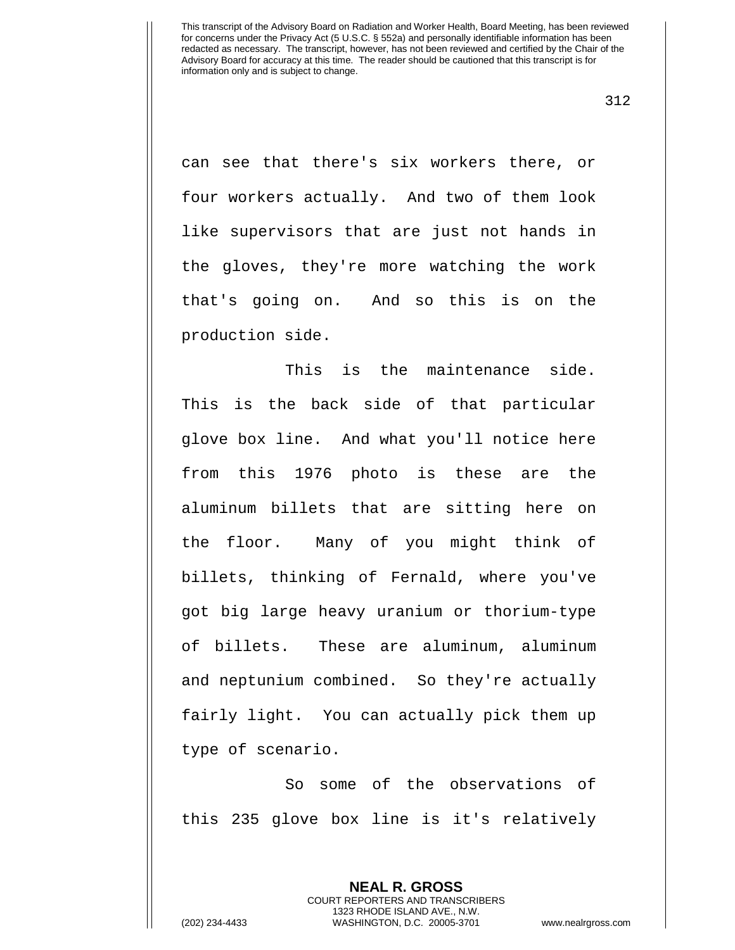312

can see that there's six workers there, or four workers actually. And two of them look like supervisors that are just not hands in the gloves, they're more watching the work that's going on. And so this is on the production side.

This is the maintenance side. This is the back side of that particular glove box line. And what you'll notice here from this 1976 photo is these are the aluminum billets that are sitting here on the floor. Many of you might think of billets, thinking of Fernald, where you've got big large heavy uranium or thorium-type of billets. These are aluminum, aluminum and neptunium combined. So they're actually fairly light. You can actually pick them up type of scenario.

So some of the observations of this 235 glove box line is it's relatively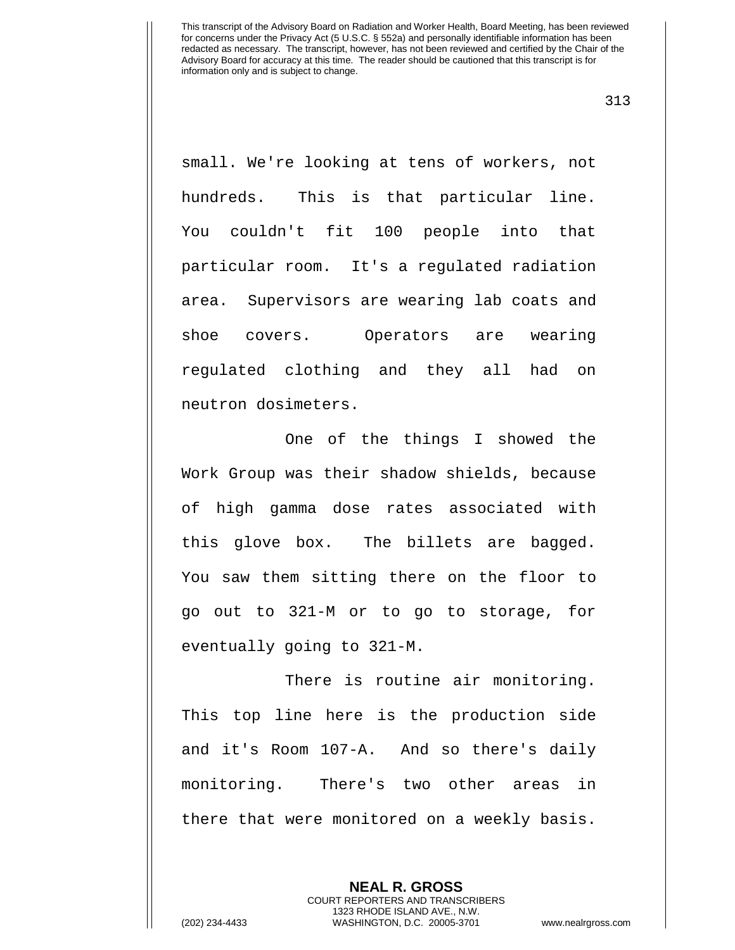313

small. We're looking at tens of workers, not hundreds. This is that particular line. You couldn't fit 100 people into that particular room. It's a regulated radiation area. Supervisors are wearing lab coats and shoe covers. Operators are wearing regulated clothing and they all had on neutron dosimeters.

One of the things I showed the Work Group was their shadow shields, because of high gamma dose rates associated with this glove box. The billets are bagged. You saw them sitting there on the floor to go out to 321-M or to go to storage, for eventually going to 321-M.

There is routine air monitoring. This top line here is the production side and it's Room 107-A. And so there's daily monitoring. There's two other areas in there that were monitored on a weekly basis.

> **NEAL R. GROSS** COURT REPORTERS AND TRANSCRIBERS 1323 RHODE ISLAND AVE., N.W.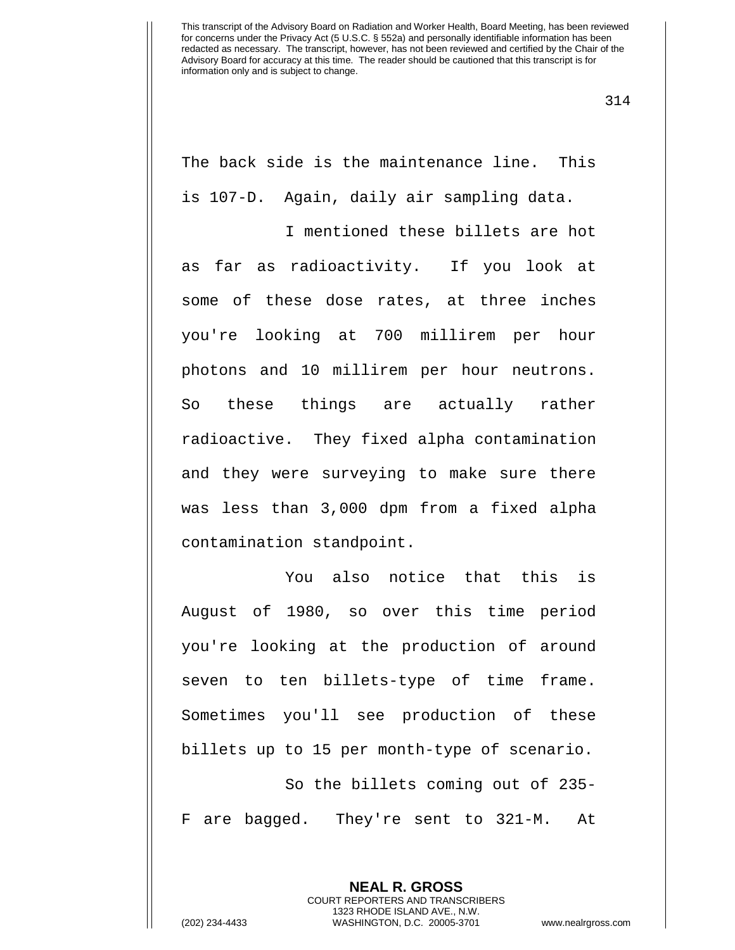314

The back side is the maintenance line. This is 107-D. Again, daily air sampling data.

I mentioned these billets are hot as far as radioactivity. If you look at some of these dose rates, at three inches you're looking at 700 millirem per hour photons and 10 millirem per hour neutrons. So these things are actually rather radioactive. They fixed alpha contamination and they were surveying to make sure there was less than 3,000 dpm from a fixed alpha contamination standpoint.

You also notice that this is August of 1980, so over this time period you're looking at the production of around seven to ten billets-type of time frame. Sometimes you'll see production of these billets up to 15 per month-type of scenario.

So the billets coming out of 235- F are bagged. They're sent to 321-M. At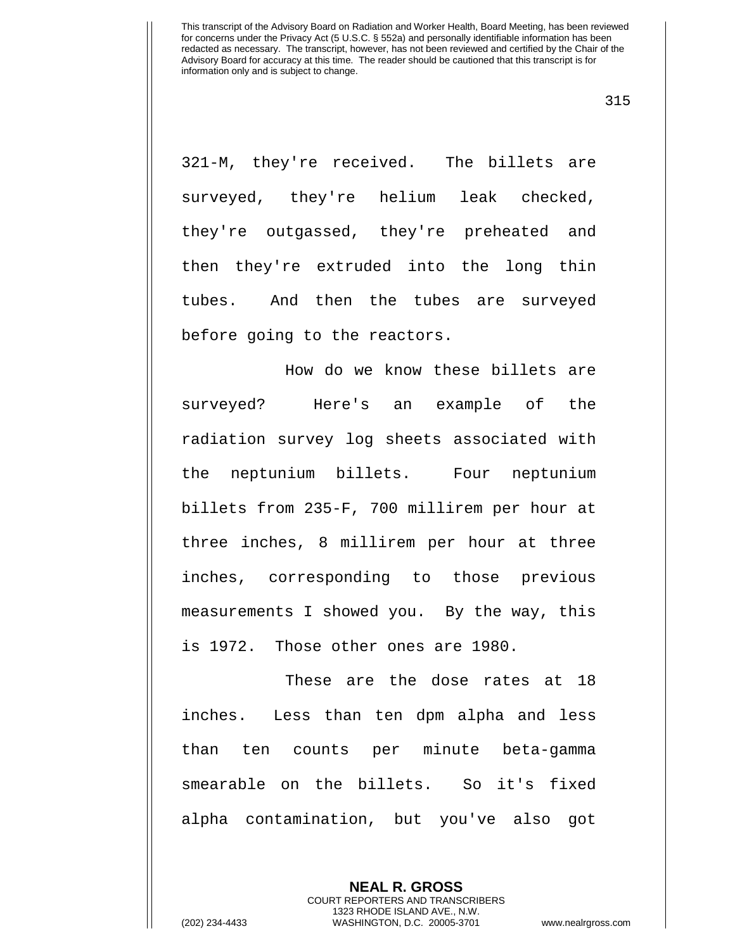315

321-M, they're received. The billets are surveyed, they're helium leak checked, they're outgassed, they're preheated and then they're extruded into the long thin tubes. And then the tubes are surveyed before going to the reactors.

How do we know these billets are surveyed? Here's an example of the radiation survey log sheets associated with the neptunium billets. Four neptunium billets from 235-F, 700 millirem per hour at three inches, 8 millirem per hour at three inches, corresponding to those previous measurements I showed you. By the way, this is 1972. Those other ones are 1980.

These are the dose rates at 18 inches. Less than ten dpm alpha and less than ten counts per minute beta-gamma smearable on the billets. So it's fixed alpha contamination, but you've also got

> **NEAL R. GROSS** COURT REPORTERS AND TRANSCRIBERS 1323 RHODE ISLAND AVE., N.W.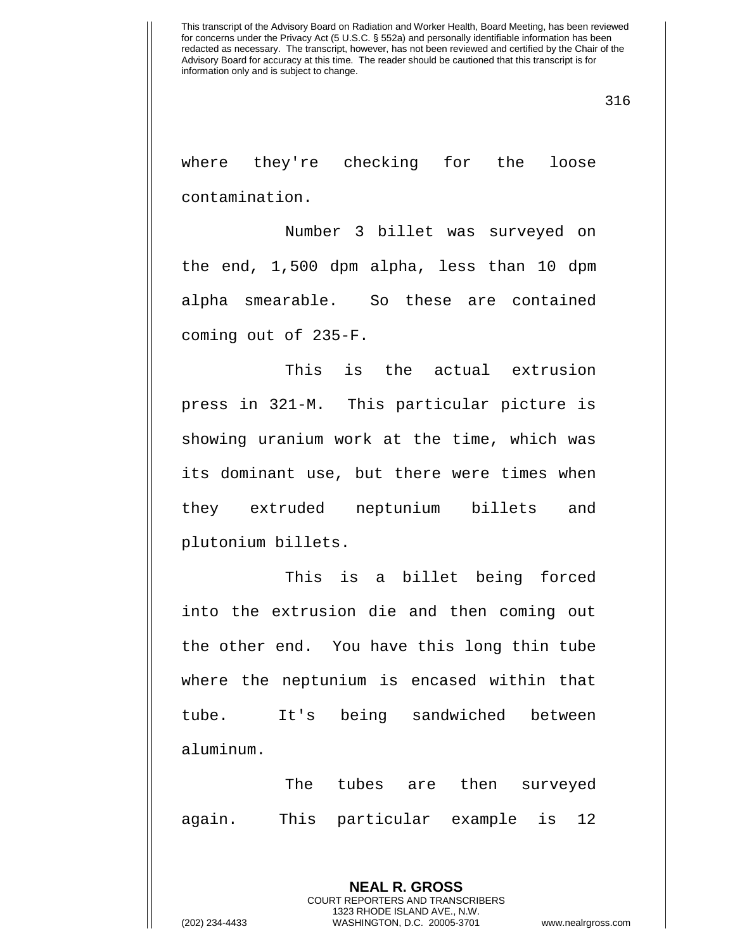316

where they're checking for the loose contamination.

Number 3 billet was surveyed on the end, 1,500 dpm alpha, less than 10 dpm alpha smearable. So these are contained coming out of 235-F.

This is the actual extrusion press in 321-M. This particular picture is showing uranium work at the time, which was its dominant use, but there were times when they extruded neptunium billets and plutonium billets.

This is a billet being forced into the extrusion die and then coming out the other end. You have this long thin tube where the neptunium is encased within that tube. It's being sandwiched between aluminum.

The tubes are then surveyed again. This particular example is 12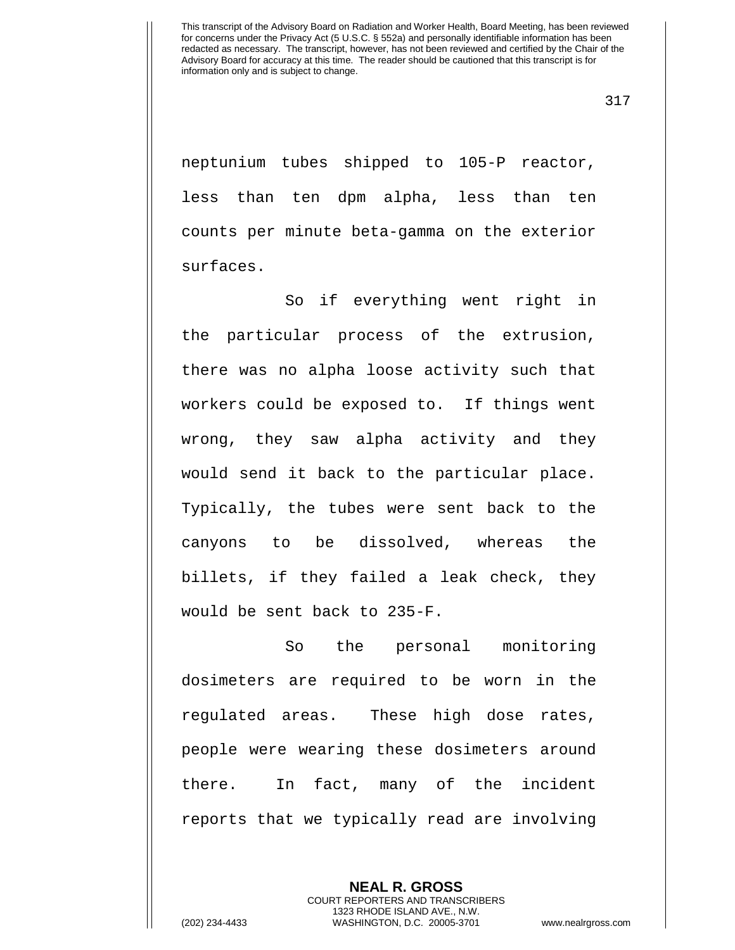317

neptunium tubes shipped to 105-P reactor, less than ten dpm alpha, less than ten counts per minute beta-gamma on the exterior surfaces.

So if everything went right in the particular process of the extrusion, there was no alpha loose activity such that workers could be exposed to. If things went wrong, they saw alpha activity and they would send it back to the particular place. Typically, the tubes were sent back to the canyons to be dissolved, whereas the billets, if they failed a leak check, they would be sent back to 235-F.

So the personal monitoring dosimeters are required to be worn in the regulated areas. These high dose rates, people were wearing these dosimeters around there. In fact, many of the incident reports that we typically read are involving

> **NEAL R. GROSS** COURT REPORTERS AND TRANSCRIBERS 1323 RHODE ISLAND AVE., N.W.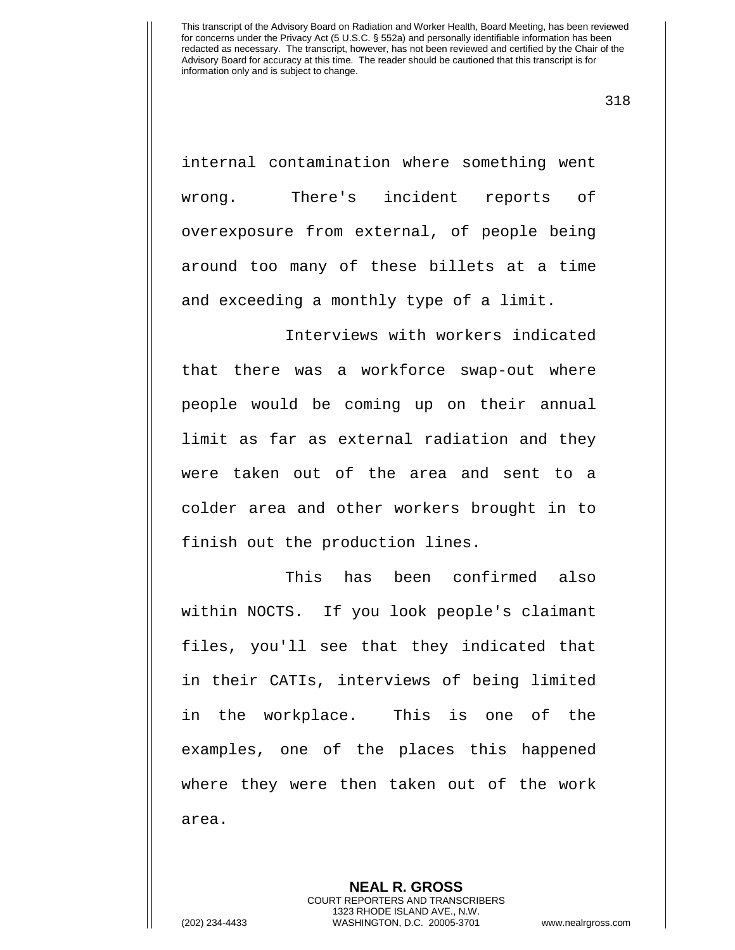318

internal contamination where something went wrong. There's incident reports of overexposure from external, of people being around too many of these billets at a time and exceeding a monthly type of a limit.

Interviews with workers indicated that there was a workforce swap-out where people would be coming up on their annual limit as far as external radiation and they were taken out of the area and sent to a colder area and other workers brought in to finish out the production lines.

This has been confirmed also within NOCTS. If you look people's claimant files, you'll see that they indicated that in their CATIs, interviews of being limited in the workplace. This is one of the examples, one of the places this happened where they were then taken out of the work area.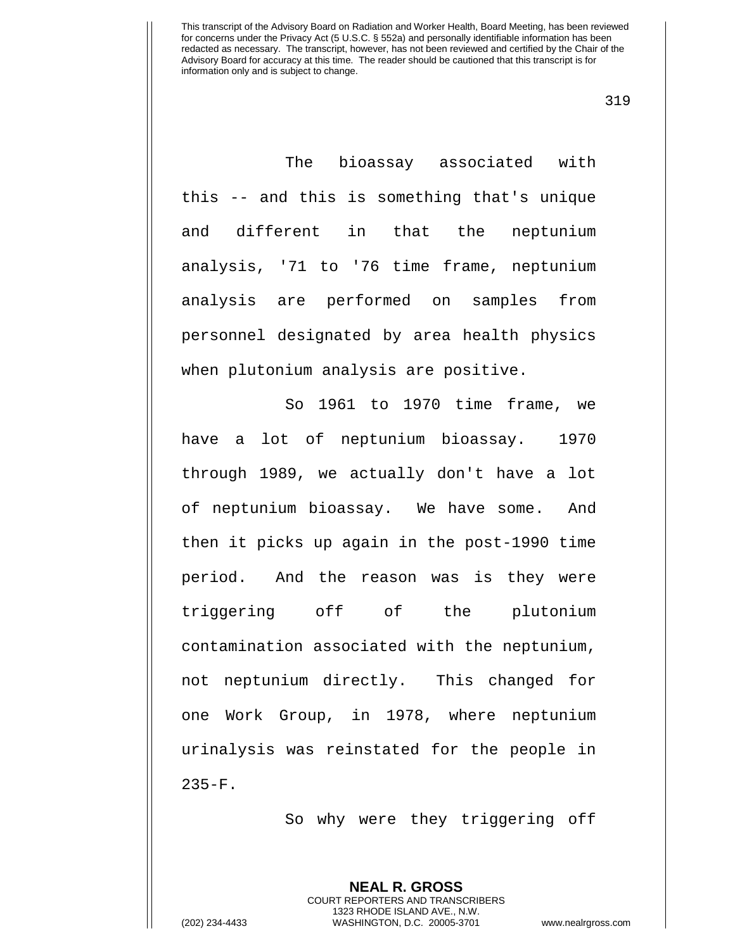319

The bioassay associated with this -- and this is something that's unique and different in that the neptunium analysis, '71 to '76 time frame, neptunium analysis are performed on samples from personnel designated by area health physics when plutonium analysis are positive.

So 1961 to 1970 time frame, we have a lot of neptunium bioassay. 1970 through 1989, we actually don't have a lot of neptunium bioassay. We have some. And then it picks up again in the post-1990 time period. And the reason was is they were triggering off of the plutonium contamination associated with the neptunium, not neptunium directly. This changed for one Work Group, in 1978, where neptunium urinalysis was reinstated for the people in 235-F.

So why were they triggering off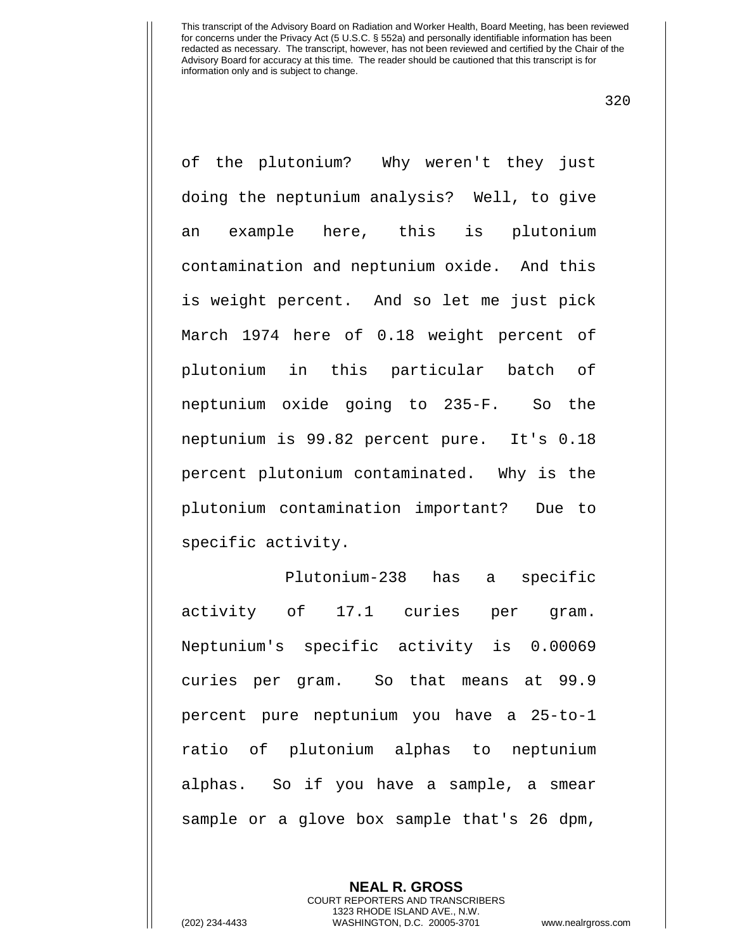320

of the plutonium? Why weren't they just doing the neptunium analysis? Well, to give an example here, this is plutonium contamination and neptunium oxide. And this is weight percent. And so let me just pick March 1974 here of 0.18 weight percent of plutonium in this particular batch of neptunium oxide going to 235-F. So the neptunium is 99.82 percent pure. It's 0.18 percent plutonium contaminated. Why is the plutonium contamination important? Due to specific activity.

Plutonium-238 has a specific activity of 17.1 curies per gram. Neptunium's specific activity is 0.00069 curies per gram. So that means at 99.9 percent pure neptunium you have a 25-to-1 ratio of plutonium alphas to neptunium alphas. So if you have a sample, a smear sample or a glove box sample that's 26 dpm,

> **NEAL R. GROSS** COURT REPORTERS AND TRANSCRIBERS 1323 RHODE ISLAND AVE., N.W.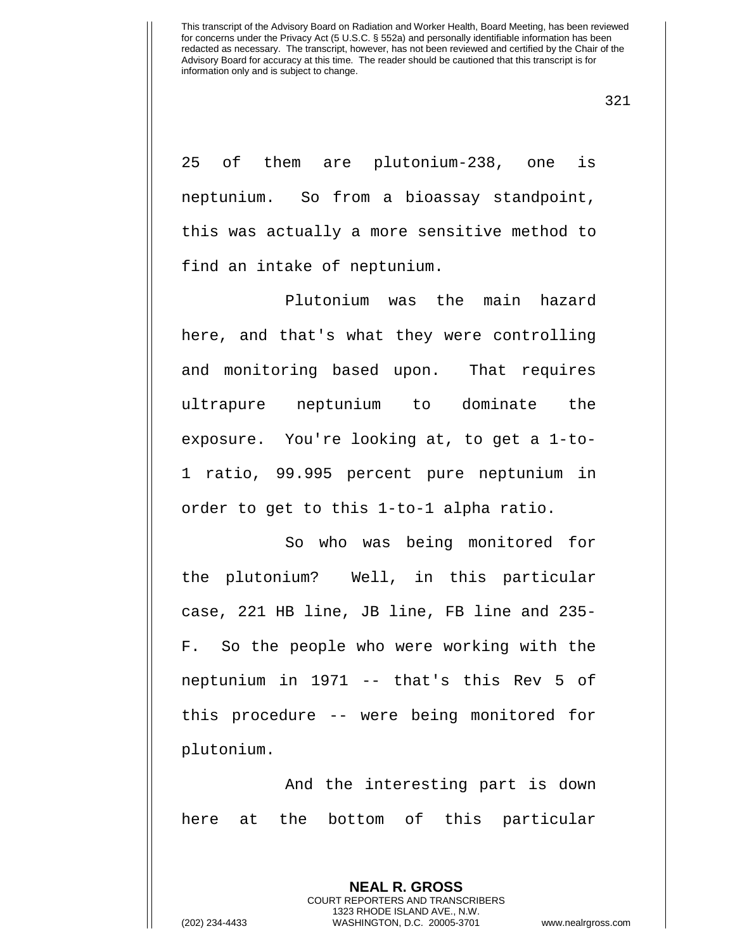321

25 of them are plutonium-238, one is neptunium. So from a bioassay standpoint, this was actually a more sensitive method to find an intake of neptunium.

Plutonium was the main hazard here, and that's what they were controlling and monitoring based upon. That requires ultrapure neptunium to dominate the exposure. You're looking at, to get a 1-to-1 ratio, 99.995 percent pure neptunium in order to get to this 1-to-1 alpha ratio.

So who was being monitored for the plutonium? Well, in this particular case, 221 HB line, JB line, FB line and 235- F. So the people who were working with the neptunium in 1971 -- that's this Rev 5 of this procedure -- were being monitored for plutonium.

And the interesting part is down here at the bottom of this particular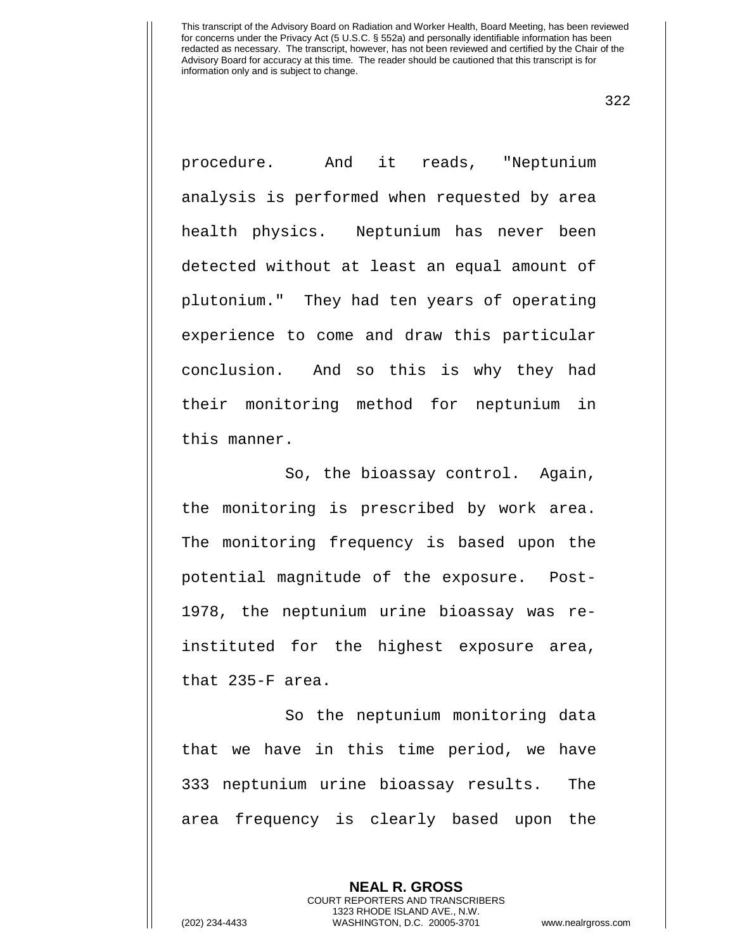322

procedure. And it reads, "Neptunium analysis is performed when requested by area health physics. Neptunium has never been detected without at least an equal amount of plutonium." They had ten years of operating experience to come and draw this particular conclusion. And so this is why they had their monitoring method for neptunium in this manner.

So, the bioassay control. Again, the monitoring is prescribed by work area. The monitoring frequency is based upon the potential magnitude of the exposure. Post-1978, the neptunium urine bioassay was reinstituted for the highest exposure area, that 235-F area.

So the neptunium monitoring data that we have in this time period, we have 333 neptunium urine bioassay results. The area frequency is clearly based upon the

> **NEAL R. GROSS** COURT REPORTERS AND TRANSCRIBERS 1323 RHODE ISLAND AVE., N.W.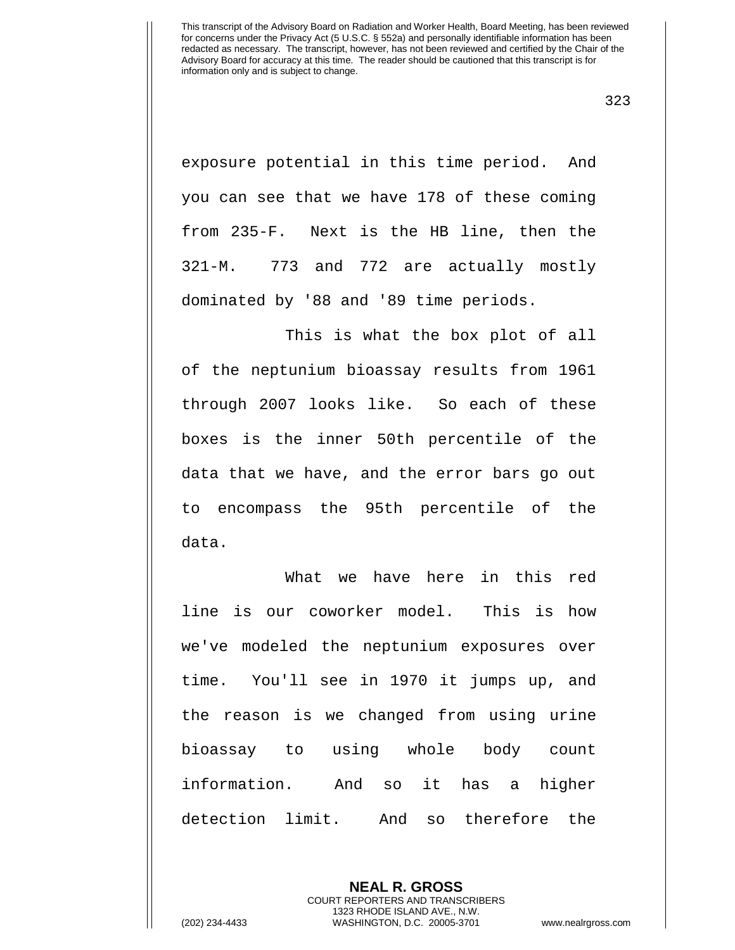323

exposure potential in this time period. And you can see that we have 178 of these coming from 235-F. Next is the HB line, then the 321-M. 773 and 772 are actually mostly dominated by '88 and '89 time periods.

This is what the box plot of all of the neptunium bioassay results from 1961 through 2007 looks like. So each of these boxes is the inner 50th percentile of the data that we have, and the error bars go out to encompass the 95th percentile of the data.

What we have here in this red line is our coworker model. This is how we've modeled the neptunium exposures over time. You'll see in 1970 it jumps up, and the reason is we changed from using urine bioassay to using whole body count information. And so it has a higher detection limit. And so therefore the

> **NEAL R. GROSS** COURT REPORTERS AND TRANSCRIBERS 1323 RHODE ISLAND AVE., N.W.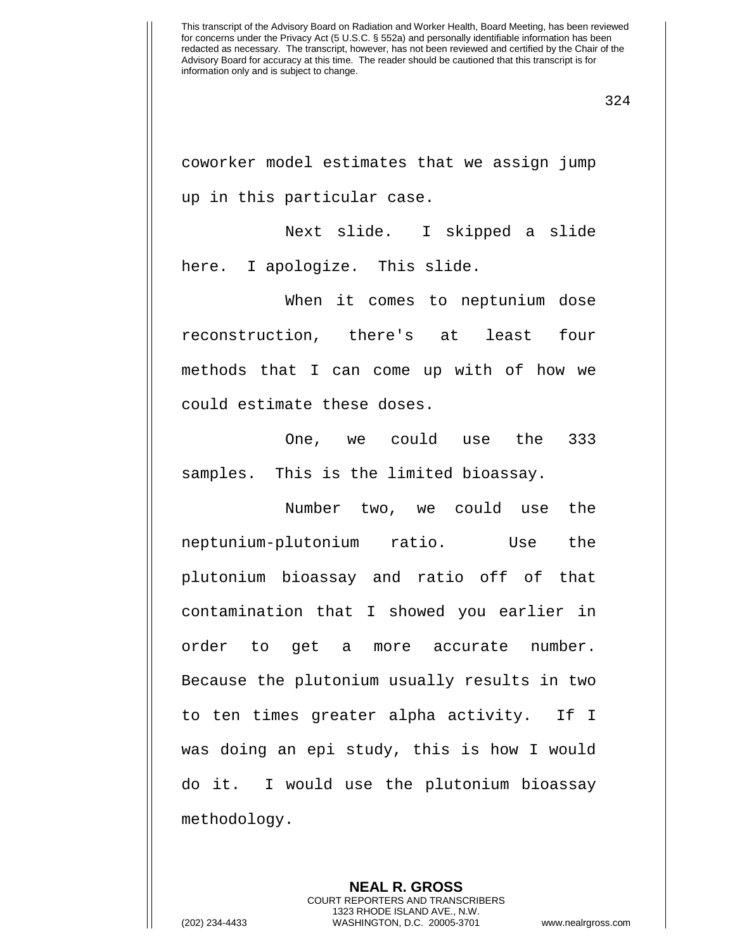coworker model estimates that we assign jump up in this particular case.

Next slide. I skipped a slide here. I apologize. This slide.

When it comes to neptunium dose reconstruction, there's at least four methods that I can come up with of how we could estimate these doses.

One, we could use the 333 samples. This is the limited bioassay.

Number two, we could use the neptunium-plutonium ratio. Use the plutonium bioassay and ratio off of that contamination that I showed you earlier in order to get a more accurate number. Because the plutonium usually results in two to ten times greater alpha activity. If I was doing an epi study, this is how I would do it. I would use the plutonium bioassay methodology.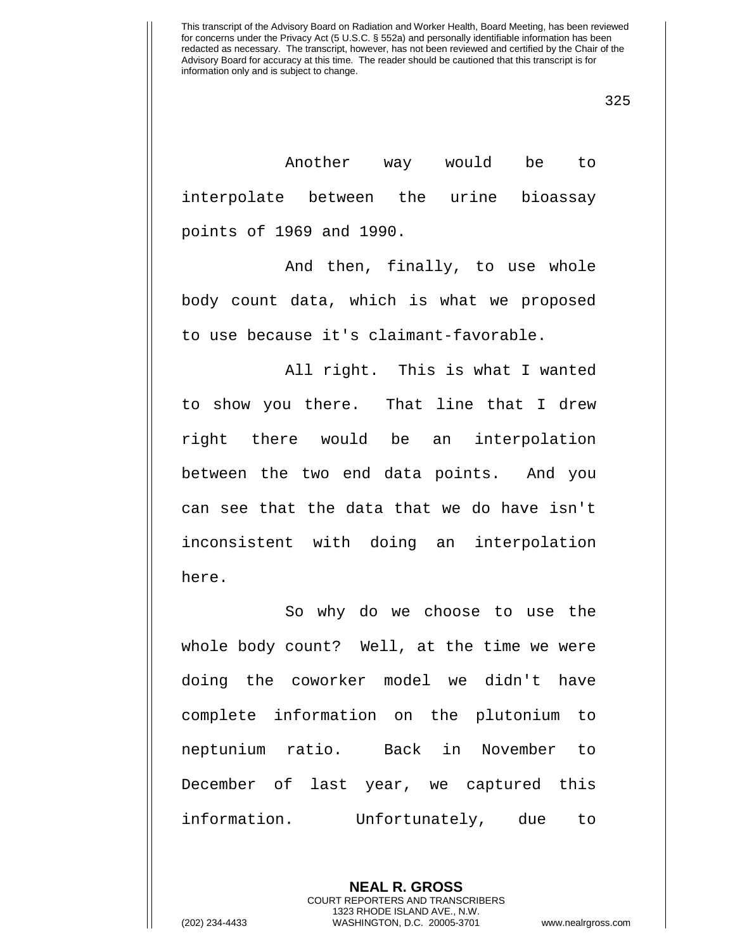325

Another way would be to interpolate between the urine bioassay points of 1969 and 1990.

And then, finally, to use whole body count data, which is what we proposed to use because it's claimant-favorable.

All right. This is what I wanted to show you there. That line that I drew right there would be an interpolation between the two end data points. And you can see that the data that we do have isn't inconsistent with doing an interpolation here.

So why do we choose to use the whole body count? Well, at the time we were doing the coworker model we didn't have complete information on the plutonium to neptunium ratio. Back in November to December of last year, we captured this information. Unfortunately, due to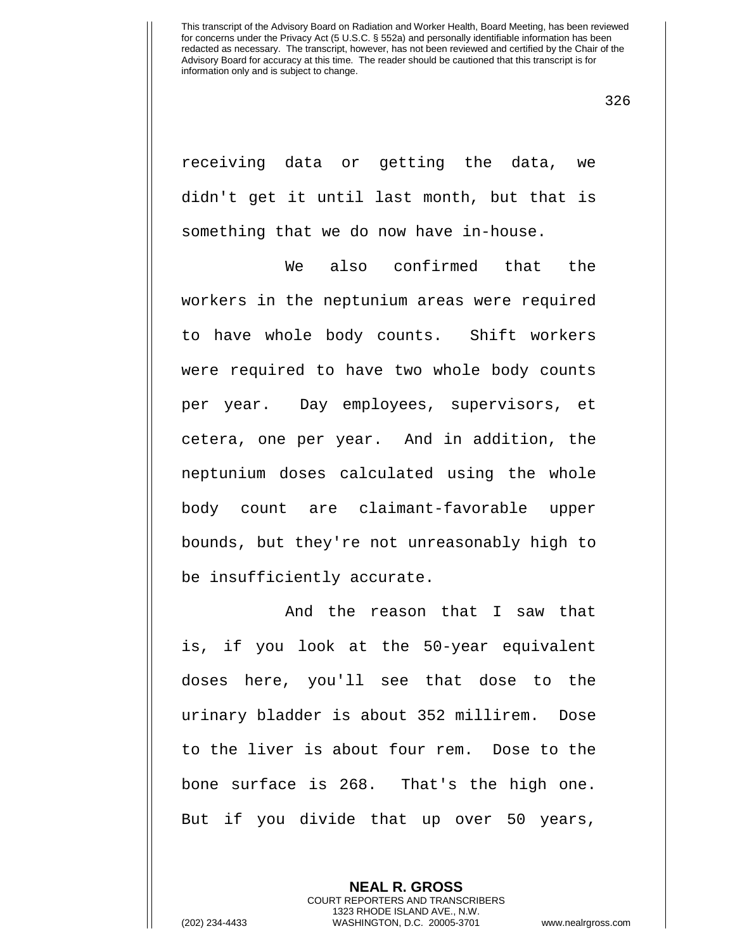326

receiving data or getting the data, we didn't get it until last month, but that is something that we do now have in-house.

We also confirmed that the workers in the neptunium areas were required to have whole body counts. Shift workers were required to have two whole body counts per year. Day employees, supervisors, et cetera, one per year. And in addition, the neptunium doses calculated using the whole body count are claimant-favorable upper bounds, but they're not unreasonably high to be insufficiently accurate.

And the reason that I saw that is, if you look at the 50-year equivalent doses here, you'll see that dose to the urinary bladder is about 352 millirem. Dose to the liver is about four rem. Dose to the bone surface is 268. That's the high one. But if you divide that up over 50 years,

> **NEAL R. GROSS** COURT REPORTERS AND TRANSCRIBERS 1323 RHODE ISLAND AVE., N.W.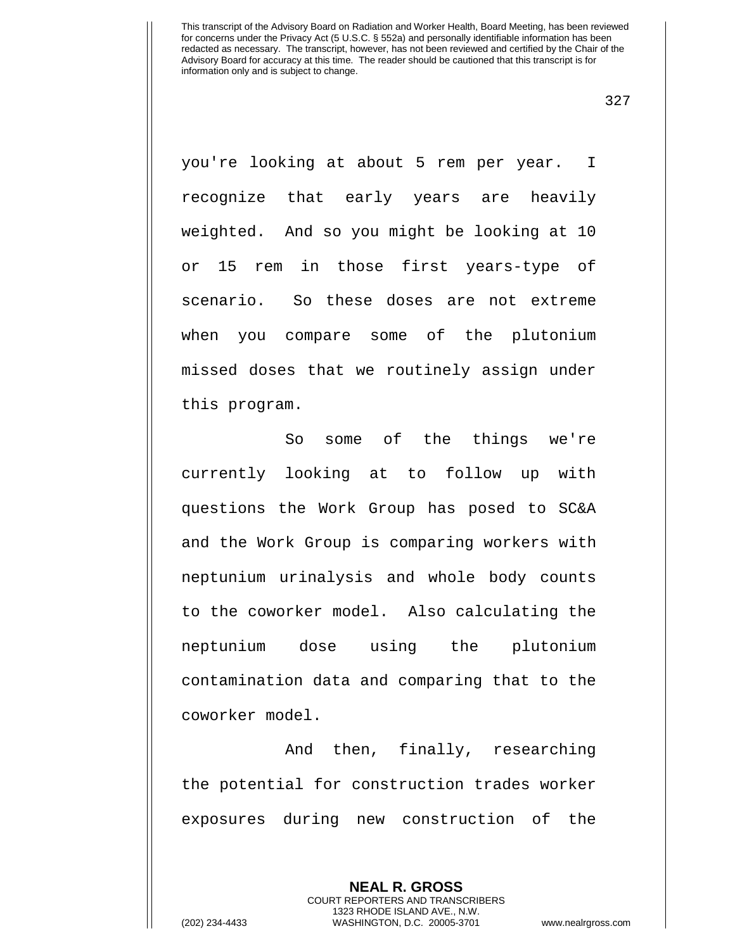327

you're looking at about 5 rem per year. I recognize that early years are heavily weighted. And so you might be looking at 10 or 15 rem in those first years-type of scenario. So these doses are not extreme when you compare some of the plutonium missed doses that we routinely assign under this program.

So some of the things we're currently looking at to follow up with questions the Work Group has posed to SC&A and the Work Group is comparing workers with neptunium urinalysis and whole body counts to the coworker model. Also calculating the neptunium dose using the plutonium contamination data and comparing that to the coworker model.

And then, finally, researching the potential for construction trades worker exposures during new construction of the

> **NEAL R. GROSS** COURT REPORTERS AND TRANSCRIBERS 1323 RHODE ISLAND AVE., N.W.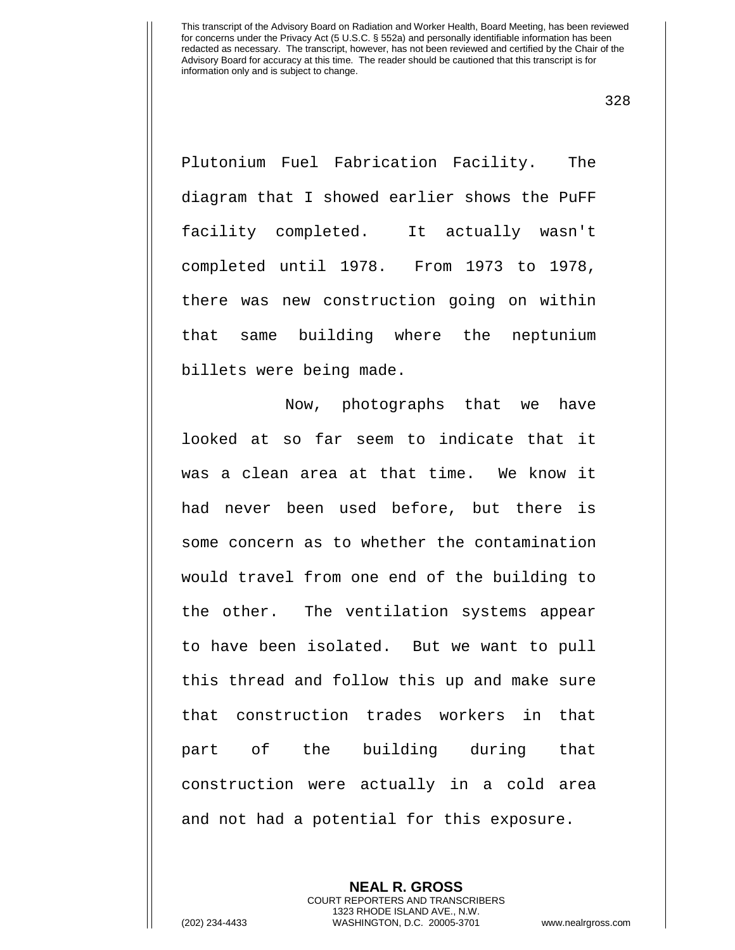328

Plutonium Fuel Fabrication Facility. The diagram that I showed earlier shows the PuFF facility completed. It actually wasn't completed until 1978. From 1973 to 1978, there was new construction going on within that same building where the neptunium billets were being made.

Now, photographs that we have looked at so far seem to indicate that it was a clean area at that time. We know it had never been used before, but there is some concern as to whether the contamination would travel from one end of the building to the other. The ventilation systems appear to have been isolated. But we want to pull this thread and follow this up and make sure that construction trades workers in that part of the building during that construction were actually in a cold area and not had a potential for this exposure.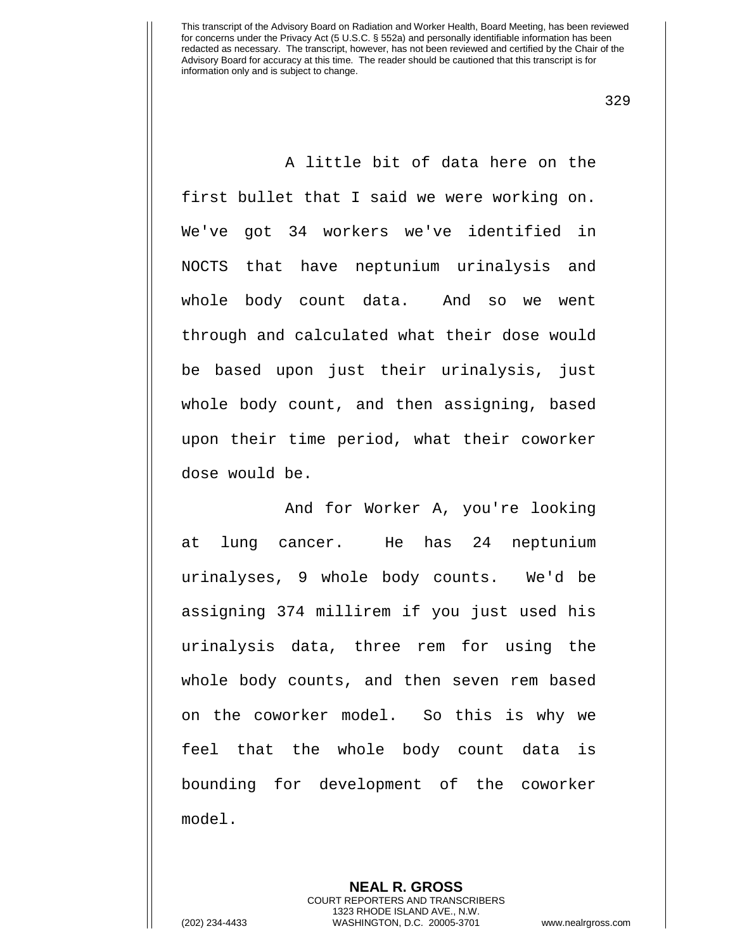329

A little bit of data here on the first bullet that I said we were working on. We've got 34 workers we've identified in NOCTS that have neptunium urinalysis and whole body count data. And so we went through and calculated what their dose would be based upon just their urinalysis, just whole body count, and then assigning, based upon their time period, what their coworker dose would be.

 And for Worker A, you're looking at lung cancer. He has 24 neptunium urinalyses, 9 whole body counts. We'd be assigning 374 millirem if you just used his urinalysis data, three rem for using the whole body counts, and then seven rem based on the coworker model. So this is why we feel that the whole body count data is bounding for development of the coworker model.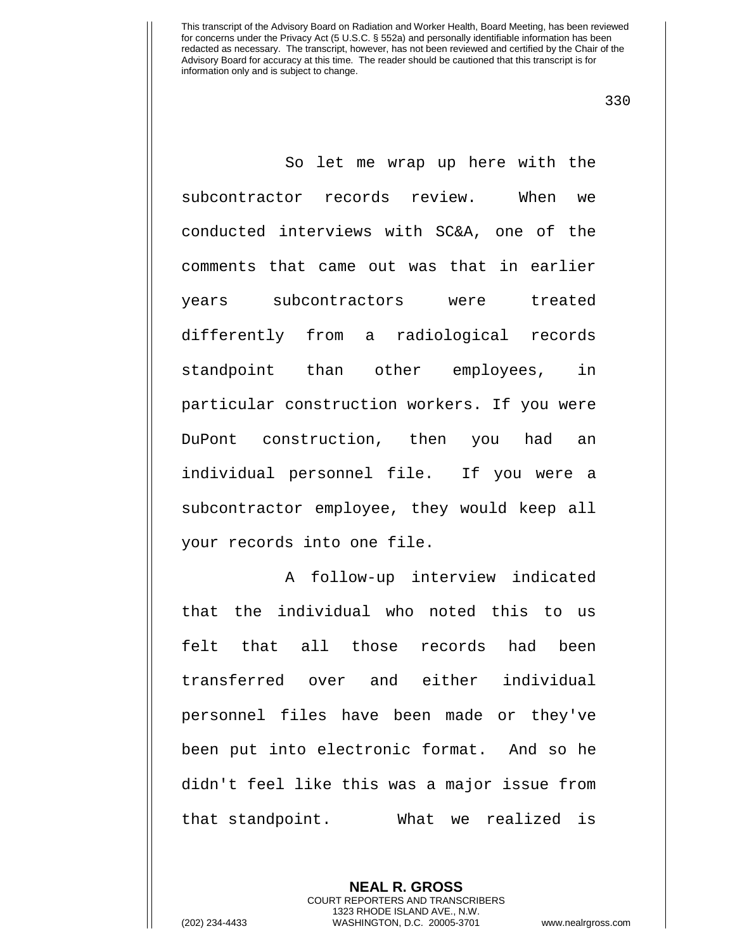330

So let me wrap up here with the subcontractor records review. When we conducted interviews with SC&A, one of the comments that came out was that in earlier years subcontractors were treated differently from a radiological records standpoint than other employees, in particular construction workers. If you were DuPont construction, then you had an individual personnel file. If you were a subcontractor employee, they would keep all your records into one file.

A follow-up interview indicated that the individual who noted this to us felt that all those records had been transferred over and either individual personnel files have been made or they've been put into electronic format. And so he didn't feel like this was a major issue from that standpoint. What we realized is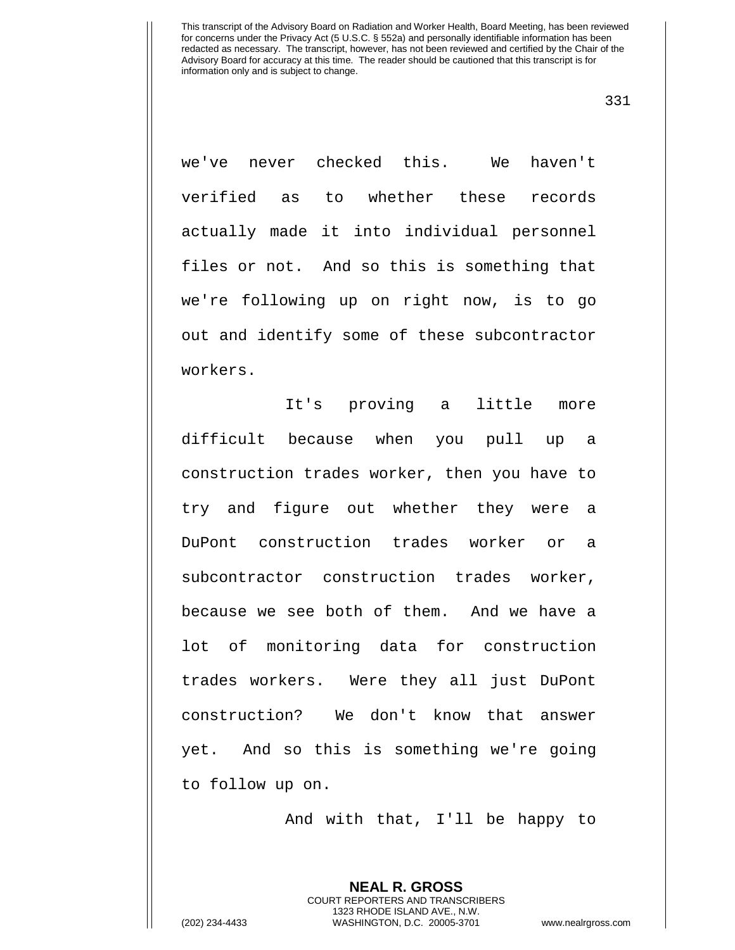331

we've never checked this. We haven't verified as to whether these records actually made it into individual personnel files or not. And so this is something that we're following up on right now, is to go out and identify some of these subcontractor workers.

It's proving a little more difficult because when you pull up a construction trades worker, then you have to try and figure out whether they were a DuPont construction trades worker or a subcontractor construction trades worker, because we see both of them. And we have a lot of monitoring data for construction trades workers. Were they all just DuPont construction? We don't know that answer yet. And so this is something we're going to follow up on.

And with that, I'll be happy to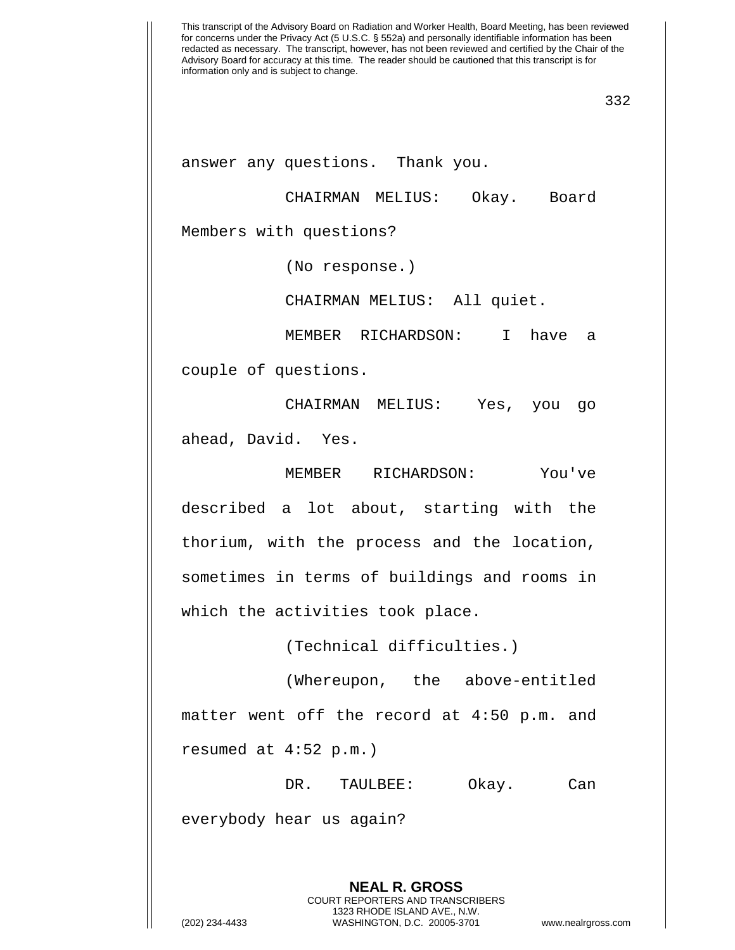answer any questions. Thank you.

CHAIRMAN MELIUS: Okay. Board Members with questions?

(No response.)

CHAIRMAN MELIUS: All quiet.

MEMBER RICHARDSON: I have a couple of questions.

CHAIRMAN MELIUS: Yes, you go ahead, David. Yes.

MEMBER RICHARDSON: You've described a lot about, starting with the thorium, with the process and the location, sometimes in terms of buildings and rooms in which the activities took place.

(Technical difficulties.)

(Whereupon, the above-entitled matter went off the record at 4:50 p.m. and resumed at 4:52 p.m.)

DR. TAULBEE: Okay. Can

everybody hear us again?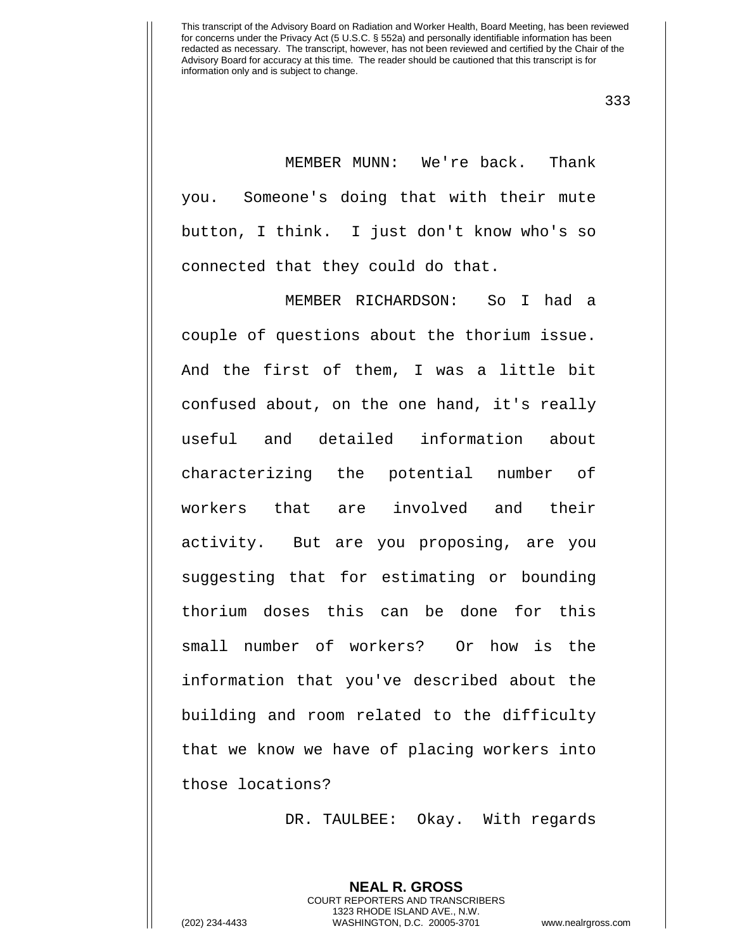333

MEMBER MUNN: We're back. Thank you. Someone's doing that with their mute button, I think. I just don't know who's so connected that they could do that.

MEMBER RICHARDSON: So I had a couple of questions about the thorium issue. And the first of them, I was a little bit confused about, on the one hand, it's really useful and detailed information about characterizing the potential number of workers that are involved and their activity. But are you proposing, are you suggesting that for estimating or bounding thorium doses this can be done for this small number of workers? Or how is the information that you've described about the building and room related to the difficulty that we know we have of placing workers into those locations?

DR. TAULBEE: Okay. With regards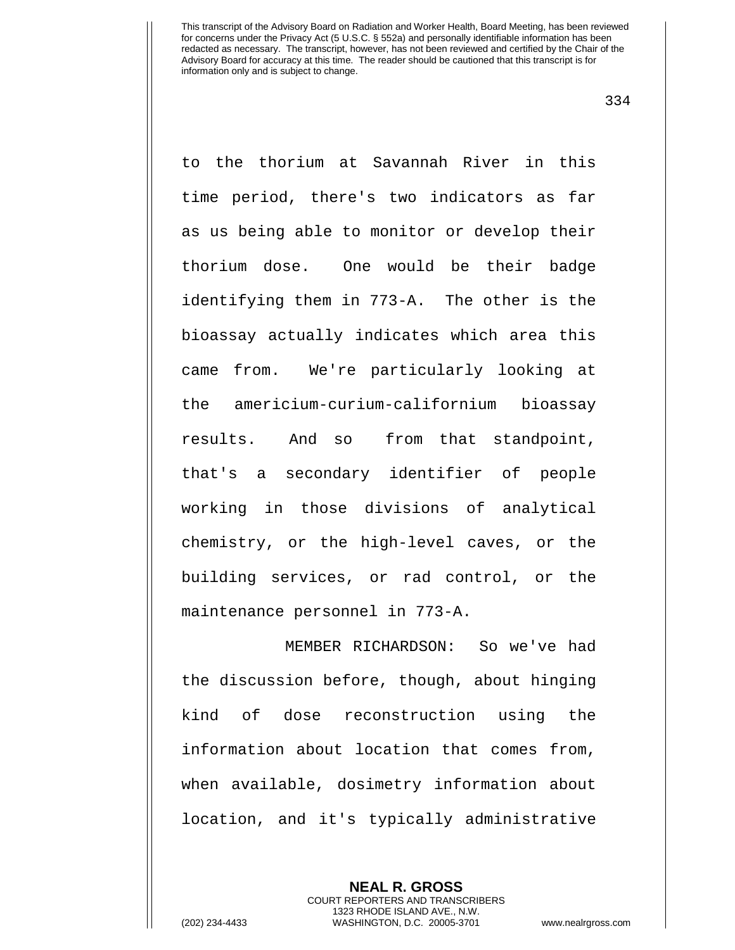334

to the thorium at Savannah River in this time period, there's two indicators as far as us being able to monitor or develop their thorium dose. One would be their badge identifying them in 773-A. The other is the bioassay actually indicates which area this came from. We're particularly looking at the americium-curium-californium bioassay results. And so from that standpoint, that's a secondary identifier of people working in those divisions of analytical chemistry, or the high-level caves, or the building services, or rad control, or the maintenance personnel in 773-A.

MEMBER RICHARDSON: So we've had the discussion before, though, about hinging kind of dose reconstruction using the information about location that comes from, when available, dosimetry information about location, and it's typically administrative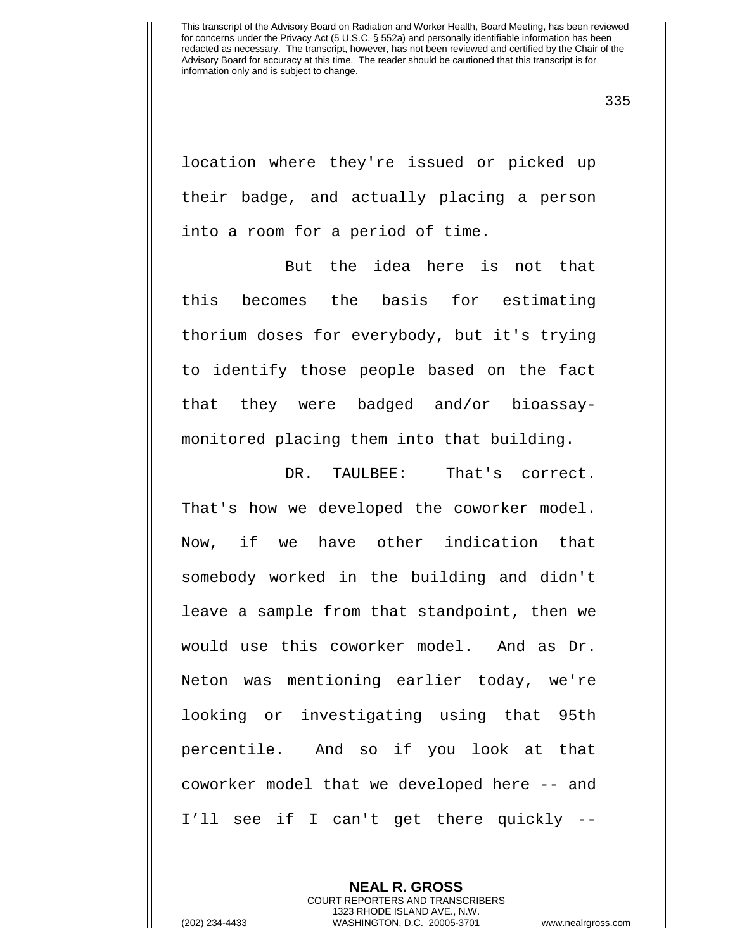335

location where they're issued or picked up their badge, and actually placing a person into a room for a period of time.

But the idea here is not that this becomes the basis for estimating thorium doses for everybody, but it's trying to identify those people based on the fact that they were badged and/or bioassaymonitored placing them into that building.

DR. TAULBEE: That's correct. That's how we developed the coworker model. Now, if we have other indication that somebody worked in the building and didn't leave a sample from that standpoint, then we would use this coworker model. And as Dr. Neton was mentioning earlier today, we're looking or investigating using that 95th percentile. And so if you look at that coworker model that we developed here -- and I'll see if I can't get there quickly --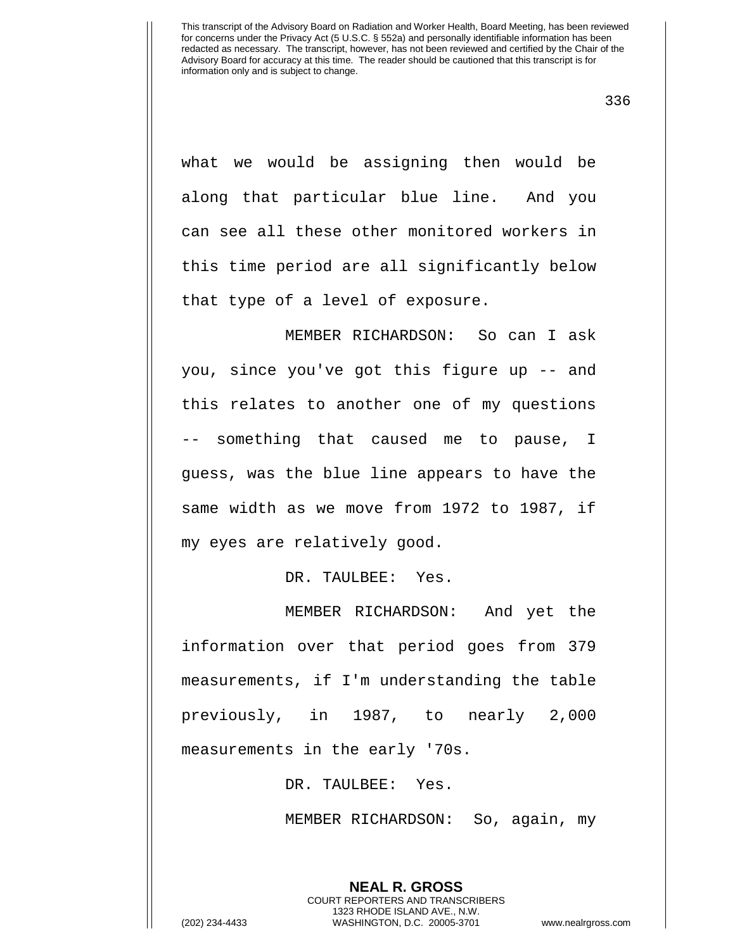336

what we would be assigning then would be along that particular blue line. And you can see all these other monitored workers in this time period are all significantly below that type of a level of exposure.

MEMBER RICHARDSON: So can I ask you, since you've got this figure up -- and this relates to another one of my questions -- something that caused me to pause, I guess, was the blue line appears to have the same width as we move from 1972 to 1987, if my eyes are relatively good.

DR. TAULBEE: Yes.

MEMBER RICHARDSON: And yet the information over that period goes from 379 measurements, if I'm understanding the table previously, in 1987, to nearly 2,000 measurements in the early '70s.

DR. TAULBEE: Yes.

MEMBER RICHARDSON: So, again, my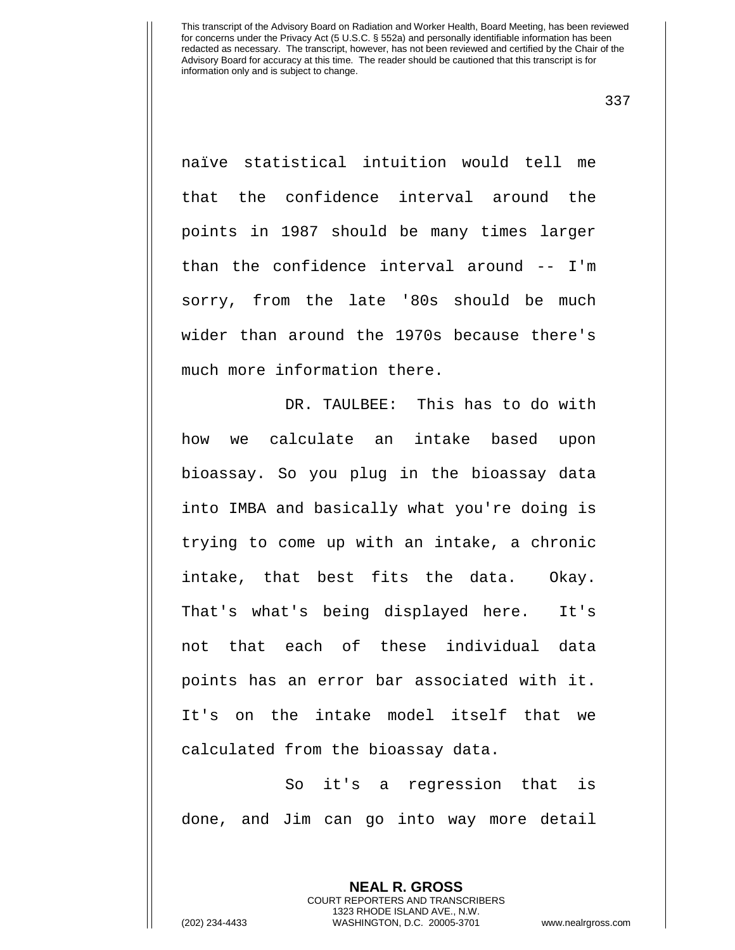337

naïve statistical intuition would tell me that the confidence interval around the points in 1987 should be many times larger than the confidence interval around -- I'm sorry, from the late '80s should be much wider than around the 1970s because there's much more information there.

DR. TAULBEE: This has to do with how we calculate an intake based upon bioassay. So you plug in the bioassay data into IMBA and basically what you're doing is trying to come up with an intake, a chronic intake, that best fits the data. Okay. That's what's being displayed here. It's not that each of these individual data points has an error bar associated with it. It's on the intake model itself that we calculated from the bioassay data.

So it's a regression that is done, and Jim can go into way more detail

> **NEAL R. GROSS** COURT REPORTERS AND TRANSCRIBERS 1323 RHODE ISLAND AVE., N.W.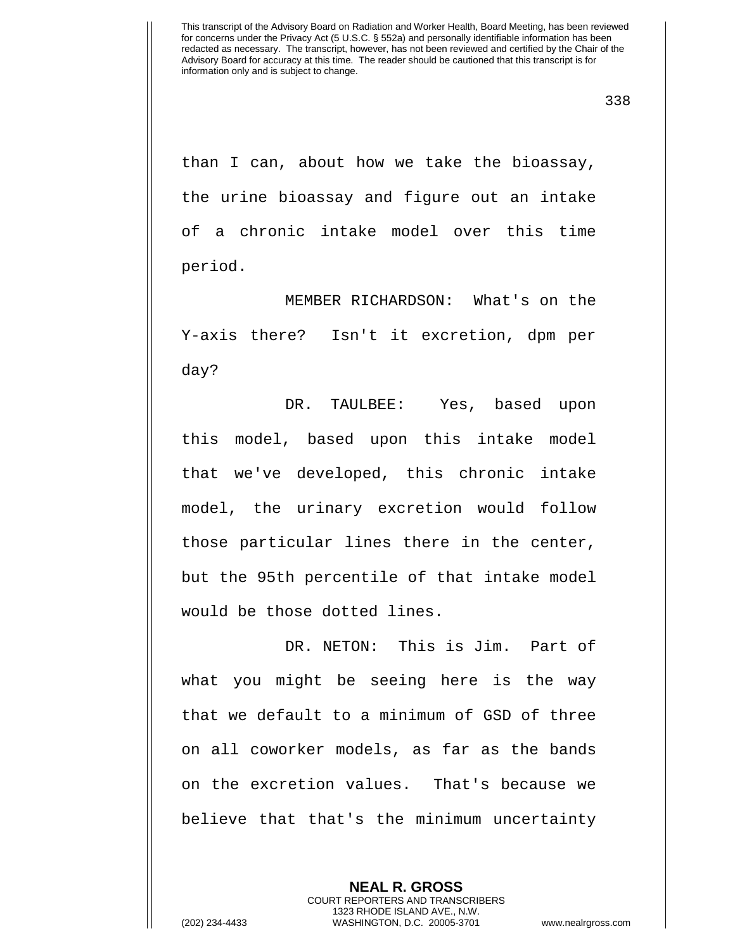than I can, about how we take the bioassay, the urine bioassay and figure out an intake of a chronic intake model over this time period.

MEMBER RICHARDSON: What's on the Y-axis there? Isn't it excretion, dpm per day?

DR. TAULBEE: Yes, based upon this model, based upon this intake model that we've developed, this chronic intake model, the urinary excretion would follow those particular lines there in the center, but the 95th percentile of that intake model would be those dotted lines.

DR. NETON: This is Jim. Part of what you might be seeing here is the way that we default to a minimum of GSD of three on all coworker models, as far as the bands on the excretion values. That's because we believe that that's the minimum uncertainty

> **NEAL R. GROSS** COURT REPORTERS AND TRANSCRIBERS 1323 RHODE ISLAND AVE., N.W.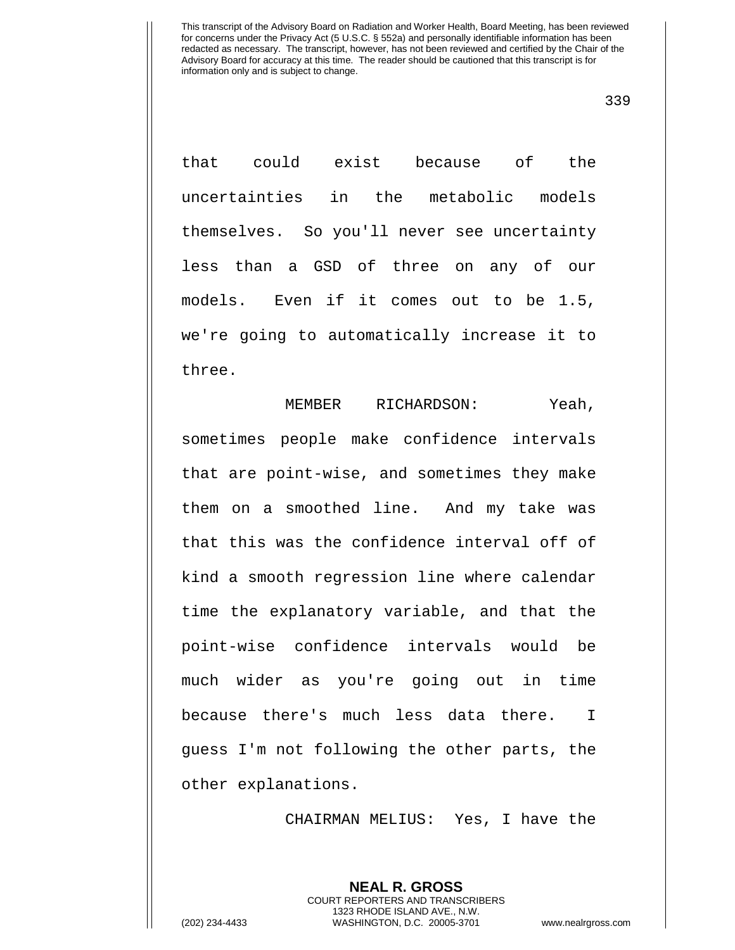339

that could exist because of the uncertainties in the metabolic models themselves. So you'll never see uncertainty less than a GSD of three on any of our models. Even if it comes out to be 1.5, we're going to automatically increase it to three.

MEMBER RICHARDSON: Yeah, sometimes people make confidence intervals that are point-wise, and sometimes they make them on a smoothed line. And my take was that this was the confidence interval off of kind a smooth regression line where calendar time the explanatory variable, and that the point-wise confidence intervals would be much wider as you're going out in time because there's much less data there. I guess I'm not following the other parts, the other explanations.

CHAIRMAN MELIUS: Yes, I have the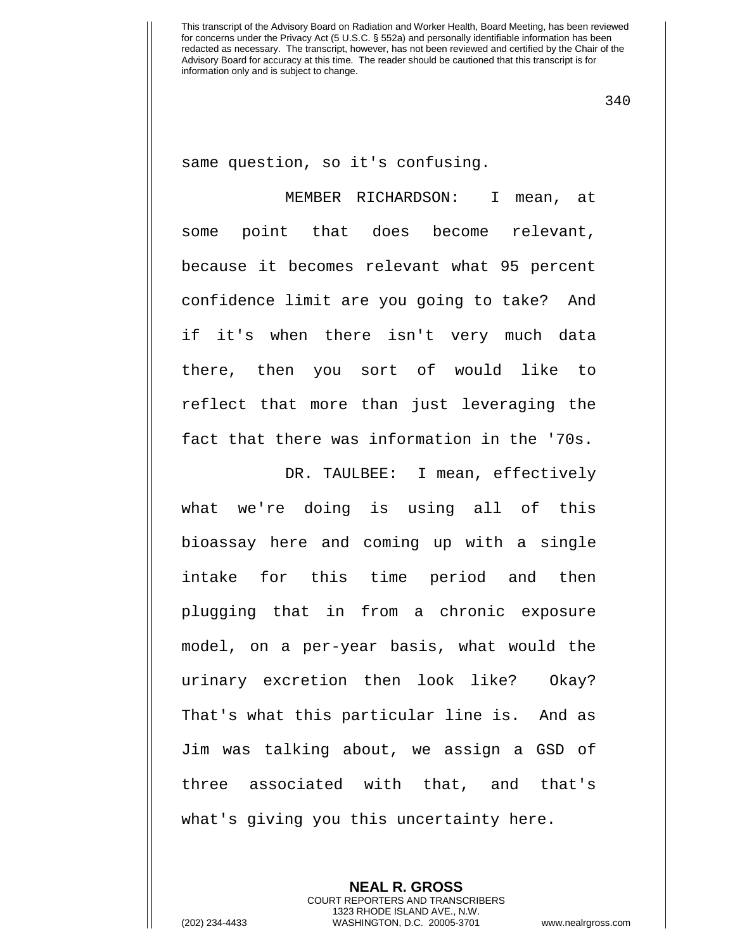340

same question, so it's confusing.

MEMBER RICHARDSON: I mean, at some point that does become relevant, because it becomes relevant what 95 percent confidence limit are you going to take? And if it's when there isn't very much data there, then you sort of would like to reflect that more than just leveraging the fact that there was information in the '70s.

DR. TAULBEE: I mean, effectively what we're doing is using all of this bioassay here and coming up with a single intake for this time period and then plugging that in from a chronic exposure model, on a per-year basis, what would the urinary excretion then look like? Okay? That's what this particular line is. And as Jim was talking about, we assign a GSD of three associated with that, and that's what's giving you this uncertainty here.

> **NEAL R. GROSS** COURT REPORTERS AND TRANSCRIBERS 1323 RHODE ISLAND AVE., N.W.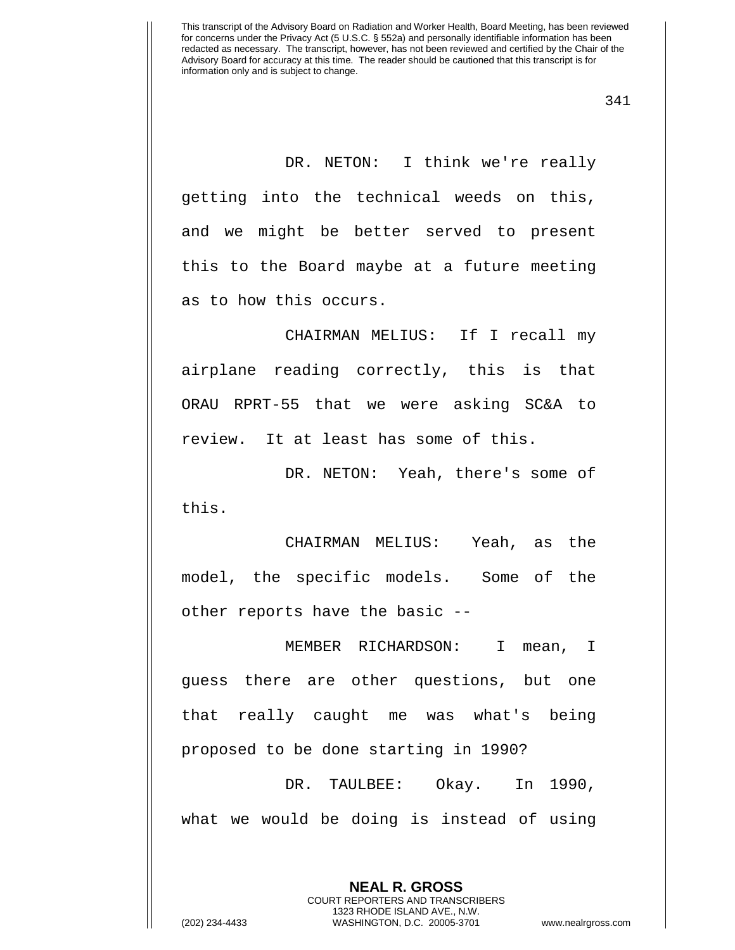341

DR. NETON: I think we're really getting into the technical weeds on this, and we might be better served to present this to the Board maybe at a future meeting as to how this occurs.

CHAIRMAN MELIUS: If I recall my airplane reading correctly, this is that ORAU RPRT-55 that we were asking SC&A to review. It at least has some of this.

DR. NETON: Yeah, there's some of this.

CHAIRMAN MELIUS: Yeah, as the model, the specific models. Some of the other reports have the basic --

MEMBER RICHARDSON: I mean, I guess there are other questions, but one that really caught me was what's being proposed to be done starting in 1990?

DR. TAULBEE: Okay. In 1990, what we would be doing is instead of using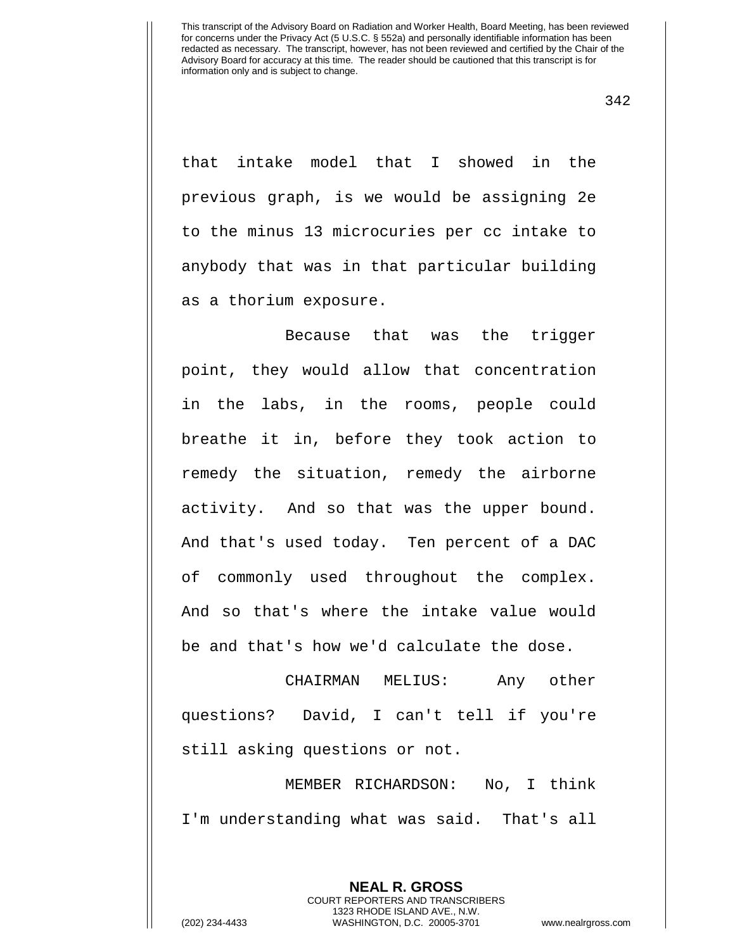342

that intake model that I showed in the previous graph, is we would be assigning 2e to the minus 13 microcuries per cc intake to anybody that was in that particular building as a thorium exposure.

Because that was the trigger point, they would allow that concentration in the labs, in the rooms, people could breathe it in, before they took action to remedy the situation, remedy the airborne activity. And so that was the upper bound. And that's used today. Ten percent of a DAC of commonly used throughout the complex. And so that's where the intake value would be and that's how we'd calculate the dose.

CHAIRMAN MELIUS: Any other questions? David, I can't tell if you're still asking questions or not.

MEMBER RICHARDSON: No, I think I'm understanding what was said. That's all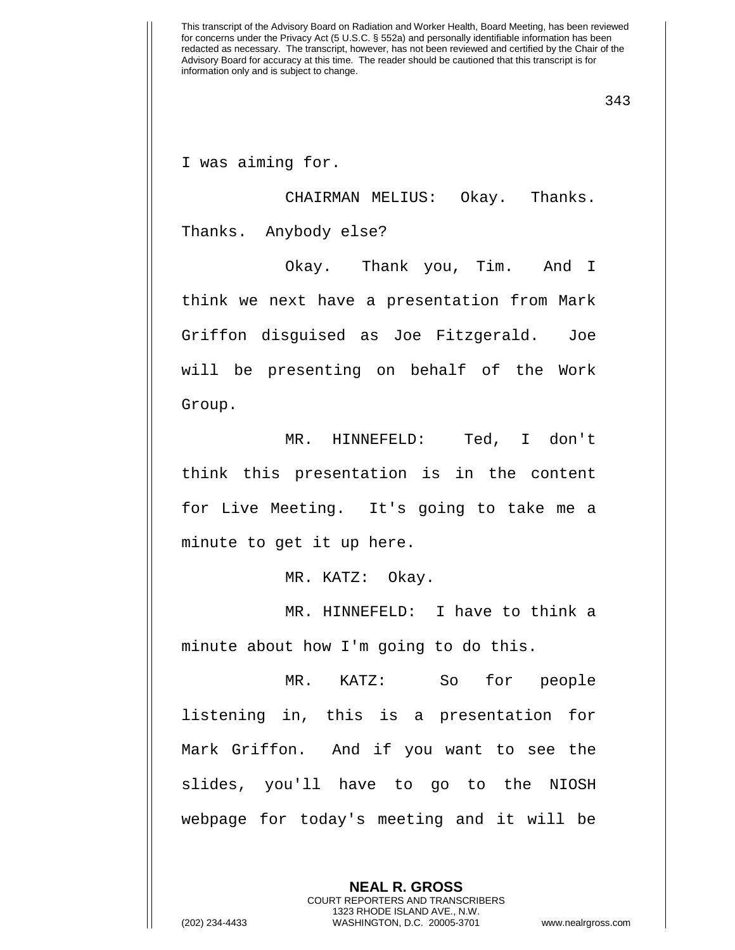I was aiming for.

CHAIRMAN MELIUS: Okay. Thanks. Thanks. Anybody else?

Okay. Thank you, Tim. And I think we next have a presentation from Mark Griffon disguised as Joe Fitzgerald. Joe will be presenting on behalf of the Work Group.

MR. HINNEFELD: Ted, I don't think this presentation is in the content for Live Meeting. It's going to take me a minute to get it up here.

MR. KATZ: Okay.

MR. HINNEFELD: I have to think a minute about how I'm going to do this.

MR. KATZ: So for people listening in, this is a presentation for Mark Griffon. And if you want to see the slides, you'll have to go to the NIOSH webpage for today's meeting and it will be

> **NEAL R. GROSS** COURT REPORTERS AND TRANSCRIBERS 1323 RHODE ISLAND AVE., N.W.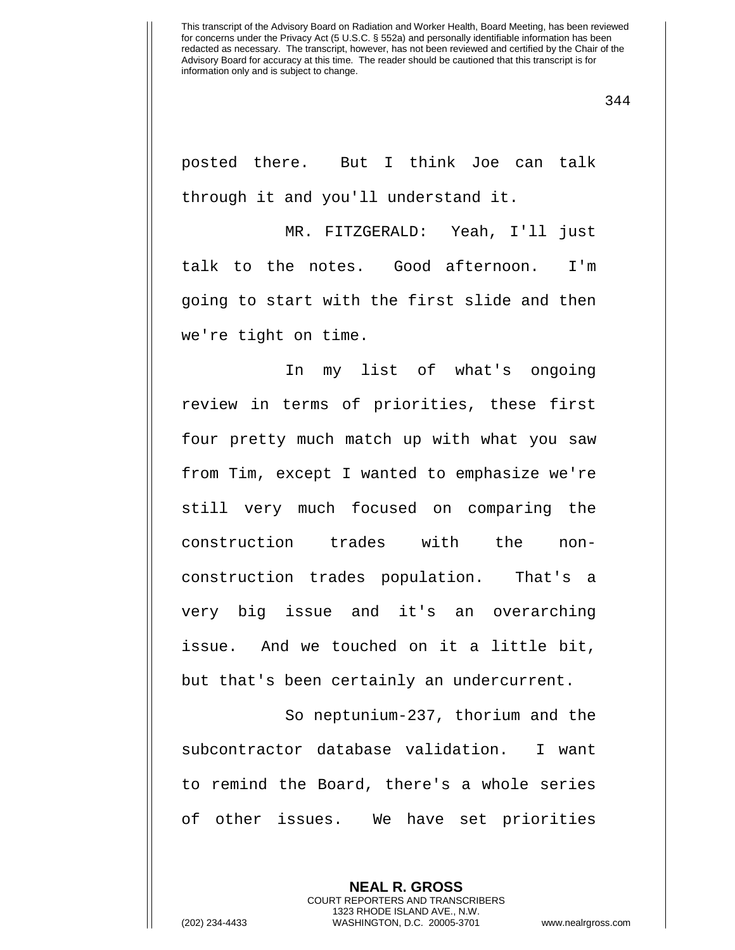344

posted there. But I think Joe can talk through it and you'll understand it.

MR. FITZGERALD: Yeah, I'll just talk to the notes. Good afternoon. I'm going to start with the first slide and then we're tight on time.

In my list of what's ongoing review in terms of priorities, these first four pretty much match up with what you saw from Tim, except I wanted to emphasize we're still very much focused on comparing the construction trades with the nonconstruction trades population. That's a very big issue and it's an overarching issue. And we touched on it a little bit, but that's been certainly an undercurrent.

So neptunium-237, thorium and the subcontractor database validation. I want to remind the Board, there's a whole series of other issues. We have set priorities

> **NEAL R. GROSS** COURT REPORTERS AND TRANSCRIBERS 1323 RHODE ISLAND AVE., N.W.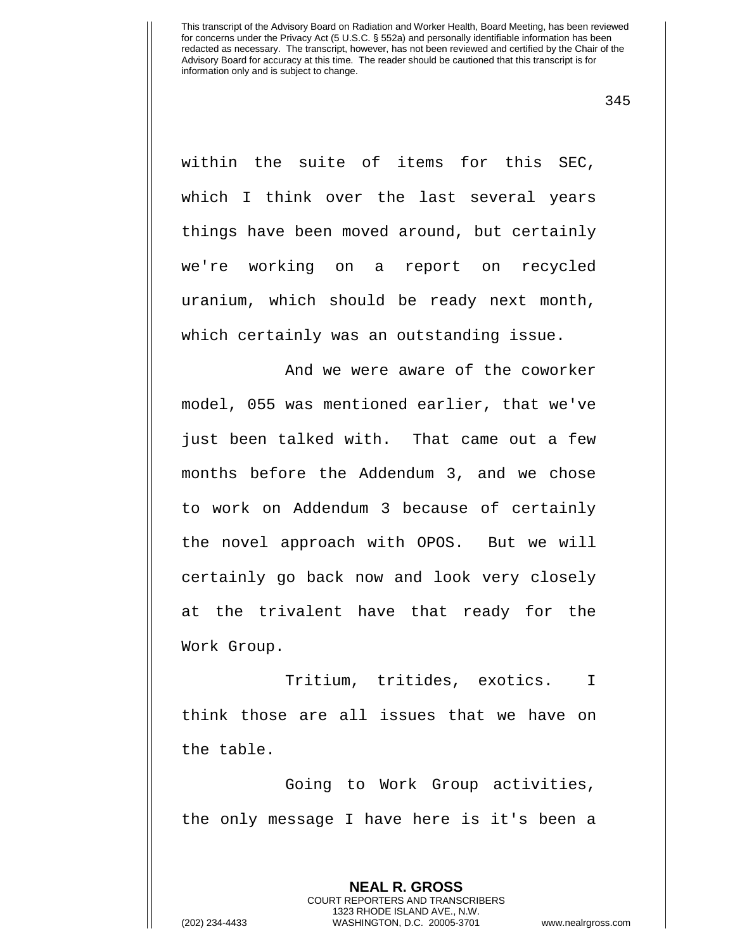345

within the suite of items for this SEC, which I think over the last several years things have been moved around, but certainly we're working on a report on recycled uranium, which should be ready next month, which certainly was an outstanding issue.

And we were aware of the coworker model, 055 was mentioned earlier, that we've just been talked with. That came out a few months before the Addendum 3, and we chose to work on Addendum 3 because of certainly the novel approach with OPOS. But we will certainly go back now and look very closely at the trivalent have that ready for the Work Group.

Tritium, tritides, exotics. I think those are all issues that we have on the table.

Going to Work Group activities, the only message I have here is it's been a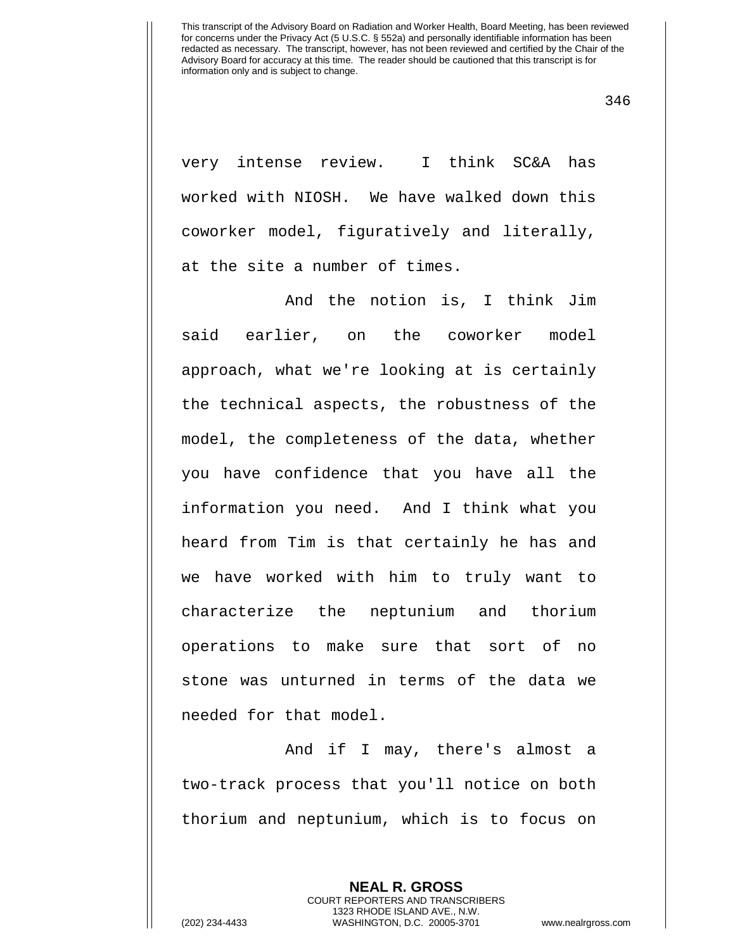346

very intense review. I think SC&A has worked with NIOSH. We have walked down this coworker model, figuratively and literally, at the site a number of times.

And the notion is, I think Jim said earlier, on the coworker model approach, what we're looking at is certainly the technical aspects, the robustness of the model, the completeness of the data, whether you have confidence that you have all the information you need. And I think what you heard from Tim is that certainly he has and we have worked with him to truly want to characterize the neptunium and thorium operations to make sure that sort of no stone was unturned in terms of the data we needed for that model.

And if I may, there's almost a two-track process that you'll notice on both thorium and neptunium, which is to focus on

> **NEAL R. GROSS** COURT REPORTERS AND TRANSCRIBERS 1323 RHODE ISLAND AVE., N.W.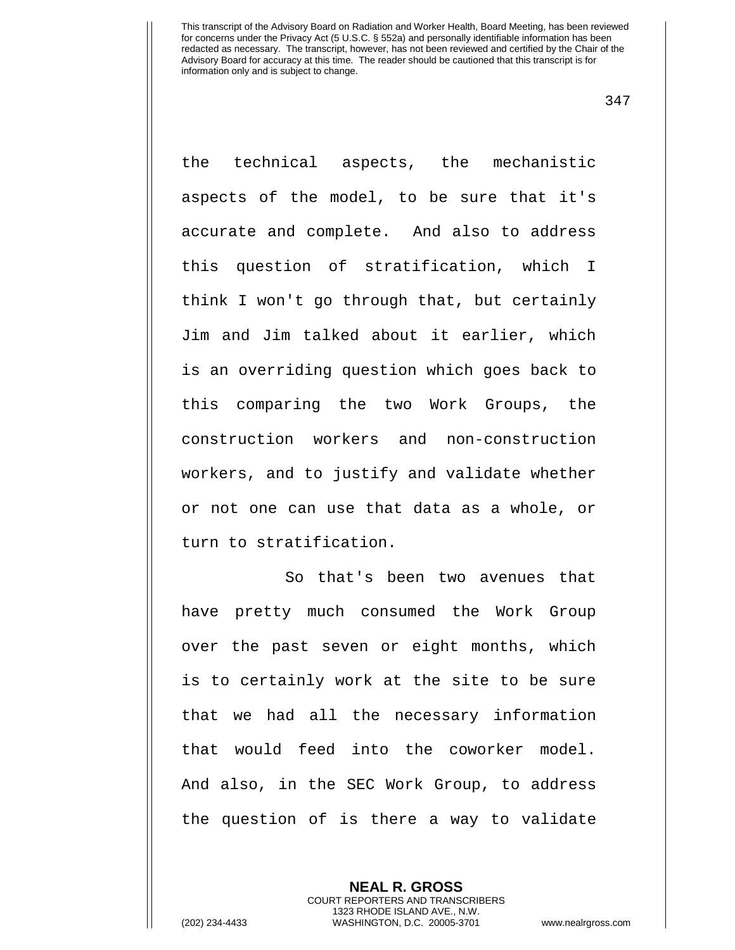347

the technical aspects, the mechanistic aspects of the model, to be sure that it's accurate and complete. And also to address this question of stratification, which I think I won't go through that, but certainly Jim and Jim talked about it earlier, which is an overriding question which goes back to this comparing the two Work Groups, the construction workers and non-construction workers, and to justify and validate whether or not one can use that data as a whole, or turn to stratification.

So that's been two avenues that have pretty much consumed the Work Group over the past seven or eight months, which is to certainly work at the site to be sure that we had all the necessary information that would feed into the coworker model. And also, in the SEC Work Group, to address the question of is there a way to validate

> **NEAL R. GROSS** COURT REPORTERS AND TRANSCRIBERS 1323 RHODE ISLAND AVE., N.W.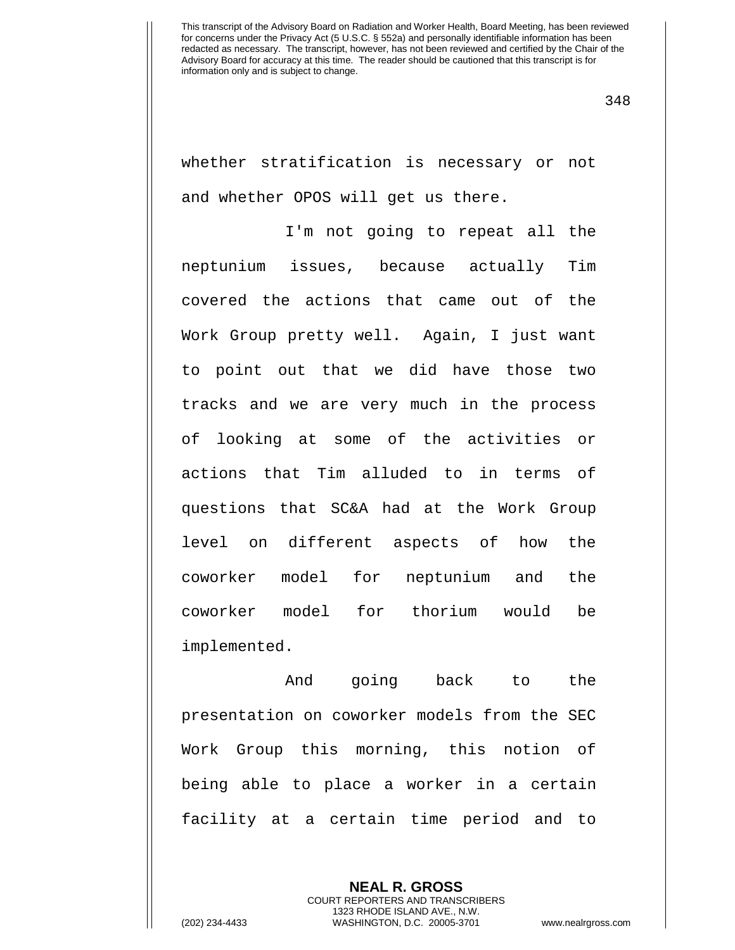348

whether stratification is necessary or not and whether OPOS will get us there.

I'm not going to repeat all the neptunium issues, because actually Tim covered the actions that came out of the Work Group pretty well. Again, I just want to point out that we did have those two tracks and we are very much in the process of looking at some of the activities or actions that Tim alluded to in terms of questions that SC&A had at the Work Group level on different aspects of how the coworker model for neptunium and the coworker model for thorium would be implemented.

And going back to the presentation on coworker models from the SEC Work Group this morning, this notion of being able to place a worker in a certain facility at a certain time period and to

> **NEAL R. GROSS** COURT REPORTERS AND TRANSCRIBERS 1323 RHODE ISLAND AVE., N.W.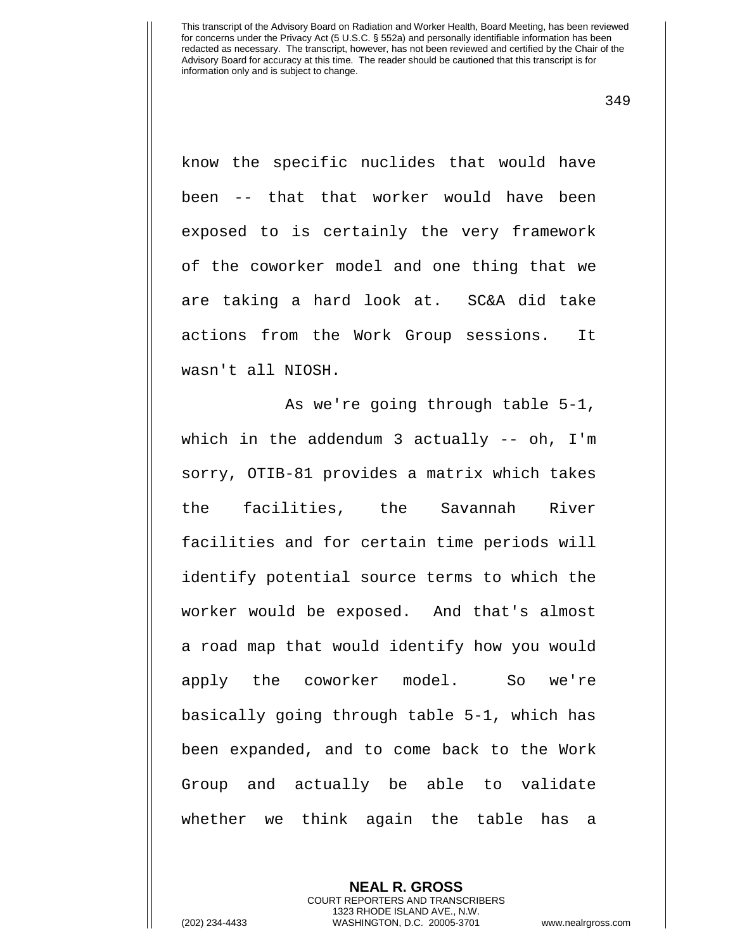349

know the specific nuclides that would have been -- that that worker would have been exposed to is certainly the very framework of the coworker model and one thing that we are taking a hard look at. SC&A did take actions from the Work Group sessions. It wasn't all NIOSH.

As we're going through table 5-1, which in the addendum 3 actually -- oh, I'm sorry, OTIB-81 provides a matrix which takes the facilities, the Savannah River facilities and for certain time periods will identify potential source terms to which the worker would be exposed. And that's almost a road map that would identify how you would apply the coworker model. So we're basically going through table 5-1, which has been expanded, and to come back to the Work Group and actually be able to validate whether we think again the table has a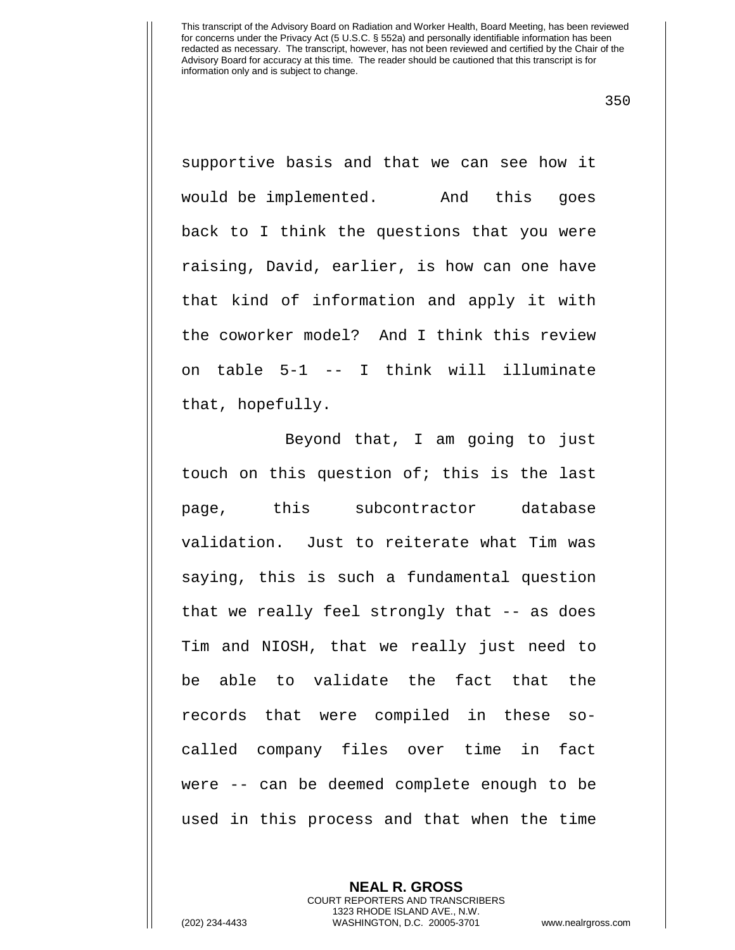350

supportive basis and that we can see how it would be implemented. And this goes back to I think the questions that you were raising, David, earlier, is how can one have that kind of information and apply it with the coworker model? And I think this review on table 5-1 -- I think will illuminate that, hopefully.

Beyond that, I am going to just touch on this question of; this is the last page, this subcontractor database validation. Just to reiterate what Tim was saying, this is such a fundamental question that we really feel strongly that -- as does Tim and NIOSH, that we really just need to be able to validate the fact that the records that were compiled in these socalled company files over time in fact were -- can be deemed complete enough to be used in this process and that when the time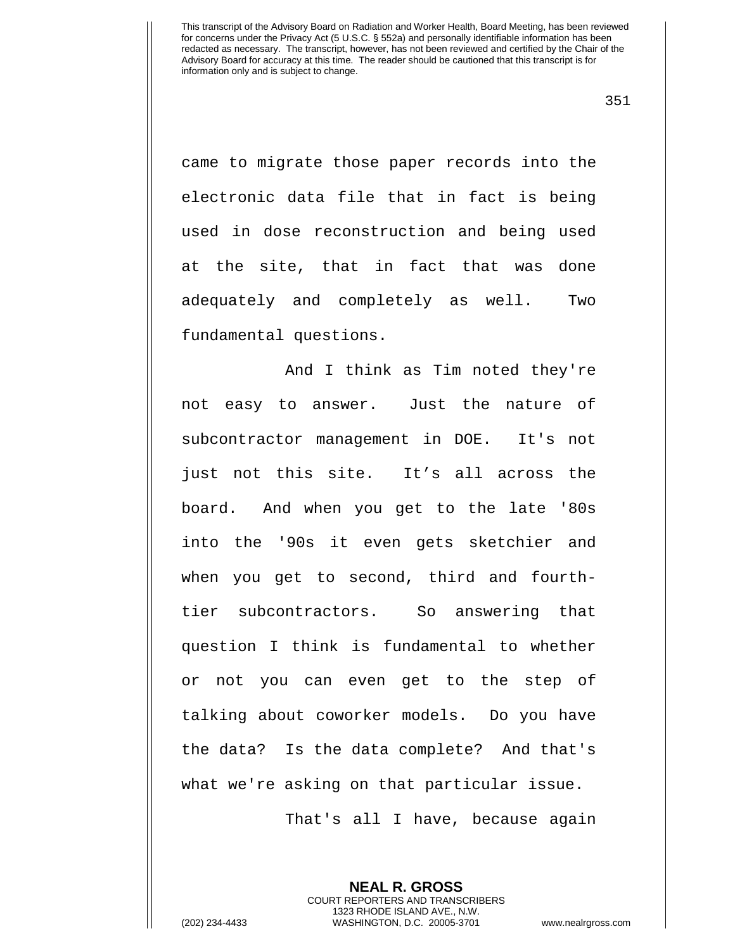351

came to migrate those paper records into the electronic data file that in fact is being used in dose reconstruction and being used at the site, that in fact that was done adequately and completely as well. Two fundamental questions.

And I think as Tim noted they're not easy to answer. Just the nature of subcontractor management in DOE. It's not just not this site. It's all across the board. And when you get to the late '80s into the '90s it even gets sketchier and when you get to second, third and fourthtier subcontractors. So answering that question I think is fundamental to whether or not you can even get to the step of talking about coworker models. Do you have the data? Is the data complete? And that's what we're asking on that particular issue.

That's all I have, because again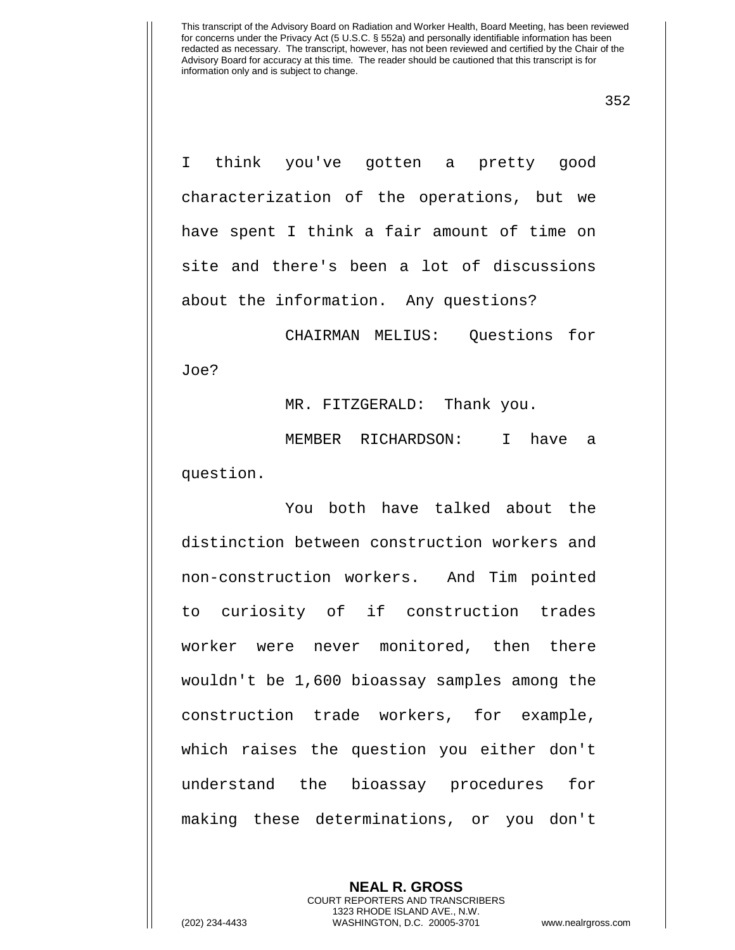352

I think you've gotten a pretty good characterization of the operations, but we have spent I think a fair amount of time on site and there's been a lot of discussions about the information. Any questions?

CHAIRMAN MELIUS: Questions for Joe?

MR. FITZGERALD: Thank you.

MEMBER RICHARDSON: I have a question.

You both have talked about the distinction between construction workers and non-construction workers. And Tim pointed to curiosity of if construction trades worker were never monitored, then there wouldn't be 1,600 bioassay samples among the construction trade workers, for example, which raises the question you either don't understand the bioassay procedures for making these determinations, or you don't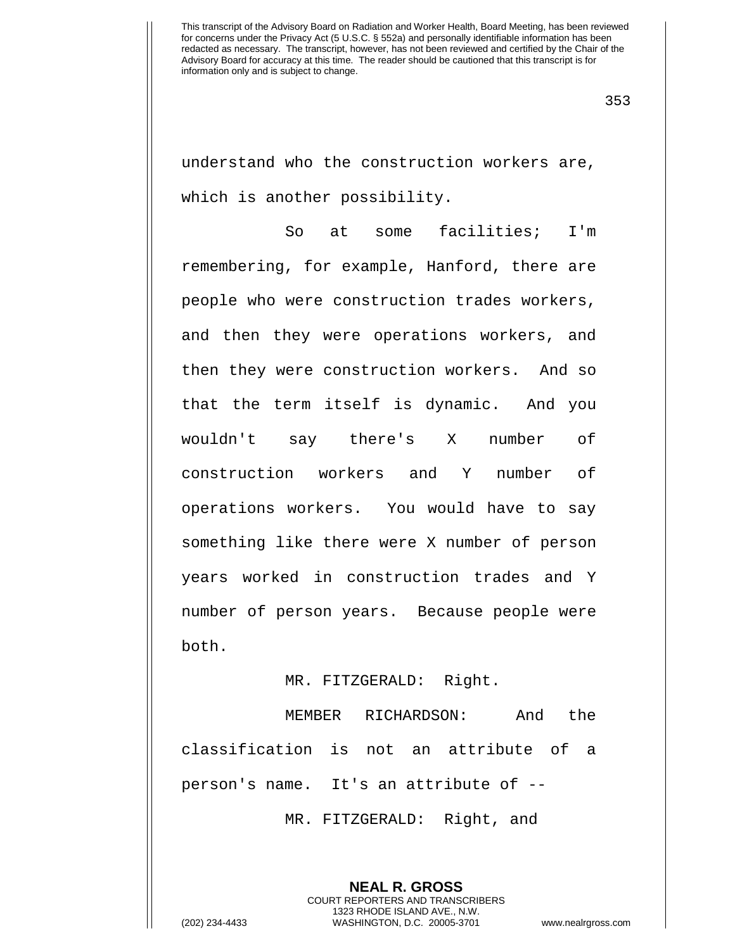353

understand who the construction workers are, which is another possibility.

So at some facilities; I'm remembering, for example, Hanford, there are people who were construction trades workers, and then they were operations workers, and then they were construction workers. And so that the term itself is dynamic. And you wouldn't say there's X number of construction workers and Y number of operations workers. You would have to say something like there were X number of person years worked in construction trades and Y number of person years. Because people were both.

## MR. FITZGERALD: Right.

MEMBER RICHARDSON: And the classification is not an attribute of a person's name. It's an attribute of --

MR. FITZGERALD: Right, and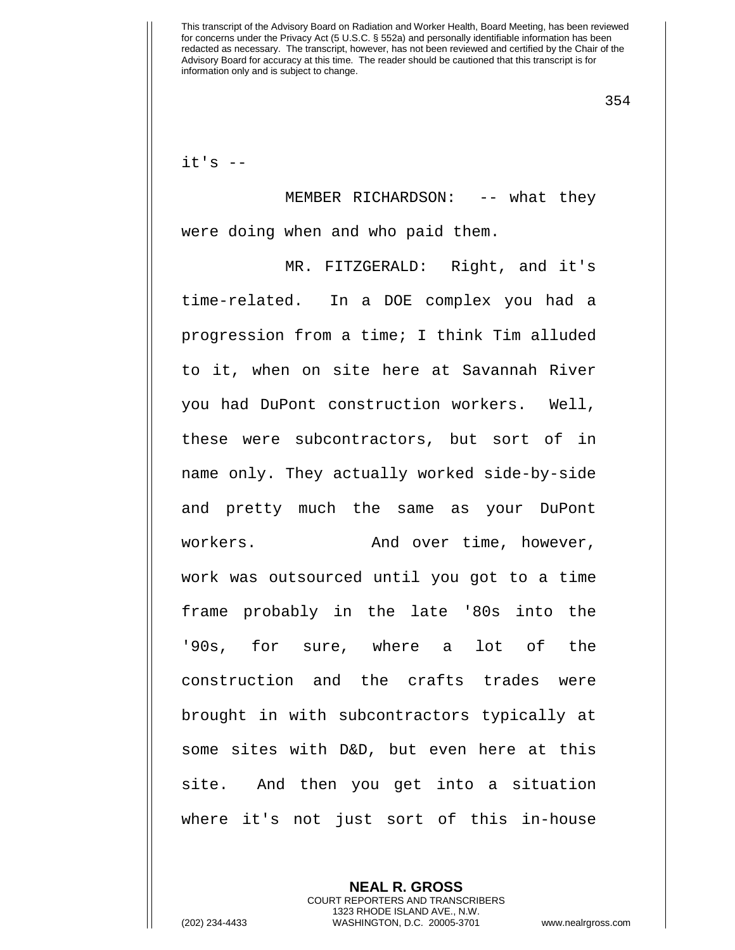354

 $it's$   $-$ 

MEMBER RICHARDSON: -- what they were doing when and who paid them.

MR. FITZGERALD: Right, and it's time-related. In a DOE complex you had a progression from a time; I think Tim alluded to it, when on site here at Savannah River you had DuPont construction workers. Well, these were subcontractors, but sort of in name only. They actually worked side-by-side and pretty much the same as your DuPont workers. The and over time, however, work was outsourced until you got to a time frame probably in the late '80s into the '90s, for sure, where a lot of the construction and the crafts trades were brought in with subcontractors typically at some sites with D&D, but even here at this site. And then you get into a situation where it's not just sort of this in-house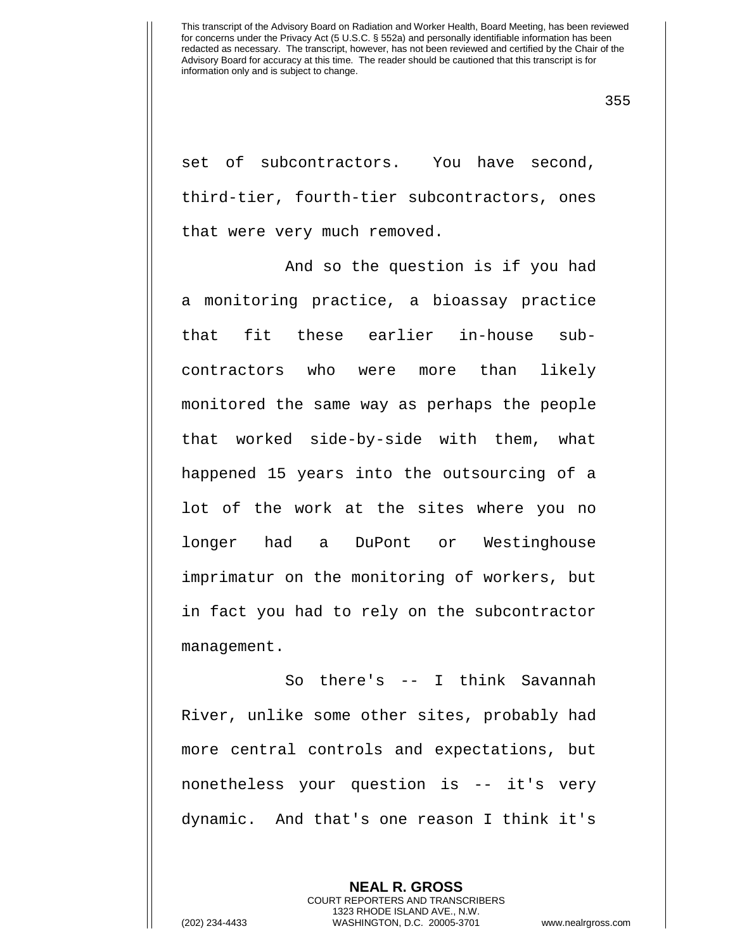355

set of subcontractors. You have second, third-tier, fourth-tier subcontractors, ones that were very much removed.

And so the question is if you had a monitoring practice, a bioassay practice that fit these earlier in-house subcontractors who were more than likely monitored the same way as perhaps the people that worked side-by-side with them, what happened 15 years into the outsourcing of a lot of the work at the sites where you no longer had a DuPont or Westinghouse imprimatur on the monitoring of workers, but in fact you had to rely on the subcontractor management.

So there's -- I think Savannah River, unlike some other sites, probably had more central controls and expectations, but nonetheless your question is -- it's very dynamic. And that's one reason I think it's

> **NEAL R. GROSS** COURT REPORTERS AND TRANSCRIBERS 1323 RHODE ISLAND AVE., N.W.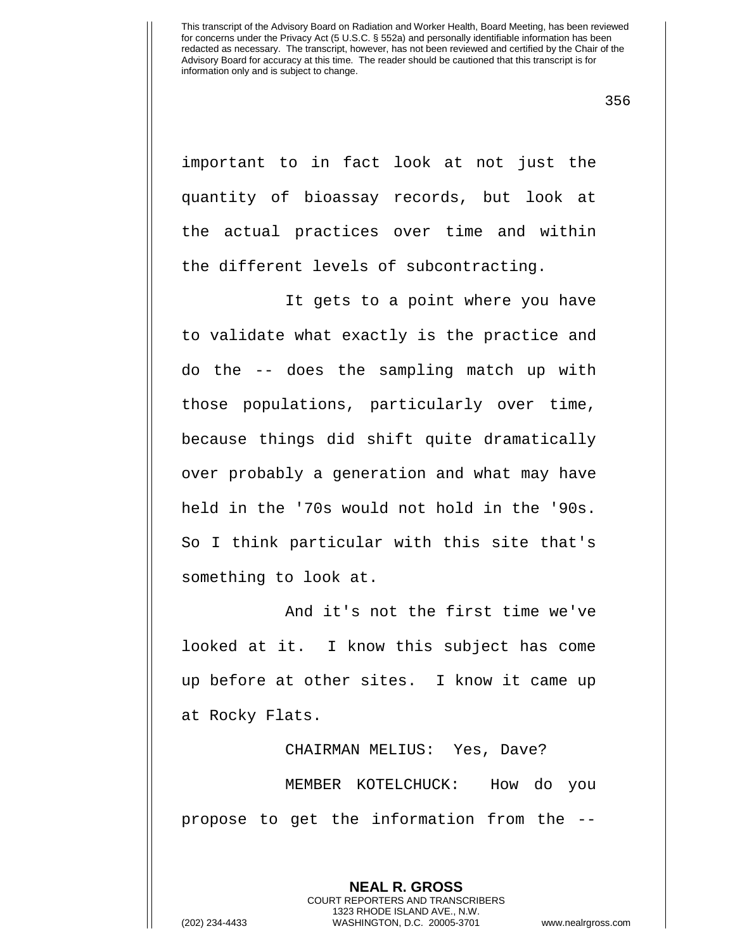356

important to in fact look at not just the quantity of bioassay records, but look at the actual practices over time and within the different levels of subcontracting.

It gets to a point where you have to validate what exactly is the practice and do the -- does the sampling match up with those populations, particularly over time, because things did shift quite dramatically over probably a generation and what may have held in the '70s would not hold in the '90s. So I think particular with this site that's something to look at.

And it's not the first time we've looked at it. I know this subject has come up before at other sites. I know it came up at Rocky Flats.

CHAIRMAN MELIUS: Yes, Dave? MEMBER KOTELCHUCK: How do you propose to get the information from the --

**NEAL R. GROSS**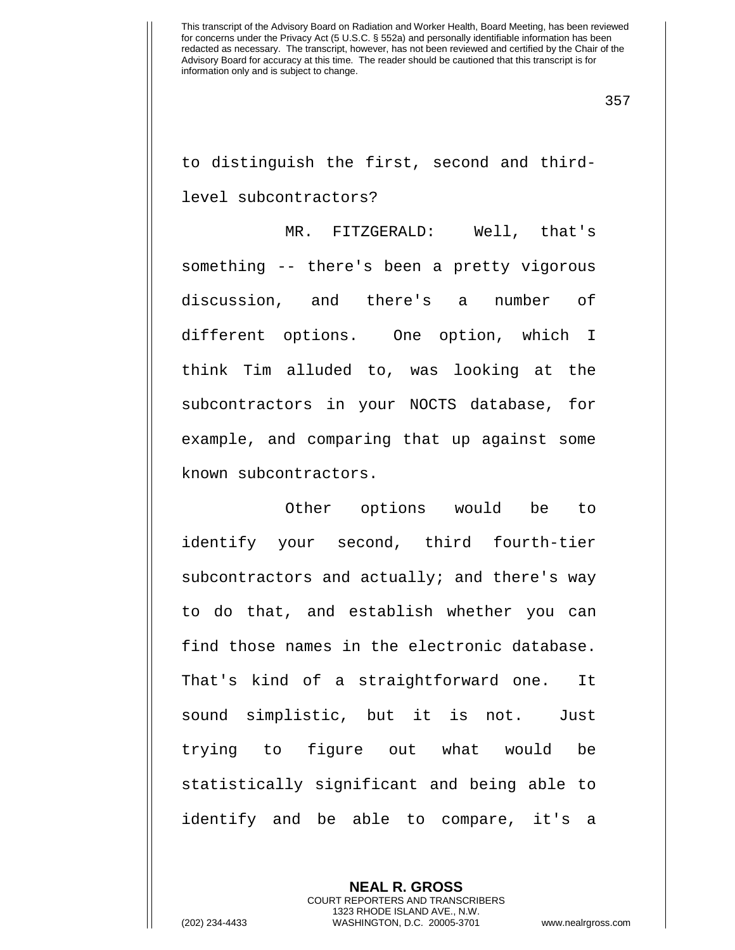357

to distinguish the first, second and thirdlevel subcontractors?

MR. FITZGERALD: Well, that's something -- there's been a pretty vigorous discussion, and there's a number of different options. One option, which I think Tim alluded to, was looking at the subcontractors in your NOCTS database, for example, and comparing that up against some known subcontractors.

Other options would be to identify your second, third fourth-tier subcontractors and actually; and there's way to do that, and establish whether you can find those names in the electronic database. That's kind of a straightforward one. It sound simplistic, but it is not. Just trying to figure out what would be statistically significant and being able to identify and be able to compare, it's a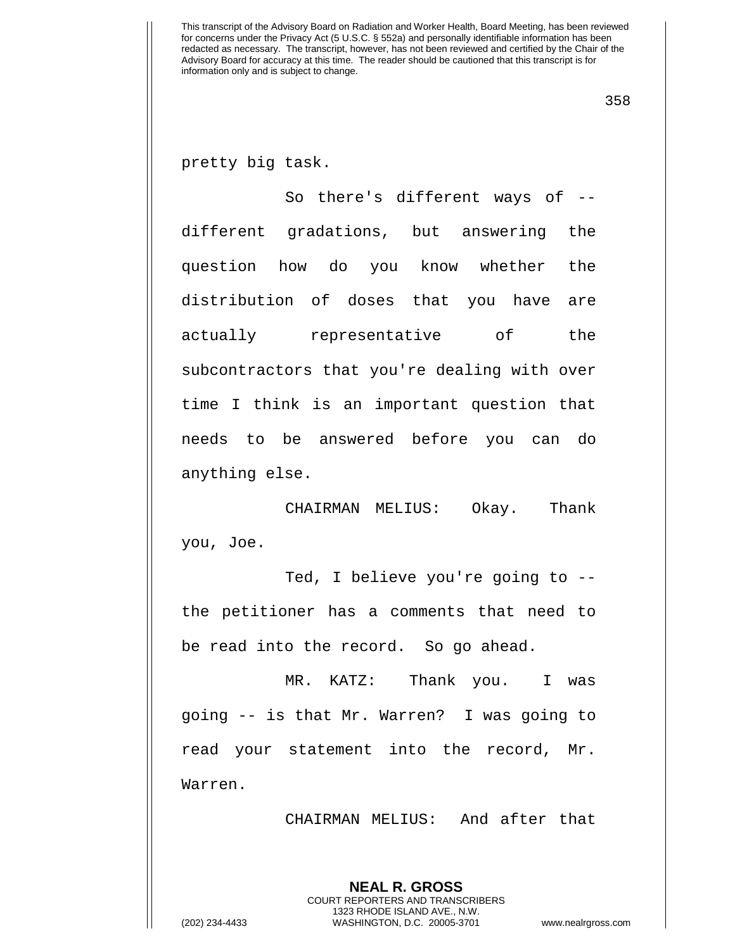358

pretty big task.

So there's different ways of -different gradations, but answering the question how do you know whether the distribution of doses that you have are actually representative of the subcontractors that you're dealing with over time I think is an important question that needs to be answered before you can do anything else.

CHAIRMAN MELIUS: Okay. Thank you, Joe.

Ted, I believe you're going to - the petitioner has a comments that need to be read into the record. So go ahead.

MR. KATZ: Thank you. I was going -- is that Mr. Warren? I was going to read your statement into the record, Mr. Warren.

CHAIRMAN MELIUS: And after that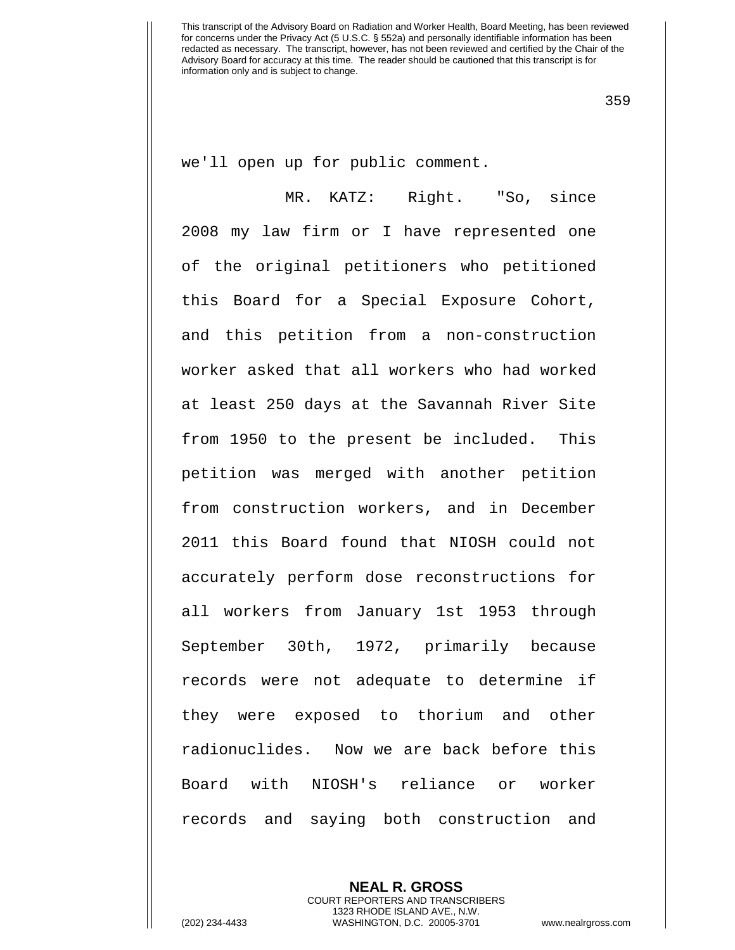359

we'll open up for public comment.

MR. KATZ: Right. "So, since 2008 my law firm or I have represented one of the original petitioners who petitioned this Board for a Special Exposure Cohort, and this petition from a non-construction worker asked that all workers who had worked at least 250 days at the Savannah River Site from 1950 to the present be included. This petition was merged with another petition from construction workers, and in December 2011 this Board found that NIOSH could not accurately perform dose reconstructions for all workers from January 1st 1953 through September 30th, 1972, primarily because records were not adequate to determine if they were exposed to thorium and other radionuclides. Now we are back before this Board with NIOSH's reliance or worker records and saying both construction and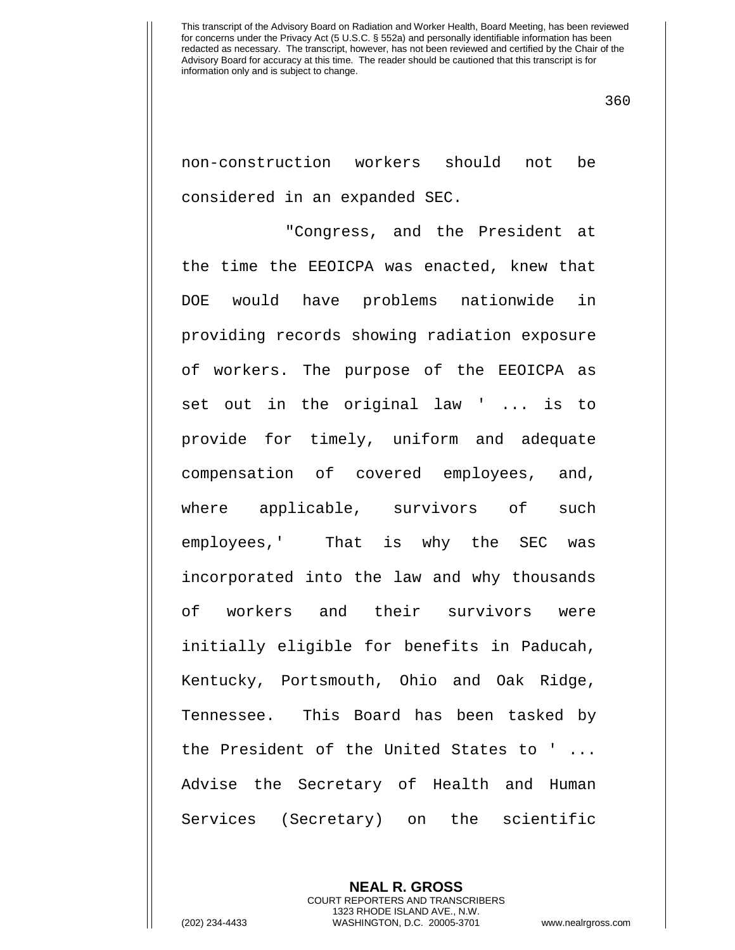360

non-construction workers should not be considered in an expanded SEC.

"Congress, and the President at the time the EEOICPA was enacted, knew that DOE would have problems nationwide in providing records showing radiation exposure of workers. The purpose of the EEOICPA as set out in the original law ' ... is to provide for timely, uniform and adequate compensation of covered employees, and, where applicable, survivors of such employees,' That is why the SEC was incorporated into the law and why thousands of workers and their survivors were initially eligible for benefits in Paducah, Kentucky, Portsmouth, Ohio and Oak Ridge, Tennessee. This Board has been tasked by the President of the United States to ' ... Advise the Secretary of Health and Human Services (Secretary) on the scientific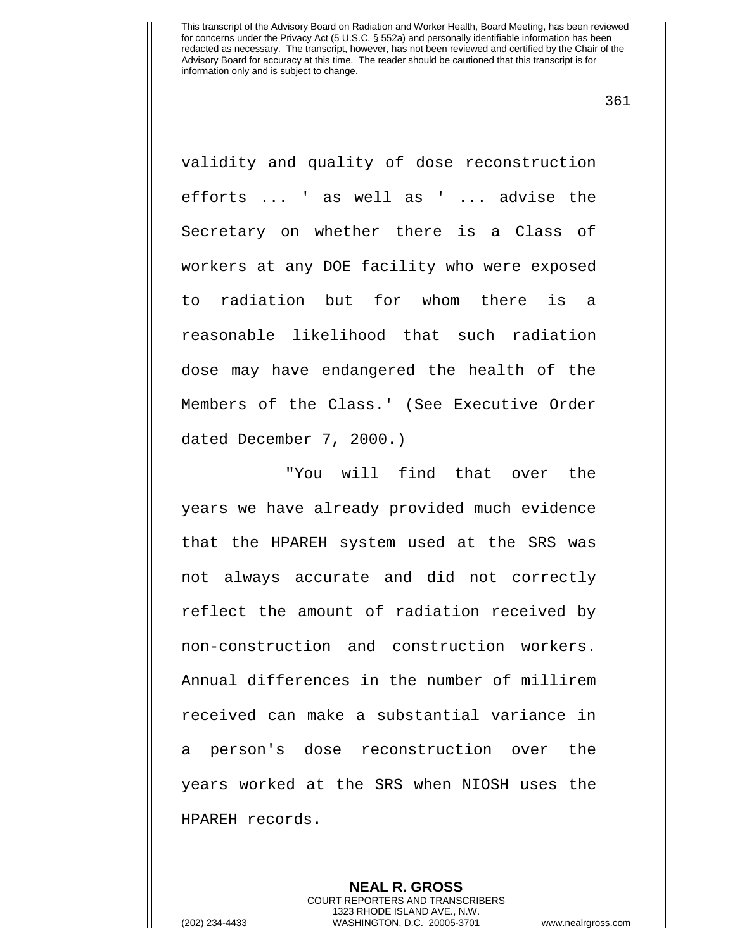361

validity and quality of dose reconstruction efforts ... ' as well as ' ... advise the Secretary on whether there is a Class of workers at any DOE facility who were exposed to radiation but for whom there is a reasonable likelihood that such radiation dose may have endangered the health of the Members of the Class.' (See Executive Order dated December 7, 2000.)

"You will find that over the years we have already provided much evidence that the HPAREH system used at the SRS was not always accurate and did not correctly reflect the amount of radiation received by non-construction and construction workers. Annual differences in the number of millirem received can make a substantial variance in a person's dose reconstruction over the years worked at the SRS when NIOSH uses the HPAREH records.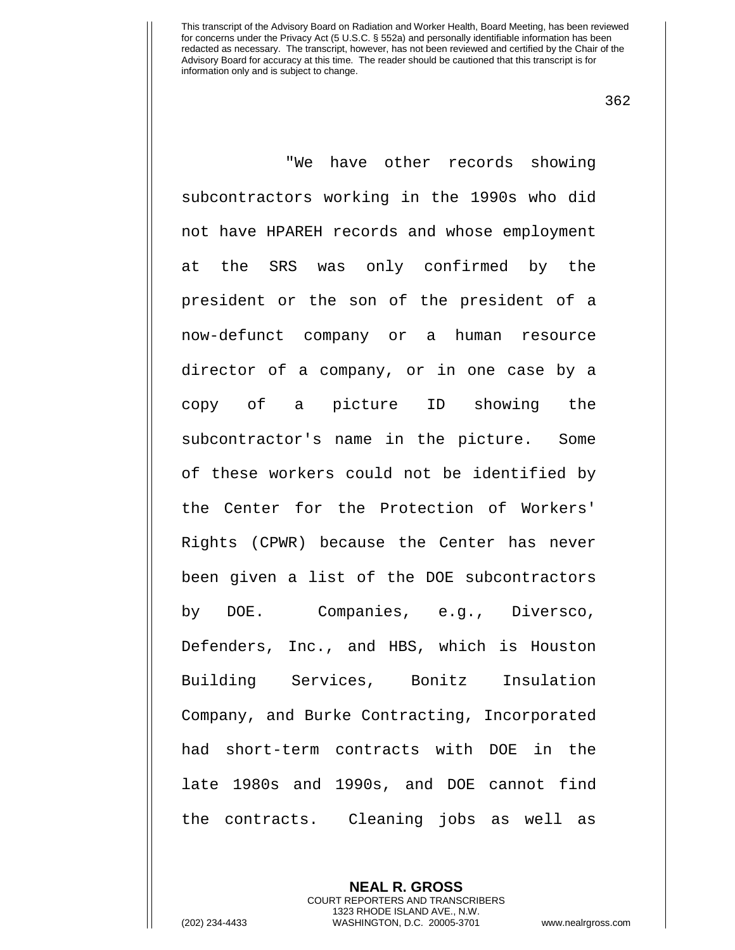362

"We have other records showing subcontractors working in the 1990s who did not have HPAREH records and whose employment at the SRS was only confirmed by the president or the son of the president of a now-defunct company or a human resource director of a company, or in one case by a copy of a picture ID showing the subcontractor's name in the picture. Some of these workers could not be identified by the Center for the Protection of Workers' Rights (CPWR) because the Center has never been given a list of the DOE subcontractors by DOE. Companies, e.g., Diversco, Defenders, Inc., and HBS, which is Houston Building Services, Bonitz Insulation Company, and Burke Contracting, Incorporated had short-term contracts with DOE in the late 1980s and 1990s, and DOE cannot find the contracts. Cleaning jobs as well as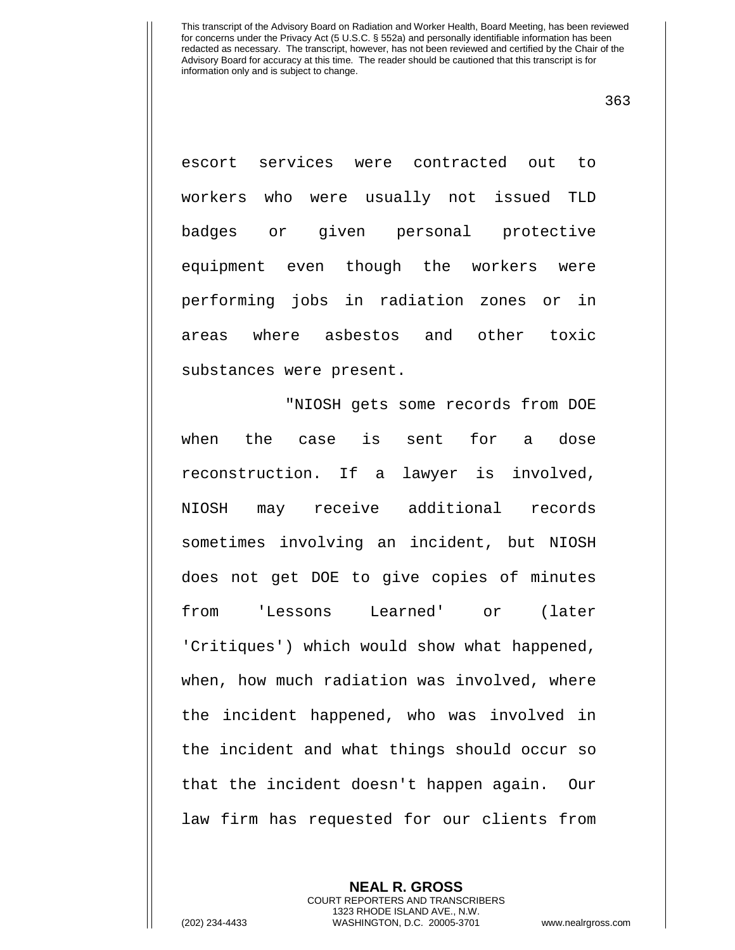363

escort services were contracted out to workers who were usually not issued TLD badges or given personal protective equipment even though the workers were performing jobs in radiation zones or in areas where asbestos and other toxic substances were present.

"NIOSH gets some records from DOE when the case is sent for a dose reconstruction. If a lawyer is involved, NIOSH may receive additional records sometimes involving an incident, but NIOSH does not get DOE to give copies of minutes from 'Lessons Learned' or (later 'Critiques') which would show what happened, when, how much radiation was involved, where the incident happened, who was involved in the incident and what things should occur so that the incident doesn't happen again. Our law firm has requested for our clients from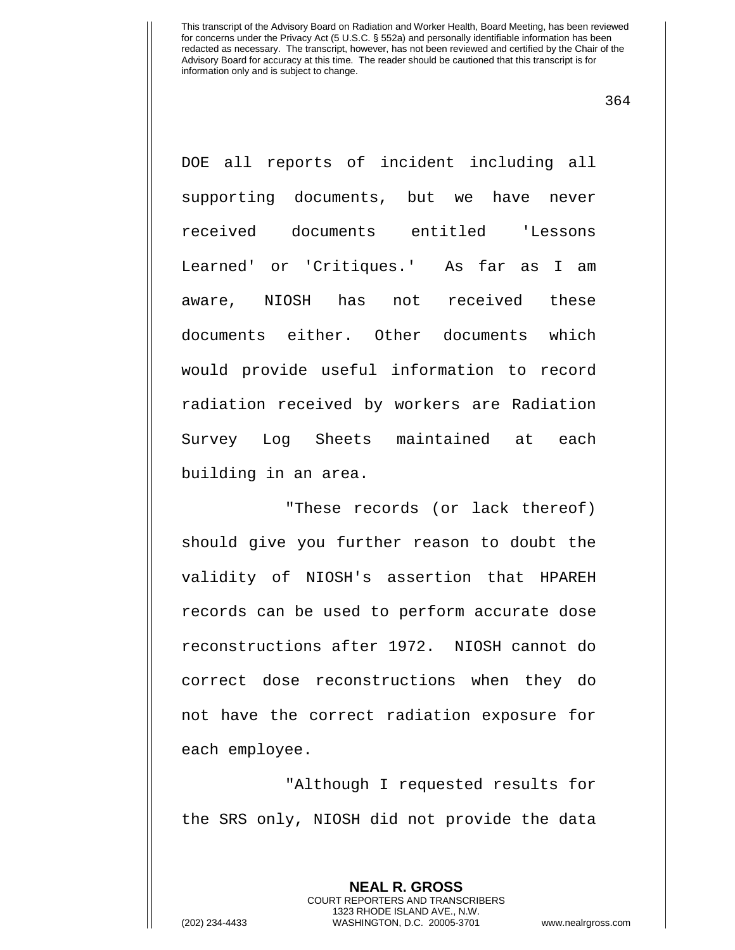364

DOE all reports of incident including all supporting documents, but we have never received documents entitled 'Lessons Learned' or 'Critiques.' As far as I am aware, NIOSH has not received these documents either. Other documents which would provide useful information to record radiation received by workers are Radiation Survey Log Sheets maintained at each building in an area.

"These records (or lack thereof) should give you further reason to doubt the validity of NIOSH's assertion that HPAREH records can be used to perform accurate dose reconstructions after 1972. NIOSH cannot do correct dose reconstructions when they do not have the correct radiation exposure for each employee.

"Although I requested results for the SRS only, NIOSH did not provide the data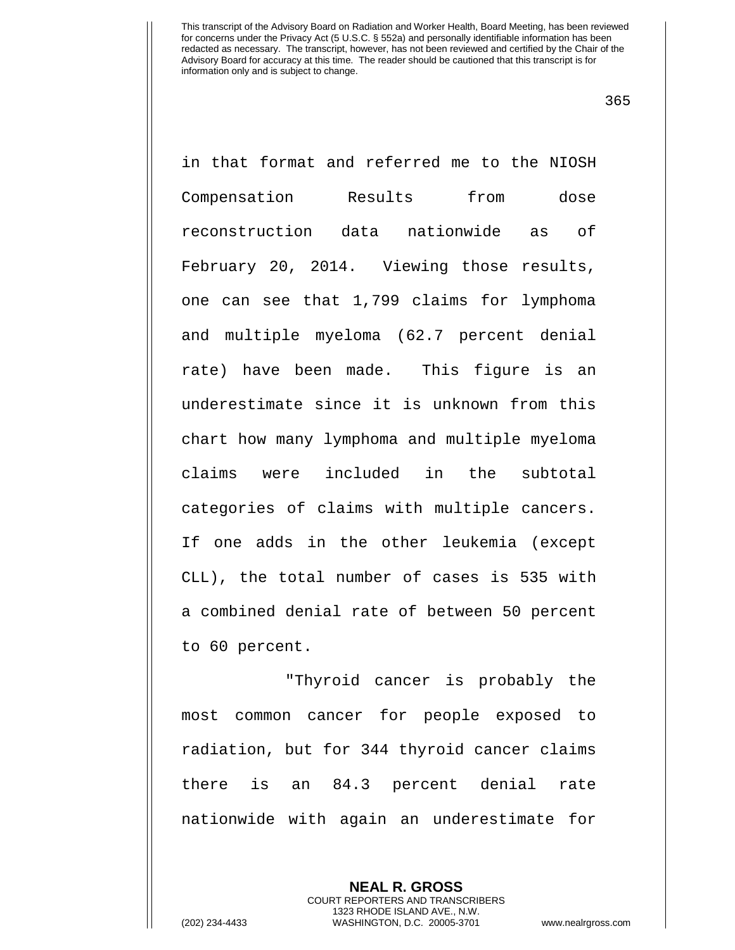in that format and referred me to the NIOSH Compensation Results from dose reconstruction data nationwide as of February 20, 2014. Viewing those results, one can see that 1,799 claims for lymphoma and multiple myeloma (62.7 percent denial rate) have been made. This figure is an underestimate since it is unknown from this chart how many lymphoma and multiple myeloma claims were included in the subtotal categories of claims with multiple cancers. If one adds in the other leukemia (except CLL), the total number of cases is 535 with a combined denial rate of between 50 percent to 60 percent.

"Thyroid cancer is probably the most common cancer for people exposed to radiation, but for 344 thyroid cancer claims there is an 84.3 percent denial rate nationwide with again an underestimate for

> **NEAL R. GROSS** COURT REPORTERS AND TRANSCRIBERS 1323 RHODE ISLAND AVE., N.W.

(202) 234-4433 WASHINGTON, D.C. 20005-3701 www.nealrgross.com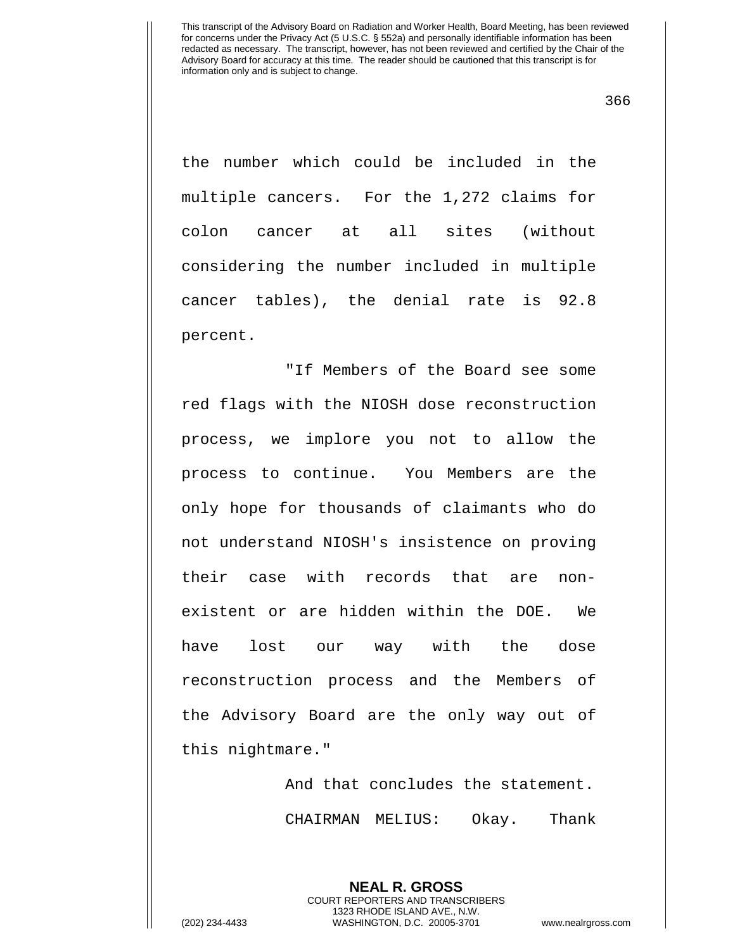366

the number which could be included in the multiple cancers. For the 1,272 claims for colon cancer at all sites (without considering the number included in multiple cancer tables), the denial rate is 92.8 percent.

"If Members of the Board see some red flags with the NIOSH dose reconstruction process, we implore you not to allow the process to continue. You Members are the only hope for thousands of claimants who do not understand NIOSH's insistence on proving their case with records that are nonexistent or are hidden within the DOE. We have lost our way with the dose reconstruction process and the Members of the Advisory Board are the only way out of this nightmare."

> And that concludes the statement. CHAIRMAN MELIUS: Okay. Thank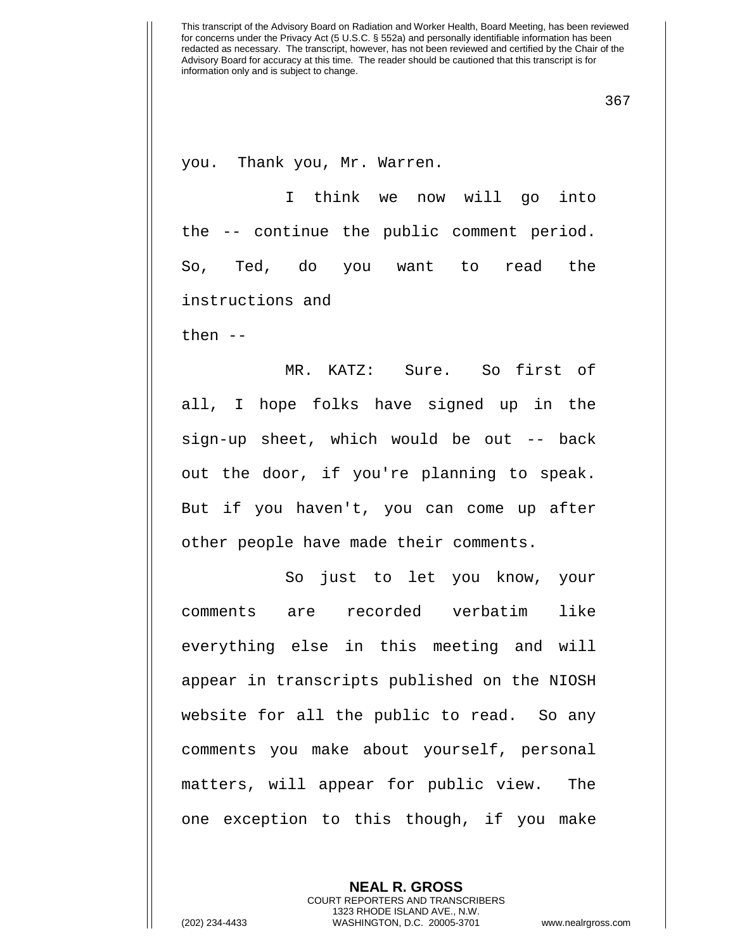367

you. Thank you, Mr. Warren.

I think we now will go into the -- continue the public comment period. So, Ted, do you want to read the instructions and

then --

MR. KATZ: Sure. So first of all, I hope folks have signed up in the sign-up sheet, which would be out -- back out the door, if you're planning to speak. But if you haven't, you can come up after other people have made their comments.

So just to let you know, your comments are recorded verbatim like everything else in this meeting and will appear in transcripts published on the NIOSH website for all the public to read. So any comments you make about yourself, personal matters, will appear for public view. The one exception to this though, if you make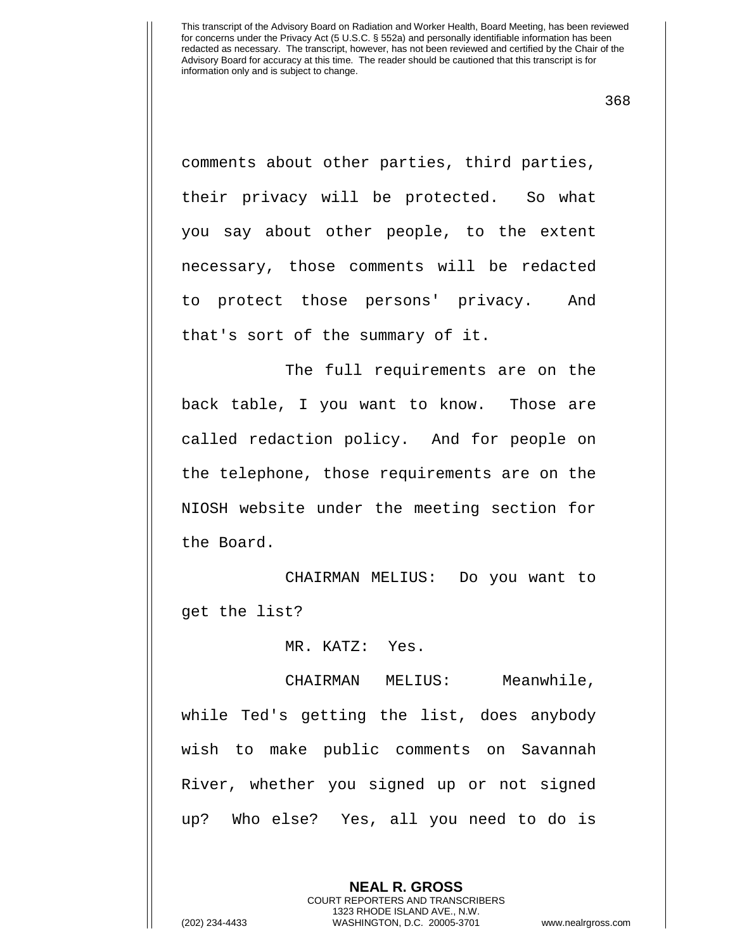368

comments about other parties, third parties, their privacy will be protected. So what you say about other people, to the extent necessary, those comments will be redacted to protect those persons' privacy. And that's sort of the summary of it.

The full requirements are on the back table, I you want to know. Those are called redaction policy. And for people on the telephone, those requirements are on the NIOSH website under the meeting section for the Board.

CHAIRMAN MELIUS: Do you want to get the list?

MR. KATZ: Yes.

CHAIRMAN MELIUS: Meanwhile, while Ted's getting the list, does anybody wish to make public comments on Savannah River, whether you signed up or not signed up? Who else? Yes, all you need to do is

> **NEAL R. GROSS** COURT REPORTERS AND TRANSCRIBERS 1323 RHODE ISLAND AVE., N.W.

(202) 234-4433 WASHINGTON, D.C. 20005-3701 www.nealrgross.com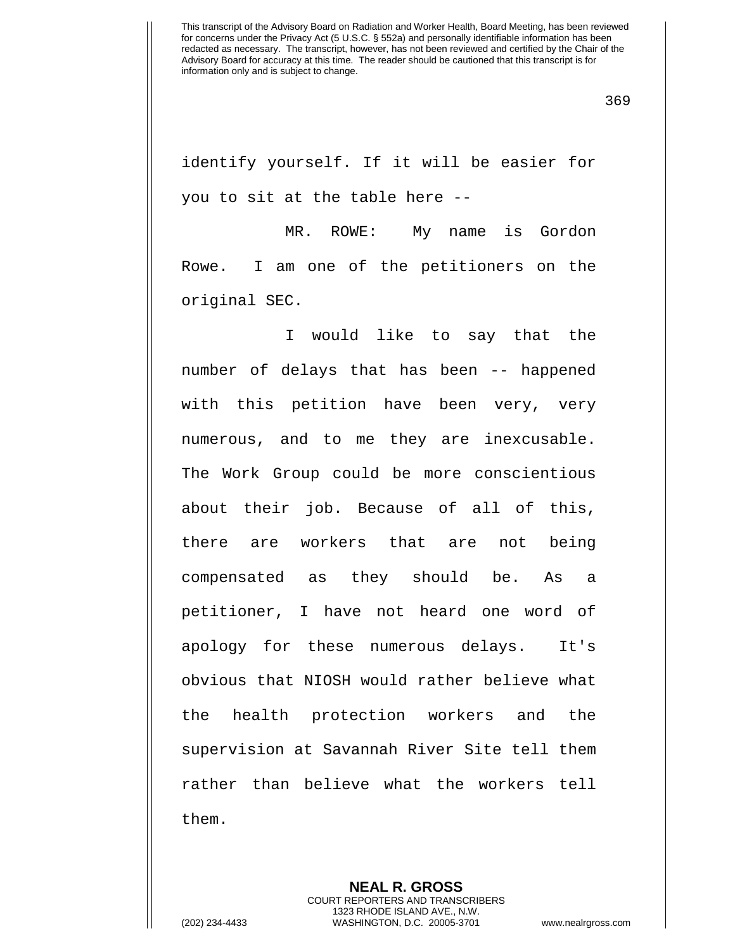369

identify yourself. If it will be easier for you to sit at the table here --

MR. ROWE: My name is Gordon Rowe. I am one of the petitioners on the original SEC.

I would like to say that the number of delays that has been -- happened with this petition have been very, very numerous, and to me they are inexcusable. The Work Group could be more conscientious about their job. Because of all of this, there are workers that are not being compensated as they should be. As a petitioner, I have not heard one word of apology for these numerous delays. It's obvious that NIOSH would rather believe what the health protection workers and the supervision at Savannah River Site tell them rather than believe what the workers tell them.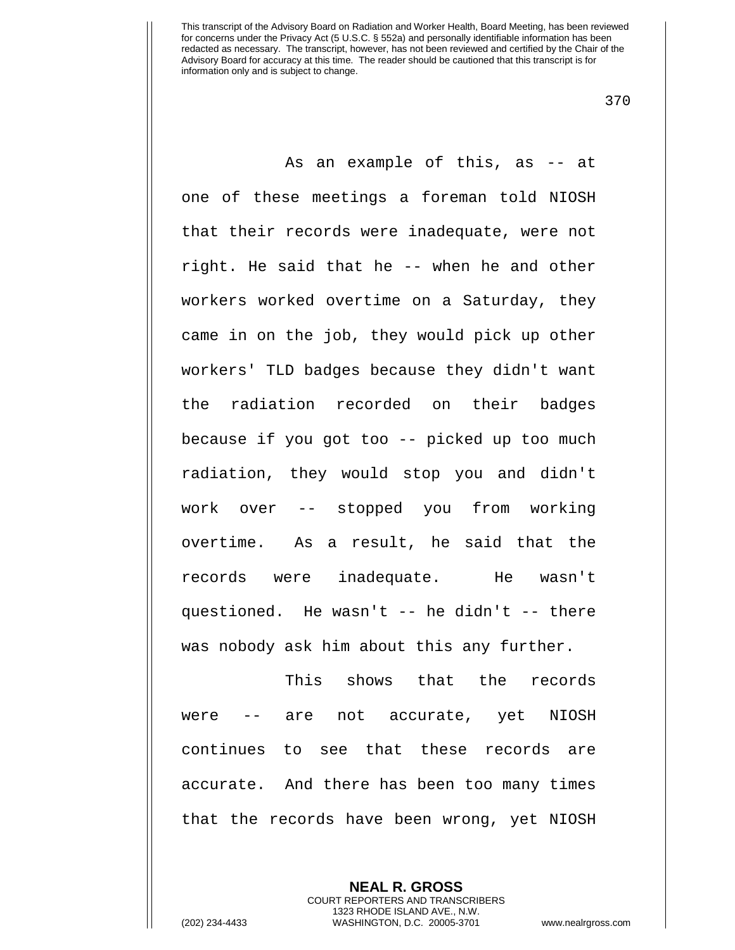370

As an example of this, as -- at one of these meetings a foreman told NIOSH that their records were inadequate, were not right. He said that he -- when he and other workers worked overtime on a Saturday, they came in on the job, they would pick up other workers' TLD badges because they didn't want the radiation recorded on their badges because if you got too -- picked up too much radiation, they would stop you and didn't work over -- stopped you from working overtime. As a result, he said that the records were inadequate. He wasn't questioned. He wasn't -- he didn't -- there was nobody ask him about this any further.

This shows that the records were -- are not accurate, yet NIOSH continues to see that these records are accurate. And there has been too many times that the records have been wrong, yet NIOSH

**NEAL R. GROSS**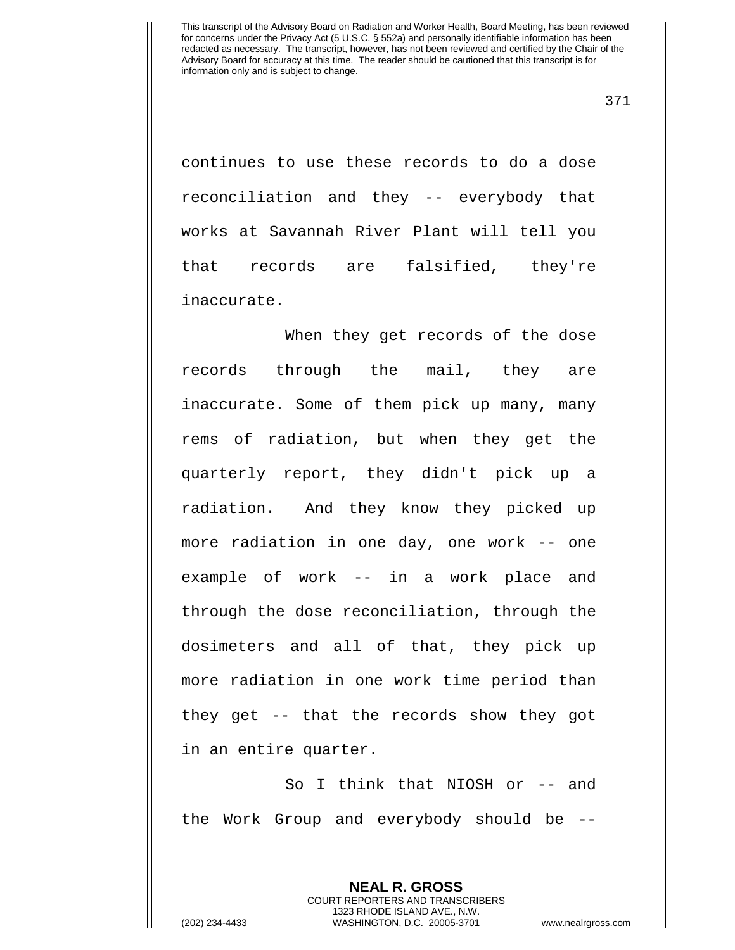371

continues to use these records to do a dose reconciliation and they -- everybody that works at Savannah River Plant will tell you that records are falsified, they're inaccurate.

When they get records of the dose records through the mail, they are inaccurate. Some of them pick up many, many rems of radiation, but when they get the quarterly report, they didn't pick up a radiation. And they know they picked up more radiation in one day, one work -- one example of work -- in a work place and through the dose reconciliation, through the dosimeters and all of that, they pick up more radiation in one work time period than they get -- that the records show they got in an entire quarter.

So I think that NIOSH or -- and the Work Group and everybody should be --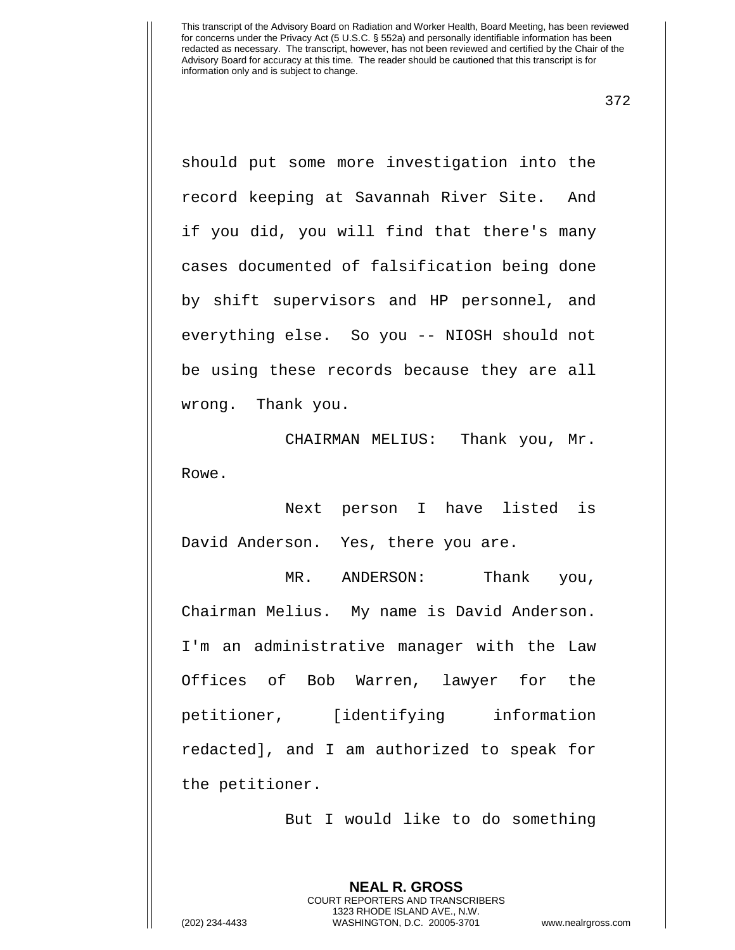372

should put some more investigation into the record keeping at Savannah River Site. And if you did, you will find that there's many cases documented of falsification being done by shift supervisors and HP personnel, and everything else. So you -- NIOSH should not be using these records because they are all wrong. Thank you.

CHAIRMAN MELIUS: Thank you, Mr. Rowe.

Next person I have listed is David Anderson. Yes, there you are.

MR. ANDERSON: Thank you, Chairman Melius. My name is David Anderson. I'm an administrative manager with the Law Offices of Bob Warren, lawyer for the petitioner, [identifying information redacted], and I am authorized to speak for the petitioner.

But I would like to do something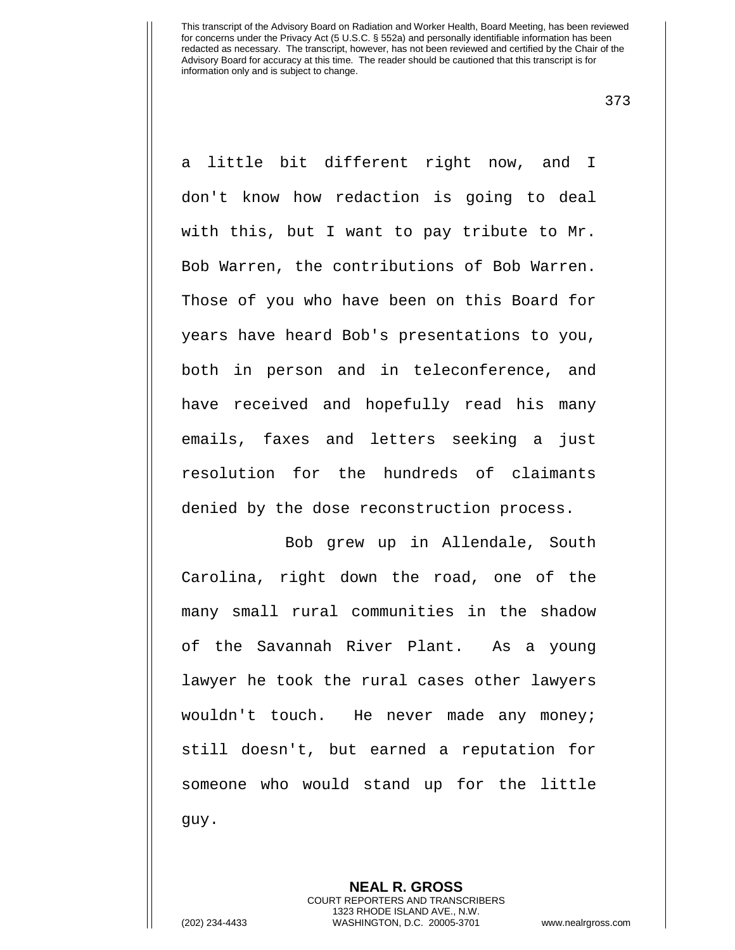373

a little bit different right now, and I don't know how redaction is going to deal with this, but I want to pay tribute to Mr. Bob Warren, the contributions of Bob Warren. Those of you who have been on this Board for years have heard Bob's presentations to you, both in person and in teleconference, and have received and hopefully read his many emails, faxes and letters seeking a just resolution for the hundreds of claimants denied by the dose reconstruction process.

Bob grew up in Allendale, South Carolina, right down the road, one of the many small rural communities in the shadow of the Savannah River Plant. As a young lawyer he took the rural cases other lawyers wouldn't touch. He never made any money; still doesn't, but earned a reputation for someone who would stand up for the little guy.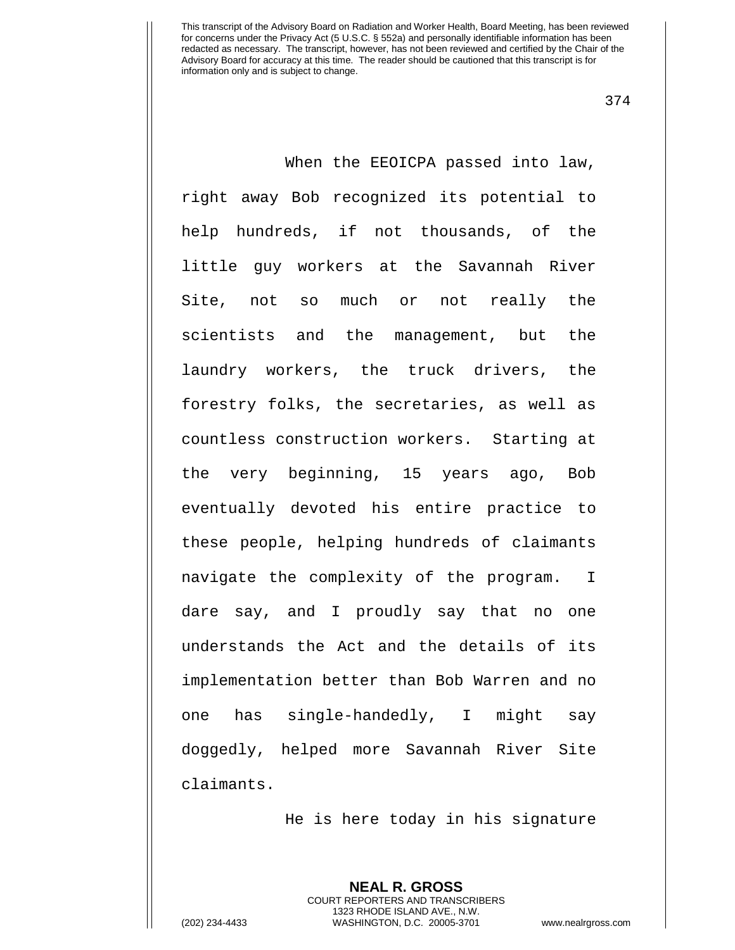374

When the EEOICPA passed into law, right away Bob recognized its potential to help hundreds, if not thousands, of the little guy workers at the Savannah River Site, not so much or not really the scientists and the management, but the laundry workers, the truck drivers, the forestry folks, the secretaries, as well as countless construction workers. Starting at the very beginning, 15 years ago, Bob eventually devoted his entire practice to these people, helping hundreds of claimants navigate the complexity of the program. I dare say, and I proudly say that no one understands the Act and the details of its implementation better than Bob Warren and no one has single-handedly, I might say doggedly, helped more Savannah River Site claimants.

He is here today in his signature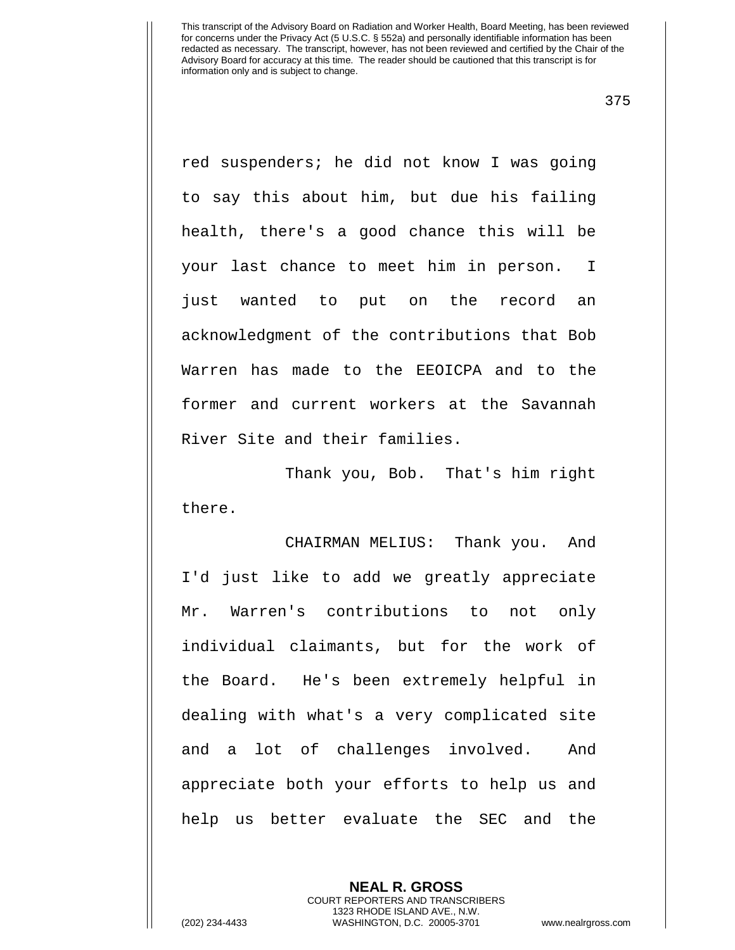375

red suspenders; he did not know I was going to say this about him, but due his failing health, there's a good chance this will be your last chance to meet him in person. I just wanted to put on the record an acknowledgment of the contributions that Bob Warren has made to the EEOICPA and to the former and current workers at the Savannah River Site and their families.

Thank you, Bob. That's him right there.

CHAIRMAN MELIUS: Thank you. And I'd just like to add we greatly appreciate Mr. Warren's contributions to not only individual claimants, but for the work of the Board. He's been extremely helpful in dealing with what's a very complicated site and a lot of challenges involved. And appreciate both your efforts to help us and help us better evaluate the SEC and the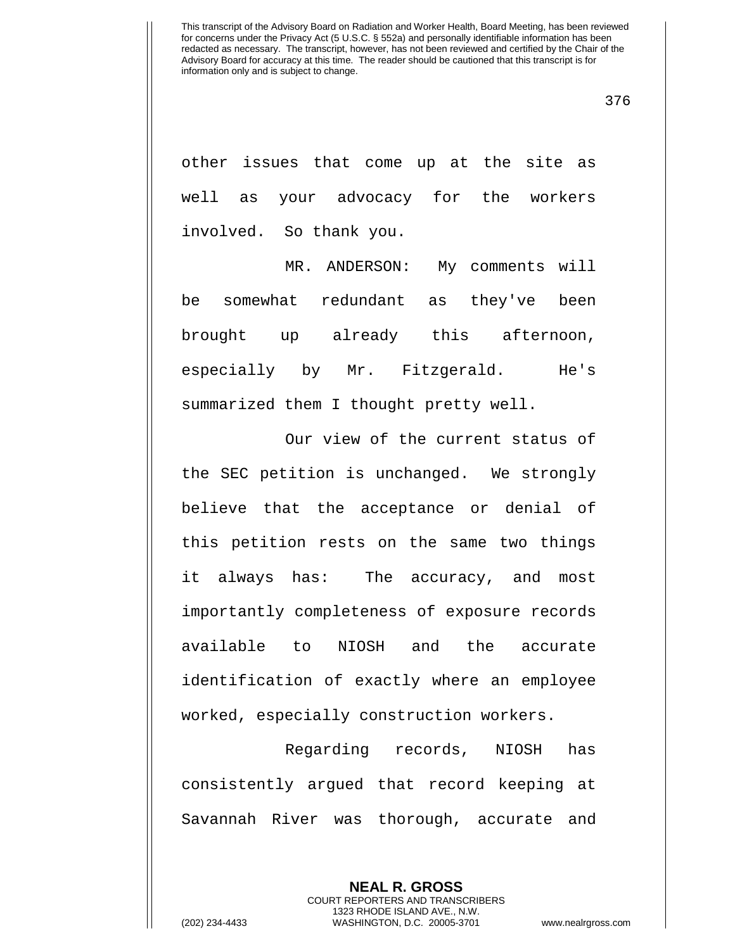376

other issues that come up at the site as well as your advocacy for the workers involved. So thank you.

MR. ANDERSON: My comments will be somewhat redundant as they've been brought up already this afternoon, especially by Mr. Fitzgerald. He's summarized them I thought pretty well.

Our view of the current status of the SEC petition is unchanged. We strongly believe that the acceptance or denial of this petition rests on the same two things it always has: The accuracy, and most importantly completeness of exposure records available to NIOSH and the accurate identification of exactly where an employee worked, especially construction workers.

Regarding records, NIOSH has consistently argued that record keeping at Savannah River was thorough, accurate and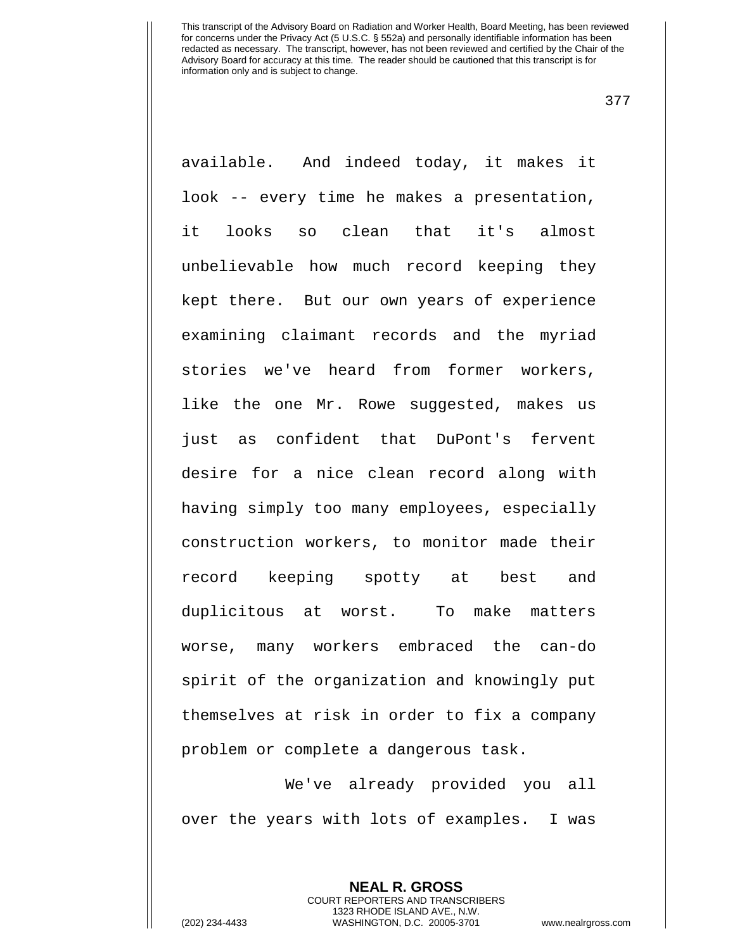377

available. And indeed today, it makes it look -- every time he makes a presentation, it looks so clean that it's almost unbelievable how much record keeping they kept there. But our own years of experience examining claimant records and the myriad stories we've heard from former workers, like the one Mr. Rowe suggested, makes us just as confident that DuPont's fervent desire for a nice clean record along with having simply too many employees, especially construction workers, to monitor made their record keeping spotty at best and duplicitous at worst. To make matters worse, many workers embraced the can-do spirit of the organization and knowingly put themselves at risk in order to fix a company problem or complete a dangerous task.

We've already provided you all over the years with lots of examples. I was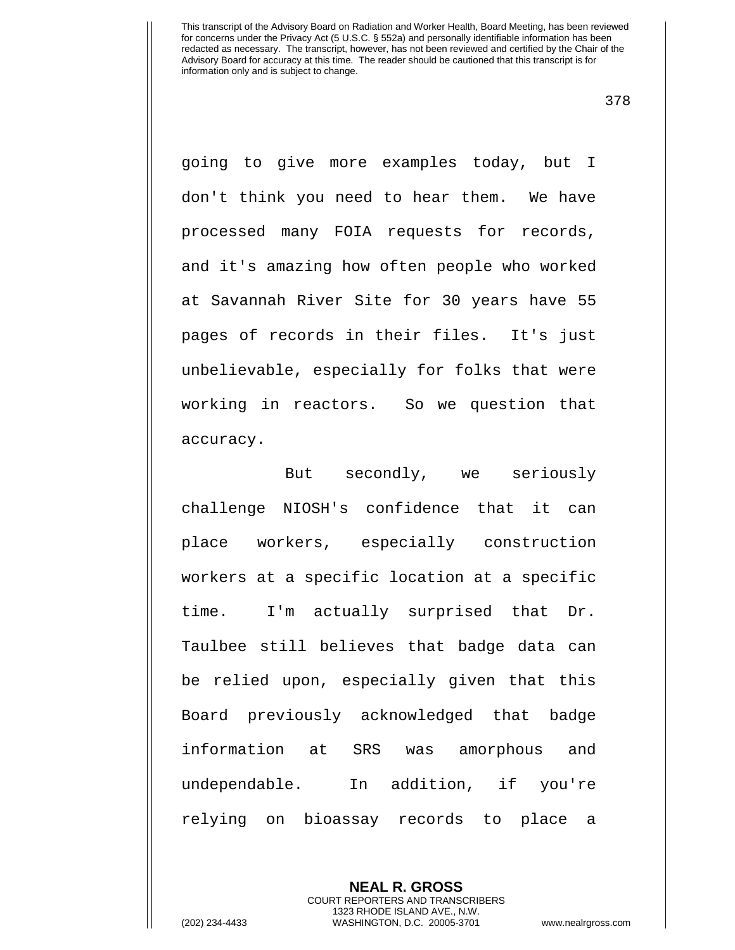378

going to give more examples today, but I don't think you need to hear them. We have processed many FOIA requests for records, and it's amazing how often people who worked at Savannah River Site for 30 years have 55 pages of records in their files. It's just unbelievable, especially for folks that were working in reactors. So we question that accuracy.

 But secondly, we seriously challenge NIOSH's confidence that it can place workers, especially construction workers at a specific location at a specific time. I'm actually surprised that Dr. Taulbee still believes that badge data can be relied upon, especially given that this Board previously acknowledged that badge information at SRS was amorphous and undependable. In addition, if you're relying on bioassay records to place a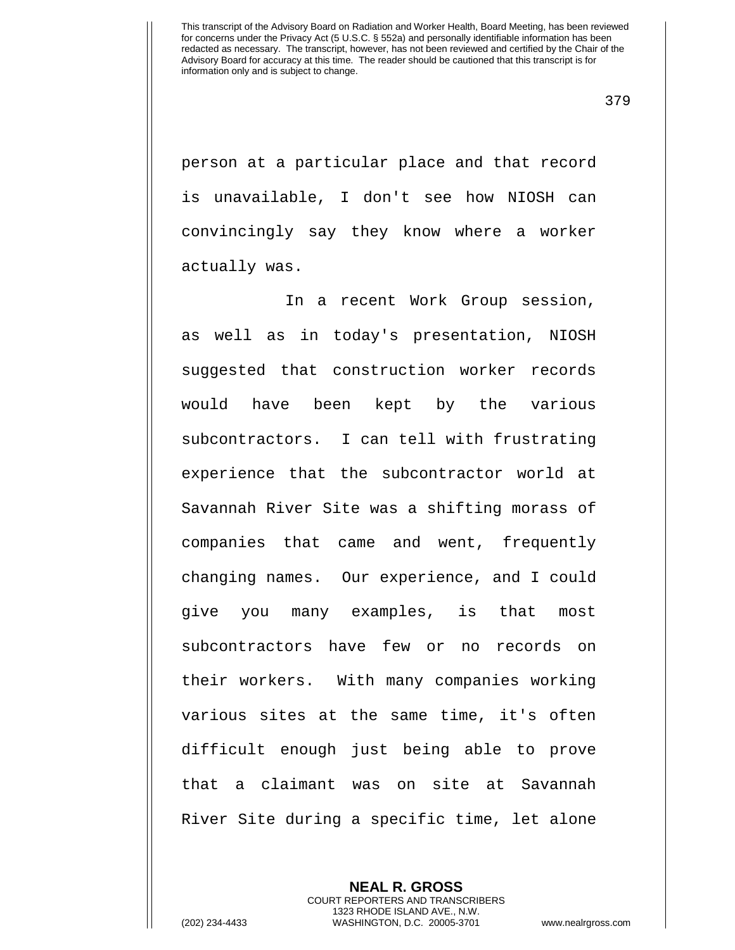379

person at a particular place and that record is unavailable, I don't see how NIOSH can convincingly say they know where a worker actually was.

In a recent Work Group session, as well as in today's presentation, NIOSH suggested that construction worker records would have been kept by the various subcontractors. I can tell with frustrating experience that the subcontractor world at Savannah River Site was a shifting morass of companies that came and went, frequently changing names. Our experience, and I could give you many examples, is that most subcontractors have few or no records on their workers. With many companies working various sites at the same time, it's often difficult enough just being able to prove that a claimant was on site at Savannah River Site during a specific time, let alone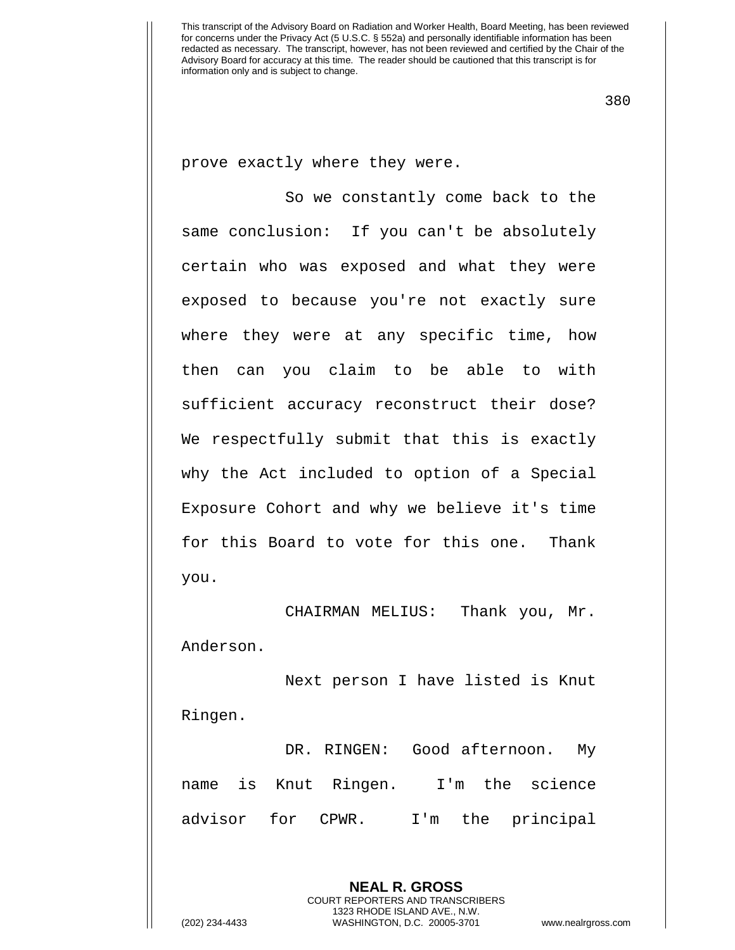380

prove exactly where they were.

So we constantly come back to the same conclusion: If you can't be absolutely certain who was exposed and what they were exposed to because you're not exactly sure where they were at any specific time, how then can you claim to be able to with sufficient accuracy reconstruct their dose? We respectfully submit that this is exactly why the Act included to option of a Special Exposure Cohort and why we believe it's time for this Board to vote for this one. Thank you.

CHAIRMAN MELIUS: Thank you, Mr. Anderson.

Next person I have listed is Knut Ringen.

DR. RINGEN: Good afternoon. My name is Knut Ringen. I'm the science advisor for CPWR. I'm the principal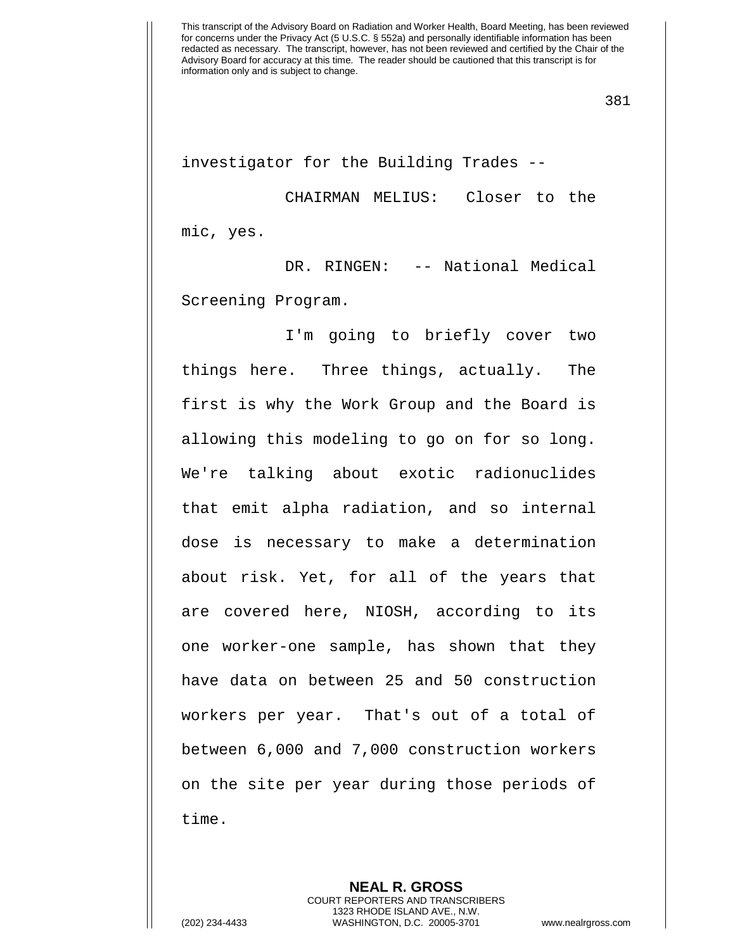investigator for the Building Trades --

CHAIRMAN MELIUS: Closer to the mic, yes.

DR. RINGEN: -- National Medical Screening Program.

I'm going to briefly cover two things here. Three things, actually. The first is why the Work Group and the Board is allowing this modeling to go on for so long. We're talking about exotic radionuclides that emit alpha radiation, and so internal dose is necessary to make a determination about risk. Yet, for all of the years that are covered here, NIOSH, according to its one worker-one sample, has shown that they have data on between 25 and 50 construction workers per year. That's out of a total of between 6,000 and 7,000 construction workers on the site per year during those periods of time.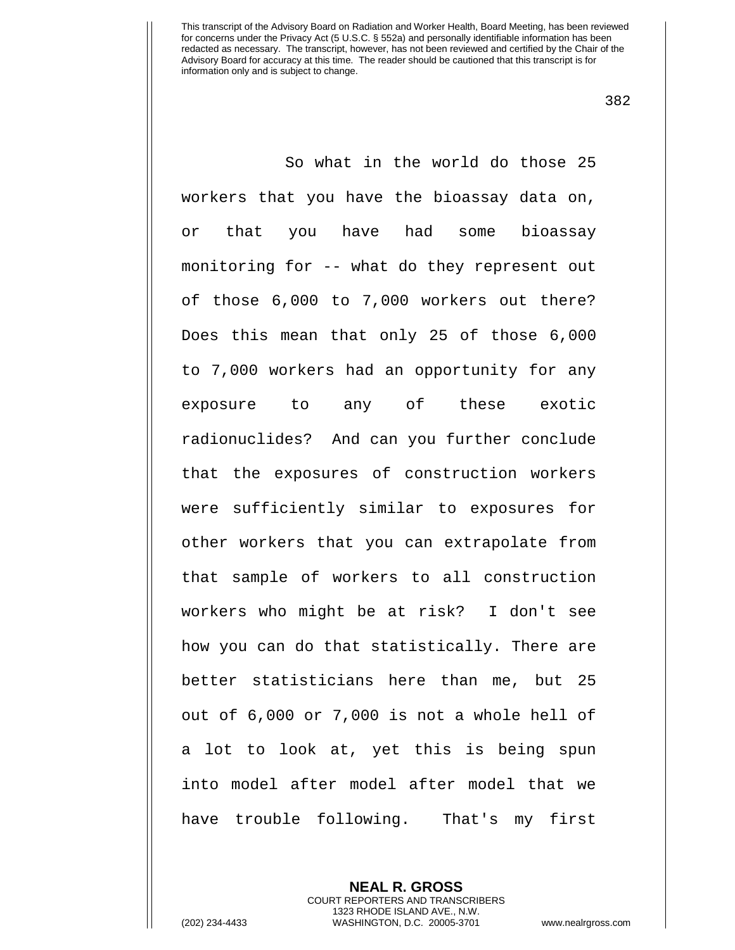382

So what in the world do those 25 workers that you have the bioassay data on, or that you have had some bioassay monitoring for -- what do they represent out of those 6,000 to 7,000 workers out there? Does this mean that only 25 of those 6,000 to 7,000 workers had an opportunity for any exposure to any of these exotic radionuclides? And can you further conclude that the exposures of construction workers were sufficiently similar to exposures for other workers that you can extrapolate from that sample of workers to all construction workers who might be at risk? I don't see how you can do that statistically. There are better statisticians here than me, but 25 out of 6,000 or 7,000 is not a whole hell of a lot to look at, yet this is being spun into model after model after model that we have trouble following. That's my first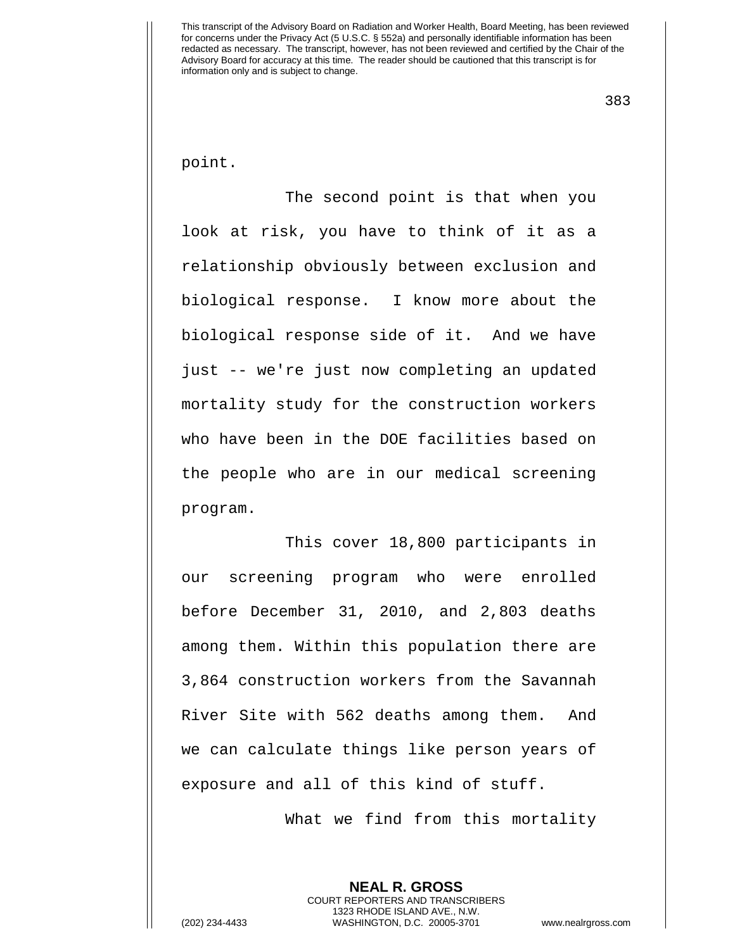383

point.

The second point is that when you look at risk, you have to think of it as a relationship obviously between exclusion and biological response. I know more about the biological response side of it. And we have just -- we're just now completing an updated mortality study for the construction workers who have been in the DOE facilities based on the people who are in our medical screening program.

This cover 18,800 participants in our screening program who were enrolled before December 31, 2010, and 2,803 deaths among them. Within this population there are 3,864 construction workers from the Savannah River Site with 562 deaths among them. And we can calculate things like person years of exposure and all of this kind of stuff.

What we find from this mortality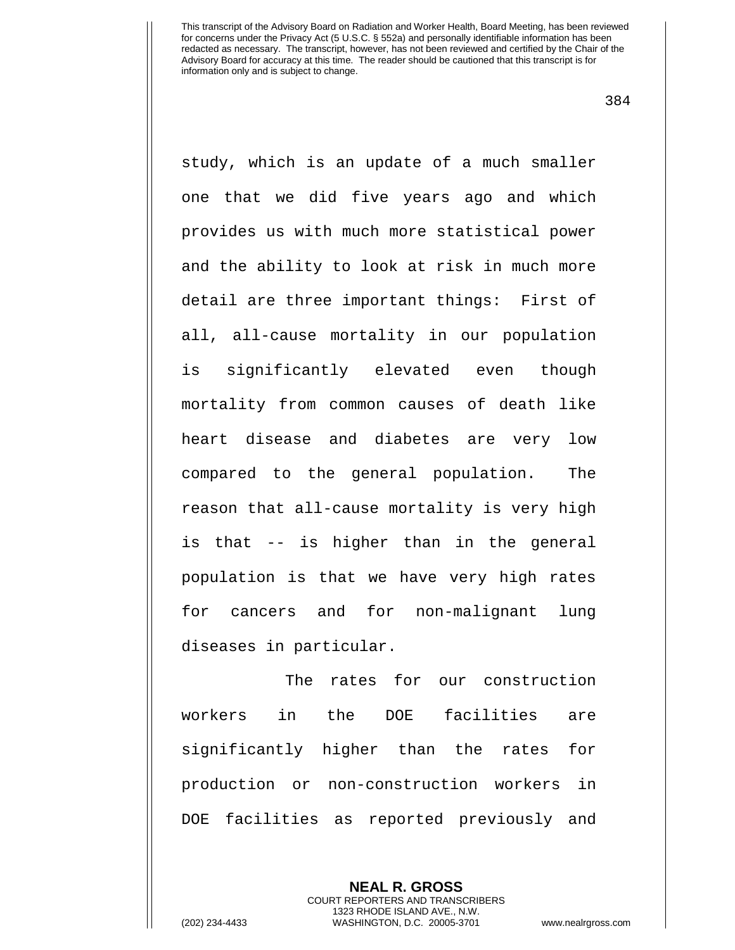384

study, which is an update of a much smaller one that we did five years ago and which provides us with much more statistical power and the ability to look at risk in much more detail are three important things: First of all, all-cause mortality in our population is significantly elevated even though mortality from common causes of death like heart disease and diabetes are very low compared to the general population. The reason that all-cause mortality is very high is that -- is higher than in the general population is that we have very high rates for cancers and for non-malignant lung diseases in particular.

The rates for our construction workers in the DOE facilities are significantly higher than the rates for production or non-construction workers in DOE facilities as reported previously and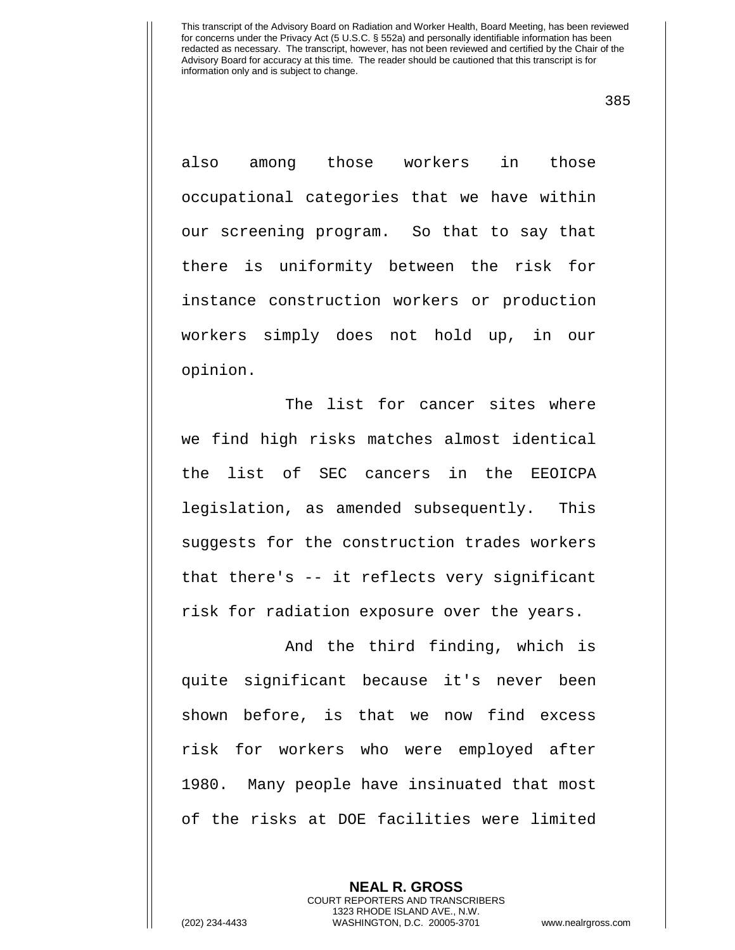385

also among those workers in those occupational categories that we have within our screening program. So that to say that there is uniformity between the risk for instance construction workers or production workers simply does not hold up, in our opinion.

The list for cancer sites where we find high risks matches almost identical the list of SEC cancers in the EEOICPA legislation, as amended subsequently. This suggests for the construction trades workers that there's -- it reflects very significant risk for radiation exposure over the years.

And the third finding, which is quite significant because it's never been shown before, is that we now find excess risk for workers who were employed after 1980. Many people have insinuated that most of the risks at DOE facilities were limited

> **NEAL R. GROSS** COURT REPORTERS AND TRANSCRIBERS 1323 RHODE ISLAND AVE., N.W.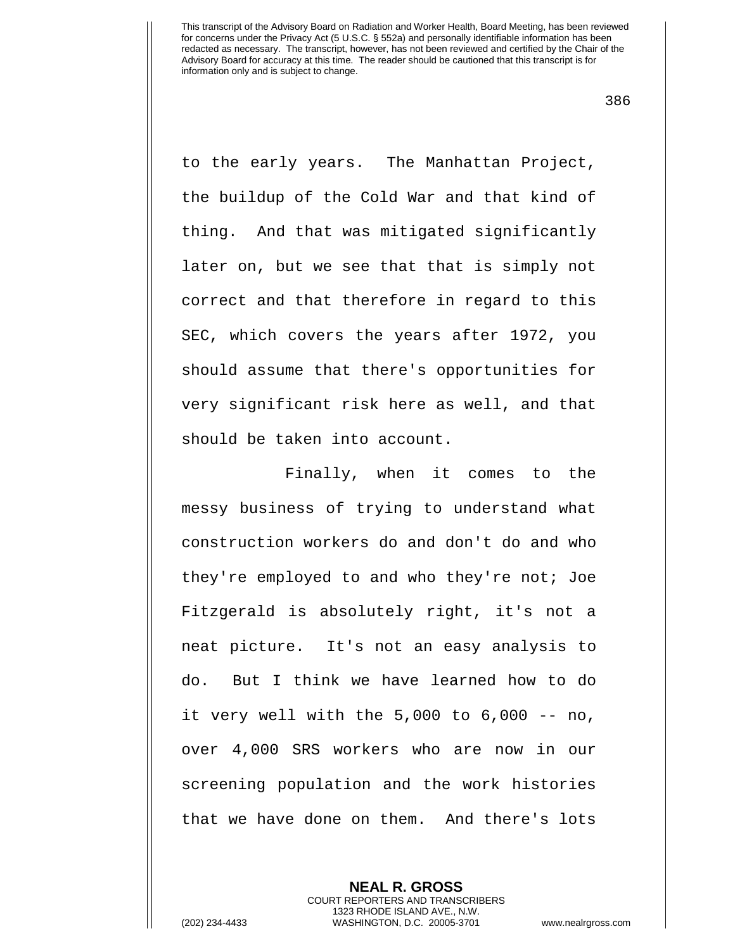386

to the early years. The Manhattan Project, the buildup of the Cold War and that kind of thing. And that was mitigated significantly later on, but we see that that is simply not correct and that therefore in regard to this SEC, which covers the years after 1972, you should assume that there's opportunities for very significant risk here as well, and that should be taken into account.

Finally, when it comes to the messy business of trying to understand what construction workers do and don't do and who they're employed to and who they're not; Joe Fitzgerald is absolutely right, it's not a neat picture. It's not an easy analysis to do. But I think we have learned how to do it very well with the 5,000 to 6,000 -- no, over 4,000 SRS workers who are now in our screening population and the work histories that we have done on them. And there's lots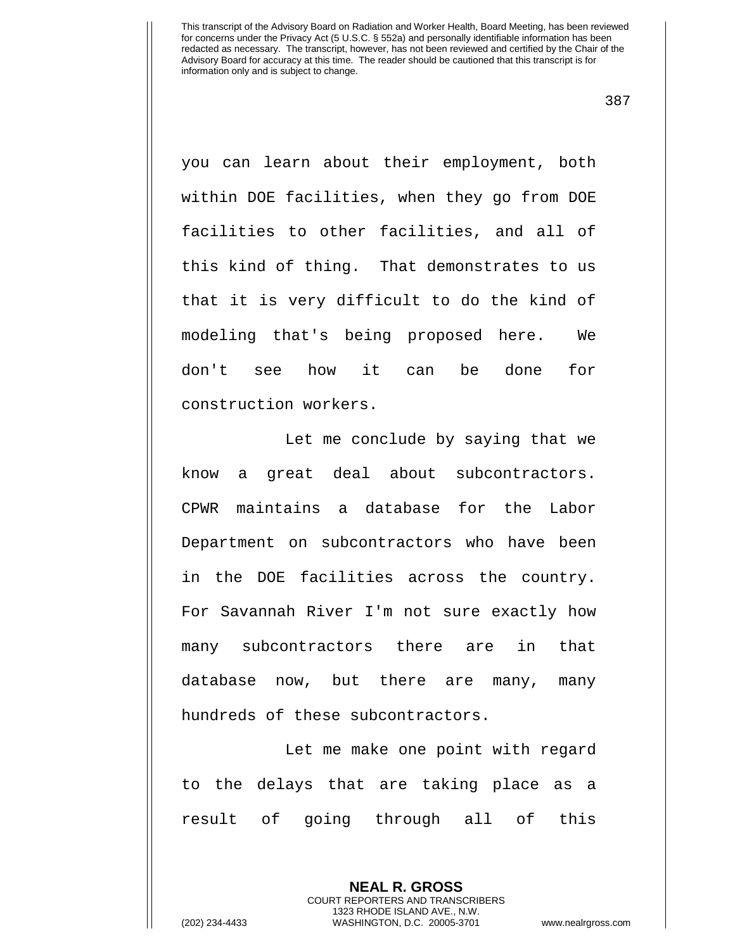387

you can learn about their employment, both within DOE facilities, when they go from DOE facilities to other facilities, and all of this kind of thing. That demonstrates to us that it is very difficult to do the kind of modeling that's being proposed here. We don't see how it can be done for construction workers.

Let me conclude by saying that we know a great deal about subcontractors. CPWR maintains a database for the Labor Department on subcontractors who have been in the DOE facilities across the country. For Savannah River I'm not sure exactly how many subcontractors there are in that database now, but there are many, many hundreds of these subcontractors.

Let me make one point with regard to the delays that are taking place as a result of going through all of this

> **NEAL R. GROSS** COURT REPORTERS AND TRANSCRIBERS 1323 RHODE ISLAND AVE., N.W.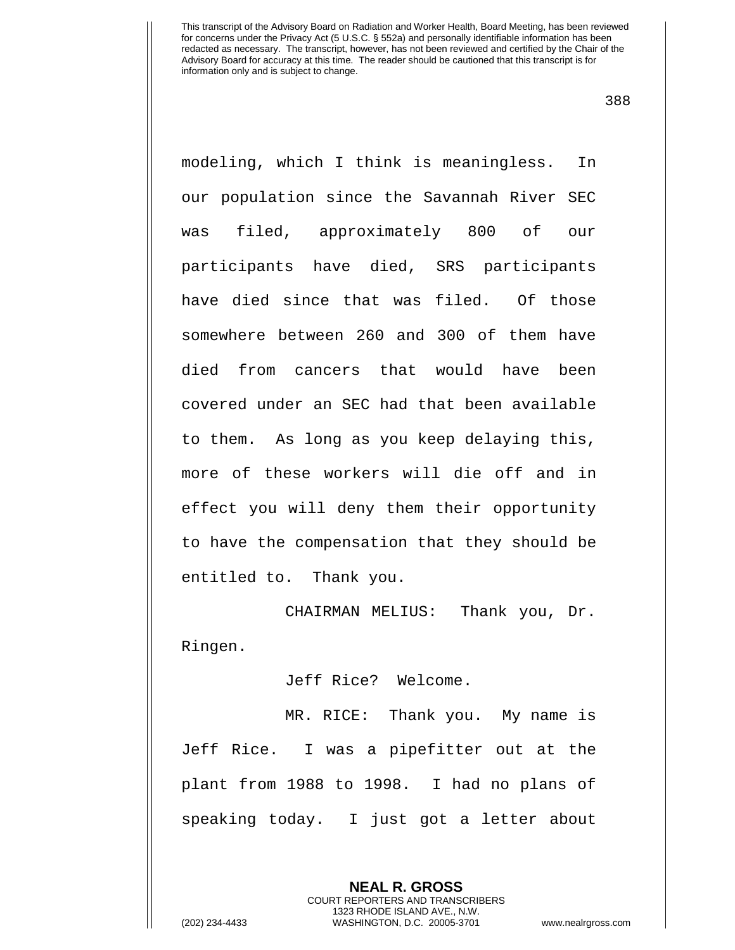388

modeling, which I think is meaningless. In our population since the Savannah River SEC was filed, approximately 800 of our participants have died, SRS participants have died since that was filed. Of those somewhere between 260 and 300 of them have died from cancers that would have been covered under an SEC had that been available to them. As long as you keep delaying this, more of these workers will die off and in effect you will deny them their opportunity to have the compensation that they should be entitled to. Thank you.

CHAIRMAN MELIUS: Thank you, Dr. Ringen.

Jeff Rice? Welcome.

MR. RICE: Thank you. My name is Jeff Rice. I was a pipefitter out at the plant from 1988 to 1998. I had no plans of speaking today. I just got a letter about

> **NEAL R. GROSS** COURT REPORTERS AND TRANSCRIBERS 1323 RHODE ISLAND AVE., N.W.

(202) 234-4433 WASHINGTON, D.C. 20005-3701 www.nealrgross.com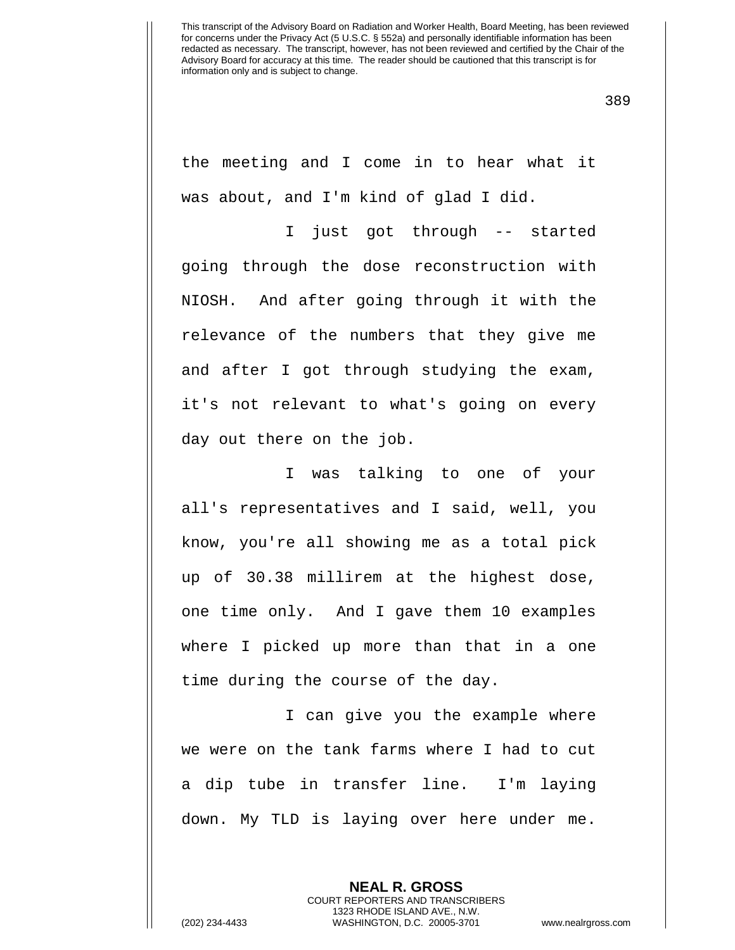389

the meeting and I come in to hear what it was about, and I'm kind of glad I did.

I just got through -- started going through the dose reconstruction with NIOSH. And after going through it with the relevance of the numbers that they give me and after I got through studying the exam, it's not relevant to what's going on every day out there on the job.

I was talking to one of your all's representatives and I said, well, you know, you're all showing me as a total pick up of 30.38 millirem at the highest dose, one time only. And I gave them 10 examples where I picked up more than that in a one time during the course of the day.

I can give you the example where we were on the tank farms where I had to cut a dip tube in transfer line. I'm laying down. My TLD is laying over here under me.

> **NEAL R. GROSS** COURT REPORTERS AND TRANSCRIBERS 1323 RHODE ISLAND AVE., N.W.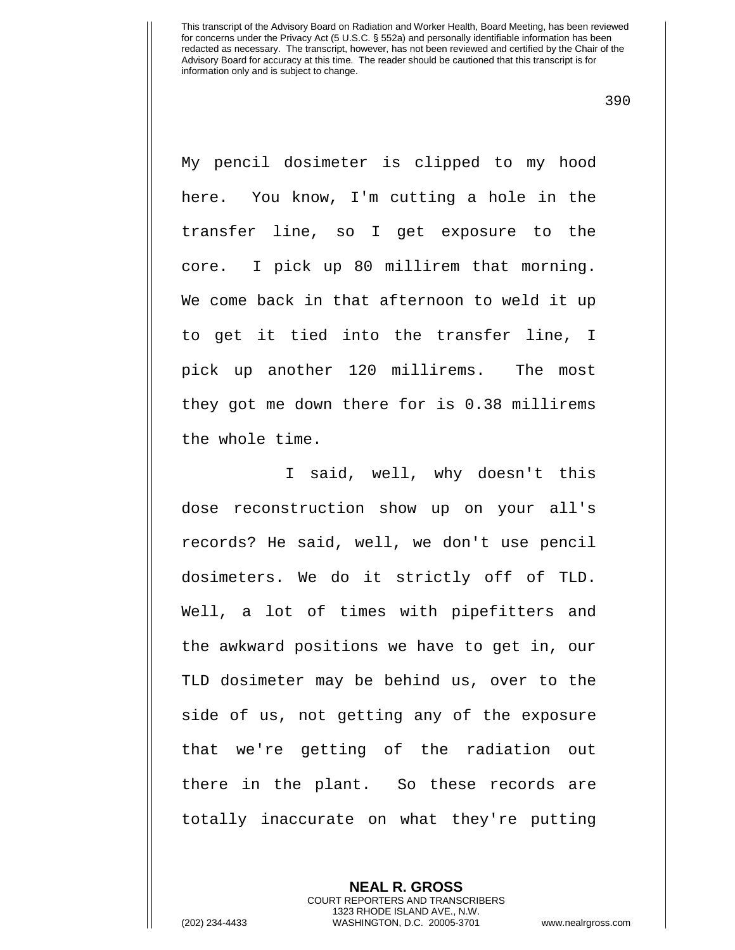390

My pencil dosimeter is clipped to my hood here. You know, I'm cutting a hole in the transfer line, so I get exposure to the core. I pick up 80 millirem that morning. We come back in that afternoon to weld it up to get it tied into the transfer line, I pick up another 120 millirems. The most they got me down there for is 0.38 millirems the whole time.

I said, well, why doesn't this dose reconstruction show up on your all's records? He said, well, we don't use pencil dosimeters. We do it strictly off of TLD. Well, a lot of times with pipefitters and the awkward positions we have to get in, our TLD dosimeter may be behind us, over to the side of us, not getting any of the exposure that we're getting of the radiation out there in the plant. So these records are totally inaccurate on what they're putting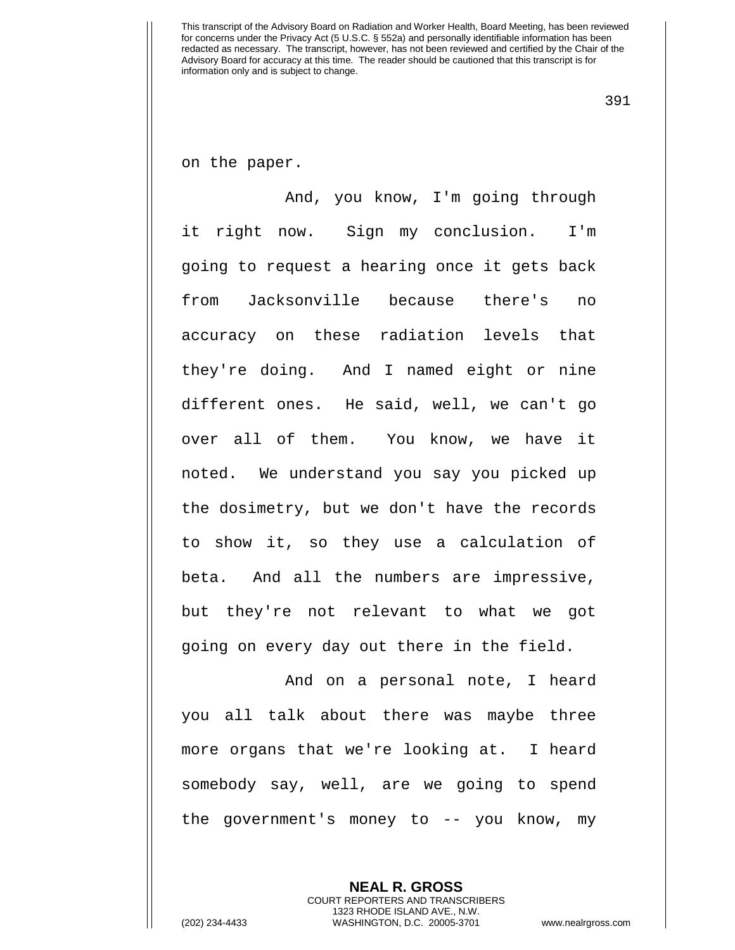391

on the paper.

And, you know, I'm going through it right now. Sign my conclusion. I'm going to request a hearing once it gets back from Jacksonville because there's no accuracy on these radiation levels that they're doing. And I named eight or nine different ones. He said, well, we can't go over all of them. You know, we have it noted. We understand you say you picked up the dosimetry, but we don't have the records to show it, so they use a calculation of beta. And all the numbers are impressive, but they're not relevant to what we got going on every day out there in the field.

And on a personal note, I heard you all talk about there was maybe three more organs that we're looking at. I heard somebody say, well, are we going to spend the government's money to -- you know, my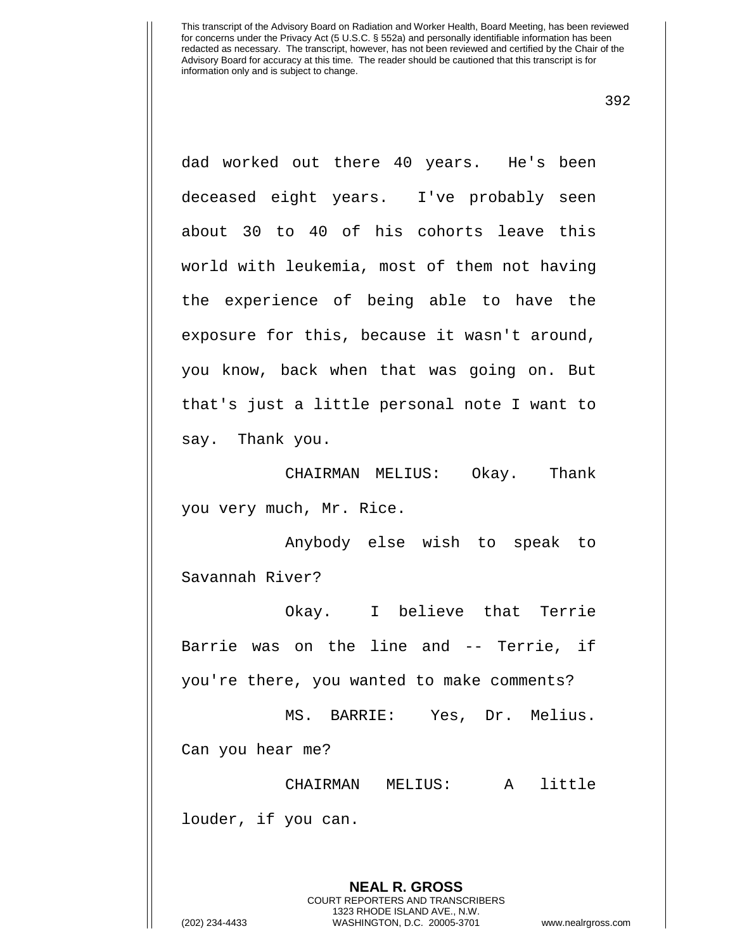392

dad worked out there 40 years. He's been deceased eight years. I've probably seen about 30 to 40 of his cohorts leave this world with leukemia, most of them not having the experience of being able to have the exposure for this, because it wasn't around, you know, back when that was going on. But that's just a little personal note I want to say. Thank you.

CHAIRMAN MELIUS: Okay. Thank you very much, Mr. Rice.

Anybody else wish to speak to Savannah River?

Okay. I believe that Terrie Barrie was on the line and -- Terrie, if you're there, you wanted to make comments?

MS. BARRIE: Yes, Dr. Melius. Can you hear me?

CHAIRMAN MELIUS: A little

louder, if you can.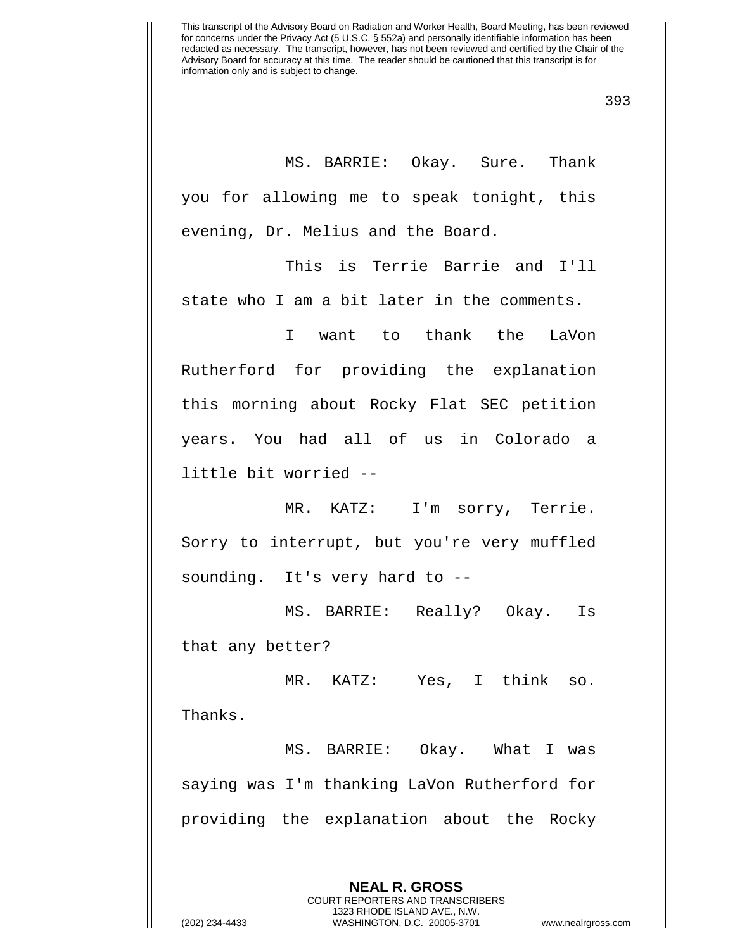393

MS. BARRIE: Okay. Sure. Thank you for allowing me to speak tonight, this evening, Dr. Melius and the Board.

This is Terrie Barrie and I'll state who I am a bit later in the comments.

I want to thank the LaVon Rutherford for providing the explanation this morning about Rocky Flat SEC petition years. You had all of us in Colorado a little bit worried --

MR. KATZ: I'm sorry, Terrie. Sorry to interrupt, but you're very muffled sounding. It's very hard to --

MS. BARRIE: Really? Okay. Is that any better?

MR. KATZ: Yes, I think so.

Thanks.

MS. BARRIE: Okay. What I was saying was I'm thanking LaVon Rutherford for providing the explanation about the Rocky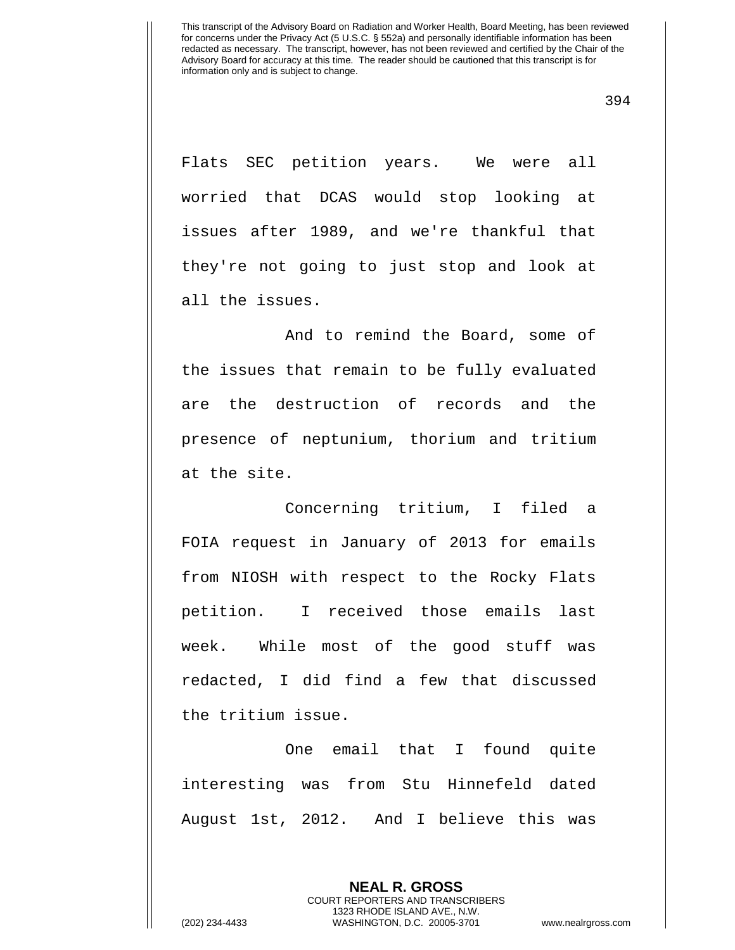Flats SEC petition years. We were all worried that DCAS would stop looking at issues after 1989, and we're thankful that they're not going to just stop and look at all the issues.

And to remind the Board, some of the issues that remain to be fully evaluated are the destruction of records and the presence of neptunium, thorium and tritium at the site.

Concerning tritium, I filed a FOIA request in January of 2013 for emails from NIOSH with respect to the Rocky Flats petition. I received those emails last week. While most of the good stuff was redacted, I did find a few that discussed the tritium issue.

One email that I found quite interesting was from Stu Hinnefeld dated August 1st, 2012. And I believe this was

> **NEAL R. GROSS** COURT REPORTERS AND TRANSCRIBERS

1323 RHODE ISLAND AVE., N.W. (202) 234-4433 WASHINGTON, D.C. 20005-3701 www.nealrgross.com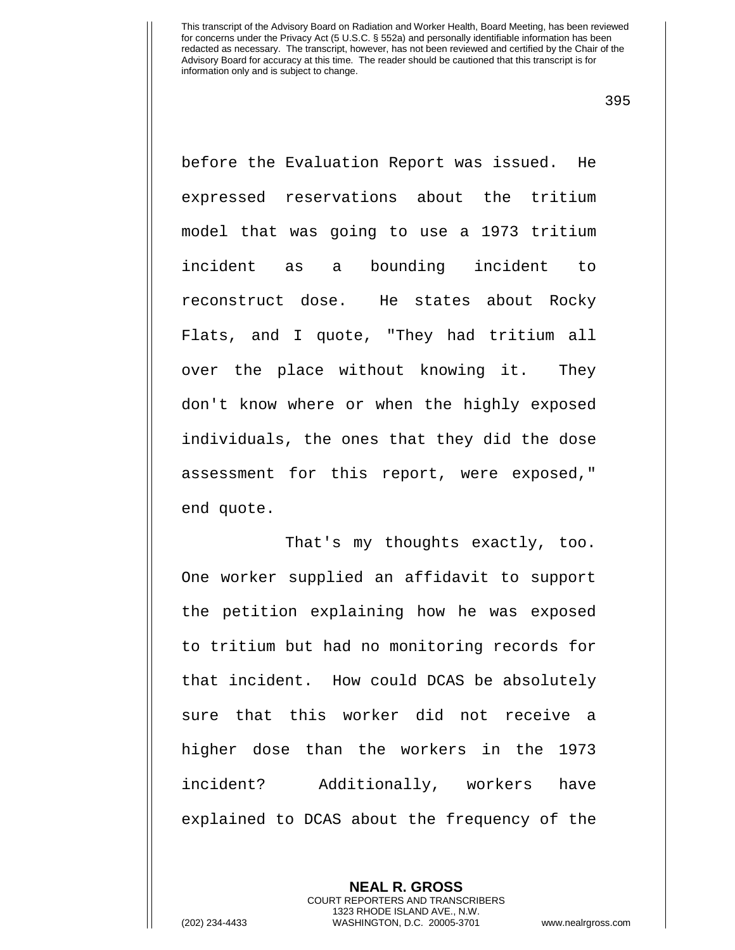395

before the Evaluation Report was issued. He expressed reservations about the tritium model that was going to use a 1973 tritium incident as a bounding incident to reconstruct dose. He states about Rocky Flats, and I quote, "They had tritium all over the place without knowing it. They don't know where or when the highly exposed individuals, the ones that they did the dose assessment for this report, were exposed," end quote.

That's my thoughts exactly, too. One worker supplied an affidavit to support the petition explaining how he was exposed to tritium but had no monitoring records for that incident. How could DCAS be absolutely sure that this worker did not receive a higher dose than the workers in the 1973 incident? Additionally, workers have explained to DCAS about the frequency of the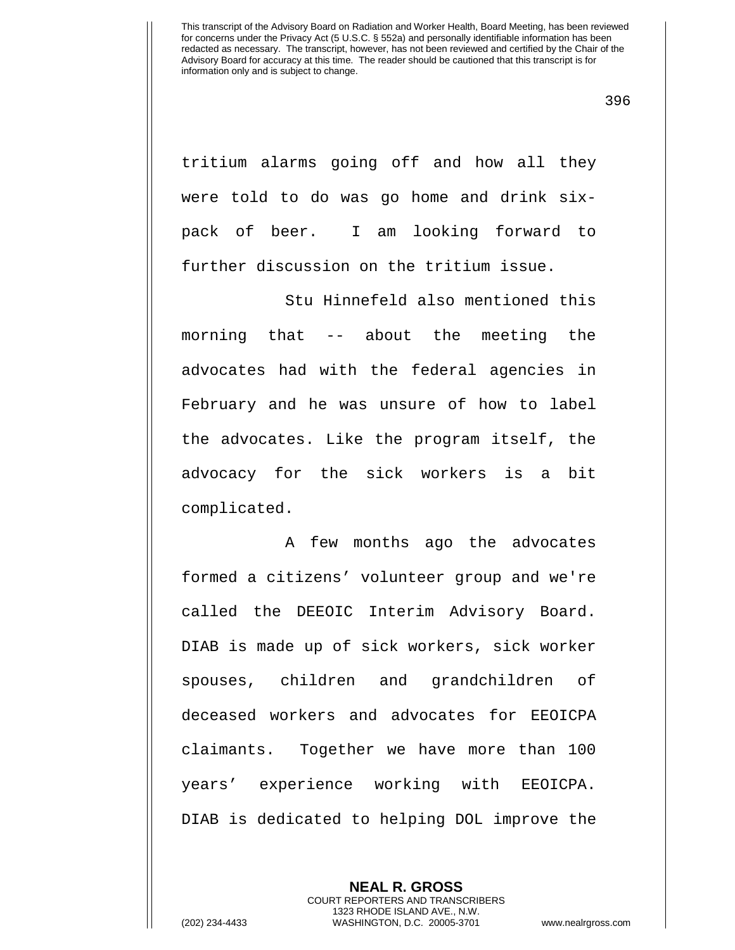396

tritium alarms going off and how all they were told to do was go home and drink sixpack of beer. I am looking forward to further discussion on the tritium issue.

Stu Hinnefeld also mentioned this morning that -- about the meeting the advocates had with the federal agencies in February and he was unsure of how to label the advocates. Like the program itself, the advocacy for the sick workers is a bit complicated.

A few months ago the advocates formed a citizens' volunteer group and we're called the DEEOIC Interim Advisory Board. DIAB is made up of sick workers, sick worker spouses, children and grandchildren of deceased workers and advocates for EEOICPA claimants. Together we have more than 100 years' experience working with EEOICPA. DIAB is dedicated to helping DOL improve the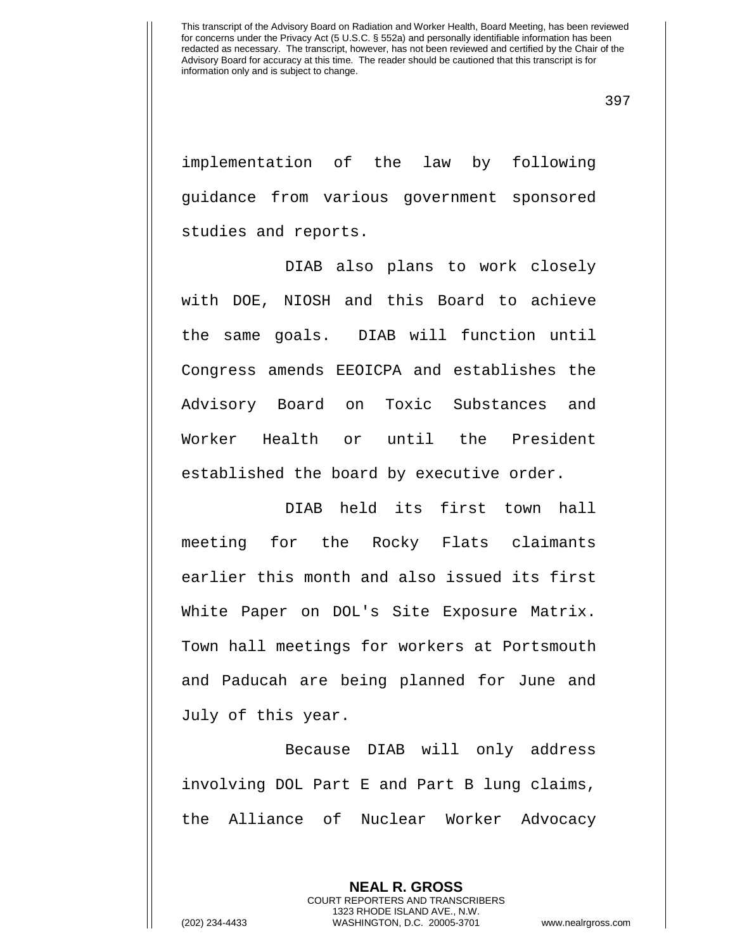implementation of the law by following guidance from various government sponsored studies and reports.

DIAB also plans to work closely with DOE, NIOSH and this Board to achieve the same goals. DIAB will function until Congress amends EEOICPA and establishes the Advisory Board on Toxic Substances and Worker Health or until the President established the board by executive order.

DIAB held its first town hall meeting for the Rocky Flats claimants earlier this month and also issued its first White Paper on DOL's Site Exposure Matrix. Town hall meetings for workers at Portsmouth and Paducah are being planned for June and July of this year.

Because DIAB will only address involving DOL Part E and Part B lung claims, the Alliance of Nuclear Worker Advocacy

**NEAL R. GROSS** COURT REPORTERS AND TRANSCRIBERS 1323 RHODE ISLAND AVE., N.W. (202) 234-4433 WASHINGTON, D.C. 20005-3701 www.nealrgross.com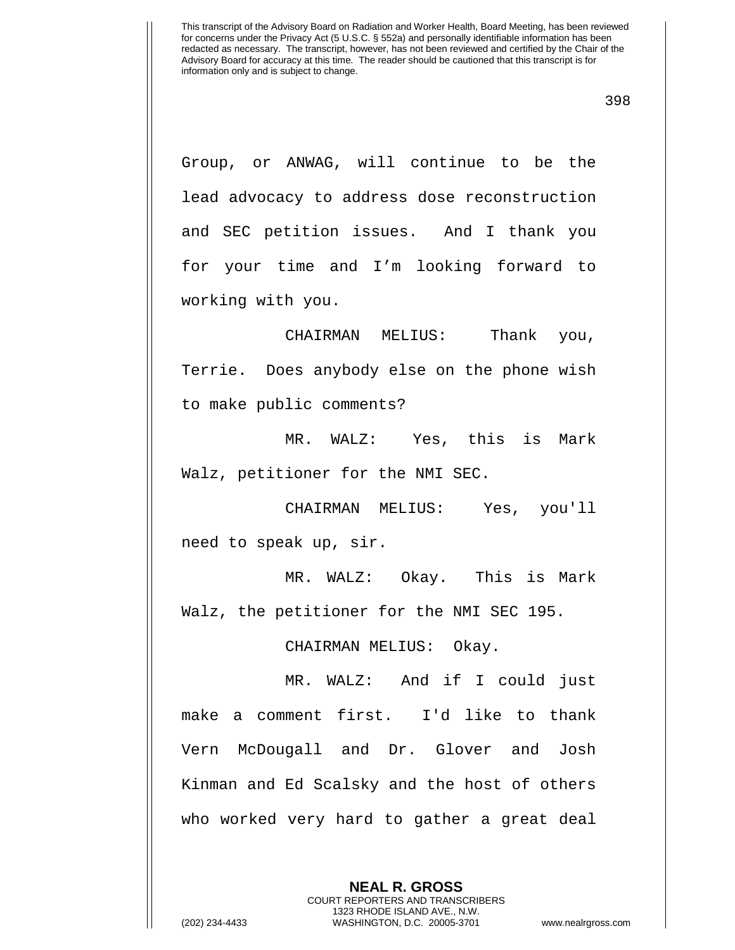Group, or ANWAG, will continue to be the lead advocacy to address dose reconstruction and SEC petition issues. And I thank you for your time and I'm looking forward to working with you.

CHAIRMAN MELIUS: Thank you, Terrie. Does anybody else on the phone wish to make public comments?

MR. WALZ: Yes, this is Mark Walz, petitioner for the NMI SEC.

CHAIRMAN MELIUS: Yes, you'll need to speak up, sir.

MR. WALZ: Okay. This is Mark Walz, the petitioner for the NMI SEC 195.

CHAIRMAN MELIUS: Okay.

MR. WALZ: And if I could just make a comment first. I'd like to thank Vern McDougall and Dr. Glover and Josh Kinman and Ed Scalsky and the host of others who worked very hard to gather a great deal

> **NEAL R. GROSS** COURT REPORTERS AND TRANSCRIBERS 1323 RHODE ISLAND AVE., N.W.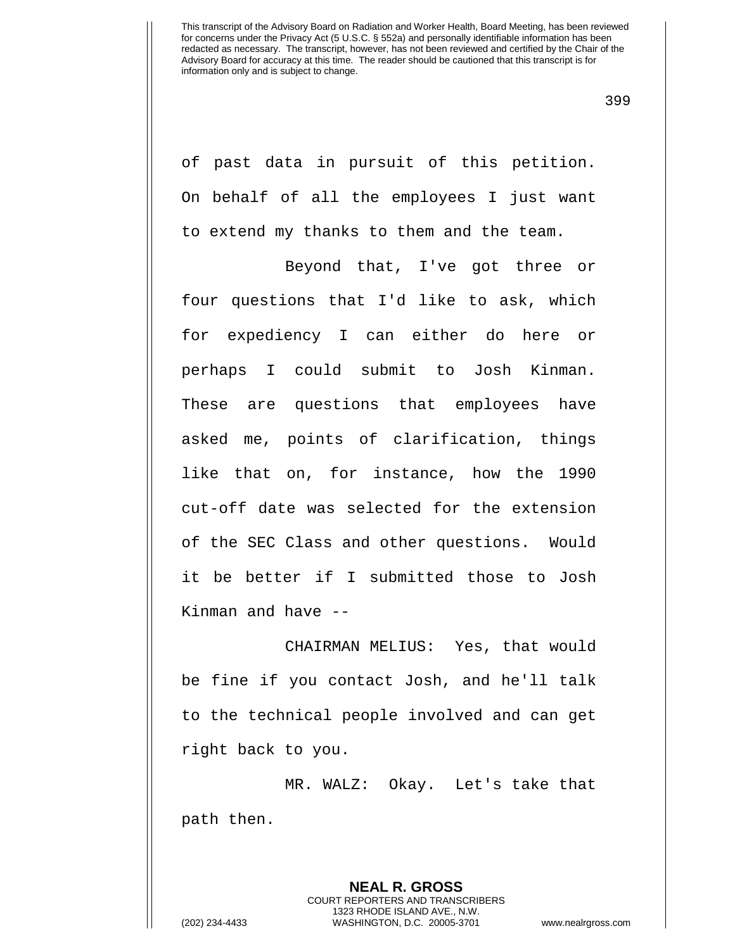399

of past data in pursuit of this petition. On behalf of all the employees I just want to extend my thanks to them and the team.

Beyond that, I've got three or four questions that I'd like to ask, which for expediency I can either do here or perhaps I could submit to Josh Kinman. These are questions that employees have asked me, points of clarification, things like that on, for instance, how the 1990 cut-off date was selected for the extension of the SEC Class and other questions. Would it be better if I submitted those to Josh Kinman and have --

CHAIRMAN MELIUS: Yes, that would be fine if you contact Josh, and he'll talk to the technical people involved and can get right back to you.

MR. WALZ: Okay. Let's take that path then.

**NEAL R. GROSS** COURT REPORTERS AND TRANSCRIBERS 1323 RHODE ISLAND AVE., N.W. (202) 234-4433 WASHINGTON, D.C. 20005-3701 www.nealrgross.com